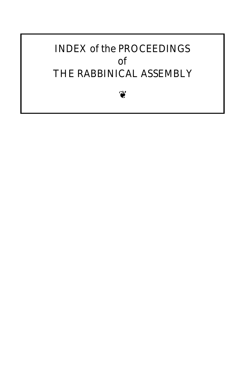### INDEX of the PROCEEDINGS of THE RABBINICAL ASSEMBLY

❦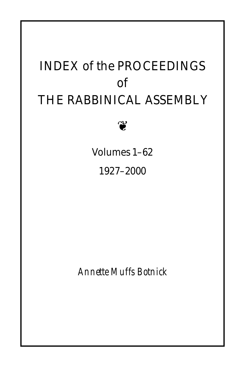# INDEX of the PROCEEDINGS of THE RABBINICAL ASSEMBLY

❦

Volumes 1–62

1927–2000

*Annette Muffs Botnick*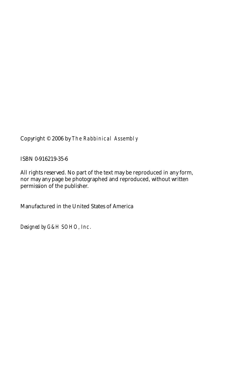Copyright © 2006 by The Rabbinical Assembly

ISBN 0-916219-35-6

All rights reserved. No part of the text may be reproduced in any form, nor may any page be photographed and reproduced, without written permission of the publisher.

Manufactured in the United States of America

*Designed by* G&H SOHO, Inc.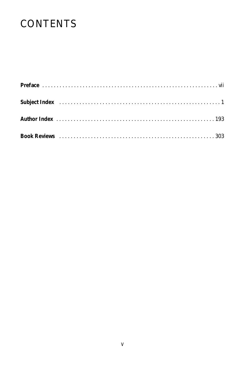## **CONTENTS**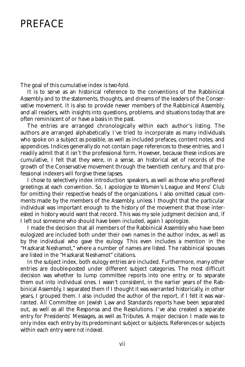#### **PREFACE**

The goal of this cumulative index is two-fold.

It is to serve as an historical reference to the conventions of the Rabbinical Assembly and to the statements, thoughts, and dreams of the leaders of the Conservative movement. It is also to provide newer members of the Rabbinical Assembly, and all readers, with insights into questions, problems, and situations today that are often reminiscent of or have a basis in the past.

The entries are arranged chronologically within each author's listing. The authors are arranged alphabetically. I've tried to incorporate as many individuals who spoke on a subject as possible, as well as included prefaces, content notes, and appendices. Indices generally do not contain page references to these entries, and I readily admit that it isn't the professional form. However, because these indices are cumulative, I felt that they were, in a sense, an historical set of records of the growth of the Conservative movement through the twentieth century, and that professional indexers will forgive these lapses.

I chose to selectively index introduction speakers, as well as those who proffered greetings at each convention. So, I apologize to Women's League and Mens' Club for omitting their respective heads of the organizations. I also omitted casual comments made by the members of the Assembly, unless I thought that the particular individual was important enough to the history of the movement that those interested in history would want that record. This was my sole judgment decision and, if I left out someone who should have been included, again I apologize.

I made the decision that all members of the Rabbinical Assembly who have been eulogized are included both under their own names in the author index, as well as by the individual who gave the eulogy. This even includes a mention in the "Hazkarat Neshamot," where a number of names are listed. The rabbinical spouses are listed in the "Hazkarat Neshamot" citations.

In the subject index, both eulogy entries are included. Furthermore, many other entries are double-posted under different subject categories. The most difficult decision was whether to lump committee reports into one entry, or to separate them out into individual ones. I wasn't consistent, in the earlier years of the Rabbinical Assembly, I separated them if I thought it was warranted historically, in other years, I grouped them. I also included the author of the report, if I felt it was warranted. All Committee on Jewish Law and Standards reports have been separated out, as well as all the Responsa and the Resolutions. I've also created a separate entry for Presidents' Messages, as well as Tributes. A major decision I made was to only index each entry by its predominant subject or subjects. References or subjects within each entry were *not indexed.*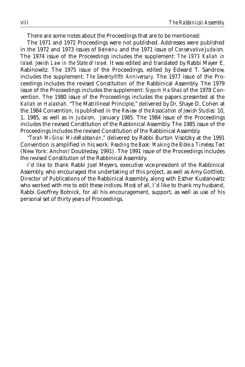There are some notes about the Proceedings that are to be mentioned:

The 1971 and 1972 Proceedings were not published. Addresses were published in the 1972 and 1973 issues of *Beineinu* and the 1971 issue of *Conservative Judaism.* The 1974 issue of the Proceedings includes the supplement: *The 1973 Kallah in Israel: Jewish Law in the State of Israel.* It was edited and translated by Rabbi Mayer E. Rabinowitz. The 1975 issue of the Proceedings, edited by Edward T. Sandrow, includes the supplement: *The Seventy-fifth Anniversary.* The 1977 issue of the Proceedings includes the revised Constitution of the Rabbinical Assembly. The 1979 issue of the Proceedings includes the supplement: *Siyyum Ha-Shas* of the 1978 Convention. The 1980 issue of the Proceedings includes the papers presented at the *Kallah on Halakhah.* "The Matrilineal Principle," delivered by Dr. Shaye D. Cohen at the 1984 Convention, is published in the *Review of the Association of Jewish Studies:* 10, 1, 1985, as well as in *Judaism,* January 1985. The 1984 issue of the Proceedings includes the revised Constitution of the Rabbinical Assembly. The 1985 issue of the Proceedings includes the revised Constitution of the Rabbinical Assembly.

"*Torah Mi-Sinai Mi-deRabbanan*," delivered by Rabbi Burton Visotzky at the 1991 Convention is amplified in his work: *Reading the Book: Making the Bible a Timeless Text* (New York: Anchor/Doubleday, 1991). The 1991 issue of the Proceedings includes the revised Constitution of the Rabbinical Assembly.

I'd like to thank Rabbi Joel Meyers, executive vice-president of the Rabbinical Assembly, who encouraged the undertaking of this project, as well as Amy Gottlieb, Director of Publications of the Rabbinical Assembly, along with Esther Kustanowitz who worked with me to edit these indices. Most of all, I'd like to thank my husband, Rabbi Geoffrey Botnick, for all his encouragement, support, as well as use of his personal set of thirty years of Proceedings.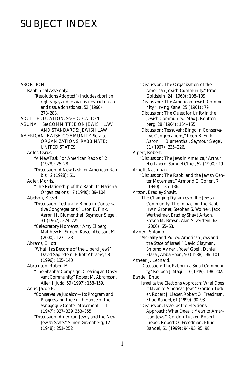### SUBJECT INDEX

ABORTION Rabbinical Assembly. "Resolutions Adopted" (includes abortion rights, gay and lesbian issues and organ and tissue donations), 52 (1990): 273–283. ADULT EDUCATION. *See* EDUCATION AGUNAH. *See* COMMITTEE ON JEWISH LAW AND STANDARDS; JEWISH LAW AMERICAN JEWISH COMMUNITY. *See also* ORGANIZATIONS; RABBINATE; UNITED STATES Adler, Cyrus. "A New Task For American Rabbis," 2 (1928): 25–28. "Discussion: A New Task for American Rabbis," 2 (1928): 61. Adler, Morris. "The Relationship of the Rabbi to National Organizations," 7 (1940): 89–104. Abelson, Kassel. "Discussion: Teshuvah: Bingo in Conservative Congregations," Leon B. Fink, Aaron H. Blumenthal, Seymour Siegel, 31 (1967): 224–225. "Celebratory Moments," Amy Eilberg, Matthew H. Simon, Kassel Abelson, 62 (2000): 127–128. Abrams, Elliott. "What Has Become of the Liberal Jew?" David Sapirstein, Elliott Abrams, 58 (1996): 135–140. Abramson, Robert M. "The Shabbat Campaign: Creating an Observant Community," Robert M. Abramson, Allen I. Juda, 59 (1997): 158–159. Agus, Jacob B. "Conservative Judaism—Its Program and Progress: on the Furtherance of the Synagogue-Center Movement," 11 (1947): 327–339, 353–355. "Discussion: American Jewry and the New Jewish State," Simon Greenberg, 12

(1948): 251–252.

"Discussion: The Organization of the American Jewish Community," Israel Goldstein, 24 (1960): 108–109. "Discussion: The American Jewish Community," Irving Kane, 25 (1961): 79. "Discussion: The Quest for Unity in the Jewish Community," Max J. Routtenberg, 28 (1964): 154–155. "Discussion: Teshuvah: Bingo in Conservative Congregations," Leon B. Fink, Aaron H. Blumenthal, Seymour Siegel, 31 (1967): 225–226. Alpert, Robert. "Discussion: The Jews in America," Arthur Hertzberg, Samuel Chiel, 52 (1990): 19. Arnoff, Nachman. "Discussion: The Rabbi and the Jewish Center Movement," Armond E. Cohen, 7 (1940): 135–136. Artson, Bradley Shavit. "The Changing Dynamics of the Jewish Community: The Impact on the Rabbi" Irwin Groner, Stephen S. Wolnek, Jack Wertheimer, Bradley Shavit Artson, Steven M. Brown, Alan Silverstein, 62 (2000): 65–68. Avineri, Shlomo. "Morality and Policy: American Jews and the State of Israel," David Clayman, Shlomo Avineri, Yosef Goell, Daniel Elazar, Abba Eban, 50 (1988): 96–101. Azneer, J. Leonard. "Discussion: The Rabbi in a Small Community," Reuben J. Magil, 13 (1949): 198–202. Bandel, Ehud. "Israel as the Elections Approach: What Does it Mean to American Jews?" Gordon Tucker, Robert J. Lieber, Robert O. Freedman, Ehud Bandel, 61 (1999): 90–93. "Discussion: Israel as the Elections Approach: What Does it Mean to American Jews?" Gordon Tucker, Robert J. Lieber, Robert O. Freedman, Ehud Bandel, 61 (1999): 94–95, 95, 98.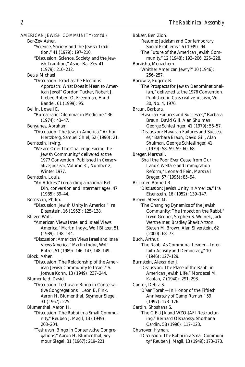AMERICAN JEWISH COMMUNITY *(cont'd.)* Bar-Zev, Asher. "Science, Society, and the Jewish Tradition," 41 (1979): 197–210. "Discussion: Science, Society, and the Jewish Tradition," Asher Bar-Zev, 41 (1979): 210–212. Beals, Michael. "Discussion: Israel as the Elections Approach: What Does it Mean to American Jews?" Gordon Tucker, Robert J. Lieber, Robert O. Freedman, Ehud Bandel, 61 (1999): 95. Bellin, Lowell E. "Bureacratic Dilemmas in Medicine," 36 (1974): 43–47. Benyunes, Abraham. "Discussion: The Jews in America," Arthur Hertzberg, Samuel Chiel, 52 (1990): 21. Bernstein, Irving. "We are One: The Challenge Facing the Jewish Community," delivered at the 1977 Convention. Published in *Conservative Judaism,* Volume 31, Number 2, Winter 1977. Bernstein, Louis. "An Address" (regarding a national Bet Din, conversion and intermarriage), 47 (1985): 39–44. Bernstein, Philip. "Discussion: Jewish Unity in America," Ira Eisenstein, 16 (1952): 125–138. Blitzer, Wolf. "American Views Israel and Israel Views America," Martin Indyk, Wolf Blitzer, 51 (1989): 138–144. "Discussion: American Views Israel and Israel Views America," Martin Indyk, Wolf Blitzer, 51 (1989): 146–147, 148–149. Block, Asher. "Discussion: The Relationship of the American Jewish Community to Israel," S. Joshua Kohn, 13 (1949): 237–244. Blumenfeld, David. "Discussion: Teshuvah: Bingo in Conservative Congregations," Leon B. Fink, Aaron H. Blumenthal, Seymour Siegel, 31 (1967): 225. Blumenthal, Aaron H. "Discussion: The Rabbi in a Small Community," Reuben J. Magil, 13 (1949): 203–204. "Teshuvah: Bingo in Conservative Congregations," Aaron H. Blumenthal, Seymour Siegel, 31 (1967): 219–221.

Bokser, Ben Zion. "Resume: Judaism and Contemporary Social Problems," 6 (1939): 94. "The Future of the American Jewish Community," 12 (1948): 193–206, 225–228. Boraisha, Menachem. "Whither American Jewry?" 10 (1946): 256–257. Borowitz, Eugene B. "The Prospects for Jewish Denominationalism," delivered at the 1976 Convention. Published in *Conservative Judaism,* Vol. 30, No. 4, 1976. Braun, Barbara. "Havurah Failures and Successes," Barbara Braun, David Gill, Alan Shulman, George Schleslinger, 41 (1979): 56–57. "Discussion: Havurah Failures and Successes," Barbara Braun, David Gill, Alan Shulman, George Schleslinger, 41 (1979): 58, 59, 59–60, 68. Breger, Marshall. "Shall the Poor Ever Cease from Our Land?: Welfare and Immigration Reform," Leonard Fein, Marshall Breger, 57 (1995): 85–94. Brickner, Barnett R. "Discussion: Jewish Unity in America," Ira Eisenstein, 16 (1952): 139–147. Brown, Steven M. "The Changing Dynamics of the Jewish Community: The Impact on the Rabbi," Irwin Groner, Stephen S. Wolnek, Jack Wertheimer, Bradley Shavit Artson, Steven M. Brown, Alan Silverstein, 62 (2000): 68–73. Buch, Arthur. "The Rabbi As Communal Leader—Interfaith Activity and Democracy," 10 (1946): 127–129. Burnstein, Alexander J. "Discussion: The Place of the Rabbi in American Jewish Life," Mordecai M. Kaplan, 7 (1940): 291–293. Cantor, Debra S. "D'var Torah—In Honor of the Fiftieth Anniversary of Camp Ramah," 59 (1997): 173–176. Cardin, Shoshana S. "The CJF-UJA and WZO-JAFI Restructuring," Bernard Olshansky, Shoshana Cardin, 58 (1996): 117–123. Chanover, Hyman. "Discussion: The Rabbi in a Small Community," Reuben J. Magil, 13 (1949): 173–178.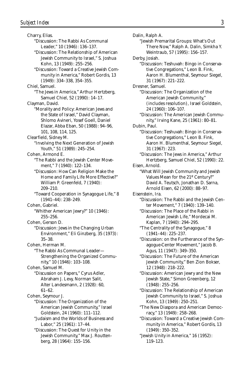Charry, Elias. "Discussion: The Rabbi As Communal Leader," 10 (1946): 136–137. "Discussion: The Relationship of American Jewish Community to Israel," S. Joshua Kohn, 13 (1949): 255–256. "Discussion: Toward a Creative Jewish Community in America," Robert Gordis, 13 (1949): 334–338, 354–355. Chiel, Samuel. "The Jews in America," Arthur Hertzberg, Samuel Chiel, 52 (1990): 14–17. Clayman, David. "Morality and Policy: American Jews and the State of Israel," David Clayman, Shlomo Avineri, Yosef Goell, Daniel Elazar, Abba Eban, 50 (1988): 94–96, 101, 108, 114, 125. Clearfield, Sidney M. "Involving the Next Generation of Jewish Youth," 51 (1989): 245–254. Cohen, Armond E. "The Rabbi and the Jewish Center Movement," 7 (1940): 122–134. "Discussion: How Can Religion Make the Home and Family Life More Effective?" William P. Greenfeld, 7 (1940): 209–210. "Toward Cooperation in Synagogue Life," 8 (1941–44): 238–249. Cohen, Gabriel. "Whither American Jewry?" 10 (1946): 255–256. Cohen, Gerson D. "Discussion: Jews in the Changing Urban Environment," Eli Ginzberg, 35 (1973): 35–38. Cohen, Herman M. "The Rabbi As Communal Leader— Strengthening the Organized Community," 10 (1946): 103–108. Cohen, Samuel M. "Discussion on Papers," Cyrus Adler, Abraham J. Levy, Norman Salit, Alter Landesmann, 2 (1928): 60, 61–62. Cohen, Seymour J. "Discussion: The Organization of the American Jewish Community," Israel Goldstein, 24 (1960): 111–112. "Judaism and the Worlds of Business and Labor," 25 (1961): 17–44. "Discussion: The Quest for Unity in the Jewish Community," Max J. Routten-

berg, 28 (1964): 155–156.

Dalin, Ralph A. "Jewish Premarital Groups: What's Out There Now," Ralph A. Dalin, Simkha Y. Weintraub, 57 (1995): 156–157. Derby, Josiah. "Discussion: Teshuvah: Bingo in Conservative Congregations," Leon B. Fink, Aaron H. Blumenthal, Seymour Siegel, 31 (1967): 221–222. Dresner, Samuel. "Discussion: The Organization of the American Jewish Community," (includes resolution), Israel Goldstein, 24 (1960): 106–107. "Discussion: The American Jewish Community," Irving Kane, 25 (1961): 80–81. Dubin, Paul. "Discussion: Teshuvah: Bingo in Conservative Congregations," Leon B. Fink, Aaron H. Blumenthal, Seymour Siegel, 31 (1967): 223. "Discussion: The Jews in America," Arthur Hertzberg, Samuel Chiel, 52 (1990): 22. Eisen, Arnold. "What Will Jewish Community and Jewish Values Mean for the 21<sup>st</sup> Century?" David A. Teutsch, Jonathan D. Sarna, Arnold Eisen, 62 (2000): 88–97. Eisenstein, Ira. "Discussion: The Rabbi and the Jewish Center Movement," 7 (1940): 139–140. "Discussion: The Place of the Rabbi in American Jewish Life," Mordecai M. Kaplan, 7 (1940): 294–295. "The Centrality of the Synagogue," 8 (1941–44): 225–237. "Discussion: on the Furtherance of the Synagogue-Center Movement," Jacob B. Agus, 11 (1947): 349–350. "Discussion: The Future of the American Jewish Community," Ben Zion Bokser, 12 (1948): 218–222. "Discussion: American Jewry and the New Jewish State," Simon Greenberg, 12 (1948): 255–256. "Discussion: The Relationship of American Jewish Community to Israel," S. Joshua Kohn, 13 (1949): 250–251. "The New Diaspora and American Democracy," 13 (1949): 258–268. "Discussion: Toward a Creative Jewish Community in America," Robert Gordis, 13 (1949): 350–352. "Jewish Unity in America," 16 (1952): 119–123.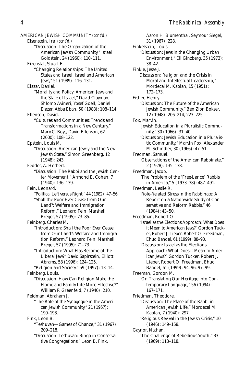AMERICAN JEWISH COMMUNITY *(cont'd.)* Eisenstein, Ira *(cont'd.)* "Discussion: The Organization of the American Jewish Community," Israel Goldstein, 24 (1960): 110–111. Eizenstat, Stuart E. "Changing Relationships: The United States and Israel, Israel and American Jews," 51 (1989): 116–131. Elazar, Daniel. "Morality and Policy: American Jews and the State of Israel," David Clayman, Shlomo Avineri, Yosef Goell, Daniel Elazar, Abba Eban, 50 (1988): 108–114. Ellenson, David. "Cultures and Communities: Trends and Transformations in a New Century." Mary C. Boys, David Ellenson, 62 (2000): 108–122. Epstein, Louis M. "Discussion: American Jewry and the New Jewish State," Simon Greenberg, 12 (1948): 243. Fedder, A. Herbert. "Discussion: The Rabbi and the Jewish Center Movement," Armond E. Cohen, 7 (1940): 136–139. Fein, Leonard. "Political Left versus Right," 44 (1982): 47–56. "Shall the Poor Ever Cease from Our Land?: Welfare and Immigration Reform," Leonard Fein, Marshall Breger, 57 (1995): 73–85. Feinberg, Charles M. "Introduction: Shall the Poor Ever Cease from Our Land?: Welfare and Immigration Reform," Leonard Fein, Marshall Breger, 57 (1995): 71–73. "Introduction: What Has Become of the Liberal Jew?" David Sapirstein, Elliott Abrams, 58 (1996): 124–125. "Religion and Society," 59 (1997): 13–14. Feinberg, Louis. "Discussion: How Can Religion Make the Home and Family Life More Effective?" William P. Greenfeld, 7 (1940): 210. Feldman, Abraham J. "The Role of the Synagogue in the American Jewish Community," 21 (1957): 190–198. Fink, Leon B. "Teshuvah—Games of Chance," 31 (1967): 209–218. "Discussion: Teshuvah: Bingo in Conservative Congregations," Leon B. Fink,

Aaron H. Blumenthal, Seymour Siegel, 31 (1967): 228. Finkelstein, Louis. "Discussion: Jews in the Changing Urban Environment," Eli Ginzberg, 35 (1973): 38–42. Finkle, Jesse J. Discussion: Religion and the Crisis in Moral and Intellectual Leadership," Mordecai M. Kaplan, 15 (1951): 172–173. Fisher, Henry. "Discussion: The Future of the American Jewish Community," Ben Zion Bokser, 12 (1948): 206–214, 223–225. Fox, Marvin. "Jewish Education in a Pluralistic Community," 30 (1966): 31–40. "Discussion: Jewish Education in a Pluralistic Community," Marvin Fox, Alexander M. Schindler, 30 (1966): 47–51. Fredman, Samuel. "Observations of the American Rabbinate," 2 (1928): 135–138. Freedman, Jacob. "The Problem of the 'Free-Lance' Rabbis in America," 5 (1933–38): 487–491. Freedman, Leslie R. "Role-Related Stress in the Rabbinate: A Report on a Nationwide Study of Conservative and Reform Rabbis," 46 (1984): 43–50. Freedman, Robert O. "Israel as the Elections Approach: What Does it Mean to American Jews?" Gordon Tucker, Robert J. Lieber, Robert O. Freedman, Ehud Bandel, 61 (1999): 88–90. "Discussion: Israel as the Elections Approach: What Does it Mean to American Jews?" Gordon Tucker, Robert J. Lieber, Robert O. Freedman, Ehud Bandel, 61 (1999): 94, 96, 97, 99. Freeman, Gordon M. "On Translating Our Heritage into Contemporary Language," 56 (1994): 167–171. Friedman, Theodore. "Discussion: The Place of the Rabbi in American Jewish Life," Mordecai M. Kaplan, 7 (1940): 297. "Religious Revival in the Jewish Crisis," 10 (1946): 149–158. Gaynor, Nathan. "The Challenge of Rebellious Youth," 33 (1969): 113–118.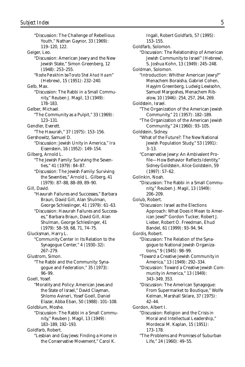"Discussion: The Challenge of Rebellious Youth," Nathan Gaynor, 33 (1969): 119–120, 122. Geiger, Leo. "Discussion: American Jewry and the New Jewish State," Simon Greenberg, 12 (1948): 253–255. "*Roshe Perakhim be-Torato Shel Ahad Haam*" (Hebrew), 15 (1951): 232–240. Gelb, Max. "Discussion: The Rabbi in a Small Community," Reuben J. Magil, 13 (1949): 178–183. Gelber, Michael. "The Community as a Pulpit," 33 (1969): 123–131. Gendler, Everett. "The Havurah," 37 (1975): 153–156. Gershowitz, Samuel D. "Discussion: Jewish Unity in America," Ira Eisenstein, 16 (1952): 149–154. Gilberg, Arnold L. "The Jewish Family: Surviving the Seventies," 41 (1979): 84–87. "Discussion: The Jewish Family: Surviving the Seventies," Arnold L. Gilberg, 41 (1979): 87–88, 88–89, 89–90. Gill, David. "Havurah Failures and Successes," Barbara Braun, David Gill, Alan Shulman, George Schleslinger, 41 (1979): 61–63. "Discussion: Havurah Failures and Successes," Barbara Braun, David Gill, Alan Shulman, George Schleslinger, 41 (1979): 58–59, 68, 71, 74–75. Glucksman, Harry L. "Community Center in Its Relation to the Synagogue Center," 4 (1930–32): 267–279. Glustrom, Simon. "The Rabbi and the Community: Synagogue and Federation," 35 (1973): 96–99. Goell, Yosef. "Morality and Policy: American Jews and the State of Israel," David Clayman, Shlomo Avineri, Yosef Goell, Daniel Elazar, Abba Eban, 50 (1988): 101–108. Goldblum, Moshe. "Discussion: The Rabbi in a Small Community," Reuben J. Magil, 13 (1949): 183–189, 192–193. Goldfarb, Robert. "Lesbian and Gay Jews: Finding a Home in the Conservative Movement," Carol K.

Ingall, Robert Goldfarb, 57 (1995): 153–155. Goldfarb, Solomon. "Discussion: The Relationship of American Jewish Community to Israel" (Hebrew), S. Joshua Kohn, 13 (1949): 245–248. Goldman, Solomon. "Introduction: Whither American Jewry?" Menachem Boraisha, Gabriel Cohen, Hayyim Greenberg, Ludwig Lewisohn, Samuel Margoshes, Menachem Ribalow, 10 (1946): 254, 257, 264, 269. Goldstein, Israel. "The Organization of the American Jewish Community," 21 (1957): 182–189. "The Organization of the American Jewish Community," 24 (1960): 93–105. Goldstein, Sidney. "What of the Future?: The New National Jewish Population Study," 53 (1991): 3–13. "Conservative Jewry: An Ambivalent Profile—How Behavior Reflects Identity," Sidney Goldstein, Alice Goldstein, 59 (1997): 57–62. Golinkin, Noah. "Discussion: The Rabbi in a Small Community," Reuben J. Magil, 13 (1949): 206–209. Golub, Robert. "Discussion: Israel as the Elections Approach: What Does it Mean to American Jews?" Gordon Tucker, Robert J. Lieber, Robert O. Freedman, Ehud Bandel, 61 (1999): 93–94, 94. Gordis, Robert. "Discussion: The Relation of the Synagogue to National Jewish Organizations," 9 (1945): 98–99. "Toward a Creative Jewish Community in America," 13 (1949): 292–334. "Discussion: Toward a Creative Jewish Community in America," 13 (1949): 343–349, 353. "Discussion: The American Synagogue: From Supermarket to Boutique," Wolfe Kelman, Marshall Sklare, 37 (1975): 42–44. Gordon, Albert I. "Discussion: Religion and the Crisis in Moral and Intellectual Leadership," Mordecai M. Kaplan, 15 (1951): 173–178. "The Problems and Promises of Suburban Life," 24 (1960): 49–55.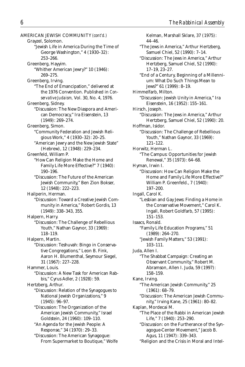AMERICAN JEWISH COMMUNITY *(cont'd.)* Grayzel, Solomon. "Jewish Life in America During the Time of George Washington," 4 (1930–32): 253–266. Greenberg, Hayyim. "Whither American Jewry?" 10 (1946): 269–275. Greenberg, Irving. "The End of Emancipation," delivered at the 1976 Convention. Published in *Conservative Judaism,* Vol. 30, No. 4, 1976. Greenberg, Sidney. "Discussion: The New Diaspora and American Democracy," Ira Eisenstein, 13 (1949): 269–274. Greenberg, Simon. "Community Federation and Jewish Religious Work," 4 (1930–32): 20–25. "American Jewry and the New Jewish State" (Hebrew), 12 (1948): 229–234. Greenfeld, William P. "How Can Religion Make the Home and Family Life More Effective?" 7 (1940): 190–196. "Discussion: The Future of the American Jewish Community," Ben Zion Bokser, 12 (1948): 222–223. Hailperin, Herman. "Discussion: Toward a Creative Jewish Community in America," Robert Gordis, 13 (1949): 338–343, 355. Halpern, Harry. "Discussion: The Challenge of Rebellious Youth," Nathan Gaynor, 33 (1969): 118–119. Halpern, Martin. "Discussion: Teshuvah: Bingo in Conservative Congregations," Leon B. Fink, Aaron H. Blumenthal, Seymour Siegel, 31 (1967): 227–228. Hammer, Louis. "Discussion: A New Task for American Rabbis," Cyrus Adler, 2 (1928): 59. Hertzberg, Arthur. "Discussion: Relation of the Synagogues to National Jewish Organizations," 9 (1945): 96–97. "Discussion: The Organization of the American Jewish Community," Israel Goldstein, 24 (1960): 109–110. "An Agenda for the Jewish People: A Response," 34 (1970): 29–33. "Discussion: The American Synagogue: From Supermarket to Boutique," Wolfe

Kelman, Marshall Sklare, 37 (1975): 44–46. "The Jews in America," Arthur Hertzberg, Samuel Chiel, 52 (1990): 7–14. "Discussion: The Jews in America," Arthur Hertzberg, Samuel Chiel, 52 (1990): 17–19, 23–27. "End of a Century, Beginning of a Millennium: What Do Such Things Mean to Jews?" 61 (1999): 8–19. Himmelfarb, Milton. "Discussion: Jewish Unity in America," Ira Eisenstein, 16 (1952): 155–161. Hirsch, Joseph. "Discussion: The Jews in America," Arthur Hertzberg, Samuel Chiel, 52 (1990): 20. Hoffman, Isidor. "Discussion: The Challenge of Rebellious Youth," Nathan Gaynor, 33 (1969): 121–122. Horwitz, Herman L. "The Campus: Opportunities for Jewish Renewal," 35 (1973): 64–68. Hyman, Irwin I. "Discussion: How Can Religion Make the Home and Family Life More Effective?" William P. Greenfeld., 7 (1940): 197–200. Ingall, Carol K. "Lesbian and Gay Jews: Finding a Home in the Conservative Movement," Carol K. Ingall, Robert Goldfarb, 57 (1995): 151–153. Isaacs, Ronald. "Family Life Education Programs," 51 (1989): 264–270. "Jewish Family Matters," 53 (1991): 103–111. Juda, Allen I. "The Shabbat Campaign: Creating an Observant Community," Robert M. Abramson, Allen I. Juda, 59 (1997): 158–159. Kane, Irving. "The American Jewish Community," 25 (1961): 68–79. "Discussion: The American Jewish Community," Irving Kane, 25 (1961): 80–82. Kaplan, Mordecai M. "The Place of the Rabbi in American Jewish Life," 7 (1940): 253–290. "Discussion: on the Furtherance of the Synagogue-Center Movement," Jacob B. Agus, 11 (1947): 339–343. "Religion and the Crisis in Moral and Intel-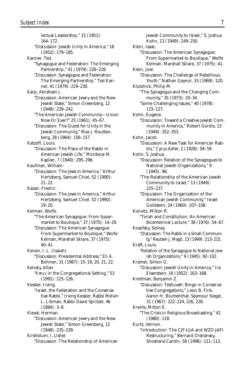lectual Leadership," 15 (1951): 164–172. "Discussion: Jewish Unity in America," 16 (1952): 179–185. Kanner, Ted. "Synagogue and Federation: The Emerging Partnership," 41 (1979): 226–228. "Discussion: Synagogue and Federation: The Emerging Partnership," Ted Kanner, 41 (1979): 229–230. Karp, Abraham J. "Discussion: American Jewry and the New Jewish State," Simon Greenberg, 12 (1948): 239–242. "The American Jewish Community—Union Now Or Ever?" 25 (1961): 45–67. "Discussion: The Quest for Unity in the Jewish Community," Max J. Routtenberg, 28 (1964): 156–157. Katzoff, Louis. "Discussion: The Place of the Rabbi in American Jewish Life," Mordecai M. Kaplan, 7 (1940): 295–296. Kaufman, William. "Discussion: The Jews in America," Arthur Hertzberg, Samuel Chiel, 52 (1990): 21–22. Kazan, Fredric. "Discussion: The Jews in America," Arthur Hertzberg, Samuel Chiel, 52 (1990): 19–20. Kelman, Wolfe. "The American Synagogue: From Supermarket to Boutique," 37 (1975): 14–29. "Discussion: The American Synagogue: From Supermarket to Boutique," Wolfe Kelman, Marshall Sklare, 37 (1975): 40–41. Kenen, I. L. (Isaiah) "Discussion: Presidential Address," Eli A. Bohnen, 31 (1967): 15–19, 20, 21, 22. Kensky, Allan. "*Keruv* in the Congregational Setting," 53 (1991): 125–126. Kessler, Irving. "Israel, the Federation and the Conservative Rabbi," Irving Kessler, Rabbi Melvin L. Libman, Rabbi David Spritzer, 46  $(1984): 3-8.$ Kieval, Herman. "Discussion: American Jewry and the New Jewish State," Simon Greenberg, 12 (1948): 235–239. Kirshblum, I. Usher. "Discussion: The Relationship of American

Jewish Community to Israel," S. Joshua Kohn, 13 (1949): 249–250. Klein, Isaac. "Discussion: The American Synagogue: From Supermarket to Boutique," Wolfe Kelman, Marshall Sklare, 37 (1975): 41. Klein, Joel. "Discussion: The Challenge of Rebellious Youth," Nathan Gaynor, 33 (1969): 120. Klutznick, Philip M. "The Synagogue and the Changing Community," 35 (1973): 20–34. "Some Challenging Issues," 40 (1978): 115–127. Kohn, Eugene. "Discussion: Toward a Creative Jewish Community in America," Robert Gordis, 13 (1949): 352–353. Kohn, Jacob. "Discussion: A New Task for American Rabbis," Cyrus Adler, 2 (1928): 58–59. Kohn, S. Joshua. "Discussion: Relation of the Synagogues to National Jewish Organizations," 9 (1945): 96. "The Relationship of the American Jewish Community to Israel," 13 (1949): 225–237. "Discussion: The Organization of the American Jewish Community," Israel Goldstein, 24 (1960): 107–108. Konvitz, Milton R. "Torah and Constitution: An American Bicentennial Lecture," 38 (1976): 54–67. Kosofsky, Sidney. "Discussion: The Rabbi in a Small Community," Reuben J. Magil, 13 (1949): 213–215. Kraft, Louis. "Relation of the Synagogue to National Jewish Organizations," 9 (1945): 92–102. Kramer, Simon G. "Discussion: Jewish Unity in America," Ira Eisenstein, 16 (1952): 163–168. Kreitman, Benjamin Z. "Discussion: Teshuvah: Bingo in Conservative Congregations," Leon B. Fink, Aaron H. Blumenthal, Seymour Siegel, 31 (1967): 222–224, 226, 228. Krents, Milton E. "The Crisis in Religious Broadcasting," 42 (1980): 118. Kurtz, Vernon. "Introduction: The CJF-UJA and WZO-JAFI Restructuring," Bernard Olshansky, Shoshana Cardin, 58 (1996): 111–113.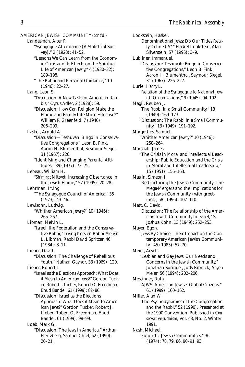AMERICAN JEWISH COMMUNITY *(cont'd.)* Landesman, Alter F. "Synagogue Attendance (A Statistical Survey)," 2 (1928): 41–52. "Lessons We Can Learn from the Economic Crisis and its Effects on the Spiritual Life of American Jewry," 4 (1930–32): 189–198. "The Rabbi and Personal Guidance," 10 (1946): 22–27. Lang, Leon S. "Discussion: A New Task for American Rabbis," Cyrus Adler, 2 (1928): 59. "Discussion: How Can Religion Make the Home and Family Life More Effective?" William P. Greenfeld, 7 (1940): 206–209. Lasker, Arnold A. "Discussion—Teshuvah: Bingo in Conservative Congregations," Leon B. Fink, Aaron H. Blumenthal, Seymour Siegel, 31 (1967): 226. "Identifying and Changing Parental Attitudes," 39 (1977): 73–75. Lebeau, William H. "*Sh'mirat Mitzvot:* Increasing Observance in the Jewish Home," 57 (1995): 20–28. Lehrman, Irving. "The Synagogue Council of America," 35 (1973): 43–46. Lewisohn, Ludwig. "Whither American Jewry?" 10 (1946): 265–267. Libman, Melvin L. "Israel, the Federation and the Conservative Rabbi," Irving Kessler, Rabbi Melvin L. Libman, Rabbi David Spritzer, 46 (1984): 8–11. Lieber, David. "Discussion: The Challenge of Rebellious Youth," Nathan Gaynor, 33 (1969): 120. Lieber, Robert J. "Israel as the Elections Approach: What Does it Mean to American Jews?" Gordon Tucker, Robert J. Lieber, Robert O. Freedman, Ehud Bandel, 61 (1999): 82–86. "Discussion: Israel as the Elections Approach: What Does it Mean to American Jews?" Gordon Tucker, Robert J. Lieber, Robert O. Freedman, Ehud Bandel, 61 (1999): 98–99. Loeb, Mark G. "Discussion: The Jews in America," Arthur Hertzberg, Samuel Chiel, 52 (1990):

20–21.

Lookstein, Haskel. "Denominational Jews: Do Our Titles Really Define *US?* " Haskel Lookstein, Alan Silverstein, 57 (1995): 3–9. Lubliner, Immanuel. "Discussion: Teshuvah: Bingo in Conservative Congregations," Leon B. Fink, Aaron H. Blumenthal, Seymour Siegel, 31 (1967): 226–227. Lurie, Harry L. "Relation of the Synagogue to National Jewish Organizations," 9 (1945): 94–102. Magil, Reuben J. "The Rabbi in a Small Community," 13 (1949): 169–173. "Discussion: The Rabbi in a Small Community," 13 (1949): 191–192. Margoshes, Samuel. "Whither American Jewry?" 10 (1946): 258–264. Marshall, James. "The Crisis in Moral and Intellectual Leadership: Public Education and the Crisis in Moral and Intellectual Leadership," 15 (1951): 156–163. Maslin, Simeon J. "Restructuring the Jewish Community: The Mega-Mergers and the Implications for the Jewish Community"(with greetings), 58 (1996): 107–110. Matt, C. David. "Discussion: The Relationship of the American Jewish Community to Israel," S. Joshua Kohn, 13 (1949): 252–253. Mayer, Egon. "Jews By Choice: Their Impact on the Contemporary American Jewish Community," 45 (1983): 57–70. Meier, Aryeh. "Lesbian and Gay Jews: Our Needs and Concerns in the Jewish Community," Jonathan Springer, Judy Ribnick, Aryeh Meier, 56 (1994): 202–206. Messinger, Ruth. "AJWS: American Jews as Global Citizens," 61 (1999): 160–162. Miller, Alan W. "The Psychodynamics of the Congregation and the Rabbi," 52 (1990). Presented at the 1990 Convention. Published in *Conservative Judaism,* Vol. 43, No. 2, Winter 1991. Nash, Michael. "Futuristic Jewish Communities," 36 (1974): 78, 79, 86, 90–91, 93.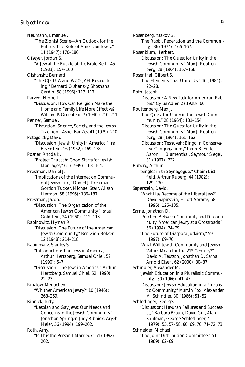Neumann, Emanuel. "The Zionist Scene—An Outlook for the Future: The Role of American Jewry," 11 (1947): 170–186. Ofseyer, Jordan S. "A Jew at the Buckle of the Bible Belt," 45 (1983): 157–160. Olshansky, Bernard. "The CJF-UJA and WZO-JAFI Restructuring," Bernard Olshansky, Shoshana Cardin, 58 (1996): 113–117. Parzen, Herbert. "Discussion: How Can Religion Make the Home and Family Life More Effective?" William P. Greenfeld, 7 (1940): 210–211. Penner, Samuel. "Discussion: Science, Society, and the Jewish Tradition," Asher Bar-Zev, 41 (1979): 210. Petegorsky, David. "Discussion: Jewish Unity in America," Ira Eisenstein, 16 (1952): 169–178. Posner, Rhoda K. "Project *Chuppah:* Good Starts for Jewish Marriages," 61 (1999): 163–164. Pressman, Daniel J. "Implications of the Internet on Communal Jewish Life," Daniel J. Pressman, Gordon Tucker, Michael Starr, Alisen Herman, 58 (1996): 186–187. Pressman, Jacob. "Discussion: The Organization of the American Jewish Community," Israel Goldstein, 24 (1960): 112–113. Rabinowitz, Hyman R. "Discussion: The Future of the American Jewish Community," Ben Zion Bokser, 12 (1948): 214–218. Rabinowitz, Stanley S. "Introduction: The Jews in America," Arthur Hertzberg, Samuel Chiel, 52  $(1990): 6-7.$ "Discussion: The Jews in America," Arthur Hertzberg, Samuel Chiel, 52 (1990): 22–23. Ribalow, Menachem. "Whither American Jewry?" 10 (1946): 268–269. Ribnick, Judy. "Lesbian and Gay Jews: Our Needs and Concerns in the Jewish Community," Jonathan Springer, Judy Ribnick, Aryeh Meier, 56 (1994): 199–202. Roth, Amy. "Is This the Person I Married?" 54 (1992): 202.

Rosenberg, Yaakov G. "The Rabbi, Federation and the Community," 36 (1974): 166–167. Rosenblum, Herbert. "Discussion: The Quest for Unity in the Jewish Community," Max J. Routtenberg, 28 (1964): 157–158. Rosenthal, Gilbert S. "The Elements That Unite Us," 46 (1984): 22–28. Roth, Joseph. "Discussion: A New Task for American Rabbis," Cyrus Adler, 2 (1928): 60. Routtenberg, Max J. "The Quest for Unity in the Jewish Community," 28 (1964): 131–154. "Discussion: The Quest for Unity in the Jewish Community," Max J. Routtenberg, 28 (1964): 161–162. "Discussion: Teshuvah: Bingo in Conservative Congregations," Leon B. Fink, Aaron H. Blumenthal, Seymour Siegel, 31 (1967): 222. Ruberg, Arthur. "Singles in the Synagogue," Chaim Listfield, Arthur Ruberg, 44 (1982): 129–130. Saperstein, David. "What Has Become of the Liberal Jew?" David Sapirstein, Elliott Abrams, 58 (1996): 125–135. Sarna, Jonathan D. "Perched Between Continuity and Discontinuity: American Jewry at a Crossroads," 56 (1994): 74–79. "The Future of Diaspora Judaism," 59 (1997): 69–76. "What Will Jewish Community and Jewish Values Mean for the 21<sup>st</sup> Century?" David A. Teutsch, Jonathan D. Sarna, Arnold Eisen, 62 (2000): 80–87. Schindler, Alexander M. "Jewish Education in a Pluralistic Community," 30 (1966): 41–47. "Discussion: Jewish Education in a Pluralistic Community," Marvin Fox, Alexander M. Schindler, 30 (1966): 51–52. Schleslinger, George. "Discussion: Havurah Failures and Successes," Barbara Braun, David Gill, Alan Shulman, George Schleslinger, 41 (1979): 55, 57–58, 60, 69, 70, 71–72, 73. Schneider, Michael. "The Joint Distribution Committee," 51 (1989): 62–69.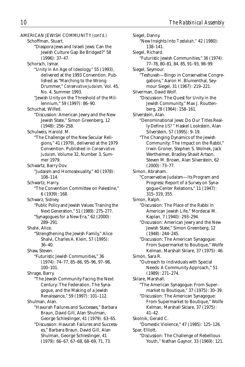AMERICAN JEWISH COMMUNITY *(cont'd.)* Schoffman, Stuart. "Diaspora Jews and Israeli Jews: Can the Jewish Culture Gap Be Bridged?" 58 (1996): 37–47. Schorsch, Ismar. "Unity in An Age of Ideology," 55 (1993), delivered at the 1993 Convention. Published as "Marching to the Wrong Drummer," *Conservative Judaism,* Vol. 45, No. 4, Summer 1993. "Jewish Unity on the Threshold of the Millennium," 59 (1997): 86–90. Schuchat, Wilfed. "Discussion: American Jewry and the New Jewish State," Simon Greenberg, 12 (1948): 256–258. Schulweis, Harold. M. "The Challenge of the New Secular Religions," 41 (1979), delivered at the 1979 Convention. Published in *Conservative Judaism,* Volume 32, Number 3, Summer 1979. Schwartz, Barry Dov. "Judaism and Homosexuality," 40 (1978): 108–114. Schwartz, Harry. "The Convention Committee on Palestine," 6 (1939): 168. Schwarz, Sidney. "Public Policy and Jewish Values: Training the Next Generation," 51 (1989): 275–277. "Synagogues for a New Era," 62 (2000): 289–291. Shalvi, Alice. "Strengthening the Jewish Family," Alice Shalvi, Charles A. Klein, 57 (1995): 36–40. Shaw, Steven. "Futuristic Jewish Communities," 36 (1974): 74–77, 85–86, 95–96, 97–98, 100–101. Shrage, Barry. "The Jewish Community Facing the Next Century: The Federation, The Synagogue, and the Making of a Jewish Renaissance," 59 (1997): 101–112. Shulman, Alan. "Havurah Failures and Successes," Barbara Braun, David Gill, Alan Shulman, George Schleslinger, 41 (1979): 63–65. "Discussion: Havurah Failures and Successes," Barbara Braun, David Gill, Alan Shulman, George Schleslinger, 41 (1979): 66–67, 67–68, 68–69, 71, 73.

Siegel, Danny. "New Insights Into *Tzedakah,"* 42 (1980): 138–141. Siegel, Richard. "Futuristic Jewish Communities," 36 (1974): 77–78, 80–81, 84, 85, 91–93, 98–99. Siegel, Seymour. "Teshuvah—Bingo in Conservative Congregations," Aaron H. Blumenthal, Seymour Siegel, 31 (1967): 219–221. Silverman, David Wolf. "Discussion: The Quest for Unity in the Jewish Community," Max J. Routtenberg, 28 (1964): 158–161. Silverstein, Alan. "Denominational Jews: Do Our Titles Really Define *US?* " Haskel Lookstein, Alan Silverstein, 57 (1995): 9–19. "The Changing Dynamics of the Jewish Community: The Impact on the Rabbi," Irwin Groner, Stephen S. Wolnek, Jack Wertheimer, Bradley Shavit Artson, Steven M. Brown, Alan Silverstein, 62 (2000): 73–77. Simon, Abraham. "Conservative Judaism—Its Program and Progress: Report of a Survey on Synagogue-Center Relations," 11 (1947): 315–319, 355. Simon, Ralph. "Discussion: The Place of the Rabbi in American Jewish Life," Mordecai M. Kaplan, 7 (1940): 293–294. "Discussion: American Jewry and the New Jewish State," Simon Greenberg, 12 (1948): 244–245. "Discussion: The American Synagogue: From Supermarket to Boutique," Wolfe Kelman, Marshall Sklare, 37 (1975): 46. Simon, Sara R. "Outreach to Individuals with Special Needs: A Community Approach," 51 (1989): 271–274. Sklare, Marshall. "The American Synagogue: From Supermarket to Boutique," 37 (1975): 30–39. "Discussion: The American Synagogue: From Supermarket to Boutique," Wolfe Kelman, Marshall Sklare, 37 (1975): 41–42. Skolnik, Gerald C. "Domestic Violence," 47 (1985): 125–126. Spar, Elliott. "Discussion: The Challenge of Rebellious Youth," Nathan Gaynor, 33 (1969): 121.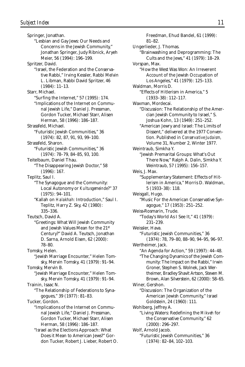Springer, Jonathan. "Lesbian and Gay Jews: Our Needs and Concerns in the Jewish Community," Jonathan Springer, Judy Ribnick, Aryeh Meier, 56 (1994): 196–199. Spritzer, David. "Israel, the Federation and the Conservative Rabbi," Irving Kessler, Rabbi Melvin L. Libman, Rabbi David Spritzer, 46 (1984): 11–13. Starr, Michael. "Surfing the Internet," 57 (1995): 174. "Implications of the Internet on Communal Jewish Life," Daniel J. Pressman, Gordon Tucker, Michael Starr, Alisen Herman, 58 (1996): 186–187. Strassfeld, Michael. "Futuristic Jewish Communities," 36 (1974): 82, 87, 91, 93, 99–100. Strassfeld, Sharon. "Futuristic Jewish Communities," 36 (1974): 78–79, 84–85, 93, 100. Teitelbaum, Daniel Thau. "The Disappearing Jewish Doctor," 58 (1996): 167. Teplitz, Saul I. "The Synagogue and the Community: Local Autonomy or *Kultusgemeinde*?" 37 (1975): 94–101. "Kallah on *Halakhah:* Introduction," Saul I. Teplitz, Harry Z. Sky, 42 (1980): 335–336. Teutsch, David A. "Greetings: What Will Jewish Community and Jewish Values Mean for the 21st Century?" David A. Teutsch, Jonathan D. Sarna, Arnold Eisen, 62 (2000): 78–80. Tomsky, Helen. "Jewish Marriage Encounter," Helen Tomsky, Mervin Tomsky, 41 (1979): 91–94. Tomsky, Mervin B. "Jewish Marriage Encounter," Helen Tomsky, Mervin Tomsky, 41 (1979): 91–94. Trainin, Isaac N. "The Relationship of Federations to Synagogues," 39 (1977): 81–83. Tucker, Gordon. "Implications of the Internet on Communal Jewish Life," Daniel J. Pressman, Gordon Tucker, Michael Starr, Alisen Herman, 58 (1996): 186–187. "Israel as the Elections Approach: What Does it Mean to American Jews?" Gordon Tucker, Robert J. Lieber, Robert O.

Freedman, Ehud Bandel, 61 (1999): 81–82. Ungerlieder, J. Thomas. "Brainwashing and Deprogramming: The Cults and the Jews," 41 (1979): 18–29. Vorspan, Max. "How the West Was Won: An Irreverent Account of the Jewish Occupation of Los Angeles," 41 (1979): 125–133. Waldman, Morris D. "Effects of Hitlerism in America," 5 (1933–38): 112–117. Waxman, Mordecai. "Discussion: The Relationship of the Amercian Jewish Community to Israel," S. Joshua Kohn, 13 (1949): 251–252. "American Jewry and Israel: The Limits of Dissent," delivered at the 1977 Convention. Published in *Conservative Judaism,* Volume 31, Number 2, Winter 1977. Weintraub, Simkha Y. "Jewish Premarital Groups: What's Out There Now," Ralph A. Dalin, Simkha Y. Weintraub, 57 (1995): 156–157. Weis, J. Max. "Supplementary Statement: Effects of Hitlerism in America," Morris D. Waldman, 5 (1933–38): 118. Weisgall, Hugo. "Music For the American Conservative Synagogue," 17 (1953): 251–252. Weiss-Rosmarin, Trude. "Today's World As I See It," 41 (1979): 231–239. Weissler, Hava. "Futuristic Jewish Communities," 36 (1974): 78, 79–80, 88–90, 94–95, 96–97. Wertheimer, Jack. "An Agenda for Action," 59 (1997): 44–48. "The Changing Dynamics of the Jewish Community: The Impact on the Rabbi," Irwin Groner, Stephen S. Wolnek, Jack Wertheimer, Bradley Shavit Artson, Steven M. Brown, Alan Silverstein, 62 (2000): 58–65. Winer, Gershon. "Discussion: The Organization of the American Jewish Community," Israel Goldstein, 24 (1960): 111. Wohlberg, Jeffrey A. "Living Waters: Redefining the *Mikveh* for the Conservative Community," 62 (2000): 296–297. Wolf, Arnold Jacob. "Futuristic Jewish Communities," 36 (1974): 82–84, 102–103.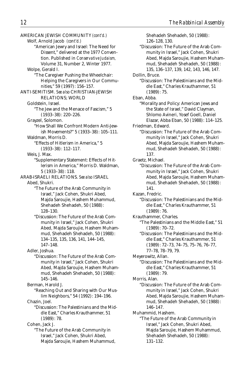AMERICAN JEWISH COMMUNITY *(cont'd.)* Wolf, Arnold Jacob *(cont'd.)* "American Jewry and Israel: The Need for Dissent," delivered at the 1977 Convention. Published in *Conservative Judaism,* Volume 31, Number 2, Winter 1977. Wolpe, Gerald I. "The Caregiver Pushing the Wheelchair: Helping the Caregivers in Our Communities," 59 (1997): 156–157. ANTI-SEMITISM. *See also* CHRISTIAN-JEWISH RELATIONS; WORLD Goldstein, Israel. "The Jew and the Menace of Fascism," 5 (1933–38): 220–226. Grayzel, Solomon. "How Shall We Confront Modern Anti-Jewish Movements?" 5 (1933–38): 105–111. Waldman, Morris D. "Effects of Hitlerism in America," 5 (1933–38): 112–117. Weis, J. Max. "Supplementary Statement: Effects of Hitlerism in America," Morris D. Waldman, 5 (1933–38): 118. ARAB-ISRAELI RELATIONS. *See also* ISRAEL Abed, Shukri. "The Future of the Arab Community in Israel," Jack Cohen, Shukri Abed, Majda Saroujie, Hashem Muhammud, Shehadeh Shehadeh, 50 (1988): 128–130. "Discussion: The Future of the Arab Community in Israel," Jack Cohen, Shukri Abed, Majda Saroujie, Hashem Muhammud, Shehadeh Shehadeh, 50 (1988): 134–135, 135, 136, 141, 144–145, 147–148. Adler, Joshua. "Discussion: The Future of the Arab Community in Israel," Jack Cohen, Shukri Abed, Majda Saroujie, Hashem Muhammud, Shehadeh Shehadeh, 50 (1988): 145–146. Berman, Harold J. "Reaching Out and Sharing with Our Muslim Neighbors," 54 (1992): 194–196. Chazin, Joel. "Discussion: The Palestinians and the Middle East," Charles Krauthammer, 51 (1989): 78. Cohen, Jack J. "The Future of the Arab Community in Israel," Jack Cohen, Shukri Abed, Majda Saroujie, Hashem Muhammud,

Shehadeh Shehadeh, 50 (1988): 126–128, 130. "Discussion: The Future of the Arab Community in Israel," Jack Cohen, Shukri Abed, Majda Saroujie, Hashem Muhammud, Shehadeh Shehadeh, 50 (1988): 135, 136–137, 139, 142, 143, 146, 147. Dollin, Bruce. "Discussion: The Palestinians and the Middle East," Charles Krauthammer, 51 (1989): 75. Eban, Abba. "Morality and Policy: American Jews and the State of Israel," David Clayman, Shlomo Avineri, Yosef Goell, Daniel Elazar, Abba Eban, 50 (1988): 114–125. Friedman, Edward. "Discussion: The Future of the Arab Community in Israel," Jack Cohen, Shukri Abed, Majda Saroujie, Hashem Muhammud, Shehadeh Shehadeh, 50 (1988): 137. Graetz, Michael. "Discussion: The Future of the Arab Community in Israel," Jack Cohen, Shukri Abed, Majda Saroujie, Hashem Muhammud, Shehadeh Shehadeh, 50 (1988): 141. Kazan, Fredric. "Discussion: The Palestinians and the Middle East," Charles Krauthammer, 51 (1989): 76. Krauthammer, Charles. "The Palestinians and the Middle East," 51 (1989): 70–72. "Discussion: The Palestinians and the Middle East," Charles Krauthammer, 51 (1989): 72–73, 74–75, 75–76, 76–77, 77–78, 78–79, 79. Meyerowitz, Allan. "Discussion: The Palestinians and the Middle East," Charles Krauthammer, 51 (1989): 79. Morris, Alan. "Discussion: The Future of the Arab Community in Israel," Jack Cohen, Shukri Abed, Majda Saroujie, Hashem Muhammud, Shehadeh Shehadeh, 50 (1988): 146–147. Muhammid, Hashem. "The Future of the Arab Community in Israel," Jack Cohen, Shukri Abed, Majda Saroujie, Hashem Muhammud, Shehadeh Shehadeh, 50 (1988): 131–132.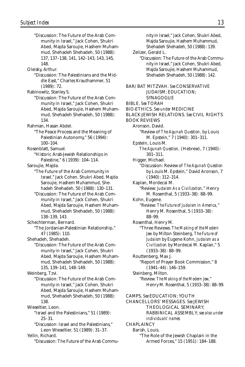"Discussion: The Future of the Arab Community in Israel," Jack Cohen, Shukri Abed, Majda Saroujie, Hashem Muhammud, Shehadeh Shehadeh, 50 (1988): 137, 137–138, 141, 142–143, 143, 145, 148. Oleisky, Arthur. "Discussion: The Palestinians and the Middle East," Charles Krauthammer, 51 (1989): 72. Rabinowitz, Stanley S. "Discussion: The Future of the Arab Community in Israel," Jack Cohen, Shukri Abed, Majda Saroujie, Hashem Muhammud, Shehadeh Shehadeh, 50 (1988): 134. Rahman, Hasan Abdel. "The Peace Process and the Meaning of Palestinian Autonomy," 56 (1994): 100–104. Rosenblatt, Samuel. "Historic Arab-Jewish Relationships in Palestine," 6 (1939): 104–114. Saroujie, Majda. "The Future of the Arab Community in Israel," Jack Cohen, Shukri Abed, Majda Saroujie, Hashem Muhammud, Shehadeh Shehadeh, 50 (1988): 130–131. "Discussion: The Future of the Arab Community in Israel," Jack Cohen, Shukri Abed, Majda Saroujie, Hashem Muhammud, Shehadeh Shehadeh, 50 (1988): 138–139, 143. Schechterman, Bernard. "The Jordanian-Palestinian Relationship," 47 (1985): 110. Shehadeh, Shehadeh. "Discussion: The Future of the Arab Community in Israel," Jack Cohen, Shukri Abed, Majda Saroujie, Hashem Muhammud, Shehadeh Shehadeh, 50 (1988): 135, 139–141, 148–149. Weinberg, Tzvi. "Discussion: The Future of the Arab Community in Israel," Jack Cohen, Shukri Abed, Majda Saroujie, Hashem Muhammud, Shehadeh Shehadeh, 50 (1988): 138. Wieseltier, Leon. "Israel and the Palestinians," 51 (1989): 25–31. "Discussion: Israel and the Palestinians," Leon Wieseltier, 51 (1989): 31–37. Yellin, Richard. "Discussion: The Future of the Arab Commu-

nity in Israel," Jack Cohen, Shukri Abed, Majda Saroujie, Hashem Muhammud, Shehadeh Shehadeh, 50 (1988): 139. Zelizer, Gerald L. "Discussion: The Future of the Arab Community in Israel," Jack Cohen, Shukri Abed, Majda Saroujie, Hashem Muhammud, Shehadeh Shehadeh, 50 (1988): 142. BAR/BAT MITZVAH. *See* CONSERVATIVE JUDAISM; EDUCATION; SYNAGOGUE BIBLE. *See* TORAH BIO-ETHICS. *See under* MEDICINE BLACK-JEWISH RELATIONS. *See* CIVIL RIGHTS BOOK REVIEWS Aronson, David. "Review of *The Agunah Question,* by Louis M. Epstein," 7 (1940): 301–311. Epstein, Louis M. *The Agunah Question,* (Hebrew), 7 (1940): 301–311. Higger, Michael. "Discussion: Review of *The Agunah Question* by Louis M. Epstein," David Aronson, 7 (1940): 312–314. Kaplan, Mordecai M. "Review: *Judaism As a Civilization,*" Henry M. Rosenthal, 5 (1933–38): 88–99. Kohn, Eugene. "Review: *The Future of Judaism in America,*" Henry M. Rosenthal, 5 (1933–38): 88–99. Rosenthal, Henry M. "Three Reviews: *The Making of the Modern Jew* by Milton Steinberg, *The Future of Judaism* by Eugene Kohn, *Judaism as a Civilization* by Mordecai M. Kaplan," 5 (1933–38): 88–99. Routtenberg, Max J. "Report of Prayer Book Commission," 8 (1941–44): 146–159. Steinberg, Milton. "Review: *The Making of the Modern Jew,*" Henry M. Rosenthal, 5 (1933–38): 88–99. CAMPS. *See* EDUCATION; YOUTH CHANCELLORS' MESSAGES. *See* JEWISH THEOLOGICAL SEMINARY; RABBINICAL ASSEMBLY; *see also under individuals' names* CHAPLAINCY Barish, Louis. "The Role of the Jewish Chaplain in the Armed Forces," 15 (1951): 184–188.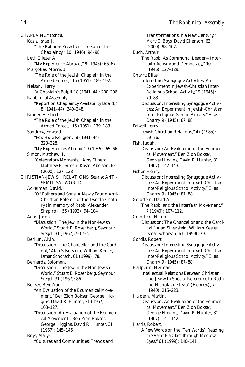CHAPLAINCY *(cont'd.)* Kazis, Israel J. "The Rabbi as Preacher—Lesson of the Chaplaincy," 10 (1946): 94–98. Levi, Eliezer A. "My Experience Abroad," 9 (1945): 66–67. Margolies, Morris B. "The Role of the Jewish Chaplain in the Armed Forces," 15 (1951): 189–192. Nelson, Harry. "A Chaplain's Pulpit," 8 (1941–44): 200–206. Rabbinical Assembly. "Report on Chaplaincy Availability Board," 8 (1941–44): 340–348. Ribner, Herbert. "The Role of the Jewish Chaplain in the Armed Forces," 15 (1951): 179–183. Sandrow, Edward. "Fox Hole Religion," 8 (1941–44): 323–328. "My Experiences Abroad," 9 (1945): 65–66. Simon, Matthew H. "Celebratory Moments," Amy Eilberg, Matthew H. Simon, Kassel Abelson, 62 (2000): 127–128. CHRISTIAN-JEWISH RELATIONS. *See also* ANTI-SEMITISM; WORLD Ackerman, David. "Of Fathers and Sons: A Newly Found Anti-Christian Polemic of the Twelfth Century (in memory of Rabbi Alexander Shapiro)," 55 (1993): 94–104. Agus, Jacob. "Discussion: The Jew in the Non-Jewish World," Stuart E. Rosenberg, Seymour Siegel, 31 (1967): 90–92. Berkun, Alvin. "Discussion: The Chancellor and the Cardinal," Alan Silverstein, William Keeler, Ismar Schorsch, 61 (1999): 78. Bernards, Solomon. "Discussion: The Jew in the Non-Jewish World," Stuart E. Rosenberg, Seymour Siegel, 31 (1967): 86. Bokser, Ben Zion. "An Evaluation of the Ecumenical Movement," Ben Zion Bokser, George Higgins, David R. Hunter, 31 (1967): 103–127. "Discussion: An Evaluation of the Ecumenical Movement," Ben Zion Bokser, George Higgins, David R. Hunter, 31 (1967): 145–146. Boys, Mary C. "Cultures and Communities: Trends and

Transformations in a New Century." Mary C. Boys, David Ellenson, 62 (2000): 98–107. Buch, Arthur. "The Rabbi As Communal Leader—Interfaith Activity and Democracy," 10 (1946): 127–129. Charry, Elias. "Interesting Synagogue Activities: An Experiment in Jewish-Christian Inter-Religious School Activity," 9 (1945): 79–83. "Discussion: Interesting Synagogue Activities: An Experiment in Jewish-Christian Inter-Religious School Activity," Elias Charry, 9 (1945): 87, 88. Falwell, Jerry. "Jewish-Christian Relations," 47 (1985): 69–76. Fish, Judah. "Discussion: An Evaluation of the Ecumenical Movement," Ben Zion Bokser, George Higgins, David R. Hunter, 31 (1967): 142–143. Fisher, Henry. "Discussion: Interesting Synagogue Activities: An Experiment in Jewish-Christian Inter-Religious School Activity," Elias Charry, 9 (1945): 87, 88. Goldstein, David A. "The Rabbi and the Interfaith Movement," 7 (1940): 107–112. Goldstein, Nason. "Discussion: The Chancellor and the Cardinal," Alan Silverstein, William Keeler, Ismar Schorsch, 61 (1999): 79. Gordis, Robert. "Discussion: Interesting Synagogue Activities: An Experiment in Jewish-Christian Inter-Religious School Activity," Elias Charry, 9 (1945): 87–88. Hailperin, Herman. "Intellectual Relations Between Christian and Jew with Special Reference to Rashi and Nicholas de Lyra" (Hebrew), 7 (1940): 215–223. Halpern, Martin. "Discussion: An Evaluation of the Ecumenical Movement," Ben Zion Bokser, George Higgins, David R. Hunter, 31 (1967): 141–142. Harris, Robert. "A Few Words on the 'Ten Words': Reading the *Aseret HaDibrot* through Medieval Eyes," 61 (1999): 140–141.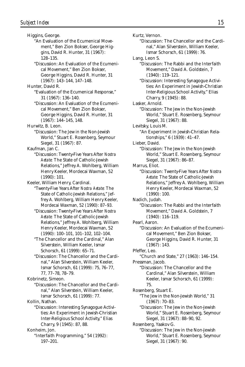Higgins, George. "An Evaluation of the Ecumenical Movement," Ben Zion Bokser, George Higgins, David R. Hunter, 31 (1967): 128–135. "Discussion: An Evaluation of the Ecumenical Movement," Ben Zion Bokser, George Higgins, David R. Hunter, 31 (1967): 143–144, 147–148. Hunter, David R. "Evaluation of the Ecumenical Response," 31 (1967): 136–140. "Discussion: An Evaluation of the Ecumenical Movement," Ben Zion Bokser, George Higgins, David R. Hunter, 31 (1967): 144–145, 148. Hurwitz, B. Leon. "Discussion: The Jew in the Non-Jewish World," Stuart E. Rosenberg, Seymour Siegel, 31 (1967): 87. Kaufman, Jan C. "Discussion: Twenty-Five Years After *Nostra Aetate:* The State of Catholic-Jewish Relations," Jeffrey A. Wohlberg, William Henry Keeler, Mordecai Waxman, 52 (1990): 101. Keeler, William Henry, Cardinal. "Twenty-Five Years After *Nostra Aetate:* The State of Catholic-Jewish Relations," Jeffrey A. Wohlberg, William Henry Keeler, Mordecai Waxman, 52 (1990): 87–93. "Discussion: Twenty-Five Years After *Nostra Aetate:* The State of Catholic-Jewish Relations," Jeffrey A. Wohlberg, William Henry Keeler, Mordecai Waxman, 52 (1990): 100–101, 101–102, 102–104. "The Chancellor and the Cardinal," Alan Silverstein, William Keeler, Ismar Schorsch, 61 (1999): 65–71. "Discussion: The Chancellor and the Cardinal," Alan Silverstein, William Keeler, Ismar Schorsch, 61 (1999): 75, 76–77, 77, 77–78, 78–79. Kobrinetz, Simeon. "Discussion: The Chancellor and the Cardinal," Alan Silverstein, William Keeler, Ismar Schorsch, 61 (1999): 77. Kollin, Nathan. "Discussion: Interesting Synagogue Activities: An Experiment in Jewish-Christian Inter-Religious School Activity," Elias Charry, 9 (1945): 87, 88. Konheim, Jon. "Interfaith Programming," 54 (1992): 197–201.

Kurtz, Vernon. "Discussion: The Chancellor and the Cardinal," Alan Silverstein, William Keeler, Ismar Schorsch, 61 (1999): 76. Lang, Leon S. "Discussion: The Rabbi and the Interfaith Movement," David A. Goldstein, 7 (1940): 119–121. "Discussion: Interesting Synagogue Activities: An Experiment in Jewish-Christian Inter-Religious School Activity," Elias Charry, 9 (1945): 88. Lasker, Arnold. "Discussion: The Jew in the Non-Jewish World," Stuart E. Rosenberg, Seymour Siegel, 31 (1967): 88. Levitsky, Louis M. "An Experiment in Jewish-Christian Relationships," 6 (1939): 41–47. Lieber, David. "Discussion: The Jew in the Non-Jewish World," Stuart E. Rosenberg, Seymour Siegel, 31 (1967): 86–87. Marrus, Eliot. "Discussion: Twenty-Five Years After *Nostra Aetate:* The State of Catholic-Jewish Relations," Jeffrey A. Wohlberg, William Henry Keeler, Mordecai Waxman, 52 (1990): 100. Nadich, Judah. "Discussion: The Rabbi and the Interfaith Movement," David A. Goldstein, 7 (1940): 116–119. Pearl, Aaron. "Discussion: An Evaluation of the Ecumenical Movement," Ben Zion Bokser, George Higgins, David R. Hunter, 31 (1967): 143. Pfeffer, Leo. "Church and State," 27 (1963): 146–154. Pressman, Jacob. "Discussion: The Chancellor and the Cardinal," Alan Silverstein, William Keeler, Ismar Schorsch, 61 (1999): 75. Rosenberg, Stuart E. "The Jew in the Non-Jewish World," 31 (1967): 70–83. "Discussion: The Jew in the Non-Jewish World," Stuart E. Rosenberg, Seymour Siegel, 31 (1967): 88–90, 92. Rosenberg, Yaakov G. "Discussion: The Jew in the Non-Jewish World," Stuart E. Rosenberg, Seymour Siegel, 31 (1967): 90.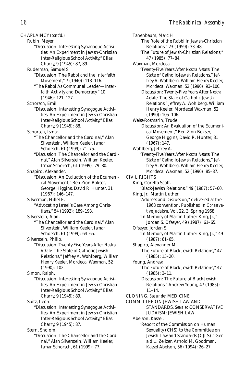#### CHAPLAINCY *(cont'd.)*

Rubin, Meyer.

"Discussion: Interesting Synagogue Activities: An Experiment in Jewish-Christian Inter-Religious School Activity," Elias Charry, 9 (1945): 87, 89.

Ruderman, Samuel S.

- "Discussion: The Rabbi and the Interfaith Movement," 7 (1940): 113–116.
	- "The Rabbi As Communal Leader—Interfaith Activity and Democracy," 10 (1946): 121–127.

Schorsch, Emil.

"Discussion: Interesting Synagogue Activities: An Experiment in Jewish-Christian Inter-Religious School Activity," Elias Charry, 9 (1945): 88.

Schorsch, Ismar.

- "The Chancellor and the Cardinal," Alan Silverstein, William Keeler, Ismar Schorsch, 61 (1999): 71–75.
- "Discussion: The Chancellor and the Cardinal," Alan Silverstein, William Keeler, Ismar Schorsch, 61 (1999): 79–80.

Shapiro, Alexander.

"Discussion: An Evaluation of the Ecumenical Movement," Ben Zion Bokser, George Higgins, David R. Hunter, 31 (1967): 146–147.

Silverman, Hillel E.

"Advocating Israel's Case Among Christians," 54 (1992): 189–193.

Silverstein, Alan.

"The Chancellor and the Cardinal," Alan Silverstein, William Keeler, Ismar Schorsch, 61 (1999): 64–65.

Silverstein, Philip.

"Discussion: Twenty-Five Years After *Nostra Aetate:* The State of Catholic-Jewish Relations," Jeffrey A. Wohlberg, William Henry Keeler, Mordecai Waxman, 52 (1990): 102.

Simon, Ralph.

"Discussion: Interesting Synagogue Activities: An Experiment in Jewish-Christian Inter-Religious School Activity," Elias Charry, 9 (1945): 89.

Spitz, Leon.

"Discussion: Interesting Synagogue Activities: An Experiment in Jewish-Christian Inter-Religious School Activity," Elias Charry, 9 (1945): 87.

Stern, Sholom.

"Discussion: The Chancellor and the Cardinal," Alan Silverstein, William Keeler, Ismar Schorsch, 61 (1999): 77.

Tanenbaum, Marc H. "The Role of the Rabbi in Jewish-Christian Relations," 23 (1959): 33–48. "The Future of Jewish-Christian Relations," 47 (1985): 77–84. Waxman, Mordecai. "Twenty-Five Years After *Nostra Aetate:* The State of Catholic-Jewish Relations," Jeffrey A. Wohlberg, William Henry Keeler, Mordecai Waxman, 52 (1990): 93–100. "Discussion: Twenty-Five Years After *Nostra Aetate:* The State of Catholic-Jewish Relations," Jeffrey A. Wohlberg, William Henry Keeler, Mordecai Waxman, 52 (1990): 105–106. Weiss-Rosmarin, Trude. "Discussion: An Evaluation of the Ecumenical Movement," Ben Zion Bokser, George Higgins, David R. Hunter, 31 (1967): 147. Wohlberg, Jeffrey A. "Twenty-Five Years After *Nostra Aetate:* The State of Catholic-Jewish Relations," Jeffrey A. Wohlberg, William Henry Keeler, Mordecai Waxman, 52 (1990): 85–87. CIVIL RIGHTS King, Coretta Scott. "Black-Jewish Relations," 49 (1987): 57–60. King, Jr., Martin Luther. "Address and Discussion," delivered at the 1968 convention. Published in *Conservative Judaism,* Vol. 22, 3, Spring 1968. "In Memory of Martin Luther King, Jr.," Jordan S. Ofseyer, 49 (1987): 61–65. Ofseyer, Jordan S. "In Memory of Martin Luther King, Jr.," 49 (1987): 61–65. Shapiro, Alexander M. "The Future of Black-Jewish Relations," 47 (1985): 15–20. Young, Andrew. "The Future of Black-Jewish Relations," 47 (1985): 3–11. "Discussion: The Future of Black-Jewish Relations," Andrew Young, 47 (1985): 11–14. CLONING. *See under* MEDICINE COMMITTEE ON JEWISH LAW AND STANDARDS. *See also* CONSERVATIVE JUDAISM; JEWISH LAW Abelson, Kassel. "Report of the Commission on Human Sexuality (CHS) to the Committee on Jewish Law and Standards (CJLS)," Gerald L. Zelizer, Arnold M. Goodman,

Kassel Abelson, 56 (1994): 26–27.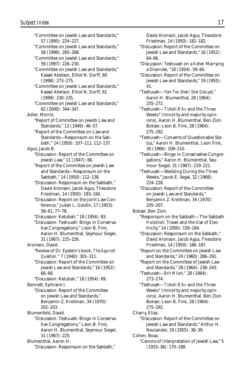"Committee on Jewish Law and Standards," 57 (1995): 224–227. "Committee on Jewish Law and Standards," 58 (1996): 265–268. "Committee on Jewish Law and Standards," 59 (1997): 226–230. "Committee on Jewish Law and Standards," Kassel Abelson, Elliot N. Dorff, 60 (1998): 273–275. "Committee on Jewish Law and Standards," Kassel Abelson, Elliot N. Dorff, 61 (1999): 230–235. "Committee on Jewish Law and Standards," 62 (2000): 344–347. Adler, Morris. "Report of Committee on Jewish Law and Standards," 13 (1949): 46–57. "Report of the Committee on Law and Standards—Responsum on the Sabbath," 14 (1950): 107–111, 112–137. Agus, Jacob B. "Discussion: Report of the Committee on Jewish Law," 11 (1947): 66. "Report of the Committee on Jewish Law and Standards—Responsum on the Sabbath," 14 (1950): 112–138. "Discussion: Responsum on the Sabbath," David Aronson, Jacob Agus, Theodore Friedman, 14 (1950): 183–184. "Discussion: Report on the Joint Law Conference," Judah L. Goldin, 17 (1953): 58–61, 77–78. "Discussion: Ketubah," 18 (1954): 83. "Discussion: Teshuvah: Bingo in Conservative Congregations," Leon B. Fink, Aaron H. Blumenthal, Seymour Siegel, 31 (1967): 225–226. Aronson, David. "Review of Dr. Epstein's book, *The Agunah Question,*" 7 (1940): 301–311. "Discussion: Report of the Committee on Jewish Law and Standards," 16 (1952): 66–68. "Discussion: Ketubah," 18 (1954): 69. Bennett, Ephraim I. "Discussion: Report of the Committee on Jewish Law and Standards," Benjamin Z. Kreitman, 34 (1970): 202–203. Blumenfeld, David. "Discussion: Teshuvah: Bingo in Conservative Congregations," Leon B. Fink, Aaron H. Blumenthal, Seymour Siegel, 31 (1967): 225. Blumenthal, Aaron H. "Discussion: Responsum on the Sabbath,"

David Aronson, Jacob Agus, Theodore Friedman, 14 (1950): 181–182.

- "Discussion: Report of the Committee on Jewish Law and Standards," 16 (1952): 64–66.
- "Discussion: Teshuvah on a *Kohen* Marrying a Divorcée, "18 (1954): 59–60.
- "Discussion: Report of the Committee on Jewish Law and Standards," 19 (1955): 41.

"Teshuvah—*Yom Tov Sheni Shel Goluyot,"* Aaron H. Blumenthal, 28 (1964): 255–272.

"Teshuvah—*Tishah B'Av* and the Three Weeks" (minority and majority opinions), Aaron H. Blumenthal, Ben Zion Bokser, Leon B. Fink, 28 (1964): 275–292.

- "Teshuvah—Converts of Questionable Status," Aaron H. Blumenthal, Leon Fink, 30 (1966): 109–110.
- "Teshuvah—Bingo in Conservative Congregations," Aaron H. Blumenthal, Seymour Siegel, 31 (1967): 219–221.
- "Teshuvah—Wedding During the Three Weeks," Jacob E. Segal, 32 (1968): 224–228.
- "Discussion: Report of the Committee on Jewish Law and Standards," Benjamin Z. Kreitman, 34 (1970): 205–207.
- Bokser, Ben Zion.
	- "Responsum on the Sabbath—The Sabbath *Halakhah:* Travel and the Use of Electricity," 14 (1950): 156–164.

"Discussion: Responsum on the Sabbath," David Aronson, Jacob Agus, Theodore Friedman, 14 (1950): 186–187.

- "Report on the Committee on Jewish Law and Standards," 24 (1960): 286–291.
- "Report on the Committee of Jewish Law and Standards," 28 (1964): 238–243.
- "Teshuvah—*Brit Milah,"* 28 (1964): 273–274.

"Teshuvah—*Tishah B'Av* and the Three Weeks" (minority and majority opinions), Aaron H. Blumenthal, Ben Zion Bokser, Leon B. Fink, 28 (1964): 275–292.

- Charry, Elias.
	- "Discussion: Report of the Committee on Jewish Law and Standards," Arthur H. Neulander, 19 (1955): 38–39.
- Cohen, Boaz.
	- "Canons of Interpretation of Jewish Law," 5 (1933–38): 170–188.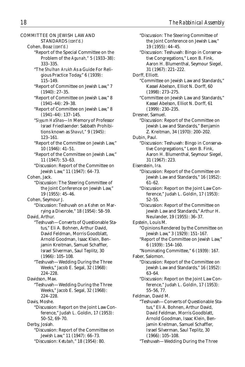| COMMITTEE ON JEWISH LAW AND                                    |
|----------------------------------------------------------------|
|                                                                |
| STANDARDS (cont'd.)                                            |
| Cohen, Boaz (cont'd.)                                          |
| "Report of the Special Committee on the                        |
| Problem of the Agunah," 5 (1933-38):                           |
| 333-335.                                                       |
| "The Shulhan Arukh As a Guide For Reli-                        |
| gious Practice Today," 6 (1939):                               |
| 115-149.                                                       |
| "Report of Committee on Jewish Law," 7                         |
| $(1940): 27-35.$                                               |
| "Report of Committee on Jewish Law," 8<br>$(1941-44): 29-38.$  |
| "Report of Committee on Jewish Law," 8                         |
| $(1941-44): 137-145.$                                          |
| "Siyyum HaShas-In Memory of Professor                          |
| Israel Friedlaender: Sabbath Prohibi-                          |
| tions known as Shavut,"9 (1945):                               |
| $123 - 161.$                                                   |
| "Report of the Committee on Jewish Law,"<br>$10(1946): 41-51.$ |
| "Report of the Committee on Jewish Law,"                       |
| 11 (1947): 53-63.                                              |
| "Discussion: Report of the Committee on                        |
| Jewish Law," 11 (1947): 64-73.                                 |
| Cohen, Jack.                                                   |
| "Discussion: The Steering Committee of                         |
| the Joint Conference on Jewish Law,"                           |
|                                                                |
| 19 (1955): 45-46.                                              |
| Cohen, Seymour J.                                              |
| "Discussion: Teshuvah on a Kohen on Mar-                       |
| rying a Divorcée," 18 (1954): 58-59.                           |
| David, Arthur.                                                 |
| "Teshuvah-Converts of Questionable Sta-                        |
| tus," Eli A. Bohnen, Arthur David,                             |
| David Feldman, Morris Goodblatt,                               |
| Arnold Goodman, Isaac Klein, Ben-                              |
| jamin Kreitman, Samuel Schaffler,                              |
| Israel Silverman, Saul Teplitz, 30                             |
| $(1966): 105 - 108.$                                           |
| "Teshuvah-Wedding During the Three                             |
| Weeks," Jacob E. Segal, 32 (1968):                             |
| $224 - 228.$                                                   |
| Davidson, Max.                                                 |
|                                                                |
| "Teshuvah-Wedding During the Three                             |
| Weeks," Jacob E. Segal, 32 (1968):                             |
| $224 - 228.$                                                   |
| Davis. Moshe.                                                  |
| "Discussion: Report on the Joint Law Con-                      |
| ference," Judah L. Goldin, 17 (1953):                          |
| $50 - 52, 69 - 70.$                                            |
| Derby, Josiah.                                                 |
| "Discussion: Report of the Committee on                        |
| Jewish Law," 11 (1947): 66-73.                                 |
| "Discussion: Ketubah." 18 (1954): 80.                          |

"Discussion: The Steering Committee of the Joint Conference on Jewish Law," 19 (1955): 44–45. "Discussion: Teshuvah: Bingo in Conservative Congregations," Leon B. Fink, Aaron H. Blumenthal, Seymour Siegel, 31 (1967): 221–222. Dorff, Elliott. "Committee on Jewish Law and Standards," Kassel Abelson, Elliot N. Dorff, 60 (1998): 273–275. "Committee on Jewish Law and Standards," Kassel Abelson, Elliot N. Dorff, 61 (1999): 230–235. Dresner, Samuel. "Discussion: Report of the Committee on Jewish Law and Standards," Benjamin Z. Kreitman, 34 (1970): 200–202. Dubin, Paul. "Discussion: Teshuvah: Bingo in Conservative Congregations," Leon B. Fink, Aaron H. Blumenthal, Seymour Siegel, 31 (1967): 223. Eisenstein, Ira. "Discussion: Report of the Committee on Jewish Law and Standards," 16 (1952): 61–62. "Discussion: Report on the Joint Law Conference," Judah L. Goldin, 17 (1953): 52–55. "Discussion: Report of the Committee on Jewish Law and Standards," Arthur H. Neulander, 19 (1955): 36–37. Epstein, Louis M. "Opinions Rendered by the Committee on Jewish Law," 3 (1929): 151–167. "Report of the Committee on Jewish Law," 6 (1939): 154–160. "Nominating Committee," 6 (1939): 167. Faber, Salomon. "Discussion: Report of the Committee on Jewish Law and Standards," 16 (1952): 63–64. "Discussion: Report on the Joint Law Conference," Judah L. Goldin, 17 (1953): 55–56, 77. Feldman, David M. "Teshuvah—Converts of Questionable Status," Eli A. Bohnen, Arthur David, David Feldman, Morris Goodblatt, Arnold Goodman, Isaac Klein, Benjamin Kreitman, Samuel Schaffler, Israel Silverman, Saul Teplitz, 30 (1966): 105–108.

"Teshuvah—Wedding During the Three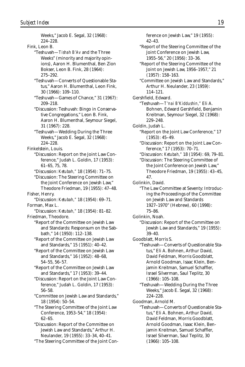Weeks," Jacob E. Segal, 32 (1968): 224–228. Fink, Leon B. "Teshuvah—*Tishah B'Av* and the Three Weeks" (minority and majority opinions), Aaron H. Blumenthal, Ben Zion Bokser, Leon B. Fink, 28 (1964): 275–292. "Teshuvah—Converts of Questionable Status," Aaron H. Blumenthal, Leon Fink, 30 (1966): 109–110. "Teshuvah—Games of Chance," 31 (1967): 209–218. "Discussion: Teshuvah: Bingo in Conservative Congregations," Leon B. Fink, Aaron H. Blumenthal, Seymour Siegel, 31 (1967): 228. "Teshuvah—Wedding During the Three Weeks," Jacob E. Segal, 32 (1968): 224–228. Finkelstein, Louis. "Discussion: Report on the Joint Law Conference," Judah L. Goldin, 17 (1953): 61–65, 75, 78. "Discussion: *Ketubah,"* 18 (1954): 71–75. "Discussion: The Steering Committee on the Joint Conference on Jewish Law," Theodore Friedman, 19 (1955): 47–48. Fisher, Henry. "Discussion: *Ketubah,"* 18 (1954): 69–71. Forman, Max L. "Discussion: *Ketubah,"* 18 (1954): 81–82. Friedman, Theodore. "Report of the Committee on Jewish Law and Standards: Responsum on the Sabbath," 14 (1950): 112–138. "Report of the Committee on Jewish Law and Standards," 15 (1951): 40–42. "Report of the Committee on Jewish Law and Standards," 16 (1952): 48–68, 54–55, 56–57. "Report of the Committee on Jewish Law and Standards," 17 (1953): 39–44. "Discussion: Report on the Joint Law Conference," Judah L. Goldin, 17 (1953): 56–58. "Committee on Jewish Law and Standards," 18 (1954): 50–54. "The Steering Committee of the Joint Law Conference, 1953–54," 18 (1954): 62–65. "Discussion: Report of the Committee on Jewish Law and Standards," Arthur H. Neulander, 19 (1955): 33–34, 40–41. "The Steering Committee of the Joint Con-

ference on Jewish Law," 19 (1955): 42–43. "Report of the Steering Committee of the Joint Conference on Jewish Law, 1955–56," 20 (1956): 33–36. "Report of the Steering Committee of the Joint on Jewish Law, 1956–1957," 21 (1957): 158–163. "Committee on Jewish Law and Standards," Arthur H. Neulander, 23 (1959): 114–121. Gershfield, Edward. "Teshuvah—*T'nai B'Kiddushin,"* Eli A. Bohnen, Edward Gershfield, Benjamin Kreitman, Seymour Siegel, 32 (1968): 229–248. Goldin, Judah L. "Report on the Joint Law Conference," 17 (1953): 45–49. "Discussion: Report on the Joint Law Conference," 17 (1953): 70–71. "Discussion: *Ketubah,"* 18 (1954): 69, 79–81. "Discussion: The Steering Committee of the Joint Conference on Jewish Law," Theodore Friedman, 19 (1955): 43–45, 47. Golinkin, David. "The Law Committee at Seventy: Introducing the Proceedings of the Committee on Jewish Law and Standards 1927–1970" (Hebrew), 60 (1998): 75–86. Golinkin, Noah. "Discussion: Report of the Committee on Jewish Law and Standards," 19 (1955): 39–40. Goodblatt, Morris S. "Teshuvah—Converts of Questionable Status," Eli A. Bohnen, Arthur David, David Feldman, Morris Goodblatt, Arnold Goodman, Isaac Klein, Benjamin Kreitman, Samuel Schaffler, Israel Silverman, Saul Teplitz, 30 (1966): 105–108. "Teshuvah—Wedding During the Three Weeks," Jacob E. Segal, 32 (1968): 224–228. Goodman, Arnold M. "Teshuvah—Converts of Questionable Status," Eli A. Bohnen, Arthur David, David Feldman, Morris Goodblatt, Arnold Goodman, Isaac Klein, Benjamin Kreitman, Samuel Schaffler, Israel Silverman, Saul Teplitz, 30 (1966): 105–108.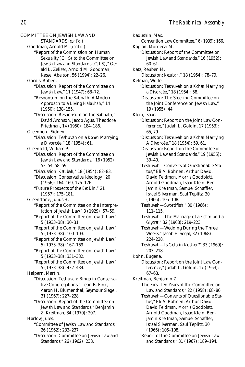COMMITTEE ON JEWISH LAW AND STANDARDS *(cont'd.)* Goodman, Arnold M. *(cont'd.)* "Report of the Commission on Human Sexuality (CHS) to the Committee on Jewish Law and Standards (CJLS)," Gerald L. Zelizer, Arnold M. Goodman, Kassel Abelson, 56 (1994): 22–26. Gordis, Robert. "Discussion: Report of the Committee on Jewish Law," 11 (1947): 68–72. "Responsum on the Sabbath: A Modern Approach to a Living *Halakhah,"* 14 (1950): 138–155. "Discussion: Responsum on the Sabbath," David Aronson, Jacob Agus, Theodore Friedman, 14 (1950): 184–186. Greenberg, Sidney. "Discussion: Teshuvah on a *Kohen* Marrying a Divorcée," 18 (1954): 61. Greenfeld, William P. "Discussion: Report of the Committee on Jewish Law and Standards," 16 (1952): 53–54, 58–59. "Discussion: *Ketubah,"* 18 (1954): 82–83. "Discussion: Conservative Ideology," 20 (1956): 164–169, 175–176. "Future Prospects of the *Bet Din,"* 21 (1957): 175–181. Greenstone, Julius H. "Report of the Committee on the Interpretation of Jewish Law," 3 (1929): 57–59. "Report of the Committee on Jewish Law," 5 (1933–38): 30–31. "Report of the Committee on Jewish Law," 5 (1933–38): 100–103. "Report of the Committee on Jewish Law," 5 (1933–38): 167–169. "Report of the Committee on Jewish Law," 5 (1933–38): 331–332. "Report of the Committee on Jewish Law," 5 (1933–38): 432–434. Halpern, Martin. "Discussion: Teshuvah: Bingo in Conservative Congregations," Leon B. Fink, Aaron H. Blumenthal, Seymour Siegel, 31 (1967): 227–228. "Discussion: Report of the Committee on Jewish Law and Standards," Benjamin Z. Kreitman, 34 (1970): 207. Harlow, Jules. "Committee of Jewish Law and Standards," 26 (1962): 233–237. "Discussion: Committee on Jewish Law and

Standards," 26 (1962): 238.

Kadushin, Max. "Convention Law Committee," 6 (1939): 166. Kaplan, Mordecai M. "Discussion: Report of the Committee on Jewish Law and Standards," 16 (1952): 60–61. Katz, Reuben M. "Discussion: *Ketubah,"* 18 (1954): 78–79. Kelman, Wolfe. "Discussion: Teshuvah on a *Kohen* Marrying a Divorcée," 18 (1954): 58. "Discussion: The Steering Committee on the Joint Conference on Jewish Law," 19 (1955): 44. Klein, Isaac. "Discussion: Report on the Joint Law Conference," Judah L. Goldin, 17 (1953): 65, 79. "Discussion: Teshuvah on a *Kohen* Marrying A Divorcée," 18 (1954): 59, 61. "Discussion: Report on the Committee of Jewish Law and Standards," 19 (1955): 39–40. "Teshuvah—Converts of Questionable Status," Eli A. Bohnen, Arthur David, David Feldman, Morris Goodblatt, Arnold Goodman, Isaac Klein, Benjamin Kreitman, Samuel Schaffler, Israel Silverman, Saul Teplitz, 30 (1966): 105–108. "Teshuvah—Swordfish," 30 (1966): 111–115. "Teshuvah—The Marriage of a *Kohen* and a *Giyoret,"* 32 (1968): 219–223. "Teshuvah—Wedding During the Three Weeks," Jacob E. Segal, 32 (1968): 224–228. "Teshuvah—Is Gelatin Kosher?" 33 (1969): 203–218. Kohn, Eugene. "Discussion: Report on the Joint Law Conference," Judah L. Goldin, 17 (1953): 67–68. Kreitman, Benjamin Z. "The First Ten Years of the Committee on Law and Standards," 22 (1958): 68–80. "Teshuvah—Converts of Questionable Status," Eli A. Bohnen, Arthur David, David Feldman, Morris Goodblatt, Arnold Goodman, Isaac Klein, Benjamin Kreitman, Samuel Schaffler, Israel Silverman, Saul Teplitz, 30 (1966): 105–108. "Report of the Committee on Jewish Law and Standards," 31 (1967): 189–194.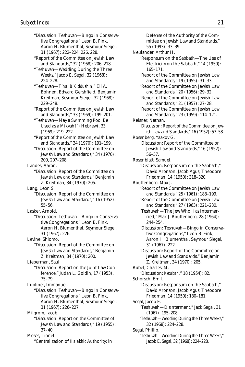"Discussion: Teshuvah—Bingo in Conservative Congregations," Leon B. Fink, Aaron H. Blumenthal, Seymour Siegel, 31 (1967): 222–224, 226, 228. "Report of the Committee on Jewish Law and Standards," 32 (1968): 206–218. "Teshuvah—Wedding During the Three Weeks," Jacob E. Segal, 32 (1968): 224–228. "Teshuvah—*T'nai B'Kiddushin,*" Eli A. Bohnen, Edward Gershfield, Benjamin Kreitman, Seymour Siegel, 32 (1968): 229–248. "Report of the Committee on Jewish Law and Standards," 33 (1969): 199–201. "Teshuvah—May a Swimming Pool Be Used as a Mikvah?" (Hebrew), 33 (1969): 219–222. "Report of the Committee on Jewish Law and Standards," 34 (1970): 191–199. "Discussion: Report of the Committee on Jewish Law and Standards," 34 (1970): 200, 207–208. Landes, Aaron. "Discussion: Report of the Committee on Jewish Law and Standards," Benjamin Z. Kreitman, 34 (1970): 205. Lang, Leon S. "Discussion: Report of the Committee on Jewish Law and Standards," 16 (1952): 55–56. Lasker, Arnold. "Discussion: Teshuvah—Bingo in Conservative Congregations," Leon B. Fink, Aaron H. Blumenthal, Seymour Siegel, 31 (1967): 226. Levine, Shlomo. "Discussion: Report of the Committee on Jewish Law and Standards," Benjamin Z. Kreitman, 34 (1970): 200. Lieberman, Saul. "Discussion: Report on the Joint Law Conference," Judah L. Goldin, 17 (1953), 75–79. Lubliner, Immanuel. "Discussion: Teshuvah—Bingo in Conservative Congregations," Leon B. Fink, Aaron H. Blumenthal, Seymour Siegel, 31 (1967): 226–227. Milgrom, Jacob. "Discussion: Report on the Committee of Jewish Law and Standards," 19 (1955): 37–40. Moses, Lionel. "Centralization of *Halakhic* Authority: in

Defense of the Authority of the Committee on Jewish Law and Standards," 55 (1993): 33–39. Neulander, Arthur H. "Responsum on the Sabbath—The Use of Electricity on the Sabbath," 14 (1950): 165–171. "Report of the Committee on Jewish Law and Standards," 19 (1955): 31–33. "Report of the Committee on Jewish Law and Standards," 20 (1956): 29–32. "Report of the Committee on Jewish Law and Standards," 21 (1957): 27–28. "Report of the Committee on Jewish Law and Standards," 23 (1959): 114–121. Reisner, Nathan. "Discussion: Report of the Committee on Jewish Law and Standards," 16 (1952): 57–58. Rosenberg, Yaakov G. "Discussion: Report of the Committee on Jewish Law and Standards," 16 (1952): 56–57. Rosenblatt, Samuel. "Discussion: Responsum on the Sabbath," David Aronson, Jacob Agus, Theodore Friedman, 14 (1950): 318–320. Routtenberg, Max J. "Report of the Committee on Jewish Law and Standards," 25 (1961): 188–199. "Report of the Committee on Jewish Law and Standards," 27 (1963): 221–230. "Teshuvah—The Jew Who Has Intermarried," Max J. Routtenberg, 28 (1964): 244–254. "Discussion: Teshuvah—Bingo in Conservative Congregations," Leon B. Fink, Aaron H. Blumenthal, Seymour Siegel, 31 (1967): 222. "Discussion: Report of the Committee on Jewish Law and Standards," Benjamin Z. Kreitman, 34 (1970): 205. Rubel, Charles. M. "Discussion: *Ketubah,*" 18 (1954): 82. Schorsch, Emil. "Discussion: Responsum on the Sabbath," David Aronson, Jacob Agus, Theodore Friedman, 14 (1950): 180–181. Segal, Jacob E. "Teshuvah—Disinterment," Jack Segal, 31 (1967): 195–208. "Teshuvah—Wedding During the Three Weeks," 32 (1968): 224–228. Segal, Phillip. "Teshuvah—Wedding During the Three Weeks," Jacob E. Segal, 32 (1968): 224–228.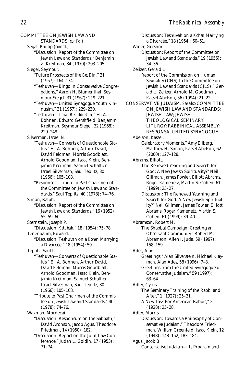COMMITTEE ON JEWISH LAW AND

STANDARDS *(cont'd.)*

- Segal, Phillip *(cont'd.)*
	- "Discussion: Report of the Committee on Jewish Law and Standards," Benjamin Z. Kreitman, 34 (1970): 203–205.
- Siegel, Seymour.
	- "Future Prospects of the *Bet Din,*" 21 (1957): 164–174.
	- "Teshuvah—Bingo in Conservative Congregations," Aaron H. Blumenthal, Seymour Siegel, 31 (1967): 219–221.
	- "Teshuvah—United Synagogue Youth Kinnusim," 31 (1967): 229–230.
	- "Teshuvah—*T'nai B'Kiddushin,*" Eli A. Bohnen, Edward Gershfield, Benjamin Kreitman, Seymour Siegel, 32 (1968): 229–248.
- Silverman, Israel N.
	- "Teshuvah—Converts of Questionable Status," Eli A. Bohnen, Arthur David, David Feldman, Morris Goodblatt, Arnold Goodman, Isaac Klein, Benjamin Kreitman, Samuel Schaffler, Israel Silverman, Saul Teplitz, 30 (1966): 105–108.
		- "Response—Tribute to Past Chairmen of the Committee on Jewish Law and Standards," Saul Teplitz, 40 (1978): 74–76.

Simon, Ralph.

- "Discussion: Report of the Committee on Jewish Law and Standards," 16 (1952): 55, 59–60.
- Sternstein, Joseph P.
- "Discussion: *Ketubah,*" 18 (1954): 75–78. Tenenbaum, Edward.
	- "Discussion: Teshuvah on a *Kohen* Marrying a Divorcée," 18 (1954): 59.
- Teplitz, Saul I. "Teshuvah—Converts of Questionable Status," Eli A. Bohnen, Arthur David, David Feldman, Morris Goodblatt, Arnold Goodman, Isaac Klein, Benjamin Kreitman, Samuel Schaffler, Israel Silverman, Saul Teplitz, 30 (1966): 105–108.
	- "Tribute to Past Chairmen of the Committee on Jewish Law and Standards," 40 (1978): 74–76.

Waxman, Mordecai.

- "Discussion: Responsum on the Sabbath," David Aronson, Jacob Agus, Theodore Friedman, 14 (1950): 182.
	- "Discussion: Report on the Joint Law Conference," Judah L. Goldin, 17 (1953): 71–74.
- "Discussion: Teshuvah on a *Kohen* Marrying a Divorcée," 18 (1954): 60–61. Winer, Gershon. "Discussion: Report of the Committee on Jewish Law and Standards," 19 (1955): 34–36. Zelizer, Gerald L. "Report of the Commission on Human Sexuality (CHS) to the Committee on Jewish Law and Standards (CJLS)," Gerald L. Zelizer, Arnold M. Goodman, Kassel Abelson, 56 (1994): 21–22. CONSERVATIVE JUDAISM. *See also* COMMITTEE ON JEWISH LAW AND STANDARDS; JEWISH LAW; JEWISH THEOLOGICAL SEMINARY; LITURGY; RABBINICAL ASSEMBLY; RESPONSA; UNITED SYNAGOGUE Abelson, Kassel. "Celebratory Moments," Amy Eilberg, Matthew H. Simon, Kassel Abelson, 62 (2000): 127–128. Abrams, Elliott. "The Renewed Yearning and Search for God: A New Jewish Spirituality?" Neil Gillman, James Fowler, Elliott Abrams, Roger Kamenetz, Martin S. Cohen, 61 (1999): 25–27. "Discussion: The Renewed Yearning and Search for God: A New Jewish Spirituality?" Neil Gillman, James Fowler, Elliott Abrams, Roger Kamenetz, Martin S. Cohen, 61 (1999): 39–40. Abramson, Robert M. "The Shabbat Campaign: Creating an Observant Community," Robert M. Abramson, Allen I. Juda, 59 (1997): 158–159. Ades, Alan. "Greetings," Alan Silverstein, Michael Klayman, Alan Ades, 58 (1996): 7–8. "Greetings from the United Synagogue of Conservative Judaism," 59 (1997): 63–64. Adler, Cyrus. "The Seminary Training of the Rabbi and After," 1 (1927): 25–31. "A New Task For American Rabbis," 2 (1928): 25–28. Adler, Morris. "Discussion: Towards a Philosophy of Conservative Judaism," Theodore Friedman, William Greenfeld, Isaac Klein, 12 (1948): 148–152, 183–184. Agus, Jacob B.
	- "Conservative Judaism—Its Program and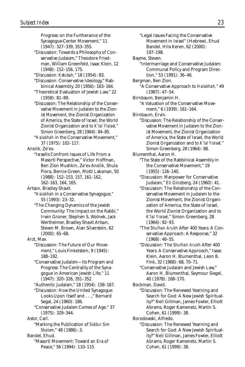Progress: on the Furtherance of the Synagogue-Center Movement," 11 (1947): 327–339, 353–355.

- "Discussion: Towards a Philosophy of Conservative Judaism," Theodore Friedman, William Greenfeld, Isaac Klein, 12 (1948): 152–156, 175.
- "Discussion: *Ketubah,*" 18 (1954): 83.
- "Discussion: Conservative Ideology," Rabbinical Assembly, 20 (1956): 163–164.
- "Theoretical Evaluation of Jewish Law," 22 (1958): 81–89.
- "Discussion: The Relationship of the Conservative Movement in Judaism to the Zionist Movement, the Zionist Organization of America, the State of Israel, the World Zionist Organization and to *K'lal Yisrael,*" Simon Greenberg, 28 (1964): 84–85.
- "*Halakhah* in the Conservative Movement," 37 (1975): 102–117.

Anolik, Ze'ev.

- "Israelis Confront Issues of Life From a Masorti Perspective," Victor Hoffman, Ben Zion Mushkin, Ze'ev Anolik, Shula Piora, Bernie Green, Motti Laksman, 50 (1988): 152–153, 157, 161–162, 162–163, 164, 165.
- Artson, Bradley Shavit.
	- "*Halakhah* in a Conservative Synagogue," 55 (1993): 23–32.
	- "The Changing Dynamics of the Jewish Community: The Impact on the Rabbi," Irwin Groner, Stephen S. Wolnek, Jack Wertheimer, Bradley Shavit Artson, Steven M. Brown, Alan Silverstein, 62 (2000): 65–68.
- Arzt, Max.
	- "Discussion: The Future of Our Movement," Louis Finkelstein, 9 (1945): 188–192.
	- "Conservative Judaism—Its Program and Progress: The Centrality of the Synagogue in American Jewish Life," 11 (1947): 320–326, 351–352.
	- "Authentic Judaism," 18 (1954): 158–167.
	- "Discussion: How the United Synagogue Looks Upon Itself and . . .," Bernard Segal, 24 (1960): 186.
	- "Conservative Judaism Comes of Age," 37 (1975): 329–344.

Astor, Carl.

"Marking the Publication of *Siddur Sim Shalom,*" 48 (1986): 3.

Bandel, Ehud.

"Masorti Movement: Toward an Era of Peace," 56 (1994): 110–115.

"Legal Issues Facing the Conservative Movement in Israel" (Hebrew), Ehud Bandel, Hila Keren, 62 (2000): 197–198. Bayme, Steven. "Intermarriage and Conservative Judaism: Communal Policy and Program Direction," 53 (1991): 36–46. Bergman, Ben Zion. "A Conservative Approach to *Halakhah,*" 49 (1987): 47–54. Birnbaum, Benjamin H. "A Valuation of the Conservative Movement," 6 (1939): 161–164. Birnbaum, Ervin. "Discussion: The Relationship of the Conservative Movement in Judaism to the Zionist Movement, the Zionist Organization of America, the State of Israel, the World Zionist Organization and to *K'lal Yisrael,*" Simon Greenberg, 28 (1964): 88. Blumenthal, Aaron H. "The State of the Rabbinical Assembly in the Conservative Movement," 19 (1955): 126–140. "Discussion: Manpower for Conservative Judaism," Eli Ginzberg, 24 (1960): 41. "Discussion: The Relationship of the Conservative Movement in Judaism to the Zionist Movement, the Zionist Organization of America, the State of Israel, the World Zionist Organization and to *K'lal Yisrael,*" Simon Greenberg, 28 (1964): 92–93. "The *Shulhan Arukh* After 400 Years: A Conservative Approach: A Response," 32 (1968): 48–55. "Discussion: The *Shulhan Arukh* After 400 Years: A Conservative Approach," Isaac Klein, Aaron H. Blumenthal, Leon B. Fink, 32 (1968): 68, 70–71. "Conservative Judaism and Jewish Law," Aaron H. Blumenthal, Seymour Siegel, 40 (1978): 168–170. Bockman, David. "Discussion: The Renewed Yearning and Search for God: A New Jewish Spirituality?" Neil Gillman, James Fowler, Elliott Abrams, Roger Kamenetz, Martin S. Cohen, 61 (1999): 38. Borodowski, Alfredo.

"Discussion: The Renewed Yearning and Search for God: A New Jewish Spirituality?" Neil Gillman, James Fowler, Elliott Abrams, Roger Kamenetz, Martin S. Cohen, 61 (1999): 38.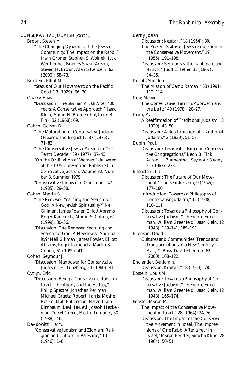CONSERVATIVE JUDAISM *(cont'd.)* Brown, Steven M. "The Changing Dynamics of the Jewish Community: The Impact on the Rabbi," Irwin Groner, Stephen S. Wolnek, Jack Wertheimer, Bradley Shavit Artson, Steven M. Brown, Alan Silverstein, 62 (2000): 68–73. Burstein, Elliot M. "Status of Our Movement: on the Pacific Coast," 3 (1929): 66–70. Charry, Elias. "Discussion: The *Shulhan Arukh* After 400 Years: A Conservative Approach," Isaac Klein, Aaron H. Blumenthal, Leon B. Fink, 32 (1968): 69. Cohen, Gerson D. "The Maturation of Conservative Judaism (Hebrew and English)," 37 (1975): 71–83. "The Conservative Jewish Mission in Our Tenth Decade," 39 (1977): 37–43. "On the Ordination of Women," delivered at the 1979 Convention. Published in *Conservative Judaism,* Volume 32, Number 3, Summer 1979. "Conservative Judaism in Our Time," 47 (1985): 29–38. Cohen, Martin S. "The Renewed Yearning and Search for God: A New Jewish Spirituality?" Neil Gillman, James Fowler, Elliott Abrams, Roger Kamenetz, Martin S. Cohen, 61 (1999): 30–36. "Discussion: The Renewed Yearning and Search for God: A New Jewish Spirituality?" Neil Gillman, James Fowler, Elliott Abrams, Roger Kamenetz, Martin S. Cohen, 61 (1999): 41. Cohen, Seymour J. "Discussion: Manpower for Conservative Judaism," Eli Ginzberg, 24 (1960): 41. Cytryn, Eric. "Discussion: Being a Conservative Rabbi in Israel: The Agony and the Ecstasy," Philip Spectre, Jonathan Perlman, Michael Graetz, Robert Harris, Moshe Re'em, Matt Futterman, Natan Irwin Birnbaum, Levi Ha-Levi, Joseph Heckelman, Yossef Green, Moshe Tutnauer, 50 (1988): 46. Davidowitz, Harry. "Conservative Judaism and Zionism: Religion and Culture in Palestine," 10 (1946): 1–6.

Derby, Josiah. "Discussion: *Ketubah,*" 18 (1954): 80. "The Present Status of Jewish Education in the Conservative Movement," 19 (1955): 191–198. "Discussion: Secularists, the Rabbinate and *Mitzvot,*" Judd L. Teller, 31 (1967): 34–35. Dorph, Sheldon. "The Mission of Camp Ramah," 53 (1991): 112–114. Dow, Melvin. "The Conservative *Halakhic* Approach and the Laity," 40 (1978): 20–27. Drob, Max. "A Reaffirmation of Traditional Judaism," 3 (1929): 43–50. "Discussion: A Reaffirmation of Traditional Judaism," 3 (1929): 51–53. Dubin, Paul. "Discussion: Teshuvah—Bingo in Conservative Congregations," Leon B. Fink, Aaron H. Blumenthal, Seymour Siegel, 31 (1967): 223. Eisenstein, Ira. "Discussion: The Future of Our Movement," Louis Finkelstein, 9 (1945): 177–180. "Introduction: Towards a Philosophy of Conservative Judaism," 12 (1948): 110–111. "Discussion: Towards a Philosophy of Conservative Judaism," Theodore Friedman, William Greenfeld, Isaac Klein, 12 (1948): 139–141, 189–191. Ellenson, David. "Cultures and Communities: Trends and Transformations in a New Century." Mary C. Boys, David Ellenson, 62 (2000): 108–122. Englander, Benjamin. "Discussion: *Ketubah,*" 18 (1954): 78. Epstein, Louis M. "Discussion: Towards a Philosophy of Conservative Judaism," Theodore Friedman, William Greenfeld, Isaac Klein, 12 (1948): 165–174. Fenster, Myron M. "The Impact of the Conservative Movement in Israel," 28 (1964): 24–36. "Discussion: The Impact of the Conservative Movement in Israel, The Impressions of One Rabbi After a Year in Israel," Myron Fenster, Simcha Kling, 28

(1964): 50–51.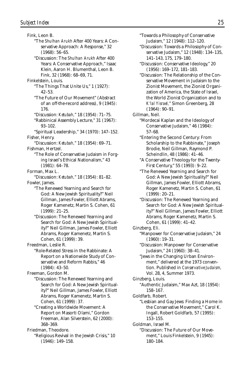Fink, Leon B. "The *Shulhan Arukh* After 400 Years: A Conservative Approach: A Response," 32 (1968): 56–65. "Discussion: The *Shulhan Arukh* After 400 Years: A Conservative Approach," Isaac Klein, Aaron H. Blumenthal, Leon B. Fink, 32 (1968): 68–69, 71. Finkelstein, Louis. "The Things That Unite Us," 1 (1927): 42–53. "The Future of Our Movement" (Abstract of an off-the-record address), 9 (1945): 176. "Discussion: *Ketubah,*" 18 (1954): 71–75. "Rabbinical Assembly Lecture," 31 (1967): 93–102. "Spiritual Leadership," 34 (1970): 147–152. Fisher, Henry. "Discussion: *Ketubah,*" 18 (1954): 69–71. Fishman, Hertzel. "The Role of Conservative Judaism in Forging Israel's Ethical Nationalism," 43 (1981): 64–78. Forman, Max L. "Discussion: *Ketubah,*" 18 (1954): 81–82. Fowler, James. "The Renewed Yearning and Search for God: A New Jewish Spirituality?" Neil Gillman, James Fowler, Elliott Abrams, Roger Kamenetz, Martin S. Cohen, 61 (1999): 21–25. "Discussion: The Renewed Yearning and Search for God: A New Jewish Spirituality?" Neil Gillman, James Fowler, Elliott Abrams, Roger Kamenetz, Martin S. Cohen, 61 (1999): 39. Freedman, Leslie R. "Role-Related Stress in the Rabbinate: A Report on a Nationwide Study of Conservative and Reform Rabbis," 46 (1984): 43–50. Freeman, Gordon M. "Discussion: The Renewed Yearning and Search for God: A New Jewish Spirituality?" Neil Gillman, James Fowler, Elliott Abrams, Roger Kamenetz, Martin S. Cohen, 61 (1999): 37. "Creating a Worldwide Movement: A Report on Masorti Olami," Gordon Freeman, Alan Silverstein, 62 (2000): 368–369. Friedman, Theodore. "Religious Revival in the Jewish Crisis," 10 (1946): 149–158.

"Towards a Philosophy of Conservative Judaism," 12 (1948): 112–120.

"Discussion: Towards a Philosophy of Conservative Judaism," 12 (1948): 134–135, 141–143, 175, 179–180.

"Discussion: Conservative Ideology," 20 (1956): 169–172, 181–183.

"Discussion: The Relationship of the Conservative Movement in Judaism to the Zionist Movement, the Zionist Organization of America, the State of Israel, the World Zionist Organization and to *K'lal Yisrael,*" Simon Greenberg, 28 (1964): 90–91.

Gillman, Neil.

"Mordecai Kaplan and the Ideology of Conservative Judaism," 46 (1984): 57–68.

"Entering the Second Century: From Scholarship to the Rabbinate," Joseph Brodie, Neil Gillman, Raymond P. Scheindlin, 48 (1986): 41–46.

"A Conservative Theology for the Twenty-First Century," 55 (1993): 9–22.

"The Renewed Yearning and Search for God: A New Jewish Spirituality?" Neil Gillman, James Fowler, Elliott Abrams, Roger Kamenetz, Martin S. Cohen, 61 (1999): 20–21.

"Discussion: The Renewed Yearning and Search for God: A New Jewish Spirituality?" Neil Gillman, James Fowler, Elliott Abrams, Roger Kamenetz, Martin S. Cohen, 61 (1999): 41–42.

Ginzberg, Eli.

"Manpower for Conservative Judaism," 24 (1960): 19–31.

"Discussion: Manpower for Conservative Judaism," 24 (1960): 38–41.

"Jews in the Changing Urban Environment," delivered at the 1973 convention. Published in *Conservative Judaism,* Vol. 28, 4, Summer 1973.

Ginzberg, Louis.

"Authentic Judaism," Max Azt, 18 (1954): 158–167.

Goldfarb, Robert.

"Lesbian and Gay Jews: Finding a Home in the Conservative Movement," Carol K. Ingall, Robert Goldfarb, 57 (1995): 153–155.

Goldman, Israel M.

"Discussion: The Future of Our Movement," Louis Finkelstein, 9 (1945): 180–184.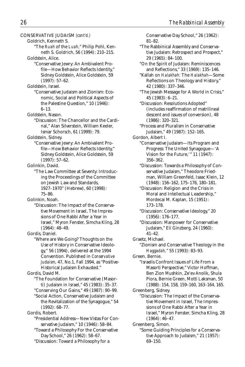CONSERVATIVE JUDAISM *(cont'd.)* Goldrich, Kenneth S. "The *Ruah* of the *Luah,*" Philip Pohl, Kenneth S. Goldrich, 56 (1994): 210–215. Goldstein, Alice. "Conservative Jewry: An Ambivalent Profile—How Behavior Reflects Identity," Sidney Goldstein, Alice Goldstein, 59 (1997): 57–62. Goldstein, Israel. "Conservative Judaism and Zionism: Economic, Social and Political Aspects of the Palestine Question," 10 (1946): 6–13. Goldstein, Nason. "Discussion: The Chancellor and the Cardinal," Alan Silverstein, William Keeler, Ismar Schorsch, 61 (1999): 79. Goldstein, Sidney. "Conservative Jewry: An Ambivalent Profile—How Behavior Reflects Identity," Sidney Goldstein, Alice Goldstein, 59 (1997): 57–62. Golinkin, David. "The Law Committee at Seventy: Introducing the Proceedings of the Committee on Jewish Law and Standards, 1927–1970" (Hebrew), 60 (1998): 75–86. Golinkin, Noah. "Discussion: The Impact of the Conservative Movement in Israel, The Impressions of One Rabbi After a Year in Israel," Myron Fenster, Simcha Kling, 28 (1964): 48–49. Gordis, Daniel. "Where are We Going? Thoughts on the Use of History in Conservative Ideology," 56 (1994), delivered at the 1994 Convention. Published in *Conservative Judaism,* 47, No.1, Fall 1994, as "Positive-Historical Judaism Exhausted." Gordis, David M. "The Foundation for Conservative (Masorti) Judaism in Israel," 45 (1983): 35–37. "Conserving Our Gains," 49 (1987): 90–99. "Social Action, Conservative Judaism and the Revitalization of the Synagogue," 54 (1992): 68–77. Gordis, Robert. "Presidential Address—New Vistas For Conservative Judaism," 10 (1946): 58–84. "Toward a Philosophy For the Conservative Day School," 26 (1962): 58–67. "Discussion: Toward a Philosophy for a

Conservative Day School," 26 (1962): 81–82. "The Rabbinical Assembly and Conservative Judaism: Retrospect and Prospect," 29 (1965): 84–100. "On the Spirit of Judaism: Reminiscences and Reflections," 33 (1969): 135–146. "Kallah on *Halakhah:* The *Halakhah*—Some Reflections on Theology and History," 42 (1980): 337–346. "The Jewish Message for A World in Crisis," 45 (1983): 6–21. "Discussion: Resolutions Adopted" (includes reaffirmation of matrilineal descent and issues of conversion), 48 (1986): 320–321. "Process and Pluralism in Conservative Judaism," 49 (1987): 152–165. Gordon, Albert I. "Conservative Judaism—Its Program and Progress: The United Synagogue—'A Vision for the Future,'" 11 (1947): 356–362. "Discussion: Towards a Philosophy of Conservative Judaism," Theodore Friedman, William Greenfeld, Isaac Klein, 12 (1948): 156–162, 175–176, 180–181. "Discussion: Religion and the Crisis in Moral and Intellectual Leadership," Mordecai M. Kaplan, 15 (1951): 173–178. "Discussion: Conservative Ideology," 20 (1956): 176–177. "Discussion: Manpower for Conservative Judaism," Eli Ginzberg, 24 (1960): 41–42. Graetz, Michael. "Zionism and Conservative Theology in the *Haggadah,*" 55 (1993): 83–93. Green, Bernie. "Israelis Confront Issues of Life From a Masorti Perspective," Victor Hoffman, Ben Zion Mushkin, Ze'ev Anolik, Shula Piora, Bernie Green, Motti Laksman, 50 (1988): 154, 158, 159–160, 163–164, 165. Greenberg, Sidney. "Discussion: The Impact of the Conservative Movement in Israel, The Impressions of One Rabbi After a Year in Israel," Myron Fenster, Simcha Kling, 28 (1964): 46–47. Greenberg, Simon. "Some Guiding Principles for a Conservative Approach to Judaism," 21 (1957):

69–150.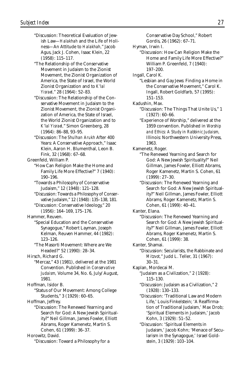- "Discussion: Theoretical Evaluation of Jewish Law—*Halakhah* and the Life of Holiness—An Attitude to *Halakhah,*" Jacob Agus, Jack J. Cohen, Isaac Klein, 22 (1958): 115–117.
- "The Relationship of the Conservative Movement in Judaism to the Zionist Movement, the Zionist Organization of America, the State of Israel, the World Zionist Organization and to *K'lal Yisrael,*" 28 (1964): 52–83.
- "Discussion: The Relationship of the Conservative Movement in Judaism to the Zionist Movement, the Zionist Organization of America, the State of Israel, the World Zionist Organization and to *K'lal Yisrael,*" Simon Greenberg, 28 (1964): 86–88, 93–95.
- "Discussion: The *Shulhan Arukh* After 400 Years: A Conservative Approach," Isaac Klein, Aaron H. Blumenthal, Leon B. Fink, 32 (1968): 67–68.
- Greenfeld, William P.
	- "How Can Religion Make the Home and Family Life More Effective?" 7 (1940): 190–196.
	- "Towards a Philosophy of Conservative Judaism," 12 (1948): 121–128.
	- "Discussion: Towards a Philosophy of Conservative Judaism," 12 (1948): 135–138, 181.
	- "Discussion: Conservative Ideology," 20 (1956): 164–169, 175–176.

Hammer, Reuven.

- "Special Education and the Conservative Synagogue," Robert Layman, Joseph Kelman, Reuven Hammer, 44 (1982): 123–126.
- "The Masorti Movement: Where are We Headed?" 52 (1990): 28–34.

Hirsch, Richard G.

"Mercaz," 43 (1981), delivered at the 1981 Convention. Published in *Conservative Judaism,* Volume 34, No. 6, July/August, 1981.

Hoffman, Isidor B.

"Status of Our Movement: Among College Students," 3 (1929): 60–65.

Hoffman, Jeffrey.

"Discussion: The Renewed Yearning and Search for God: A New Jewish Spirituality?" Neil Gillman, James Fowler, Elliott Abrams, Roger Kamenetz, Martin S. Cohen, 61 (1999): 36–37.

Horowitz, David. "Discussion: Toward a Philosophy for a Conservative Day School," Robert Gordis, 26 (1962): 67–71.

- Hyman, Irwin I.
	- "Discussion: How Can Religion Make the Home and Family Life More Effective?" William P. Greenfeld, 7 (1940): 197–200.
- Ingall, Carol K.
	- "Lesbian and Gay Jews: Finding a Home in the Conservative Movement," Carol K. Ingall, Robert Goldfarb, 57 (1995): 151–153.
- Kadushin, Max.
	- "Discussion: The Things That Unite Us," 1 (1927): 60–66.
	- "Experience of Worship," delivered at the 1959 convention. Published in *Worship and Ethics: A Study in Rabbinic Judaism,* Illinois: Northwestern University Press, 1963.
- Kamenetz, Roger.
	- "The Renewed Yearning and Search for God: A New Jewish Spirituality?" Neil Gillman, James Fowler, Elliott Abrams, Roger Kamenetz, Martin S. Cohen, 61 (1999): 27–30.
	- "Discussion: The Renewed Yearning and Search for God: A New Jewish Spirituality?" Neil Gillman, James Fowler, Elliott Abrams, Roger Kamenetz, Martin S. Cohen, 61 (1999): 40–41.
- Kanter, Elana.
	- "Discussion: The Renewed Yearning and Search for God: A New Jewish Spirituality?" Neil Gillman, James Fowler, Elliott Abrams, Roger Kamenetz, Martin S. Cohen, 61 (1999): 38.
- Kanter, Shamai.
	- "Discussion: Secularists, the Rabbinate and *Mitzvot,*" Judd L. Teller, 31 (1967): 30–31.
- Kaplan, Mordecai M.
	- "Judaism as a Civilization," 2 (1928): 115–130.
	- "Discussion: Judaism as a Civilization," 2 (1928): 130–133.
	- "Discussion: 'Traditional Law and Modern Life,' Louis Finkelstein; 'A Reaffirmation of Traditional Judaism,' Max Drob; 'Spiritual Elements in Judaism,' Jacob Kohn, 3 (1929): 51–52.
	- "Discussion: 'Spiritual Elements in Judaism,' Jacob Kohn; 'Menace of Secularism in the Synagogue,' Israel Goldstein, 3 (1929): 103–104.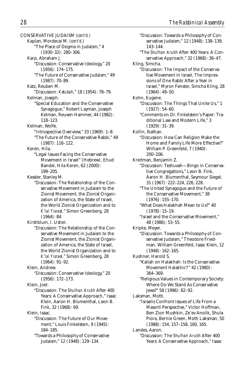CONSERVATIVE JUDAISM *(cont'd.)* Kaplan, Mordecai M. *(cont'd.)* "The Place of Dogma in Judaism," 4 (1930–32): 280–306. Karp, Abraham J. "Discussion: Conservative Ideology," 20 (1956): 174–175. "The Future of Conservative Judaism," 49 (1987): 70–89. Katz, Reuben M. "Discussion: *Ketubah,*" 18 (1954): 78–79. Kelman, Joseph. "Special Education and the Conservative Synagogue," Robert Layman, Joseph Kelman, Reuven Hammer, 44 (1982): 118–123. Kelman, Wolfe. "Introspective Overview," 33 (1969): 1–8. "The Future of the Conservative Rabbi," 49 (1987): 116–122. Keren, Hila. "Legal Issues Facing the Conservative Movement in Israel" (Hebrew), Ehud Bandel, Hila Keren, 62 (2000): 199–205. Kessler, Stanley M. "Discussion: The Relationship of the Conservative Movement in Judaism to the Zionist Movement, the Zionist Organization of America, the State of Israel, the World Zionist Organization and to *K'lal Yisrael,*" Simon Greenberg, 28 (1964): 84. Kirshblum, I. Usher. "Discussion: The Relationship of the Conservative Movement in Judaism to the Zionist Movement, the Zionist Organization of America, the State of Israel, the World Zionist Organization and to *K'lal Yisrael,*" Simon Greenberg, 28 (1964): 91–92. Klein, Andrew. "Discussion: Conservative Ideology," 20 (1956): 172–173. Klein, Joel. "Discussion: The *Shulhan Arukh* After 400 Years: A Conservative Approach," Isaac Klein, Aaron H. Blumenthal, Leon B. Fink, 32 (1968): 69. Klein, Isaac. "Discussion: The Future of Our Movement," Louis Finkelstein, 9 (1945): 184–185. "Towards a Philosophy of Conservative Judaism," 12 (1948): 129–134.

"Discussion: Towards a Philosophy of Conservative Judaism," 12 (1948): 138–139, 143–144. "The *Shulhan Arukh* After 400 Years: A Conservative Approach," 32 (1968): 36–47. Kling, Simcha. "Discussion: The Impact of the Conservative Movement in Israel, The Impressions of One Rabbi After a Year in Israel," Myron Fenster, Simcha Kling, 28 (1964): 49–50. Kohn, Eugene. "Discussion: The Things That Unite Us," 1 (1927): 54–60. "Comments on Dr. Finkelstein's Paper: Traditional Law and Modern Life," 3 (1929): 31–39. Kollin, Nathan. "Discussion: How Can Religion Make the Home and Family Life More Effective?" William P. Greenfeld, 7 (1940): 200–206. Kreitman, Benjamin Z. "Discussion: Teshuvah—Bingo in Conservative Congregations," Leon B. Fink, Aaron H. Blumenthal, Seymour Siegel, 31 (1967): 222–224, 226, 228. "The United Synagogue and the Future of the Conservative Movement," 38 (1976): 155–170. "What Does Halakhah Mean to Us?" 40 (1978): 15–19. "Israel and the Conservative Movement," 48 (1986): 53–55. Kripke, Meyer. "Discussion: Towards a Philosophy of Conservative Judaism," Theodore Friedman, William Greenfeld, Isaac Klein, 12 (1948): 162–165. Kushner, Harold S. "Kallah on Halakhah: Is the Conservative Movement Halakhic? " 42 (1980): 364–369. "Religious Values in Contemporary Society: Where Do We Stand As Conservative Jews?" 58 (1996): 82–92. Laksman, Motti. "Israelis Confront Issues of Life From a Masorti Perspective," Victor Hoffman, Ben Zion Mushkin, Ze'ev Anolik, Shula Piora, Bernie Green, Motti Laksman, 50 (1988): 154, 157–158, 160, 165. Landes, Aaron. "Discussion: The *Shulhan Arukh* After 400 Years: A Conservative Approach," Isaac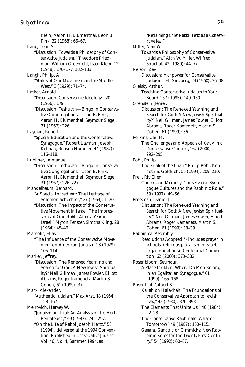Klein, Aaron H. Blumenthal, Leon B. Fink, 32 (1968): 66–67. Lang, Leon S. "Discussion: Towards a Philosophy of Conservative Judaism," Theodore Friedman, William Greenfeld, Isaac Klein, 12 (1948): 176–177, 182–183. Langh, Philip. A. "Status of Our Movement: in the Middle West," 3 (1929): 71–74. Lasker, Arnold. "Discussion: Conservative Ideology," 20 (1956): 179. "Discussion: Teshuvah—Bingo in Conservative Congregations," Leon B. Fink, Aaron H. Blumenthal, Seymour Siegel, 31 (1967): 226. Layman, Robert. "Special Education and the Conservative Synagogue," Robert Layman, Joseph Kelman, Reuven Hammer, 44 (1982): 116–118. Lubliner, Immanuel. "Discussion: Teshuvah—Bingo in Conservative Congregations," Leon B. Fink, Aaron H. Blumenthal, Seymour Siegel, 31 (1967): 226–227. Mandelbaum, Bernard. "A Special Ingredient: The Heritage of Solomon Schechter," 27 (1963): 1–20. "Discussion: The Impact of the Conservative Movement in Israel, The Impressions of One Rabbi After a Year in Israel," Myron Fenster, Simcha Kling, 28 (1964): 45–46. Margolis, Elias. "The Influence of the Conservative Movement on American Judaism," 3 (1929): 105–114. Marker, Jeffrey. "Discussion: The Renewed Yearning and Search for God: A New Jewish Spirituality?" Neil Gillman, James Fowler, Elliott Abrams, Roger Kamenetz, Martin S. Cohen, 61 (1999): 37. Marx, Alexander. "Authentic Judaism," Max Arzt, 18 (1954): 158–167. Meirovich, Harvey W. "Judaism on Trial: An Analysis of the Hertz Pentateuch," 49 (1987): 245–257. "On the Life of Rabbi Joseph Hertz," 56 (1994), delivered at the 1994 Convention. Published in *Conservative Judaism,* Vol. 46, No. 4, Summer 1994, as

"*Reclaiming Chief Rabbi Hertz as a Conservative Jew*." Miller, Alan W. "Towards a Philosophy of Conservative Judaism," Alan W. Miller, Wilfred Shuchat, 42 (1980): 44–77. Nelson, Zev. "Discussion: Manpower for Conservative Judaism," Eli Ginzberg, 24 (1960): 36–38. Oleisky, Arthur. "Teaching Conservative Judaism to Your Board," 57 (1995): 149–150. Orenstein, Jehiel. "Discussion: The Renewed Yearning and Search for God: A New Jewish Spirituality?" Neil Gillman, James Fowler, Elliott Abrams, Roger Kamenetz, Martin S. Cohen, 61 (1999): 36. Perkins, Carl M. "The Challenges and Appeals of *Keruv* in a Conservative Context," 62 (2000): 292–295. Pohl, Philip. "The *Ruah* of the *Luah,*" Philip Pohl, Kenneth S. Goldrich, 56 (1994): 209–210. Prell, Riv Ellen. "Choice and Memory: Conservative Synagogue Cultures and the Rabbinic Role," 59 (1997): 49–56. Pressman, Daniel J. "Discussion: The Renewed Yearning and Search for God: A New Jewish Spirituality?" Neil Gillman, James Fowler, Elliott Abrams, Roger Kamenetz, Martin S. Cohen, 61 (1999): 38–39. Rabbinical Assembly. "Resolutions Adopted," (includes prayer in schools, religious pluralism in Israel, organ donations), Centennial Convention, 62 (2000): 373–382. Rosenbloom, Seymour. "A Place for Men: Where Do Men Belong in an Egalitarian Synagogue," 61 (1999): 165–168. Rosenthal, Gilbert S. "Kallah on Halakhah: The Foundations of the Conservative Approach to Jewish Law," 42 (1980): 376–393. "The Elements That Unite Us," 46 (1984): 22–28. "The Conservative Rabbinate: What of Tomorrow," 49 (1987): 100–115. "*Gemara, Gematria* or Gimmicks: New Rabbinic Roles for the Twenty-First Century," 54 (1992): 60–67.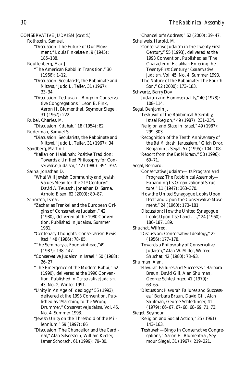CONSERVATIVE JUDAISM *(cont'd.)* Rothstein, Samuel. "Discussion: The Future of Our Movement," Louis Finkelstein, 9 (1945): 185–188. Routtenberg, Max J. "The American Rabbi in Transition," 30 (1966): 1–12. "Discussion: Secularists, the Rabbinate and *Mitzvot,*" Judd L. Teller, 31 (1967): 33–34. "Discussion: Teshuvah—Bingo in Conservative Congregations," Leon B. Fink, Aaron H. Blumenthal, Seymour Siegel, 31 (1967): 222. Rubel, Charles. M. "Discussion: *Ketubah,*" 18 (1954): 82. Ruderman, Samuel S. "Discussion: Secularists, the Rabbinate and *Mitzvot,*" Judd L. Teller, 31 (1967): 34. Sandberg, Martin I. "Kallah on Halakhah*:* Positive Tradition: Towards a Unified Philosophy for Conservative Judaism," 42 (1980): 394–397. Sarna, Jonathan D. "What Will Jewish Community and Jewish Values Mean for the 21st Century?" David A. Teutsch, Jonathan D. Sarna, Arnold Eisen, 62 (2000): 80–87. Schorsch, Ismar. "Zecharias Frankel and the European Origins of Conservative Judaism," 42 (1980), delivered at the 1980 Convention. Published in *Judaism,* Summer 1981. "Centenary Thoughts: Conservatism Revisited," 48 (1986): 78–85. "The Seminary as Fountainhead,"49 (1987): 138–147. "Conservative Judaism in Israel," 50 (1988): 26–27. "The Emergence of the Modern Rabbi," 52 (1990), delivered at the 1990 Convention. Published in *Conservative Judaism,* 43, No. 2, Winter 1991. "Unity in An Age of Ideology," 55 (1993), delivered at the 1993 Convention. Published as "Marching to the Wrong Drummer," *Conservative Judaism,* Vol. 45, No. 4, Summer 1993. "Jewish Unity on the Threshold of the Millennium," 59 (1997): 86 "Discussion: The Chancellor and the Cardinal," Alan Silverstein, William Keeler, Ismar Schorsch, 61 (1999): 79–80.

"Chancellor's Address," 62 (2000): 39–47. Schulweis, Harold. M. "Conservative Judaism in the Twenty-First Century," 55 (1993), delivered at the 1993 Convention. Published as "The Character of *Halakhah* Entering the Twenty-First Century," *Conservative Judaism,* Vol. 45, No. 4, Summer 1993. "The Nature of the Rabbinate: The Fourth Son," 62 (2000): 173–183. Schwartz, Barry Dov. "Judaism and Homosexuality," 40 (1978): 108–114. Segal, Benjamin J. "Teshuvot of the Rabbinical Assembly, Israel Region," 49 (1987): 231–234. "Religion and State in Israel," 49 (1987): 299–303. "Recognition of the Tenth Anniversary of the *Bet Midrash,* Jerusalem," Gilah Dror, Benjamin J. Segal, 57 (1995): 104–108. "Report from the *Bet Midrash,*" 58 (1996): 69–71. Segal, Bernard. "Conservative Judaism—Its Program and Progress: The Rabbinical Assembly— Expanding Its Organizational Structure," 11 (1947): 363–370. "How the United Synagogue Looks Upon Itself and Upon the Conservative Movement," 24 (1960): 173–181. "Discussion: How the United Synagogue Looks Upon Itself and . . .," 24 (1960): 186–187, 189. Shuchat, Wilfred. "Discussion: Conservative Ideology," 22 (1956): 177–178. "Towards a Philosophy of Conservative Judaism," Alan W. Miller, Wilfred Shuchat, 42 (1980): 78–93. Shulman, Alan. "*Havurah* Failures and Successes," Barbara Braun, David Gill, Alan Shulman, George Schleslinger, 41 (1979): 63–65. "Discussion: *Havurah* Failures and Successes," Barbara Braun, David Gill, Alan Shulman, George Schleslinger, 41 (1979): 66–67, 67–68, 68–69, 71, 73. Siegel, Seymour. "Religion and Social Action," 25 (1961): 143–163. "Teshuvah—Bingo in Conservative Congregations," Aaron H. Blumenthal, Seymour Siegel, 31 (1967): 219–221.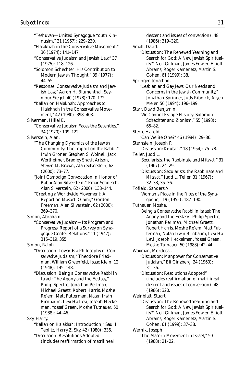"Teshuvah—United Synagogue Youth Kinnusim," 31 (1967): 229–230. "Halakhah in the Conservative Movement," 36 (1974): 141–147. "Conservative Judaism and Jewish Law," 37 (1975): 118–126. "Solomon Schechter: His Contribution to Modern Jewish Thought," 39 (1977): 44–55. "Response: Conservative Judaism and Jewish Law," Aaron H. Blumenthal, Seymour Siegel, 40 (1978): 170–172. "Kallah on Halakhah: Approaches to Halakhah in the Conservative Movement," 42 (1980): 398–403. Silverman, Hillel E. "Conservative Judaism Faces the Seventies," 34 (1970): 109–122. Silverstein, Alan. "The Changing Dynamics of the Jewish Community: The Impact on the Rabbi," Irwin Groner, Stephen S. Wolnek, Jack Wertheimer, Bradley Shavit Artson, Steven M. Brown, Alan Silverstein, 62 (2000): 73–77. "Joint Campaign Convocation in Honor of Rabbi Alan Silverstein," Ismar Schorsch, Alan Silverstein, 62 (2000): 138–144. "Creating a Worldwide Movement: A Report on Masorti Olami," Gordon Freeman, Alan Silverstein, 62 (2000): 369–370. Simon, Abraham. "Conservative Judaism—Its Program and Progress: Report of a Survey on Synagogue-Center Relations," 11 (1947): 315–319, 355. Simon, Ralph. "Discussion: Towards a Philosophy of Conservative Judaism," Theodore Friedman, William Greenfeld, Isaac Klein, 12 (1948): 145–148. "Discussion: Being a Conservative Rabbi in Israel: The Agony and the Ecstasy," Philip Spectre, Jonathan Perlman, Michael Graetz, Robert Harris, Moshe Re'em, Matt Futterman, Natan Irwin Birnbaum, Levi Ha-Levi, Joseph Heckelman, Yossef Green, Moshe Tutnauer, 50 (1988): 44–46. Sky, Harry. "Kallah on *Halakhah:* Introduction," Saul I. Teplitz, Harry Z. Sky, 42 (1980): 336.

"Discussion: Resolutions Adopted" (includes reaffirmation of matrilineal

descent and issues of conversion), 48 (1986): 319–320. Small, David. "Discussion: The Renewed Yearning and Search for God: A New Jewish Spirituality?" Neil Gillman, James Fowler, Elliott Abrams, Roger Kamenetz, Martin S. Cohen, 61 (1999): 38. Springer, Jonathan. "Lesbian and Gay Jews: Our Needs and Concerns in the Jewish Community," Jonathan Springer, Judy Ribnick, Aryeh Meier, 56 (1994): 196–199. Starr, David Benjamin. "We Cannot Escape History: Solomon Schechter and Zionism," 55 (1993): 65–82. Stern, Harold. "Can We Be One?" 46 (1984): 29–36. Sternstein, Joseph P. "Discussion: *Ketubah,*" 18 (1954): 75–78. Teller, Judd L. "Secularists, the Rabbinate and *Mitzvot,*" 31 (1967): 24–29. "Discussion: Secularists, the Rabbinate and *Mitzvot,*" Judd L. Teller, 31 (1967): 32–33, 35–36. Tofield, Sanders A. "Woman's Place in the Rites of the Synagogue," 19 (1955): 182–190. Tutnauer, Moshe. "Being a Conservative Rabbi in Israel: The Agony and the Ecstasy," Philip Spectre, Jonathan Perlman, Michael Graetz, Robert Harris, Moshe Re'em, Matt Futterman, Natan Irwin Birnbaum, Levi Ha-Levi, Joseph Heckelman, Yossef Green, Moshe Tutnauer, 50 (1988): 42–44. Waxman, Mordecai. "Discussion: Manpower for Conservative Judaism," Eli Ginzberg, 24 (1960): 31–36. "Discussion: Resolutions Adopted" (includes reaffirmation of matrilineal descent and issues of conversion), 48  $(1986) \cdot 320$ Weinblatt, Stuart. "Discussion: The Renewed Yearning and Search for God: A New Jewish Spirituality?" Neil Gillman, James Fowler, Elliott Abrams, Roger Kamenetz, Martin S. Cohen, 61 (1999): 37–38. Wernik, Joseph. "The Masorti Movement in Israel," 50 (1988): 21–22.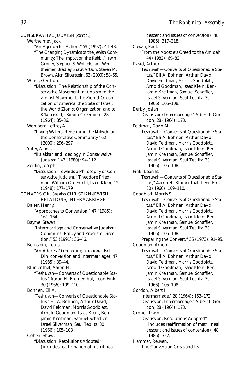CONSERVATIVE JUDAISM *(cont'd.)* Wertheimer, Jack. "An Agenda for Action," 59 (1997): 44–48. "The Changing Dynamics of the Jewish Community: The Impact on the Rabbi," Irwin Groner, Stephen S. Wolnek, Jack Wertheimer, Bradley Shavit Artson, Steven M. Brown, Alan Silverstein, 62 (2000): 58–65. Winer, Gershon. "Discussion: The Relationship of the Conservative Movement in Judaism to the Zionist Movement, the Zionist Organization of America, the State of Israel, the World Zionist Organization and to *K'lal Yisrael,*" Simon Greenberg, 28 (1964): 85–86. Wohlberg, Jeffrey A. "Living Waters: Redefining the *Mikveh* for the Conservative Community," 62 (2000): 296–297. Yuter, Alan J. "*Halakhah* and Ideology in Conservative Judaism," 42 (1980): 94–112. Zeitlin, Joseph. "Discussion: Towards a Philosophy of Conservative Judaism," Theodore Friedman, William Greenfeld, Isaac Klein, 12 (1948): 177–179. CONVERSION. *See also* CHRISTIAN-JEWISH RELATIONS; INTERMARRIAGE Balser, Henry. "Approaches to Conversion," 47 (1985): 161–164. Bayme, Steven. "Intermarriage and Conservative Judaism: Communal Policy and Program Direction," 53 (1991): 36–46. Bernstein, Louis. "An Address" (regarding a national Bet Din, conversion and intermarriage), 47 (1985): 39–44. Blumenthal, Aaron H. "Teshuvah—Converts of Questionable Status," Aaron H. Blumenthal, Leon Fink, 30 (1966): 109–110. Bohnen, Eli A. "Teshuvah—Converts of Questionable Status," Eli A. Bohnen, Arthur David, David Feldman, Morris Goodblatt, Arnold Goodman, Isaac Klein, Benjamin Kreitman, Samuel Schaffler, Israel Silverman, Saul Teplitz, 30 (1966): 105–108. Cohen, Shaye. "Discussion: Resolutions Adopted" (includes reaffirmation of matrilineal

descent and issues of conversion), 48 (1986): 317–318. Cowan, Paul. "From the Apostle's Creed to the Amidah," 44 (1982): 69–82. David, Arthur. "Teshuvah—Converts of Questionable Status," Eli A. Bohnen, Arthur David, David Feldman, Morris Goodblatt, Arnold Goodman, Isaac Klein, Benjamin Kreitman, Samuel Schaffler, Israel Silverman, Saul Teplitz, 30 (1966): 105–108. Derby, Josiah. "Discussion: Intermarriage," Albert I. Gordon, 28 (1964): 173. Feldman, David M. "Teshuvah—Converts of Questionable Status," Eli A. Bohnen, Arthur David, David Feldman, Morris Goodblatt, Arnold Goodman, Isaac Klein, Benjamin Kreitman, Samuel Schaffler, Israel Silverman, Saul Teplitz, 30 (1966): 105–108. Fink, Leon B. "Teshuvah—Converts of Questionable Status," Aaron H. Blumenthal, Leon Fink, 30 (1966): 109–110. Goodblatt, Morris S. "Teshuvah—Converts of Questionable Status," Eli A. Bohnen, Arthur David, David Feldman, Morris Goodblatt, Arnold Goodman, Isaac Klein, Benjamin Kreitman, Samuel Schaffler, Israel Silverman, Saul Teplitz, 30 (1966): 105–108. "Preparing the Convert," 35 (1973): 91–95. Goodman, Arnold. "Teshuvah—Converts of Questionable Status," Eli A. Bohnen, Arthur David David Feldman, Morris Goodblatt, Arnold Goodman, Isaac Klein, Benjamin Kreitman, Samuel Schaffler, Israel Silverman, Saul Teplitz, 30 (1966): 105–108. Gordon, Albert I. "Intermarriage," 28 (1964): 163–172. "Discussion: Intermarriage," Albert I. Gordon, 28 (1964): 173. Groner, Irwin. "Discussion: Resolutions Adopted" (includes reaffirmation of matrilineal descent and issues of conversion), 48 (1986): 322. Hammer, Reuven. "The Conversion Crisis and Its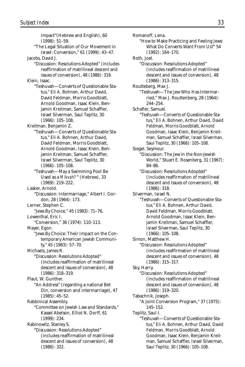Impact"(Hebrew and English), 60 (1998): 51–59. "The Legal Situation of Our Movement in Israel: Conversion," 61 (1999): 43–47. Jacobs, David J. "Discussion: Resolutions Adopted" (includes reaffirmation of matrilineal descent and issues of conversion), 48 (1986): 319. Klein, Isaac. "Teshuvah—Converts of Questionable Status," Eli A. Bohnen, Arthur David, David Feldman, Morris Goodblatt, Arnold Goodman, Isaac Klein, Benjamin Kreitman, Samuel Schaffler, Israel Silverman, Saul Teplitz, 30 (1966): 105–108. Kreitman, Benjamin Z. "Teshuvah—Converts of Questionable Status," Eli A. Bohnen, Arthur David David Feldman, Morris Goodblatt, Arnold Goodman, Isaac Klein, Benjamin Kreitman, Samuel Schaffler, Israel Silverman, Saul Teplitz, 30 (1966): 105–108. "Teshuvah—May a Swimming Pool Be Used as a *Mikvah?*" (Hebrew), 33 (1969): 219–222. Lasker, Arnold. "Discussion: Intermarriage," Albert I. Gordon, 28 (1964): 173. Lerner, Stephen C. "Jews By Choice," 45 (1983): 71–76. Lowenthal, Eric I. "Conversion," 36 (1974): 110–113. Mayer, Egon. "Jews By Choice: Their Impact on the Contemporary American Jewish Community," 45 (1983): 57–70. Michaels, James R. "Discussion: Resolutions Adopted" (includes reaffirmation of matrilineal descent and issues of conversion), 48 (1986): 318–319. Plaut, W. Gunther. "An Address" (regarding a national Bet Din, conversion and intermarriage), 47 (1985): 45–52. Rabbinical Assembly. "Committee on Jewish Law and Standards," Kassel Abelson, Elliot N. Dorff, 61 (1999): 234. Rabinowitz, Stanley S. "Discussion: Resolutions Adopted" (includes reaffirmation of matrilineal descent and issues of conversion), 48 (1986): 322.

Romanoff, Lena. "How to Make Practicing and Feeling Jews: What Do Converts Want From Us?" 54 (1992): 164–170. Roth, Joel. "Discussion: Resolutions Adopted" (includes reaffirmation of matrilineal descent and issues of conversion), 48 (1986): 313–315. Routteberg, Max J. "Teshuvah—The Jew Who Has Intermarried," Max J. Routtenberg, 28 (1964): 244–254. Schafler, Samuel. "Teshuvah—Converts of Questionable Status," Eli A. Bohnen, Arthur David, David Feldman, Morris Goodblatt, Arnold Goodman, Isaac Klein, Benjamin Kreitman, Samuel Schaffler, Israel Silverman, Saul Teplitz, 30 (1966): 105–108. Siegel, Seymour. "Discussion: The Jew in the Non-Jewish World," Stuart E. Rosenberg, 31 (1967): 84–86. "Discussion: Resolutions Adopted" (includes reaffirmation of matrilineal descent and issues of conversion), 48 (1986): 318. Silverman, Israel N. "Teshuvah—Converts of Questionable Status," Eli A. Bohnen, Arthur David, David Feldman, Morris Goodblatt, Arnold Goodman, Isaac Klein, Benjamin Kreitman, Samuel Schaffler, Israel Silverman, Saul Teplitz, 30 (1966): 105–108. Simon, Matthew H. "Discussion: Resolutions Adopted" (includes reaffirmation of matrilineal descent and issues of conversion), 48 (1986): 315–317. Sky, Harry. "Discussion: Resolutions Adopted" (includes reaffirmation of matrilineal descent and issues of conversion), 48 (1986): 319–320. Tabachnik, Joseph. "A Joint Conversion Program," 37 (1975): 145–152. Teplitz, Saul I. "Teshuvah—Converts of Questionable Status," Eli A. Bohnen, Arthur David, David Feldman, Morris Goodblatt, Arnold Goodman, Isaac Klein, Benjamin Kreitman, Samuel Schaffler, Israel Silverman,

Saul Teplitz, 30 (1966): 105–108.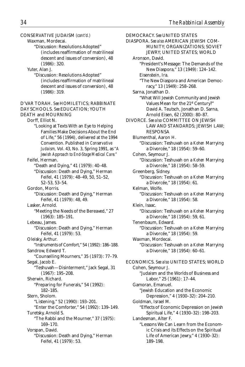CONSERVATIVE JUDAISM *(cont'd.)* Waxman, Mordecai. "Discussion: Resolutions Adopted" (includes reaffirmation of matrilineal descent and issues of conversion), 48 (1986): 320. Yuter, Alan J. "Discussion: Resolutions Adopted" (includes reaffirmation of matrilineal descent and issues of conversion), 48 (1986): 319. D'VAR TORAH. *See* HOMILETICS; RABBINATE DAY SCHOOLS. *See* EDUCATION; YOUTH DEATH and MOURNING Dorff, Elliot N. "Looking at Texts With an Eye to Helping Families Make Decisions About the End of Life," 56 (1994), delivered at the 1994 Convention. Published in *Conservative Judaism,* Vol. 43, No. 3, Spring 1991, as *"A Jewish Approach to End-Stage Medical Care."* Feifel, Herman. "Death and Dying," 41 (1979): 40–48. "Discussion: Death and Dying," Herman Feifel, 41 (1979): 48–49, 50, 51–52, 52–53, 53–54. Gordon, Morris. "Discussion: Death and Dying," Herman Feifel, 41 (1979): 48, 49. Lasker, Arnold. "Meeting the Needs of the Bereaved," 27 (1963): 185–191. Lebeau, James. "Discussion: Death and Dying," Herman Feifel, 41 (1979): 53. Oleisky, Arthur. "Instruments of Comfort," 54 (1992): 186–188. Sandrow, Edward T. "Counselling Mourners," 35 (1973): 77–79. Segal, Jacob E. "Teshuvah—Disinterment," Jack Segal, 31 (1967): 195–208. Sherwin, Richard. "Preparing for Funerals," 54 (1992): 182–185. Stern, Sholom. "Listening," 52 (1990): 193–201. "Enter the Comforter," 54 (1992): 139–149. Turetsky, Arnold S. "The Rabbi and the Mourner," 37 (1975): 169–170. Vorspan, David. "Discussion: Death and Dying," Herman

Feifel, 41 (1979): 53.

DEMOCRACY. *See* UNITED STATES DIASPORA. *See also* AMERICAN JEWISH COM-MUNITY; ORGANIZATIONS; SOVIET JEWRY; UNITED STATES; WORLD Aronson, David. "President's Message: The Demands of the New Diaspora," 13 (1949): 124–142. Eisenstein, Ira. "The New Diaspora and American Democracy," 13 (1949): 258–268. Sarna, Jonathan D. "What Will Jewish Community and Jewish Values Mean for the 21st Century?" David A. Teutsch, Jonathan D. Sarna, Arnold Eisen, 62 (2000): 80–87. DIVORCE. *See also* COMMITTEE ON JEWISH LAW AND STANDARDS; JEWISH LAW; RESPONSA Blumenthal, Aaron H. "Discussion: Teshuvah on a *Kohen* Marrying a Divorcée," 18 (1954): 59–60. Cohen, Seymour J. "Discussion: Teshuvah on a *Kohen* Marrying a Divorcée," 18 (1954): 58–59. Greenberg, Sidney. "Discussion: Teshuvah on a *Kohen* Marrying a Divorcée," 18 (1954): 61. Kelman, Wolfe. "Discussion: Teshuvah on a *Kohen* Marrying a Divorcée," 18 (1954): 58. Klein, Isaac. "Discussion: Teshuvah on a *Kohen* Marrying a Divorcée," 18 (1954): 59, 61. Tenenbaum, Edward. "Discussion: Teshuvah on a *Kohen* Marrying a Divorcée," 18 (1954): 59. Waxman, Mordecai. "Discussion: Teshuvah on a *Kohen* Marrying a Divorcée," 18 (1954): 60–61. ECONOMICS. *See also* UNITED STATES; WORLD Cohen, Seymour J. "Judaism and the Worlds of Business and Labor," 25 (1961): 17–44. Gamoran, Emanuel. "Jewish Education and the Economic Depression," 4 (1930–32): 204–210. Goldman, Israel M. "Effects of Economic Depression on Jewish Spiritual Life," 4 (1930–32): 198–203. Landesman, Alter F. "Lessons We Can Learn from the Economic Crisis and its Effects on the Spiritual

Life of American Jewry," 4 (1930–32):

189–198.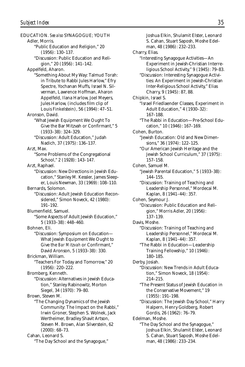EDUCATION. *See also* SYNAGOGUE; YOUTH Adler, Morris. "Public Education and Religion," 20 (1956): 130–137. "Discussion: Public Education and Religion," 20 (1956): 141–142. Appelfeld, Aharon. "Something About My Way: Talmud Torah: in Tribute to Rabbi Jules Harlow," Efry Spectre, Yochanan Muffs, Israel N. Silverman, Lawrence Hoffman, Aharon Appelfeld, Ilana Harlow, Joel Meyers, Jules Harlow, (includes film clip of Louis Finkelstein), 56 (1994): 47–51. Aronson, David. "What Jewish Equipment We Ought To Give the Bar Mitzvah or Confirmant," 5 (1933–38): 324–329. "Discussion: Adult Education," Judah Nadich, 37 (1975): 136–137. Arzt, Max. "Some Problems of the Congregational School," 2 (1928): 143–147. Arzt, Raphael. "Discussion: New Directions in Jewish Education," Stanley M. Kessler, James Sleeper, Louis Newman, 33 (1969): 108–110. Bernards, Solomon. "Discussion: Adult Jewish Education Reconsidered," Simon Noveck, 42 (1980): 191–192. Blumenfield, Samuel. "Some Aspects of Adult Jewish Education," 5 (1933–38): 448–460. Bohnen, Eli. "Discussion: Symposium on Education— What Jewish Equipment We Ought to Give the *Bar Mitzvah* or Confirmant," David Aronson, 5 (1933–38): 330. Brickman, William. "Teachers For Today and Tomorrow," 20 (1956): 220–222. Bromberg, Kenneth. "Discussion: Alternatives in Jewish Education," Stanley Rabinowitz, Morton Siegel, 34 (1970): 79–80. Brown, Steven M. "The Changing Dynamics of the Jewish Community: The Impact on the Rabbi," Irwin Groner, Stephen S. Wolnek, Jack Wertheimer, Bradley Shavit Artson, Steven M. Brown, Alan Silverstein, 62 (2000): 68–73. Cahan, Leonard S. "The Day School and the Synagogue,"

Joshua Elkin, Shulamit Elster, Leonard S. Cahan, Stuart Saposh, Moshe Edelman, 48 (1986): 232–233. Charry, Elias. "Interesting Synagogue Activities—An Experiment in Jewish-Christian Interreligious School Activity," 9 (1945): 79–83. "Discussion: Interesting Synagogue Activities: An Experiment in Jewish-Christian Inter-Religious School Activity," Elias Charry, 9 (1945): 87, 88. Chipkin, Israel S. "Israel Friedlaender Classes, Experiment in Adult Education," 4 (1930–32): 167–188. "The Rabbi in Education—Pre-School Education," 10 (1946): 167–169. Cohen, Burton. "Jewish Education: Old and New Dimensions," 36 (1974): 122–125. "Our American Jewish Heritage and the Jewish School Curriculum," 37 (1975): 157–158. Cohen, Samuel M. "Jewish Parental Education," 5 (1933–38): 144–155. "Discussion: Training of Teaching and Leadership Personnel," Mordecai M. Kaplan, 8 (1941–44): 357. Cohen, Seymour J. "Discussion: Public Education and Religion," Morris Adler, 20 (1956): 137–139. Davis, Moshe. "Discussion: Training of Teaching and Leadership Personnel," Mordecai M. Kaplan, 8 (1941–44): 357. "The Rabbi in Education—Leadership Training Fellowship," 10 (1946): 180–185. Derby, Josiah. "Discussion: New Trends in Adult Education," Simon Noveck, 18 (1954): 214–215. "The Present Status of Jewish Education in the Conservative Movement," 19 (1955): 191–198. "Discussion: The Jewish Day School," Harry Halpern, Henry Goldberg, Robert Gordis, 26 (1962): 76–79. Edelman, Moshe. "The Day School and the Synagogue," Joshua Elkin, Shulamit Elster, Leonard S. Cahan, Stuart Saposh, Moshe Edelman, 48 (1986): 233–234.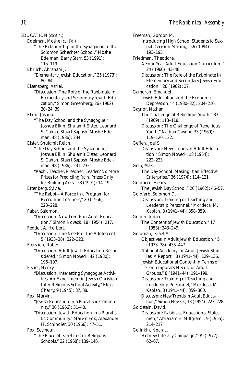EDUCATION *(cont'd.)*

Edelman, Moshe *(cont'd.)*

"The Relationship of the Synagogue to the Solomon Schechter School," Moshe Edelman, Barry Starr, 53 (1991): 115–119.

Ehrlich, Abraham J.

"Elementary Jewish Education," 35 (1973): 80–84.

Eisensberg, Azriel.

"Discussion: The Role of the Rabbinate in Elementary and Secondary Jewish Education," Simon Greenberg, 26 (1962): 20–24, 39.

Elkin, Joshua.

"The Day School and the Synagogue," Joshua Elkin, Shulamit Elster, Leonard S. Cahan, Stuart Saposh, Moshe Edelman, 48 (1986): 234.

Elster, Shulamit Reich.

- "The Day School and the Synagogue," Joshua Elkin, Shulamit Elster, Leonard S. Cahan, Stuart Saposh, Moshe Edelman, 48 (1986): 231–232.
- "Rabbi, Teacher, Preacher: Leader? No More Prizes for Predicting Rain, Prizes Only for Building Arks," 53 (1991): 14–19.

Ettenberg, Sylvia.

"The Rabbi—A Force in a Program for Recruiting Teachers," 20 (1956): 223–228.

Faber, Salomon.

- "Discussion: New Trends in Adult Education," Simon Noveck, 18 (1954): 217.
- Fedder, A. Herbert. "Discussion: The Needs of the Adolescent," 5 (1933–38): 322–323.

Fierstien, Robert.

"Discussion: Adult Jewish Education Reconsidered," Simon Noveck, 42 (1980): 196–197.

Fisher, Henry.

"Discussion: Interesting Synagogue Activities: An Experiment in Jewish-Christian Inter-Religious School Activity," Elias Charry, 9 (1945): 87, 88.

Fox, Marvin.

"Jewish Education in a Pluralistic Community," 30 (1966): 31–40.

"Discussion: Jewish Education in a Pluralistic Community," Marvin Fox, Alexander M. Schindler, 30 (1966): 47–51.

Fox, Seymour.

"The Place of Israel in Our Religious Schools," 32 (1968): 139–146.

Freeman, Gordon M. "Introducing High School Students to Sexual Decision-Making," 56 (1994): 193–195. Friedman, Theodore. "A Four Year Adult Education Curriculum," 24 (1960): 43–48. "Discussion: The Role of the Rabbinate in Elementary and Secondary Jewish Education," 26 (1962): 37. Gamoran, Emanuel. "Jewish Education and the Economic Depression," 4 (1930–32): 204–210. Gaynor, Nathan. "The Challenge of Rebellious Youth," 33 (1969): 113–118. "Discussion: The Challenge of Rebellious Youth," Nathan Gaynor, 33 (1969): 119–120, 122. Geffen, Joel S. "Discussion: New Trends in Adult Education," Simon Noveck, 18 (1954): 222–223. Gelb, Max. "The Day School: Making It an Effective Enterprise," 36 (1974): 114–121. Goldberg, Henry. "The Jewish Day School," 26 (1962): 46–57. Goldfarb, Solomon D. "Discussion: Training of Teaching and Leadership Personnel," Mordecai M. Kaplan, 8 (1941–44): 358–359. Goldin, Judah L. "The Content of Jewish Education," 17 (1953): 243–249. Goldman, Israel M. "Objectives in Adult Jewish Education," 5 (1933–38): 435–447. "National Academy for Adult Jewish Studies: A Report," 8 (1941–44): 129–136. "Jewish Educational Content in Terms of Contemporary Needs for Adult Groups," 8 (1941–44): 191–199. "Discussion: Training of Teaching and Leadership Personnel," Mordecai M. Kaplan, 8 (1941–44): 359–360. "Discussion: New Trends in Adult Education," Simon Noveck, 18 (1954): 223–228. Goldstein, David. "Discussion: Rabbis as Educational Statesmen," Abraham E. Millgram, 19 (1955): 214–217. Golinkin, Noah L. "Hebrew Literacy Campaign," 39 (1977): 62–67.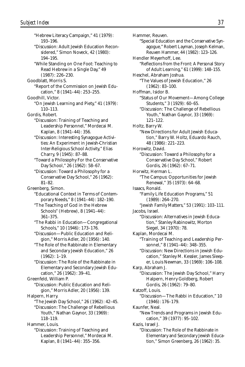"Hebrew Literacy Campaign," 41 (1979): 193–196. "Discussion: Adult Jewish Education Reconsidered," Simon Noveck, 42 (1980): 194–195. "While Standing on One Foot: Teaching to Read Hebrew in a Single Day," 49 (1987): 226–230. Goodblatt, Morris S. "Report of the Commission on Jewish Education," 8 (1941–44): 253–255. Goodhill, Victor. "On Jewish Learning and Piety," 41 (1979): 110–113. Gordis, Robert. "Discussion: Training of Teaching and Leadership Personnel," Mordecai M. Kaplan, 8 (1941–44): 356. "Discussion: Interesting Synagogue Activities: An Experiment in Jewish-Christian Inter-Religious School Activity," Elias Charry, 9 (1945): 87–88. "Toward a Philosophy For the Conservative Day School," 26 (1962): 58–67. "Discussion: Toward a Philosophy for a Conservative Day School," 26 (1962): 81–82. Greenberg, Simon. "Educational Context in Terms of Contemporary Needs," 8 (1941–44): 182–190. "The Teaching of God in the Hebrew Schools" (Hebrew), 8 (1941–44): 361–375. "The Rabbi in Education—Congregational Schools," 10 (1946): 173–176. "Discussion—Public Education and Religion," Morris Adler, 20 (1956): 140. "The Role of the Rabbinate in Elementary and Secondary Jewish Education," 26 (1962): 1–19. "Discussion: The Role of the Rabbinate in Elementary and Secondary Jewish Education," 26 (1962): 39–41. Greenfeld, William P. "Discussion: Public Education and Religion," Morris Adler, 20 (1956): 139. Halpern, Harry. "The Jewish Day School," 26 (1962): 42–45. "Discussion: The Challenge of Rebellious Youth," Nathan Gaynor, 33 (1969): 118–119. Hammer, Louis. "Discussion: Training of Teaching and Leadership Personnel," Mordecai M. Kaplan, 8 (1941–44): 355–356.

Hammer, Reuven. "Special Education and the Conservative Synagogue," Robert Layman, Joseph Kelman, Reuven Hammer, 44 (1982): 123–126. Hendler Meyerhoff, Lee. "Reflections from the Front: A Personal Story of Adult Learning," 61 (1999): 148–155. Heschel, Abraham Joshua. "The Values of Jewish Education," 26 (1962): 83–100. Hoffman, Isidor B. "Status of Our Movement—Among College Students," 3 (1929): 60–65. "Discussion: The Challenge of Rebellious Youth," Nathan Gaynor, 33 (1969): 121–122. Holtz, Barry W. "New Directions for Adult Jewish Education," Barry W. Holtz, Eduardo Rauch, 48 (1986): 221–223. Horowitz, David. "Discussion: Toward a Philosophy for a Conservative Day School," Robert Gordis, 26 (1962): 67–71. Horwitz, Herman L. "The Campus: Opportunities for Jewish Renewal," 35 (1973): 64–68. Isaacs, Ronald. "Family Life Education Programs," 51 (1989): 264–270. "Jewish Family Matters," 53 (1991): 103–111. Jacobs, Israel. "Discussion: Alternatives in Jewish Education," Stanley Rabinowitz, Morton Siegel, 34 (1970): 78. Kaplan, Mordecai M. "Training of Teaching and Leadership Personnel," 8 (1941–44): 348–355. "Discussion: New Directions in Jewish Education," Stanley M. Kessler, James Sleeper, Louis Newman, 33 (1969): 106–108. Karp, Abraham J. "Discussion: The Jewish Day School," Harry Halpern, Henry Goldberg, Robert Gordis, 26 (1962): 79–80. Katzoff, Louis. "Discussion—The Rabbi in Education," 10 (1946): 176–179. Kaunfer, Neal. "New Trends and Programs in Jewish Education," 39 (1977): 95–102. Kazis, Israel J. "Discussion: The Role of the Rabbinate in Elementary and Secondary Jewish Education," Simon Greenberg, 26 (1962): 35.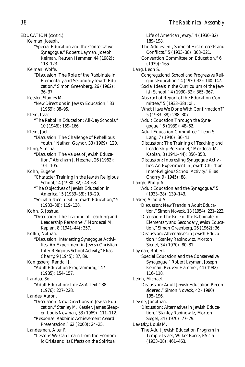Kelman, Joseph. "Special Education and the Conservative Synagogue," Robert Layman, Joseph Kelman, Reuven Hammer, 44 (1982): 118–123. Kelman, Wolfe. "Discussion: The Role of the Rabbinate in Elementary and Secondary Jewish Education," Simon Greenberg, 26 (1962): 36–37. Kessler, Stanley M. "New Directions in Jewish Education," 33 (1969): 88–95. Klein, Isaac. "The Rabbi in Education: All-Day Schools," 10 (1946): 159–166. Klein, Joel. "Discussion: The Challenge of Rebellious Youth," Nathan Gaynor, 33 (1969): 120. Kling, Simcha. "Discussion: The Values of Jewish Education," Abraham J. Heschel, 26 (1962): 101–105. Kohn, Eugene. "Character Training in the Jewish Religious School," 4 (1930–32): 43–63. "The Objectives of Jewish Education in America," 5 (1933–38): 13–29. "Social Justice Ideal in Jewish Education," 5 (1933–38): 119–138. Kohn, S. Joshua. "Discussion: The Training of Teaching and Leadership Personnel," Mordecai M. Kaplan, 8 (1941–44): 357. Kollin, Nathan. "Discussion: Interesting Synagogue Activities: An Experiment in Jewish-Christian Inter-Religious School Activity," Elias Charry, 9 (1945): 87, 89. Konigsberg, Randall J. "Adult Education Programming," 47 (1985): 154–157. Landau, Sol. "Adult Education: Life As A Text," 38 (1976): 227–228. Landes, Aaron. "Discussion: New Directions in Jewish Education," Stanley M. Kessler, James Sleeper, Louis Newman, 33 (1969): 111–112. "Response: Rabbinic Achievement Award Presentation," 62 (2000): 24–25. Landesman, Alter F.

"Lessons We Can Learn from the Economic Crisis and its Effects on the Spiritual

Life of American Jewry," 4 (1930–32): 189–198. "The Adolescent, Some of His Interests and Conflicts," 5 (1933–38): 308–321. "Convention Committee on Education," 6 (1939): 165. Lang. Leon S. "Congregational School and Progressive Religious Education," 4 (1930–32): 140–147. "Social Ideals in the Curriculum of the Jewish School," 4 (1930–32): 365–367. "Abstract of Report of the Education Committee," 5 (1933–38): xii. "What Have We Done With Confirmation?" 5 (1933–38): 288–307. "Adult Education Through the Synagogue," 6 (1939): 48–62. "Adult Education Committee," Leon S. Lang, 7 (1940): 36–41. "Discussion: The Training of Teaching and Leadership Personnel," Mordecai M. Kaplan, 8 (1941–44): 356–358. "Discussion: Interesting Synagogue Activities: An Experiment in Jewish-Christian Inter-Religious School Activity," Elias Charry, 9 (1945): 88. Langh, Philip A. "Adult Education and the Synagogue," 5 (1933–38): 139–143. Lasker, Arnold A. "Discussion: New Trends in Adult Education," Simon Noveck, 18 (1954): 221–222. "Discussion: The Role of the Rabbinate in Elementary and Secondary Jewish Education," Simon Greenberg, 26 (1962): 36. "Discussion: Alternatives in Jewish Education," Stanley Rabinowitz, Morton Siegel, 34 (1970): 80–81. Layman, Robert. "Special Education and the Conservative Synagogue," Robert Layman, Joseph Kelman, Reuven Hammer, 44 (1982): 116–118. Leigh, Michael. "Discussion: Adult Jewish Education Reconsidered," Simon Noveck, 42 (1980): 195–196. Levine, Jonathan. "Discussion: Alternatives in Jewish Education," Stanley Rabinowitz, Morton Siegel, 34 (1970): 77–79. Levitsky, Louis M. "The Adult Jewish Education Program in Temple Israel, Wilkes-Barre, PA," 5 (1933–38): 461–463.

EDUCATION *(cont'd.)*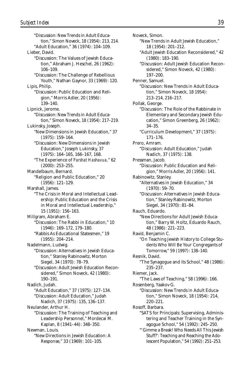"Discussion: New Trends in Adult Education," Simon Noveck, 18 (1954): 213, 214. "Adult Education," 36 (1974): 104–109. Lieber, David. "Discussion: The Values of Jewish Education," Abraham J. Heschel, 26 (1962): 106–109. "Discussion: The Challenge of Rebellious Youth," Nathan Gaynor, 33 (1969): 120. Lipis, Philip. "Discussion: Public Education and Religion," Morris Adler, 20 (1956): 139–140. Lipnick, Jerome. "Discussion: New Trends in Adult Education," Simon Noveck, 18 (1954): 217–219. Lukinsky, Joseph. "New Dimensions in Jewish Education," 37 (1975): 159–164. "Discussion: New Dimensions in Jewish Education," Joseph Lukinsky, 37 (1975): 164–165, 166–167, 168. "The Experience of *Parshat Hashavua,*" 62 (2000): 253–255. Mandelbaum, Bernard. "Religion and Public Education," 20 (1956): 121–129. Marshall, James. "The Crisis in Moral and Intellectual Leadership: Public Education and the Crisis in Moral and Intellectual Leadership," 15 (1951): 156–163. Millgram, Abraham E. "Discussion: The Rabbi in Education," 10 (1946): 169–172, 179–180. "Rabbis As Educational Statesmen," 19 (1955): 204–214. Nadelmann, Ludwig. "Discussion: Alternatives in Jewish Education," Stanley Rabinowitz, Morton Siegel, 34 (1970): 78–79. "Discussion: Adult Jewish Education Reconsidered," Simon Noveck, 42 (1980): 190–191. Nadich, Judah. "Adult Education," 37 (1975): 127–134. "Discussion: Adult Education," Judah Nadich, 37 (1975): 135, 136–137. Neulander, Arthur H. "Discussion: The Training of Teaching and Leadership Personnel," Mordecai M. Kaplan, 8 (1941–44): 348–350. Newman, Louis. "New Directions in Jewish Education: A Response," 33 (1969): 101–105.

Noveck, Simon. "New Trends in Adult Jewish Education," 18 (1954): 201–212. "Adult Jewish Education Reconsidered," 42 (1980): 183–190. "Discussion: Adult Jewish Education Reconsidered," Simon Noveck, 42 (1980): 197–200. Penner, Samuel. "Discussion: New Trends in Adult Education," Simon Noveck, 18 1954): 213–214, 216–217. Pollak, George. "Discussion: The Role of the Rabbinate in Elementary and Secondary Jewish Education," Simon Greenberg, 26 (1962): 34–35. "Curriculum Development," 37 (1975): 171–176. Prero, Amram. "Discussion: Adult Education," Judah Nadich, 37 (1975): 138. Pressman, Jacob. "Discussion: Public Education and Religion," Morris Adler, 20 (1956): 141. Rabinowitz, Stanley. "Alternatives in Jewish Education," 34  $(1970): 59 - 70.$ "Discussion: Alternatives in Jewish Education," Stanley Rabinowitz, Morton Siegel, 34 (1970): 81–84. Rauch, Eduardo. "New Directions for Adult Jewish Education," Barry W. Holtz, Eduardo Rauch, 48 (1986): 221–223. Ravid, Benjamin C. "On Teaching Jewish History to College Students Who Will Be Your Congregants of Tomorrow," 59 (1997): 138–140. Resnik, David. "The Synagogue and its School," 48 (1986): 235–237. Riemer, Jack. "The Laws of Teaching," 58 (1996): 166. Rosenberg, Yaakov G. "Discussion: New Trends in Adult Education," Simon Noveck, 18 (1954): 214, 220–221. Rosoff, Barbara. "SATS for Principals: Supervising, Administering and Teacher Training in the Synagogue School," 54 (1992): 245–250. "'Gimme a Break! Who Needs All This Jewish Stuff?': Teaching and Reaching the Ado-

lescent Population," 54 (1992): 251–253.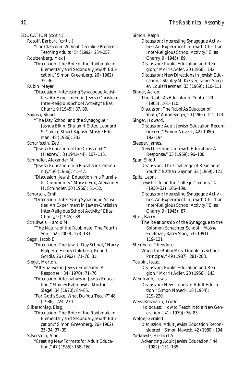EDUCATION *(cont'd.)*

Rosoff, Barbara *(cont'd.)*

"The Classroom Without Discipline Problems: Teaching Adults," 54 (1992): 254–257.

- Routtenberg, Max J.
	- "Discussion: The Role of the Rabbinate in Elementary and Secondary Jewish Education," Simon Greenberg, 26 (1962): 35–36.

Rubin, Meyer.

"Discussion: Interesting Synagogue Activities: An Experiment in Jewish-Christian Inter-Religious School Activity," Elias Charry, 9 (1945): 87, 89.

Saposh, Stuart.

- "The Day School and the Synagogue," Joshua Elkin, Shulamit Elster, Leonard S. Cahan, Stuart Saposh, Moshe Edelman, 48 (1986): 233.
- Scharfstein, Zevi.
	- "Jewish Education at the Crossroads" (Hebrew), 8 (1941–44): 107–115.
- Schindler, Alexander M.
	- "Jewish Education in a Pluralistic Community," 30 (1966): 41–47.
		- "Discussion: Jewish Education in a Pluralistic Community," Marvin Fox, Alexander M. Schindler, 30 (1966): 51–52.

Schorsch, Emil.

- "Discussion: Interesting Synagogue Activities: An Experiment in Jewish-Christian Inter-Religious School Activity," Elias Charry, 9 (1945): 88.
- Schulweis, Harold M.
	- "The Nature of the Rabbinate: The Fourth Son," 62 (2000): 173–183.

Segal, Jacob E.

"Discussion: The Jewish Day School," Harry Halpern, Henry Goldberg, Robert Gordis, 26 (1962): 71–76, 81.

Siegel, Morton.

- "Alternatives in Jewish Education: A Response," 34 (1970): 71–76.
- "Discussion: Alternatives in Jewish Education," Stanley Rabinowitz, Morton Siegel, 34 (1970): 84–85.
- "For God's Sake, What Do You Teach?" 48 (1986): 224–230.

Silberschlag, Eisig.

"Discussion: The Role of the Rabbinate in Elementary and Secondary Jewish Education," Simon Greenberg, 26 (1962): 25–34, 37–39.

Silverstein, Alan.

"Creating New Formats for Adult Education," 47 (1985): 158–160.

Simon, Ralph. "Discussion: Interesting Synagogue Activities: An Experiment in Jewish-Christian Inter-Religious School Activity," Elias Charry, 9 (1945): 89. "Discussion: Public Education and Religion," Morris Adler, 20 (1956): 142. "Discussion: New Directions in Jewish Education," Stanley M. Kessler, James Sleeper, Louis Newman, 33 (1969): 110–111. Singer, Aaron. "The Rabbi As Educator of Youth," 29 (1965): 101–110. "Discussion: The Rabbi As Educator of Youth," Aaron Singer, 29 (1965): 111–113. Singer, Howard. "Discussion: Adult Jewish Education Reconsidered," Simon Noveck, 42 (1980): 192–194. Sleeper, James. "New Directions in Jewish Education: A Response," 33 (1969): 96–100. Spar, Elliott. "Discussion: The Challenge of Rebellious Youth," Nathan Gaynor, 33 (1969): 121. Spitz, Leon. "Jewish Life on the College Campus," 4 (1930–32): 106–109. "Discussion: Interesting Synagogue Activities: An Experiment in Jewish-Christian Inter-Religious School Activity," Elias Charry, 9 (1945): 87. Starr, Barry. "The Relationship of the Synagogue to the Solomon Schechter School," Moshe Edelman, Barry Starr, 53 (1991): 119–121. Steinberg, Theodore. "When the Rabbi Must Double as School Principal," 49 (1987): 281–288. Toubin, Isaac. "Discussion: Public Education and Religion," Morris Adler, 20 (1956): 143. Weintraub, Lewis. "Discussion: New Trends in Adult Education," Simon Noveck, 18 (1954): 219–220. Weiss-Rosmarin, Trude. "Holocaust: How to Teach It to a New Generation," 41 (1979): 76–83. Wolpe, Gerald I. "Discussion: Adult Jewish Education Reconsidered," Simon Noveck, 42 (1980): 194. Yoskowitz, Herbert A. "Advancing Adult Jewish Education," 44 (1982): 131–135.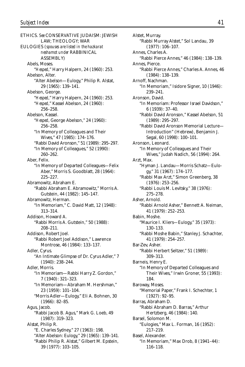ETHICS. *See* CONSERVATIVE JUDAISM: JEWISH LAW; THEOLOGY; WAR EULOGIES (*spouses are listed in the hazkarat neshamot under* RABBINICAL ASSEMBLY) Abels, Moses. "*Hesped*," Harry Halpern, 24 (1960): 253. Abelson, Alter. "Alter Abelson—Eulogy," Philip R. Alstat, 29 (1965): 139–141. Abelson, George. "*Hesped*," Harry Halpern, 24 (1960): 253. "*Hesped*," Kassel Abelson, 24 (1960): 256–258. Abelson, Kassel. "*Hesped*, George Abelson," 24 (1960): 256–258. "In Memory of Colleagues and Their Wives," 47 (1985): 174–176. "Rabbi David Aronson," 51 (1989): 295–297. "In Memory of Colleagues," 52 (1990): 260–262. Aber, Felix. "In Memory of Departed Colleagues—Felix Aber," Morris S. Goodblatt, 28 (1964): 225–227. Abramowitz, Abraham E. "Rabbi Abraham E. Abramowitz," Morris A. Gutstein, 44 (1982): 145–147. Abramowitz, Herman. "In Memoriam," C. David Matt, 12 (1948): 313–314. Addison, Howard A. "Rabbi Morris A. Gutstein," 50 (1988): 208–211. Addison, Robert Joel. "Rabbi Robert Joel Addison," Lawrence Montrose, 46 (1984): 133–137. Adler, Cyrus. "An Intimate Glimpse of Dr. Cyrus Adler," 7 (1940): 238–244. Adler, Morris. "In Memoriam—Rabbi Harry Z. Gordon," 7 (1940): 321–323. "In Memoriam—Abraham M. Hershman," 23 (1959): 101–104. "Morris Adler—Eulogy," Eli A. Bohnen, 30 (1966): 82–85. Agus, Jacob. "Rabbi Jacob B. Agus," Mark G. Loeb, 49 (1987): 319–323. Alstat, Philip R. "E. Charles Sydney," 27 (1963): 198. "Alter Abelson: Eulogy," 29 (1965): 139–141. "Rabbi Philip R. Alstat," Gilbert M. Epstein, 39 (1977): 103–105.

Alstet, Murray. "Rabbi Murray Alstet," Sol Landau, 39 (1977): 106–107. Annes, Charles A. "Rabbi Pierce Annes," 46 (1984): 138–139. Annes, Pierce. "Rabbi Pierce Annes," Charles A. Annes, 46 (1984): 138–139. Arnoff, Nachman. "In Memoriam," Isidore Signer, 10 (1946): 239–241. Aronson, David. "In Memoriam: Professor Israel Davidson," 6 (1939): 37–40. "Rabbi David Aronson," Kassel Abelson, 51 (1989): 295–297. "Rabbi David Aronson Memorial Lecture— Introduction" (Hebrew), Benjamin J. Segal, 60 (1998): 100–101. Aronson, Leonard. "In Memory of Colleagues and Their Wives," Judah Nadich, 56 (1994): 264. Arzt, Max. "Hyman J. Landau—Morris Schatz—Eulogy," 31 (1967): 174–177. "Rabbi Max Arzt," Simon Greenberg, 38 (1976): 253–256. "Rabbi Louis M. Levitsky," 38 (1976): 275–278. Asher, Arnold. "Rabbi Arnold Asher," Bennett A. Neiman, 41 (1979): 252–253. Babin, Moshe. "Maurice I. Kliers—Eulogy," 35 (1973): 130–133. "Rabbi Moshe Babin," Stanley J. Schachter, 41 (1979): 254–257. Bar-Zev, Asher. "Rabbi Herbert Seltzer," 51 (1989): 309–313. Barneis, Henry E. "In Memory of Departed Colleagues and Their Wives," Irwin Groner, 55 (1993): 184. Baroway, Moses. "Memorial Paper," Frank I. Schechter, 1 (1927): 92–95. Barras, Abraham D. "Rabbi Abraham D. Barras," Arthur Hertzberg, 46 (1984): 140. Barsel, Solomon M. "Eulogies," Max L. Forman, 16 (1952): 217–219. Basel, Alexander. "In Memoriam," Max Drob, 8 (1941–44): 116–118.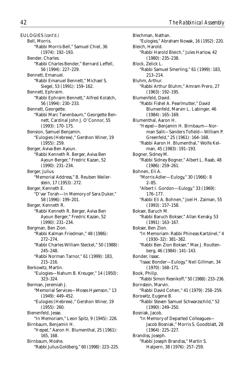Bell, Morris. "Rabbi Morris Bell," Samuel Chiel, 36 (1974): 192–193. Bender, Charles. "Rabbi Charles Bender," Bernard Leffell, 56 (1994): 227–229. Bennett, Emanuel. "Rabbi Emanuel Bennett," Michael S. Siegel, 53 (1991): 159–162. Bennett, Ephraim. "Rabbi Ephraim Bennett," Alfred Kolatch, 56 (1994): 230–233. Bennett, Georgette. "Rabbi Marc Tanenbaum," Georgette Bennett, Cardinal John J. O'Connor, 55 (1993): 170–175. Bension, Samuel Benjamin. "Eulogies (Hebrew)," Gershon Winer, 19 (1955): 259. Berger, Aviva Ben Ayoun. "Rabbi Kenneth R. Berger, Aviva Ben Ayoun Berger," Fredric Kazan, 52 (1990): 231–234. Berger, Julius. "Memorial Address," B. Reuben Weilerstein, 17 (1953): 272. Berger, Kenneth E. "D'var Torah—In Memory of Sara Duker," 58 (1996): 199–201. Berger, Kenneth R. "Rabbi Kenneth R. Berger, Aviva Ben Ayoun Berger," Fredric Kazan, 52 (1990): 231–234. Bergman, Ben Zion. "Rabbi Kalman Friedman," 48 (1986): 272–274. "Rabbi Charles William Steckel," 50 (1988): 245–248. "Rabbi Norman Tarnor," 61 (1999): 183, 215–216. Berkowitz, Martin. "Eulogies—Nahum B. Kreuger," 14 (1950): 323–324. Berman, Jeremiah J. "Memorial Services—Moses Hyamson," 13 (1949): 449–452. "Eulogies (Hebrew)," Gershon Winer, 19 (1955): 260. Bienenfeld, Jesse. "In Memoriam," Leon Spitz, 9 (1945): 226. Birnbaum, Benjamin H. "*Hesped*," Aaron H. Blumenthal, 25 (1961): 165, 168. Birnbaum, Moshe. "Rabbi Julius Goldberg," 60 (1998): 223–225.

Blechman, Nathan. "Eulogies," Abraham Nowak, 16 (1952): 220. Bleich, Harold. "Rabbi Harold Bleich," Jules Harlow, 42 (1980): 235–238. Block, Zelick L. "Rabbi Samuel Smerling," 61 (1999): 183, 213–214. Bluhm, Arthur. "Rabbi Arthur Bluhm," Amram Prero, 27 (1963): 192–195. Blumenfeld, David. "Rabbi Fishel A. Pearlmutter," David Blumenfeld, Marvin L. Labinger, 46 (1984): 165–169. Blumenthal, Aaron H. "*Hesped*—Benjamin H. Birnbaum—Norman Salit—Sanders Tofield—William P. Greenfeld," 25 (1961): 164–168. "Rabbi Aaron H. Blumenthal," Wolfe Kelman, 45 (1983): 191–193. Bogner, Sidney M. "Rabbi Sidney Bogner," Albert L. Raab, 48 (1986): 259–261. Bohnen, Eli A. "Morris Adler—Eulogy," 30 (1966): 8 2–85. "Albert I. Gordon—Eulogy," 33 (1969): 176–177. "Rabbi Eli A. Bohnen," Joel H. Zaiman, 55 (1993): 157–158. Bokser, Baruch M. "Rabbi Baruch Bokser," Allan Kensky, 53 (1991): 163–167. Bokser, Ben Zion. "In Memoriam: Rabbi Phineas Kartzinel," 4 (1930–32): 381–382. "Rabbi Ben Zion Bokser," Max J. Routtenberg, 46 (1984): 141–143. Bonder, Isaac. "Isaac Bonder—Eulogy," Neil Gillman, 34 (1970): 168–171. Book, Philip. "Rabbi Simon Resnikoff," 50 (1988): 233–236. Bornstein, Marvin. "Rabbi David Cohen," 41 (1979): 258–259. Borowitz, Eugene B. "Rabbi Steven Samuel Schwarzschild," 52 (1990): 249–250. Bosniak, Jacob. "In Memory of Departed Colleagues— Jacob Bosniak," Morris S. Goodblatt, 28 (1964): 225–227. Brandiss, Joseph. "Rabbi Joseph Brandiss," Martin S. Halpern, 38 (1976): 257–259.

EULOGIES *(cont'd.)*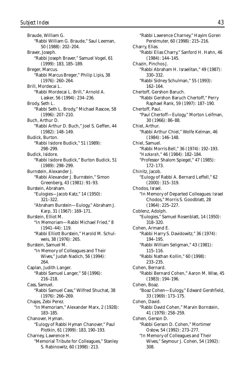Braude, William G. "Rabbi William G. Braude," Saul Leeman, 50 (1988): 202–204. Braver, Joseph. "Rabbi Joseph Braver," Samuel Vogel, 61 (1999): 183, 185–189. Breger, Marcus. "Rabbi Marcus Breger," Philip Lipis, 38 (1976): 260–264. Brill, Mordecai L. "Rabbi Mordecai L. Brill," Arnold A. Lasker, 56 (1994): 234–236. Brody, Seth L. "Rabbi Seth L. Brody," Michael Rascoe, 58 (1996): 207–210. Buch, Arthur D. "Rabbi Arthur D. Buch," Joel S. Geffen, 44 (1982): 148–149. Budick, Burton. "Rabbi Isidore Budick," 51 (1989): 298–299. Budick, Isidore. "Rabbi Isidore Budick," Burton Budick, 51 (1989): 298–299. Burnstein, Alexander J. "Rabbi Alexander J. Burnstein," Simon Greenberg, 43 (1981): 91–93. Burstein, Abraham. "Eulogies—Jacob Katz," 14 (1950): 321–322. "Abraham Burstein—Eulogy," Abraham J. Karp, 31 (1967): 169–171. Burstein, Elliot M. "In Memoriam—Rabbi Michael Fried," 8 (1941–44): 119. "Rabbi Elliott Burstein," Harold M. Schulweis, 38 (1976): 265. Burstein, Samuel M. "In Memory of Colleagues and Their Wives," Judah Nadich, 56 (1994): 264. Caplan, Judith Langer. "Rabbi Samuel Langer," 58 (1996): 216–218. Cass, Samuel. "Rabbi Samuel Cass," Wilfred Shuchat, 38 (1976): 266–269. Chajes, Zebi Perez. "In Memoriam," Alexander Marx, 2 (1928): 183–185. Chanover, Hyman. "Eulogy of Rabbi Hyman Chanover," Paul Plotkin, 61 (1999): 183, 190–193. Charney, Lawrence H. "Memorial Tribute for Colleagues," Stanley S. Rabinowitz, 60 (1998): 213.

"Rabbi Lawrence Charney," Hayim Goren Perelmuter, 60 (1998): 215–216. Charry, Elias. "Rabbi Elias Charry," Sanford H. Hahn, 46 (1984): 144–145. Chazin, Pinchos J. "Rabbi Abraham H. Israelitan," 49 (1987): 330–332. "Rabbi Sidney Schulman," 55 (1993): 162–164. Chertoff, Gershon Baruch. "Rabbi Gershon Baruch Chertoff," Perry Raphael Rank, 59 (1997): 187–190. Chertoff, Paul. "Paul Chertoff—Eulogy," Morton Leifman, 30 (1966): 86–88. Chiel, Arthur. "Rabbi Arthur Chiel," Wolfe Kelman, 46 (1984): 146–148. Chiel, Samuel. "Rabbi Morris Bell," 36 (1974): 192–193. "*Hazkarah,*" 46 (1984): 182–184. "Professor Shalom Spiegel," 47 (1985): 172–173. Chinitz, Jacob. "Eulogy of Rabbi A. Bernard Leffell," 62 (2000): 315–319. Chodos, Israel. "In Memory of Departed Colleagues: Israel Chodos," Morris S. Goodblatt, 28 (1964): 225–227. Coblenz, Adolph. "Eulogies," Samuel Rosenblatt, 14 (1950): 318–320. Cohen, Armand E. "Rabbi Harry S. Davidowitz," 36 (1974): 194–195. "Rabbi William Seligman," 43 (1981): 115–116. "Rabbi Nathan Kollin," 60 (1998): 233–235. Cohen, Bernard. "Rabbi Bernard Cohen," Aaron M. Wise, 45 (1983): 194–196. Cohen, Boaz. "Boaz Cohen—Eulogy," Edward Gershfield, 33 (1969): 173–175. Cohen, David. "Rabbi David Cohen," Marvin Bornstein, 41 (1979): 258–259. Cohen, Gerson D. "Rabbi Gerson D. Cohen," Mortimer Ostow, 54 (1992): 273–277. "In Memory of Colleagues and Their Wives," Seymour J. Cohen, 54 (1992): 308.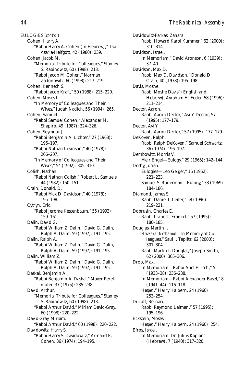EULOGIES *(cont'd.)* Cohen, Harry A. "Rabbi Harry A. Cohen (in Hebrew)," Tsvi Asaria-Helfgott, 42 (1980): 239. Cohen, Jacob M. "Memorial Tribute for Colleagues," Stanley S. Rabinowitz, 60 (1998): 213. "Rabbi Jacob M. Cohen," Norman Zadonowitz, 60 (1998): 217–219. Cohen, Kenneth S. "Rabbi Jacob Kraft," 50 (1988): 215–220. Cohen, Moses I. "In Memory of Colleagues and Their Wives," Judah Nadich, 56 (1994): 265. Cohen, Samuel. "Rabbi Samuel Cohen," Alexander M. Shapiro, 49 (1987): 324–326. Cohen, Seymour J. "Rabbi Benjamin A. Lichter," 27 (1963): 196–197. "Rabbi Nathan Levinson," 40 (1978): 206–207. "In Memory of Colleagues and Their Wives," 54 (1992): 305–310. Colish, Nathan. "Rabbi Nathan Colish," Robert L. Samuels, 44 (1982): 150–151. Crain, Donald. D. "Rabbi Max D. Davidson," 40 (1978): 195–198. Cytryn, Eric. "Rabbi Jerome Kestenbaum," 55 (1993): 159–161. Dalin, David G. "Rabbi William Z. Dalin," David G. Dalin, Ralph A. Dalin, 59 (1997): 191–195. Dalin, Ralph A. "Rabbi William Z. Dalin," David G. Dalin, Ralph A. Dalin, 59 (1997): 191–195. Dalin, William Z. "Rabbi William Z. Dalin," David G. Dalin, Ralph A. Dalin, 59 (1997): 191–195. Daskal, Benjamin A. "Rabbi Benjamin A. Daskal," Mayer Perelmuter, 37 (1975): 235–238. David, Arthur. "Memorial Tribute for Colleagues," Stanley S. Rabinowitz, 60 (1998): 213. "Rabbi Arthur David," Miriam David-Gray, 60 (1998): 220–222. David-Gray, Miriam. "Rabbi Arthur David," 60 (1998): 220–222. Davidowitz, Harry S. "Rabbi Harry S. Davidowitz," Armand E. Cohen, 36 (1974): 194–195.

Davidowitz-Farkas, Zahara. "Rabbi Howard Karol Kummer," 62 (2000): 310–314. Davidson, Israel. "In Memoriam," David Aronson, 6 (1939): 37–40. Davidson, Max D. "Rabbi Max D. Davidson," Donald D. Crain, 40 (1978): 195–198. Davis, Moshe. "Rabbi Moshe Davis" (English and Hebrew), Avraham H. Feder, 58 (1996): 211–214. Dector, Aaron. "Rabbi Aaron Dector," Avi Y. Dector, 57 (1995): 177–179. Dector, Avi Y "Rabbi Aaron Dector," 57 (1995): 177–179. DeKoven, Ralph. "Rabbi Ralph DeKoven," Samuel Schwartz, 36 (1974): 196–197. Dembowitz, Morris V. "Meir Engel—Eulogy," 29 (1965): 142–144. Derby, Josiah. "Eulogies—Leo Geiger," 16 (1952): 221–223. "Samuel S. Ruderman—Eulogy," 33 (1969): 184–186. Diamond, James S. "Rabbi Daniel I. Leifer," 58 (1996): 219–221. Dobrusin, Charles E. "Rabbi Irving T. Frankel," 57 (1995): 180–185. Douglas, Martin I. "*Hazkarat Neshamot*—In Memory of Colleagues," Saul I. Teplitz, 62 (2000): 301–304. "Rabbi Martin I. Douglas," Joseph Smith, 62 (2000): 305–306. Drob, Max. "In Memoriam—Rabbi Abel Hirsch," 5 (1933–38): 236–238. "In Memoriam—Rabbi Alexander Basel," 8 (1941–44): 116–118. "*Hesped*," Harry Halpern, 24 (1960): 253–254. Ducoff, Bernard. "Rabbi Raymond Leiman," 57 (1995): 195–196. Eckstein, Moses. "*Hesped*," Harry Halpern, 24 (1960): 254. Efros, Israel. "In Memoriam: Dr. Julius Kaplan" (Hebrew), 7 (1940): 317–320.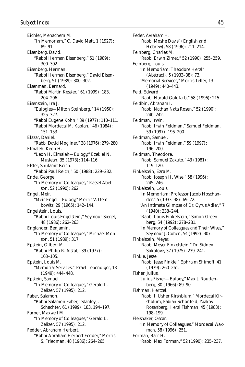Eichler, Menachem M. "In Memoriam," C. David Matt, 1 (1927): 89–91. Eisenberg, David. "Rabbi Herman Eisenberg," 51 (1989): 300–302. Eisenberg, Herman. "Rabbi Herman Eisenberg," David Eisenberg, 51 (1989): 300–302. Eisenman, Bernard. "Rabbi Martin Kessler," 61 (1999): 183, 204–206. Eisenstein, Ira J. "Eulogies—Milton Steinberg," 14 (1950): 325–327. "Rabbi Eugene Kohn," 39 (1977): 110–111. "Rabbi Mordecai M. Kaplan," 46 (1984): 151–153. Elazar, Daniel. "Rabbi David Mogilner," 38 (1976): 279–280. Elmaleh, Keon H. "Leon H. Elmaleh—Eulogy," Ezekiel N. Musleah, 35 (1973): 114–116. Elster, Shulamit Reich. "Rabbi Paul Reich," 50 (1988): 229–232. Ende, George. "In Memory of Colleagues," Kassel Abelson, 52 (1990): 262. Engel, Meir. "Meir Engel—Eulogy," Morris V. Dembowitz, 29 (1965): 142–144. Engelstein, Louis. "Rabbi Louis Engelstein," Seymour Siegel, 48 (1986): 262–263. Englander, Benjamin. "In Memory of Colleagues," Michael Monson, 51 (1989): 317. Epstein, Gilbert M. "Rabbi Philip R. Alstat," 39 (1977): 103–105. Epstein, Louis M. "Memorial Services," Israel Lebendiger, 13 (1949): 444–448. Epstein, Samuel. "In Memory of Colleagues," Gerald L. Zelizer, 57 (1995): 212. Faber, Salamon. "Rabbi Salamon Faber," Stanley J. Schachter, 61 (1999): 183, 194–197. Farber, Maxwell M. "In Memory of Colleagues," Gerald L. Zelizer, 57 (1995): 212. Fedder, Abraham Herbert. "Rabbi Abraham Herbert Fedder," Morris S. Friedman, 48 (1986): 264–265.

Feder, Avraham H. "Rabbi Moshe Davis" (English and Hebrew), 58 (1996): 211–214. Feinberg, Charles M. "Rabbi Erwin Zimet," 52 (1990): 255–259. Feinberg, Louis. "In Memoriam: Theodore Herzl" (Abstract), 5 (1933–38): 73. "Memorial Services," Morris Teller, 13 (1949): 440–443. Feld, Edward. "Rabbi Harold Goldfarb," 58 (1996): 215. Feldbin, Abraham I. "Rabbi Nathan Nata Rosen," 52 (1990): 240–242. Feldman, Irwin. "Rabbi Irwin Feldman," Samuel Feldman, 59 (1997): 196–200. Feldman, Samuel. "Rabbi Irwin Feldman," 59 (1997): 196–200. Feldman, Theodore. "Rabbi Samuel Zakuto," 43 (1981): 119–120. Finkelstein, Ezra M. "Rabbi Joseph H. Wise," 58 (1996): 245–246. Finkelstein, Louis. "In Memoriam: Professor Jacob Hoschander," 5 (1933–38): 69–72. "An Intimate Glimpse of Dr. Cyrus Adler," 7 (1940): 238–244. "Rabbi Louis Finkelstein," Simon Greenberg, 54 (1992): 278–281. "In Memory of Colleagues and Their Wives," Seymour J. Cohen, 54 (1992): 307. Finkelstein, Meyer. "Rabbi Meyer Finkelstein," Dr. Sidney Sokolove, 37 (1975): 239–241. Finkle, Jesse. "Rabbi Jesse Finkle," Ephraim Shimoff, 41 (1979): 260–261. Fisher, Julius. "Julius Fisher—Eulogy," Max J. Routtenberg, 30 (1966): 89–90. Fishman, Hertzel. "Rabbi I. Usher Kirshblum," Mordecai Kirshblum, Fabian Schonfeld, Yaakov Rosenberg, Herzl Fishman, 45 (1983): 198–199. Fleishaker, Oscar. "In Memory of Colleagues," Mordecai Waxman, 58 (1996): 251. Forman, Barr H. "Rabbi Max Forman," 52 (1990): 235–237.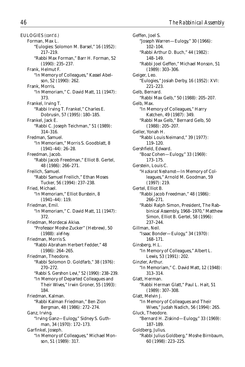EULOGIES *(cont'd.)* Forman, Max L. "Eulogies: Solomon M. Barsel," 16 (1952): 217–219. "Rabbi Max Forman," Barr H. Forman, 52 (1990): 235–237. Frank, Helmut F. "In Memory of Colleagues," Kassel Abelson, 52 (1990): 262. Frank, Morris. "In Memoriam," C. David Matt, 11 (1947): 373. Frankel, Irving T. "Rabbi Irving T. Frankel," Charles E. Dobrusin, 57 (1995): 180–185. Frankel, Jack E. "Rabbi C. Joseph Teichman," 51 (1989): 314–316. Fredman, Samuel. "In Memoriam," Morris S. Goodblatt, 8 (1941–44): 26–28. Freedman, Jacob. "Rabbi Jacob Freedman," Elliot B. Gertel, 48 (1986): 266–271. Freilich, Samuel. "Rabbi Samuel Freilich," Ethan Moses Tucker, 56 (1994): 237–238. Fried, Michael. "In Memoriam," Elliot Burstein, 8 (1941–44): 119. Friedman, Emil. "In Memoriam," C. David Matt, 11 (1947): 372. Friedman, Mordecai Akiva. "Professor Moshe Zucker" (Hebrew), 50 (1988): *alef-hey.* Friedman, Morris S. "Rabbi Abraham Herbert Fedder," 48 (1986): 264–265. Friedman, Theodore. "Rabbi Solomon D. Goldfarb," 38 (1976): 270–272. "Rabbi S. Gershon Levi," 52 (1990): 238–239. "In Memory of Departed Colleagues and Their Wives," Irwin Groner, 55 (1993): 184. Friedman, Kalman. "Rabbi Kalman Friedman," Ben Zion Bergman, 48 (1986): 272–274. Ganz, Irving. "Irving Ganz—Eulogy," Sidney S. Guthman, 34 (1970): 172–173. Garfinkel, Joseph. "In Memory of Colleagues," Michael Monson, 51 (1989): 317.

Geffen, Joel S. "Joseph Warren—Eulogy," 30 (1966): 102–104. "Rabbi Arthur D. Buch," 44 (1982): 148–149. "Rabbi Joel Geffen," Michael Monson, 51 (1989): 303–306. Geiger, Leo. "Eulogies," Josiah Derby, 16 (1952): XVI: 221–223. Gelb, Bernard. "Rabbi Max Gelb," 50 (1988): 205–207. Gelb, Max. "In Memory of Colleagues," Harry Katchen, 49 (1987): 349. "Rabbi Max Gelb," Bernard Gelb, 50 (1988): 205–207. Geller, Yonah H. "Rabbi Louis Neimand," 39 (1977): 119–120. Gershfield, Edward. "Boaz Cohen—Eulogy," 33 (1969): 173–175. Gerstein, Louis C. "*Hazkarat Neshamot*—In Memory of Colleagues," Arnold M. Goodman, 59 (1997): 219. Gertel, Elliot B. "Rabbi Jacob Freedman," 48 (1986): 266–271. "Rabbi Ralph Simon, President, The Rabbinical Assembly, 1968–1970," Matthew Simon, Elliot B. Gertel, 58 (1996): 237–244. Gillman, Neil. "Isaac Bonder—Eulogy," 34 (1970): 168–171. Ginsberg, H.L. "In Memory of Colleagues," Albert L. Lewis, 53 (1991): 202. Ginzler, Arthur. "In Memoriam," C. David Matt, 12 (1948): 313–314. Glatt, Herman. "Rabbi Herman Glatt," Paul L. Hait, 51 (1989): 307–308. Glatt, Melvin J. "In Memory of Colleagues and Their Wives," Judah Nadich, 56 (1994): 265. Gluck, Theodore. "Bernard H. Ziskind—Eulogy," 33 (1969): 187–189. Goldberg, Julius. "Rabbi Julius Goldberg," Moshe Birnbaum, 60 (1998): 223–225.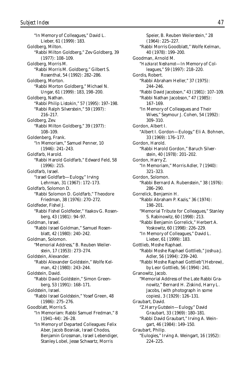"In Memory of Colleagues," David L. Lieber, 61 (1999): 183. Goldberg, Milton. "Rabbi Milton Goldberg," Zev Goldberg, 39 (1977): 108–109. Goldberg, Morris M. "Rabbi Morris M. Goldberg," Gilbert S. Rosenthal, 54 (1992): 282–286. Goldberg, Morton. "Rabbi Morton Goldberg," Michael N. Ungar, 61 (1999): 183, 198–200. Goldberg, Nathan. "Rabbi Philip Listokin," 57 (1995): 197–198. "Rabbi Ralph Silverstein," 59 (1997): 216–217. Goldberg, Zev. "Rabbi Milton Goldberg," 39 (1977): 108–109. Goldenberg, Frank. "In Memoriam," Samuel Penner, 10 (1946): 241–243. Goldfarb, Harold. "Rabbi Harold Goldfarb," Edward Feld, 58 (1996): 215. Goldfarb, Israel. "Israel Goldfarb—Eulogy," Irving Lehrman, 31 (1967): 172–173. Goldfarb, Solomon D. "Rabbi Solomon D. Goldfarb," Theodore Friedman, 38 (1976): 270–272. Goldfeder, Fishel J. "Rabbi Fishel Goldfeder," Yaakov G. Rosenberg, 43 (1981): 94–97. Goldman, Israel. "Rabbi Israel Goldman," Samuel Rosenblatt, 42 (1980): 240–242. Goldman, Solomon. "Memorial Address," B. Reuben Weilerstein, 17 (1953): 273–274. Goldstein, Alexander. "Rabbi Alexander Goldstein," Wolfe Kelman, 42 (1980): 243–244. Goldstein, David. "Rabbi David Goldstein," Simon Greenberg, 53 (1991): 168–171. Goldstein, Israel. "Rabbi Israel Goldstein," Yosef Green, 48 (1986): 275–276. Goodblatt, Morris S. "In Memoriam: Rabbi Samuel Fredman," 8 (1941–44): 26–28. "In Memory of Departed Colleagues: Felix Aber, Jacob Bosniak, Israel Chodos, Benjamin Grossman, Israel Lebendiger, Stanley Lobel, Jesse Schwartz, Morris

Speier, B. Reuben Weilerstein," 28 (1964): 225–227. "Rabbi Morris Goodblatt," Wolfe Kelman, 40 (1978): 199–200. Goodman, Arnold M. "*Hazkarat Neshamot*—In Memory of Colleagues," 59 (1997): 218–220. Gordis, Robert. "Rabbi Abraham Heller," 37 (1975): 244–246. "Rabbi David Jacobson," 43 (1981): 107–109. "Rabbi Nathan Jacobson," 47 (1985): 167–169. "In Memory of Colleagues and Their Wives," Seymour J. Cohen, 54 (1992): 309–310. Gordon, Albert I. "Albert I. Gordon—Eulogy," Eli A. Bohnen, 33 (1969): 176–177. Gordon, Harold. "Rabbi Harold Gordon," Baruch Silverstein, 40 (1978): 201–202. Gordon, Harry Z. "In Memoriam," Morris Adler, 7 (1940): 321–323. Gordon, Solomon. "Rabbi Bernard A. Rubenstein," 38 (1976): 286–290. Gorrelick, Benjamin H. "Rabbi Abraham P. Kazis," 36 (1974): 198–201. "Memorial Tribute for Colleagues," Stanley S. Rabinowitz, 60 (1998): 213. "Rabbi Benjamin Gorrelick," Herbert A. Yoskowitz, 60 (1998): 226–229. "In Memory of Colleagues," David L. Lieber, 61 (1999): 183. Gottlieb, Moshe Raphael. "Rabbi Moshe Raphael Gottlieb," Joshua J. Adler, 56 (1994): 239–240. "Rabbi Moshe Raphael Gottlieb"(Hebrew), by Leor Gottlieb, 56 (1994): 241. Granowitz, Jacob. "Memorial Address of the Late Rabbi Granowitz," Bernard H. Ziskind, Harry L. Jacobs, (with photograph in some copies), 3 (1929): 126–131. Graubart, David. "Z.Harry Gutstein—Eulogy," David Graubart, 33 (1969): 180–181. "Rabbi David Graubart," Irving A. Weingart, 46 (1984): 149–150. Graubart, Philip. "Eulogies," Irving A. Weingart, 16 (1952): 224–225.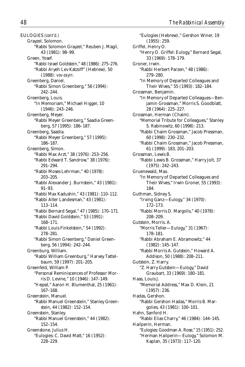EULOGIES *(cont'd.)* Grayzel, Solomon. "Rabbi Solomon Grayzel," Reuben J. Magil, 43 (1981): 98–99. Green, Yosef. "Rabbi Israel Goldstein," 48 (1986): 275–276. "Rabbi Aryeh Lev Katzoff" (Hebrew), 50 (1988): *vov-zayin.* Greenberg, Daniel. "Rabbi Simon Greenberg," 56 (1994): 242–244. Greenberg, Louis. "In Memoriam," Michael Higger, 10 (1946): 243–246. Greenberg, Meyer. "Rabbi Meyer Greenberg," Saadia Greenberg, 57 (1995): 186–187. Greenberg, Saadia. "Rabbi Meyer Greenberg," 57 (1995): 186–187. Greenberg, Simon. "Rabbi Max Arzt," 38 (1976): 253–256. "Rabbi Edward T. Sandrow," 38 (1976): 291–294. "Rabbi Moses Lehrman," 40 (1978): 203–205. "Rabbi Alexander J. Burnstein," 43 (1981): 91–93. "Rabbi Max Kadushin," 43 (1981): 110–112. "Rabbi Alter Landesman," 43 (1981): 113–114. "Rabbi Bernard Segal," 47 (1985): 170–171. "Rabbi David Goldstein," 53 (1991): 168–171. "Rabbi Louis Finkelstein," 54 (1992): 278–281. "Rabbi Simon Greenberg," Daniel Greenberg, 56 (1994): 242–244. Greenburg, William. "Rabbi William Greenburg," Harvey Tattelbaum, 59 (1997): 201–205. Greenfeld, William P. "Personal Reminiscences of Professor Morris D. Levine," 10 (1946): 147–149. "*Hesped*," Aaron H. Blumenthal, 25 (1961): 167–168. Greenstein, Manuel. "Rabbi Manuel Greenstein," Stanley Greenstein, 44 (1982): 152–154. Greenstein, Stanley. "Rabbi Manuel Greenstein," 44 (1982): 152–154. Greenstone, Julius H. "Eulogies: C. David Matt," 16 (1952): 228–229.

"Eulogies (Hebrew)," Gershon Winer, 19 (1955): 259. Griffel, Henry O. "Henry O. Griffel: Eulogy," Bernard Segal, 33 (1969): 178–179. Groner, Irwin. "Rabbi Herbert Parzen," 48 (1986): 279–280. "In Memory of Departed Colleagues and Their Wives," 55 (1993): 182–184. Grossman, Benjamin. "In Memory of Departed Colleagues—Benjamin Grossman," Morris S. Goodblatt, 28 (1964): 225–227. Grossman, Herman (Chaim). "Memorial Tribute for Colleagues," Stanley S. Rabinowitz, 60 (1998): 213. "Rabbi Chaim Grossman," Jacob Pressman, 60 (1998): 230–232. "Rabbi Chaim Grossman," Jacob Pressman, 61 (1999): 183, 201–203. Grossman, Lewis B. "Rabbi Lewis B. Grossman," Harry Jolt, 37 (1975): 242–243. Gruenewald, Max. "In Memory of Departed Colleagues and Their Wives," Irwin Groner, 55 (1993): 184. Guthman, Sidney S. "Irving Ganz—Eulogy," 34 (1970): 172–173. "Rabbi Morris D. Margolis," 40 (1978): 208–209. Gutstein, Morris. A. "Morris Teller—Eulogy," 31 (1967): 178–181. "Rabbi Abraham E. Abramowitz," 44 (1982): 145–147. "Rabbi Morris A. Gutstein," Howard A. Addison, 50 (1988): 208–211. Gutstein, Z. Harry. "Z. Harry Gutstein—Eulogy," David Graubart, 33 (1969): 180–181. Haas, Louis J. "Memorial Address," Max D. Klein, 21 (1957): 236. Hadas, Gershon. "Rabbi Gershon Hadas," Morris B. Margolies, 43 (1981): 100–101. Hahn, Sanford H. "Rabbi Elias Charry," 46 (1984): 144–145. Hailperin, Herman. "Eulogies: Goodman A. Rose," 15 (1951): 252. "Herman Hailperin—Eulogy," Solomon M. Kaplan, 35 (1973): 117–120.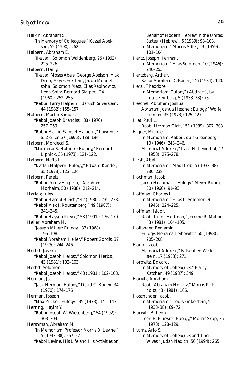Halkin, Abraham S. "In Memory of Colleagues," Kassel Abelson, 52 (1990): 262. Halpern, Abraham E. "*Hesped*," Solomon Waldenberg, 26 (1962): 225–226. Halpern, Harry. "*Hesped:* Moses Abels, George Abelson, Max Drob, Moses Eckstein, Jacob Mendelsohn, Solomon Metz, Elias Rabinowitz, Leon Spitz, Bernard Stolper," 24 (1960): 252–255. "Rabbi Harry Halpern," Baruch Silverstein, 44 (1982): 155–157. Halpern, Martin Samuel. "Rabbi Joseph Brandiss," 38 (1976): 257–259. "Rabbi Martin Samuel Halpern," Lawrence S. Zierler, 57 (1995): 188–194. Halpern, Mordecai S. "Mordecai S. Halpern: Eulogy," Bernard Lipnick, 35 (1973): 121–122. Halpern, Naftali. "Naftali Halpern: Eulogy," Edward Kandel, 35 (1973): 123–124. Halpern, Peretz. "Rabbi Peretz Halpern," Abraham Morhaim, 50 (1988): 212–214. Harlow, Jules. "Rabbi Harold Bleich," 42 (1980): 235–238. "Rabbi Max J. Routtenberg," 49 (1987): 341–345. "Rabbi Hayyim Kieval," 53 (1991): 176–179. Heller, Abraham M. "Joseph Miller: Eulogy," 32 (1968): 196–198. "Rabbi Abraham Heller," Robert Gordis, 37 (1975): 244–246. Herbst, Joseph. "Rabbi Joseph Herbst," Solomon Herbst, 43 (1981): 102–103. Herbst, Solomon. "Rabbi Joseph Herbst," 43 (1981): 102–103. Herman, Jack. "Jack Herman: Eulogy," David C. Kogen, 34 (1970): 174–176. Herman, Joseph. "Max Zucker: Eulogy," 35 (1973): 141–143. Herring, Hayim Y. "Rabbi Joseph W. Wiesenberg," 54 (1992): 303–304. Hershman, Abraham M. "In Memoriam: Professor Morris D. Levine," 5 (1933–38): 267–271. "Rabbi Levine, His Life and His Activities on

Behalf of Modern Hebrew in the United States" (Hebrew), 6 (1939): 98–103. "In Memoriam," Morris Adler, 23 (1959): 101–104. Hertz, Joseph Herman. "In Memoriam," Elias Solomon, 10 (1946): 246–253. Hertzberg, Arthur. "Rabbi Abraham D. Barras," 46 (1984): 140. Herzl, Theodore. "In Memoriam: Eulogy" (Abstract), by Louis Feinberg, 5 (1933–38): 73. Heschel, Abraham Joshua. "Abraham Joshua Heschel: Eulogy," Wolfe Kelman, 35 (1973): 125–127. Hiat, Paul L. "Rabbi Herman Glatt," 51 (1989): 307–308. Higger, Michael. "In Memoriam: Rabbi Louis Greenberg," 10 (1946): 243–246. "Memorial Address," Isaac H. Levinthal, 17 (1953): 275–278. Hirsh, Abel. "In Memoriam," Max Drob, 5 (1933–38): 236–238. Hochman, Jacob. "Jacob Hochman—Eulogy," Meyer Rubin, 30 (1966): 91–93. Hoffman, Charles I. "In Memoriam," Elias L. Solomon, 9 (1945): 224–225. Hoffman, Isidor. "Rabbi Isidor Hoffman," Jerome R. Malino, 43 (1981): 104–105. Hollander, Benjamin. "Eulogy: Nehama Leibowitz," 60 (1998): 205–208. Honig, Jacob. "Memorial Address," B. Reuben Weilerstein, 17 (1953): 271. Horowitz, Edward. "In Memory of Colleagues," Harry Katchen, 49 (1987): 349. Horvitz, Abraham. "Rabbi Abraham Horvitz," Morris Pickholtz, 43 (1981): 106. Hoschander, Jacob. "In Memoriam," Louis Finkelstein, 5 (1933–38): 69–72. Hurwitz, B. Leon. "Leon B. Hurwitz: Euolgy," Morris Skop, 35 (1973): 128–129. Hyams, Ario S. "In Memory of Colleagues and Their Wives," Judah Nadich, 56 (1994): 265.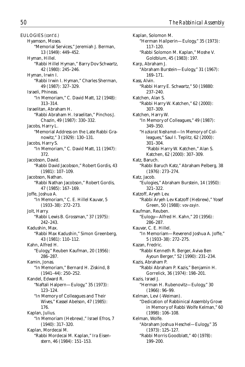EULOGIES *(cont'd.)* Hyamson, Moses. "Memorial Services," Jeremiah J. Berman, 13 (1949): 449–452. Hyman, Hillel. "Rabbi Hillel Hyman," Barry Dov Schwartz, 42 (1980): 245–246. Hyman, Irwin I. "Rabbi Irwin I. Hyman," Charles Sherman, 49 (1987): 327–329. Israeli, Phineas. "In Memoriam," C. David Matt, 12 (1948): 313–314. Israelitan, Abraham H. "Rabbi Abraham H. Israelitan," Pinchos J. Chazin, 49 (1987): 330–332. Jacobs, Harry L. "Memorial Address on the Late Rabbi Granowitz," 3 (1929): 130–131. Jacobs, Harry S. "In Memoriam," C. David Matt, 11 (1947): 372. Jacobson, David. "Rabbi David Jacobson," Robert Gordis, 43 (1981): 107–109. Jacobson, Nathan. "Rabbi Nathan Jacobson," Robert Gordis, 47 (1985): 167–169. Joffe, Joshua A. "In Memoriam," C. E. Hillel Kauvar, 5 (1933–38): 272–273. Jolt, Harry. "Rabbi Lewis B. Grossman," 37 (1975): 242–243. Kadushin, Max. "Rabbi Max Kadushin," Simon Greenberg, 43 (1981): 110–112. Kahn, Alfred H. "Eulogy," Reuben Kaufman, 20 (1956): 286–287. Kamin, Jonas. "In Memoriam," Bernard H. Ziskind, 8 (1941–44): 250–252. Kandel, Edward R. "Naftali Halpern—Eulogy," 35 (1973): 123–124. "In Memory of Colleagues and Their Wives," Kassel Abelson, 47 (1985): 176. Kaplan, Julius. "In Memoriam (Hebrew)," Israel Efros, 7 (1940): 317–320. Kaplan, Mordecai M. "Rabbi Mordecai M. Kaplan," Ira Eisenstern, 46 (1984): 151–153.

Kaplan, Solomon M. "Herman Hailperin—Eulogy," 35 (1973): 117–120. "Rabbi Solomon M. Kaplan," Moshe V. Goldblum, 45 (1983): 197. Karp, Abraham J. "Abraham Burstein—Eulogy," 31 (1967): 169–171. Kass, Alvin. "Rabbi Harry E. Schwartz," 50 (19880: 237–240. Katchen, Alan S. "Rabbi Harry W. Katchen," 62 (2000): 307–309. Katchen, Harry W. "In Memory of Colleagues," 49 (1987): 349–350. "*Hazkarat Neshamot*—In Memory of Colleagues," Saul I. Teplitz, 62 (2000): 301–304. "Rabbi Harry W. Katchen," Alan S. Katchen, 62 (2000): 307–309. Katz, Baruch. "Rabbi Baruch Katz," Abraham Pelberg, 38 (1976): 273–274. Katz, Jacob. "Eulogies," Abraham Burstein, 14 (1950): 321–322. Katzoff, Aryeh Lev. "Rabbi Aryeh Lev Katzoff (Hebrew)," Yosef Green, 50 (1988): *vov-zayin.* Kaufman, Reuben. "Eulogy—Alfred H. Kahn," 20 (1956): 286–287. Kauvar, C. E. Hillel. "In Memoriam—Reverend Joshua A. Joffe," 5 (1933–38): 272–275. Kazan, Fredric. "Rabbi Kenneth R. Berger, Aviva Ben Ayoun Berger," 52 (1990): 231–234. Kazis, Abraham P. "Rabbi Abraham P. Kazis," Benjamin H. Gorrelick, 36 (1974): 198–201. Kazis, Israel J. "Herman H. Rubenovitz—Eulogy," 30 (1966): 96–99. Kelman, Levi (-Weiman). "Dedication of Rabbinical Assembly Grove in Memory of Rabbi Wolfe Kelman," 60 (1998): 106–108. Kelman, Wolfe. "Abraham Joshua Heschel—Eulogy," 35 (1973): 125–127. "Rabbi Morris Goodblatt," 40 (1978): 199–200.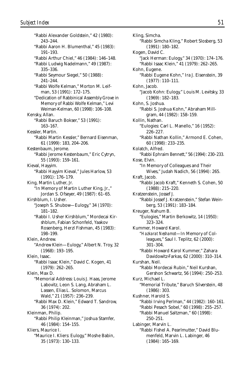"Rabbi Alexander Goldstein," 42 (1980): 243–244. "Rabbi Aaron H. Blumenthal," 45 (1983): 191–193. "Rabbi Arthur Chiel," 46 (1984): 146–148. "Rabbi Ludwig Nadelmann," 49 (1987): 335–336. "Rabbi Seymour Siegel," 50 (1988): 241–244. "Rabbi Wolfe Kelman," Morton M. Leifman, 53 (1991): 172–175. "Dedication of Rabbinical Assembly Grove in Memory of Rabbi Wolfe Kelman," Levi Weiman-Kelman, 60 (1998): 106–108. Kensky, Allan. "Rabbi Baruch Bokser," 53 (1991): 163–167. Kessler, Martin. "Rabbi Martin Kessler," Bernard Eisenman, 61 (1999): 183, 204–206. Kestenbaum, Jerome. "Rabbi Jerome Kestenbaum," Eric Cytryn, 55 (1993): 159–161. Kieval, Hayyim. "Rabbi Hayyim Kieval," Jules Harlow, 53 (1991): 176–179. King, Martin Luther, Jr. "In Memory of Martin Luther King, Jr.," Jordan S. Ofseyer, 49 (1987): 61–65. Kirshblum, I. Usher. "Joseph S. Shubow—Eulogy," 34 (1970): 181–182. "Rabbi I. Usher Kirshblum," Mordecai Kirshblum, Fabian Schonfeld, Yaakov Rosenberg, Herzl Fishman, 45 (1983): 198–199. Klein, Andrew. "Andrew Klein—Eulogy," Albert N. Troy, 32 (1968): 193–195. Klein, Isaac. "Rabbi Isaac Klein," David C. Kogen, 41 (1979): 262–265. Klein, Max D. "Memorial Address: Louis J. Haas, Jerome Labovitz, Leon S. Lang, Abraham L. Lassen, Elias L. Solomon, Marcus Wald," 21 (1957): 236–239. "Rabbi Max D. Klein," Edward T. Sandrow, 36 (1974): 202. Kleinman, Philip. "Rabbi Philip Kleinman," Joshua Stamfer, 46 (1984): 154–155. Kliers, Maurice I. "Maurice I. Kliers: Eulogy," Moshe Babin, 35 (1973): 130–133.

Kling, Simcha. "Rabbi Simcha Kling," Robert Slosberg, 53 (1991): 180–182. Kogen, David C. "Jack Herman: Eulogy," 34 (1970): 174–176. "Rabbi Isaac Klein," 41 (1979): 262–265. Kohn, Eugene. "Rabbi Eugene Kohn," Ira J. Eisenstein, 39 (1977): 110–111. Kohn, Jacob. "Jacob Kohn: Eulogy," Louis M. Levitsky, 33 (1969): 182–183. Kohn, S. Joshua. "Rabbi S. Joshua Kohn," Abraham Millgram, 44 (1982): 158–159. Kollin, Nathan. "Eulogies: Carl L. Manello," 16 (1952): 226–227. "Rabbi Nathan Kollin," Armond E. Cohen, 60 (1998): 233–235. Kolatch, Alfred. "Rabbi Ephraim Bennett," 56 (1994): 230–233. Kose, Elvin. "In Memory of Colleagues and Their Wives," Judah Nadich, 56 (1994): 265. Kraft, Jacob. "Rabbi Jacob Kraft," Kenneth S. Cohen, 50 (1988): 215–220. Kratzenstein, Jossef J. "Rabbi Jossef J. Kratzenstein," Stefan Weinberg, 53 (1991): 183–184. Kreuger, Nahum B. "Eulogies," Martin Berkowitz, 14 (1950): 323–324. Kummer, Howard Karol. "*Hazkarat Neshamot*—In Memory of Colleagues," Saul I. Teplitz, 62 (2000): 301–304. "Rabbi Howard Karol Kummer," Zahara Davidowitz-Farkas, 62 (2000): 310–314. Kurshan, Neil. "Rabbi Mordecai Rubin," Neil Kurshan, Gershon Schwartz, 56 (1994): 250–253. Kurz, Michael L. "Memorial Tribute," Baruch Silverstein, 48 (1986): 303. Kushner, Harold S. "Rabbi Irving Perlman," 44 (1982): 160–161. "Rabbi Pesach Sobel," 60 (1998): 255–257. "Rabbi Manuel Saltzman," 60 (1998): 250–251. Labinger, Marvin L. "Rabbi Fishel A. Pearlmutter," David Blumenfeld, Marvin L. Labinger, 46 (1984): 165–169.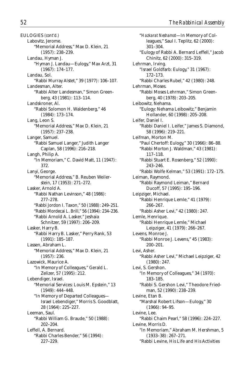EULOGIES *(cont'd.)* Labovitz, Jerome. "Memorial Address," Max D. Klein, 21 (1957): 238–239. Landau, Hyman J. "Hyman J. Landau—Eulogy," Max Arzt, 31 (1967): 174–177. Landau, Sol. "Rabbi Murray Alstet," 39 (1977): 106–107. Landesman, Alter. "Rabbi Alter Landesman," Simon Greenberg, 43 (1981): 113–114. Landskroner, Al. "Rabbi Solomon H. Waldenberg," 46 (1984): 173–174. Lang, Leon S. "Memorial Address," Max D. Klein, 21 (1957): 237–238. Langer, Samuel. "Rabbi Samuel Langer," Judith Langer Caplan, 58 (1996): 216–218. Langh, Philip A. "In Memoriam," C. David Matt, 11 (1947): 372. Lanyi, George. "Memorial Address," B. Reuben Weilerstein, 17 (1953): 271–272. Lasker, Arnold A. "Rabbi Nathan Levinson," 48 (1986): 277–278. "Rabbi Jordon I. Taxon," 50 (1988): 249–251. "Rabbi Mordecai L. Brill," 56 (1994): 234–236. "Rabbi Arnold A. Lasker," Jeshaia Schnitzer, 59 (1997): 206–209. Lasker, Harry B. "Rabbi Harry B. Lasker," Perry Rank, 53 (1991): 185–187. Lassen, Abraham L. "Memorial Address," Max D. Klein, 21 (1957): 236. Lazowick, Maurice A. "In Memory of Colleagues," Gerald L. Zelizer, 57 (1995): 212. Lebendiger, Israel. "Memorial Services: Louis M. Epstein," 13 (1949): 444–448. "In Memory of Departed Colleagues— Israel Lebendiger," Morris S. Goodblatt, 28 (1964): 225–227. Leeman, Saul. "Rabbi William G. Braude," 50 (1988): 202–204. Leffell, A. Bernard. "Rabbi Charles Bender," 56 (1994): 227–229.

"*Hazkarat Neshamot*—In Memory of Colleagues," Saul I. Teplitz, 62 (2000): 301–304. "Eulogy of Rabbi A. Bernard Leffell," Jacob Chinitz, 62 (2000): 315–319. Lehrman, Irving. "Israel Goldfarb: Eulogy," 31 (1967): 172–173. "Rabbi Charles Rubel," 42 (1980): 248. Lehrman, Moses. "Rabbi Moses Lehrman," Simon Greenberg, 40 (1978): 203–205. Leibowitz, Nehama. "Eulogy: Nehama Leibowitz," Benjamin Hollander, 60 (1998): 205–208. Leifer, Daniel I. "Rabbi Daniel I. Leifer," James S. Diamond, 58 (1996): 219–221. Leifman, Morton M. "Paul Chertoff: Eulogy," 30 (1966): 86–88. "Rabbi Morton J. Waldman," 43 (1981): 117–118. "Rabbi Stuart E. Rosenberg," 52 (1990): 243–246. "Rabbi Wolfe Kelman," 53 (1991): 172–175. Leiman, Raymond. "Rabbi Raymond Leiman," Bernard Ducoff, 57 (1995): 195–196. Leipziger, Michael. "Rabbi Henrique Lemle," 41 (1979): 266–267. "Rabbi Asher Levi," 42 (1980): 247. Lemle, Henrique. "Rabbi Henrique Lemle," Michael Leipziger, 41 (1979): 266–267. Levens, Monroe J. "Rabbi Monroe J. Levens," 45 (1983): 200–201. Levi, Asher. "Rabbi Asher Levi," Michael Leipziger, 42 (1980): 247. Levi, S. Gershon. "In Memory of Colleagues," 34 (1970): 183–185. "Rabbi S. Gershon Levi," Theodore Friedman, 52 (1990): 238–239. Levine, Etan B. "Marshal Robert Lifson—Eulogy," 30 (1966): 94–95. Levine, Lee. "Rabbi Chaim Pearl," 58 (1996): 224–227. Levine, Morris D. "In Memoriam," Abraham M. Hershman, 5 (1933–38): 267–271. "Rabbi Levine, His Life and His Activities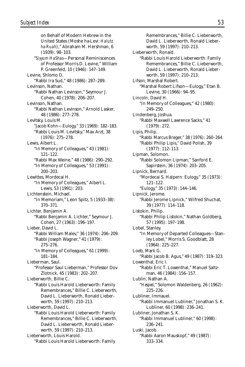on Behalf of Modern Hebrew in the United States (Moshe ha-Levi: *Halutz ha-Ruah*)," Abraham M. Hershman, 6 (1939): 98–103. "*Siyyum HaShas*—Personal Reminiscences of Professor Morris D. Levine," William P. Greenfeld, 10 (1946): 147–149. Levine, Shlomo D. "Rabbi Ira Sud," 48 (1986): 287–289. Levinson, Nathan. "Rabbi Nathan Levinson," Seymour J. Cohen, 40 (1978): 206–207. Levinson, Nathan. "Rabbi Nathan Levinson," Arnold Lasker, 48 (1986): 277–278. Levitsky, Louis M. "Jacob Kohn—Eulogy," 33 (1969): 182–183. "Rabbi Louis M. Levitsky," Max Arzt, 38 (1976): 275–278. Lewis, Albert L. "In Memory of Colleagues," 43 (1981): 121–122. "Rabbi Max Weine," 48 (1986): 290–292. "In Memory of Colleagues," 53 (1991): 200–203. Lewittes, Mordecai H. "In Memory of Colleagues," Albert L. Lewis, 53 (1991): 203. Lichtenstein, Michael. "In Memoriam," Leon Spitz, 5 (1933–38): 370–371. Lichter, Benjamin A. "Rabbi Benjamin A. Lichter," Seymour J. Cohen, 27 (1963): 196–197. Lieber, David L. "Rabbi William Malev," 36 (1974): 206–209. "Rabbi Joseph Wagner," 41 (1979): 275–276. "In Memory of Colleagues," 61 (1999): 181–184. Lieberman, Saul. "Professor Saul Lieberman," Professor Dov Zlotnick, 45 (1983): 202–207. Lieberworth, Billie C. "Rabbi Louis Harold Lieberworth: Family Remembrances," Billie C. Lieberworth, David L. Lieberworth, Ronald Lieberworth, 59 (1997): 210–213. Lieberworth, David L. "Rabbi Louis Harold Lieberworth: Family Remembrances," Billie C. Lieberworth, David L. Lieberworth, Ronald Lieberworth, 59 (1997): 210–213. Lieberworth, Louis Harold. "Rabbi Louis Harold Lieberworth: Family

Remembrances," Billie C. Lieberworth, David L. Lieberworth, Ronald Lieberworth, 59 (1997): 210–213. Lieberworth, Ronald. "Rabbi Louis Harold Lieberworth: Family Remembrances," Billie C. Lieberworth, David L. Lieberworth, Ronald Lieberworth, 59 (1997): 210–213. Lifson, Marshal Robert. "Marshal Robert Lifson—Eulogy," Etan B. Levine, 30 (1966): 94–95. Lincoln, David H. "In Memory of Colleagues," 42 (1980): 249–250. Lindenberg, Joshua. "Rabbi Maxwell Lawrence Sacks," 41 (1979): 272. Lipis, Philip. "Rabbi Marcus Breger," 38 (1976): 260–264. "Rabbi Philip Lipis," David Polish, 39 (1977): 112–113. Lipman, Solomon. "Rabbi Solomon Lipman," Sanford E. Sapirstein, 36 (1974): 203–205. Lipnick, Bernard. "Mordecai S. Halpern: Eulogy," 35 (1973): 121–122. "Eulogy," 35 (1973): 144–146. Lipnick, Jerome. "Rabbi Jerome Lipnick," Wilfred Shuchat, 39 (1977): 114–118. Listokin, Philip. "Rabbi Philip Listokin," Nathan Goldberg, 57 (1995): 197–198. Lobel, Stanley. "In Memory of Departed Colleagues—Stanley Lobel," Morris S. Goodblatt, 28 (1964): 225–227. Loeb, Mark G. "Rabbi Jacob B. Agus," 49 (1987): 319–323. Lowenthal, Eric I. "Rabbi Eric T. Lowenthal," Manuel Saltzman, 46 (1984): 156–157. Lublin, Nathan A. "*Hesped*," Solomon Waldenberg, 26 (1962): 225–226. Lubliner, Immauel. "Rabbi Immanuel Lubliner," Jonathan S. K. Lubliner, 60 (1998): 236–241. Lubliner, Jonathan S. K. "Rabbi Immanuel Lubliner," 60 (1998): 236–241. Luski, Jacob. "Rabbi Aaron Mauskopf," 49 (1987): 333–334.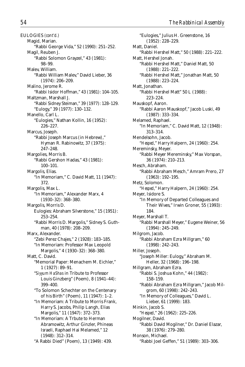EULOGIES *(cont'd.)* Magid, Marian. "Rabbi George Vida," 52 (1990): 251–252. Magil, Reuben J. "Rabbi Solomon Grayzel," 43 (1981): 98–99. Malev, William. "Rabbi William Malev," David Lieber, 36 (1974): 206–209. Malino, Jerome R. "Rabbi Isidor Hoffman," 43 (1981): 104–105. Maltzman, Marshall J. "Rabbi Sidney Steiman," 39 (1977): 128–129. "Eulogy," 39 (1977): 130–132. Manello, Carl L. "Eulogies," Nathan Kollin, 16 (1952): 226–227. Marcus, Joseph. "Rabbi Joseph Marcus (in Hebrew)," Hyman R. Rabinowitz, 37 (1975): 247–248. Margolies, Morris B. "Rabbi Gershon Hadas," 43 (1981): 100–101. Margolis, Elias. "In Memoriam," C. David Matt, 11 (1947): 372. Margolis, Max L. "In Memoriam," Alexander Marx, 4 (1930–32): 368–380. Margolis, Morris D. Eulogies: Abraham Silverstone," 15 (1951): 253–254. "Rabbi Morris D. Margolis," Sidney S. Guthman, 40 (1978): 208–209. Marx, Alexander. "Zebi Perez Chajes," 2 (1928): 183–185. "In Memoriam: Professor Max Leopold Margolis," 4 (1930–32): 368–380. Matt, C. David. "Memorial Paper: Menachem M. Eichler," 1 (1927): 89–91. "*Siyyum HaShas* in Tribute to Professor Louis Ginzberg" (Poem), 8 (1941–44): 399–400. "To Solomon Schechter on the Centenary of his Birth" (Poem), 11 (1947): 1–2. "In Memoriam: A Tribute to Morris Frank, Harry S. Jacobs, Philip Langh, Elias Margolis," 11 (1947): 372–373. "In Memoriam: A Trbute to Herman Abramowitz, Arthur Ginzler, Phineas Israeli, Raphael Hai Melamed," 12 (1948): 312–314. "A Rabbi Died" (Poem), 13 (1949): 439.

"Eulogies," Julius H. Greenstone, 16 (1952): 228–229. Matt, Daniel. "Rabbi Hershel Matt," 50 (1988): 221–222. Matt, Hershel Jonah. "Rabbi Hershel Matt," Daniel Matt, 50 (1988): 221–222. "Rabbi Hershel Matt," Jonathan Matt, 50 (1988): 223–224. Matt, Jonathan. "Rabbi Hershel Matt" 50 L (1988): 223–224. Mauskopf, Aaron. "Rabbi Aaron Mauskopf," Jacob Luski, 49 (1987): 333–334. Melamed, Raphael. "In Memoriam," C. David Matt, 12 (1948): 313–314. Mendelsohn, Jacob. "*Hesped*," Harry Halpern, 24 (1960): 254. Mereminsky, Meyer. "Rabbi Meyer Mereminsky," Max Vorspan, 36 (1974): 210–213. Mesch, Abraham. "Rabbi Abraham Mesch," Amram Prero, 27 (1963): 192–195. Metz, Solomon. "*Hesped*," Harry Halpern, 24 (1960): 254. Meyer, Isidore S. "In Memory of Departed Colleagues and Their Wives," Irwin Groner, 55 (1993): 184. Meyer, Marshall T. "Rabbi Marshall Meyer," Eugene Weiner, 56 (1994): 245–249. Milgrom, Jacob. "Rabbi Abraham Ezra Millgram," 60 (1998): 242–243. Miller, Joseph. "Joseph Miller: Eulogy," Abraham M. Heller, 32 (1968): 196–198. Millgram, Abraham Ezra. "Rabbi S. Joshua Kohn," 44 (1982): 158–159. "Rabbi Abraham Ezra Millgram," Jacob Milgrom, 60 (1998): 242–243. "In Memory of Colleagues," David L. Lieber, 61 (1999): 183. Minkin, Jacob S. "*Hesped*," 26 (1962): 225–226. Mogilner, David. "Rabbi David Mogilner," Dr. Daniel Elazar, 38 (1976): 279–280. Monson, Michael. "Rabbi Joel Geffen," 51 (1989): 303–306.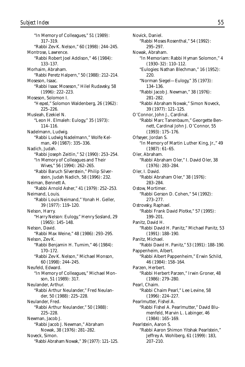"In Memory of Colleagues," 51 (1989): 317–319. "Rabbi Zev K. Nelson," 60 (1998): 244–245. Montrose, Lawrence. "Rabbi Robert Joel Addison," 46 (1984): 133–137. Morhaim, Abraham. "Rabbi Peretz Halpern," 50 (1988): 212–214. Moseson, Isaac. "Rabbi Isaac Moseson," Hilel Rudavsky, 58 (1996): 222–223. Moseson, Solomon I. "*Hesped*," Solomon Waldenberg, 26 (1962): 225–226. Musleah, Ezekiel N. "Leon H. Elmaleh: Eulogy," 35 (1973): 114–116. Nadelmann, Ludwig. "Rabbi Ludwig Nadelmann," Wolfe Kelman, 49 (1987): 335–336. Nadich, Judah. "Rabbi Joseph Zeitlin," 52 (1990): 253–254. "In Memory of Colleagues and Their Wives," 56 (1994): 262–265. "Rabbi Baruch Silverstein," Philip Silverstein, Judah Nadich, 58 (1996): 232. Neiman, Bennett A. "Rabbi Arnold Asher," 41 (1979): 252–253. Neimand, Louis. "Rabbi Louis Neimand," Yonah H. Geller, 39 (1977): 119–120. Nelson, Harry. "Harry Nelson: Eulogy," Henry Sosland, 29 (1965): 145–148. Nelson, David. "Rabbi Max Weine," 48 (1986): 293–295. Nelson, Zev K. "Rabbi Benjamin H. Tumim," 46 (1984): 170–172. "Rabbi Zev K. Nelson," Michael Monson, 60 (1998): 244–245. Neufeld, Edward. "In Memory of Colleagues," Michael Monson, 51 (1989): 317. Neulander, Arthur. "Rabbi Arthur Neulander," Fred Neulander, 50 (1988): 225–228. Neulander, Fred. "Rabbi Arthur Neulander," 50 (1988): 225–228. Newman, Jacob J. "Rabbi Jacob J. Newman," Abraham Nowak, 38 (1976): 281–282. Noveck, Simon. "Rabbi Abraham Nowak," 39 (1977): 121–125.

Novick, Daniel. "Rabbi Moses Rosenthal," 54 (1992): 295–297. Nowak, Abraham. "In Memoriam: Rabbi Hyman Solomon," 4 (1930–32): 110–112. "Eulogies: Nathan Blechman," 16 (1952): 220. "Norman Siegel—Eulogy," 35 (1973): 134–136. "Rabbi Jacob J. Newman," 38 (1976): 281–282. "Rabbi Abraham Nowak," Simon Noveck, 39 (1977): 121–125. O'Connor, John J., Cardinal. "Rabbi Marc Tanenbaum," Georgette Bennett, Cardinal John J. O'Connor, 55 (1993): 175–176. Ofseyer, Jordan S. "In Memory of Martin Luther King, Jr.," 49 (1987): 61–65. Oler, Abraham. "Rabbi Abraham Oler," I. David Oler, 38 (1976): 283–284. Oler, I. David. "Rabbi Abraham Oler," 38 (1976): 283–284. Ostow, Mortimer. "Rabbi Gerson D. Cohen," 54 (1992): 273–277. Ostrovsky, Raphael. "Rabbi Frank David Plotke," 57 (1995): 199–201. Panitz, David H. "Rabbi David H. Panitz," Michael Panitz, 53 (1991): 188–190. Panitz, Michael. "Rabbi David H. Panitz," 53 (1991): 188–190. Pappenheim, Albert. "Rabbi Albert Pappenheim," Erwin Schild, 46 (1984): 158–164. Parzen, Herbert. "Rabbi Herbert Parzen," Irwin Groner, 48 (1986): 279–280. Pearl, Chaim. "Rabbi Chaim Pearl," Lee Levine, 58 (1996): 224–227. Pearlmutter, Fishel A. "Rabbi Fishel A. Pearlmutter," David Blumenfeld, Marvin L. Labinger, 46 (1984): 165–169. Pearlstein, Aaron S. "Rabbi Aaron Shimon Yitshak Pearlstein," Jeffrey A. Wohlberg, 61 (1999): 183, 207–210.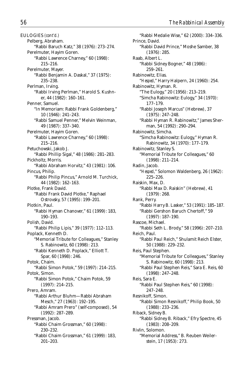EULOGIES *(cont'd.)* Pelberg, Abraham. "Rabbi Baruch Katz," 38 (1976): 273–274. Perelmuter, Hayim Goren. "Rabbi Lawrence Charney," 60 (1998): 215–216. Perelmuter, Mayer. "Rabbi Benjamin A. Daskal," 37 (1975): 235–238. Perlman, Irving. "Rabbi Irving Perlman," Harold S. Kushner, 44 (1982): 160–161. Penner, Samuel. "In Memoriam: Rabbi Frank Goldenberg," 10 (1946): 241–243. "Rabbi Samuel Penner," Melvin Weinman, 49 (1987): 337–340. Perelmuter, Hayim Goren. "Rabbi Lawrence Charney," 60 (1998): 215–216. Petuchowski, Jakob J. "Rabbi Phillip Sigal," 48 (1986): 281–283. Pickholtz, Morris. "Rabbi Abraham Horvitz," 43 (1981): 106. Pincus, Philip. "Rabbi Philip Pincus," Arnold M. Turchick, 44 (1982): 162–163. Plotke, Frank David. "Rabbi Frank David Plotke," Raphael Ostrovsky, 57 (1995): 199–201. Plotkin, Paul. "Rabbi Hyman Chanover," 61 (1999): 183, 190–193. Polish, David. "Rabbi Philip Lipis," 39 (1977): 112–113. Poplack, Kenneth D. "Memorial Tribute for Colleagues," Stanley S. Rabinowitz, 60 (1998): 213. "Rabbi Kenneth D. Poplack," Elliott T. Spar, 60 (1998): 246. Potok, Chaim. "Rabbi Simon Potok," 59 (1997): 214–215. Potok, Simon. "Rabbi Simon Potok," Chaim Potok, 59 (1997): 214–215. Prero, Amram. "Rabbi Arthur Bluhm—Rabbi Abraham Mesch," 27 (1963): 192–195. "Rabbi Amram Prero" (self-composed), 54 (1992): 287–289. Pressman, Jacob. "Rabbi Chaim Grossman," 60 (1998): 230–232. "Rabbi Chaim Grossman," 61 (1999): 183, 201–203.

"Rabbi Medalie Wise," 62 (2000): 334–336. Prince, David. "Rabbi David Prince," Moshe Samber, 38 (1976): 285. Raab, Albert L. "Rabbi Sidney Bogner," 48 (1986): 259–261. Rabinowitz, Elias. "*Hesped*," Harry Halpern, 24 (1960): 254. Rabinowitz, Hyman. R. "The Eulogy," 20 (1956): 213–219. "Simcha Rabinowitz: Eulogy," 34 (1970): 177–179. "Rabbi Joseph Marcus" (Hebrew), 37 (1975): 247–248. "Rabbi Hyman R. Rabinowitz," James Sherman, 54 (1992): 290–294. Rabinowitz, Simcha. "Simcha Rabinowitz: Eulogy," Hyman R. Rabinowitz, 34 (1970): 177–179. Rabinowitz, Stanley S. "Memorial Tribute for Colleagues," 60 (1998): 211–214. Radin, Jacob. "*Hesped*," Solomon Waldenberg, 26 (1962): 225–226. Raiskin, Max, D. "Rabbi Max D. Raiskin" (Hebrew), 41 (1979): 268. Rank, Perry. "Rabbi Harry B. Lasker," 53 (1991): 185–187. "Rabbi Gershon Baruch Chertoff," 59 (1997): 187–190. Rascoe, Michael. "Rabbi Seth L. Brody," 58 (1996): 207–210. Reich, Paul. "Rabbi Paul Reich," Shulamit Reich Elster, 50 (1988): 229–232. Reis, Paul Stephen. "Memorial Tribute for Colleagues," Stanley S. Rabinowitz, 60 (1998): 213. "Rabbi Paul Stephen Reis," Sara E. Reis, 60 (1998): 247–248. Reis, Sara E. "Rabbi Paul Stephen Reis," 60 (1998): 247–248. Resnikoff, Simon. "Rabbi Simon Resnikoff," Philip Book, 50 (1988): 233–236. Riback, Sidney B. "Rabbi Sidney B. Riback," Efry Spectre, 45 (1983): 208–209. Rivlin, Solomon. "Memorial Address," B. Reuben Weilerstein, 17 (1953): 273.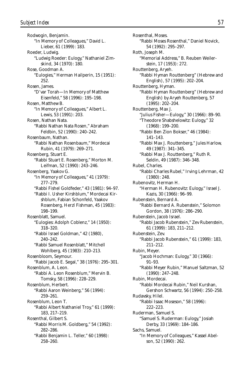Rodwogin, Benjamin. "In Memory of Colleagues," David L. Lieber, 61 (1999): 183. Roeder, Ludwig. "Ludwig Roeder: Eulogy," Nathaniel Zimskind, 34 (1970): 180. Rose, Goodman A. "Eulogies," Herman Hailperin, 15 (1951): 252. Rosen, James. "D'var Torah—In Memory of Matthew Eisenfeld," 58 (1996): 195–198. Rosen, Matthew B. "In Memory of Colleagues," Albert L. Lewis, 53 (1991): 203. Rosen, Nathan Nata. "Rabbi Nathan Nata Rosen," Abraham Feldbin, 52 (1990): 240–242. Rosenbaum, Nathan. "Rabbi Nathan Rosenbaum," Mordecai Rubin, 41 (1979): 269–271. Rosenberg, Stuart E. "Rabbi Stuart E. Rosenberg," Morton M. Leifman, 52 (1990): 243–246. Rosenberg, Yaakov G. "In Memory of Colleagues," 41 (1979): 277–279. "Rabbi Fishel Goldfeder," 43 (1981): 94–97. "Rabbi I. Usher Kirshblum," Mordecai Kirshblum, Fabian Schonfeld, Yaakov Rosenberg, Herzl Fishman, 45 (1983): 198–199. Rosenblatt, Samuel. "Eulogies: Adolph Coblenz," 14 (1950): 318–320. "Rabbi Israel Goldman," 42 (1980), 240–242. "Rabbi Samuel Rosenblatt," Mitchell Wohlberg, 45 (1983): 210–213. Rosenbloom, Seymour. "Rabbi Jacob E. Segal," 38 (1976): 295–301. Rosenblum, A. Leon. "Rabbi A. Leon Rosenblum," Mervin B. Tomsky, 58 (1996): 228–229. Rosenblum, Herbert. "Rabbi Aaron Weinberg," 56 (1994): 259–261. Rosenblum, Leon T. "Rabbi Albert Nathaniel Troy," 61 (1999): 183, 217–219. Rosenthal, Gilbert S. "Rabbi Morris M. Goldberg," 54 (1992): 282–286. "Rabbi Benjamin L. Teller," 60 (1998): 258–260.

Rosenthal, Moses. "Rabbi Moses Rosenthal," Daniel Novick, 54 (1992): 295–297. Roth, Joseph M. "Memorial Address," B. Reuben Weilerstein, 17 (1953): 272. Routtenberg, Aryeh. "Rabbi Hyman Routtenberg" (Hebrew and English), 57 (1995): 202–204. Routtenberg, Hyman. "Rabbi Hyman Routtenberg" (Hebrew and English) by Aryeh Routtenberg, 57 (1995): 202–204. Routtenberg, Max J. "Julius Fisher—Eulogy," 30 (1966): 89–90. "Theodore Shabshelowitz: Eulogy," 32 (1968): 199–200. "Rabbi Ben Zion Bokser," 46 (1984): 141–143. "Rabbi Max J. Routtenberg," Jules Harlow, 49 (1987): 341–345. "Rabbi Max J. Routtenberg," Ruth R. Seldin, 49 (1987): 346–348. Rubel, Charles. "Rabbi Charles Rubel," Irving Lehrman, 42 (1980): 248. Rubenovitz, Herman H. "Herman H. Rubenovitz: Eulogy," Israel J. Kazis, 30 (1966): 96–99. Rubenstein, Bernard A. "Rabbi Bernard A. Rubenstein," Solomon Gordon, 38 (1976): 286–290. Rubenstein, Jacob Israel. "Rabbi Jacob Rubenstein," Zev Rubenstein, 61 (1999): 183, 211–212. Rubenstein, Zev. "Rabbi Jacob Rubenstein," 61 (1999): 183, 211–212. Rubin, Meyer. "Jacob Hochman: Eulogy," 30 (1966): 91–93. "Rabbi Meyer Rubin," Manuel Saltzman, 52 (1990): 247–248. Rubin, Mordecai. "Rabbi Mordecai Rubin," Neil Kurshan, Gershon Schwartz, 56 (1994): 250–258. Rudavsky, Hilel. "Rabbi Isaac Moseson," 58 (1996): 222–223. Ruderman, Samuel S. "Samuel S. Ruderman: Eulogy," Josiah Derby, 33 (1969): 184–186. Sachs, Samuel. "In Memory of Colleagues," Kassel Abelson, 52 (1990): 262.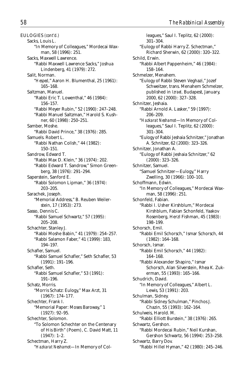EULOGIES *(cont'd.)* Sacks, Louis L. "In Memory of Colleagues," Mordecai Waxman, 58 (1996): 251. Sacks, Maxwell Lawrence. "Rabbi Maxwell Lawrence Sacks," Joshua Lindenberg, 41 (1979): 272. Salit, Norman. "*Hesped*," Aaron H. Blumenthal, 25 (1961): 165–168. Saltzman, Manuel. "Rabbi Eric T. Lowenthal," 46 (1984): 156–157. "Rabbi Meyer Rubin," 52 (1990): 247–248. "Rabbi Manuel Saltzman," Harold S. Kushner, 60 (1998): 250–251. Samber, Moshe. "Rabbi David Prince," 38 (1976): 285. Samuels. Robert L. "Rabbi Nathan Colish," 44 (1982): 150–151. Sandrow, Edward T. "Rabbi Max D. Klein," 36 (1974): 202. "Rabbi Edward T. Sandrow," Simon Greenberg, 38 (1976): 291–294. Saperstein, Sanford E. "Rabbi Solomon Lipman," 36 (1974): 203–205. Sarachek, Joseph. "Memorial Address," B. Reuben Weilerstein, 17 (1953): 273. Sasso, Dennis C. "Rabbi Samuel Schwartz," 57 (1995): 205–208. Schachter, Stanley J. "Rabbi Moshe Babin," 41 (1979): 254–257. "Rabbi Salamon Faber," 41 (1999): 183, 194–197. Schafler, Samuel. "Rabbi Samuel Schafler," Seth Schafler, 53 (1991): 191–196. Schafler, Seth. "Rabbi Samuel Schafler," 53 (1991): 191–196. Schatz, Morris. "Morris Schatz: Eulogy," Max Arzt, 31 (1967): 174–177. Schechter, Frank I. "Memorial Paper: Moses Baroway," 1 (1927): 92–95. Schechter, Solomon. "To Solomon Schechter on the Centenary of His Birth" (Poem), C. David Matt, 11 (1947): 1–2. Schectman, Harry Z. "*Hazkarat Neshamot*—In Memory of Col-

leagues," Saul I. Teplitz, 62 (2000): 301–304. "Eulogy of Rabbi Harry Z. Schectman," Richard Sherwin, 62 (2000): 320–322. Schild, Erwin. "Rabbi Albert Pappenheim," 46 (1984): 158–164. Schmelzer, Menahem. "Eulogy of Rabbi Steven Veghazi," Jozef Schweitzer, trans. Menahem Schmelzer, published in *Izrael,* Budapest, January, 2000, 62 (2000): 327–328. Schnitzer, Jeshaia. "Rabbi Arnold A. Lasker," 59 (1997): 206–209. "*Hazkarat Neshamot*—In Memory of Colleagues," Saul I. Teplitz, 62 (2000): 301–304. "Eulogy of Rabbi Jeshaia Schnitzer," Jonathan A. Schnitzer, 62 (2000): 323–326. Schnitzer, Jonathan A. "Eulogy of Rabbi Jeshaia Schnitzer," 62 (2000): 323–326. Schnitzer, Samuel. "Samuel Schnitzer—Eulogy," Harry Zwelling, 30 (1966): 100–101. Schoffmann, Edwin. "In Memory of Colleagues," Mordecai Waxman, 58 (1996): 251. Schonfeld, Fabian. "Rabbi I. Usher Kirshblum," Mordecai Kirshblum, Fabian Schonfeld, Yaakov Rosenberg, Herzl Fishman, 45 (1983): 198–199. Schorsch, Emil. "Rabbi Emil Schorsch," Ismar Schorsch, 44 (1982): 164–168. Schorsch, Ismar. "Rabbi Emil Schorsch," 44 (1982): 164–168. "Rabbi Alexander Shapiro," Ismar Schorsch, Alan Silverstein, Rhea K. Zukerman, 55 (1993): 165–166. Schudrich, David. "In Memory of Colleagues," Albert L. Lewis, 53 (1991): 203. Schulman, Sidney. "Rabbi Sidney Schulman," Pinchos J. Chazin, 55 (1993): 162–164. Schulweis, Harold. M. "Rabbi Elliott Burstein," 38 (1976): 265. Schwartz, Gershon. "Rabbi Mordecai Rubin," Neil Kurshan, Gershon Schwartz, 56 (1994): 253–258. Schwartz, Barry Dov. "Rabbi Hillel Hyman," 42 (1980): 245–246.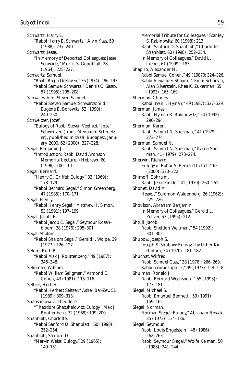Schwartz, Harry E. "Rabbi Harry E. Schwartz," Alvin Kass, 50 (1988): 237–240. Schwartz, Jesse. "In Memory of Departed Colleagues: Jesse Schwartz," Morris S. Goodblatt, 28 (1964): 225–227. Schwartz, Samuel. "Rabbi Ralph DeKoven," 36 (1974): 196–197. "Rabbi Samuel Schwartz," Dennis C. Sasso, 57 (1995): 205–208. Schwarzschild, Steven Samuel. "Rabbi Steven Samuel Schwarzschild," Eugene B. Borowitz, 52 (1990): 249–250. Schweitzer, Jozef. "Eulogy of Rabbi Steven Veghazi," Jozef Schweitzer, (trans. Menahem Schmelzer), published in *Izrael,* Budapest, January, 2000, 62 (2000): 327–328. Segal, Benjamin J. "Introduction: Rabbi David Aronson Memorial Lecture,"(Hebrew), 60 (1998): 100–101. Segal, Bernard. "Henry O. Griffel: Eulogy," 33 (1969): 178–179. "Rabbi Bernard Segal," Simon Greenberg, 47 (1985): 170–171. Segal, Henry. "Rabbi Henry Segal," Matthew H. Simon, 53 (1991): 197–199. Segal, Jacob. E. "Rabbi Jacob E. Segal," Seymour Rosenbloom, 38 (1976): 295–301. Segal, Shalom. "Rabbi Shalom Segal," Gerald I. Wolpe, 39 (1977): 126–127. Seldin, Ruth R. "Rabbi Max J. Routtenberg," 49 (1987): 346–348. Seligman, William. "Rabbi William Seligman," Armond E. Cohen, 43 (1981): 115–116. Seltzer, Herbert. "Rabbi Herbert Seltzer," Asher Bar-Zev, 51 (1989): 309–313. Shabshelowitz, Theodore. "Theodore Shabshelowitz: Eulogy," Max J. Routtenberg, 32 (1968): 199–200. Shanblatt, Charlotte. "Rabbi Sanford D. Shanblatt," 60 (1998): 252–254. Shanblatt, Sanford D. "Marvin Weiss: Eulogy," 29 (1965): 149–151.

"Memorial Tribute for Colleagues," Stanley S. Rabinowitz, 60 (1998): 213. "Rabbi Sanford D. Shanblatt," Charlotte Shanblatt, 60 (1998): 252–254. "In Memory of Colleagues," David L. Lieber, 61 (1999): 183. Shapiro, Alexander M. "Rabbi Samuel Cohen," 49 (19870: 324–326. "Rabbi Alexander Shapiro," Ismar Schorsch, Alan Silverstein, Rhea K. Zukerman, 55 (1993): 165–169. Sherman, Charles. "Rabbi Irwin I. Hyman," 49 (1987): 327–329. Sherman, James. "Rabbi Hyman R. Rabinowitz," 54 (1992): 290–294. Sherman, Karen. "Rabbi Samuel N. Sherman," 41 (1979): 273–274. Sherman, Samuel N. "Rabbi Samuel N. Sherman," Karen Sherman, 41 (1979): 273–274. Sherwin, Richard. "Eulogy of Rabbi A. Bernard Leffell," 62 (2000): 320–322. Shimoff, Ephraim. "Rabbi Jesse Finkle," 41 (1979): 260–261. Shohet, David M. "*Hesped*," Solomon Waldenberg, 26 (1962): 225–226. Shoulson, Abraham Benjamin. "In Memory of Colleagues," Gerald L. Zelizer, 57 (1995): 212. Shtull, Jacob. "Rabbi Sheldon Weltman," 54 (1992): 301–302. Shubow, Joseph S. "Joseph S. Shubow: Eulogy," by Usher Kirshblum, 34 (1970): 181–182. Shuchat, Wilfred. "Rabbi Samuel Cass," 38 (1976): 266–269. "Rabbi Jerome Lipnick," 39 (1977): 114–118. Shulman, Ronald J. "Rabbi Bernard Wechsberg," 55 (1993): 177–181. Siegel, Michael S. "Rabbi Emanuel Bennett," 53 (1991): 159–162. Siegel, Norman. "Norman Siegel: Eulogy," Abraham Nowak, 35 (1973): 134–136. Siegel, Seymour. "Rabbi Louis Engelstein," 48 (1986): 262–263. "Rabbi Seymour Siegel," Wolfe Kelman, 50 (1988): 241–244.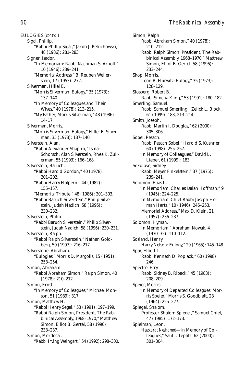Sigal, Phillip. "Rabbi Phillip Sigal," Jakob J. Petuchowski, 48 (1986): 281–283. Signer, Isador. "In Memoriam: Rabbi Nachman S. Arnoff," 10 (1946): 239–241. "Memorial Address," B. Reuben Weilerstein, 17 (1953): 272. Silverman, Hillel E. "Morris Silverman: Eulogy," 35 (1973): 137–140. "In Memory of Colleagues and Their Wives," 40 (1978): 213–215. "My Father, Morris Silverman," 48 (1986): 14–17. Silverman, Morris. "Morris Silverman: Eulogy," Hillel E. Silverman, 35 (1973): 137–140. Silverstein, Alan. "Rabbi Alexander Shapiro," Ismar Schorsch, Alan Silverstein, Rhea K. Zukerman, 55 (1993): 166–168. Silverstein, Baruch. "Rabbi Harold Gordon," 40 (1978): 201–202. "Rabbi Harry Halpern," 44 (1982): 155–157. "Memorial Tribute," 48 (1986): 301–303. "Rabbi Baruch Silverstein," Philip Silverstein, Judah Nadich, 58 (1996): 230–232. Silverstein, Philip. "Rabbi Baruch Silverstein," Philip Silverstein, Judah Nadich, 58 (1996): 230–231. Silverstein, Ralph. "Rabbi Ralph Silverstein," Nathan Goldberg, 59 (1997): 216–217. Silverstone, Abraham. "Eulogies," Morris D. Margolis, 15 (1951): 253–254. Simon, Abraham. "Rabbi Abraham Simon," Ralph Simon, 40 (1978): 210–212. Simon, Ernst. "In Memory of Colleagues," Michael Monson, 51 (1989): 317. Simon, Matthew H. "Rabbi Henry Segal," 53 (1991): 197–199. "Rabbi Ralph Simon, President, The Rabbinical Assembly, 1968–1970," Matthew Simon, Elliot B. Gertel, 58 (1996): 233–237. Simon, Mordecai. "Rabbi Irving Weingart," 54 (1992): 298–300.

Simon, Ralph. "Rabbi Abraham Simon," 40 (1978): 210–212. "Rabbi Ralph Simon, President, The Rabbinical Assembly, 1968–1970," Matthew Simon, Elliot B. Gertel, 58 (1996): 233–244. Skop, Morris. "Leon B. Hurwitz: Eulogy," 35 (1973): 128–129. Slosberg, Robert B. "Rabbi Simcha Kling," 53 (1991): 180–182. Smerling, Samuel. "Rabbi Samuel Smerling," Zelick L. Block, 61 (1999): 183, 213–214. Smith, Joseph. "Rabbi Martin I. Douglas," 62 (2000): 305–306. Sobel, Pesach. "Rabbi Pesach Sobel," Harold S. Kushner, 60 (1998): 255–257. "In Memory of Colleagues," David L. Lieber, 61 (1999): 183. Sokolove, Sidney. "Rabbi Meyer Finkelstein," 37 (1975): 239–241. Solomon, Elias L. "In Memoriam: Charles Isaiah Hoffman," 9 (1945): 224–225. "In Memoriam: Chief Rabbi Joseph Herman Hertz," 10 (1946): 246–253. "Memorial Address," Max D. Klein, 21 (1957): 236–237. Solomon, Hyman. "In Memoriam," Abraham Nowak, 4 (1930–32): 110–112. Sosland, Henry. "Harry Nelson: Eulogy," 29 (1965): 145–148. Spar, Elliott T. "Rabbi Kenneth D. Poplack," 60 (1998): 246. Spectre, Efry. "Rabbi Sidney B. Riback," 45 (1983): 208–209. Speier, Morris. "In Memory of Departed Colleagues: Morris Speier," Morris S. Goodblatt, 28 (1964): 225–227. Spiegel, Shalom. "Professor Shalom Spiegel," Samuel Chiel, 47 (1985): 172–173. Spielman, Leon. "*Hazkarat Neshamot*—In Memory of Colleagues," Saul I. Teplitz, 62 (2000): 301–304.

EULOGIES *(cont'd.)*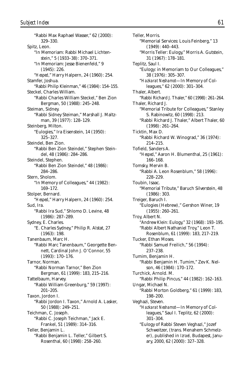"Rabbi Max Raphael Wasser," 62 (2000): 329–330. Spitz, Leon. "In Memoriam: Rabbi Michael Lichtenstein," 5 (1933–38): 370–371. "In Memoriam: Jesse Bienenfeld," 9 (1945): 226. "*Hesped*," Harry Halpern, 24 (1960): 254. Stamfer, Joshua. "Rabbi Philip Kleinman," 46 (1984): 154–155. Steckel, Charles William. "Rabbi Charles William Steckel," Ben Zion Bergman, 50 (1988): 245–248. Steiman, Sidney. "Rabbi Sidney Steiman," Marshall J. Maltzman, 39 (1977): 128–129. Steinberg, Milton. "Eulogies," Ira Eisenstein, 14 (1950): 325–327. Steindel, Ben Zion. "Rabbi Ben Zion Steindel," Stephen Steindel, 48 (1986): 284–286. Steindel, Stephen. "Rabbi Ben Zion Steindel," 48 (1986): 284–286. Stern, Sholom. "In Memory of Colleagues," 44 (1982): 169–172. Stolper, Bernard. "*Hesped*," Harry Halpern, 24 (1960): 254. Sud, Ira. "Rabbi Ira Sud," Shlomo D. Levine, 48 (1986): 287–289. Sydney, E. Charles. "E. Charles Sydney," Philip R. Alstat, 27 (1963): 198. Tanenbaum, Marc H. "Rabbi Marc Tanenbaum," Georgette Bennett, Cardinal John J. O'Connor, 55 (1993): 170–176. Tarnor, Norman. "Rabbi Norman Tarnor," Ben Zion Bergman, 61 (1999): 183, 215–216. Tattelbaum, Harvey. "Rabbi William Greenburg," 59 (1997): 201–205. Taxon, Jordon I. "Rabbi Jordon I. Taxon," Arnold A. Lasker, 50 (1988): 249–251. Teichman, C. Joseph. "Rabbi C. Joseph Teichman," Jack E. Frankel, 51 (1989): 314–316. Teller, Benjamin L. "Rabbi Benjamin L. Teller," Gilbert S. Rosenthal, 60 (1998): 258–260.

Teller, Morris. "Memorial Services: Louis Feinberg," 13 (1949): 440–443. "Morris Teller: Eulogy," Morris A. Gutstein, 31 (1967): 178–181. Teplitz, Saul I. "Eulogy: in Memoriam to Our Colleagues," 38 (1976): 305–307. "*Hazkarat Neshamot*—In Memory of Colleagues," 62 (2000): 301–304. Thaler, Albert. "Rabbi Richard J. Thaler," 60 (1998): 261–264. Thaler, Richard J. "Memorial Tribute for Colleagues," Stanley S. Rabinowitz, 60 (1998): 213. "Rabbi Richard J. Thaler," Albert Thaler, 60 (1998): 261–264. Ticktin, Max D. "Rabbi Richard W. Winograd," 36 (1974): 214–215. Tofield, Sanders A. "*Hesped*," Aaron H. Blumenthal, 25 (1961): 166–168. Tomsky, Mervin B. "Rabbi A. Leon Rosenblum," 58 (1996): 228–229. Toubin, Isaac. "Memorial Tribute," Baruch Silverstein, 48 (1986): 303. Treiger, Baruch I. "Eulogies (Hebrew)," Gershon Winer, 19 (1955): 260–261. Troy, Albert N. "Andrew Klein: Eulogy," 32 (1968): 193–195. "Rabbi Albert Nathaniel Troy," Leon T. Rosenblum, 61 (1999): 183, 217–219. Tucker, Ethan Moses. "Rabbi Samuel Freilich," 56 (1994): 237–238. Tumim, Benjamin H. "Rabbi Benjamin H. Tumim," Zev K. Nelson, 46 (1984): 170–172. Turchick, Arnold. M. "Rabbi Philip Pincus," 44 (1982): 162–163. Ungar, Michael N. "Rabbi Morton Goldberg," 61 (1999): 183, 198–200. Veghazi, Steven. "*Hazkarat Neshamot*—In Memory of Colleagues," Saul I. Teplitz, 62 (2000): 301–304. "Eulogy of Rabbi Steven Veghazi," Jozef Schweitzer, (trans. Menahem Schmelzer), published in *Izrael,* Budapest, January, 2000, 62 (2000): 327–328.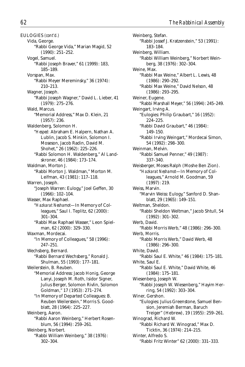EULOGIES *(cont'd.)* Vida, George. "Rabbi George Vida," Marian Magid, 52 (1990): 251–252. Vogel, Samuel. "Rabbi Joseph Braver," 61 (1999): 183, 185–189. Vorspan, Max. "Rabbi Meyer Mereminsky," 36 (1974): 210–213. Wagner, Joseph. "Rabbi Joseph Wagner," David L. Lieber, 41 (1979): 275–276. Wald, Marcus. "Memorial Address," Max D. Klein, 21 (1957): 236. Waldenberg, Solomon H. "*Hesped:* Abraham E. Halpern, Nathan A. Lublin, Jacob S. Minkin, Solomon I. Moseson, Jacob Radin, David M. Shohet," 26 (1962): 225–226. "Rabbi Solomon H. Waldenberg," Al Landskroner, 46 (1984): 173–174. Waldman, Morton J. "Rabbi Morton J. Waldman," Morton M. Leifman, 43 (1981): 117–118. Warren, Joseph. "Joseph Warren: Eulogy," Joel Geffen, 30 (1966): 102–104. Wasser, Max Raphael. "*Hazkarat Neshamot*—In Memory of Colleagues," Saul I. Teplitz, 62 (2000): 301–304. "Rabbi Max Raphael Wasser," Leon Spielman, 62 (2000): 329–330. Waxman, Mordecai. "In Memory of Colleagues," 58 (1996): 247–251. Wechsberg, Bernard. "Rabbi Bernard Wechsberg," Ronald J. Shulman, 55 (1993): 177–181. Weilerstein, B. Reuben. "Memorial Address: Jacob Honig, George Lanyi, Joseph M. Roth, Isidor Signer, Julius Berger, Solomon Rivlin, Solomon Goldman," 17 (1953): 271–274. "In Memory of Departed Colleagues: B. Reuben Weilerstein," Morris S. Goodblatt, 28 (1964): 225–227. Weinberg, Aaron. "Rabbi Aaron Weinberg," Herbert Rosenblum, 56 (1994): 259–261. Weinberg, Norbert. "Rabbi William Weinberg," 38 (1976): 302–304.

Weinberg, Stefan. "Rabbi Jossef J. Kratzenstein," 53 (1991): 183–184. Weinberg, William. "Rabbi William Weinberg," Norbert Weinberg, 38 (1976): 302–304. Weine, Max. "Rabbi Max Weine," Albert L. Lewis, 48 (1986): 290–292. "Rabbi Max Weine," David Nelson, 48 (1986): 293–295. Weiner, Eugene. "Rabbi Marshall Meyer," 56 (1994): 245–249. Weingart, Irving A. "Eulogies: Philip Graubart," 16 (1952): 224–225. "Rabbi David Graubart," 46 (1984): 149–150. "Rabbi Irving Weingart," Mordecai Simon, 54 (1992): 298–300. Weinman, Melvin. "Rabbi Samuel Penner," 49 (1987): 337–340. Weisberger, Moses Ralph (Moshe Ben Zion). "*Hazkarat Neshamot*—In Memory of Colleagues," Arnold M. Goodman, 59 (1997): 219. Weiss, Marvin. "Marvin Weiss: Eulogy," Sanford D. Shanblatt, 29 (1965): 149–151. Weltman, Sheldon. "Rabbi Sheldon Weltman," Jacob Shtull, 54 (1992): 301–302. Werb, David. "Rabbi Morris Werb," 48 (1986): 296–300. Werb, Morris. "Rabbi Morris Werb," David Werb, 48 (1986): 296–300. White, David. "Rabbi Saul E. White," 46 (1984): 175–181. White, Saul E. "Rabbi Saul E. White," David White, 46 (1984): 175–181. Wiesenberg, Joseph W. "Rabbi Joseph W. Wiesenberg," Hayim Herring, 54 (1992): 303–304. Winer, Gershon. "Eulogies: Julius Greenstone, Samuel Bension, Jeremiah Berman, Baruch Treiger" (Hebrew), 19 (1955): 259–261. Winograd, Richard W. "Rabbi Richard W. Winograd," Max D. Ticktin, 36 (1974): 214–215. Winter, Alfredo S. "Rabbi Fritz Winter" 62 (2000): 331–333.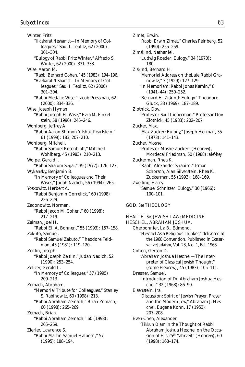Winter, Fritz. "*Hazkarat Neshamot*—In Memory of Colleagues," Saul I. Teplitz, 62 (2000): 301–304. "Eulogy of Rabbi Fritz Winter," Alfredo S. Winter, 62 (2000): 331–333. Wise, Aaron M. "Rabbi Bernard Cohen," 45 (1983): 194–196. "*Hazkarat Neshamot*—In Memory of Colleagues," Saul I. Teplitz, 62 (2000): 301–304. "Rabbi Medalie Wise," Jacob Pressman, 62 (2000): 334–336. Wise, Joseph Hyman. "Rabbi Joseph H. Wise," Ezra M. Finkelstein, 58 (1996): 245–246. Wohlberg, Jeffrey A. "Rabbi Aaron Shimon Yitshak Pearlstein," 61 (1999): 183, 207–210. Wohlberg, Mitchell. "Rabbi Samuel Rosenblatt," Mitchell Wohlberg, 45 (1983): 210–213. Wolpe, Gerald I. "Rabbi Shalom Segal," 39 (1977): 126–127. Wykansky, Benjamin B. "In Memory of Colleagues and Their Wives," Judah Nadich, 56 (1994): 265. Yoskowitz, Herbert A. "Rabbi Benjamin Gorrelick," 60 (1998): 226–229. Zadonowitz, Norman. "Rabbi Jacob M. Cohen," 60 (1998): 217–219. Zaiman, Joel H. "Rabbi Eli A. Bohnen," 55 (1993): 157–158. Zakuto, Samuel. "Rabbi Samuel Zakuto," Theodore Feldman, 43 (1981): 119–120. Zeitlin, Joseph. "Rabbi Joseph Zeitlin," Judah Nadich, 52 (1990): 253–254. Zelizer, Gerald L. "In Memory of Colleagues," 57 (1995): 209–213. Zemach, Abraham. "Memorial Tribute for Colleagues," Stanley S. Rabinowitz, 60 (1998): 213. "Rabbi Abraham Zemach," Brian Zemach, 60 (1998): 265–269. Zemach, Brian. "Rabbi Abraham Zemach," 60 (1998): 265–269. Zierler, Lawrence S. "Rabbi Martin Samuel Halpern," 57 (1995): 188–194.

Zimet, Erwin. "Rabbi Erwin Zimet," Charles Feinberg, 52 (1990): 255–259. Zimskind, Nathaniel. "Ludwig Roeder: Eulogy," 34 (1970): 180. Ziskind, Bernard H. "Memorial Address on theLate Rabbi Granowitz," 3 (1929): 127–129. "In Memoriam: Rabbi Jonas Kamin," 8 (1941–44): 250–252. "Bernard H. Ziskind: Eulogy," Theodore Gluck, 33 (1969): 187–189. Zlotnick, Dov. "Professor Saul Lieberman," Professor Dov Zlotnick, 45 (1983): 202–207. Zucker, Max. "Max Zucker: Eulogy," Joseph Herman, 35 (1973): 141–143. Zucker, Moshe. "Professor Moshe Zucker" (Hebrew), Mordecai Friedman, 50 (1988): *alef-hey.* Zuckerman, Rhea K. "Rabbi Alexander Shapiro," Ismar Schorsch, Alan Silverstein, Rhea K. Zuckerman, 55 (1993): 168–169. Zwelling, Harry. "Samuel Schnitzer: Eulogy," 30 (1966): 100–101. GOD. *See* THEOLOGY HEALTH. *See* JEWISH LAW; MEDICINE HESCHEL, ABRAHAM JOSHUA. Cherbonnier, La B., Edmond. "Heschel As a Religious Thinker," delivered at the 1968 Convention. Published in *Conservative Judaism,* Vol. 23, No. 1, Fall 1968. Cohen, Gerson D. "Abraham Joshua Heschel—The Interpreter of Classical Jewish Thought" (some Hebrew), 45 (1983): 105–111. Dresner, Samuel.

> "Introduction of Dr. Abraham Joshua Heschel," 32 (1968): 86–90.

Eisenstein, Ira. "Discussion: Spirit of Jewish Prayer, Prayer and the Modern Jew," Abraham J. Heschel, Eugene Kohn, 17 (1953): 207–208.

Even-Chen, Alexander. "*Tikkun Olam* in the Thought of Rabbi Abraham Joshua Heschel on the Occasion of His 25<sup>th</sup> Yahrzeit" (Hebrew), 60 (1998): 168–174.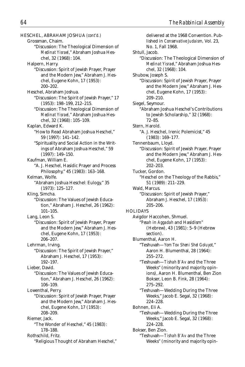HESCHEL, ABRAHAM JOSHUA *(cont'd.)* Grossman, Chaim. "Discussion: The Theological Dimension of *Medinat Yisrael*," Abraham Joshua Heschel, 32 (1968): 104. Halpern, Harry. "Discussion: Spirit of Jewish Prayer, Prayer and the Modern Jew," Abraham J. Heschel, Eugene Kohn, 17 (1953): 200–202. Heschel, Abraham Joshua. "Discussion: The Spirit of Jewish Prayer," 17 (1953): 198–199, 212–215. "Discussion: The Theological Dimension of *Medinat Yisrael,*" Abraham Joshua Heschel, 32 (1968): 105–109. Kaplan, Edward K. "How to Read Abraham Joshua Heschel," 59 (1997): 141–142. "Spirituality and Social Action in the Writings of Abraham Joshua Heschel," 59 (1997): 149–150. Kaufman, William E. "A. J. Heschel, Hasidic Prayer and Process Philosophy," 45 (1983): 163–168. Kelman, Wolfe. "Abraham Joshua Heschel: Eulogy," 35 (1973): 125–127. Kling, Simcha. "Discussion: The Values of Jewish Education," Abraham J. Heschel, 26 (1962): 101–105. Lang, Leon S. "Discussion: Spirit of Jewish Prayer, Prayer and the Modern Jew," Abraham J. Heschel, Eugene Kohn, 17 (1953): 206–207. Lehrman, Irving. "Discussion: The Spirit of Jewish Prayer," Abraham J. Heschel, 17 (1953): 192–197. Lieber, David. "Discussion: The Values of Jewish Education," Abraham J. Heschel, 26 (1962): 106–109. Lowenthal, Perry. "Discussion: Spirit of Jewish Prayer, Prayer and the Modern Jew," Abraham J. Heschel, Eugene Kohn, 17 (1953): 208–209. Riemer, Jack. "The Wonder of Heschel," 45 (1983): 178–188. Rothschild, Fritz. "Religious Thought of Abraham Heschel,"

delivered at the 1968 Convention. Published in *Conservative Judaism,* Vol. 23, No. 1, Fall 1968. Shtull, Jacob. "Discussion: The Theological Dimension of *Medinat Yisrael*," Abraham Joshua Heschel, 32 (1968): 104. Shubow, Joseph S. "Discussion: Spirit of Jewish Prayer, Prayer and the Modern Jew," Abraham J. Heschel, Eugene Kohn, 17 (1953): 209–210. Siegel, Seymour. "Abraham Joshua Heschel's Contributions to Jewish Scholarship," 32 (1968): 72–85. Stern, Harold. "A. J. Heschel, Irenic Polemicist," 45 (1983): 169–177. Tennenbaum, Lloyd. "Discussion: Spirit of Jewish Prayer, Prayer and the Modern Jew," Abraham J. Heschel, Eugene Kohn, 17 (1953): 202–203. Tucker, Gordon. "Heschel on the Theology of the Rabbis," 51 (1989): 211–229. Wald, Marcus. "Discussion: Spirit of Jewish Prayer," Abraham J. Heschel, 17 (1953): 205–206. HOLIDAYS Avigdor Haccohen, Shmuel. "*Pesah* in *Aggadah* and Hasidism" (Hebrew), 43 (1981): 5–9 (Hebrew section). Blumenthal, Aaron H. "Teshuvah—*Yom Tov Sheni Shel Goluyot,*" Aaron H. Blumenthal, 28 (1964): 255–272. "Teshuvah—*Tishah B'Av* and the Three Weeks" (minority and majority opinions), Aaron H. Blumenthal, Ben Zion Bokser, Leon B. Fink, 28 (1964): 275–292. "Teshuvah—Wedding During the Three Weeks," Jacob E. Segal, 32 (1968): 224–228. Bohnen, Eli A. "Teshuvah—Wedding During the Three Weeks," Jacob E. Segal, 32 (1968): 224–228. Bokser, Ben Zion. "Teshuvah—*Tishah B'Av* and the Three Weeks" (minority and majority opin-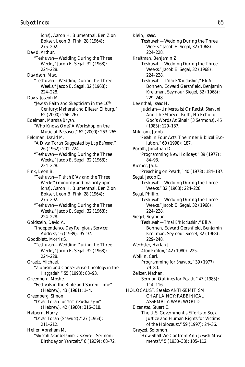ions), Aaron H. Blumenthal, Ben Zion Bokser, Leon B. Fink, 28 (1964): 275–292. David, Arthur. "Teshuvah—Wedding During the Three Weeks," Jacob E. Segal, 32 (1968): 224–228. Davidson, Max. "Teshuvah—Wedding During the Three Weeks," Jacob E. Segal, 32 (1968): 224–228. Davis, Joseph M. "Jewish Faith and Skepticism in the 16<sup>th</sup> Century: Maharal and Eliezer Eilburg," 62 (2000): 266–267. Edelman, Marsha Bryan. "Who Knows One? A Workshop on the Music of Passover," 62 (2000): 263–265. Feldman, David M. "A D'var Torah Suggested by *Lag Ba'omer,*" 26 (1962): 201–224. "Teshuvah—Wedding During the Three Weeks," Jacob E. Segal, 32 (1968): 224–228. Fink, Leon B. "Teshuvah—*Tishah B'Av* and the Three Weeks" (minority and majority opinions), Aaron H. Blumenthal, Ben Zion Bokser, Leon B. Fink, 28 (1964): 275–292. "Teshuvah—Wedding During the Three Weeks," Jacob E. Segal, 32 (1968): 224–228. Goldstein, David A. "Independence Day Religious Service: Address," 6 (1939): 95–97. Goodblatt, Morris S. "Teshuvah—Wedding During the Three Weeks," Jacob E. Segal, 32 (1968): 224–228. Graetz, Michael. "Zionism and Conservative Theology in the *Haggadah,*" 55 (1993): 83–93. Greenberg, Moshe. "Festivals in the Bible and Sacred Time" (Hebrew), 43 (1981): 1–4. Greenberg, Simon. "D'var Torah for *Yom Yerushalayim*" (Hebrew), 42 (1980): 316–318. Halpern, Harry. "D'var Torah (*Shavuot*)," 27 (1963): 211–212. Heller, Abraham M. "*Shibeah Asar beTammuz Service*—Sermon: Birthday or Yahrzeit," 6 (1939): 68–72.

Klein, Isaac. "Teshuvah—Wedding During the Three Weeks," Jacob E. Segal, 32 (1968): 224–228. Kreitman, Benjamin Z. "Teshuvah—Wedding During the Three Weeks," Jacob E. Segal, 32 (1968): 224–228. "Teshuvah—*T'nai B'Kiddushin,*" Eli A. Bohnen, Edward Gershfield, Benjamin Kreitman, Seymour Siegel, 32 (1968): 229–248. Levinthal, Isaac H. "Judaism—Universalist Or Racist, *Shavuot* And The Story of Ruth, No Echo to God's Words At Sinai" (3 Sermons), 45 (1983): 129–137. Milgrom, Jacob. "*Pesah* in Four Acts: The Inner Biblical Evolution," 60 (1998): 187. Porath, Jonathan D. "Programming New Holidays," 39 (1977): 84–93. Riemer, Jack. "Preaching on *Pesach,*" 40 (1978): 184–187. Segal, Jacob E. "Teshuvah—Wedding During the Three Weeks," 32 (1968): 224–228. Segal, Phillip. "Teshuvah—Wedding During the Three Weeks," Jacob E. Segal, 32 (1968): 224–228. Siegel, Seymour. "Teshuvah—*T'nai B'Kiddushin,*" Eli A. Bohnen, Edward Gershfield, Benjamin Kreitman, Seymour Siegel, 32 (1968): 229–248. Wechsler, Harlan J. "*Atem Re'item,*" 42 (1980): 225. Wolkin, Carl. "Programming for *Shavuot,*" 39 (1977): 79–80. Zelizer, Nathan. "Sermon Outlines for *Pesach,*" 47 (1985): 114–116. HOLOCAUST. *See also* ANTI-SEMITISM; CHAPLAINCY; RABBINICAL ASSEMBLY; WAR; WORLD Eizenstat, Stuart E. "The U.S. Government's Efforts to Seek Justice and Human Rights for Victims of the Holocaust," 59 (1997): 24–36. Grayzel, Solomon. "How Shall We Confront Anti-Jewish Movements?," 5 (1933–38): 105–112.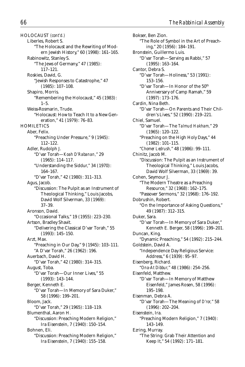HOLOCAUST *(cont'd.)* Liberles, Robert S. "The Holocaust and the Rewriting of Modern Jewish History," 60 (1998): 161–165. Rabinowitz, Stanley S. "The Jews of Germany," 47 (1985): 117–121. Roskies, David, G. "Jewish Responses to Catastrophe," 47 (1985): 107–108. Shapiro, Morris. "Remembering the Holocaust," 45 (1983):  $1 - 5$ . Weiss-Rosmarin, Trude. "Holocaust: How to Teach It to a New Generation," 41 (1979): 76–83. **HOMILETICS** Aber, Felix. "Preaching Under Pressure," 9 (1945): 112–122. Adler, Rudolph J. "D'var Torah—*Koah D'Rabanan,*" 29 (1965): 114–117. "Understanding the Siddur," 34 (1970): 164–167. "D'var Torah," 42 (1980): 311–313. Agus, Jacob. "Discussion: The Pulpit as an Instrument of Theological Thinking," Louis Jacobs, David Wolf Silverman, 33 (1969): 37–39. Aronson, David. "Occasional Talks," 19 (1955): 223–230. Artson, Bradley Shavit. "Delivering the Classical D'var Torah," 55 (1993): 145–150. Arzt, Max. "Preaching in Our Day," 9 (1945): 103–111. "A D'var Torah," 26 (1962): 196. Auerbach, David H. "D'var Torah," 42 (1980): 314–315. August, Toba. "D'var Torah—Our Inner Lives," 55 (1993): 143–144. Berger, Kenneth E. "D'var Torah—In Memory of Sara Duker," 58 (1996): 199–201. Bloom, Jack. "D'var Torah," 29 (1965): 118–119. Blumenthal, Aaron H. "Discussion: Preaching Modern Religion," Ira Eisenstein, 7 (1940): 150–154. Bohnen, Eli. "Discussion: Preaching Modern Religion," Ira Eisenstein, 7 (1940): 155–158.

Bokser, Ben Zion. "The Role of Symbol in the Art of Preaching," 20 (1956): 184–191. Bronstein, Guillermo Luis. "D'var Torah—Serving as Rabbi," 57 (1995): 163–164. Cantor, Debra S. "D'var Torah—Holiness," 53 (1991): 153–156. "D'var Torah—In Honor of the 50th Anniversary of Camp Ramah," 59 (1997): 173–176. Cardin, Nina Beth. "D'var Torah—On Parents and Their Children's Lives," 52 (1990): 219–221. Chiel, Samuel. "D'var Torah—The *Talmud Hakham,*" 29 (1965): 120–122. "Preaching on the High Holy Days," 44 (1982): 101–115. "*Chomer Ledrush,*" 48 (1986): 99–111. Chinitz, Jacob M. "Discussion: The Pulpit as an Instrument of Theological Thinking," Louis Jacobs, David Wolf Silverman, 33 (1969): 39. Cohen, Seymour J. "The Modern Theatre as a Preaching Resource," 32 (1968): 162–175. "Passover Sermons," 32 (1968): 176–192. Dobrushin, Robert. "On the Importance of Asking Questions," 49 (1987): 312–315. Duker, Sara. "D'var Torah—In Memory of Sara Duker," Kenneth E. Berger, 58 (1996): 199–201. Duncan, King. "Dynamic Preaching," 54 (1992): 215–244. Goldstein, David A. "Independence Day Religious Service: Address," 6 (1939): 95–97. Eisenberg, Richard. "*Ona-At Dibbur,*" 48 (1986): 254–256. Eisenfeld, Matthew. "D'var Torah—In Memory of Matthew Eisenfeld," James Rosen, 58 (1996): 195–198. Eisenman, Debra A. "D'var Torah—The Meaning of *D'ror,*" 58 (1996): 202–204. Eisenstein, Ira. "Preaching Modern Religion," 7 (1940): 143–149. Ezring, Murray. "The String: Grab Their Attention and Keep It," 54 (1992): 171–181.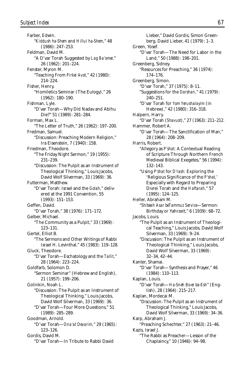Farber, Edwin. "*Kiddush ha-Shem* and *Hillul ha-Shem,*" 48 (1986): 247–253. Feldman, David M. "A D'var Torah Suggested by *Lag Ba'omer,*" 26 (1962): 201–224. Fenster, Myron M. "Teaching From *Pirkei Avot,*" 42 (1980): 214–224. Fisher, Henry. "Homiletics Seminar (The Eulogy)," 26 (1962): 180–190. Fishman, Lyle. "D'var Torah—Why Did Nadav and Abihu Die?" 51 (1989): 281–284. Forman, Max L. "The Letter of Truth," 26 (1962): 197–200. Fredman, Samuel. "Discussion: Preaching Modern Religion," Ira Eisenstein, 7 (1940): 158. Friedman, Theodore. "The Friday Night Sermon," 19 (1955): 231–239. "Discussion: The Pulpit as an Instrument of Theological Thinking," Louis Jacobs, David Wolf Silverman, 33 (1969): 36. Futterman, Matthew. "D'var Torah: Israel and the *Golah,*" delivered at the 1991 Convention, 55 (1993): 151–153. Geffen, David. "D'var Torah," 38 (1976): 171–172. Gelber, Michael. "The Community as a Pulpit," 33 (1969): 123–131. Gertel, Elliot B. "The Sermons and Other Writings of Rabbi Israel H. Levinthal," 45 (1983): 119–128. Gluck, Theodore. "D'var Torah—Eschatology and the *Tallit,*" 28 (1964): 223–224. Goldfarb, Solomon D. "Sermon Seminar" (Hebrew and English), 21 (1957): 199–206. Golinkin, Noah L. "Discussion: The Pulpit as an Instrument of Theological Thinking," Louis Jacobs, David Wolf Silverman, 33 (1969): 36. "D'var Torah—Four More Questions," 51 (1989): 285–289. Goodman, Arnold. "D'var Torah—*Ona'at Devarim,*" 29 (1965): 123–126. Gordis, David M. "D'var Torah—In Tribute to Rabbi David

Lieber," David Gordis, Simon Greenberg, David Lieber, 41 (1979): 1–3. Green, Yosef. "D'var Torah—The Need for Labor in the Land," 50 (1988): 198–201. Greenberg, Sidney. "Resources for Preaching," 36 (1974): 174–176. Greenberg, Simon. "D'var Torah," 37 (1975): 8–11. "Suggestions for the *Darshan,*" 41 (1979): 240–251. "D'var Torah for *Yom Yerushalayim* (in Hebrew)," 42 (1980): 316–318. Halpern, Harry. "D'var Torah (*Shavuot*)," 27 (1963): 211–212. Hammer, Robert A. "D'var Torah—The Sanctification of Man," 28 (1964): 208–209. Harris, Robert. "Allegory as *P'shat:* A Contextual Reading of Scripture Through Northern French Medieval Biblical Exegetes," 56 (1994): 132–143. "Using *P'shat* for *D'rash:* Exploring the 'Religious Significance of the *P'shat,*' Especially with Regard to Preparing Divrei Torah and the *Haftarah,*" 57 (1995): 124–125. Heller, Abraham M. "*Shibeah Asar beTammuz Service*—Sermon: Birthday or Yahrzeit," 6 (1939): 68–72. Jacobs, Louis. "The Pulpit as an Instrument of Theological Teaching," Louis Jacobs, David Wolf Silverman, 33 (1969): 9–24. "Discussion: The Pulpit as an Instrument of Theological Thinking," Louis Jacobs, David Wolf Silverman, 33 (1969): 32–34, 42–44. Kanter, Shamai. "D'var Torah—Synthesis and Prayer," 46 (1984): 110–113. Kaplan, Louis. "D'var Torah—*Ha-Sneh Bo-er ba-Esh*" (English), 28 (1964): 215–217. Kaplan, Mordecai M. "Discussion: The Pulpit as an Instrument of Theological Thinking," Louis Jacobs, David Wolf Silverman, 33 (1969): 34–36. Karp, Abraham J. "Preaching Schechter," 27 (1963): 21–46. Kazis, Israel J. "The Rabbi as Preacher—Lesson of the Chaplaincy," 10 (1946): 94–98.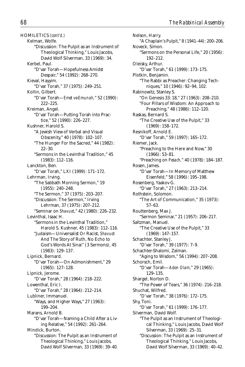HOMILETICS *(cont'd.)* Kelman, Wolfe. "Discussion: The Pulpit as an Instrument of Theological Thinking," Louis Jacobs, David Wolf Silverman, 33 (1969): 34. Kerbel, Paul. "D'var Torah—Hopefulness Amidst Despair," 54 (1992): 268–270. Kieval, Hayyim. "D'var Torah," 37 (1975): 249–251. Kollin, Gilbert. "D'var Torah—*Emet ve-Emunah,*" 52 (1990): 222–225. Kreiman, Angel. "D'var Torah—Putting Torah into Practice," 52 (1990): 226–227. Kushner, Harold S. "A Jewish View of Verbal and Visual Obscenity," 40 (1978): 102–107. "The Hunger For the Sacred," 44 (1982): 22–30. "Sermons in the Levinthal Tradition," 45 (1983): 112–116. Lanckton, Ben. "D'var Torah," LXI (1999): 171–172. Lehrman, Irving. "The Sabbath Morning Sermon," 19 (1955): 240–248. "The Sermon," 37 (1975): 203–207. "Discussion: The Sermon," Irving Lehrman, 37 (1975): 207–212. "Seminar on *Shavuot*," 42 (1980): 226–232. Levinthal, Isaac H. "Sermons in the Levinthal Tradition," Harold S. Kushner, 45 (1983): 112–116. "Judaism—Universalist Or Racist, *Shavuot* And The Story of Ruth, No Echo to God's Words At Sinai" (3 Sermons), 45 (1983): 129–137. Lipnick, Bernard. "D'var Torah—On Admonishment," 29 (1965): 127–128. Lipnick, Jerome. "D'var Torah," 28 (1964): 218–222. Lowenthal, Eric I. "D'var Torah," 28 (1964): 212–214. Lubliner, Immanuel. "Ways, and Higher Ways," 27 (1963): 199–204. Marans, Arnold B. "D'var Torah—Naming a Child After a Living Relative," 54 (1992): 261–264. Mindick, Burton. "Discussion: The Pulpit as an Instrument of Theological Thinking," Louis Jacobs, David Wolf Silverman, 33 (1969): 39–40.

Nelson, Harry. "A Chaplain's Pulpit," 8 (1941–44): 200–206. Noveck, Simon. "Sermons on the Personal Life," 20 (1956): 192–212. Oleisky, Arthur. "D'var Torah," 61 (1999): 173–175. Plotkin, Benjamin. "The Rabbi as Preacher: Changing Techniques," 10 (1946): 92–94, 102. Rabinowitz, Stanley S. "On Genesis 33: 18," 27 (1963): 208–210. "Four Pillars of Wisdom: An Approach to Preaching," 48 (1986): 112–120. Raskas, Bernard S. "The Creative Use of the Pulpit," 33 (1969): 158–172. Resnikoff, Arnold E. "D'var Torah," 59 (1997): 165–172. Riemer, Jack. "Preaching to the Here and Now," 30 (1966): 53–81. "Preaching on *Pesach,*" 40 (1978): 184–187. Rosen, James. "D'var Torah—In Memory of Matthew Eisenfeld," 58 (1996): 195–198. Rosenberg, Yaakov G. "D'var Torah," 27 (1963): 213–214. Rothstein, Solomon. "The Art of Communication," 35 (1973): 57–63. Routtenberg, Max J. "Sermon Seminar," 21 (1957): 206–217. Saltzman, Manuel. "The Creative Use of the Pulpit," 33 (1969): 147–157. Schachter, Stanley J. "D'var Torah," 39 (1977): 7–9. Schachter-Shalomi, Zalman. "Aging to Wisdom," 56 (1994): 207–208. Schorsch, Emil. "D'var Torah—*Adon Olam,*" 29 (1965): 129–135. Shargel, Norton D. "The Power of Tears," 36 (1974): 216–218. Shuchat, Wilfred. "D'var Torah," 38 (1976): 172–175. Shy, Toni. "D'var Torah," 61 (1999): 176–177. Silverman, David Wolf. "The Pulpit as an Instrument of Theological Thinking," Louis Jacobs, David Wolf Silverman, 33 (1969): 25–31. "Discussion: The Pulpit as an Instrument of Theological Thinking," Louis Jacobs, David Wolf Silverman, 33 (1969): 40–42.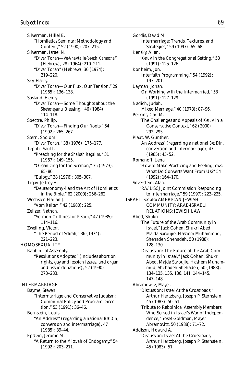Silverman, Hillel E. "Homiletics Seminar: Methodology and Content," 52 (1990): 207–215. Silverman, Israel N. "D'var Torah—*Ve-Ahavta le-Re-ech Kamocha*" (Hebrew), 28 (1964): 210–211. "D'var Torah" (Hebrew), 36 (1974): 219–220. Sky, Harry. "D'var Torah—Our Flux, Our Tension," 29 (1965): 136–138. Sosland, Henry. "D'var Torah—Some Thoughts about the *Sheheheyanu* Blessing," 46 (1984): 114–118. Spectre, Philip. "D'var Torah—Finding Our Roots," 54 (1992): 265–267. Stern, Sholom. "D'var Torah," 38 (1976): 175–177. Teplitz, Saul I. "Preaching for the *Shalosh Regalim,*" 31 (1967): 149–155. "Organizing for the Sermon," 35 (1973): 85–86. "Eulogy," 38 (1976): 305–307. Tigay, Jeffrey H. "Deuteronomy 4 and the Art of Homiletics in the Bible," 62 (2000): 256–262. Wechsler, Harlan J. "*Atem Re'item,*" 42 (1980): 225. Zelizer, Nathan. "Sermon Outlines for *Pesach,*" 47 (1985): 114–116. Zwelling, Victor. "The Period of *Sefirah,*" 36 (1974): 221–223. **HOMOSEXUALITY** Rabbinical Assembly. "Resolutions Adopted" (includes abortion rights, gay and lesbian issues, and organ and tissue donations), 52 (1990): 273–283. INTERMARRIAGE Bayme, Steven. "Intermarriage and Conservative Judaism: Communal Policy and Program Direction," 53 (1991): 36–46. Bernstein, Louis. "An Address" (regarding a national *Bet Din,* conversion and intermarriage), 47 (1985): 39–44. Epstein, Jerome M. "A Return to the *Mitzvah* of Endogamy," 54 (1992): 203–211.

Gordis, David M. "Intermarriage: Trends, Textures, and Strategies," 59 (1997): 65–68. Kensky, Allan. "*Keruv* in the Congregational Setting," 53 (1991): 125–126. Konheim, Jon. "Interfaith Programming," 54 (1992): 197–201. Layman, Jonah. "On Working with the Intermarried," 53 (1991): 127–129. Nadich, Judah. "Mixed Marriage," 40 (1978): 87–96. Perkins, Carl M. "The Challenges and Appeals of *Keruv* in a Conservative Context," 62 (2000): 292–295. Plaut, W. Gunther. "An Address" (regarding a national *Bet Din,* conversion and intermarriage), 47 (1985): 45–52. Romanoff, Lena. "How to Make Practicing and Feeling Jews: What Do Converts Want From Us?" 54 (1992): 164–170. Silverstein, Alan. "RA/USCJ Joint Commission Responding to Intermarriage," 59 (1997): 223–225. ISRAEL. *See also* AMERICAN JEWISH COMMUNITY; ARAB-ISRAELI RELATIONS; JEWISH LAW Abed, Shukri. "The Future of the Arab Community in Israel," Jack Cohen, Shukri Abed, Majda Saroujie, Hashem Muhammud, Shehadeh Shehadeh, 50 (1988): 128–130. "Discussion: The Future of the Arab Community in Israel," Jack Cohen, Shukri Abed, Majda Saroujie, Hashem Muhammud, Shehadeh Shehadeh, 50 (1988): 134–135, 135, 136, 141, 144–145, 147–148. Abramowitz, Mayer. "Discussion: Israel At the Crossroads," Arthur Hertzberg, Joseph P. Sternstein, 45 (1983): 50–51. "Tribute to Rabbinical Assembly Members Who Served in Israel's War of Independence," Yosef Goldman, Mayer Abramovitz, 50 (1988): 71–72. Addison, Howard A. "Discussion: Israel At the Crossroads," Arthur Hertzberg, Joseph P. Sternstein, 45 (1983): 51.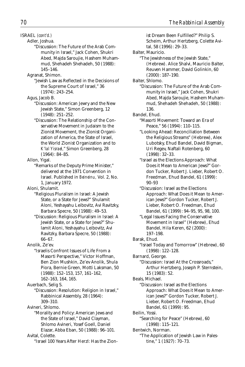ISRAEL *(cont'd.)*

Adler, Joshua.

- "Discussion: The Future of the Arab Community in Israel," Jack Cohen, Shukri Abed, Majda Saroujie, Hashem Muhammud, Shehadeh Shehadeh, 50 (1988): 145–146.
- Agranat, Shimon.
	- "Jewish Law as Reflected in the Decisions of the Supreme Court of Israel," 36 (1974): 243–254.
- Agus, Jacob B.
	- "Discussion: American Jewry and the New Jewish State," Simon Greenberg, 12 (1948): 251–252.
	- "Discussion: The Relationship of the Conservative Movement in Judaism to the Zionist Movement, the Zionist Organization of America, the State of Israel. the World Zionist Organization and to *K'lal Yisrael,*" Simon Greenberg, 28 (1964): 84–85.

Allon, Yigal.

"Remarks of the Deputy Prime Minister," delivered at the 1971 Convention in Israel. Published in *Beineinu,* Vol. 2, No. 1, January 1972.

Aloni, Shulamit.

- "Religious Pluralism in Israel: A Jewish State, or a State for Jews?" Shulamit Aloni, Yeshayahu Leibovitz, Avi Ravitzky, Barbara Specre, 50 (1988): 49–53.
- "Discussion: Religious Pluralism in Israel: A Jewish State, or a State for Jews?" Shulamit Aloni, Yeshayahu Leibovitz, Avi Ravitzky, Barbara Specre, 50 (1988): 66–67.
- Anolik, Ze'ev.
	- "Israelis Confront Issues of Life From a Masorti Perspective," Victor Hoffman, Ben Zion Mushkin, Ze'ev Anolik, Shula Piora, Bernie Green, Motti Laksman, 50 (1988): 152–153, 157, 161–162, 162–163, 164, 165.

Auerbach, Selig S.

- "Discussion: Resolution: Religion in Israel," Rabbinical Assembly, 28 (1964): 309–310.
- Avineri, Shlomo.
- "Morality and Policy: American Jews and the State of Israel," David Clayman, Shlomo Avineri, Yosef Goell, Daniel Elazar, Abba Eban, 50 (1988): 96–101. Avital, Colette.
	- "Israel 100 Years After Herzl: Has the Zion-
- ist Dream Been Fulfilled?" Philip S. Scheim, Arthur Hertzberg, Colette Avital, 58 (1996): 29–33. Balter, Mauricio. "The Jewishness of the Jewish State," (Hebrew). Alice Shalvi, Mauricio Balter, Reuven Hammer, David Golinkin, 60 (2000): 187–190. Balter, Shlomo. "Discussion: The Future of the Arab Community in Israel," Jack Cohen, Shukri Abed, Majda Saroujie, Hashem Muhammud, Shehadeh Shehadeh, 50 (1988): 136. Bandel, Ehud. "Masorti Movement: Toward an Era of Peace," 56 (1994): 110–115. "Looking Ahead: Reconciliation Between the Religious Streams" (Hebrew), Alex Lubotsky, Ehud Bandel, David Bigman, Uri Regev, Naftali Rotenberg, 60 (1998): 32–33. "Israel as the Elections Approach: What Does it Mean to American Jews?" Gordon Tucker, Robert J. Lieber, Robert O. Freedman, Ehud Bandel, 61 (1999): 90–93 "Discussion: Israel as the Elections Approach: What Does it Mean to American Jews?" Gordon Tucker, Robert J. Lieber, Robert O. Freedman, Ehud Bandel, 61 (1999): 94–95, 95, 98, 100. "Legal Issues Facing the Conservative Movement in Israel" (Hebrew), Ehud Bandel, Hila Keren, 62 (2000): 197–198. Barak, Ehud. "Israel Today and Tomorrow" (Hebrew), 60 (1998): 122–128. Barnard, George. "Discussion: Israel At the Crossroads," Arthur Hertzberg, Joseph P. Sternstein, 15 (1983): 52. Beals, Michael. "Discussion: Israel as the Elections Approach: What Does it Mean to American Jews?" Gordon Tucker, Robert J. Lieber, Robert O. Freedman, Ehud Bandel, 61 (1999): 95. Beilin, Yossi. "Searching for Peace" (Hebrew), 60 (1998): 115–121. Bentwich, Norman. "The Application of Jewish Law in Pales-

tine," 1 (1927): 70–73.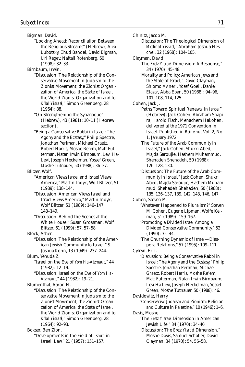Bigman, David.

"Looking Ahead: Reconciliation Between the Religious Streams" (Hebrew), Alex Lubotsky, Ehud Bandel, David Bigman, Uri Regev, Naftali Rotenberg, 60 (1998): 32–33.

Birnbaum, Irwin.

- "Discussion: The Relationship of the Conservative Movement in Judaism to the Zionist Movement, the Zionist Organization of America, the State of Israel, the World Zionist Organization and to *K'lal Yisrael,*" Simon Greenberg, 28 (1964): 88.
- "On Strengthening the Synagogue" (Hebrew), 43 (1981): 10–11 (Hebrew section).
- "Being a Conservative Rabbi in Israel: The Agony and the Ecstasy," Philip Spectre, Jonathan Perlman, Michael Graetz, Robert Harris, Moshe Re'em, Matt Futterman, Natan Irwin Birnbaum, Levi Ha-Levi, Joseph Heckelman, Yossef Green, Moshe Tutnauer, 50 (1988): 36–37.

Blitzer, Wolf.

- "American Views Israel and Israel Views America," Martin Indyk, Wolf Blitzer, 51 (1989): 138–144.
- "Discussion: American Views Israel and Israel Views America," Martin Indyk, Wolf Blitzer, 51 (1989): 146–147, 148–149.
- "Discussion: Behind the Scenes at the White House," Susan Grossman, Wolf Blitzer, 61 (1999): 57, 57–58.

Block, Asher.

"Discussion: The Relationship of the American Jewish Community to Israel," S. Joshua Kohn, 13 (1949): 237–244.

Blum, Yehuda Z.

- "Israel on the Eve of *Yom Ha-Atzmaut,*" 44 (1982): 12–19.
- "Discussion: Israel on the Eve of *Yom Ha-Atzmaut,*" 44 (1982): 19–21.

Blumenthal, Aaron H.

"Discussion: The Relationship of the Conservative Movement in Judaism to the Zionist Movement, the Zionist Organization of America, the State of Israel, the World Zionist Organization and to *K'lal Yisrael,*" Simon Greenberg, 28 (1964): 92–93.

Bokser, Ben Zion.

"Developments in the Field of *'Ishut'* in Israeli Law," 21 (1957): 151–157.

Chinitz, Jacob M.

- "Discussion: The Theological Dimension of *Medinat Yisrael,*" Abraham Joshua Heschel, 32 (1968): 104–105.
- Clayman, David.
	- "The *Eretz Yisrael* Dimension: A Response," 34 (1970): 45–48.
	- "Morality and Policy: American Jews and the State of Israel," David Clayman, Shlomo Avineri, Yosef Goell, Daniel Elazar, Abba Eban, 50 (1988): 94–96, 101, 108, 114, 125.

Cohen, Jack J.

- "Paths Toward Spiritual Renewal in Israel" (Hebrew), Jack Cohen, Abraham Shapira, Harold Fisch, Menachem Hakohen, delivered at the 1971 Convention in Israel. Published in *Beineinu,* Vol. 2, No. 1, January 1972.
- "The Future of the Arab Community in Israel," Jack Cohen, Shukri Abed, Majda Saroujie, Hashem Muhammud, Shehadeh Shehadeh, 50 (1988): 126–128, 130.
- "Discussion: The Future of the Arab Community in Israel," Jack Cohen, Shukri Abed, Majda Saroujie, Hashem Muhammud, Shehadeh Shehadeh, 50 (1988): 135, 136–137, 139, 142, 143, 146, 147.

Cohen, Steven M.

"Whatever Happened to Pluralism?" Steven M. Cohen, Eugene Lipman, Wolfe Kelman, 51 (1989): 159–167.

"Promoting a Divided Israel Among a Divided Conservative Community," 52 (1990): 35–44.

"The Churning Dynamic of Israel—Diaspora Relations," 57 (1995): 109–111.

Cytryn, Eric.

- "Discussion: Being a Conservative Rabbi in Israel: The Agony and the Ecstasy," Philip Spectre, Jonathan Perlman, Michael Graetz, Robert Harris, Moshe Re'em, Matt Futterman, Natan Irwin Birnbaum, Levi Ha-Levi, Joseph Heckelman, Yossef Green, Moshe Tutnauer, 50 (1988): 46.
- Davidowitz, Harry.

"Conservative Judaism and Zionism: Religion and Culture in Palestine," 10 (1946): 1–6. Davis, Moshe.

"The *Eretz Yisrael* Dimension in American Jewish Life," 34 (1970): 34–40.

"Discussion: The *Eretz Yisrael* Dimension," Moshe Davis, Samuel Schafler, David Clayman, 34 (1970): 54, 56–58.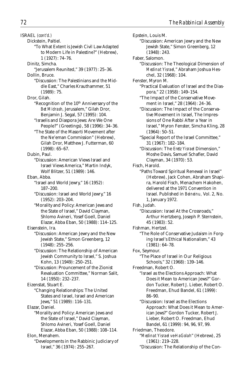ISRAEL *(cont'd.)*

- Dickstein, Paltiel.
	- "To What Extent is Jewish Civil Law Adapted to Modern Life in Palestine?" (Hebrew), 1 (1927): 74–76.
- Dinitz, Simcha.
- "Jerusalem Reunited," 39 (1977): 25–36.
- Dollin, Bruce.
	- "Discussion: The Palestinians and the Middle East," Charles Krauthammer, 51 (1989): 75.
- Dror, Gilah.
	- "Recognition of the 10<sup>th</sup> Anniversary of the *Bet Midrash,* Jerusalem," Gilah Dror, Benjamin J. Segal, 57 (1995): 104.
	- "Israelis and Diaspora Jews: Are We One People?" (Greetings), 58 (1996): 34–36.
	- "The State of the Masorti Movement after the Ne'eman Commission" (Hebrew), Gilah Dror, Matthew J. Futterman, 60 (1998): 65–67.
- Dubin, Paul.
	- "Discussion: American Views Israel and Israel Views America," Martin Indyk, Wolf Blitzer, 51 (1989): 146.
- Eban, Abba. "Israel and World Jewry," 16 (1952): 187–200.
	- "Discussion: Israel and World Jewry," 16 (1952): 203–204.
	- "Morality and Policy: American Jews and the State of Israel," David Clayman, Shlomo Avineri, Yosef Goell, Daniel Elazar, Abba Eban, 50 (1988): 114–125.
- Eisenstein, Ira.
	- "Discussion: American Jewry and the New Jewish State," Simon Greenberg, 12 (1948): 255–256.
	- "Discussion: The Relationship of American Jewish Community to Israel," S. Joshua Kohn, 13 (1949): 250–251.
	- "Discussion: Prouncement of the Zionist Revaluation Committee," Norman Salit, 14 (1950): 232–237.
- Eizenstat, Stuart E.
	- "Changing Relationships: The United States and Israel, Israel and American Jews," 51 (1989): 116–131.
- Elazar, Daniel.
	- "Morality and Policy: American Jews and the State of Israel," David Clayman, Shlomo Avineri, Yosef Goell, Daniel Elazar, Abba Eban, 50 (1988): 108–114.
- Elon, Menahem.
	- "Developments in the Rabbinic Judiciary of Israel," 36 (1974): 255–267.
- Epstein, Louis M. "Discussion: American Jewry and the New Jewish State," Simon Greenberg, 12 (1948): 243. Faber, Salomon. "Discussion: The Theological Dimension of *Medinat Yisrael,*" Abraham Joshua Heschel, 32 (1968): 104. Fenster, Myron M. "Practical Evaluation of Israel and the Diaspora," 22 (1958): 149–154. "The Impact of the Conservative Movement in Israel," 28 (1964): 24–36. "Discussion: The Impact of the Conservative Movement in Israel, The Impressions of One Rabbi After a Year in Israel," Myron Fenster, Simcha Kling, 28 (1964): 50–51. "Special Report of the Israel Committee," 31 (1967): 182–184. "Discussion: The *Eretz Yisrael* Dimension," Moshe Davis, Samuel Schafler, David Clayman, 34 (1970): 53. Fisch, Harold. "Paths Toward Spiritual Renewal in Israel" (Hebrew), Jack Cohen, Abraham Shapira, Harold Fisch, Menachem Hakohen, delivered at the 1971 Convention in Israel. Published in *Beineinu,* Vol. 2, No. 1, January 1972. Fish, Judah. "Discussion: Israel At the Crossroads," Arthur Hertzberg, Joseph P. Sternstein, 45 (1983): 52. Fishman, Hertzel. "The Role of Conservative Judaism in Forging Israel's Ethical Nationalism," 43 (1981): 64–78. Fox, Seymour. "The Place of Israel in Our Religious Schools," 32 (1968): 139–146. Freedman, Robert O. "Israel as the Elections Approach: What Does it Mean to American Jews?" Gordon Tucker, Robert J. Lieber, Robert O. Freedman, Ehud Bandel, 61 (1999): 86–90. "Discussion: Israel as the Elections Approach: What Does it Mean to American Jews?" Gordon Tucker, Robert J. Lieber, Robert O. Freedman, Ehud Bandel, 61 (1999): 94, 96, 97, 99. Friedman, Theodore. "*Medinat Yisrael ve-HaGolah*" (Hebrew), 25 (1961): 219–228. "Discussion: The Relationship of the Con-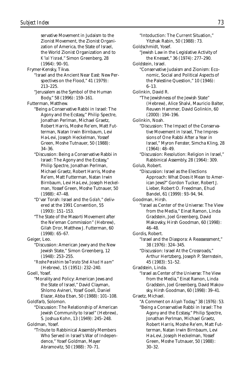"Intoduction: The Current Situation," Yitzhak Rabin, 50 (1988): 73. Goldschmidt, Yosef.

"Jewish Law in the Legislative Activity of the Knesset," 36 (1974): 277–290.

Goldstein, Israel.

"Conservative Judaism and Zionism: Economic, Social and Political Aspects of the Palestine Question," 10 (1946): 6–13.

Golinkin, David R.

"The Jewishness of the Jewish State" (Hebrew), Alice Shalvi, Mauricio Balter, Reuven Hammer, David Golinkin, 60 (2000): 194–196.

Golinkin, Noah.

- "Discussion: The Impact of the Conservative Movement in Israel, The Impressions of One Rabbi After a Year in Israel," Myron Fenster, Simcha Kling, 28 (1964): 48–49.
- "Discussion: Resolution: Religion in Israel," Rabbinical Assembly, 28 (1964): 309.

Golub, Robert.

"Discussion: Israel as the Elections Approach: What Does it Mean to American Jews?" Gordon Tucker, Robert J. Lieber, Robert O. Freedman, Ehud Bandel, 61 (1999): 93–94, 94.

Goodman, Hirsh.

"Israel as Center of the Universe: The View from the Media," Einat Ramon, Linda Gradstein, Joel Greenberg, David Makovsky, Hirsh Goodman, 60 (1998): 46–48.

Gordis, Robert.

"Israel and the Diaspora: A Reassessment," 38 (1976): 324–345.

"Discussion: Israel At the Crossroads," Arthur Hertzberg, Joseph P. Sternstein, 45 (1983): 51–52.

Gradstein, Linda.

"Israel as Center of the Universe: The View from the Media," Einat Ramon, Linda Gradstein, Joel Greenberg, David Makovsky, Hirsh Goodman, 60 (1998): 39–41.

- Graetz, Michael.
	- "A Comment on *Aliyah* Today," 38 (1976): 53.

"Being a Conservative Rabbi in Israel: The Agony and the Ecstasy," Philip Spectre, Jonathan Perlman, Michael Graetz, Robert Harris, Moshe Re'em, Matt Futterman, Natan Irwin Birnbaum, Levi Ha-Levi, Joseph Heckelman, Yossef Green, Moshe Tutnauer, 50 (1988): 30–32.

servative Movement in Judaism to the Zionist Movement, the Zionist Organization of America, the State of Israel, the World Zionist Organization and to *K'lal Yisrael,*" Simon Greenberg, 28 (1964): 90–91.

Frymer-Kensky, Tikva.

"Israel and the Ancient Near East: New Perspectives on the Flood," 41 (1979): 213–225.

"Jerusalem as the Symbol of the Human Body," 58 (1996): 159–161.

Futterman, Matthew.

- "Being a Conservative Rabbi in Israel: The Agony and the Ecstasy," Philip Spectre, Jonathan Perlman, Michael Graetz, Robert Harris, Moshe Re'em, Matt Futterman, Natan Irwin Birnbaum, Levi Ha-Levi, Joseph Heckelman, Yossef Green, Moshe Tutnauer, 50 (1988): 34–36.
- "Discussion: Being a Conservative Rabbi in Israel: The Agony and the Ecstasy," Philip Spectre, Jonathan Perlman, Michael Graetz, Robert Harris, Moshe Re'em, Matt Futterman, Natan Irwin Birnbaum, Levi Ha-Levi, Joseph Heckelman, Yossef Green, Moshe Tutnauer, 50 (1988): 47–48.
- "D'var Torah: Israel and the *Golah,*" delivered at the 1991 Convention, 55 (1993): 151–153.
- "The State of the Masorti Movement after the Ne'eman Commission" (Hebrew), Gilah Dror, Matthew J. Futterman, 60 (1998): 65–67.

- "Discussion: American Jewry and the New Jewish State," Simon Greenberg, 12 (1948): 253–255.
- *"Roshe Perakhim be-Torato Shel Ahad Haam*" (Hebrew), 15 (1951): 232–240.

Goell, Yosef.

"Morality and Policy: American Jews and the State of Israel," David Clayman, Shlomo Avineri, Yosef Goell, Daniel Elazar, Abba Eban, 50 (1988): 101–108.

Goldfarb, Solomon.

"Discussion: The Relationship of American Jewish Community to Israel" (Hebrew), S. Joshua Kohn, 13 (1949): 245–248.

Goldman, Yosef.

"Tribute to Rabbinical Assembly Members Who Served in Israel's War of Independence," Yosef Goldman, Mayer Abramovitz, 50 (1988): 70–71.

Geiger, Leo.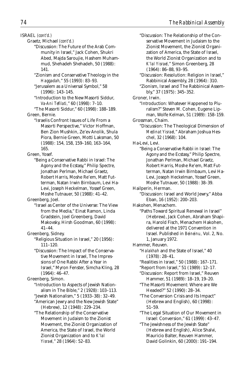ISRAEL *(cont'd.)*

- Graetz, Michael *(cont'd.)*
	- "Discussion: The Future of the Arab Community in Israel," Jack Cohen, Shukri Abed, Majda Saroujie, Hashem Muhammud, Shehadeh Shehadeh, 50 (1988): 141.
	- "Zionism and Conservative Theology in the *Haggadah,*" 55 (1993): 83–93.
	- "Jerusalem as a Universal Symbol," 58 (1996): 143–145.
	- "Introduction to the New Masorti Siddur, *Va-Ani Tefilati,*" 60 (1998): 7–10.
- "The Masorti Siddur," 60 (1998): 188–189. Green, Bernie.
	- "Israelis Confront Issues of Life From a Masorti Perspective," Victor Hoffman, Ben Zion Mushkin, Ze'ev Anolik, Shula Piora, Bernie Green, Motti Laksman, 50 (1988): 154, 158, 159–160, 163–164, 165.
- Green, Yosef.
	- "Being a Conservative Rabbi in Israel: The Agony and the Ecstasy," Philip Spectre, Jonathan Perlman, Michael Graetz, Robert Harris, Moshe Re'em, Matt Futterman, Natan Irwin Birnbaum, Levi Ha-Levi, Joseph Heckelman, Yossef Green, Moshe Tutnauer, 50 (1988): 41–42.

Greenberg, Joel.

- "Israel as Center of the Universe: The View from the Media," Einat Ramon, Linda Gradstein, Joel Greenberg, David Makovsky, Hirsh Goodman, 60 (1998): 41–44.
- Greenberg, Sidney.
	- "Religious Situation in Israel," 20 (1956): 111–120.
	- "Discussion: The Impact of the Conservative Movement in Israel, The Impressions of One Rabbi After a Year in Israel," Myron Fenster, Simcha Kling, 28 (1964): 46–47.

Greenberg, Simon.

- "Introduction to Aspects of Jewish Nationalism in The Bible," 2 (1928): 103–113.
- "Jewish Nationalism," 5 (1933–38): 32–49. "American Jewry and the New Jewish State" (Hebrew), 12 (1948): 229–234.
- "The Relationship of the Conservative Movement in Judaism to the Zionist Movement, the Zionist Organization of America, the State of Israel, the World Zionist Organization and to *K'lal Yisrael,*" 28 (1964): 52–83.

"Discussion: The Relationship of the Conservative Movement in Judaism to the Zionist Movement, the Zionist Organization of America, the State of Israel, the World Zionist Organization and to *K'lal Yisrael,*" Simon Greenberg, 28 (1964): 86–88, 93–95.

"Discussion: Resolution: Religion in Israel," Rabbinical Assembly, 28 (1964): 310.

- "Zionism, Israel and The Rabbinical Assembly," 37 (1975): 345–352.
- Groner, Irwin.
- "Introduction: Whatever Happened to Pluralism?" Steven M. Cohen, Eugene Lipman, Wolfe Kelman, 51 (1989): 158–159. Grossman, Chaim.
	- "Discussion: The Theological Dimension of *Medinat Yisrael,*" Abraham Joshua Heschel, 32 (1968): 104.
- Ha-Levi, Levi.
	- "Being a Conservative Rabbi in Israel: The Agony and the Ecstasy," Philip Spectre, Jonathan Perlman, Michael Graetz, Robert Harris, Moshe Re'em, Matt Futterman, Natan Irwin Birnbaum, Levi Ha-Levi, Joseph Heckelman, Yossef Green, Moshe Tutnauer, 50 (1988): 38–39.
- Hailperin, Herman.
	- "Discussion: Israel and World Jewry," Abba Eban, 16 (1952): 200–203.
- Hakohen, Menachem.
	- "Paths Toward Spiritual Renewal in Israel" (Hebrew), Jack Cohen, Abraham Shapira, Harold Fisch, Menachem Hakohen, delivered at the 1971 Convention in Israel. Published in *Beineinu,* Vol. 2, No. 1, January 1972.
- Hammer, Reuven.
	- "*Halakhah* and the State of Israel," 40 (1978): 28–41.
	- "Realities in Israel," 50 (1988): 167–171.
	- "Report from Israel," 51 (1989): 12–17.
	- "Discussion: Report from Israel," Reuven Hammer, 51 (1989): 18–19, 19–20.
	- "The Masorti Movement: Where are We Headed?" 52 (1990): 28–34.
	- "The Conversion Crisis and Its Impact" (Hebrew and English), 60 (1998): 51–59.
	- "The Legal Situation of Our Movement in Israel: Conversion," 61 (1999): 43–47.

"The Jewishness of the Jewish State" (Hebrew and English), Alice Shalvi, Mauricio Balter, Reuven Hammer, David Golinkin, 60 (2000): 191–194.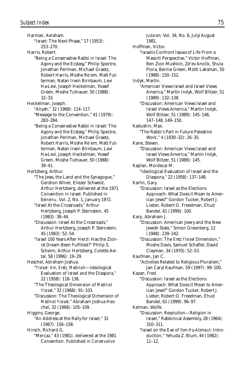Harman, Avraham. "Israel: The Next Phase," 17 (1953): 253–270. Harris, Robert. "Being a Conservative Rabbi in Israel: The Agony and the Ecstasy," Philip Spectre, Jonathan Perlman, Michael Graetz, Robert Harris, Moshe Re'em, Matt Futterman, Natan Irwin Birnbaum, Levi Ha-Levi, Joseph Heckelman, Yossef Green, Moshe Tutnauer, 50 (1988): 32–33. Heckelman, Joseph. "Aliyah," 32 (1968): 114–117. "Message to the Convention," 41 (1979): 283–284. "Being a Conservative Rabbi in Israel: The Agony and the Ecstasy," Philip Spectre, Jonathan Perlman, Michael Graetz, Robert Harris, Moshe Re'em, Matt Futterman, Natan Irwin Birnbaum, Levi Ha-Levi, Joseph Heckelman, Yossef Green, Moshe Tutnauer, 50 (1988): 39–41. Hertzberg, Arthur. "The Jews, the Land and the Synagogue," Gershon Winer, Eliezer Schweid, Arthur Hertzberg, delivered at the 1971 Convention in Israel. Published in *Beineinu,* Vol. 2, No. 1, January 1972. "Israel At the Crossroads," Arthur Hertzberg, Joseph P. Sternstein, 45 (1983): 38–44. "Discussion: Israel At the Crossroads," Arthur Hertzberg, Joseph P. Sternstein, 45 (1983): 52–54. "Israel 100 Years After Herzl: Has the Zionist Dream Been Fulfilled?" Philip S. Scheim, Arthur Hertzberg, Colette Avital, 58 (1996): 19–29. Heschel, Abraham Joshua. "*Yisrael: Am, Eretz, Medinah*—Ideological Evaluation of Israel and the Diaspora," 22 (1958): 118–136. "The Theological Dimension of *Medinat Yisrael,*" 32 (1968): 91–103. "Discussion: The Theological Dimension of *Medinat Yisrael,*" Abraham Joshua Heschel, 32 (1968): 105–109. Higgins, George. "An Address at the Rally for Israel," 31 (1967): 156–158. Hirsch, Richard G. "Mercaz," 43 (1981), delivered at the 1981 Convention. Published in *Conservative*

*Judaism,* Vol. 34, No. 6, July/August 1981. Hoffman, Victor. "Israelis Confront Issues of Life From a Masorti Perspective," Victor Hoffman, Ben Zion Mushkin, Ze'ev Anolik, Shula Piora, Bernie Green, Motti Laksman, 50 (1988): 150–152. Indyk, Martin. "American Views Israel and Israel Views America," Martin Indyk, Wolf Blitzer, 51 (1989): 132–138. "Discussion: American Views Israel and Israel Views America," Martin Indyk, Wolf Blitzer, 51 (1989): 145–146, 147–148, 149–150. Kadushin, Max. "The Rabbi's Part in Future Palestine Work," 4 (1930–32): 26–35. Kane, Steven. "Discussion: American Views Israel and Israel Views America," Martin Indyk, Wolf Blitzer, 51 (1989): 145. Kaplan, Mordecai M. "Ideological Evaluation of Israel and the Diaspora," 22 (1958): 137–148. Karlin, Gary. "Discussion: Israel as the Elections Approach: What Does it Mean to American Jews?" Gordon Tucker, Robert J. Lieber, Robert O. Freedman, Ehud Bandel, 61 (1999): 100. Karp, Abraham J. "Discussion: American Jewry and the New Jewish State," Simon Greenberg, 12 (1948): 239–242. "Discussion: The *Eretz Yisrael* Dimension," Moshe Davis, Samuel Schafler, David Clayman, 34 (1970): 52–53. Kaufman, Jan C. "Activities Related to Religious Pluralism," Jan Caryl Kaufman, 59 (1997): 99–100. Kazan, Fred. "Discussion: Israel as the Elections Approach: What Does it Mean to American Jews?" Gordon Tucker, Robert J. Lieber, Robert O. Freedman, Ehud Bandel, 61 (1999): 96–97. Kelman, Wolfe. "Discussion: Resolution—Religion in Israel," Rabbinical Assembly, 28 (1964): 310–311. "Israel on the Eve of *Yom Ha-Atzmaut:* Introduction," Yehuda Z. Blum, 44 (1982): 11–12.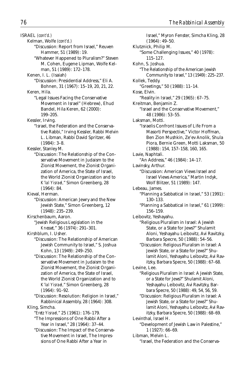ISRAEL *(cont'd.)* Kelman, Wolfe *(cont'd.)* "Discussion: Report from Israel," Reuven Hammer, 51 (1989): 19. "Whatever Happened to Pluralism?" Steven M. Cohen, Eugene Lipman, Wolfe Kelman, 51 (1989): 172–178. Kenen, I. L. (Isaiah) "Discussion: Presidential Address," Eli A. Bohnen, 31 (1967): 15–19, 20, 21, 22. Keren, Hila. "Legal Issues Facing the Conservative Movement in Israel" (Hebrew), Ehud Bandel, Hila Keren, 62 (2000): 199–205. Kessler, Irving. "Israel, the Federation and the Conservative Rabbi," Irving Kessler, Rabbi Melvin L. Libman, Rabbi David Spritzer, 46 (1984): 3–8. Kessler, Stanley M. "Discussion: The Relationship of the Conservative Movement in Judaism to the Zionist Movement, the Zionist Organization of America, the State of Israel, the World Zionist Organization and to *K'lal Yisrael,*" Simon Greenberg, 28 (1964): 84. Kieval, Herman. "Discussion: American Jewry and the New Jewish State," Simon Greenberg, 12 (1948): 235–239. Kirschenbaum, Aaron. "Jewish Religious Legislation in the *Knesset,*" 36 (1974): 291–301. Kirshblum, I. Usher. "Discussion: The Relationship of American Jewish Community to Israel," S. Joshua Kohn, 13 (1949): 249–250.

"Discussion: The Relationship of the Conservative Movement in Judaism to the Zionist Movement, the Zionist Organization of America, the State of Israel, the World Zionist Organization and to *K'lal Yisrael,*" Simon Greenberg, 28 (1964): 91–92.

"Discussion: Resolution: Religion in Israel," Rabbinical Assembly, 28 (1964): 308.

Kling, Simcha. "*Eretz Yisrael,*" 25 (1961): 176–179.

"The Impressions of One Rabbi After a Year in Israel," 28 (1964): 37–44.

"Discussion: The Impact of the Conservative Movement in Israel, The Impressions of One Rabbi After a Year in

Israel," Myron Fenster, Simcha Kling, 28 (1964): 49–50. Klutznick, Philip M. "Some Challenging Issues," 40 (1978): 115–127. Kohn, S. Joshua. "The Relationship of the American Jewish Community to Israel," 13 (1949): 225–237. Kollek, Teddy. "Greetings," 50 (1988): 11–14. Kose, Elvin. "Reality in Israel," 29 (1965): 67–75. Kreitman, Benjamin Z. "Israel and the Conservative Movement," 48 (1986): 53–55. Laksman, Motti. "Israelis Confront Issues of Life From a Masorti Perspective," Victor Hoffman, Ben Zion Mushkin, Ze'ev Anolik, Shula Piora, Bernie Green, Motti Laksman, 50 (1988): 154, 157–158, 160, 165. Lavie, Naphtali. "An Address," 46 (1984): 14–17. Lavinsky, Arthur. "Discussion: American Views Israel and Israel Views America," Martin Indyk, Wolf Blitzer, 51 (1989): 147. Lebeau, James. "Planning a Sabbatical in Israel," 53 (1991): 130–133. "Planning a Sabbatical in Israel," 61 (1999): 156–159. Leibovitz, Yeshayahu. "Religious Pluralism in Israel: A Jewish State, or a State for Jews?" Shulamit Aloni, Yeshayahu Leibovitz, Avi Ravitzky, Barbara Specre, 50 (1988): 54–56. "Discussion: Religious Pluralism in Israel: A Jewish State, or a State for Jews?" Shulamit Aloni, Yeshayahu Leibovitz, Avi Ravitzky, Barbara Specre, 50 (1988): 67–68. Levine, Lee. "Religious Pluralism in Israel: A Jewish State, or a State for Jews?" Shulamit Aloni, Yeshayahu Leibovitz, Avi Ravitzky, Barbara Specre, 50 (1988): 49, 54, 56, 59. "Discussion: Religious Pluralism in Israel: A Jewish State, or a State for Jews?" Shulamit Aloni, Yeshayahu Leibovitz, Avi Ravitzky, Barbara Specre, 50 (1988): 68–69. Levinthal, Israel H. "Development of Jewish Law in Palestine," 1 (1927): 66–69. Libman, Melvin L. "Israel, the Federation and the Conserva-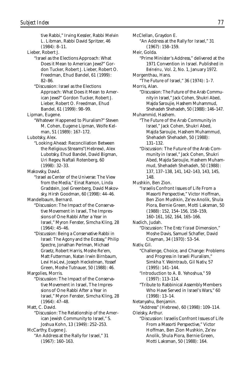tive Rabbi," Irving Kessler, Rabbi Melvin L. Libman, Rabbi David Spritzer, 46 (1984): 8–11. Lieber, Robert J. "Israel as the Elections Approach: What Does it Mean to American Jews?" Gordon Tucker, Robert J. Lieber, Robert O. Freedman, Ehud Bandel, 61 (1999): 82–86. "Discussion: Israel as the Elections Approach: What Does it Mean to American Jews?" Gordon Tucker, Robert J. Lieber, Robert O. Freedman, Ehud Bandel, 61 (1999): 98–99. Lipman, Eugene. "Whatever Happened to Pluralism?" Steven M. Cohen, Eugene Lipman, Wolfe Kelman, 51 (1989): 167–172. Lubotsky, Alex. "Looking Ahead: Reconciliation Between the Religious Streams"(Hebrew), Alex Lubotsky, Ehud Bandel, David Bigman, Uri Regev, Naftali Rotenberg, 60 (1998): 32–33. Makovsky, David. "Israel as Center of the Universe: The View from the Media," Einat Ramon, Linda Gradstein, Joel Greenberg, David Makovsky, Hirsh Goodman, 60 (1998): 44–46. Mandelbaum, Bernard. "Discussion: The Impact of the Conservative Movement in Israel, The Impressions of One Rabbi After a Year in Israel," Myron Fenster, Simcha Kling, 28 (1964): 45–46. "Discussion: Being a Conservative Rabbi in Israel: The Agony and the Ecstasy," Philip Spectre, Jonathan Perlman, Michael Graetz, Robert Harris, Moshe Re'em, Matt Futterman, Natan Irwin Birnbaum, Levi Ha-Levi, Joseph Heckelman, Yossef Green, Moshe Tutnauer, 50 (1988): 46. Margolies, Morris. "Discussion: The Impact of the Conservative Movement in Israel, The Impressions of One Rabbi After a Year in Israel," Myron Fenster, Simcha Kling, 28 (1964): 47–48. Matt, C. David. "Discussion: The Relationship of the American Jewish Community to Israel," S. Joshua Kohn, 13 (1949): 252–253. McCarthy, Eugene J. McClellan, Graydon E.

"An Address at the Rally for Israel," 31 (1967): 160–163.

"An Address at the Rally for Israel," 31 (1967): 158–159. Meir, Golda. "Prime Minister's Address," delivered at the 1971 Convention in Israel. Published in *Beineinu,* Vol. 2, No. 1, January 1972. Morgenthau, Hans. "The Future of Israel," 36 (1974): 1–7. Morris, Alan. "Discussion: The Future of the Arab Community in Israel," Jack Cohen, Shukri Abed, Majda Saroujie, Hashem Muhammud, Shehadeh Shehadeh, 50 (1988): 146–147. Muhammid, Hashem. "The Future of the Arab Community in Israel," Jack Cohen, Shukri Abed, Majda Saroujie, Hashem Muhammud, Shehadeh Shehadeh, 50 (1988): 131–132. "Discussion: The Future of the Arab Community in Israel," Jack Cohen, Shukri Abed, Majda Saroujie, Hashem Muhammud, Shehadeh Shehadeh, 50 (1988): 137, 137–138, 141, 142–143, 143, 145, 148. Mushkin, Ben Zion. "Israelis Confront Issues of Life From a Masorti Perspective," Victor Hoffman, Ben Zion Mushkin, Ze'ev Anolik, Shula Piora, Bernie Green, Motti Laksman, 50 (1988): 152, 154–156, 158–159, 160–161, 162, 164, 165–166. Nadich, Judah. "Discussion: The *Eretz Yisrael* Dimension," Moshe Davis, Samuel Schafler, David Clayman, 34 (1970): 53–54. Nativ, Gil. "Challenge, Choice, and Change: Problems and Progress in Israeli Pluralism," Simkha Y. Weintraub, Gil Nativ, 57 (1995): 141–144. "Introduction to A. B. Yehoshua," 59 (1997): 113–114. "Tribute to Rabbinical Assembly Members Who Have Served in Israel's Wars," 60 (1998): 13–14. Netanyahu, Benjamin. "Address" (Hebrew), 60 (1998): 109–114. Oleisky, Arthur. "Discussion: Israelis Confront Issues of Life From a Masorti Perspective," Victor Hoffman, Ben Zion Mushkin, Ze'ev Anolik, Shula Piora, Bernie Green, Motti Laksman, 50 (1988): 164.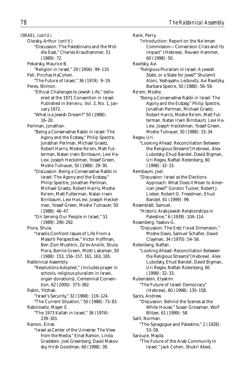ISRAEL *(cont'd.)*

Oleisky, Arthur *(cont'd.)*

"Discussion: The Palestinians and the Middle East," Charles Krauthammer, 51 (1989): 72.

Pekarsky, Maurice B.

"Religion in Israel," 20 (1956): 99–110. Peli, Pinchas HaCohen.

"The Future of Israel," 36 (1974): 9–19. Peres, Shimon.

- "Ethical Challenges to Jewish Life," delivered at the 1971 Convention in Israel. Published in *Beineinu,* Vol. 2, No. 1, January 1972.
- "What is a Jewish Dream?" 50 (1988): 16–20.
- Perlman, Jonathan.
	- "Being a Conservative Rabbi in Israel: The Agony and the Ecstasy," Philip Spectre, Jonathan Perlman, Michael Graetz, Robert Harris, Moshe Re'em, Matt Futterman, Natan Irwin Birnbaum, Levi Ha-Levi, Joseph Heckelman, Yossef Green, Moshe Tutnauer, 50 (1988): 29–30.
	- "Discussion: Being a Conservative Rabbi in Israel: The Agony and the Ecstasy," Philip Spectre, Jonathan Perlman, Michael Graetz, Robert Harris, Moshe Re'em, Matt Futterman, Natan Irwin Birnbaum, Levi Ha-Levi, Joseph Heckelman, Yossef Green, Moshe Tutnauer, 50 (1988): 46–47.
	- "On Serving Our People in Israel," 51 (1989): 290–292.

Piora, Shula.

"Israelis Confront Issues of Life From a Masorti Perspective," Victor Hoffman, Ben Zion Mushkin, Ze'ev Anolik, Shula Piora, Bernie Green, Motti Laksman, 50 (1988): 153, 156–157, 161, 163, 165.

Rabbinical Assembly.

"Resolutions Adopted," (includes prayer in schools, religious pluralism in Israel, organ donations), Centennial Convention, 62 (2000): 373–382.

Rabin, Yitzhak.

"Israel's Security," 32 (1968): 119–124. "The Current Situation," 50 (1988): 73–83.

Rabinowitz, Mayer E.

"The 1973 Kallah in Israel," 36 (1974): 239–301.

Ramon, Einat.

"Israel as Center of the Universe: The View from the Media," Einat Ramon, Linda Gradstein, Joel Greenberg, David Makovsky, Hirsh Goodman, 60 (1998): 39.

Rank, Perry. "Introduction: Report on the Ne'eman Commission—Conversion Crisis and Its Impact" (Hebrew), Reuven Hammer, 60 (1998): 50. Ravitsky, Avi. "Religious Pluralism in Israel: A Jewish State, or a State for Jews?" Shulamit Aloni, Yeshayahu Leibovitz, Avi Ravitzky, Barbara Specre, 50 (1988): 56–59. Re'em, Moshe. "Being a Conservative Rabbi in Israel: The Agony and the Ecstasy," Philip Spectre, Jonathan Perlman, Michael Graetz, Robert Harris, Moshe Re'em, Matt Futterman, Natan Irwin Birnbaum, Levi Ha-Levi, Joseph Heckelman, Yossef Green, Moshe Tutnauer, 50 (1988): 33–34. Regev, Uri. "Looking Ahead: Reconciliation Between the Religious Streams"(Hebrew), Alex Lubotsky, Ehud Bandel, David Bigman, Uri Regev, Naftali Rotenberg, 60 (1998): 32–33. Rembaum, Joel. "Discussion: Israel as the Elections Approach: What Does it Mean to American Jews?" Gordon Tucker, Robert J. Lieber, Robert O. Freedman, Ehud Bandel, 61 (1999): 99. Rosenblatt, Samuel. "Historic Arab-Jewish Relationships in Palestine," 6 (1939): 104–114. Rosenberg, Yaakov G. "Discussion: The *Eretz Yisrael* Dimension," Moshe Davis, Samuel Schafler, David Clayman, 34 (1970): 54–56. Rotenberg, Naftali. "Looking Ahead: Reconciliation Between the Religious Streams"(Hebrew), Alex Lubotsky, Ehud Bandel, David Bigman, Uri Regev, Naftali Rotenberg, 60 (1998): 32–33. Rubenstein, Elyakim. "The Future of Israeli Democracy" (Hebrew), 60 (1998): 135–158. Sacks, Andrew. "Discussion: Behind the Scenes at the White House," Susan Grossman, Wolf Blitzer, 61 (1999): 58. Salit, Norman. "The Synagogue and Palestine," 2 (1928): 53–58. Saroujie, Majda. "The Future of the Arab Community in Israel," Jack Cohen, Shukri Abed,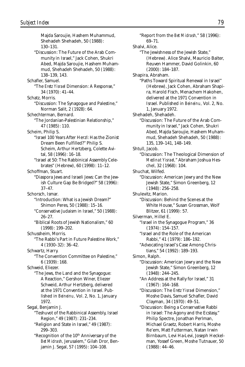Majda Saroujie, Hashem Muhammud, Shehadeh Shehadeh, 50 (1988): 130–131. "Discussion: The Future of the Arab Community in Israel," Jack Cohen, Shukri Abed, Majda Saroujie, Hashem Muhammud, Shehadeh Shehadeh, 50 (1988): 138–139, 143. Schafler, Samuel. "The *Eretz Yisrael* Dimension: A Response," 34 (1970): 41–44. Schatz, Morris. "Discussion: The Synagogue and Palestine," Norman Salit, 2 (1928): 64. Schechterman, Bernard. "The Jordanian-Palestinian Relationship," 47 (1985): 110. Scheim, Philip S. "Israel 100 Years After Herzl: Has the Zionist Dream Been Fulfilled?" Philip S. Scheim, Arthur Hertzberg, Colette Avital, 58 (1996): 16–18. "Israel at 50: The Rabbinical Assembly Celebrates" (Hebrew), 60 (1998): 11–12. Schoffman, Stuart. "Diaspora Jews and Israeli Jews: Can the Jewish Culture Gap Be Bridged?" 58 (1996): 37–47. Schorsch, Ismar. "Introduction: What is a Jewish Dream?" Shimon Peres, 50 (1988): 15–16. "Conservative Judaism in Israel," 50 (1988): 26–27. "Biblical Roots of Jewish Nationalism," 60 (1998): 199–202. Schussheim, Morris. "The Rabbi's Part in Future Palestine Work," 4 (1930–32): 36–42. Schwartz, Harry. "The Convention Committee on Palestine," 6 (1939): 168. Schweid, Eliezer. "The Jews, the Land and the Synagogue: A Reaction," Gershon Winer, Eliezer Schweid, Arthur Hertzberg, delivered at the 1971 Convention in Israel. Published in *Beineinu,* Vol. 2, No. 1, January 1972. Segal, Benjamin J. "Teshuvot of the Rabbinical Assembly, Israel Region," 49 (1987): 231–234. "Religion and State in Israel," 49 (1987): 299–303. "Recognition of the 10<sup>th</sup> Anniversary of the *Bet Midrash,* Jerusalem," Gilah Dror, Ben-

jamin J. Segal, 57 (1995): 104–108.

"Report from the *Bet Midrash,*" 58 (1996): 69–71. Shalvi, Alice. "The Jewishness of the Jewish State," (Hebrew). Alice Shalvi, Mauricio Balter, Reuven Hammer, David Golinkin, 60 (2000): 184–187. Shapira, Abraham. "Paths Toward Spiritual Renewal in Israel" (Hebrew), Jack Cohen, Abraham Shapira, Harold Fisch, Menachem Hakohen, delivered at the 1971 Convention in Israel. Published in *Beineinu,* Vol. 2, No. 1, January 1972. Shehadeh, Shehadeh. "Discussion: The Future of the Arab Community in Israel," Jack Cohen, Shukri Abed, Majda Saroujie, Hashem Muhammud, Shehadeh Shehadeh, 50 (1988): 135, 139–141, 148–149. Shtull, Jacob. "Discussion: The Theological Dimension of *Medinat Yisrael,*" Abraham Joshua Heschel, 32 (1968): 104. Shuchat, Wilfed. "Discussion: American Jewry and the New Jewish State," Simon Greenberg, 12 (1948): 256–258. Shulevitz, Marion. "Discussion: Behind the Scenes at the White House," Susan Grossman, Wolf Blitzer, 61 (1999): 57. Silverman, Hillel E. "Israel in the Synagogue Program," 36 (1974): 154–157. "Israel and the Role of the American Rabbi," 41 (1979): 186–192. "Advocating Israel's Case Among Christians," 54 (1992): 189–193. Simon, Ralph. "Discussion: American Jewry and the New Jewish State," Simon Greenberg, 12 (1948): 244–245. "An Address at the Rally for Israel," 31 (1967): 164–168. "Discussion: The *Eretz Yisrael* Dimension," Moshe Davis, Samuel Schafler, David Clayman, 34 (1970): 49–51. "Discussion: Being a Conservative Rabbi in Israel: The Agony and the Ecstasy," Philip Spectre, Jonathan Perlman, Michael Graetz, Robert Harris, Moshe Re'em, Matt Futterman, Natan Irwin Birnbaum, Levi Ha-Levi, Joseph Heckelman, Yossef Green, Moshe Tutnauer, 50 (1988): 44–46.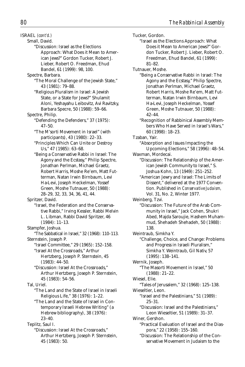ISRAEL *(cont'd.)*

- Small, David.
	- "Discussion: Israel as the Elections Approach: What Does it Mean to American Jews?" Gordon Tucker, Robert J. Lieber, Robert O. Freedman, Ehud Bandel, 61 (1999): 98, 100.
- Spectre, Barbara. "The Moral Challenge of the Jewish State," 43 (1981): 79–88.
	- "Religious Pluralism in Israel: A Jewish State, or a State for Jews?" Shulamit Aloni, Yeshayahu Leibovitz, Avi Ravitzky, Barbara Specre, 50 (1988): 59–66.
- Spectre, Philip.
	- "Defending the Defenders," 37 (1975): 47–50.
		- "The M'sorti Movement in Israel" (with participants), 43 (1980): 22–33.
		- "Principles Which Can Unite or Destroy Us," 47 (1985): 63–68.
		- "Being a Conservative Rabbi in Israel: The Agony and the Ecstasy," Philip Spectre, Jonathan Perlman, Michael Graetz, Robert Harris, Moshe Re'em, Matt Futterman, Natan Irwin Birnbaum, Levi Ha-Levi, Joseph Heckelman, Yossef Green, Moshe Tutnauer, 50 (1988): 28–29, 32, 33, 34, 36, 41, 44.

Spritzer, David.

- "Israel, the Federation and the Conservative Rabbi," Irving Kessler, Rabbi Melvin L. Libman, Rabbi David Spritzer, 46 (1984): 11–13.
- Stampfer, Joshua.
- "The Sabbatical in Israel," 32 (1968): 110–113. Sternstein, Joseph P.
	- "Israel Committee," 29 (1965): 152–158. "Israel At the Crossroads," Arthur Hertzberg, Joseph P. Sternstein, 45
	- (1983): 44–50. "Discussion: Israel At the Crossroads," Arthur Hertzberg, Joseph P. Sternstein,
	- 45 (1983): 54–56.

Tal, Uriel.

- "The Land and the State of Israel in Israeli Religious Life," 38 (1976): 1–22. "The Land and the State of Israel in Con-
- temporary Israeli Hebrew Writing" (a Hebrew bibliography), 38 (1976): 23–40.

```
Teplitz, Saul I.
```
"Discussion: Israel At the Crossroads," Arthur Hertzberg, Joseph P. Sternstein, 45 (1983): 50.

Tucker, Gordon. "Israel as the Elections Approach: What Does it Mean to American Jews?" Gordon Tucker, Robert J. Lieber, Robert O. Freedman, Ehud Bandel, 61 (1999): 81–82. Tutnauer, Moshe. "Being a Conservative Rabbi in Israel: The Agony and the Ecstasy," Philip Spectre, Jonathan Perlman, Michael Graetz, Robert Harris, Moshe Re'em, Matt Futterman, Natan Irwin Birnbaum, Levi Ha-Levi, Joseph Heckelman, Yossef Green, Moshe Tutnauer, 50 (1988): 42–44. "Recognition of Rabbinical Assembly Members Who Have Served in Israel's Wars," 60 (1998): 18–23. Tzaban, Yair. "Absorption and Issues Impacting the Upcoming Elections," 58 (1996): 48–54. Waxman, Mordecai. "Discussion: The Relationship of the American Jewish Community to Israel," S. Joshua Kohn, 13 (1949): 251–252. "American Jewry and Israel: The Limits of Dissent," delivered at the 1977 Convention. Published in *Conservative Judaism,* Vol. 31, No. 2, Winter 1977. Weinberg, Tzvi. "Discussion: The Future of the Arab Community in Israel," Jack Cohen, Shukri Abed, Majda Saroujie, Hashem Muhammud, Shehadeh Shehadeh, 50 (1988): 138. Weintraub, Simkha Y. "Challenge, Choice, and Change: Problems and Progress in Israeli Pluralism," Simkha Y. Weintraub, Gil Nativ, 57 (1995): 138–141. Wernik, Joseph. "The Masorti Movement in Israel," 50 (1988): 21–22. Wiesel, Elie. "Tales of Jerusalem," 32 (1968): 125–138. Wieseltier, Leon. "Israel and the Palestinians," 51 (1989): 25–31. "Discussion: Israel and the Palestinians,"

Leon Wieseltier, 51 (1989): 31–37.

"Practical Evaluation of Israel and the Diaspora," 22 (1958): 155–160. "Discussion: The Relationship of the Conservative Movement in Judaism to the

Winer, Gershon.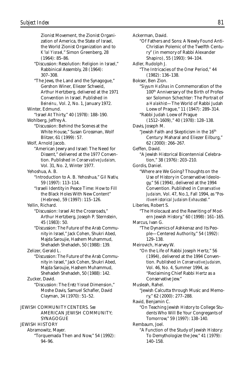Zionist Movement, the Zionist Organization of America, the State of Israel, the World Zionist Organization and to *K'lal Yisrael,*" Simon Greenberg, 28 (1964): 85–86. "Discussion: Resolution: Religion in Israel," Rabbinical Assembly, 28 (1964): 307–308. "The Jews, the Land and the Synagogue," Gershon Winer, Eliezer Schweid, Arthur Hertzberg, delivered at the 1971 Convention in Israel. Published in *Beineinu,* Vol. 2, No. 1, January 1972. Winter, Edmund. "Israel At Thirty," 40 (1978): 188–190. Wohlberg, Jeffrey A. "Discussion: Behind the Scenes at the White House," Susan Grossman, Wolf Blitzer, 61 (1999): 57. Wolf, Arnold Jacob. "American Jewry and Israel: The Need for Dissent," delivered at the 1977 Convention. Published in *Conservative Judaism,* Vol. 31, No. 2, Winter 1977. Yehoshua, A. B. "Introduction to A. B. Yehoshua," Gil Nativ, 59 (1997): 113–114. "Israeli Identity in Peace Time: How to Fill the Black Holes With New Content" (Hebrew), 59 (1997): 115–126. Yellin, Richard. "Discussion: Israel At the Crossroads," Arthur Hertzberg, Joseph P. Sternstein, 45 (1983): 50. "Discussion: The Future of the Arab Community in Israel," Jack Cohen, Shukri Abed, Majda Saroujie, Hashem Muhammud, Shehadeh Shehadeh, 50 (1988): 139. Zelizer, Gerald L. "Discussion: The Future of the Arab Community in Israel," Jack Cohen, Shukri Abed, Majda Saroujie, Hashem Muhammud, Shehadeh Shehadeh, 50 (1988): 142. Zucker, David. "Discussion: The *Eretz Yisrael* Dimension," Moshe Davis, Samuel Schafler, David Clayman, 34 (1970): 51–52. JEWISH COMMUNITY CENTERS. *See* AMERICAN JEWISH COMMUNITY; **SYNAGOGUE** JEWISH HISTORY Abramowitz, Mayer. "Torquemada Then and Now," 54 (1992): 94–96.

Ackerman, David. "Of Fathers and Sons: A Newly Found Anti-Christian Polemic of the Twelfth Century" (in memory of Rabbi Alexander Shapiro), 55 (1993): 94–104. Adler, Rudolph J. "The Intricacies of the *Omer* Period," 44 (1982): 136–138. Bokser, Ben Zion. "*Siyyum HaShas* in Commemoration of the 100th Anniversary of the Birth of Professor Solomon Schechter: The Portrait of a *Halakhist*—The World of Rabbi Judah Loew of Prague," 11 (1947): 289–314. "Rabbi Judah Loew of Prague (1512–1609)," 40 (1978): 128–138. Davis, Joseph M. "Jewish Faith and Skepticism in the 16<sup>th</sup> Century: Maharal and Eliezer Eilburg," 62 (2000): 266–267. Geffen, David. "A Jewish Historical Bicentennial Celebration," 38 (1976): 203–210. Gordis, Daniel. "Where are We Going? Thoughts on the Use of History in Conservative Ideology," 56 (1994), delivered at the 1994 Convention. Published in *Conservative Judaism,* Vol. 47, No.1, Fall 1994, as "*Positive-Historical Judaism Exhausted.*" Liberles, Robert S. "The Holocaust and the Rewriting of Modern Jewish History," 60 (1998): 161–165. Marcus, Ivan G. "The Dynamics of Ashkenaz and Its People—Centered Authority," 54 (1992): 129–138. Meirovich, Harvey W. "On the Life of Rabbi Joseph Hertz," 56 (1994), delivered at the 1994 Convention. Published in *Conservative Judaism,* Vol. 46, No. 4, Summer 1994, as "Reclaiming Chief Rabbi Hertz as a Conservative Jew." Musleah, Rahel. "Jewish Calcutta through Music and Memory," 62 (2000): 277–288. Ravid, Benjamin C. "On Teaching Jewish History to College Students Who Will Be Your Congregants of Tomorrow," 59 (1997): 138–140. Rembaum, Joel. "A Function of the Study of Jewish History: To Demythologize the Jew," 41 (1979): 140–158.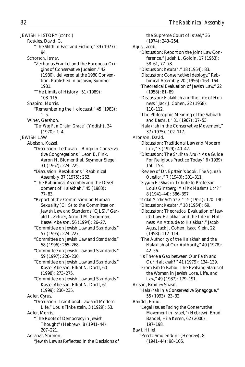JEWISH HISTORY *(cont'd.)* Roskies, David, G. "The *Shtetl* in Fact and Fiction," 39 (1977): 94. Schorsch, Ismar. "Zecharias Frankel and the European Origins of Conservative Judaism," 42 (1980), delivered at the 1980 Convention. Published in *Judaism,* Summer 1981. "The Limits of History," 51 (1989): 108–115. Shapiro, Morris. "Remembering the Holocaust," 45 (1983): 1–5. Winer, Gershon. "*Der Weg Fun Chaim Grade*" (Yiddish), 34  $(1970): 1-4.$ JEWISH LAW Abelson, Kassel. "Discussion: Teshuvah—Bingo in Conservative Congregations," Leon B. Fink, Aaron H. Blumenthal, Seymour Siegel, 31 (1967): 224–225. "Discussion: Resolutions," Rabbinical Assembly, 37 (1975): 262. "The Rabbinical Assembly and the Development of Halakhah," 45 (1983): 77–83. "Report of the Commission on Human Sexuality (CHS) to the Committee on Jewish Law and Standards (CJLS)," Gerald L. Zelizer, Arnold M. Goodman, Kassel Abelson, 56 (1994): 26–27. "Committee on Jewish Law and Standards," 57 (1995): 224–227. "Committee on Jewish Law and Standards," 58 (1996): 265–268. "Committee on Jewish Law and Standards," 59 (1997): 226–230. "Committee on Jewish Law and Standards," Kassel Abelson, Elliot N. Dorff, 60 (1998): 273–275. "Committee on Jewish Law and Standards," Kassel Abelson, Elliot N. Dorff, 61 (1999): 230–235. Adler, Cyrus. "Discussion: Traditional Law and Modern Life," Louis Finkelstein, 3 (1929): 53. Adler, Morris. "The Roots of Democracy in Jewish Thought" (Hebrew), 8 (1941–44): 207–221. Agranat, Shimon. "Jewish Law as Reflected in the Decisions of

the Supreme Court of Israel," 36 (1974): 243–254. Agus, Jacob. "Discussion: Report on the Joint Law Conference," Judah L. Goldin, 17 (1953): 58–61, 77–78. "Discussion: *Ketubah,*" 18 (1954): 83. "Discussion: Conservative Ideology," Rabbinical Assembly, 20 (1956): 163–164. "Theoretical Evaluation of Jewish Law," 22 (1958): 81–89. "Discussion: *Halakhah* and the Life of Holiness," Jack J. Cohen, 22 (1958): 110–112. "The Philosophic Meaning of the Sabbath and *Kashrut,*" 31 (1967): 37–53. "*Halakhah* in the Conservative Movement," 37 (1975): 102–117. Aronson, David. "Discussion: Traditional Law and Modern Life," 3 (1929): 40–42. "Discussion: The *Shulhan Arukh* As a Guide For Religious Practice Today," 6 (1939): 150–153. "Review of Dr. Epstein's book, *The Agunah Question,*" 7 (1940): 301–311. "*Siyyum HaShas* in Tribute to Professor Louis Ginzberg: *Mai Ko Mashma Lon?* " 8 (1941–44): 386–397. "*Kedat Moshe VeYisrael,*" 15 (1951): 120–140. "Discussion: *Ketubah,*" 18 (1954): 69. "Discussion: Theoretical Evaluation of Jewish Law. *Halakhah* and the Life of Holiness. An Attitude to *Halakhah,*" Jacob Agus, Jack J. Cohen, Isaac Klein, 22 (1958): 112–114. "The Authority of the *Halakhah* and the *Halakhah* of Our Authority," 40 (1978): 42–56. "Is There a Gap between Our Faith and Our *Halakhah?* " 41 (1979): 134–139. "From Rib to Rabbi: The Evolving Status of the Woman in Jewish Lore, Life, and Law," 49 (1987): 179–191. Artson, Bradley Shavit. "*Halakhah* in a Conservative Synagogue," 55 (1993): 23–32. Bandel, Ehud. "Legal Issues Facing the Conservative Movement in Israel," (Hebrew). Ehud Bandel, Hila Keren, 62 (2000): 197–198. Bavli, Hillel. "Peretz Smolenskin" (Hebrew), 8 (1941–44): 98–106.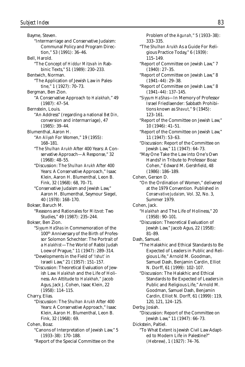Bayme, Steven. "Intermarriage and Conservative Judaism: Communal Policy and Program Direction," 53 (1991): 36–46. Bell, Harold. "The Concept of *Hiddur Mitzvah* in Rabbinic Texts," 51 (1989): 230–233. Bentwich, Norman. "The Application of Jewish Law in Palestine," 1 (1927): 70–73. Bergman, Ben Zion. "A Conservative Approach to *Halakhah,*" 49 (1987): 47–54. Bernstein, Louis. "An Address" (regarding a national *Bet Din,* conversion and intermarriage), 47 (1985): 39–44. Blumenthal, Aaron H. "An *Aliyah* For Women," 19 (1955): 168–181. "The *Shulhan Arukh* After 400 Years: A Conservative Approach—A Response," 32 (1968): 48–55. "Discussion: The *Shulhan Arukh* After 400 Years: A Conservative Approach," Isaac Klein, Aaron H. Blumenthal, Leon B. Fink, 32 (1968): 68, 70–71. "Conservative Judaism and Jewish Law," Aaron H. Blumenthal, Seymour Siegel, 40 (1978): 168–170. Bokser, Baruch M. "Reasons and Rationales for *Mitzvot:* Two Studies," 49 (1987): 235–244. Bokser, Ben Zion. "*Siyyum HaShas* in Commemoration of the 100th Anniversary of the Birth of Professor Solomon Schechter: The Portrait of a *Halakhist*—The World of Rabbi Judah Loew of Prague," 11 (1947): 289–314. "Developments in the Field of *'Ishut'* in Israeli Law," 21 (1957): 151–157. "Discussion: Theoretical Evaluation of Jewish Law. *Halakhah* and the Life of Holiness. An Attitude to *Halakhah,"* Jacob Agus, Jack J. Cohen, Isaac Klein, 22 (1958): 114–115. Charry, Elias. "Discussion: The *Shulhan Arukh* After 400 Years: A Conservative Approach," Isaac Klein, Aaron H. Blumenthal, Leon B. Fink, 32 (1968): 69. Cohen, Boaz. "Canons of Interpretation of Jewish Law," 5 (1933–38): 170–188. "Report of the Special Committee on the

Problem of the *Agunah,*" 5 (1933–38): 333–335. "The *Shulhan Arukh* As a Guide For Religious Practice Today," 6 (1939): 115–149. "Report of Committee on Jewish Law," 7 (1940): 27–35. "Report of Committee on Jewish Law," 8 (1941–44): 29–38. "Report of Committee on Jewish Law," 8 (1941–44): 137–145. "*Siyyum HaShas*—In Memory of Professor Israel Friedlaender: Sabbath Prohibitions known as *Shavut,*" 9 (1945): 123–161. "Report of the Committee on Jewish Law," 10 (1946): 41–51. "Report of the Committee on Jewish Law," 11 (1947): 53–63. "Discussion: Report of the Committee on Jewish Law," 11 (1947): 64–73. "May One Take the Law into One's Own Hands? in Tribute to Professor Boaz Cohen," Edward M. Gershfield, 48 (1986): 186–189. Cohen, Gerson D. "On the Ordination of Women," delivered at the 1979 Convention. Published in *Conservative Judaism,* Vol. 32, No. 3, Summer 1979. Cohen, Jack. "*Halakhah* and The Life of Holiness," 20 (1958): 90–101. "Discussion: Theoretical Evaluation of Jewish Law," Jacob Agus, 22 (1958): 81–89. Dash, Samuel. "The Halakhic and Ethical Standards to Be Expected of Leaders in Public and Religious Life," Arnold M. Goodman, Samuel Dash, Benjamin Cardin, Elliot N. Dorff, 61 (1999): 102–107. "Discussion: The Halakhic and Ethical Standards to Be Expected of Leaders in Public and Religious Life," Arnold M. Goodman, Samuel Dash, Benjamin Cardin, Elliot N. Dorff, 61 (1999): 119, 120, 121, 124–125. Derby, Josiah. "Discussion: Report of the Committee on Jewish Law," 11 (1947): 66–73. Dickstein, Paltiel. "To What Extent is Jewish Civil Law Adapted to Modern Life in Palestine?" (Hebrew), 1 (1927): 74–76.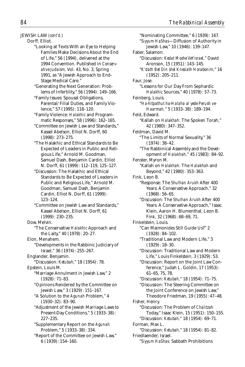JEWISH LAW *(cont'd.)*

Dorff, Elliot.

"Looking at Texts With an Eye to Helping Families Make Decisions About the End of Life," 56 (1994), delivered at the 1994 Convention. Published in *Conservative Judaism,* Vol. 43, No. 3, Spring 1991, as "A Jewish Approach to End-Stage Medical Care.'

"Generating the Next Generation: Problems of Infertility," 56 (1994): 149–166.

"Family Issues: Spousal Obligations, Parental/Filial Duties, and Family Violence," 57 (1995): 118–120.

"Family Violence: *Halakhic* and Programmatic Responses," 58 (1996): 162–165.

"Committee on Jewish Law and Standards," Kassel Abelson, Elliot N. Dorff, 60 (1998): 273–275.

"The Halakhic and Ethical Standards to Be Expected of Leaders in Public and Religious Life," Arnold M. Goodman, Samuel Dash, Benjamin Cardin, Elliot N. Dorff, 61 (1999): 112–119, 125–127.

"Discussion: The Halakhic and Ethical Standards to Be Expected of Leaders in Public and Religious Life," Arnold M. Goodman, Samuel Dash, Benjamin Cardin, Elliot N. Dorff, 61 (1999): 123–124.

"Committee on Jewish Law and Standards," Kassel Abelson, Elliot N. Dorff, 61 (1999): 230–235.

Dow, Melvin.

"The Conservative *Halakhic* Approach and the Laity," 40 (1978): 20–27.

Elon, Menahem. "Developments in the Rabbinic Judiciary of Israel," 36 (1974): 255–267.

Englander, Benjamin.

"Discussion: *Ketubah,*" 18 (1954): 78. Epstein, Louis M.

"Marriage Annulment in Jewish Law," 2 (1928): 71–83.

"Opinions Rendered by the Committee on Jewish Law," 3 (1929): 151–167.

"A Solution to the *Agunah* Problem," 4 (1930–32): 83–90.

"Adjustment of the Jewish Marriage Laws to Present-Day Conditions," 5 (1933–38): 227–235.

"Supplementary Report on the *Agunah* Problem," 5 (1933–38): 334.

"Report of the Committee on Jewish Law," 6 (1939): 154–160.

"Nominating Committee," 6 (1939): 167. "*Siyyum HaShas*—Diffusion of Authority in Jewish Law," 10 (1946): 139–147. Faber, Salamon. "Discussion: *Kedat Moshe VeYisrael,*" David Aronson, 15 (1951): 143–145. "*K'dath Bet Din shel Knesiath Horabonim,*" 16 (1952): 205–211. Faur, Jose. "Lessons for Our Day From Sephardic *Halakhic* Sources," 40 (1978): 57–73. Feinberg, Louis. "*Ha-hitpathut ha-Halaha al yede Perush ve-Haarmah,*" 5 (1933–38): 189–194. Feld, Edward. "Kallah on *Halakhah:* The Spoken Torah," 42 (1980): 347–352. Feldman, David M. "The Limits of Normal Sexuality," 36 (1974): 38–42. "The Rabbinical Assembly and the Development of *Halakhah,*" 45 (1983): 84–92. Fenster, Myron M. "Kallah on *Halakhah:* The *Halakhah* and Beyond," 42 (1980): 353–363. Fink, Leon B. "Response: The *Shulhan Arukh* After 400 Years: A Conservative Approach," 32 (1968): 56–65. "Discussion: The *Shulhan Arukh* After 400 Years: A Conservative Approach," Isaac Klein, Aaron H. Blumenthal, Leon B. Fink, 32 (1968): 68–69, 71. Finkelstein, Louis. "Can Maimonides Still Guide Us?" 2 (1928): 84–102. "Traditional Law and Modern Life," 3 (1929): 18–30. "Discussion: Traditional Law and Modern Life," Louis Finkelstein, 3 (1929): 53. "Discussion: Report on the Joint Law Conference," Judah L. Goldin, 17 (1953): 61–65, 75, 78. "Discussion: *Ketubah,*" 18 (1954): 71–75. "Discussion: The Steering Committee on the Joint Conference on Jewish Law," Theodore Friedman, 19 (1955): 47–48. Fisher, Henry. "Discussion: The Problem of *Chalitzah* Today," Isaac Klein, 15 (1951): 150–155. "Discussion: *Ketubah,*" 18 (1954): 69–71. Forman, Max L. "Discussion: *Ketubah,*" 18 (1954): 81–82. Friedlaender, Israel. "*Siyyum HaShas:* Sabbath Prohibitions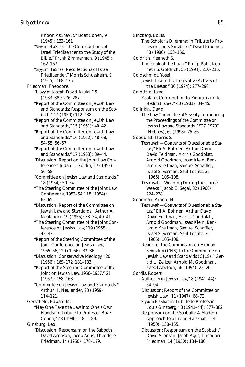Known As *Shavut,*" Boaz Cohen, 9 (1945): 123–161. "*Siyyum HaShas:* The Contributions of Israel Friedlaender to the Study of the Bible," Frank Zimmerman, 9 (1945): 162–167. "*Siyyum HaShas:* Recollections of Israel Friedlaender," Morris Schussheim, 9 (1945): 168–175. Friedman, Theodore. "Hayyim Joseph David Azulai," 5 (1933–38): 276–287. "Report of the Committee on Jewish Law and Standards: Responsum on the Sabbath," 14 (1950): 112–138. "Report of the Committee on Jewish Law and Standards," 15 (1951): 40–42. "Report of the Committee on Jewish Law and Standards," 16 (1952): 48–68, 54–55, 56–57. "Report of the Committee on Jewish Law and Standards," 17 (1953): 39–44. "Discussion: Report on the Joint Law Conference," Judah L. Goldin, 17 (1953): 56–58. "Committee on Jewish Law and Standards," 18 (1954): 50–54. "The Steering Committee of the Joint Law Conference, 1953–54," 18 (1954): 62–65. "Discussion: Report of the Committee on Jewish Law and Standards," Arthur A. Neulander, 19 (1955): 33–34, 40–41. "The Steering Committee of the Joint Conference on Jewish Law," 19 (1955): 42–43. "Report of the Steering Committee of the Joint Conference on Jewish Law, 1955–56," 20 (1956): 33–36. "Discussion: Conservative Ideology," 20 (1956): 169–172, 181–183. "Report of the Steering Committee of the Joint on Jewish Law, 1956–1957," 21 (1957): 158–163. "Committee on Jewish Law and Standards," Arthur H. Neulander, 23 (1959): 114–121. Gershfield, Edward M. "May One Take the Law into One's Own Hands? in Tribute to Professor Boaz Cohen," 48 (1986): 186–189. Ginsburg, Leo. "Discussion: Responsum on the Sabbath," David Aronson, Jacob Agus, Theodore Friedman, 14 (1950): 178–179.

Ginzberg, Louis. "The Scholar's Dilemma: in Tribute to Professor Louis Ginzberg," David Kraemer, 48 (1986): 153–166. Goldrich, Kenneth S. "The *Ruah* of the *Luah,*" Philip Pohl, Kenneth S. Goldrich, 56 (1994): 210–215. Goldschmidt, Yosef. "Jewish Law in the Legislative Activity of the *Knesset,*" 36 (1974): 277–290. Goldstein, Israel. "Kaplan's Contribution to Zionism and to *Medinat Israel,*" 43 (1981): 34–45. Golinkin, David. "The Law Committee at Seventy: Introducing the Proceedings of the Committee on Jewish Law and Standards, 1927–1970" (Hebrew), 60 (1998): 75–86. Goodblatt, Morris S. "Teshuvah—Converts of Questionable Status," Eli A. Bohnen, Arthur David, David Feldman, Morris Goodblatt, Arnold Goodman, Isaac Klein, Benjamin Kreitman, Samuel Schaffler, Israel Silverman, Saul Teplitz, 30 (1966): 105–108. "Teshuvah—Wedding During the Three Weeks," Jacob E. Segal, 32 (1968): 224–228. Goodman, Arnold M. "Teshuvah—Converts of Questionable Status," Eli A. Bohnen, Arthur David, David Feldman, Morris Goodblatt, Arnold Goodman, Isaac Klein, Benjamin Kreitman, Samuel Schaffler, Israel Silverman, Saul Teplitz, 30 (1966): 105–108. "Report of the Commission on Human Sexuality (CHS) to the Committee on Jewish Law and Standards (CJLS)," Gerald L. Zelizer, Arnold M. Goodman, Kassel Abelson, 56 (1994): 22–26. Gordis, Robert. "Authority in Jewish Law," 8 (1941–44): 64–94. "Discussion: Report of the Committee on Jewish Law," 11 (1947): 68–72. "*Siyyum HaShas* in Tribute to Professor Louis Ginzberg," 8 (1941–44): 377–382. "Responsum on the Sabbath: A Modern Approach to a Living *Halakhah,*" 14 (1950): 138–155. "Discussion: Responsum on the Sabbath," David Aronson, Jacob Agus, Theodore Friedman, 14 (1950): 184–186.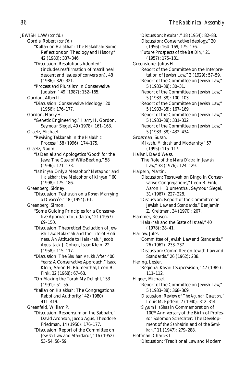JEWISH LAW *(cont'd.)*

- Gordis, Robert *(cont'd.)*
	- "Kallah on *Halakhah:* The *Halakhah:* Some Reflections on Theology and History," 42 (1980): 337–346.
	- "Discussion: Resolutions Adopted" (includes reaffirmation of matrilineal descent and issues of conversion), 48 (1986): 320–321.
	- "Process and Pluralism in Conservative Judaism," 49 (1987): 152–165.
- Gordon, Albert I. "Discussion: Conservative Ideology," 20 (1956): 176–177.
- Gordon, Harry H.
- "Genetic Engineering," Harry H. Gordon, Seymour Siegel, 40 (1978): 161–163.
- Graetz, Michael.
	- "Reviving *Takkanah* in the *Halakhic* Process," 58 (1996): 174–175.
- Graetz, Naomi.
	- "Is Denial and Apologetics 'Good' for the Jews: The Case of Wife-Beating," 58 (1996): 171–173.
	- "Is *Kinyan* Only a Metaphor? Metaphor and *Halakhah:* the Metaphor of *Kinyan,*" 60 (1998): 175–186.
- Greenberg, Sidney.
	- "Discussion: Teshuvah on a *Kohen* Marrying a Divorcée," 18 (1954): 61.
- Greenberg, Simon.
	- "Some Guiding Principles for a Conservative Approach to Judaism," 21 (1957): 69–150.
	- "Discussion: Theoretical Evaluation of Jewish Law. *Halakhah* and the Life of Holiness. An Attitude to *Halakhah,*" Jacob Agus, Jack J. Cohen, Isaac Klein, 22 (1958): 115–117.
	- "Discussion: The *Shulhan Arukh* After 400 Years: A Conservative Approach," Isaac Klein, Aaron H. Blumenthal, Leon B. Fink, 32 (1968): 67–68.
	- "On Making the Torah My Delight," 53 (1991): 51–55.
	- "Kallah on *Halakhah:* The Congregational Rabbi and Authority," 42 (1980): 411–419.
- Greenfeld, William P.
	- "Discussion: Responsum on the Sabbath," David Aronson, Jacob Agus, Theodore Friedman, 14 (1950): 176–177.
	- "Discussion: Report of the Committee on Jewish Law and Standards," 16 (1952): 53–54, 58–59.

"Discussion: *Ketubah,*" 18 (1954): 82–83. "Discussion: Conservative Ideology," 20 (1956): 164–169, 175–176. "Future Prospects of the *Bet Din,*" 21 (1957): 175–181. Greenstone, Julius H. "Report of the Committee on the Interpretation of Jewish Law," 3 (1929): 57–59. "Report of the Committee on Jewish Law," 5 (1933–38): 30–31. "Report of the Committee on Jewish Law," 5 (1933–38): 100–103. "Report of the Committee on Jewish Law," 5 (1933–38): 167–169. "Report of the Committee on Jewish Law," 5 (1933–38): 331–332. "Report of the Committee on Jewish Law," 5 (1933–38): 432–434. Grossman, Susan. "*Mikvah, Midrash* and Modernity," 57 (1995): 115–117. Halivni, David Weiss. "The Role of the *Mara D'atra* in Jewish Law," 38 (1976): 124–129. Halpern, Martin. "Discussion: Teshuvah on Bingo in Conservative Congregations," Leon B. Fink, Aaron H. Blumenthal, Seymour Siegel, 31 (1967): 227–228. "Discussion: Report of the Committee on Jewish Law and Standards," Benjamin Z. Kreitman, 34 (1970): 207. Hammer, Reuven. "*Halakhah* and the State of Israel," 40 (1978): 28–41. Harlow, Jules. "Committee of Jewish Law and Standards," 26 (1962): 233–237. "Discussion: Committee on Jewish Law and Standards," 26 (1962): 238. Hering, Lester. "Regional *Kashrut* Supervision," 47 (1985): 111–112. Higger, Michael. "Report of the Committee on Jewish Law," 5 (1933–38): 368–369. "Discussion: Review of *The Agunah Question,*" Louis M. Epstein, 7 (1940): 312–314. "*Siyyum HaShas* in Commemoration of 100th Anniversary of the Birth of Professor Solomon Schechter: The Development of the *Sanhedrin* and of the *Semikah,*" 11 (1947): 279–288. Hoffman, Charles I. "Discussion: 'Traditional Law and Modern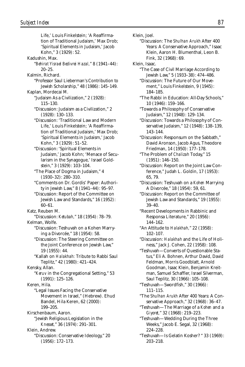Life,' Louis Finkelstein; 'A Reaffirmation of Traditional Judaism,' Max Drob; 'Spiritual Elements in Judaism,' Jacob Kohn," 3 (1929): 52. Kadushin, Max. "*Behirat Yisrael Bedivrei Hazal,*" 8 (1941–44): 20–25. Kalmin, Richard. "Professor Saul Lieberman's Contribution to Jewish Scholarship," 48 (1986): 145–149. Kaplan, Mordecai M. "Judaism As a Civilization," 2 (1928): 115–130. "Discussion: Judaism as a Civilization," 2 (1928): 130–133. "Discussion: 'Traditional Law and Modern Life,' Louis Finkelstein; 'A Reaffirmation of Traditional Judaism,' Max Drob; 'Spiritual Elements in Judaism,' Jacob Kohn," 3 (1929): 51–52. "Discussion: 'Spiritual Elements in Judaism,' Jacob Kohn; 'Menace of Secularism in the Synagogue,' Israel Goldstein," 3 (1929): 103–104. "The Place of Dogma in Judaism," 4 (1930–32): 280–310. "Comments on Dr. Gordis' Paper: Authority in Jewish Law," 8 (1941–44): 95–97. "Discussion: Report of the Committee on Jewish Law and Standards," 16 (1952): 60–61. Katz, Reuben M. "Discussion: *Ketubah,*" 18 (1954): 78–79. Kelman, Wolfe. "Discussion: Teshuvah on a Kohen Marrying a Divorcée," 18 (1954): 58. "Discussion: The Steering Committee on the Joint Conference on Jewish Law," 19 (1955): 44. "Kallah on *Halakhah:* Tribute to Rabbi Saul Teplitz," 42 (1980): 421–424. Kensky, Allan. "*Keruv* in the Congregational Setting," 53 (1991): 125–126. Keren, Hila. "Legal Issues Facing the Conservative Movement in Israel," (Hebrew). Ehud Bandel, Hila Keren, 62 (2000): 199–205. Kirschenbaum, Aaron. "Jewish Religious Legislation in the *Knesset,*" 36 (1974): 291–301. Klein, Andrew. "Discussion: Conservative Ideology," 20 (1956): 172–173.

Klein, Joel. "Discussion: The *Shulhan Arukh* After 400 Years: A Conservative Approach," Isaac Klein, Aaron H. Blumenthal, Leon B. Fink, 32 (1968): 69. Klein, Isaac. "The Case of Civil Marriage According to Jewish Law," 5 (1933–38): 474–486. "Discussion: The Future of Our Movement," Louis Finkelstein, 9 (1945): 184–185. "The Rabbi in Education: All-Day Schools," 10 (1946): 159–166. "Towards a Philosophy of Conservative Judaism," 12 (1948): 129–134. "Discussion: Towards a Philosophy of Conservative Judaism," 12 (1948): 138–139, 143–144. "Discussion: Responsum on the Sabbath," David Aronson, Jacob Agus, Theodore Friedman, 14 (1950): 177–178. "The Problem of *Chalizah* Today," 15 (1951): 146–150. "Discussion: Report on the Joint Law Conference," Judah L. Goldin, 17 (1953): 65, 79. "Discussion: Teshuvah on a *Kohen* Marrying A Divorcée," 18 (1954): 59, 61. "Discussion: Report on the Committee of Jewish Law and Standards," 19 (1955): 39–40. "Recent Developments in Rabbinic and Responsa Literature," 20 (1956): 144–162. "An Attitude to *Halakhah,*" 22 (1958): 102–107. "Discussion: *Halakhah* and the Life of Holiness," Jack J. Cohen, 22 (1958): 108. "Teshuvah—Converts of Questionable Status," Eli A. Bohnen, Arthur David, David, Feldman, Morris Goodblatt, Arnold Goodman, Isaac Klein, Benjamin Kreitman, Samuel Schaffler, Israel Silverman, Saul Teplitz, 30 (1966): 105–108. "Teshuvah—Swordfish," 30 (1966): 111–115. "The *Shulhan Arukh* After 400 Years: A Conservative Approach," 32 (1968): 36–47. "Teshuvah—The Marriage of a *Kohen* and a *Giyoret,*" 32 (1968): 219–223. "Teshuvah—Wedding During the Three Weeks," Jacob E. Segal, 32 (1968): 224–228. "Teshuvah—Is Gelatin Kosher? " 33 (1969): 203–218.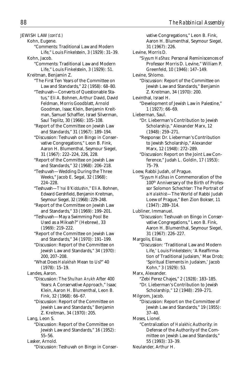JEWISH LAW *(cont'd.)*

Kohn, Eugene.

- "Comments: Traditional Law and Modern Life," Louis Finkelstein, 3 (1929): 31–39.
- Kohn, Jacob.
	- "Comments: Traditional Law and Modern Life," Louis Finkelstein, 3 (1929): 51.
- Kreitman, Benjamin Z.
	- "The First Ten Years of the Committee on Law and Standards," 22 (1958): 68–80.
		- "Teshuvah—Converts of Questionable Status," Eli A. Bohnen, Arthur David, David Feldman, Morris Goodblatt, Arnold Goodman, Isaac Klein, Benjamin Kreitman, Samuel Schaffler, Israel Silverman, Saul Teplitz, 30 (1966): 105–108.
		- "Report of the Committee on Jewish Law and Standards," 31 (1967): 189–194.
		- "Discussion: Teshuvah on Bingo in Conservative Congregations," Leon B. Fink, Aaron H. Blumenthal, Seymour Siegel, 31 (1967): 222–224, 226, 228.
		- "Report of the Committee on Jewish Law and Standards," 32 (1968): 206–218.
		- "Teshuvah—Wedding During the Three Weeks," Jacob E. Segal, 32 (1968): 224–228.
		- "Teshuvah—*T'nai B'Kiddushin,*" Eli A. Bohnen, Edward Gershfield, Benjamin Kreitman, Seymour Siegel, 32 (1968): 229–248.
		- "Report of the Committee on Jewish Law and Standards," 33 (1969): 199–201.
		- "Teshuvah—May a Swimming Pool Be Used as a Mikvah?" (Hebrew), 33 (1969): 219–222.
		- "Report of the Committee on Jewish Law and Standards," 34 (1970): 191–199.
		- "Discussion: Report of the Committee on Jewish Law and Standards," 34 (1970): 200, 207–208.
		- "What Does *Halakhah* Mean to Us?" 40 (1978): 15–19.

Landes, Aaron.

- "Discussion: The *Shulhan Arukh* After 400 Years: A Conservative Approach," Isaac Klein, Aaron H. Blumenthal, Leon B. Fink, 32 (1968): 66–67.
- "Discussion: Report of the Committee on Jewish Law and Standards," Benjamin Z. Kreitman, 34 (1970): 205.

Lang, Leon S.

- "Discussion: Report of the Committee on Jewish Law and Standards," 16 (1952): 55–56.
- Lasker, Arnold.
	- "Discussion: Teshuvah on Bingo in Conser-

vative Congregations," Leon B. Fink, Aaron H. Blumenthal, Seymour Siegel, 31 (1967): 226. Levine, Morris D. "*Siyyum HaShas:* Personal Reminiscences of Professor Morris D. Levine," William P. Greenfeld, 10 (1946): 147–149. Levine, Shlomo. "Discussion: Report of the Committee on Jewish Law and Standards," Benjamin Z. Kreitman, 34 (1970): 200. Levinthal, Israel H. "Development of Jewish Law in Palestine," 1 (1927): 66–69. Lieberman, Saul. "Dr. Lieberman's Contribution to Jewish Scholarship," Alexander Marx, 12 (1948): 259–271. "Response: Dr. Lieberman's Contribution to Jewish Scholarship," Alexander Marx, 12 (1948): 272–289. "Discussion: Report on the Joint Law Conference," Judah L. Goldin, 17 (1953): 75–79. Loew, Rabbi Judah, of Prague. "*Siyyum HaShas* in Commemoration of the 100th Anniversary of the Birth of Professor Solomon Schechter: The Portrait of a *Halakhist*—The World of Rabbi Judah Loew of Prague," Ben Zion Bokser, 11 (1947): 289–314. Lubliner, Immanuel. "Discussion: Teshuvah on Bingo in Conservative Congregations," Leon B. Fink, Aaron H. Blumenthal, Seymour Siegel, 31 (1967): 226–227. Margolis, Elias. "Discussion: 'Traditional Law and Modern Life,' Louis Finkelstein; 'A Reaffirmation of Traditional Judaism,' Max Drob; 'Spiritual Elements in Judaism,' Jacob Kohn," 3 (1929): 53. Marx, Alexander. "Zebi Perez Chajes," 2 (1928): 183–185. "Dr. Lieberman's Contribution to Jewish Scholarship," 12 (1948): 259–271. Milgrom, Jacob. "Discussion: Report on the Committee of Jewish Law and Standards," 19 (1955): 37–40. Moses, Lionel. "Centralization of *Halakhic* Authority: in Defense of the Authority of the Committee on Jewish Law and Standards," 55 (1993): 33–39.

Neulander, Arthur H.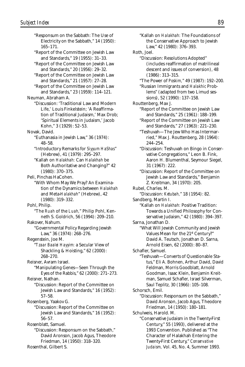"Responsum on the Sabbath: The Use of Electricity on the Sabbath," 14 (1950): 165–171. "Report of the Committee on Jewish Law and Standards," 19 (1955): 31–33. "Report of the Committee on Jewish Law and Standards," 20 (1956): 29–32. "Report of the Committee on Jewish Law and Standards," 21 (1957): 27–28. "Report of the Committee on Jewish Law and Standards," 23 (1959): 114–121. Neuman, Abraham A. "Discussion: 'Traditional Law and Modern Life,' Louis Finkelstein; 'A Reaffirmation of Traditional Judaism,' Max Drob; 'Spiritual Elements in Judaism,' Jacob Kohn," 3 (1929): 52–53. Novak, David. "Euthanasia in Jewish Law," 36 (1974): 48–58. "Introductory Remarks for *Siyyum HaShas*" (Hebrew), 41 (1979): 295–297. "Kallah on *Halakhah:* Can *Halakhah* be Both Authoritative and Changing?" 42 (1980): 370–375. Peli, Pinchas HaCohen. "With Whom May We Pray? An Examination of the Dynamics between *Halakhah* and Meta-*Halakhah*" (Hebrew), 42 (1980): 319–332. Pohl, Philip. "The *Ruah* of the *Luah,*" Philip Pohl, Kenneth S. Goldrich, 56 (1994): 209–210. Rakover, Nahum. "Governmental Policy Regarding Jewish Law," 36 (1974): 268–276. Regenstein, Joe M. "*Tzaar Baalei Hayyim:* a Secular View of Shackling & Hoisting," 62 (2000): 268–270. Reisner, Avram Israel. "Manipulating Genes—Seen Through the Eyes of the Rabbis," 62 (2000): 271–273. Reisner, Nathan. "Discussion: Report of the Committee on Jewish Law and Standards," 16 (1952): 57–58. Rosenberg, Yaakov G. "Discussion: Report of the Committee on Jewish Law and Standards," 16 (1952): 56–57. Rosenblatt, Samuel. "Discussion: Responsum on the Sabbath," David Aronson, Jacob Agus, Theodore Friedman, 14 (1950): 318–320. Rosenthal, Gilbert S.

"Kallah on *Halakhah:* The Foundations of the Conservative Approach to Jewish Law," 42 (1980): 376–393. Roth, Joel. "Discussion: Resolutions Adopted" (includes reaffirmation of matrilineal descent and issues of conversion), 48 (1986): 313–315. "The Power of *Poskim,*" 49 (1987): 192–200. "Russian Immigrants and *Halakhic* Problems" (adapted from two Limud sessions), 52 (1990): 137–158. Routtenberg, Max J. "Report of the Committee on Jewish Law and Standards," 25 (1961): 188–199. "Report of the Committee on Jewish Law and Standards," 27 (1963): 221–230. "Teshuvah—The Jew Who Has Intermarried," Max J. Routtenberg, 28 (1964): 244–254. "Discussion: Teshuvah on Bingo in Conservative Congregations," Leon B. Fink, Aaron H. Blumenthal, Seymour Siegel, 31 (1967): 222. "Discussion: Report of the Committee on Jewish Law and Standards," Benjamin Z. Kreitman, 34 (1970): 205. Rubel, Charles. M. "Discussion: *Ketubah,*" 18 (1954): 82. Sandberg, Martin I. "Kallah on *Halakhah:* Positive Tradition: Towards a Unified Philosophy for Conservative Judaism," 42 (1980): 394–397. Sarna, Jonathan D. "What Will Jewish Community and Jewish Values Mean for the 21st Century?" David A. Teutsch, Jonathan D. Sarna, Arnold Eisen, 62 (2000): 80–87. Schafler, Samuel. "Teshuvah—Converts of Questionable Status," Eli A. Bohnen, Arthur David, David Feldman, Morris Goodblatt, Arnold Goodman, Isaac Klein, Benjamin Kreitman, Samuel Schafler, Israel Silverman, Saul Teplitz, 30 (1966): 105–108. Schorsch, Emil. "Discussion: Responsum on the Sabbath," David Aronson, Jacob Agus, Theodore Friedman, 14 (1950): 180–181. Schulweis, Harold. M. "Conservative Judaism in the Twenty-First Century," 55 (1993), delivered at the 1993 Convention. Published as "The Character of Halakhah Entering the Twenty-First Century," *Conservative*

*Judaism,* Vol. 45, No. 4, Summer 1993.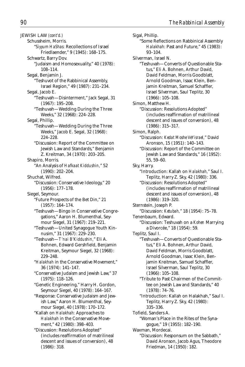JEWISH LAW *(cont'd.)* Schussheim, Morris. "*Siyyum HaShas:* Recollections of Israel Friedlaender," 9 (1945): 168–175. Schwartz, Barry Dov. "Judaism and Homosexuality," 40 (1978): 108–114. Segal, Benjamin J. "Teshuvot of the Rabbinical Assembly, Israel Region," 49 (1987): 231–234. Segal, Jacob E. "Teshuvah—Disinterment," Jack Segal, 31 (1967): 195–208. "Teshuvah—Wedding During the Three Weeks," 32 (1968): 224–228. Segal, Phillip. "Teshuvah—Wedding During the Three Weeks," Jacob E. Segal, 32 (1968): 224–228. "Discussion: Report of the Committee on Jewish Law and Standards," Benjamin Z. Kreitman, 34 (1970): 203–205. Shapiro, Morris. "An Analysis of *Hafkaat Kiddushin,*" 52 (1990): 202–204. Shuchat, Wilfred. "Discussion: Conservative Ideology," 20 (1956): 177–178. Siegel, Seymour. "Future Prospects of the Bet Din," 21 (1957): 164–174. "Teshuvah—Bingo in Conservative Congregations," Aaron H. Blumenthal, Seymour Siegel, 31 (1967): 219–221. "Teshuvah—United Synagogue Youth Kinnusim," 31 (1967): 229–230. "Teshuvah—*T'nai B'Kiddushin,*" Eli A. Bohnen, Edward Gershfield, Benjamin Kreitman, Seymour Siegel, 32 (1968): 229–248. "*Halakhah* in the Conservative Movement," 36 (1974): 141–147. "Conservative Judaism and Jewish Law," 37 (1975): 118–126. "Genetic Engineering," Harry H. Gordon, Seymour Siegel, 40 (1978): 164–167. "Response: Conservative Judaism and Jewish Law," Aaron H. Blumenthal, Seymour Siegel, 40 (1978): 170–172. "Kallah on *Halakhah:* Approaches to *Halakhah* in the Conservative Movement," 42 (1980): 398–403. "Discussion: Resolutions Adopted" (includes reaffirmation of matrilineal descent and issues of conversion), 48 (1986): 318.

Sigal, Phillip. "Some Reflections on Rabbinical Assembly *Halakhah:* Past and Future," 45 (1983): 93–104. Silverman, Israel N. "Teshuvah—Converts of Questionable Status," Eli A. Bohnen, Arthur David, David Feldman, Morris Goodblatt, Arnold Goodman, Isaac Klein, Benjamin Kreitman, Samuel Schaffler, Israel Silverman, Saul Teplitz, 30 (1966): 105–108. Simon, Matthew H. "Discussion: Resolutions Adopted" (includes reaffirmation of matrilineal descent and issues of conversion), 48 (1986): 315–317. Simon, Ralph. "Discussion: *Kedat Moshe VeYisrael,*" David Aronson, 15 (1951): 140–143. "Discussion: Report of the Committee on Jewish Law and Standards," 16 (1952): 55, 59–60. Sky, Harry. "Introduction: Kallah on *Halakhah,*" Saul I. Teplitz, Harry Z. Sky, 42 (1980): 336. "Discussion: Resolutions Adopted" (includes reaffirmation of matrilineal descent and issues of conversion), 48 (1986): 319–320. Sternstein, Joseph P. "Discussion: *Ketubah,*" 18 (1954): 75–78. Tenenbaum, Edward. "Discussion: Teshuvah on a *Kohen* Marrying a Divorcée," 18 (1954): 59. Teplitz, Saul I. "Teshuvah—Converts of Questionable Status," Eli A. Bohnen, Arthur David, David Feldman, Morris Goodblatt, Arnold Goodman, Isaac Klein, Benjamin Kreitman, Samuel Schaffler, Israel Silverman, Saul Teplitz, 30 (1966): 105–108. "Tribute to Past Chairmen of the Committee on Jewish Law and Standards," 40  $(1978) \cdot 74 - 76$ "Introduction: Kallah on Halakhah," Saul I. Teplitz, Harry Z. Sky, 42 (1980): 335–336. Tofield, Sanders A. "Woman's Place in the Rites of the Synagogue," 19 (1955): 182–190. Waxman, Mordecai. "Discussion: Responsum on the Sabbath," David Aronson, Jacob Agus, Theodore Friedman, 14 (1950): 182.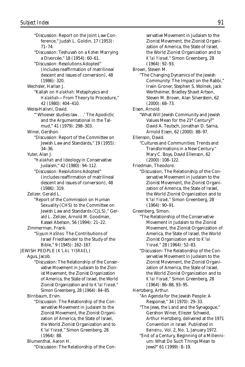"Discussion: Report on the Joint Law Conference," Judah L. Goldin, 17 (1953): 71–74. "Discussion: Teshuvah on a *Kohen* Marrying a Divorcée," 18 (1954): 60–61. "Discussion: Resolutions Adopted" (includes reaffirmation of matrilineal descent and issues of conversion), 48 (1986): 320. Wechsler, Harlan J. "Kallah on *Halakhah:* Metaphysics and *Halakhah*—From Theory to Procedure," 42 (1980): 404–410. Weiss-Halivni, David. "'Whoever studies law . . .' The Apodictic and the Argumentational in the Talmud," 41 (1979): 298–303. Winer, Gershon. "Discussion: Report of the Committee on Jewish Law and Standards," 19 (1955): 34–36. Yuter, Alan J. "*Halakhah* and Ideology in Conservative Judaism," 42 (1980): 94–112. "Discussion: Resolutions Adopted" (includes reaffirmation of matrilineal descent and issues of conversion), 48 (1986): 319. Zelizer, Gerald L. "Report of the Commission on Human Sexuality (CHS) to the Committee on Jewish Law and Standards (CJLS)," Gerald L. Zelizer, Arnold M. Goodman, Kassel Abelson, 56 (1994): 21–22. Zimmerman, Frank. "*Siyyum HaShas:* The Contributions of Israel Friedlaender to the Study of the Bible," 9 (1945): 162–167. JEWISH PEOPLE (*K'LAL YISRAEL*) Agus, Jacob. "Discussion: The Relationship of the Conservative Movement in Judaism to the Zionist Movement, the Zionist Organization of America, the State of Israel, the World Zionist Organization and to *K'lal Yisrael,*" Simon Greenberg, 28 (1964): 84–85. Birnbaum, Ervin. "Discussion: The Relationship of the Conservative Movement in Judaism to the Zionist Movement, the Zionist Organization of America, the State of Israel, the World Zionist Organization and to *K'lal Yisrael,*" Simon Greenberg, 28 (1964): 88.

Blumenthal, Aaron H.

"Discussion: The Relationship of the Con-

servative Movement in Judaism to the Zionist Movement, the Zionist Organization of America, the State of Israel, the World Zionist Organization and to *K'lal Yisrael,*" Simon Greenberg, 28 (1964): 92–93. Brown, Steven M. "The Changing Dynamics of the Jewish Community: The Impact on the Rabbi," Irwin Groner, Stephen S. Wolnek, Jack Wertheimer, Bradley Shavit Artson, Steven M. Brown, Alan Silverstein, 62  $(2000) \cdot 68 - 73$ Eisen, Arnold. "What Will Jewish Community and Jewish Values Mean for the 21st Century?" David A. Teutsch, Jonathan D. Sarna, Arnold Eisen, 62 (2000): 88–97. Ellenson, David. "Cultures and Communities: Trends and Transformations in a New Century." Mary C. Boys, David Ellenson, 62 (2000): 108–122. Friedman, Theodore. "Discussion, The Relationship of the Conservative Movement in Judaism to the Zionist Movement, the Zionist Organization of America, the State of Israel, the World Zionist Organization and to *K'lal Yisrael,*" Simon Greenberg, 28 (1964): 90–91. Greenberg, Simon. "The Relationship of the Conservative Movement in Judaism to the Zionist Movement, the Zionist Organization of America, the State of Israel, the World Zionist Organization and to *K'lal Yisrael,*" 28 (1964): 52–83. "Discussion: The Relationship of the Conservative Movement in Judaism to the Zionist Movement, the Zionist Organization of America, the State of Israel, the World Zionist Organization and to *K'lal Yisrael,*" Simon Greenberg, 28 (1964): 86–88, 93–95. Hertzberg, Arthur. "An Agenda for the Jewish People: A Response," 34 (1970): 29–33. "The Jews, the Land and the Synagogue," Gershon Winer, Eliezer Schweid, Arthur Hertzberg, delivered at the 1971 Convention in Israel. Published in *Beineinu,* Vol. 2, No. 1, January 1972.

"End of a Century, Beginning of a Millennium: What Do Such Things Mean to Jews?" 61 (1999): 8–19.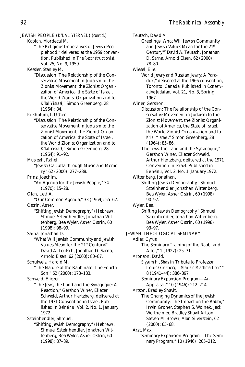JEWISH PEOPLE (*K'LAL YISRAEL*) *(cont'd.)* Kaplan, Mordecai M. "The Religious Imperatives of Jewish Peoplehood," delivered at the 1959 convention. Published in *The Reconstructionist,* Vol. 25, No. 9, 1959. Kessler, Stanley M. "Discussion: The Relationship of the Conservative Movement in Judaism to the Zionist Movement, the Zionist Organization of America, the State of Israel, the World Zionist Organization and to *K'lal Yisrael,*" Simon Greenberg, 28 (1964): 84. Kirshblum, I. Usher. "Discussion: The Relationship of the Conservative Movement in Judaism to the Zionist Movement, the Zionist Organization of America, the State of Israel, the World Zionist Organization and to *K'lal Yisrael,*" Simon Greenberg, 28 (1964): 91–92. Musleah, Rahel. "Jewish Calcutta through Music and Memory," 62 (2000): 277–288. Prinz, Joachim. "An Agenda for the Jewish People," 34 (1970): 15–28. Olan, Levi A. "Our Common Agenda," 33 (1969): 55–62. Ostrin, Asher. "Shifting Jewish Demography" (Hebrew), Shmuel Szteinhendler, Jonathan Wittenberg, Bea Wyler, Asher Ostrin, 60 (1998): 98–99. Sarna, Jonathan D. "What Will Jewish Community and Jewish Values Mean for the 21st Century?" David A. Teutsch, Jonathan D. Sarna, Arnold Eisen, 62 (2000): 80–87. Schulweis, Harold M. "The Nature of the Rabbinate: The Fourth Son," 62 (2000): 173–183. Schweid, Eliezer. "The Jews, the Land and the Synagogue: A Reaction," Gershon Winer, Eliezer Schweid, Arthur Hertzberg, delivered at the 1971 Convention in Israel. Published in *Beineinu,* Vol. 2, No. 1, January 1972. Szteinhendler, Shmuel. "Shifting Jewish Demography" (Hebrew), Shmuel Szteinhendler, Jonathan Wit-

tenberg, Bea Wyler, Asher Ostrin, 60 (1998): 87–89.

Teutsch, David A. "Greetings: What Will Jewish Community and Jewish Values Mean for the 21st Century?" David A. Teutsch, Jonathan D. Sarna, Arnold Eisen, 62 (2000): 78–80. Wiesel, Elie. "World Jewry and Russian Jewry: A Para-

dox," delivered at the 1966 convention, Toronto, Canada. Published in *Conservative Judaism,* Vol. 21, No. 3, Spring 1967.

Winer, Gershon.

"Discussion: The Relationship of the Conservative Movement in Judaism to the Zionist Movement, the Zionist Organization of America, the State of Israel, the World Zionist Organization and to *K'lal Yisrael,*" Simon Greenberg, 28 (1964): 85–86.

"The Jews, the Land and the Synagogue," Gershon Winer, Eliezer Schweid, Arthur Hertzberg, delivered at the 1971 Convention in Israel. Published in *Beineinu,* Vol. 2, No. 1, January 1972.

Wittenberg, Jonathan.

"Shifting Jewish Demography," Shmuel Szteinhendler, Jonathan Wittenberg, Bea Wyler, Asher Ostrin, 60 (1998): 90–92.

Wyler, Bea.

"Shifting Jewish Demography," Shmuel Szteinhendler, Jonathan Wittenberg, Bea Wyler, Asher Ostrin, 60 (1998): 93–97.

JEWISH THEOLOGICAL SEMINARY Adler, Cyrus. "The Seminary Training of the Rabbi and After," 1 (1927): 25–31. Aronson, David. "*Siyyum HaShas* in Tribute to Professor

Louis Ginzberg—*Mai Ko Mashma Lon?* " 8 (1941–44): 386–397.

"Seminary Expansion Program—An Appraisal," 10 (1946): 212–214.

Artson, Bradley Shavit.

"The Changing Dynamics of the Jewish Community: The Impact on the Rabbi," Irwin Groner, Stephen S. Wolnek, Jack Wertheimer, Bradley Shavit Artson, Steven M. Brown, Alan Silverstein, 62 (2000): 65–68.

Arzt, Max.

"Seminary Expansion Program—The Seminary Program," 10 (1946): 205–212.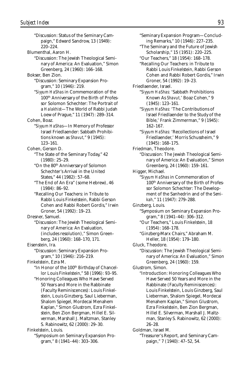"Discussion: Status of the Seminary Campaign," Edward Sandrow, 13 (1949): 220–224. Blumenthal, Aaron H. "Discussion: The Jewish Theological Seminary of America: An Evaluation," Simon Greenberg, 24 (1960): 166–168. Bokser, Ben Zion. "Discussion: Seminary Expansion Program," 10 (1946): 219. "*Siyyum HaShas* in Commemoration of the 100th Anniversary of the Birth of Professor Solomon Schechter: The Portrait of a *Halakhist*—The World of Rabbi Judah Loew of Prague," 11 (1947): 289–314. Cohen, Boaz. "*Siyyum HaShas*—In Memory of Professor Israel Friedlaender: Sabbath Prohibitions known as *Shavut,*" 9 (1945): 123–161. Cohen, Gerson D. "The State of the Seminary Today," 42 (1980): 25–29. "On the 80th Anniversary of Solomon Schechter's Arrival in the United States," 44 (1982): 57–68. "The End of An Era" (some Hebrew), 46 (1984): 86–92. "Recalling Our Teachers: in Tribute to Rabbi Louis Finkelstein, Rabbi Gerson Cohen and Rabbi Robert Gordis," Irwin Groner, 54 (1992): 19–23. Dresner, Samuel. "Discussion: The Jewish Theological Seminary of America: An Evaluation, (includes resolution)," Simon Greenberg, 24 (1960): 168–170, 171. Eisenstein, Ira. "Discussion: Seminary Expansion Program," 10 (1946): 216–219. Finkelstein, Ezra M. "In Honor of the 100<sup>th</sup> Birthday of Chancellor Louis Finkelstein," 58 (1996): 93–95. "Honoring Colleagues Who Have Served 50 Years and More in the Rabbinate (Faculty Reminiscences): Louis Finkelstein, Louis Ginzberg, Saul Lieberman, Shalom Spiegel, Mordecai Menahem Kaplan," Simon Glustrom, Ezra Finkelstein, Ben Zion Bergman, Hillel E. Silverman, Marshall J. Maltzman, Stanley S. Rabinowitz, 62 (2000): 29–30. Finkelstein, Louis. "Symposium on Seminary Expansion Pro-

gram," 8 (1941–44): 303–306.

"Seminary Expansion Program—Concluding Remarks," 10 (1946): 227–235.

"The Seminary and the Future of Jewish Scholarship," 15 (1951): 220–225.

"Our Teachers," 18 (1954): 168–178. "Recalling Our Teachers: in Tribute to Rabbi Louis Finkelstein, Rabbi Gerson Cohen and Rabbi Robert Gordis," Irwin Groner, 54 (1992): 19–23.

Friedlaender, Israel.

"*Siyyum HaShas:* 'Sabbath Prohibitions Known As *Shavut,*' Boaz Cohen," 9 (1945): 123–161.

"*Siyyum HaShas:* 'The Contributions of Israel Friedlaender to the Study of the Bible,' Frank Zimmerman," 9 (1945): 162–167.

"*Siyyum HaShas:* 'Recollections of Israel Friedlaender,' Morris Schussheim," 9 (1945): 168–175.

Friedman, Theodore.

"Discussion: The Jewish Theological Seminary of America: An Evaluation," Simon Greenberg, 24 (1960): 159–161.

Higger, Michael.

"*Siyyum HaShas* in Commemoration of 100th Anniversary of the Birth of Professor Solomon Schechter: The Development of the Sanhedrin and of the *Semikah,*" 11 (1947): 279–288.

Ginzberg, Louis.

"Symposium on Seminary Expansion Program," 8 (1941–44): 306–312.

"Our Teachers," Louis Finkelstein, 18 (1954): 168–178.

"Ginzberg-Marx Chairs," Abraham M. Heller, 18 (1954): 179–180.

Gluck, Theodore.

"Discussion: The Jewish Theological Seminary of America: An Evaluation," Simon Greenberg, 24 (1960): 159.

Glustrom, Simon.

"Introduction: Honoring Colleagues Who Have Served 50 Years and More in the Rabbinate (Faculty Reminiscences): Louis Finkelstein, Louis Ginzberg, Saul Lieberman, Shalom Spiegel, Mordecai Menahem Kaplan," Simon Glustrom, Ezra Finkelstein, Ben Zion Bergman, Hillel E. Silverman, Marshall J. Maltzman, Stanley S. Rabinowitz, 62 (2000): 26–28.

Goldman, Israel M.

"Treasurer's Report, and Seminary Campaign," 7 (1940): 47–52, 54.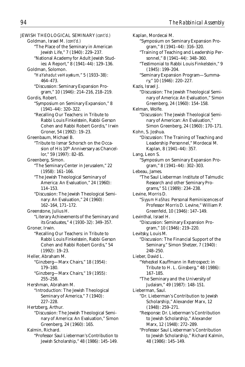JEWISH THEOLOGICAL SEMINARY *(cont'd.)* Goldman, Israel M. *(cont'd.)* "The Place of the Seminary in American Jewish Life," 7 (1940): 229–237. "National Academy for Adult Jewish Studies: A Report," 8 (1941–44): 129–136. Goldman, Solomon. "*HaYahadut ve-Hayekum,*" 5 (1933–38): 464–473. "Discussion: Seminary Expansion Program," 10 (1946): 214–216, 218–219. Gordis, Robert. "Symposium on Seminary Expansion," 8 (1941–44): 320–322. "Recalling Our Teachers: in Tribute to Rabbi Louis Finkelstein, Rabbi Gerson Cohen and Rabbi Robert Gordis," Irwin Groner, 54 (1992): 19–23. Greenbaum, Michael B. "Tribute to Ismar Schorsch on the Occasion of His 10<sup>th</sup> Anniversary as Chancellor," 59 (1997): 82–85. Greenberg, Simon. "The Seminary Center in Jerusalem," 22 (1958): 161–166. "The Jewish Theological Seminary of America: An Evaluation," 24 (1960): 114–153. "Discussion: The Jewish Theological Seminary: An Evaluation," 24 (1960): 162–164, 171–172. Greenstone, Julius H. "Literary Achievements of the Seminary and its Graduates," 4 (1930–32): 349–357. Groner, Irwin. "Recalling Our Teachers: in Tribute to Rabbi Louis Finkelstein, Rabbi Gerson Cohen and Rabbi Robert Gordis," 54 (1992): 19–23. Heller, Abraham M. "Ginzberg—Marx Chairs," 18 (1954): 179–180. "Ginzberg—Marx Chairs," 19 (1955): 255–258. Hershman, Abraham M. "Introduction: The Jewish Theological Seminary of America," 7 (1940): 227–228. Hertzberg, Arthur. "Discussion: The Jewish Theological Seminary of America: An Evaluation," Simon Greenberg, 24 (1960): 165. Kalmin, Richard. "Professor Saul Lieberman's Contribution to

Jewish Scholarship," 48 (1986): 145–149.

Kaplan, Mordecai M. "Symposium on Seminary Expansion Program," 8 (1941–44): 316–320. "Training of Teaching and Leadership Personnel," 8 (1941–44): 348–360. "Testimonial to Rabbi Louis Finkelstein," 9 (1945): 199–204. "Seminary Expansion Program—Summary," 10 (1946): 220–227. Kazis, Israel J. "Discussion: The Jewish Theological Seminary of America: An Evaluation," Simon Greenberg, 24 (1960): 154–158. Kelman, Wolfe. "Discussion: The Jewish Theological Seminary of American: An Evaluation," Simon Greenberg, 24 (1960): 170–171. Kohn, S. Joshua. "Discussion: The Training of Teaching and Leadership Personnel," Mordecai M. Kaplan, 8 (1941–44): 357. Lang, Leon S. "Symposium on Seminary Expansion Program," 8 (1941–44): 302–303. Lebeau, James. "The Saul Lieberman Institute of Talmudic Research and other Seminary Programs," 51 (1989): 234–238. Levine, Morris D. "*Siyyum HaShas:* Personal Reminiscences of Professor Morris D. Levine," William P. Greenfeld, 10 (1946): 147–149. Levinthal, Israel H. "Discussion: Seminary Expansion Program," 10 (1946): 219–220. Levitsky, Louis M. "Discussion: The Financial Support of the Seminary," Simon Shetzer, 7 (1940): 248–250. Lieber, David L. "Yehezkel Kauffmann in Retrospect: in Tribute to H. L. Ginsberg," 48 (1986): 167–185. "The Seminary and the University of Judaism," 49 (1987): 148–151. Lieberman, Saul. "Dr. Lieberman's Contribution to Jewish Scholarship," Alexander Marx, 12 (1948): 259–271. "Response: Dr. Lieberman's Contribution to Jewish Scholarship," Alexander Marx, 12 (1948): 272–289. "Professor Saul Lieberman's Contribution to Jewish Scholarship," Richard Kalmin, 48 (1986): 145–149.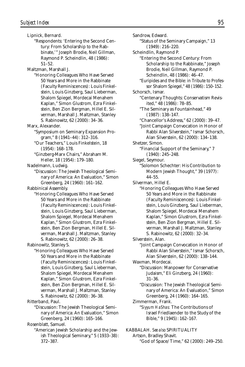Lipnick, Bernard.

"Respondents: 'Entering the Second Century: From Scholarship to the Rabbinate,'" Joseph Brodie, Neil Gillman, Raymond P. Scheindlin, 48 (1986): 51–52.

Maltzman, Marshall J.

"Honoring Colleagues Who Have Served 50 Years and More in the Rabbinate (Faculty Reminiscences): Louis Finkelstein, Louis Ginzberg, Saul Lieberman, Shalom Spiegel, Mordecai Menahem Kaplan," Simon Glustrom, Ezra Finkelstein, Ben Zion Bergman, Hillel E. Silverman, Marshall J. Maltzman, Stanley S. Rabinowitz, 62 (2000): 34–36.

Marx, Alexander.

- "Symposium on Seminary Expansion Program," 8 (1941–44): 312–316.
- "Our Teachers," Louis Finkelstein, 18 (1954): 168–178.
- "Ginzberg-Marx Chairs," Abraham M. Heller, 18 (1954): 179–180.

Nadelmann, Ludwig.

"Discussion: The Jewish Theological Seminary of America: An Evaluation," Simon Greenberg, 24 (1960): 161–162.

Rabbinical Assembly.

"Honoring Colleagues Who Have Served 50 Years and More in the Rabbinate (Faculty Reminiscences): Louis Finkelstein, Louis Ginzberg, Saul Lieberman, Shalom Spiegel, Mordecai Menahem Kaplan," Simon Glustrom, Ezra Finkelstein, Ben Zion Bergman, Hillel E. Silverman, Marshall J. Maltzman, Stanley S. Rabinowitz, 62 (2000): 26–38.

Rabinowitz, Stanley S.

"Honoring Colleagues Who Have Served 50 Years and More in the Rabbinate (Faculty Reminiscences): Louis Finkelstein, Louis Ginzberg, Saul Lieberman, Shalom Spiegel, Mordecai Menahem Kaplan," Simon Glustrom, Ezra Finkelstein, Ben Zion Bergman, Hillel E. Silverman, Marshall J. Maltzman, Stanley S. Rabinowitz, 62 (2000): 36–38.

Ritterband, Paul.

"Discussion: The Jewish Theological Seminary of America: An Evaluation," Simon Greenberg, 24 (1960): 165–166.

Rosenblatt, Samuel.

"American Jewish Scholarship and the Jewish Theological Seminary," 5 (1933–38): 372–387.

Sandrow, Edward. "Status of the Seminary Campaign," 13 (1949): 216–220. Scheindlin, Raymond P. "Entering the Second Century: From Scholarship to the Rabbinate," Joseph Brodie, Neil Gillman, Raymond P. Scheindlin, 48 (1986): 46–47. "Euripides and the Bible: in Tribute to Professor Shalom Spiegel," 48 (1986): 150–152. Schorsch, Ismar. "Centenary Thoughts: Conservatism Revisited," 48 (1986): 78–85. "The Seminary as Fountainhead," 49 (1987): 138–147. "Chancellor's Address," 62 (2000): 39–47. "Joint Campaign Convocation in Honor of Rabbi Alan Silverstein," Ismar Schorsch, Alan Silverstein, 62 (2000): 134–138. Shetzer, Simon. "Financial Support of the Seminary," 7 (1940): 245–248. Siegel, Seymour. "Solomon Schechter: His Contribution to Modern Jewish Thought," 39 (1977): 44–55. Silverman, Hillel E. "Honoring Colleagues Who Have Served 50 Years and More in the Rabbinate (Faculty Reminiscences): Louis Finkelstein, Louis Ginzberg, Saul Lieberman, Shalom Spiegel, Mordecai Menahem Kaplan," Simon Glustrom, Ezra Finkelstein, Ben Zion Bergman, Hillel E. Silverman, Marshall J. Maltzman, Stanley S. Rabinowitz, 62 (2000): 32–34. Silverstein, Alan. "Joint Campaign Convocation in Honor of Rabbi Alan Silverstein," Ismar Schorsch, Alan Silverstein, 62 (2000): 138–144. Waxman, Mordecai. "Discussion: Manpower for Conservative Judaism," Eli Ginzberg, 24 (1960): 31–36. "Discussion: The Jewish Theological Seminary of America: An Evaluation," Simon Greenberg, 24 (1960): 164–165. Zimmerman, Frank. "*Siyyum HaShas:* The Contributions of Israel Friedlaender to the Study of the Bible," 9 (1945): 162–167.

KABBALAH. *See also* SPIRITUALITY Artson, Bradley Shavit.

"God of Space/Time," 62 (2000): 249–250.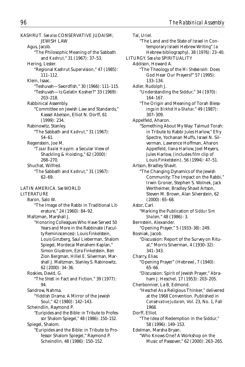KASHRUT. *See also* CONSERVATIVE JUDAISM; JEWISH LAW Agus, Jacob. "The Philosophic Meaning of the Sabbath and *Kashrut,*" 31 (1967): 37–53. Hering, Lester. "Regional Kashrut Supervision," 47 (1985): 111–112. Klein, Isaac. "Teshuvah—Swordfish," 30 (1966): 111–115. "Teshuvah—Is Gelatin Kosher?" 33 (1969): 203–218. Rabbinical Assembly. "Committee on Jewish Law and Standards," Kassel Abelson, Elliot N. Dorff, 61 (1999): 234. Rabinowitz, Stanley. "The Sabbath and *Kashrut,*" 31 (1967): 54–61. Regenstein, Joe M. "*Tzaar Baalei Hayyim:* a Secular View of Shackling & Hoisting," 62 (2000): 268–270. Shuchat, Wilfred. "The Sabbath and *Kashrut,*" 31 (1967): 62–69. LATIN AMERICA. *See* WORLD LITERATURE Baron, Salo W. "The Image of the Rabbi in Traditional Literature," 24 (1960): 84–92. Maltzman, Marshall J. "Honoring Colleagues Who Have Served 50 Years and More in the Rabbinate (Faculty Reminiscences): Louis Finkelstein, Louis Ginzberg, Saul Lieberman, Shalom Spiegel, Mordecai Menahem Kaplan," Simon Glustrom, Ezra Finkelstein, Ben Zion Bergman, Hillel E. Silverman, Marshall J. Maltzman, Stanley S. Rabinowitz, 62 (2000): 34–36. Roskies, David, G. "The *Shtetl* in Fact and Fiction," 39 (1977): 94. Sandrow, Nahma. "Yiddish Drama: A Mirror of the Jewish Soul," 42 (1980): 142–143. Scheindlin, Raymond P. "Euripides and the Bible: in Tribute to Professor Shalom Spiegel," 48 (1986): 150–152. Spiegel, Shalom. "Euripides and the Bible: in Tribute to Professor Shalom Spiegel," Raymond P. Scheindlin, 48 (1986): 150–152.

Tal, Uriel. "The Land and the State of Israel in Contemporary Israeli Hebrew Writing" (a Hebrew bibliography), 38 (1976): 23–40. LITURGY. *See also* SPIRITUALITY Addison, Howard A. "The Theology of the *Mi Shebeirakh:* Does God Hear Our Prayers?" 57 (1995): 133–134. Adler, Rudolph J. "Understanding the Siddur," 34 (1970): 164–167. "The Origin and Meaning of Torah Blessings in *Birkhot Ha-Shahar,*" 49 (1987): 307–309. Appelfeld, Aharon. "Something About My Way: Talmud Torah: in Tribute to Rabbi Jules Harlow," Efry Spectre, Yochanan Muffs, Israel N. Silverman, Lawrence Hoffman, Aharon Appelfeld, Ilana Harlow, Joel Meyers, Jules Harlow, (includes film clip of Louis Finkelstein), 56 (1994): 47–51. Artson, Bradley Shavit. "The Changing Dynamics of the Jewish Community: The Impact on the Rabbi," Irwin Groner, Stephen S. Wolnek, Jack Wertheimer, Bradley Shavit Artson, Steven M. Brown, Alan Silverstein, 62 (2000): 65–68. Astor, Carl. "Marking the Publication of *Siddur Sim Shalom,*" 48 (1986): 3. Bernstein, Alexander. "Opening Prayer," 5 (1933–38): 249. Bosniak, Jacob. "Discussion: Report of the Survey on Ritual," Morris Silverman, 4 (1930–32): 341–343. Charry, Elias. "Opening Prayer" (Hebrew), 7 (1940): 65–66. "Discussion: Spirit of Jewish Prayer," Abraham J. Heschel, 17 (1953): 203–205. Cherbonnier, La B, Edmond. "Heschel As a Religious Thinker," delivered at the 1968 Convention. Published in *Conservative Judaism,* Vol. 23, No. 1, Fall 1968. Dorff, Elliot. "The Idea of Redemption in the Siddur," 58 (1996): 149–153. Edelman, Marsha Bryan. "Who Knows One? A Workshop on the Music of Passover," 62 (2000): 263–265.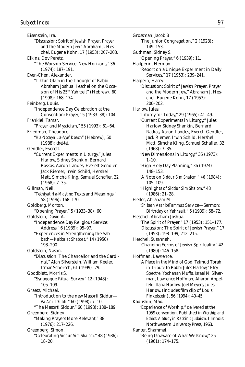Eisenstein, Ira. "Discussion: Spirit of Jewish Prayer, Prayer and the Modern Jew," Abraham J. Heschel, Eugene Kohn, 17 (1953): 207–208. Elkins, Dov Peretz. "The Worship Service: New Horizons," 36 (1974): 187–191. Even-Chen, Alexander. "*Tikkun Olam* in the Thought of Rabbi Abraham Joshua Heschel on the Occasion of His 25<sup>th</sup> Yahrzeit" (Hebrew), 60 (1998): 168–174. Feinberg, Louis. "Independence Day Celebration at the Convention: Prayer," 5 (1933–38): 104. Frankiel, Tamar. "Prayer and Mysticism," 55 (1993): 61–64. Friedman, Theodore. "*Ha-Notayn La-Ayef Koach*" (Hebrew), 50 (1988): *chet-tet.* Gendler, Everett. "Current Experiments in Liturgy," Jules Harlow, Sidney Shankin, Bernard Raskas, Aaron Landes, Everett Gendler, Jack Riemer, Irwin Schild, Hershel Matt, Simcha Kling, Samuel Schafler, 32 (1968): 7–35. Gillman, Neil. "*Tekhiyat Ha-Maytim:* Texts and Meanings," 58 (1996): 168–170. Goldberg, Morton. "Opening Prayer," 5 (1933–38): 60. Goldstein, David A. "Independence Day Religious Service: Address," 6 (1939): 95–97. "Experiences in Strengthening the Sabbath—*Kabbalat Shabbat,*" 14 (1950): 198–200. Goldstein, Nason. "Discussion: The Chancellor and the Cardinal," Alan Silverstein, William Keeler, Ismar Schorsch, 61 (1999): 79. Goodblatt, Morris S. "Synagogue Ritual Survey," 12 (1948): 105–109. Graetz, Michael. "Introduction to the new Masorti Siddur— *Va-Ani Tefilati,*" 60 (1998): 7–10. "The Masorti Siddur," 60 (1998): 188–189. Greenberg, Sidney. "Making Prayers More Relevant," 38 (1976): 217–226. Greenberg, Simon. "Celebrating *Siddur Sim Shalom,*" 48 (1986): 18–20.

Grossman, Jacob B. "The Junior Congregation," 2 (1928): 149–153. Guthman, Sidney S. "Opening Prayer," 6 (1939): 11. Hailperin, Herman. "Report on a Unique Experiment in Daily Services," 17 (1953): 239–241. Halpern, Harry. "Discussion: Spirit of Jewish Prayer, Prayer and the Modern Jew," Abraham J. Heschel, Eugene Kohn, 17 (1953): 200–202. Harlow, Jules. "Liturgy for Today," 29 (1965): 41–49. "Current Experiments in Liturgy," Jules Harlow, Sidney Shankin, Bernard Raskas, Aaron Landes, Everett Gendler, Jack Riemer, Irwin Schild, Hershel Matt, Simcha Kling, Samuel Schafler, 32 (1968): 7–35. "New Dimensions in Liturgy," 35 (1973):  $1 - 10$ . "High Holy Day Planning," 36 (1974): 148–153. "A Note on *Siddur Sim Shalom," 46* (1984): 105–109. "Highlights of *Siddur Sim Shalom,*" 48 (1986): 21–28. Heller, Abraham M. "*Shibeah Asar beTammuz* Service—Sermon: Birthday or Yahrzeit," 6 (1939): 68–72. Heschel, Abraham Joshua. "The Spirit of Prayer," 17 (1953): 151–177. "Discussion: The Spirit of Jewish Prayer," 17 (1953): 198–199, 212–215. Heschel, Susannah. "Changing Forms of Jewish Spirituality," 42 (1980): 146–158. Hoffman, Lawrence. "A Place in the Mind of God: Talmud Torah: in Tribute to Rabbi Jules Harlow," Efry Spectre, Yochanan Muffs, Israel N. Silverman, Lawrence Hoffman, Aharon Appelfeld, Ilana Harlow, Joel Meyers, Jules Harlow, (includes film clip of Louis Finkelstein), 56 (1994): 40–45. Kadushin, Max. "Experience of Worship," delivered at the 1959 convention. Published in *Worship and Ethics: A Study in Rabbinic Judaism,* Illinnois: Northwestern University Press, 1963. Kanter, Shammai. "Being Unaware of What We Know," 25 (1961): 174–175.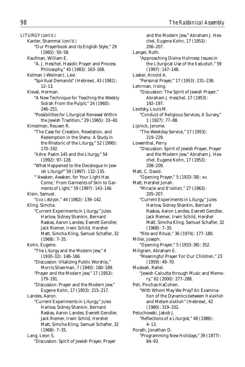LITURGY *(cont'd.)* Kanter, Shammai *(cont'd.)* "Our Prayerbook and Its English Style," 29 (1965): 50–58. Kaufman, William E. "A. J. Heschel, Hasidic Prayer and Process Philosophy," 45 (1983): 163–168. Kelman (-Weiman), Levi. "Spiritual Demands" (Hebrew), 43 (1981): 12–13. Kieval, Herman. "A New Technique for Teaching the Weekly Sidrah From the Pulpit," 24 (1960): 246–251. "Possibilities for Liturgical Renewal Within the Jewish Tradition," 29 (1965): 33–40. Kimelman, Reuven R. "The Case for Creation, Revelation, and Redemption in the *Shema:* A Study in the Rhetoric of the Liturgy," 52 (1990): 170–192. "*Ashre:* Psalm 145 and the Liturgy," 54 (1992): 97–128. "What Happened to the Decalogue in Jewish Liturgy?" 59 (1997): 132–135. "'Awaken, Awaken, for Your Light Has Come,' From Garments of Skin to Garments of Light," 59 (1997): 143–146. Klein, Samuel. "*Uva Letziyon,*" 44 (1982): 139–142. Kling, Simcha. "Current Experiments in Liturgy," Jules Harlow, Sidney Shankin, Bernard Raskas, Aaron Landes, Everett Gendler, Jack Riemer, Irwin Schild, Hershel Matt, Simcha Kling, Samuel Schafler, 32 (1968): 7–35. Kohn, Eugene. "The Liturgy and the Modern Jew," 4 (1930–32): 148–166. "Discussion: Vitalizing Public Worship," Morris Silverman, 7 (1940): 180–189. "Prayer and the Modern Jew," 17 (1953): 179–191. "Discussion: Prayer and the Modern Jew," Eugene Kohn, 17 (1953): 215–217. Landes, Aaron. "Current Experiments in Liturgy," Jules Harlow, Sidney Shankin, Bernard Raskas, Aaron Landes, Everett Gendler, Jack Riemer, Irwin Schild, Hershel Matt, Simcha Kling, Samuel Schafler, 32 (1968): 7–35. Lang, Leon S. "Discussion: Spirit of Jewish Prayer, Prayer

and the Modern Jew," Abraham J. Heschel, Eugene Kohn, 17 (1953): 206–207. Langer, Ruth. "Approaching Divine Holiness: Issues in the Liturgical Use of the *Kedushah,*" 59 (1997): 147–148. Lasker, Arnold A. "Personal Prayer," 17 (1953): 231–238. Lehrman, Irving. "Discussion: The Spirit of Jewish Prayer," Abraham J. Heschel, 17 (1953): 192–197. Levitsky, Louis M. "Conduct of Religious Services, A Survey," 1 (1927): 77–88. Lipnick, Jerome. "The Weekday Service," 17 (1953): 219–229. Lowenthal, Perry. "Discussion: Spirit of Jewish Prayer, Prayer and the Modern Jew," Abraham J. Heschel, Eugene Kohn, 17 (1953): 208–209. Matt, C. David. "Opening Prayer," 5 (1933–38): xv. Matt, Hershel Jonah. "Miracle and *B'rakhah,*" 27 (1963): 205–207. "Current Experiments in Liturgy," Jules Harlow, Sidney Shankin, Bernard Raskas, Aaron Landes, Everett Gendler, Jack Riemer, Irwin Schild, Hershel Matt, Simcha Kling, Samuel Schafler, 32 (1968): 7–35. "Rite and Ritual," 36 (1974): 177–180. Miller, Joseph. "Opening Prayer," 5 (1933–38): 352. Millgram, Abraham E. "Meaningful Prayer For Our Children," 23 (1959): 49–70. Musleah, Rahel. "Jewish Calcutta through Music and Memory," 62 (2000): 277–288. Peli, Pinchas HaCohen. "With Whom May We Pray? An Examination of the Dynamics between *Halakhah* and Meta-*Halakhah*" (Hebrew), 42 (1980): 319–332. Petuchowski, Jakob J. "Reflections of a Liturgist," 48 (1986): 4–13. Porath, Jonathan D. "Programming New Holidays," 39 (1977): 84–93.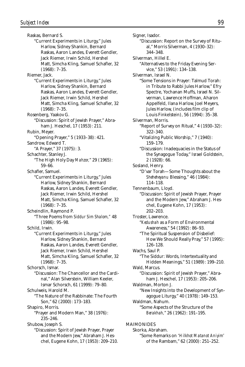Raskas, Bernard S. "Current Experiments in Liturgy," Jules Harlow, Sidney Shankin, Bernard Raskas, Aaron Landes, Everett Gendler, Jack Riemer, Irwin Schild, Hershel Matt, Simcha Kling, Samuel Schafler, 32 (1968): 7–35. Riemer, Jack. "Current Experiments in Liturgy," Jules Harlow, Sidney Shankin, Bernard Raskas, Aaron Landes, Everett Gendler, Jack Riemer, Irwin Schild, Hershel Matt, Simcha Kling, Samuel Schafler, 32 (1968): 7–35. Rosenberg, Yaakov G. "Discussion: Spirit of Jewish Prayer," Abraham J. Heschel, 17 (1953): 211. Rubin, Meyer. "Opening Prayer," 5 (1933–38): 421. Sandrow, Edward T. "A Prayer," 37 (1975): 3. Schachter, Stanley J. "The High Holy Day *Mahzor,*" 29 (1965): 59–66. Schafler, Samuel. "Current Experiments in Liturgy," Jules Harlow, Sidney Shankin, Bernard Raskas, Aaron Landes, Everett Gendler, Jack Riemer, Irwin Schild, Hershel Matt, Simcha Kling, Samuel Schafler, 32 (1968): 7–35. Scheindlin, Raymond P. "Three Poems from *Siddur Sim Shalom,"* 48 (1986): 95–98. Schild, Irwin. "Current Experiments in Liturgy," Jules Harlow, Sidney Shankin, Bernard Raskas, Aaron Landes, Everett Gendler, Jack Riemer, Irwin Schild, Hershel Matt, Simcha Kling, Samuel Schafler, 32 (1968): 7–35. Schorsch, Ismar. "Discussion: The Chancellor and the Cardinal," Alan Silverstein, William Keeler, Ismar Schorsch, 61 (1999): 79–80. Schulweis, Harold M. "The Nature of the Rabbinate: The Fourth Son," 62 (2000): 173–183. Shapiro, Morris. "Prayer and Modern Man," 38 (1976): 235–246. Shubow, Joseph S. "Discussion: Spirit of Jewish Prayer, Prayer and the Modern Jew," Abraham J. Heschel, Eugene Kohn, 17 (1953): 209–210.

Signer, Isador. "Discussion: Report on the Survey of Ritual," Morris Silverman, 4 (1930–32): 344–348. Silverman, Hillel E. "Alternatives to the Friday Evening Service," 53 (1991): 134–138. Silverman, Israel N. "Some Tensions in Prayer: Talmud Torah: in Tribute to Rabbi Jules Harlow," Efry Spectre, Yochanan Muffs, Israel N. Silverman, Lawrence Hoffman, Aharon Appelfeld, Ilana Harlow, Joel Meyers, Jules Harlow, (includes film clip of Louis Finkelstein), 56 (1994): 35–38. Silverman, Morris. "Report of Survey on Ritual," 4 (1930–32): 322–340. "Vitalizing Public Worship," 7 (1940): 159–179. "Discussion: Inadequacies in the Status of the Synagogue Today," Israel Goldstein, 2 (1928): 66. Sosland, Henry. "D'var Torah—Some Thoughts about the *Sheheheyanu* Blessing," 46 (1984): 114–118. Tennenbaum, Lloyd. "Discussion: Spirit of Jewish Prayer, Prayer and the Modern Jew," Abraham J. Heschel, Eugene Kohn, 17 (1953): 202–203. Troster, Lawrence. "*Kedushah* as a Form of Environmental Awareness," 54 (1992): 86–93. "The Spiritual Suspension of Disbelief: How We Should Really Pray," 57 (1995): 126–128. Wachs, Saul P. "The Siddur: Words, Intertextuality and Hidden Meanings," 51 (1989): 199–210. Wald, Marcus. "Discussion: Spirit of Jewish Prayer," Abraham J. Heschel, 17 (1953): 205–206. Waldman, Morton J. "New Insights into the Development of Synagogue Liturgy," 40 (1978): 149–153. Waldman, Nahum. "Some Aspects of the Structure of the *Berakhah,*" 26 (1962): 191–195.

MAIMONIDES

Skorka, Abraham. "Some Remarks on '*Hilkhot Matanot Aniyim*' of the Rambam," 62 (2000): 251–252.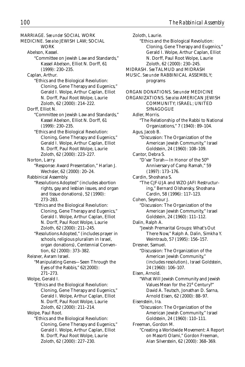MARRIAGE. *See under* SOCIAL WORK MEDICINE. *See also* JEWISH LAW; SOCIAL **WORK** Abelson, Kassel. "Committee on Jewish Law and Standards," Kassel Abelson, Elliot N. Dorff, 61 (1999): 230–235. Caplan, Arthur. "Ethics and the Biological Revolution: Cloning, Gene Therapy and Eugenics," Gerald I. Wolpe, Arthur Caplan, Elliot N. Dorff, Paul Root Wolpe, Laurie Zoloth, 62 (2000): 214–222. Dorff, Elliot N. "Committee on Jewish Law and Standards," Kassel Abelson, Elliot N. Dorff, 61 (1999): 230–235. "Ethics and the Biological Revolution: Cloning, Gene Therapy and Eugenics," Gerald I. Wolpe, Arthur Caplan, Elliot N. Dorff, Paul Root Wolpe, Laurie Zoloth, 62 (2000): 223–227. Norton, Larry. "Response: Award Presentation," Harlan J. Wechsler, 62 (2000): 20–24. Rabbinical Assembly. "Resolutions Adopted" (includes abortion rights, gay and lesbian issues, and organ and tissue donations), 52 (1990): 273–283. "Ethics and the Biological Revolution: Cloning, Gene Therapy and Eugenics," Gerald I. Wolpe, Arthur Caplan, Elliot N. Dorff, Paul Root Wolpe, Laurie Zoloth, 62 (2000): 211–245. "Resolutions Adopted," (includes prayer in schools, religious pluralism in Israel, organ donations), Centennial Convention, 62 (2000): 373–382. Reisner, Avram Israel. "Manipulating Genes—Seen Through the Eyes of the Rabbis," 62(2000): 271–273. Wolpe, Gerald I. "Ethics and the Biological Revolution: Cloning, Gene Therapy and Eugenics," Gerald I. Wolpe, Arthur Caplan, Elliot N. Dorff, Paul Root Wolpe, Laurie Zoloth, 62 (2000): 211–214. Wolpe, Paul Root. "Ethics and the Biological Revolution: Cloning, Gene Therapy and Eugenics," Gerald I. Wolpe, Arthur Caplan, Elliot N. Dorff, Paul Root Wolpe, Laurie Zoloth, 62 (2000): 227–230.

Zoloth, Laurie. "Ethics and the Biological Revolution: Cloning, Gene Therapy and Eugenics," Gerald I. Wolpe, Arthur Caplan, Elliot N. Dorff, Paul Root Wolpe, Laurie Zoloth, 62 (2000): 230–245. MIDRASH. *See* TALMUD and MIDRASH MUSIC. *See under* RABBINICAL ASSEMBLY; programs ORGAN DONATIONS. *See under* MEDICINE ORGANIZATIONS. *See also* AMERICAN JEWISH COMMUNITY; ISRAEL; UNITED **SYNAGOGUE** Adler, Morris. "The Relationship of the Rabbi to National Organizations," 7 (1940): 89–104. Agus, Jacob B. "Discussion: The Organization of the American Jewish Community," Israel Goldstein, 24 (1960): 108–109. Cantor, Debra S. "D'var Torah—In Honor of the 50th Anniversary of Camp Ramah," 59 (1997): 173–176. Cardin, Shoshana S. "The CJF-UJA and WZO-JAFI Restructuring," Bernard Olshansky, Shoshana Cardin, 58 (1996): 117–123. Cohen, Seymour J. "Discussion: The Organization of the American Jewish Community," Israel Goldstein, 24 (1960): 111–112. Dalin, Ralph A. "Jewish Premarital Groups: What's Out There Now," Ralph A. Dalin, Simkha Y. Weintraub, 57 (1995): 156–157. Dresner, Samuel. "Discussion: The Organization of the American Jewish Community," (includes resolution), Israel Goldstein, 24 (1960): 106–107. Eisen, Arnold. "What Will Jewish Community and Jewish Values Mean for the 21<sup>st</sup> Century?" David A. Teutsch, Jonathan D. Sarna, Arnold Eisen, 62 (2000): 88–97. Eisenstein, Ira. "Discussion: The Organization of the American Jewish Community," Israel Goldstein, 24 (1960): 110–111. Freeman, Gordon M. "Creating a Worldwide Movement: A Report on Masorti Olami," Gordon Freeman, Alan Silverstein, 62 (2000): 368–369.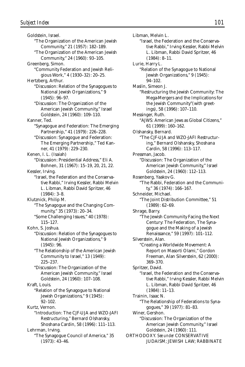Goldstein, Israel. "The Organization of the American Jewish Community," 21 (1957): 182–189. "The Organization of the American Jewish Community," 24 (1960): 93–105. Greenberg, Simon. "Community Federation and Jewish Religious Work," 4 (1930–32): 20–25. Hertzberg, Arthur. "Discussion: Relation of the Synagogues to National Jewish Organizations," 9 (1945): 96–97. "Discussion: The Organization of the American Jewish Community," Israel Goldstein, 24 (1960): 109–110. Kanner, Ted. "Synagogue and Federation: The Emerging Partnership," 41 (1979): 226–228. "Discussion: Synagogue and Federation: The Emerging Partnership," Ted Kanner, 41 (1979): 229–230. Kenen, I. L. (Isaiah) "Discussion: Presidential Address," Eli A. Bohnen, 31 (1967): 15–19, 20, 21, 22. Kessler, Irving. "Israel, the Federation and the Conservative Rabbi," Irving Kessler, Rabbi Melvin L. Libman, Rabbi David Spritzer, 46  $(1984): 3-8.$ Klutznick, Philip M. "The Synagogue and the Changing Community," 35 (1973): 20–34. "Some Challenging Issues," 40 (1978): 115–127. Kohn, S. Joshua. "Discussion: Relation of the Synagogues to National Jewish Organizations," 9 (1945): 96. "The Relationship of the American Jewish Community to Israel," 13 (1949): 225–237. "Discussion: The Organization of the American Jewish Community," Israel Goldstein, 24 (1960): 107–108. Kraft, Louis. "Relation of the Synagogue to National Jewish Organizations," 9 (1945): 92–102. Kurtz, Vernon. "Introduction: The CJF-UJA and WZO-JAFI Restructuring," Bernard Olshansky, Shoshana Cardin, 58 (1996): 111–113. Lehrman, Irving. "The Synagogue Council of America," 35 (1973): 43–46.

Libman, Melvin L. "Israel, the Federation and the Conservative Rabbi," Irving Kessler, Rabbi Melvin L. Libman, Rabbi David Spritzer, 46 (1984): 8–11. Lurie, Harry L. "Relation of the Synagogue to National Jewish Organizations," 9 (1945): 94–102. Maslin, Simeon J. "Restructuring the Jewish Community: The Mega-Mergers and the Implications for the Jewish Community"(with greetings), 58 (1996): 107–110. Messinger, Ruth. "AJWS: American Jews as Global Citizens," 61 (1999): 160–162. Olshansky, Bernard. "The CJF-UJA and WZO-JAFI Restructuring," Bernard Olshansky, Shoshana Cardin, 58 (1996): 113–117. Pressman, Jacob. "Discussion: The Organization of the American Jewish Community," Israel Goldstein, 24 (1960): 112–113. Rosenberg, Yaakov G. "The Rabbi, Federation and the Community," 36 (1974): 166–167. Schneider, Michael. "The Joint Distribution Committee," 51 (1989): 62–69. Shrage, Barry. "The Jewish Community Facing the Next Century: The Federation, The Synagogue and the Making of a Jewish Renaissance," 59 (1997): 101–112. Silverstein, Alan. "Creating a Worldwide Movement: A Report on Masorti Olami," Gordon Freeman, Alan Silverstein, 62 (2000): 369–370. Spritzer, David. "Israel, the Federation and the Conservative Rabbi," Irving Kessler, Rabbi Melvin L. Libman, Rabbi David Spritzer, 46 (1984): 11–13. Trainin, Isaac N. "The Relationship of Federations to Synagogues," 39 (1977): 81–83. Winer, Gershon. "Discussion: The Organization of the American Jewish Community," Israel Goldstein, 24 (1960): 111. ORTHODOXY. *See under* CONSERVATIVE JUDAISM; JEWISH LAW; RABBINATE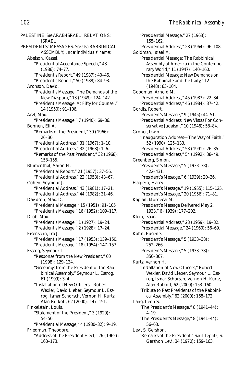PALESTINE. *See* ARAB-ISRAELI RELATIONS; ISRAEL PRESIDENTS' MESSAGES. *See also* RABBINICAL ASSEMBLY; *under individuals' names* Abelson, Kassel. "Presidential Acceptance Speech," 48 (1986): 74–77. "President's Report," 49 (1987): 40–46. "President's Report," 50 (1988): 84–93. Aronson, David. "President's Message: The Demands of the New Diaspora," 13 (1949): 124–142. "President's Message: At Fifty for Counsel," 14 (1950): 91–106. Arzt, Max. "President's Message," 7 (1940): 69–86. Bohnen, Eli A. "Remarks of the President," 30 (1966): 26–30. "Presidential Address," 31 (1967): 1–10. "Presidential Address," 32 (1968): 1–6. "Remarks of the Past President," 32 (1968): 153–155. Blumenthal, Aaron H. "Presidential Report," 21 (1957): 37–56. "Presidential Address," 22 (1958): 43–67. Cohen, Seymour J. "Presidential Address," 43 (1981): 17–21. "Presidential Address," 44 (1982): 31–46. Davidson, Max. D. "Presidential Message," 15 (1951): 91–105 "President's Message," 16 (1952): 109–117. Drob, Max. "President's Message," 1 (1927): 19–24. "President's Message," 2 (1928): 17–24. Eisenstein, Ira J. "President's Message," 17 (1953): 139–150. "President's Message," 18 (1954): 147–157. Essrog, Seymour L. "Response from the New President," 60 (1998): 129–134. "Greetings from the President of the Rabbinical Assembly," Seymour L. Essrog, 61 (1999): 3–4. "Installation of New Officers," Robert Wexler, David Lieber, Seymour L. Essrog, Ismar Schorsch, Vernon H. Kurtz, Alan Rutkoff, 62 (2000): 147–151. Finkelstein, Louis. "Statement of the President," 3 (1929): 54–56. "Presidential Message," 4 (1930–32): 9–19. Friedman, Theodore. "Address of the President-Elect," 26 (1962): 168–173.

"Presidential Message," 27 (1963): 155–162. "Presidential Address," 28 (1964): 96–108. Goldman, Israel M. "Presidential Message: The Rabbinical Assembly of America in the Contemporary World," 11 (1947): 140–160. "Presidential Message: New Demands on the Rabbinate and the Laity," 12 (1948): 83–104. Goodman, Arnold M. "Presidential Address," 45 (1983): 22–34. "Presidential Address," 46 (1984): 37–42. Gordis, Robert. "President's Message," 9 (1945): 44–51. "Presidential Address: New Vistas For Conservative Judaism," 10 (1946): 58–84. Groner, Irwin. "Inauguration Address—The Way of Faith," 52 (1990): 125–133. "Presidential Address," 53 (1991): 26–35. "Presidential Address," 54 (1992): 38–49. Greenberg, Simon. "President's Message," 5 (1933–38): 422–431. "President's Message," 6 (1939): 20–36. Halpern, Harry. "President's Message," 19 (1955): 115–125. "President's Message," 20 (1956): 71–81. Kaplan, Mordecai M. "President's Message Delivered May 2, 1933," 6 (1939): 177–202. Klein, Isaac. "Presidential Address," 23 (1959): 19–32. "Presidential Message," 24 (1960): 56–69. Kohn, Eugene. "President's Message," 5 (1933–38): 252–266. "President's Message," 5 (1933–38): 356–367. Kurtz, Vernon H. "Installation of New Officers," Robert Wexler, David Lieber, Seymour L. Essrog, Ismar Schorsch, Vernon H. Kurtz, Alan Rutkoff, 62 (2000): 153–160. "Tribute to Past Presidents of the Rabbinical Assembly," 62 (2000): 168–172. Lang, Leon S. "The President's Message," 8 (1941–44): 4–19. "The President's Message," 8 (1941–44): 56–63. Levi, S. Gershon. "Remarks of the President," Saul Teplitz, S. Gershon Levi, 34 (1970): 159–163.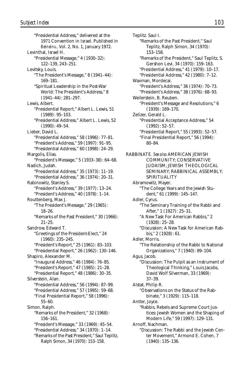"Presidential Address," delivered at the 1971 Convention in Israel. Published in *Beineinu,* Vol. 2, No. 1, January 1972. Levinthal, Israel H. "Presidential Message," 4 (1930–32): 122–139, 243–251. Levitsky, Louis. "The President's Message," 8 (1941–44): 169–181. "Spiritual Leadership in the Post-War World: The President's Address," 8 (1941–44): 281–297. Lewis, Albert. "Presidential Report," Albert L. Lewis, 51 (1989): 95–103. "Presidential Address," Albert L. Lewis, 52  $(1990): 49-54.$ Lieber, David L. "Presidential Address," 58 (1996): 77–81. "President's Address," 59 (1997): 91–95. "Presidential Address," 60 (1998): 24–29. Margolis, Elias. "President's Message," 5 (1933–38): 64–68. Nadich, Judah. "Presidential Address," 35 (1973): 11–19. "Presidential Address," 36 (1974): 20–31. Rabinowitz, Stanley S. "President's Address," 39 (1977): 13–24. "President's Address," 40 (1978): 1–14. Routtenberg, Max J. "The President's Message," 29 (1965): 18–26. "Remarks of the Past President," 30 (1966): 21–25. Sandrow, Edward T. "Greetings of the President-Elect," 24 (1960): 235–245. "President's Report," 25 (1961): 83–103. "Presidential Report," 26 (1962): 130–146. Shapiro, Alexander M. "Inaugural Address," 46 (1984): 76–85. "President's Report," 47 (1985): 21–28. "Presidential Report," 48 (1986): 30–35. Silverstein, Alan. "Presidential Address," 56 (1994): 87–99. "Presidential Address," 57 (1995): 59–68. "Final Presidential Report," 58 (1996): 55–60. Simon, Ralph. "Remarks of the President," 32 (1968): 156–161. "President's Message," 33 (1969): 45–54. "Presidential Address," 34 (1970): 1–14. "Remarks of the Past President," Saul Teplitz, Ralph Simon, 34 (1970): 153–158.

Teplitz. Saul I. "Remarks of the Past President," Saul Teplitz, Ralph Simon, 34 (1970): 153–158. "Remarks of the President," Saul Teplitz, S. Gershon Levi, 34 (1970): 159–163. "Presidential Address," 41 (1979): 10–17. "Presidential Address," 42 (1980): 7–12. Waxman, Mordecai. "President's Address," 36 (1974): 70–73. "President's Address," 38 (1976): 68–93. Weilerstein, B. Reuben. "President's Message and Resolutions," 6 (1939): 169–170. Zelizer, Gerald L. "Presidential Acceptance Address," 54 (1992): 52–57. "Presidential Report," 55 (1993): 52–57. "Final Presidential Report," 56 (1994): 80–84. RABBINATE. *See also* AMERICAN JEWISH COMMUNITY; CONSERVATIVE JUDAISM; JEWISH THEOLOGICAL SEMINARY; RABBINICAL ASSEMBLY; SPIRITUALITY Abramowitz, Mayer. "The College Years and the Jewish Student," 61 (1999): 145–147. Adler, Cyrus. "The Seminary Training of the Rabbi and After," 1 (1927): 25–31. "A New Task For American Rabbis," 2 (1928): 25–28. "Discussion: A New Task for American Rabbis," 2 (1928): 61. Adler, Morris. "The Relationship of the Rabbi to National Organizations," 7 (1940): 89–104. Agus, Jacob. "Discussion: The Pulpit as an Instrument of Theological Thinking," Louis Jacobs, David Wolf Silverman, 33 (1969): 37–39. Alstat, Philip R. "Observations on the Status of the Rabbinate," 3 (1929): 115–118. Antler, Joyce. "Rabbis, Rebels and Supreme Court Justices: Jewish Women and the Shaping of Modern Life," 59 (1997): 129–131. Arnoff, Nachman. "Discussion: The Rabbi and the Jewish Center Movement," Armond E. Cohen, 7

(1940): 135–136.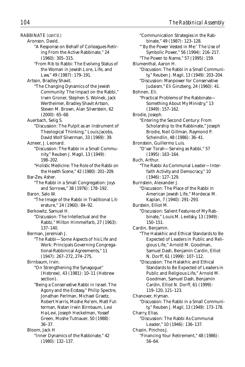RABBINATE *(cont'd.)* Aronson, David. "A Response on Behalf of Colleagues Retiring From the Active Rabbinate," 24 (1960): 305–315. "From Rib to Rabbi: The Evolving Status of the Woman in Jewish Lore, Life, and Law," 49 (1987): 179–191. Artson, Bradley Shavit. "The Changing Dynamics of the Jewish Community: The Impact on the Rabbi," Irwin Groner, Stephen S. Wolnek, Jack Wertheimer, Bradley Shavit Artson, Steven M. Brown, Alan Silverstein, 62 (2000): 65–68. Auerbach, Selig S. "Discussion: The Pulpit as an Instrument of Theological Thinking," Louis Jacobs, David Wolf Silverman, 33 (1969): 39. Azneer, J. Leonard. "Discussion: The Rabbi in a Small Community," Reuben J. Magil, 13 (1949): 198–202. "Holistic Medicine: The Role of the Rabbi on the Health Scene," 42 (1980): 201–209. Bar-Zev, Asher. "The Rabbi in a Small Congregation: Joys and Sorrows," 38 (1976): 178–192. Baron, Salo W. "The Image of the Rabbi in Traditional Literature," 24 (1960): 84–92. Berkowitz, Samuel H. "Discussion: The Intellectual and the Rabbi," Milton Himmelfarb, 27 (1963): 137–140. Berman, Jeremiah J. "The Rabbi—Some Aspects of his Life and Work: Principals Governing Congregational-Rabbinical Agreements," 11 (1947): 267–272, 274–275. Birnbaum, Irvin. "On Strengthening the Synagogue" (Hebrew), 43 (1981): 10–11 (Hebrew section). "Being a Conservative Rabbi in Israel: The Agony and the Ecstasy," Philip Spectre, Jonathan Perlman, Michael Graetz, Robert Harris, Moshe Re'em, Matt Futterman, Natan Irwin Birnbaum, Levi Ha-Levi, Joseph Heckelman, Yossef Green, Moshe Tutnauer, 50 (1988): 36–37. Bloom, Jack H "Inner Dynamics of the Rabbinate," 42

(1980): 132–137.

"Communication Strategies in the Rabbinate," 49 (1987): 123–128. "'By the Power Vested in Me:' The Use of Symbolic Power," 56 (1994): 216–217. "The Power to Name," 57 (1995): 159. Blumenthal, Aaron H. "Discussion: The Rabbi in a Small Community," Reuben J. Magil, 13 (1949): 203–204. "Discussion: Manpower for Conservative Judaism," Eli Ginzberg, 24 (1960): 41. Bohnen, Eli. "Practical Problems of the Rabbinate— Something About My Ministry," 13 (1949): 157–162. Brodie, Joseph. "Entering the Second Century: From Scholarship to the Rabbinate," Joseph Brodie, Neil Gillman, Raymond P. Scheindlin, 48 (1986): 36–41. Bronstein, Guillermo Luis. "D'var Torah—Serving as Rabbi," 57 (1995): 163–164. Buch, Arthur. "The Rabbi As Communal Leader—Interfaith Activity and Democracy," 10 (1946): 127–129. Burnstein, Alexander J. "Discussion: The Place of the Rabbi in American Jewish Life," Mordecai M. Kaplan, 7 (1940): 291–293. Burstein, Elliot M. "Discussion: Salient Features of My Rabbinate," Louis M. Levitsky, 13 (1949): 150–151. Cardin, Benjamin. "The Halakhic and Ethical Standards to Be Expected of Leaders in Public and Religious Life," Arnold M. Goodman, Samuel Dash, Benjamin Cardin, Elliot N. Dorff, 61 (1999): 107–112. "Discussion: The Halakhic and Ethical Standards to Be Expected of Leaders in Public and Religious Life," Arnold M. Goodman, Samuel Dash, Benjamin Cardin, Elliot N. Dorff, 61 (1999): 119–120, 121–123. Chanover, Hyman. "Discussion: The Rabbi in a Small Community," Reuben J. Magil, 13 (1949): 173–178. Charry, Elias. "Discussion: The Rabbi As Communal Leader," 10 (1946): 136–137. Chazin, Pinchos J. "Financing Your Retirement," 48 (1986): 56–64.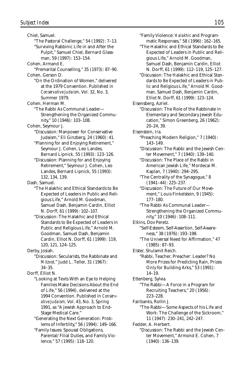Chiel, Samuel. "The Pastoral Challenge," 54 (1992): 7–13. "Surviving Rabbinic Life in and After the Pulpit," Samuel Chiel, Bernard Glassman, 59 (1997): 153–154. Cohen, Armand E. "Premarital Counselling," 35 (1973): 87–90. Cohen, Gerson D.

- "On the Ordination of Women," delivered at the 1979 Convention. Published in *Conservative Judaism,* Vol. 32, No. 3, Summer 1979.
- Cohen, Herman M.
	- "The Rabbi As Communal Leader— Strengthening the Organized Community," 10 (1946): 103–108.
- Cohen, Seymour J.
	- "Discussion: Manpower for Conservative Judaism," Eli Ginzberg, 24 (1960): 41.
	- "Planning for and Enjoying Retirement," Seymour J. Cohen, Leo Landes, Bernard Lipnick, 55 (1993): 123–126.
	- "Discussion: Planning for and Enjoying Retirement," Seymour J. Cohen, Leo Landes, Bernard Lipnick, 55 (1993): 132, 134, 139.

Dash, Samuel.

- "The Halakhic and Ethical Standards to Be Expected of Leaders in Public and Religious Life," Arnold M. Goodman, Samuel Dash, Benjamin Cardin, Elliot N. Dorff, 61 (1999): 102–107.
- "Discussion: The Halakhic and Ethical Standards to Be Expected of Leaders in Public and Religious Life," Arnold M. Goodman, Samuel Dash, Benjamin Cardin, Elliot N. Dorff, 61 (1999): 119, 120, 121, 124–125.
- Derby, Josiah.
	- "Discussion: Secularists, the Rabbinate and *Mitzvot,*" Judd L. Teller, 31 (1967): 34–35.
- Dorff, Elliot N.

"Looking at Texts With an Eye to Helping Families Make Decisions About the End of Life," 56 (1994), delivered at the 1994 Convention. Published in *Conservative Judaism,* Vol. 43, No. 3, Spring 1991, as "A Jewish Approach to End-Stage Medical Care."

- "Generating the Next Generation: Problems of Infertility," 56 (1994): 149–166.
- "Family Issues: Spousal Obligations, Parental/Filial Duties, and Family Violence," 57 (1995): 118–120.
- "Family Violence: *Halakhic* and Programmatic Responses," 58 (1996): 162–165.
- "The Halakhic and Ethical Standards to Be Expected of Leaders in Public and Religious Life," Arnold M. Goodman, Samuel Dash, Benjamin Cardin, Elliot N. Dorff, 61 (1999): 112–119, 125–127.
- "Discussion: The Halakhic and Ethical Standards to Be Expected of Leaders in Public and Religious Life," Arnold M. Goodman, Samuel Dash, Benjamin Cardin, Elliot N. Dorff, 61 (1999): 123–124.
- Eisensberg, Azriel.
	- "Discussion: The Role of the Rabbinate in Elementary and Secondary Jewish Education," Simon Greenberg, 26 (1962): 20–24, 39.
- Eisenstein, Ira.
	- "Preaching Modern Religion," 7 (1940): 143–149.
	- "Discussion: The Rabbi and the Jewish Center Movement," 7 (1940): 139–140.
	- "Discussion: The Place of the Rabbi in American Jewish Life," Mordecai M. Kaplan, 7 (1940): 294–295.
	- "The Centrality of the Synagogue," 8 (1941–44): 225–237.
	- "Discussion: The Future of Our Movement," Louis Finkelstein, 9 (1945): 177–180.
	- "The Rabbi As Communal Leader— Strengthening the Organized Community," 10 (1946): 108–111.
- Elkins, Dov Peretz.
	- "Self-Esteem, Self-Assertion, Self-Awareness," 38 (1976): 193–198.
	- "The Universal Need for Affirmation," 47 (1985): 87–93.
- Elster, Shulamit Reich.
	- "Rabbi, Teacher, Preacher: Leader? No More Prizes for Predicting Rain, Prizes Only for Building Arks," 53 (1991): 14–19.
- Ettenberg, Sylvia.
	- "The Rabbi—A Force in a Program for Recruiting Teachers," 20 (1956): 223–228.
- Fairbanks, Rollin J.
	- "The Rabbi—Some Aspects of his Life and Work: The Challenge of the Sickroom," 11 (1947): 230–241, 242–247.
- Fedder, A. Herbert. "Discussion: The Rabbi and the Jewish Center Movement," Armond E. Cohen, 7

(1940): 136–139.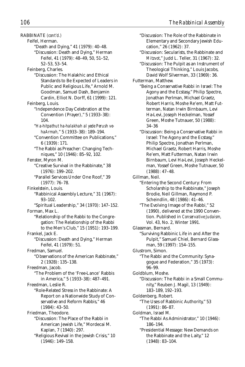"Discussion: The Role of the Rabbinate in Elementary and Secondary Jewish Edu-

cation," 26 (1962): 37.

RABBINATE *(cont'd.)* Feifel, Herman. "Death and Dying," 41 (1979): 40–48. "Discussion: Death and Dying," Herman Feifel, 41 (1979): 48–49, 50, 51–52, 52–53, 53–54. Feinberg, Charles. "Discussion: The Halakhic and Ethical Standards to Be Expected of Leaders in Public and Religious Life," Arnold M. Goodman, Samuel Dash, Benjamin Cardin, Elliot N. Dorff, 61 (1999): 121. Feinberg, Louis. "Independence Day Celebration at the Convention (Prayer)," 5 (1933–38): 104. "*Ha-hitpathut ha-halakhah al yede Perush vehaArmah,*" 5 (1933–38): 189–194. "Convention Committee on Publications," 6 (1939): 171. "The Rabbi as Preacher: Changing Techniques," 10 (1946): 85–92, 102. Fenster, Myron M. "Creative Survival in the Rabbinate," 38 (1976): 199–202. "Parallel Services Under One Roof," 39 (1977): 76–78. Finkelstein, Louis. "Rabbinical Assembly Lecture," 31 (1967): 93–102. "Spiritual Leadership," 34 (1970): 147–152. Forman, Max L. "Relationship of the Rabbi to the Congregation: The Relationship of the Rabbi to the Men's Club," 15 (1951): 193–199. Frankel, Jack E. "Discussion: Death and Dying," Herman Feifel, 41 (1979): 51. Fredman, Samuel. "Observations of the American Rabbinate," 2 (1928): 135–138. Freedman, Jacob. "The Problem of the 'Free-Lance' Rabbis in America," 5 (1933–38): 487–491. Freedman, Leslie R. "Role-Related Stress in the Rabbinate: A Report on a Nationwide Study of Conservative and Reform Rabbis," 46 (1984): 43–50. Friedman, Theodore. "Discussion: The Place of the Rabbi in American Jewish Life," Mordecai M. Kaplan, 7 (1940): 297. "Religious Revival in the Jewish Crisis," 10 (1946): 149–158.

"Discussion: Secularists, the Rabbinate and *Mitzvot*," Judd L. Teller, 31 (1967): 32. "Discussion: The Pulpit as an Instrument of Theological Thinking," Louis Jacobs, David Wolf Silverman, 33 (1969): 36. Futterman, Matthew. "Being a Conservative Rabbi in Israel: The Agony and the Ecstasy," Philip Spectre, Jonathan Perlman, Michael Graetz, Robert Harris, Moshe Re'em, Matt Futterman, Natan Irwin Birnbaum, Levi Ha-Levi, Joseph Heckelman, Yossef Green, Moshe Tutnauer, 50 (1988): 34–36 "Discussion: Being a Conservative Rabbi in Israel: The Agony and the Ecstasy," Philip Spectre, Jonathan Perlman, Michael Graetz, Robert Harris, Moshe Re'em, Matt Futterman, Natan Irwin Birnbaum, Levi Ha-Levi, Joseph Heckelman, Yossef Green, Moshe Tutnauer, 50 (1988): 47–48. Gillman, Neil. "Entering the Second Century: From Scholarship to the Rabbinate," Joseph Brodie, Neil Gillman, Raymond P. Scheindlin, 48 (1986): 41–46. "The Evolving Image of the Rabbi," 52 (1990), delivered at the 1990 Convention. Published in *Conservative Judaism,* Vol. 43, No. 2, Winter 1991. Glassman, Bernard. "Surviving Rabbinic Life in and After the Pulpit," Samuel Chiel, Bernard Glassman, 59 (1997): 154–155. Glustrom, Simon. "The Rabbi and the Community: Synagogue and Federation," 35 (1973): 96–99. Goldblum, Moshe. "Discussion: The Rabbi in a Small Community," Reuben J. Magil, 13 (1949): 183–189, 192–193. Goldenberg, Robert. "The Uses of Rabbinic Authority," 53 (1991): 86–87. Goldman, Israel M. "The Rabbi As Administrator," 10 (1946): 186–194.

"Presidential Message: New Demands on the Rabbinate and the Laity," 12 (1948): 83–104.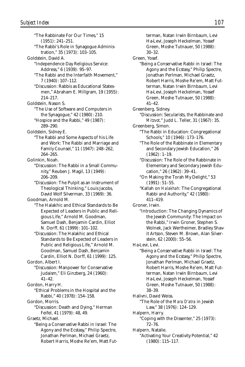"The Rabbinate For Our Times," 15 (1951): 241–251. "The Rabbi's Role in Synagogue Administration," 35 (1973): 103–105. Goldstein, David A. "Independence Day Religious Service: Address," 6 (1939): 95–97. "The Rabbi and the Interfaith Movement," 7 (1940): 107–112. "Discussion: Rabbis as Educational Statesmen," Abraham E. Millgram, 19 (1955): 214–217. Goldstein, Nason S. "The Use of Software and Computers in the Synagogue," 42 (1980): 210. "Hospice and the Rabbi," 49 (1987): 289–290. Goldstein, Sidney E. "The Rabbi and Some Aspects of his Life and Work: The Rabbi and Marriage and Family Counsel," 11 (1947): 248–262, 264–265. Golinkin, Noah. "Discussion: The Rabbi in a Small Community," Reuben J. Magil, 13 (1949): 206–209. "Discussion: The Pulpit as an Instrument of Theological Thinking," Louis Jacobs, David Wolf Silverman, 33 (1969): 36. Goodman, Arnold M. "The Halakhic and Ethical Standards to Be Expected of Leaders in Public and Religious Life," Arnold M. Goodman, Samuel Dash, Benjamin Cardin, Elliot N. Dorff, 61 (1999): 101–102. "Discussion: The Halakhic and Ethical Standards to Be Expected of Leaders in Public and Religious Life," Arnold M. Goodman, Samuel Dash, Benjamin Cardin, Elliot N. Dorff, 61 (1999): 125. Gordon, Albert I. "Discussion: Manpower for Conservative Judaism," Eli Ginzberg, 24 (1960): 41–42. Gordon, Harry H. "Ethical Problems in the Hospital and the Rabbi," 40 (1978): 154–158. Gordon, Morris. "Discussion: Death and Dying," Herman Feifel, 41 (1979): 48, 49. Graetz, Michael. "Being a Conservative Rabbi in Israel: The Agony and the Ecstasy," Philip Spectre, Jonathan Perlman, Michael Graetz, Robert Harris, Moshe Re'em, Matt Fut-

terman, Natan Irwin Birnbaum, Levi Ha-Levi, Joseph Heckelman, Yossef Green, Moshe Tutnauer, 50 (1988): 30–32. Green, Yosef. "Being a Conservative Rabbi in Israel: The Agony and the Ecstasy," Philip Spectre, Jonathan Perlman, Michael Graetz, Robert Harris, Moshe Re'em, Matt Futterman, Natan Irwin Birnbaum, Levi Ha-Levi, Joseph Heckelman, Yossef Green, Moshe Tutnauer, 50 (1988): 41–42. Greenberg, Sidney. "Discussion: Secularists, the Rabbinate and *Mitzvot,*" Judd L. Teller, 31 (1967): 35. Greenberg, Simon. "The Rabbi in Education: Congregational Schools," 10 (1946): 173–176. "The Role of the Rabbinate in Elementary and Secondary Jewish Education," 26 (1962): 1–19. "Discussion: The Role of the Rabbinate in Elementary and Secondary Jewish Education," 26 (1962): 39–41. "On Making the Torah My Delight," 53 (1991): 51–55. "Kallah on *Halakhah:* The Congregational Rabbi and Authority," 42 (1980): 411–419. Groner, Irwin. "Introduction: The Changing Dynamics of the Jewish Community: The Impact on the Rabbi," Irwin Groner, Stephen S. Wolnek, Jack Wertheimer, Bradley Shavit Artson, Steven M. Brown, Alan Silverstein, 62 (2000): 55–56. Ha-Levi, Levi. "Being a Conservative Rabbi in Israel: The Agony and the Ecstasy," Philip Spectre, Jonathan Perlman, Michael Graetz, Robert Harris, Moshe Re'em, Matt Futterman, Natan Irwin Birnbaum, Levi Ha-Levi, Joseph Heckelman, Yossef Green, Moshe Tutnauer, 50 (1988): 38–39. Halivni, David Weiss. "The Role of the *Mara D'atra* in Jewish Law," 38 (1976): 124–129. Halpern, Harry. "Coping with the Dissenter," 25 (1973): 72–76. Halpern, Natalie. "Activating Your Creativity Potential," 42 (1980): 115–117.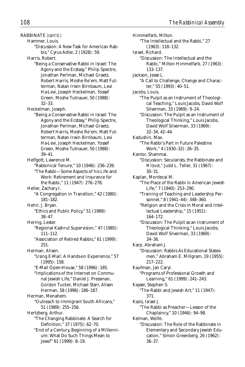RABBINATE *(cont'd.)* Hammer, Louis. "Discussion: A New Task for American Rabbis," Cyrus Adler, 2 (1928): 59. Harris, Robert. "Being a Conservative Rabbi in Israel: The Agony and the Ecstasy," Philip Spectre, Jonathan Perlman, Michael Graetz, Robert Harris, Moshe Re'em, Matt Futterman, Natan Irwin Birnbaum, Levi Ha-Levi, Joseph Heckelman, Yossef Green, Moshe Tutnauer, 50 (1988): 32–33. Heckelman, Joseph. "Being a Conservative Rabbi in Israel: The Agony and the Ecstasy," Philip Spectre, Jonathan Perlman, Michael Graetz, Robert Harris, Moshe Re'em, Matt Futterman, Natan Irwin Birnbaum, Levi Ha-Levi, Joseph Heckelman, Yossef Green, Moshe Tutnauer, 50 (1988): 39–41. Helfgott, Lawrence M. "Rabbinical Tenure," 10 (1946): 236–239. "The Rabbi—Some Aspects of his Life and Work: Retirement and Insurance for the Rabbi," 11 (1947): 276–278. Heller, Zachary I. "A Congregation in Transition," 42 (1980): 181–182. Hehir, J. Bryan. "Ethics and Public Policy," 51 (1989): 38–47. Hering, Lester. "Regional Kashrut Supervision," 47 (1985): 111–112. "Association of Retired Rabbis," 61 (1999): 251. Herman, Alisen. "Using E-Mail: A Hands-on Experience," 57 (1995): 158. "E-Mail Open-House," 58 (1996): 185. "Implications of the Internet on Communal Jewish Life," Daniel J. Pressman, Gordon Tucker, Michael Starr, Alisen Herman, 58 (1996): 186–187. Herman, Menahem. "Outreach to Immigrant South Africans," 51 (1989): 255–256. Hertzberg, Arthur. "The Changing Rabbinate: A Search for Definition," 37 (1975): 62–70. "End of a Century, Beginning of a Millennium: What Do Such Things Mean to

Jews?" 61 (1999): 8–19.

Himmelfarb, Milton. "The Intellectual and the Rabbi," 27 (1963): 118–132. Israel, Richard. "Discussion: The Intellectual and the Rabbi," Milton Himmelfarb, 27 (1963): 133–137. Jackson, Jesse L. "A Call to Challenge, Change and Character," 55 (1993): 40–51. Jacobs, Louis. "The Pulpit as an Instrument of Theological Teaching," Louis Jacobs, David Wolf Silverman, 33 (1969): 9–24. "Discussion: The Pulpit as an Instrument of Theological Thinking," Louis Jacobs, David Wolf Silverman, 33 (1969): 32–34, 42–44. Kadushin, Max. "The Rabbi's Part in Future Palestine Work," 4 (1930–32): 26–35. Kantor, Shammai. "Discussion: Secularists, the Rabbinate and *Mitzvot,*" Judd L. Teller, 31 (1967): 30–31. Kaplan, Mordecai M. "The Place of the Rabbi in American Jewish Life," 7 (1940): 253–290. "Training of Teaching and Leadership Personnel," 8 (1941–44): 348–360. "Religion and the Crisis in Moral and Intellectual Leadership," 15 (1951): 164–172. "Discussion: The Pulpit as an Instrument of Theological Thinking," Louis Jacobs, David Wolf Silverman, 33 (1969): 34–36. Karp, Abraham J. "Discussion: Rabbis As Educational Statesmen," Abraham E. Millgram, 19 (1955): 217–222. Kaufman, Jan Caryl. "Programs of Professional Growth and Learning," 61 (1999): 241–243. Kayser, Stephen S. "The Rabbi and Jewish Art," 11 (1947): 371. Kazis, Israel J. "The Rabbi as Preacher—Lesson of the Chaplaincy," 10 (1946): 94–98. Kelman, Wolfe. "Discussion: The Role of the Rabbinate in Elementary and Secondary Jewish Education," Simon Greenberg, 26 (1962): 36–37.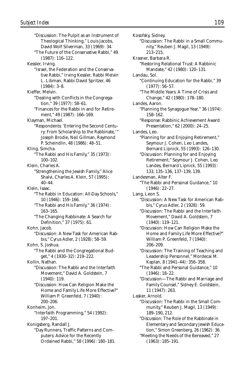"Discussion: The Pulpit as an Instrument of Theological Thinking," Louis Jacobs, David Wolf Silverman, 33 (1969): 34. "The Future of the Conservative Rabbi," 49 (1987): 116–122. Kessler, Irving. "Israel, the Federation and the Conservative Rabbi," Irving Kessler, Rabbi Melvin L. Libman, Rabbi David Spritzer, 46 (1984): 3–8. Kieffer, Melvin. "Dealing with Conflicts in the Congregation," 39 (1977): 58–61. "Finances for the Rabbi in and for Retirement," 49 (1987): 166–169. Klayman, Michael. "Respondents: 'Entering the Second Century: From Scholarship to the Rabbinate,'" Joseph Brodie, Neil Gillman, Raymond P. Scheindlin, 48 (1986): 48–51. Kling, Simcha. "The Rabbi and His Family," 35 (1973): 100–102. Klein, Charles A. "Strengthening the Jewish Family," Alice Shalvi, Charles A. Klein, 57 (1995): 40–44. Klein, Isaac. "The Rabbi in Education: All-Day Schools," 10 (1946): 159–166. "The Rabbi and His Family," 36 (1974): 163–165. "The Changing Rabbinate: A Search for Definition," 37 (1975): 61. Kohn, Jacob. "Discussion: A New Task for American Rabbis," Cyrus Adler, 2 (1928): 58–59. Kohn, S. Joshua. "The Rabbi and the Congregational Budget," 4 (1930–32): 219–222. Kollin, Nathan. "Discussion: The Rabbi and the Interfaith Movement," David A. Goldstein, 7 (1940): 119. "Discussion: How Can Religion Make the Home and Family Life More Effective?" William P. Greenfeld, 7 (1940): 200–206. Konheim, Jon. "Interfaith Programming," 54 (1992): 197–201. Konigsberg, Randall J. "Day Runners, Traffic Patterns and Computers: Advice for the Recently Ordained Rabbi," 58 (1996): 180–181.

Kosofsky, Sidney. "Discussion: The Rabbi in a Small Community," Reuben J. Magil, 13 (1949): 213–215. Krasner, Barbara R. "Restoring Relational Trust: A Rabbinic Mandate," 42 (1980): 120–131. Landau, Sol. "Continuing Education for the Rabbi," 39 (1977): 56–57. "The Middle Years: A Time of Crisis and Change," 42 (1980): 178–180. Landes, Aaron. "Planning the Synagogue Year," 36 (1974): 158–162. "Response: Rabbinic Achievement Award Presentation," 62 (2000): 24–25. Landes, Leo. "Planning for and Enjoying Retirement," Seymour J. Cohen, Leo Landes, Bernard Lipnick, 55 (1993): 126–130. "Discussion: Planning for and Enjoying Retirement," Seymour J. Cohen, Leo Landes, Bernard Lipnick, 55 (1993): 133, 135–136, 137–139, 139. Landesman, Alter F. "The Rabbi and Personal Guidance," 10 (1946): 22–27. Lang, Leon S. "Discussion: A New Task for American Rabbis," Cyrus Adler, 2 (1928): 59. "Discussion: The Rabbi and the Interfaith Movement," David A. Goldstein, 7 (1940): 119–121. "Discussion: How Can Religion Make the Home and Family Life More Effective?" William P. Greenfeld, 7 (1940): 206–209. "Discussion: The Training of Teaching and Leadership Personnel," Mordecai M. Kaplan, 8 (1941–44): 356–358. "The Rabbi and Personal Guidance," 10 (1946): 18–22. "Discussion—The Rabbi and Marriage and Family Counsel," Sidney E. Goldstein, 11 (1947): 263. Lasker, Arnold. "Discussion: The Rabbi in the Small Community," Reuben J. Magil, 13 (1949): 189–190, 212. "Discussion: The Role of the Rabbinate in Elementary and Secondary Jewish Education," Simon Greenberg, 26 (1962): 36. "Meeting the Needs of the Bereaved," 27 (1963): 185–191.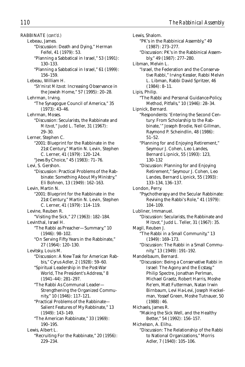RABBINATE *(cont'd.)* Lebeau, James. "Discussion: Death and Dying," Herman Feifel, 41 (1979): 53. "Planning a Sabbatical in Israel," 53 (1991): 130–133. "Planning a Sabbatical in Israel," 61 (1999): 156–159. Lebeau, William H. "*Sh'mirat Mitzvot:* Increasing Observance in the Jewish Home," 57 (1995): 20–28. Lehrman, Irving. "The Synagogue Council of America," 35 (1973): 43–46. Lehrman, Moses. "Discussion: Secularists, the Rabbinate and *Mitzvot,*" Judd L. Teller, 31 (1967): 29–30. Lerner, Stephen C. "2001: Blueprint for the Rabbinate in the 21st Century," Martin N. Levin, Stephen C. Lerner, 41 (1979): 120–124. "Jews By Choice," 45 (1983): 71–76. Levi, S. Gershon. "Discussion: Practical Problems of the Rabbinate: Something About My Ministry," Eli Bohnen, 13 (1949): 162–163. Levin, Martin N. "2001: Blueprint for the Rabbinate in the 21st Century," Martin N. Levin, Stephen C. Lerner, 41 (1979): 114–119. Levine, Reuben R. "Visiting the Sick," 27 (1963): 182–184. Levinthal, Israel H. "The Rabbi as Preacher—Summary," 10 (1946): 98–102. "On Serving Fifty Years in the Rabbinate," 27 (1964): 120–130. Levitsky, Louis M. "Discussion: A New Task for American Rabbis," Cyrus Adler, 2 (1928): 59–60. "Spiritual Leadership in the Post-War World, The President's Address," 8 (1941–44): 281–297. "The Rabbi As Communal Leader— Strengthening the Organized Community," 10 (1946): 117–121. "Practical Problems of the Rabbinate— Salient Features of My Rabbinate," 13 (1949): 143–149. "The American Rabbinate," 33 (1969): 190–195. Lewis, Albert L. "Recruiting For the Rabbinate," 20 (1956): 229–234.

Lewis, Shalom. "PK's in the Rabbinical Assembly," 49 (1987): 273–277. "Discussion: PK's in the Rabbinical Assembly," 49 (1987): 277–280. Libman, Melvin L. "Israel, the Federation and the Conservative Rabbi," Irving Kessler, Rabbi Melvin L. Libman, Rabbi David Spritzer, 46 (1984): 8–11. Lipis, Philip. "The Rabbi and Personal Guidance-Policy, Method, Pitfalls," 10 (1946): 28–34. Lipnick, Bernard. "Respondents: 'Entering the Second Century: From Scholarship to the Rabbinate,'" Joseph Brodie, Neil Gillman, Raymond P. Scheindlin, 48 (1986): 51–52. "Planning for and Enjoying Retirement," Seymour J. Cohen, Leo Landes, Bernard Lipnick, 55 (1993): 123, 130–132 "Discussion: Planning for and Enjoying Retirement," Seymour J. Cohen, Leo Landes, Bernard Lipnick, 55 (1993): 133–134, 136–137. London, Perry. "Psychotherapy and the Secular Rabbinate: Reviving the Rabbi's Role," 41 (1979): 104–109. Lubliner, Immanuel. "Discussion: Secularists, the Rabbinate and *Mitzvot,*" Judd L. Teller, 31 (1967): 35. Magil, Reuben J. "The Rabbi in a Small Community," 13 (1949): 169–173. "Discussion: The Rabbi in a Small Community," 13 (1949): 191–192. Mandelbaum, Bernard. "Discussion: Being a Conservative Rabbi in Israel: The Agony and the Ecstasy," Philip Spectre, Jonathan Perlman, Michael Graetz, Robert Harris, Moshe Re'em, Matt Futterman, Natan Irwin Birnbaum, Levi Ha-Levi, Joseph Heckelman, Yossef Green, Moshe Tutnauer, 50 (1988): 46. Michaels, James R. "Making the Sick Well, and the Healthy Better," 54 (1992): 156–157. Michelson, A. Elihu. "Discussion: The Relationship of the Rabbi to National Organizations," Morris Adler, 7 (1940): 105–106.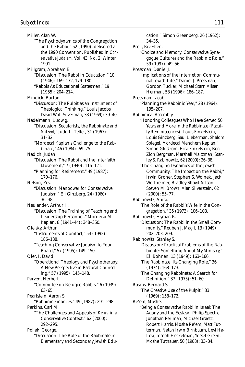Miller, Alan W. "The Psychodynamics of the Congregation and the Rabbi," 52 (1990), delivered at the 1990 Convention. Published in *Conservative Judaism,* Vol. 43, No. 2, Winter 1991. Millgram, Abraham E. "Discussion: The Rabbi in Education," 10 (1946): 169–172, 179–180. "Rabbis As Educational Statesmen," 19 (1955): 204–214. Mindick, Burton. "Discussion: The Pulpit as an Instrument of Theological Thinking," Louis Jacobs, David Wolf Silverman, 33 (1969): 39–40. Nadelmann, Ludwig. "Discussion: Secularists, the Rabbinate and *Mitzvot,*" Judd L. Teller, 31 (1967): 31–32. "Mordecai Kaplan's Challenge to the Rabbinate," 46 (1984): 69–75. Nadich, Judah. "Discussion: The Rabbi and the Interfaith Movement," 7 (1940): 116–121. "Planning for Retirement," 49 (1987): 170–176. Nelson, Zev. "Discussion: Manpower for Conservative Judaism," Eli Ginzberg, 24 (1960): 36–38. Neulander, Arthur H. "Discussion: The Training of Teaching and Leadership Personnel," Mordecai M. Kaplan, 8 (1941–44): 348–350. Oleisky, Arthur. "Instruments of Comfort," 54 (1992): 186–188. "Teaching Conservative Judaism to Your Board," 57 (1995): 149–150. Oler, I. David. "Operational Theology and Psychotherapy: A New Perspective in Pastoral Counseling," 57 (1995): 145–148. Parzen, Herbert. "Committee on Refugee Rabbis," 6 (1939): 63–65. Pearlstein, Aaron S. "Rabbinic Finances," 49 (1987): 291–298. Perkins, Carl M. "The Challenges and Appeals of *Keruv* in a Conservative Context," 62 (2000): 292–295. Pollak, George. "Discussion: The Role of the Rabbinate in Elementary and Secondary Jewish Edu-

cation," Simon Greenberg, 26 (1962): 34–35. Prell, Riv Ellen. "Choice and Memory: Conservative Synagogue Cultures and the Rabbinic Role," 59 (1997): 49–56. Pressman, Daniel J. "Implications of the Internet on Communal Jewish Life," Daniel J. Pressman, Gordon Tucker, Michael Starr, Alisen Herman, 58 (1996): 186–187. Pressman, Jacob. "Planning the Rabbinic Year," 28 (1964): 195–207. Rabbinical Assembly. "Honoring Colleagues Who Have Served 50 Years and More in the Rabbinate (Faculty Reminiscences): Louis Finkelstein, Louis Ginzberg, Saul Lieberman, Shalom Spiegel, Mordecai Menahem Kaplan," Simon Glustrom, Ezra Finkelstein, Ben Zion Bergman, Marshall Maltzman, Stanley S. Rabinowitz, 62 (2000): 26–38. "The Changing Dynamics of the Jewish Community: The Impact on the Rabbi," Irwin Groner, Stephen S. Wolnek, Jack Wertheimer, Bradley Shavit Artson, Steven M. Brown, Alan Silverstein, 62 (2000): 55–77. Rabinowitz, Anita. "The Role of the Rabbi's Wife in the Congregation," 35 (1973): 106–108. Rabinowitz, Hyman R. "Discussion: The Rabbi in the Small Community," Reuben J. Magil, 13 (1949): 202–203, 209. Rabinowitz, Stanley S. "Discussion: Practical Problems of the Rabbinate: Something About My Ministry," Eli Bohnen, 13 (1949): 163–166. "The Rabbinate: Its Changing Role," 36 (1974): 168–173. "The Changing Rabbinate: A Search for Definition," 37 (1975): 51–60. Raskas, Bernard S. "The Creative Use of the Pulpit," 33 (1969): 158–172. Re'em, Moshe. "Being a Conservative Rabbi in Israel: The Agony and the Ecstasy," Philip Spectre, Jonathan Perlman, Michael Graetz, Robert Harris, Moshe Re'em, Matt Futterman, Natan Irwin Birnbaum, Levi Ha-Levi, Joseph Heckelman, Yossef Green,

Moshe Tutnauer, 50 (1988): 33–34.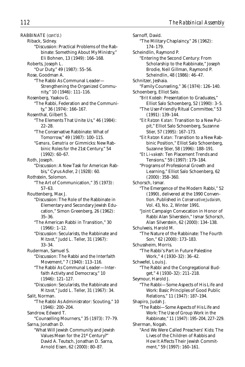RABBINATE *(cont'd.)* Riback, Sidney. "Discussion: Practical Problems of the Rabbinate: Something About My Ministry," Eli Bohnen, 13 (1949): 166–168. Roberts, Joseph L. "Our Duty," 49 (1987): 55–56. Rose, Goodman A. "The Rabbi As Communal Leader— Strengthening the Organized Community," 10 (1946): 111–116. Rosenberg, Yaakov G. "The Rabbi, Federation and the Community," 36 (1974): 166–167. Rosenthal, Gilbert S. "The Elements That Unite Us," 46 (1984): 22–28. "The Conservative Rabbinate: What of Tomorrow," 49 (1987): 100–115. "*Gemara, Gematria* or Gimmicks: New Rabbinic Roles for the 21st Century," 54 (1992): 60–67. Roth, Joseph. "Discussion: A New Task for American Rabbis," Cyrus Adler, 2 (1928): 60. Rothstein, Solomon. "The Art of Communication," 35 (1973): 57–63. Routtenberg, Max J. "Discussion: The Role of the Rabbinate in Elementary and Secondary Jewish Education," Simon Greenberg, 26 (1962): 35–36. "The American Rabbi in Transition," 30 (1966): 1–12. "Discussion: Secularists, the Rabbinate and *Mitzvot,*" Judd L. Teller, 31 (1967): 33–34. Ruderman, Samuel S. "Discussion: The Rabbi and the Interfaith Movement," 7 (1940): 113–116. "The Rabbi As Communal Leader—Interfaith Activity and Democracy," 10 (1946): 121–127. "Discussion: Secularists, the Rabbinate and *Mitzvot,*" Judd L. Teller, 31 (1967): 34. Salit, Norman. "The Rabbi As Administrator: Scouting," 10 (1946): 200–204. Sandrow, Edward T. "Counselling Mourners," 35 (1973): 77–79. Sarna, Jonathan D. "What Will Jewish Community and Jewish Values Mean for the 21st Century?" David A. Teutsch, Jonathan D. Sarna,

Arnold Eisen, 62 (2000): 80–87.

Sarnoff, David. "The Military Chaplaincy," 26 (1962): 174–179. Scheindlin, Raymond P. "Entering the Second Century: From Scholarship to the Rabbinate," Joseph Brodie, Neil Gillman, Raymond P. Scheindlin, 48 (1986): 46–47. Schnitzer, Jeshaia. "Family Counseling," 36 (1974): 126–140. Schoenberg, Elliot Salo. "*Brit Kodesh:* Presentation to Graduates," Elliot Salo Schoenberg, 52 (1990): 3–5. "The User-Friendly Ritual Committee," 53 (1991): 139–144. "*Eit Ratzon Katan:* Transition to a New Pulpit," Elliot Salo Schoenberg, Suzanne Stier, 57 (1995): 167–173. "*Eit Ratzon Katan:* Transition to a New Rabbinic Position," Elliot Salo Schoenberg, Suzanne Stier, 58 (1996): 188–191. "*Et Li-vakesh:* Ten Placement Trends and Tensions," 59 (1997): 179–184. "Programs of Professional Growth and Learning," Elliot Salo Schoenberg, 62 (2000): 358–360. Schorsch, Ismar. "The Emergence of the Modern Rabbi," 52 (1990), delivered at the 1990 Convention. Published in *Conservative Judaism,* Vol. 43, No. 2, Winter 1991. "Joint Campaign Convocation in Honor of Rabbi Alan Silverstein," Ismar Schorsch, Alan Silverstein, 62 (2000): 134–138. Schulweis, Harold M. "The Nature of the Rabbinate: The Fourth Son," 62 (2000): 173–183. Schussheim, Morris. "The Rabbi's Part in Future Palestine Work," 4 (1930–32): 36–42. Schwefel, Louis J. "The Rabbi and the Congregational Budget," 4 (1930–32): 211–218. Seymour, Harold J. "The Rabbi—Some Aspects of His Life and Work: Basic Principles of Good Public Relations," 11 (1947): 187–194. Shapiro, Judah J. "The Rabbi—Some Aspects of His Life and Work: The Use of Group Work in the Rabbinate," 11 (1947): 195–204, 227–229. Sherman, Nogah. "And We Were Called Preachers' Kids: The Lives of the Children of Rabbis and How It Affects Their Jewish Commitment," 59 (1997): 160–161.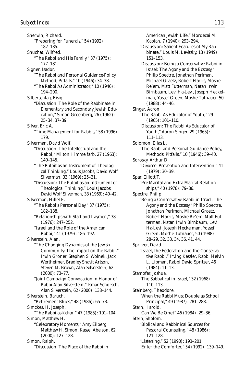Sherwin, Richard. "Preparing for Funerals," 54 (1992): 182–185. Shuchat, Wilfred. "The Rabbi and His Family," 37 (1975): 177–181. Signer, Isador. "The Rabbi and Personal Guidance-Policy, Method, Pitfalls," 10 (1946): 34–38. "The Rabbi As Administrator," 10 (1946): 194–200. Silberschlag, Eisig. "Discussion: The Role of the Rabbinate in Elementary and Secondary Jewish Education," Simon Greenberg, 26 (1962): 25–34, 37–39. Silver, Eric A. "Time Management for Rabbis," 58 (1996): 179. Silverman, David Wolf. "Discussion: The Intellectual and the Rabbi," Milton Himmelfarb, 27 (1963): 140–145. "The Pulpit as an Instrument of Theological Thinking," Louis Jacobs, David Wolf Silverman, 33 (1969): 25–31. "Discussion: The Pulpit as an Instrument of Theological Thinking," Louis Jacobs, David Wolf Silverman, 33 (1969): 40–42. Silverman, Hillel E. "The Rabbi's Personal Day," 37 (1975): 182–188. "Relationships with Staff and Laymen," 38 (1976): 247–252. "Israel and the Role of the American Rabbi," 41 (1979): 186–192. Silverstein, Alan. "The Changing Dynamics of the Jewish Community: The Impact on the Rabbi," Irwin Groner, Stephen S. Wolnek, Jack Wertheimer, Bradley Shavit Artson, Steven M. Brown, Alan Silverstein, 62 (2000): 73–77. "Joint Campaign Convocation in Honor of Rabbi Alan Silverstein," Ismar Schorsch, Alan Silverstein, 62 (2000): 138–144. Silverstein, Baruch. "Retirement Blues," 48 (1986): 65–73. Simckes, H. Joseph. "The Rabbi as *Kohen,*" 47 (1985): 101–104. Simon, Matthew H. "Celebratory Moments," Amy Eilberg, Matthew H. Simon, Kassel Abelson, 62 (2000): 127–128. Simon, Ralph.

"Discussion: The Place of the Rabbi in

American Jewish Life," Mordecai M. Kaplan, 7 (1940): 293–294. "Discussion: Salient Features of My Rabbinate," Louis M. Levitsky, 13 (1949): 151–153. "Discussion: Being a Conservative Rabbi in Israel: The Agony and the Ecstasy," Philip Spectre, Jonathan Perlman, Michael Graetz, Robert Harris, Moshe Re'em, Matt Futterman, Natan Irwin Birnbaum, Levi Ha-Levi, Joseph Heckelman, Yossef Green, Moshe Tutnauer, 50 (1988): 44–46. Singer, Aaron. "The Rabbi As Educator of Youth," 29 (1965): 101–110. "Discussion: The Rabbi As Educator of Youth," Aaron Singer, 29 (1965): 111–113. Solomon, Elias L. "The Rabbi and Personal Guidance-Policy, Methods, Pitfalls," 10 (1946): 39–40. Sorosky, Arthur D. "Divorce: Prevention and Intervention," 41 (1979): 30–39. Spar, Elliott T. "Pre-Marital and Extra-Marital Relationships," 40 (1978): 79–86. Spectre, Philip. "Being a Conservative Rabbi in Israel: The Agony and the Ecstasy," Philip Spectre, Jonathan Perlman, Michael Graetz, Robert Harris, Moshe Re'em, Matt Futterman, Natan Irwin Birnbaum, Levi Ha-Levi, Joseph Heckelman, Yossef Green, Moshe Tutnauer, 50 (1988): 28–29, 32, 33, 34, 36, 41, 44. Spritzer, David. "Israel, the Federation and the Conservative Rabbi," Irving Kessler, Rabbi Melvin L. Libman, Rabbi David Spritzer, 46 (1984): 11–13. Stampfer, Joshua. "The Sabbatical in Israel," 32 (1968): 110–113. Steinberg, Theodore. "When the Rabbi Must Double as School Principal," 49 (1987): 281–288. Stern, Harold. "Can We Be One?" 46 (1984): 29–36. Stern, Sholom. "Biblical and Rabbinical Sources for Pastoral Counseling," 48 (1986): 121–128. "Listening," 52 (1990): 193–201. "Enter the Comforter," 54 (1992): 139–149.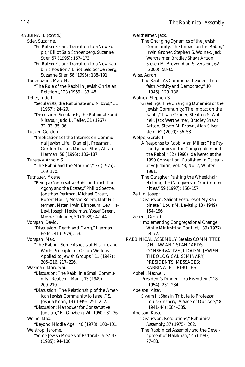RABBINATE *(cont'd.)* Stier, Suzanne. "*Eit Ratzon Katan:* Transition to a New Pulpit," Elliot Salo Schoenberg, Suzanne Stier, 57 (1995): 167–173. "*Eit Ratzon Katan:* Transition to a New Rabbinic Position," Elliot Salo Schoenberg, Suzanne Stier, 58 (1996): 188–191. Tanenbaum, Marc H. "The Role of the Rabbi in Jewish-Christian Relations," 23 (1959): 33–48. Teller, Judd L. "Secularists, the Rabbinate and *Mitzvot,*" 31 (1967): 24–29. "Discussion: Secularists, the Rabbinate and *Mitzvot,*" Judd L. Teller, 31 (1967): 32–33, 35–36. Tucker, Gordon. "Implications of the Internet on Communal Jewish Life," Daniel J. Pressman, Gordon Tucker, Michael Starr, Alisen Herman, 58 (1996): 186–187. Turetsky, Arnold S. "The Rabbi and the Mourner," 37 (1975): 169–170. Tutnauer, Moshe. "Being a Conservative Rabbi in Israel: The Agony and the Ecstasy," Philip Spectre, Jonathan Perlman, Michael Graetz, Robert Harris, Moshe Re'em, Matt Futterman, Natan Irwin Birnbaum, Levi Ha-Levi, Joseph Heckelman, Yossef Green, Moshe Tutnauer, 50 (1988): 42–44. Vorspan, David. "Discussion: Death and Dying," Herman Feifel, 41 (1979): 53. Vorspan, Max. "The Rabbi—Some Aspects of His Life and Work: Principles of Group Work as Applied to Jewish Groups," 11 (1947): 205–216, 217–226. Waxman, Mordecai. "Discussion: The Rabbi in a Small Community," Reuben J. Magil, 13 (1949): 209–210. "Discussion: The Relationship of the American Jewish Community to Israel," S. Joshua Kohn, 13 (1949): 251–252. "Discussion: Manpower for Conservative Judaism," Eli Ginzberg, 24 (1960): 31–36. Weine, Max. "Beyond Middle Age," 40 (1978): 100–101. Weistrop, Jerome.

"Some Jewish Models of Pastoral Care," 47 (1985): 94–100.

Wertheimer, Jack. "The Changing Dynamics of the Jewish Community: The Impact on the Rabbi," Irwin Groner, Stephen S. Wolnek, Jack Wertheimer, Bradley Shavit Artson, Steven M. Brown, Alan Silverstein, 62 (2000): 58–65. Wise, Aaron. "The Rabbi As Communal Leader—Interfaith Activity and Democracy," 10 (1946): 129–136. Wolnek, Stephen S. "Greetings: The Changing Dynamics of the Jewish Community: The Impact on the Rabbi," Irwin Groner, Stephen S. Wolnek, Jack Wertheimer, Bradley Shavit Artson, Steven M. Brown, Alan Silverstein, 62 (2000): 56–58. Wolpe, Gerald I. "A Response to Rabbi Alan Miller: The Psychodynamics of the Congregation and the Rabbi," 52 (1990), delivered at the 1990 Convention. Published in *Conservative Judaism,* Vol. 43, No. 2, Winter 1991. "The Caregiver Pushing the Wheelchair: Helping the Caregivers in Our Communities," 59 (1997): 156–157. Zeitlin, Joseph. "Discussion: Salient Features of My Rabbinate," Louis M. Levitsky, 13 (1949): 154–156. Zelizer, Gerald L. "Implementing Congregational Change While Minimizing Conflict," 39 (1977): 68–72. RABBINICAL ASSEMBLY. *See also* COMMITTEE ON LAW AND STANDARDS; CONSERVATIVE JUDAISM; JEWISH THEOLOGICAL SEMINARY; PRESIDENTS' MESSAGES; RABBINATE; TRIBUTES Abbell, Maxwell. "President's Dinner—Ira Eisenstein," 18 (1954): 231–234. Abelson, Alter. "*Siyyum HaShas* in Tribute to Professor Louis Ginzberg: A Sage of Our Age," 8 (1941–44): 384–385. Abelson, Kassel. "Discussion: Resolutions," Rabbinical Assembly, 37 (1975): 262. "The Rabbinical Assembly and the Development of Halakhah," 45 (1983):

77–83.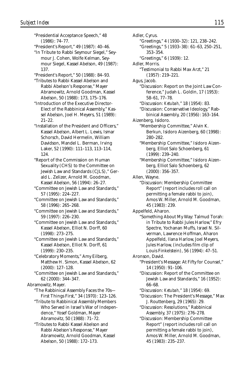"Presidential Acceptance Speech," 48 (1986): 74–77. "President's Report," 49 (1987): 40–46. "In Tribute to Rabbi Seymour Siegel," Seymour J. Cohen, Wolfe Kelman, Seymour Siegel, Kassel Abelson, 49 (1987): 137. "President's Report," 50 (1988): 84–93. "Tributes to Rabbi Kassel Abelson and Rabbi Abelson's Response," Mayer Abramowitz, Arnold Goodman, Kassel Abelson, 50 (1988): 173, 175–176. "Introduction of the Executive Director-Elect of the Rabbinical Assembly," Kassel Abelson, Joel H. Meyers, 51 (1989): 21–22. "Installation of the President and Officers," Kassel Abelson, Albert L. Lewis, Ismar Schorsch, David Hermelin, William Davidson, Mandel L. Berman, Irving Laker, 52 (1990): 111–113, 113–114, 124. "Report of the Commission on Human Sexuality (CHS) to the Committee on Jewish Law and Standards (CJLS)," Gerald L. Zelizer, Arnold M. Goodman, Kassel Abelson, 56 (1994): 26–27. "Committee on Jewish Law and Standards," 57 (1995): 224–227. "Committee on Jewish Law and Standards," 58 (1996): 265–268. "Committee on Jewish Law and Standards," 59 (1997): 226–230. "Committee on Jewish Law and Standards," Kassel Abelson, Elliot N. Dorff, 60 (1998): 273–275. "Committee on Jewish Law and Standards," Kassel Abelson, Elliot N. Dorff, 61 (1999): 230–235. "Celebratory Moments," Amy Eilberg, Matthew H. Simon, Kassel Abelson, 62 (2000): 127–128. "Committee on Jewish Law and Standards," 62 (2000): 344–347. Abramowitz, Mayer. "The Rabbinical Assembly Faces the 70s— First Things First," 34 (1970): 123–126. "Tribute to Rabbinical Assembly Members Who Served in Israel's War of Independence," Yosef Goldman, Mayer Abramovitz, 50 (1988): 71–72. "Tributes to Rabbi Kassel Abelson and Rabbi Abelson's Response," Mayer Abramowitz, Arnold Goodman, Kassel Abelson, 50 (1988): 172–173.

Adler, Cyrus. "Greetings," 4 (1930–32): 121, 238–242. "Greetings," 5 (1933–38): 61–63, 250–251, 353–354. "Greetings," 6 (1939): 12. Adler, Morris. "Testimonial to Rabbi Max Arzt," 21 (1957): 219–221. Agus, Jacob. "Discussion: Report on the Joint Law Conference," Judah L. Goldin, 17 (1953): 58–61, 77–78. "Discussion: *Ketubah,*" 18 (1954): 83. "Discussion: Conservative Ideology," Rabbinical Assembly, 20 (1956): 163–164. Aizenberg, Isidoro. "Membership Committee," Alvin K. Berkun, Isidoro Aizenberg, 60 (1998): 280–282. "Membership Committee," Isidoro Aizenberg, Elliot Salo Schoenberg, 61 (1999): 239–240. "Membership Committee," Isidoro Aizenberg, Elliot Salo Schoenberg, 62 (2000): 356–357. Allen, Wayne. "Discussion: Membership Committee Report" (report includes roll call on permitting a female rabbi to join), Amos W. Miller, Arnold M. Goodman, 45 (1983): 239. Appelfeld, Aharon. "Something About My Way: Talmud Torah: in Tribute to Rabbi Jules Harlow," Efry Spectre, Yochanan Muffs, Israel N. Silverman, Lawrence Hoffman, Aharon Appelfeld, Ilana Harlow, Joel Meyers, Jules Harlow, (includes film clip of Louis Finkelstein), 56 (1994): 47–51. Aronson, David. "President's Message: At Fifty for Counsel," 14 (1950): 91–106. "Discussion: Report of the Committee on Jewish Law and Standards," 16 (1952): 66–68. "Discussion: *Ketubah,*" 18 (1954): 69. "Discussion: The President's Message," Max J. Routtenberg, 29 (1965): 29. "Discussion: Resolutions," Rabbinical Assembly, 37 (1975): 276–278. "Discussion: Membership Committee Report" (report includes roll call on permitting a female rabbi to join), Amos W. Miller, Arnold M. Goodman, 45 (1983): 235–237.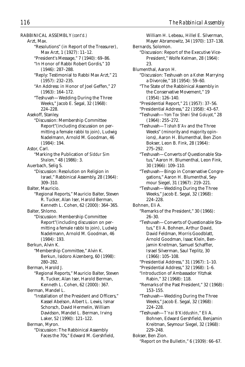RABBINICAL ASSEMBLY *(cont'd.)* Arzt, Max. "Resolutions" (in Report of the Treasurer), Max Arzt, 1 (1927): 11–12. "President's Message," 7 (1940): 69–86. "In Honor of Rabbi Robert Gordis," 10 (1946): 287–288. "Reply: Testimonial to Rabbi Max Arzt," 21 (1957): 232–235. "An Address: in Honor of Joel Geffen," 27 (1963): 164–172. "Teshuvah—Wedding During the Three Weeks," Jacob E. Segal, 32 (1968): 224–228. Asekoff, Stanley. "Discussion: Membership Committee Report"(including discussion on permitting a female rabbi to join), Ludwig Nadelmann, Arnold M. Goodman, 46 (1984): 194. Astor, Carl. "Marking the Publication of *Siddur Sim Shalom,*" 48 (1986): 3. Auerbach, Selig S. "Discussion: Resolution on Religion in Israel," Rabbinical Assembly, 28 (1964): 309–310. Balter, Mauricio. "Regional Reports," Mauricio Balter, Steven R. Tucker, Alan Iser, Harold Berman, Kenneth L. Cohen, 62 (2000): 364–365. Balter, Shlomo. "Discussion: Membership Committee Report"(including discussion on permitting a female rabbi to join), Ludwig Nadelmann, Arnold M. Goodman, 46 (1984): 193. Berkun, Alvin K. "Membership Committee," Alvin K. Berkun, Isidoro Aizenberg, 60 (1998): 280–282. Berman, Harold J. "Regional Reports," Mauricio Balter, Steven R. Tucker, Alan Iser, Harold Berman, Kenneth L. Cohen, 62 (2000): 367. Berman, Mandel L. "Installation of the President and Officers," Kassel Abelson, Albert L. Lewis, Ismar Schorsch, David Hermelin, William Davidson, Mandel L. Berman, Irving Laker, 52 (1990): 121–122. Berman, Myron. "Discussion: The Rabbinical Assembly Faces the 70s," Edward M. Gershfield,

William H. Lebeau, Hillel E. Silverman, Mayer Abramowitz, 34 (1970): 137–138. Bernards, Solomon. "Discussion: Report of the Executive Vice-President," Wolfe Kelman, 28 (1964): 23. Blumenthal, Aaron H. "Discussion: Teshuvah on a *Kohen* Marrying a Divorcée," 18 (1954): 59–60. "The State of the Rabbinical Assembly in the Conservative Movement," 19 (1954): 126–140. "Presidential Report," 21 (1957): 37–56. "Presidential Address," 22 (1958): 43–67. "Teshuvah—*Yom Tov Sheni Shel Goluyot,*" 28 (1964): 255–272. "Teshuvah—*Tishah B'Av* and the Three Weeks" (minority and majority opinions), Aaron H. Blumenthal, Ben Zion Bokser, Leon B. Fink, 28 (1964): 275–292. "Teshuvah—Converts of Questionable Status," Aaron H. Blumenthal, Leon Fink, 30 (1966): 109–110. "Teshuvah—Bingo in Conservative Congregations," Aaron H. Blumenthal, Seymour Siegel, 31 (1967): 219–221. "Teshuvah—Wedding During the Three Weeks," Jacob E. Segal, 32 (1968): 224–228. Bohnen, Eli A. "Remarks of the President," 30 (1966): 26–30. "Teshuvah—Converts of Questionable Status," Eli A. Bohnen, Arthur David, David Feldman, Morris Goodblatt, Arnold Goodman, Isaac Klein, Benjamin Kreitman, Samuel Schaffler, Israel Silverman, Saul Teplitz, 30 (1966): 105–108. "Presidential Address," 31 (1967): 1–10. "Presidential Address," 32 (1968): 1–6. "Introduction of Ambassador Yitzhak Rabin," 32 (1968): 118. "Remarks of the Past President," 32 (1968): 153–155. "Teshuvah—Wedding During the Three Weeks," Jacob E. Segal, 32 (1968): 224–228. "Teshuvah—*T'nai B'Kiddushin,*" Eli A. Bohnen, Edward Gershfield, Benjamin Kreitman, Seymour Siegel, 32 (1968): 229–248. Bokser, Ben Zion. "Report on the Bulletin," 6 (1939): 66–67.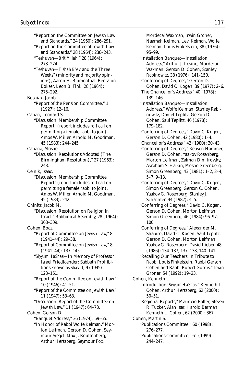"Report on the Committee on Jewish Law and Standards," 24 (1960): 286–291. "Report on the Committee of Jewish Law and Standards," 28 (1964): 238–243. "Teshuvah—*Brit Milah,*" 28 (1964): 273–274. "Teshuvah—*Tishah B'Av* and the Three Weeks" (minority and majority opinions), Aaron H. Blumenthal, Ben Zion Bokser, Leon B. Fink, 28 (1964): 275–292. Bosniak, Jacob. "Report of the Pension Committee," 1 (1927): 12–16. Cahan, Leonard S. "Discussion: Membership Committee Report" (report includes roll call on permitting a female rabbi to join), Amos W. Miller, Arnold M. Goodman, 45 (1983): 244–245. Cahana, Moshe. "Discussion: Resolutions Adopted (The Birmingham Resolution)," 27 (1963): 243. Celnik, Isaac. "Discussion: Membership Committee Report" (report includes roll call on permitting a female rabbi to join), Amos W. Miller, Arnold M. Goodman, 45 (1983): 242. Chinitz, Jacob M. "Discussion: Resolution on Religion in Israel," Rabbinical Assembly, 28 (1964): 308–309. Cohen, Boaz. "Report of Committee on Jewish Law," 8 (1941–44): 29–38. "Report of Committee on Jewish Law," 8 (1941–44): 137–145. "*Siyyum HaShas*—In Memory of Professor Israel Friedlaender: Sabbath Prohibitions known as *Shavut,* 9 (1945): 123–161. "Report of the Committee on Jewish Law," 10 (1946): 41–51. "Report of the Committee on Jewish Law," 11 (1947): 53–63. "Discussion: Report of the Committee on Jewish Law," 11 (1947): 64–73. Cohen, Gerson D. "Banquet Address," 36 (1974): 59–65. "In Honor of Rabbi Wolfe Kelman," Morton Leifman, Gerson D. Cohen, Seymour Siegel, Max J. Routtenberg,

Arthur Hertzberg, Seymour Fox,

Mordecai Waxman, Irwin Groner, Naamah Kelman, Levi Kelman, Wolfe Kelman, Louis Finkelstein, 38 (1976): 95–99. "Installation Banquet—Installation Address," Arthur J. Levine, Mordecai Waxman, Gerson D. Cohen, Stanley Rabinowitz, 38 (1976): 141–150. "Conferring of Degrees," Gerson D. Cohen, David C. Kogen, 39 (1977): 2–6. "The Chancellor's Address," 40 (1978): 139–146. "Installation Banquet—Installation Address," Wolfe Kelman, Stanley Rabinowitz, Daniel Teplitz, Gerson D. Cohen, Saul Teplitz, 40 (1978): 179–182. "Conferring of Degrees," David C. Kogen, Gerson D. Cohen, 42 (1980): 1–4. "Chancellor's Address," 42 (1980): 30–43. "Conferring of Degrees," Reuven Hammer, Gerson D. Cohen, Yaakov Rosenberg, Morton Leifman, Zalman Dimitrovsky, Avraham S. Halkin, Moshe Greenberg, Simon Greenberg, 43 (1981): 1–2, 3–4, 5–7, 9–13. "Conferring of Degrees," David C. Kogen, Simon Greenberg, Gerson C. Cohen, Yaakov G. Rosenberg, Stanley J. Schachter, 44 (1982): 4–5. "Conferring of Degrees," David C. Kogen, Gerson D. Cohen, Morton Leifman, Simon Greenberg, 46 (1984): 96–97, 100. "Conferring of Degrees," Alexander M. Shapiro, David C. Kogen, Saul Teplitz, Gerson D. Cohen, Morton Leifman, Yaakov G. Rosenberg, David Lieber, 48 (1986): 134–137, 137–138, 140–141. "Recalling Our Teachers: in Tribute to Rabbi Louis Finkelstein, Rabbi Gerson Cohen and Rabbi Robert Gordis," Irwin Groner, 54 (1992): 19–23. Cohen, Kenneth L. "Introduction: *Siyyum HaShas*," Kenneth L. Cohen, Arthur Hertzberg, 62 (2000): 50–51. "Regional Reports," Mauricio Balter, Steven R. Tucker, Alan Iser, Harold Berman, Kenneth L. Cohen, 62 (2000): 367. Cohen, Martin S. "Publications Committee," 60 (1998): 276–277. "Publications Committee," 61 (1999): 244–247.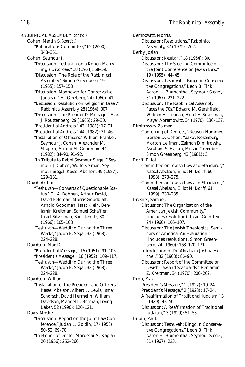RABBINICAL ASSEMBLY *(cont'd.)* Cohen, Martin S. *(cont'd.)* "Publications Committee," 62 (2000): 348–351. Cohen, Seymour J. "Discussion: Teshuvah on a Kohen Marrying a Divorcée," 18 (1954): 58–59. "Discussion: The Role of the Rabbinical Assembly," Simon Greenberg, 19 (1955): 157–158. "Discussion: Manpower for Conservative Judaism," Eli Ginzberg, 24 (1960): 41. "Discussion: Resolution on Religion in Israel," Rabbinical Assembly, 28 (1964): 307. "Discussion: The President's Message," Max J. Routtenberg, 29 (1965): 29–30. "Presidential Address," 43 (1981): 17–21. "Presidential Address," 44 (1982): 31–46. "Installation of Officers," William Frankel, Seymour J. Cohen, Alexander M. Shapiro, Arnold M. Goodman, 44 (1982): 84–90, 91–92. "In Tribute to Rabbi Seymour Siegel," Seymour J. Cohen, Wolfe Kelman, Seymour Siegel, Kassel Abelson, 49 (1987): 129–131. David, Arthur. "Teshuvah—Converts of Questionable Status," Eli A. Bohnen, Arthur David, David Feldman, Morris Goodblatt, Arnold Goodman, Isaac Klein, Benjamin Kreitman, Samuel Schaffler, Israel Silverman, Saul Teplitz, 30 (1966): 105–108. "Teshuvah—Wedding During the Three Weeks," Jacob E. Segal, 32 (1968): 224–228. Davidson, Max D. "Presidential Message," 15 (1951): 91–105. "President's Message," 16 (1952): 109–117. "Teshuvah—Wedding During the Three Weeks," Jacob E. Segal, 32 (1968): 224–228. Davidson, William. "Installation of the President and Officers," Kassel Abelson, Albert L. Lewis, Ismar Schorsch, David Hermelin, William Davidson, Mandel L. Berman, Irving Laker, 52 (1990): 120–121. Davis, Moshe. "Discussion: Report on the Joint Law Conference," Judah L. Goldin, 17 (1953): 50–52, 69–70. "In Honor of Doctor Mordecai M. Kaplan," 20 (1956): 252–266.

Dembowitz, Morris. "Discussion: Resolutions," Rabbinical Assembly, 37 (1975): 262. Derby, Josiah. "Discussion: *Ketubah,*" 18 (1954): 80. "Discussion: The Steering Committee of the Joint Conference on Jewish Law," 19 (1955): 44–45. "Discussion: Teshuvah—Bingo in Conservative Congregations," Leon B. Fink, Aaron H. Blumenthal, Seymour Siegel, 31 (1967): 221–222. "Discussion: The Rabbinical Assembly Faces the 70s," Edward M. Gershfield, William H. Lebeau, Hillel E. Silverman, Mayer Abramowitz, 34 (1970): 136–137. Dimitrovsky, Zalman. "Conferring of Degrees," Reuven Hammer, Gerson D. Cohen, Yaakov Rosenberg, Morton Leifman, Zalman Dimitrovsky, Avraham S. Halkin, Moshe Greenberg, Simon Greenberg, 43 (1981): 3. Dorff, Elliot. "Committee on Jewish Law and Standards," Kassel Abelson, Elliot N. Dorff, 60 (1998): 273–275. "Committee on Jewish Law and Standards," Kassel Abelson, Elliot N. Dorff, 61 (1999): 230–235. Dresner, Samuel. "Discussion: The Organization of the American Jewish Community," (includes resolution), Israel Goldstein, 24 (1960): 106–107. "Discussion: The Jewish Theological Seminary of America: An Evaluation," (includes resolution), Simon Greenberg, 24 (1960): 168–170, 171. "Introduction of Dr. Abraham Joshua Heschel," 32 (1968): 86–90. "Discussion: Report of the Committee on Jewish Law and Standards," Benjamin Z. Kreitman, 34 (1970): 200–202. Drob, Max. "President's Message," 1 (1927): 19–24. "President's Message," 2 (1928): 17–24. "A Reaffirmation of Traditional Judaism," 3 (1929): 43–50. "Discussion: A Reaffirmation of Traditional Judaism," 3 (1929): 51–53. Dubin, Paul. "Discussion: Teshuvah: Bingo in Conservative Congregations," Leon B. Fink, Aaron H. Blumenthal, Seymour Siegel, 31 (1967): 223.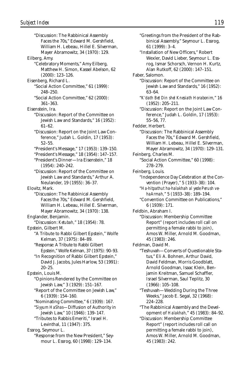"Discussion: The Rabbinical Assembly Faces the 70s," Edward M. Gershfield, William H. Lebeau, Hillel E. Silverman, Mayer Abramowitz, 34 (1970): 129. Eilberg, Amy. "Celebratory Moments," Amy Eilberg, Matthew H. Simon, Kassel Abelson, 62 (2000): 123–126. Eisenberg, Richard L. "Social Action Committee," 61 (1999): 248–250. "Social Action Committee," 62 (2000): 361–363. Eisenstein, Ira. "Discussion: Report of the Committee on Jewish Law and Standards," 16 (1952): 61–62. "Discussion: Report on the Joint Law Conference," Judah L. Goldin, 17 (1953): 52–55. "President's Message," 17 (1953): 139–150. "President's Message," 18 (1954): 147–157. "President's Dinner—Ira Eisenstein," 18 (1954): 240–242. "Discussion: Report of the Committee on Jewish Law and Standards," Arthur A. Neulander, 19 (1955): 36–37. Elovitz, Mark. "Discussion: The Rabbinical Assembly Faces the 70s," Edward M. Gershfield, William H. Lebeau, Hillel E. Silverman, Mayer Abramowitz, 34 (1970): 138. Englander, Benjamin. "Discussion: *Ketubah,*" 18 (1954): 78. Epstein, Gilbert M. "A Tribute to Rabbi Gilbert Epstein," Wolfe Kelman, 37 (1975): 84–89. "Response: A Tribute to Rabbi Gilbert Epstein," Wolfe Kelman, 37 (1975): 90–93. "In Recognition of Rabbi Gilbert Epstein," David J. Jacobs, Jules Harlow, 53 (1991): 20–25. Epstein, Louis M. "Opinions Rendered by the Committee on Jewish Law," 3 (1929): 151–167. "Report of the Committee on Jewish Law," 6 (1939): 154–160. "Nominating Committee," 6 (1939): 167. "*Siyyum HaShas*—Diffusion of Authority in Jewish Law," 10 (1946): 139–147. "Tributes to Rabbis Emeriti," Israel H. Levinthal, 11 (1947): 375. Essrog, Seymour L. "Response from the New President," Seymour L. Essrog, 60 (1998): 129–134.

"Greetings from the President of the Rabbinical Assembly," Seymour L. Essrog, 61 (1999): 3–4. "Installation of New Officers," Robert Wexler, David Lieber, Seymour L. Essrog, Ismar Schorsch, Vernon H. Kurtz, Alan Rutkoff, 62 (2000): 147–151. Faber, Salomon. "Discussion: Report of the Committee on Jewish Law and Standards," 16 (1952): 63–64. "*K'dath Bet Din shel Knesiath Horabonim,*" 16 (1952): 205–211. "Discussion: Report on the Joint Law Conference," Judah L. Goldin, 17 (1953): 55–56, 77. Fedder, Herbert. "Discussion: The Rabbinical Assembly Faces the 70s," Edward M. Gershfield, William H. Lebeau, Hillel E. Silverman, Mayer Abramowitz, 34 (1970): 129–131. Feinberg, Charles M. "Social Action Committee," 60 (1998): 278–279. Feinberg, Louis. "Independence Day Celebration at the Convention (Prayer)," 5 (1933–38): 104. "*Ha-hitpathut ha-halakhah al yede Perush vehaArmah,*" 5 (1933–38): 189–194. "Convention Committee on Publications," 6 (1939): 171. Feldbin, Abraham I. "Discussion: Membership Committee Report" (report includes roll call on permitting a female rabbi to join), Amos W. Miller, Arnold M. Goodman, 45 (1983): 246. Feldman, David M. "Teshuvah—Converts of Questionable Status," Eli A. Bohnen, Arthur David David Feldman, Morris Goodblatt, Arnold Goodman, Isaac Klein, Benjamin Kreitman, Samuel Schaffler, Israel Silverman, Saul Teplitz, 30 (1966): 105–108. "Teshuvah—Wedding During the Three Weeks," Jacob E. Segal, 32 (1968): 224–228. "The Rabbinical Assembly and the Development of *Halakhah,*" 45 (1983): 84–92. "Discussion: Membership Committee Report" (report includes roll call on permitting a female rabbi to join),

Amos W. Miller, Arnold M. Goodman, 45 (1983): 242.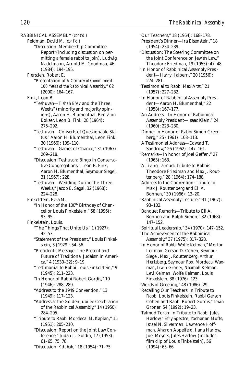RABBINICAL ASSEMBLY *(cont'd.)*

Feldman, David M. *(cont'd.)* "Discussion: Membership Committee Report"(including discussion on permitting a female rabbi to join), Ludwig Nadelmann, Arnold M. Goodman, 46 (1984): 194–195.

- Fierstien, Robert E.
	- "Presentation of *A Century of Commitment: 100 Years of the Rabbinical Assembly,*" 62 (2000): 164–167.

Fink, Leon B.

- "Teshuvah—*Tishah B'Av* and the Three Weeks" (minority and majority opinions), Aaron H. Blumenthal, Ben Zion Bokser, Leon B. Fink, 28 (1964): 275–292.
- "Teshuvah—Converts of Questionable Status," Aaron H. Blumenthal, Leon Fink, 30 (1966): 109–110.
- "Teshuvah—Games of Chance," 31 (1967): 209–218.
- "Discussion: Teshuvah: Bingo in Conservative Congregations," Leon B. Fink, Aaron H. Blumenthal, Seymour Siegel, 31 (1967): 228.
- "Teshuvah—Wedding During the Three Weeks," Jacob E. Segal, 32 (1968): 224–228.

Finkelstein, Ezra M.

"In Honor of the 100<sup>th</sup> Birthday of Chancellor Louis Finkelstein," 58 (1996): 93–95.

- Finkelstein, Louis.
	- "The Things That Unite Us," 1 (1927): 42–53.
	- "Statement of the President," Louis Finkelstein, 3 (1929): 54–56.

"President's Message: The Present and Future of Traditional Judaism in America," 4 (1930–32): 9–19.

"Testimonial to Rabbi Louis Finkelstein," 9 (1945): 211–223.

- "In Honor of Rabbi Robert Gordis," 10 (1946): 288–289.
- "Address to the 1949 Convention," 13 (1949): 117–123.
- "Address at the Golden Jubilee Celebration of the Rabbinical Assembly," 14 (1950): 284–295.
- "Tribute to Rabbi Mordecai M. Kaplan," 15 (1951): 205–210.
- "Discussion: Report on the Joint Law Conference," Judah L. Goldin, 17 (1953): 61–65, 75, 78.
- "Discussion: *Ketubah,*" 18 (1954): 71–75.

"Our Teachers," 18 (1954): 168–178. "President's Dinner—Ira Eisenstein," 18 (1954): 234–239.

- "Discussion: The Steering Committee on the Joint Conference on Jewish Law," Theodore Friedman, 19 (1955): 47–48.
- "In Honor of Rabbinical Assembly President—Harry Halpern," 20 (1956): 274–281.
- "Testimonial to Rabbi Max Arzt," 21 (1957): 227–232.
- "In Honor of Rabbinical Assembly President—Aaron H. Blumenthal," 22 (1958): 167–177.
- "An Address—In Honor of Rabbinical Assembly President—Isaac Klein," 24 (1960): 223–230.
- "Dinner in Honor of Rabbi Simon Greenberg," 25 (1961): 108–113.
- "A Testimonial Address—Edward T. Sandrow," 26 (1962): 147–161.
- "Remarks—In honor of Joel Geffen," 27 (1963): 163.
- "A Living Talmud: Tribute to Rabbis Theodore Friedman and Max J. Routtenberg," 28 (1964): 174–188.
- "Address to the Convention: Tribute to Max J. Routtenberg and Eli A. Bohnen," 30 (1966): 13–20.
- "Rabbinical Assembly Lecture," 31 (1967): 93–102.
- "Banquet Remarks—Tribute to Eli A. Bohnen and Ralph Simon," 32 (1968): 147–152.
- "Spiritual Leadership," 34 (1970): 147–152. "The Achievement of the Rabbinical
- Assembly," 37 (1975): 317–328.
- "In Honor of Rabbi Wolfe Kelman," Morton Leifman, Gerson D. Cohen, Seymour Siegel, Max J. Routtenberg, Arthur Hertzberg, Seymour Fox, Mordecai Waxman, Irwin Groner, Naamah Kelman, Levi Kelman, Wolfe Kelman, Louis Finkelstein, 38 (1976): 123.
- "Words of Greeting," 48 (1986): 29.
- "Recalling Our Teachers: in Tribute to Rabbi Louis Finkelstein, Rabbi Gerson Cohen and Rabbi Robert Gordis," Irwin Groner, 54 (1992): 19–23.
- "Talmud Torah: in Tribute to Rabbi Jules Harlow," Efry Spectre, Yochanan Muffs, Israel N. Silverman, Lawrence Hoffman, Aharon Appelfeld, Ilana Harlow, Joel Meyers, Jules Harlow, (includes film clip of Louis Finkelstein), 56 (1994): 65–66.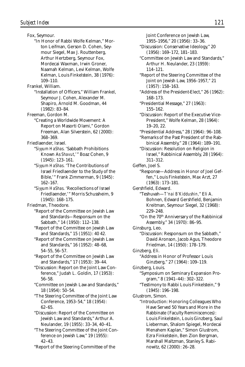Fox, Seymour. "In Honor of Rabbi Wolfe Kelman," Morton Leifman, Gerson D. Cohen, Seymour Siegel, Max J. Routtenberg, Arthur Hertzberg, Seymour Fox, Mordecai Waxman, Irwin Groner, Naamah Kelman, Levi Kelman, Wolfe Kelman, Louis Finkelstein, 38 (1976): 109–110. Frankel, William. "Installation of Officers," William Frankel, Seymour J. Cohen, Alexander M. Shapiro, Arnold M. Goodman, 44 (1982): 83–84. Freeman, Gordon M. "Creating a Worldwide Movement: A Report on Masorti Olami," Gordon Freeman, Alan Silverstein, 62 (2000): 368–369. Friedlaender, Israel. "*Siyyum HaShas*. 'Sabbath Prohibitions Known As *Shavut*,'" Boaz Cohen, 9 (1945): 123–161. "*Siyyum HaShas*. 'The Contributions of Israel Friedlaender to the Study of the Bible,'" Frank Zimmerman, 9 (1945): 162–167. "*Siyyum HaShas*. 'Recollections of Israel Friedlaender,'" Morris Schussheim, 9 (1945): 168–175. Friedman, Theodore. "Report of the Committee on Jewish Law and Standards—Responsum on the Sabbath," 14 (1950): 112–138. "Report of the Committee on Jewish Law and Standards," 15 (1951): 40 42. "Report of the Committee on Jewish Law and Standards," 16 (1952): 48–68, 54–55, 56–57. "Report of the Committee on Jewish Law and Standards," 17 (1953): 39–44. "Discussion: Report on the Joint Law Conference," Judah L. Goldin, 17 (1953): 56–58. "Committee on Jewish Law and Standards," 18 (1954): 50–54. "The Steering Committee of the Joint Law Conference, 1953–54," 18 (1954): 62–65. "Discussion: Report of the Committee on Jewish Law and Standards," Arthur A. Neulander, 19 (1955): 33–34, 40–41. "The Steering Committee of the Joint Conference on Jewish Law," 19 (1955): 42–43. "Report of the Steering Committee of the

1955–1956," 20 (1956): 33–36. "Discussion: Conservative Ideology," 20 (1956): 169–172, 181–183. "Committee on Jewish Law and Standards," Arthur H. Neulander, 23 (1959): 114–121. "Report of the Steering Committee of the Joint on Jewish Law, 1956–1957," 21 (1957): 158–163. "Address of the President-Elect," 26 (1962): 168–173. "Presidential Message," 27 (1963): 155–162. "Discussion: Report of the Executive Vice-President," Wolfe Kelman, 28 (1964): 19–20, 22. "Presidential Address," 28 (1964): 96–108. "Remarks of the Past President of the Rabbinical Assembly," 28 (1964): 189–191. "Discussion: Resolution on Religion in Israel," Rabbinical Assembly, 28 (1964): 311–312. Geffen, Joel S. "Response—Address in Honor of Joel Geffen," Louis Finkelstein, Max Arzt, 27 (1963): 173–181. Gershfield, Edward. "Teshuvah—*T'nai B'Kiddushin,*" Eli A. Bohnen, Edward Gershfield, Benjamin Kreitman, Seymour Siegel, 32 (1968): 229–248. "On the 70<sup>th</sup> Anniversary of the Rabbinical Assembly," 34 (1970): 86–95. Ginsburg, Leo. "Discussion: Responsum on the Sabbath," David Aronson, Jacob Agus, Theodore Friedman, 14 (1950): 178–179. Ginzberg, Eli. "Address in Honor of Professor Louis Ginzberg," 27 (1964): 109–119. Ginzberg, Louis. "Symposium on Seminary Expansion Program," 8 (1941–44): 302–322. "Testimony to Rabbi Louis Finkelstein," 9 (1945): 196–198. Glustrom, Simon. "Introduction: Honoring Colleagues Who Have Served 50 Years and More in the Rabbinate (Faculty Reminiscences): Louis Finkelstein, Louis Ginzberg, Saul Lieberman, Shalom Spiegel, Mordecai Menahem Kaplan," Simon Glustrom, Ezra Finkelstein, Ben Zion Bergman, Marshall Maltzman, Stanley S. Rabi-

nowitz, 62 (2000): 26–28.

Joint Conference on Jewish Law,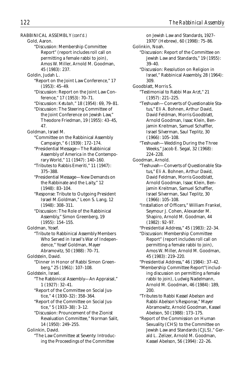RABBINICAL ASSEMBLY *(cont'd.)* Gold, Aaron. "Discussion: Membership Committee Report" (report includes roll call on permitting a female rabbi to join), Amos W. Miller, Arnold M. Goodman, 45 (1983): 237. Goldin, Judah L. "Report on the Joint Law Conference," 17 (1953): 45–49. "Discussion: Report on the Joint Law Conference," 17 (1953): 70–71. "Discussion: *Ketubah,*" 18 (1954): 69, 79–81. "Discussion: The Steering Committee of the Joint Conference on Jewish Law," Theodore Friedman, 19 (1955): 43–45, 47. Goldman, Israel M. "Committee on the Rabbinical Assembly Campaign," 6 (1939): 172–174. "Presidential Message—The Rabbinical Assembly of America in the Contemporary World," 11 (1947): 140–160. "Tributes to Rabbis Emeriti," 11 (1947): 375–388. "Presidential Message—New Demands on the Rabbinate and the Laity," 12 (1948): 83–104. "Response: Tribute to Outgoing President Israel M.Goldman," Leon S. Lang, 12 (1948): 308–311. "Discussion: The Role of the Rabbinical Assembly," Simon Greenberg, 19 (1955): 154–155. Goldman, Yosef. "Tribute to Rabbinical Assembly Members Who Served in Israel's War of Independence," Yosef Goldman, Mayer Abramovitz, 50 (1988): 70–71. Goldstein, David. "Dinner in Honor of Rabbi Simon Greenberg," 25 (1961): 107–108. Goldstein, Israel. "The Rabbinical Assembly—An Appraisal," 1 (1927): 32–41. "Report of the Committee on Social Justice," 4 (1930–32): 358–364. "Report of the Committee on Social Justice," 5 (1933–38): 3–12. "Discussion: Prouncement of the Zionist Revaluation Committee," Norman Salit, 14 (1950): 249–255. Golinkin, David.

"The Law Committee at Seventy: Introducing the Proceedings of the Committee

on Jewish Law and Standards, 1927– 1970" (Hebrew), 60 (1998): 75–86. Golinkin, Noah. "Discussion: Report of the Committee on Jewish Law and Standards," 19 (1955): 39–40. "Discussion: Resolution on Religion in Israel," Rabbinical Assembly, 28 (1964): 309. Goodblatt, Morris S. "Testimonial to Rabbi Max Arzt," 21 (1957): 221–225. "Teshuvah—Converts of Questionable Status," Eli A. Bohnen, Arthur David, David Feldman, Morris Goodblatt, Arnold Goodman, Isaac Klein, Benjamin Kreitman, Samuel Schaffler, Israel Silverman, Saul Teplitz, 30 (1966): 105–108. "Teshuvah—Wedding During the Three Weeks," Jacob E. Segal, 32 (1968): 224–228. Goodman, Arnold. "Teshuvah—Converts of Questionable Status," Eli A. Bohnen, Arthur David, David Feldman, Morris Goodblatt, Arnold Goodman, Isaac Klein, Benjamin Kreitman, Samuel Schaffler, Israel Silverman, Saul Teplitz, 30 (1966): 105–108. "Installation of Officers," William Frankel, Seymour J. Cohen, Alexander M. Shapiro, Arnold M. Goodman, 44 (1982): 92–97. "Presidential Address," 45 (1983): 22–34. "Discussion: Membership Committee Report" (report includes roll call on permitting a female rabbi to join), Amos W. Miller, Arnold M. Goodman, 45 (1983): 219–220.

"Presidential Address," 46 (1984): 37–42.

- "Membership Committee Report"(including discussion on permitting a female rabbi to join), Ludwig Nadelmann, Arnold M. Goodman, 46 (1984): 189, 200.
- "Tributes to Rabbi Kassel Abelson and Rabbi Abelson's Response," Mayer Abramowitz, Arnold Goodman, Kassel Abelson, 50 (1988): 173–175.
- "Report of the Commission on Human Sexuality (CHS) to the Committee on Jewish Law and Standards (CJLS)," Gerald L. Zelizer, Arnold M. Goodman, Kassel Abelson, 56 (1994): 22–26.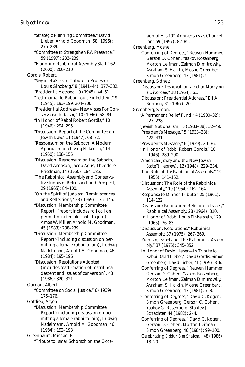"Strategic Planning Committee," David Lieber, Arnold Goodman, 58 (1996): 275–289. "Committee to Strengthen RA Presence," 59 (1997): 233–239. "Honoring Rabbinical Assembly Staff," 62 (2000): 206–210. Gordis, Robert. "*Siyyum HaShas* in Tribute to Professor Louis Ginzberg," 8 (1941–44): 377–382. "President's Message," 9 (1945): 44–51. "Testimonial to Rabbi Louis Finkelstein," 9 (1945): 193–199, 204–206. "Presidential Address—New Vistas For Conservative Judaism," 10 (1946): 58–84. "In Honor of Rabbi Robert Gordis," 10 (1946): 294–295. "Discussion: Report of the Committee on Jewish Law," 11 (1947): 68–72. "Responsum on the Sabbath: A Modern Approach to a Living *Halakhah,*" 14 (1950): 138–155. "Discussion: Responsum on the Sabbath," David Aronson, Jacob Agus, Theodore Friedman, 14 (1950): 184–186. "The Rabbinical Assembly and Conservative Judaism: Retrospect and Prospect," 29 (1965): 84–100. "On the Spirit of Judaism: Reminiscences and Reflections," 33 (1969): 135–146. "Discussion: Membership Committee Report" (report includes roll call on permitting a female rabbi to join), Amos W. Miller, Arnold M. Goodman, 45 (1983): 238–239. "Discussion: Membership Committee Report"(including discussion on permitting a female rabbi to join), Ludwig Nadelmann, Arnold M. Goodman, 46 (1984): 195–196. "Discussion: Resolutions Adopted" (includes reaffirmation of matrilineal descent and issues of conversion), 48 (1986): 320–321. Gordon, Albert I. "Committee on Social Justice," 6 (1939): 175–176. Gottlieb, Aryeh. "Discussion: Membership Committee Report"(including discussion on permitting a female rabbi to join), Ludwig Nadelmann, Arnold M. Goodman, 46 (1984): 192–193. Greenbaum, Michael B. "Tribute to Ismar Schorsch on the Occa-

sion of His 10<sup>th</sup> Anniversary as Chancellor," 59 (1997): 82–85. Greenberg, Moshe. "Conferring of Degrees," Reuven Hammer, Gerson D. Cohen, Yaakov Rosenberg, Morton Leifman, Zalman Dimitrovsky, Avraham S. Halkin, Moshe Greenberg, Simon Greenberg, 43 (1981): 5. Greenberg, Sidney. "Discussion: Teshuvah on a *Kohen* Marrying a Divorcée," 18 (1954): 61. "Discussion: Presidential Address," Eli A. Bohnen, 31 (1967): 20. Greenberg, Simon. "A Permanent Relief Fund," 4 (1930–32): 227–228. "Jewish Nationalism," 5 (1933–38): 32–49. "President's Message," 5 (1933–38): 422–431. "President's Message," 6 (1939): 20–36. "In Honor of Rabbi Robert Gordis," 10 (1946): 289–290. "American Jewry and the New Jewish State"(Hebrew), 12 (1948): 229–234. "The Role of the Rabbinical Assembly," 19 (1955): 141–152. "Discussion: The Role of the Rabbinical Assembly," 19 (1954): 162–164. "Response to Dinner Tribute," 25 (1961): 114–122. "Discussion: Resolution: Religion in Israel," Rabbinical Assembly, 28 (1964): 310. "In Honor of Rabbi Louis Finkelstein," 29 (1965): 76–83. "Discussion: Resolutions," Rabbinical Assembly, 37 (1975): 267–269. "Zionism, Israel and The Rabbinical Assembly," 37 (1975): 345–352. "In Honor of David Lieber—In Tribute to Rabbi David Lieber," David Gordis, Simon Greenberg, David Lieber, 41 (1979): 3–6. "Conferring of Degrees," Reuven Hammer, Gerson D. Cohen, Yaakov Rosenberg, Morton Leifman, Zalman Dimitrovsky, Avraham S. Halkin, Moshe Greenberg, Simon Greenberg, 43 (1981): 7–8. "Conferring of Degrees," David C. Kogen, Simon Greenberg, Gerson C. Cohen, Yaakov G. Rosenberg, Stanley J. Schachter, 44 (1982): 2–4. "Conferring of Degrees," David C. Kogen, Gerson D. Cohen, Morton Leifman, Simon Greenberg, 46 (1984): 99–100. "Celebrating *Siddur Sim Shalom,*" 48 (1986): 18–20.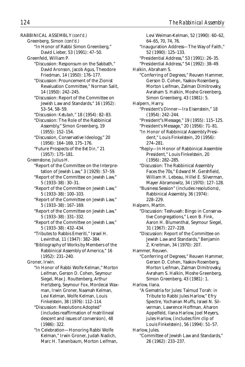RABBINICAL ASSEMBLY *(cont'd.)* Greenberg, Simon *(cont'd.)* "In Honor of Rabbi Simon Greenberg," David Lieber, 53 (1991): 47–50. Greenfeld, William P. "Discussion: Responsum on the Sabbath," David Aronson, Jacob Agus, Theodore Friedman, 14 (1950): 176–177. "Discussion: Prouncement of the Zionist Revaluation Committee," Norman Salit, 14 (1950): 242–245. "Discussion: Report of the Committee on Jewish Law and Standards," 16 (1952): 53–54, 58–59. "Discussion: *Ketubah,*" 18 (1954): 82–83. "Discussion: The Role of the Rabbinical Assembly," Simon Greenberg, 19 (1955): 152–154. "Discussion, Conservative Ideology," 20 (1956): 164–169, 175–176. "Future Prospects of the *Bet Din,*" 21 (1957): 175–181. Greenstone, Julius H. "Report of the Committee on the Interpretation of Jewish Law," 3 (1929): 57–59. "Report of the Committee on Jewish Law," 5 (1933–38): 30–31. "Report of the Committee on Jewish Law," 5 (1933–38): 100–103. "Report of the Committee on Jewish Law," 5 (1933–38): 167–169. "Report of the Committee on Jewish Law," 5 (1933–38): 331–332. "Report of the Committee on Jewish Law," 5 (1933–38): 432–434. "Tributes to Rabbis Emeriti," Israel H. Levinthal, 11 (1947): 382–384. "Bibliography of Works by Members of the Rabbinical Assembly of America," 16 (1952): 231–240. Groner, Irwin. "In Honor of Rabbi Wolfe Kelman," Morton Leifman, Gerson D. Cohen, Seymour Siegel, Max J. Routtenberg, Arthur Hertzberg, Seymour Fox, Mordecai Waxman, Irwin Groner, Naamah Kelman, Levi Kelman, Wolfe Kelman, Louis Finkelstein, 38 (1976): 112–114. "Discussion: Resolutions Adopted" (includes reaffirmation of matrilineal descent and issues of conversion), 48 (1986): 322. "In Celebration—Honoring Rabbi Wolfe

Kelman," Irwin Groner, Judah Nadich, Marc H. Tanenbaum, Morton Leifman,

Levi Weiman-Kelman, 52 (1990): 60–62, 64–65, 70, 74, 76. "Inauguration Address—The Way of Faith," 52 (1990): 125–133. "Presidential Address," 53 (1991): 26–35. "Presidential Address," 54 (1992): 38–49. Halkin, Abraham S. "Conferring of Degrees," Reuven Hammer, Gerson D. Cohen, Yaakov Rosenberg, Morton Leifman, Zalman Dimitrovsky, Avraham S. Halkin, Moshe Greenberg, Simon Greenberg, 43 (1981): 5. Halpern, Harry. "President's Dinner—Ira Eisenstein," 18 (1954): 242–244. "President"s Message," 19 (1955): 115–125. "President's Message," 20 (1956): 71–81. "In Honor of Rabbinical Assembly President," Louis Finkelstein, 20 (1956): 274–281. "Reply—In Honor of Rabbinical Assemble President," Louis Finkelstein, 20 (1956): 282–285. "Discussion: The Rabbinical Assembly Faces the 70s," Edward M. Gershfield, William H. Lebeau, Hillel E. Silverman, Mayer Abramowitz, 34 (1970): 127–128. "Business Session" (includes resolutions), Rabbinical Assembly, 36 (1974): 228–229. Halpern, Martin. "Discussion: Teshuvah: Bingo in Conservative Congregations," Leon B. Fink, Aaron H. Blumenthal, Seymour Siegel, 31 (1967): 227–228. "Discussion: Report of the Committee on Jewish Law and Standards," Benjamin Z. Kreitman, 34 (1970): 207. Hammer, Reuven. "Conferring of Degrees," Reuven Hammer, Gerson D. Cohen, Yaakov Rosenberg, Morton Leifman, Zalman Dimitrovsky, Avraham S. Halkin, Moshe Greenberg, Simon Greenberg, 43 (1981): 1. Harlow, Ilana. "A Gematria for Jules: Talmud Torah: in Tribute to Rabbi Jules Harlow," Efry Spectre, Yochanan Muffs, Israel N. Silverman, Lawrence Hoffman, Aharon Appelfeld, Ilana Harlow, Joel Meyers, Jules Harlow, (includes film clip of Louis Finkelstein), 56 (1994): 51–57. Harlow, Jules. "Committee of Jewish Law and Standards," 26 (1962): 233–237.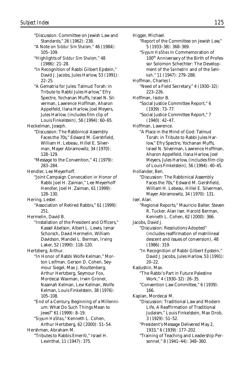"Discussion: Committee on Jewish Law and Standards," 26 (1962): 238. "A Note on *Siddur Sim Shalom,*" 46 (1984): 105–109. "Highlights of *Siddur Sim Shalom,*" 48 (1986): 21–28. "In Recognition of Rabbi Gilbert Epstein," David J. Jacobs, Jules Harlow, 53 (1991): 22–25. "A Gematria for Jules: Talmud Torah: in Tribute to Rabbi Jules Harlow," Efry Spectre, Yochanan Muffs, Israel N. Silverman, Lawrence Hoffman, Aharon Appelfeld, Ilana Harlow, Joel Meyers, Jules Harlow, (includes film clip of Louis Finkelstein), 56 (1994): 60–65. Heckelman, Joseph. "Discussion: The Rabbinical Assembly Faces the 70s," Edward M. Gershfield, William H. Lebeau, Hillel E. Silverman, Mayer Abramowitz, 34 (1970): 128–129. "Message to the Convention," 41 (1979): 283–284. Hendler, Lee Meyerhoff. "Joint Campaign Convocation in Honor of Rabbi Joel H. Zaiman," Lee Meyerhoff Hendler, Joel H. Zaiman, 61 (1999): 128–130. Hering, Lester. "Association of Retired Rabbis," 61 (1999): 251. Hermelin, David B. "Installation of the President and Officers," Kassel Abelson, Albert L. Lewis, Ismar Schorsch, David Hermelin, William Davidson, Mandel L. Berman, Irving Laker, 52 (1990): 118–120. Hertzberg, Arthur. "In Honor of Rabbi Wolfe Kelman," Morton Leifman, Gerson D. Cohen, Seymour Siegel, Max J. Routtenberg, Arthur Hertzberg, Seymour Fox, Mordecai Waxman, Irwin Groner, Naamah Kelman, Levi Kelman, Wolfe Kelman, Louis Finkelstein, 38 (1976): 105–108. "End of a Century, Beginning of a Millennium: What Do Such Things Mean to Jews?" 61 (1999): 8–19. "*Siyyum HaShas*," Kenneth L. Cohen, Arthur Hertzberg, 62 (2000): 51–54. Hershman, Abraham M. "Tributes to Rabbis Emeriti," Israel H. Levinthal, 11 (1947): 375.

Higger, Michael. "Report of the Committee on Jewish Law," 5 (1933–38): 368–369. "*Siyyum HaShas* in Commemoration of 100th Anniversary of the Birth of Professor Solomon Schechter: The Development of the *Sanhedrin* and of the *Semikah,*" 11 (1947): 279–288. Hoffman, Charles I. "Need of a Field Secretary," 4 (1930–32): 223–226. Hoffman, Isidor B. "Social Justice Committee Report," 6 (1939): 73–77. "Social Justice Committee Report," 7 (1940): 42–47. Hoffman, Lawrence. "A Place in the Mind of God: Talmud Torah: in Tribute to Rabbi Jules Harlow," Efry Spectre, Yochanan Muffs, Israel N. Silverman, Lawrence Hoffman, Aharon Appelfeld, Ilana Harlow, Joel Meyers, Jules Harlow, (includes film clip of Louis Finkelstein), 56 (1994): 40–45. Hollander, Ben. "Discussion: The Rabbinical Assembly Faces the 70s," Edward M. Gershfield, William H. Lebeau, Hillel E. Silverman, Mayer Abramowitz, 34 (1970): 131. Iser, Alan. "Regional Reports," Mauricio Balter, Steven R. Tucker, Alan Iser, Harold Berman, Kenneth L. Cohen, 62 (2000): 366. Jacobs, David J. "Discussion: Resolutions Adopted" (includes reaffirmation of matrilineal descent and issues of conversion), 48 (1986): 319. "In Recognition of Rabbi Gilbert Epstein," David J. Jacobs, Jules Harlow, 53 (1991): 20–22. Kadushin, Max. "The Rabbi's Part in Future Palestine Work," 4 (1930–32): 26–35. "Convention Law Committee," 6 (1939): 166. Kaplan, Mordecai M. "Discussion: Traditional Law and Modern Life, A Reaffirmation of Traditional Judaism," Louis Finkelstein, Max Drob, 3 (1929): 51–52. "President's Message Delivered May 2, 1933," 6 (1939): 177–202. "Training of Teaching and Leadership Personnel," 8 (1941–44): 348–360.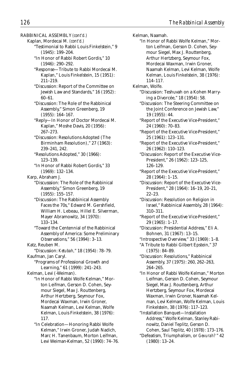RABBINICAL ASSEMBLY *(cont'd.)*

Kaplan, Mordecai M. *(cont'd.)* "Testimonial to Rabbi Louis Finkelstein," 9 (1945): 199–204.

- "In Honor of Rabbi Robert Gordis," 10 (1946): 290–292.
- "Response—Tribute to Rabbi Mordecai M. Kaplan," Louis Finkelstein, 15 (1951): 211–219.
- "Discussion: Report of the Committee on Jewish Law and Standards," 16 (1952): 60–61.
- "Discussion: The Role of the Rabbinical Assembly," Simon Greenberg, 19 (1955): 164–167.
- "Reply—In Honor of Doctor Mordecai M. Kaplan," Moshe Davis, 20 (1956): 267–273.
- "Discussion: Resolutions Adopted (The Birminham Resolution)," 27 (1963): 239–241, 242.
- "Resolutions Adopted," 30 (1966): 123–139.
- "In Honor of Rabbi Robert Gordis," 33 (1969): 132–134.
- Karp, Abraham J.
	- "Discusssion: The Role of the Rabbinical Assembly," Simon Greenberg, 19 (1955): 155–157.
	- "Discussion: The Rabbinical Assembly Faces the 70s," Edward M. Gershfield, William H. Lebeau, Hillel E. Silverman, Mayer Abramowitz, 34 (1970): 133–134.
	- "Toward the Centennial of the Rabbinical Assembly of America: Some Preliminary Observations," 56 (1994): 3–13.
- Katz, Reuben M.
- "Discussion: *Ketubah,*" 18 (1954): 78–79. Kaufman, Jan Caryl.
	- "Programs of Professional Growth and Learning," 61 (1999): 241–243.
- Kelman, Levi (-Weiman).
	- "In Honor of Rabbi Wolfe Kelman," Morton Leifman, Gerson D. Cohen, Seymour Siegel, Max J. Routtenberg, Arthur Hertzberg, Seymour Fox, Mordecai Waxman, Irwin Groner, Naamah Kelman, Levi Kelman, Wolfe Kelman, Louis Finkelstein, 38 (1976): 117.
	- "In Celebration—Honoring Rabbi Wolfe Kelman," Irwin Groner, Judah Nadich, Marc H. Tanenbaum, Morton Leifman, Levi Weiman-Kelman, 52 (1990): 74–76.

Kelman, Naamah. "In Honor of Rabbi Wolfe Kelman," Morton Leifman, Gerson D. Cohen, Seymour Siegel, Max J. Routtenberg, Arthur Hertzberg, Seymour Fox, Mordecai Waxman, Irwin Groner, Naamah Kelman, Levi Kelman, Wolfe Kelman, Louis Finkelstein, 38 (1976): 114–117.

- Kelman, Wolfe.
	- "Discussion: Teshuvah on a Kohen Marrying a Divorcée," 18 (1954): 58.
	- "Discussion: The Steering Committee on the Joint Conference on Jewish Law," 19 (1955): 44.
	- "Report of the Executive Vice-President," 24 (1960): 70–83.
	- "Report of the Executive Vice-President," 25 (1961): 123–131.
	- "Report of the Executive Vice-President," 26 (1962): 110–123.
	- "Discussion: Report of the Executive Vice-President," 26 (1962): 123–125, 126–129.
	- "Report of the Executive Vice-President," 28 (1964): 1–15.
	- "Discussion: Report of the Executive Vice-President," 28 (1964): 16–19, 20–21, 22–23.
	- "Discussion: Resolution on Religion in Israel," Rabbinical Assembly, 28 (1964): 310–311.
	- "Report of the Executive Vice-President," 29 (1965): 1–17.
	- "Discussion: Presidential Address," Eli A. Bohnen, 31 (1967): 13–15.
	- "Introspective Overview," 33 (1969): 1–8.
	- "A Tribute to Rabbi Gilbert Epstein," 37 (1975): 84–89.
	- "Discussion: Resolutions," Rabbinical Assembly, 37 (1975): 260, 262–263, 264–265.
	- "In Honor of Rabbi Wolfe Kelman," Morton Leifman, Gerson D. Cohen, Seymour Siegel, Max J. Routtenberg, Arthur Hertzberg, Seymour Fox, Mordecai Waxman, Irwin Groner, Naamah Kelman, Levi Kelman, Wolfe Kelman, Louis Finkelstein, 38 (1976): 117–123.
	- "Installation Banquet—Installation Address," Wolfe Kelman, Stanley Rabinowitz, Daniel Teplitz, Gerson D. Cohen, Saul Teplitz, 40 (1978): 173–176.
	- "Defeatism, Triumphalism, or *Gevurah?* " 42 (1980): 13–24.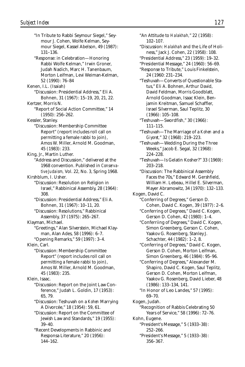"In Tribute to Rabbi Seymour Siegel," Seymour J. Cohen, Wolfe Kelman, Seymour Siegel, Kassel Abelson, 49 (1987): 131–136. "Response: in Celebration—Honoring Rabbi Wolfe Kelman," Irwin Groner, Judah Nadich, Marc H. Tanenbaum, Morton Leifman, Levi Weiman-Kelman, 52 (1990): 76–84 Kenen, I.L. (Isaiah) "Discussion: Presidential Address," Eli A. Bohnen, 31 (1967): 15–19, 20, 21, 22. Kertzer, Morris N. "Report of Social Action Committee," 14 (1950): 256–262. Kessler, Stanley. "Discussion: Membership Committee Report" (report includes roll call on permitting a female rabbi to join), Amos W. Miller, Arnold M. Goodman, 45 (1983): 233. King, Jr., Martin Luther. "Address and Discussion," delivered at the 1968 convention. Published in *Conservative Judaism,* Vol. 22, No. 3, Spring 1968. Kirshblum, I. Usher. "Discussion: Resolution on Religion in Israel," Rabbinical Assembly, 28 (1964): 308. "Discussion: Presidential Address," Eli A. Bohnen, 31 (1967): 10–11, 20. "Discussion: Resolutions," Rabbinical Assembly, 37 (1975): 265–267. Klayman, Michael. "Greetings," Alan Silverstein, Michael Klayman, Alan Ades, 58 (1996): 6–7. "Opening Remarks," 59 (1997): 3–4. Klein, Carl. "Discussion: Membership Committee Report" (report includes roll call on permitting a female rabbi to join), Amos W. Miller, Arnold M. Goodman, 45 (1983): 235. Klein, Isaac. "Discussion: Report on the Joint Law Conference," Judah L. Goldin, 17 (1953): 65, 79. "Discussion: Teshuvah on a *Kohen* Marrying A Divorcée," 18 (1954): 59, 61. "Discussion: Report on the Committee of Jewish Law and Standards," 19 (1955): 39–40. "Recent Developments in Rabbinic and Responsa Literature," 20 (1956): 144–162.

"An Attitude to *Halakhah,*" 22 (1958): 102–107. "Discussion: *Halakhah* and the Life of Holiness," Jack J. Cohen, 22 (1958): 108. "Presidential Address," 23 (1959): 19–32. "Presidential Message," 24 (1960): 56–69. "Response to Tribute," Louis Finkelstein, 24 (1960: 231–234. "Teshuvah—Converts of Questionable Status," Eli A. Bohnen, Arthur David, David Feldman, Morris Goodblatt, Arnold Goodman, Isaac Klein, Benjamin Kreitman, Samuel Schaffler, Israel Silverman, Saul Teplitz, 30 (1966): 105–108. "Teshuvah—Swordfish," 30 (1966): 111–115. "Teshuvah—The Marriage of a *Kohen* and a *Giyoret,*" 32 (1968): 219–223. "Teshuvah—Wedding During the Three Weeks," Jacob E. Segal, 32 (1968): 224–228. "Teshuvah—Is Gelatin Kosher?" 33 (1969): 203–218. "Discussion: The Rabbinical Assembly Faces the 70s," Edward M. Gershfield, William H. Lebeau, Hillel E. Silverman, Mayer Abramowitz, 34 (1970): 132–133. Kogen, David C. "Conferring of Degrees," Gerson D. Cohen, David C. Kogen, 39 (1977): 2–6. "Conferring of Degrees," David C. Kogen, Gerson D. Cohen, 42 (1980): 1–4. "Conferriing of Degrees," David C. Kogen, Simon Greenberg, Gerson C. Cohen, Yaakov G. Rosenberg, Stanley J. Schachter, 44 (1982): 1–2, 8. "Conferring of Degrees," David C. Kogen, Gerson D. Cohen, Morton Leifman, Simon Greenberg, 46 (1984): 95–96. "Conferring of Degrees," Alexander M. Shapiro, David C. Kogen, Saul Teplitz, Gerson D. Cohen, Morton Leifman, Yaakov G. Rosenberg, David Lieber, 48 (1986): 133–134, 141. "In Honor of Leo Landes," 57 (1995): 69–70. Kogen, Judah. "Recognition of Rabbis Celebrating 50 Years of Service," 58 (1996): 72–76. Kohn, Eugene. "President's Message," 5 (1933–38): 252–266.

"President's Message," 5 (1933–38): 356–367.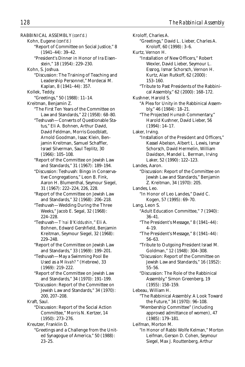RABBINICAL ASSEMBLY *(cont'd.)*

- Kohn, Eugene *(cont'd.)*
	- "Report of Committee on Social Justice," 8 (1941–44): 39–42.
	- "President's Dinner in Honor of Ira Eisenstein," 18 (1954): 229–230.
- Kohn, S. Joshua.
	- "Discussion: The Training of Teaching and Leadership Personnel," Mordecai M. Kaplan, 8 (1941–44): 357.
- Kollek, Teddy.
- "Greetings," 50 (1988): 11–14.
- Kreitman, Benjamin Z.
	- "The First Ten Years of the Committee on Law and Standards," 22 (1958): 68–80.
	- "Teshuvah—Converts of Questionable Status," Eli A. Bohnen, Arthur David, David Feldman, Morris Goodblatt, Arnold Goodman, Isaac Klein, Benjamin Kreitman, Samuel Schaffler, Israel Silverman, Saul Teplitz, 30 (1966): 105–108.
	- "Report of the Committee on Jewish Law and Standards," 31 (1967): 189–194.
	- "Discussion: Teshuvah: Bingo in Conservative Congregations," Leon B. Fink, Aaron H. Blumenthal, Seymour Siegel, 31 (1967): 222–224, 226, 228.
	- "Report of the Committee on Jewish Law and Standards," 32 (1968): 206–218.
	- "Teshuvah—Wedding During the Three Weeks," Jacob E. Segal, 32 (1968): 224–228.
	- "Teshuvah—*T'nai B'Kiddushin,*" Eli A. Bohnen, Edward Gershfield, Benjamin Kreitman, Seymour Siegel, 32 (1968): 229–248.
	- "Report of the Committee on Jewish Law and Standards," 33 (1969): 199–201.
	- "Teshuvah—May a Swimming Pool Be Used as a *Mikvah?*" (Hebrew), 33 (1969): 219–222.
	- "Report of the Committee on Jewish Law and Standards," 34 (1970): 191–199.
	- "Discussion: Report of the Committee on Jewish Law and Standards," 34 (1970): 200, 207–208.
- Kraft, Saul.
	- "Discussion: Report of the Social Action Committee," Morris N. Kertzer, 14 (1950): 273–276.
- Kreutzer, Franklin D.
	- "Greetings and a Challenge from the United Synagogue of America," 50 (1988): 23–25.

Kroloff, Charles A. "Greetings," David L. Lieber, Charles A. Kroloff, 60 (1998): 3–6. Kurtz, Vernon H. "Installation of New Officers," Robert Wexler, David Lieber, Seymour L. Essrog, Ismar Schorsch, Vernon H. Kurtz, Alan Rutkoff, 62 (2000): 153–160. "Tribute to Past Presidents of the Rabbinical Assembly," 62 (2000): 168–172. Kushner, Harold S. "A Plea for Unity in the Rabbinical Assembly," 46 (1984): 18–21. "The Projected *Humash* Commentary," Harold Kushner, David Lieber, 56 (1994): 14–17. Laker, Irving. "Installation of the President and Officers" Kassel Abelson, Albert L. Lewis, Ismar Schorsch, David Hermelin, William Davidson, Mandel L. Berman, Irving Laker, 52 (1990): 122–123. Landes, Aaron. "Discussion: Report of the Committee on Jewish Law and Standards," Benjamin Z. Kreitman, 34 (1970): 205. Landes, Leo. "In Honor of Leo Landes," David C. Kogen, 57 (1995): 69–70. Lang, Leon S. "Adult Education Committee," 7 (1940): 36–41. "The President's Message," 8 (1941–44): 4–19. "The President's Message," 8 (1941–44): 56–63. "Tribute to Outgoing President Israel M. Goldman," 12 (1948): 304–308. "Discussion: Report of the Committee on Jewish Law and Standards," 16 (1952): 55–56. "Discussion: The Role of the Rabbinical Assembly," Simon Greenberg, 19 (1955): 158–159. Lebeau, William H. "The Rabbinical Assembly: A Look Toward the Future," 34 (1970): 96–108. "Membership Committee" (including approved admittance of women), 47 (1985): 179–181. Leifman, Morton M. "In Honor of Rabbi Wolfe Kelman," Morton Leifman, Gerson D. Cohen, Seymour Siegel, Max J. Routtenberg, Arthur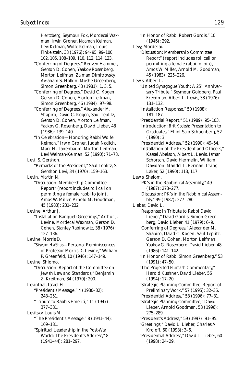Hertzberg, Seymour Fox, Mordecai Waxman, Irwin Groner, Naamah Kelman, Levi Kelman, Wolfe Kelman, Louis Finkelstein, 38 (1976): 94–95, 99–100, 102, 105, 108–109, 110, 112, 114, 123. "Conferring of Degrees," Reuven Hammer,

- Gerson D. Cohen, Yaakov Rosenberg, Morton Leifman, Zalman Dimitrovsky, Avraham S. Halkin, Moshe Greenberg, Simon Greenberg, 43 (1981): 1, 3, 5.
- "Conferring of Degrees," David C. Kogen, Gerson D. Cohen, Morton Leifman, Simon Greenberg, 46 (1984): 97–98.
- "Conferring of Degrees," Alexander M. Shapiro, David C. Kogen, Saul Teplitz, Gerson D. Cohen, Morton Leifman, Yaakov G. Rosenberg, David Lieber, 48 (1986): 139–140.
- "In Celebration—Honoring Rabbi Wolfe Kelman," Irwin Groner, Judah Nadich, Marc H. Tanenbaum, Morton Leifman, Levi Weiman-Kelman, 52 (1990): 71–73.
- Levi, S. Gershon.
	- "Remarks of the President," Saul Teplitz, S. Gershon Levi, 34 (1970): 159–163.
- Levin, Martin N.
	- "Discussion: Membership Committee Report" (report includes roll call on permitting a female rabbi to join), Amos W. Miller, Arnold M. Goodman, 45 (1983): 231–232.

Levine, Arthur J.

- "Installation Banquet: Greetings," Arthur J. Levine, Mordecai Waxman, Gerson D. Cohen, Stanley Rabinowitz, 38 (1976): 127–136.
- Levine, Morris D.
	- "*Siyyum HaShas*—Personal Reminiscences of Professor Morris D. Levine," William P. Greenfeld, 10 (1946): 147–149.

Levine, Shlomo.

"Discussion: Report of the Committee on Jewish Law and Standards," Benjamin Z. Kreitman, 34 (1970): 200.

Levinthal, Israel H.

- "President's Message," 4 (1930–32): 243–251.
- "Tribute to Rabbis Emeriti," 11 (1947): 377–381.
- Levitsky, Louis M. "The President's Message," 8 (1941–44): 169–181.
	- "Spiritual Leadership in the Post-War World: The President's Address," 8 (1941–44): 281–297.

"In Honor of Rabbi Robert Gordis," 10 (1946): 292.

Levy, Mordecai.

"Discussion: Membership Committee Report" (report includes roll call on permitting a female rabbi to join), Amos W. Miller, Arnold M. Goodman, 45 (1983): 225–226.

- Lewis, Albert L.
	- "United Synagogue Youth: A 25<sup>th</sup> Anniversary Tribute," Seymour Goldberg, Paul Freedman, Albert L. Lewis, 38 (1976): 131–132.
	- "Installation Response," 50 (1988): 181–187.
	- "Presidential Report," 51 (1989): 95–103.
	- "Introduction: *Brit Kodesh:* Presentation to Graduates," Elliot Salo Schoenberg, 52  $(1990):$  3.
	- "Presidential Address," 52 (1990): 49–54.
	- "Installation of the President and Officers," Kassel Abelson, Albert L. Lewis, Ismar Schorsch, David Hermelin, William Davidson, Mandel L. Berman, Irving Laker, 52 (1990): 113, 117.
- Lewis, Shalom.
	- "PK's in the Rabbinical Assembly," 49 (1987): 273–277.
	- "Discussion: PK's in the Rabbinical Assembly," 49 (1987): 277–280.
- Lieber, David L.
	- "Response: in Tribute to Rabbi David Lieber," David Gordis, Simon Greenberg, David Lieber, 41 (1979): 6–9.
	- "Conferring of Degrees," Alexander M. Shapiro, David C. Kogen, Saul Teplitz, Gerson D. Cohen, Morton Leifman, Yaakov G. Rosenberg, David Lieber, 48 (1986): 141–142.
	- "In Honor of Rabbi Simon Greenberg," 53 (1991): 47–50.
	- "The Projected *Humash* Commentary," Harold Kushner, David Lieber, 56 (1994): 17–20.
	- "Strategic Planning Committee: Report of Preliminary Work," 57 (1995): 32–35.
	- "Presidential Address," 58 (1996): 77–81. "Strategic Planning Committee," David Lieber, Arnold Goodman, 58 (1996): 275–289.
	- "President's Address," 59 (1997): 91–95.
	- "Greetings," David L. Lieber, Charles A. Kroloff, 60 (1998): 3–6.
	- "Presidential Address," David L. Lieber, 60 (1998): 24–29.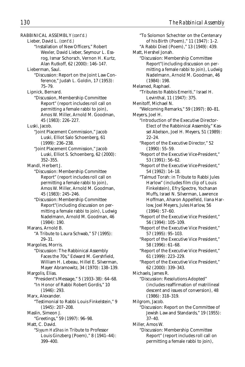RABBINICAL ASSEMBLY *(cont'd.)* Lieber, David L. *(cont'd.)* "Installation of New Officers," Robert Wexler, David Lieber, Seymour L. Essrog, Ismar Schorsch, Vernon H. Kurtz, Alan Rutkoff, 62 (2000): 146–147. Lieberman, Saul. "Discussion: Report on the Joint Law Conference," Judah L. Goldin, 17 (1953): 75–79. Lipnick, Bernard. "Discussion, Membership Committee Report" (report includes roll call on permitting a female rabbi to join), Amos W. Miller, Arnold M. Goodman, 45 (1983): 226–227. Luski, Jacob. "Joint Placement Commission," Jacob Luski, Elliot Salo Schoenberg, 61 (1999): 236–238. "Joint Placement Commission," Jacob Luski, Elliot S. Schoenberg, 62 (2000): 352–355. Mandl, Herbert J. "Discussion: Membership Committee Report" (report includes roll call on permitting a female rabbi to join), Amos W. Miller, Arnold M. Goodman, 45 (1983): 245–246. "Discussion: Membership Committee Report"(including discussion on permitting a female rabbi to join), Ludwig Nadelmann, Arnold M. Goodman, 46 (1984): 190. Marans, Arnold B. "A Tribute to Laura Schwab," 57 (1995): 29–31. Margolies, Morris. "Discussion: The Rabbinical Assembly Faces the 70s," Edward M. Gershfield, William H. Lebeau, Hillel E. Silverman, Mayer Abramowitz, 34 (1970): 138–139. Margolis, Elias. "President's Message," 5 (1933–38): 64–68. "In Honor of Rabbi Robert Gordis," 10  $(1946) \cdot 293$ Marx, Alexander. "Testimonial to Rabbi Louis Finkelstein," 9 (1945): 207–208. Maslin, Simeon J. "Greetings," 59 (1997): 96–98. Matt, C. David. "*Siyyum HaShas* in Tribute to Professor Louis Ginzberg (Poem)," 8 (1941–44):

399–400.

"To Solomon Schechter on the Centenary of his Birth (Poem)," 11 (1947): 1–2. "A Rabbi Died (Poem)," 13 (1949): 439. Matt, Hershel Jonah. "Discussion: Membership Committee Report"(including discussion on permitting a female rabbi to join), Ludwig Nadelmann, Arnold M. Goodman, 46 (1984): 198. Melamed, Raphael. "Tributes to Rabbis Emeriti," Israel H. Levinthal, 11 (1947): 375. Menitoff, Michael N. "Welcoming Remarks," 59 (1997): 80–81. Meyers, Joel H. "Introduction of the Executive Director-Elect of the Rabbinical Assembly," Kassel Abelson, Joel H. Meyers, 51 (1989): 22–24. "Report of the Executive Director," 52 (1990): 55–59. "Report of the Executive Vice-President," 53 (1991): 56–62. "Report of the Executive Vice-President," 54 (1992): 14–18. "Talmud Torah: in Tribute to Rabbi Jules Harlow" (includes film clip of Louis Finkelstein), Efry Spectre, Yochanan Muffs, Israel N. Silverman, Lawrence Hoffman, Aharon Appelfeld, Ilana Harlow, Joel Meyers, Jules Harlow, 56 (1994): 57–60. "Report of the Executive Vice President," 56 (1994): 105–109. "Report of the Executive Vice President," 57 (1995): 95–103. "Report of the Executive Vice President," 58 (1996): 61–68. "Report of the Executive Vice President," 61 (1999): 223–229. "Report of the Executive Vice President," 62 (2000): 339–343. Michaels, James R. "Discussion: Resolutions Adopted" (includes reaffirmation of matrilineal descent and issues of conversion), 48 (1986): 318–319. Milgrom, Jacob. "Discussion: Report on the Committee of Jewish Law and Standards," 19 (1955): 37–40. Miller, Amos W. "Discussion: Membership Committee Report" (report includes roll call on permitting a female rabbi to join),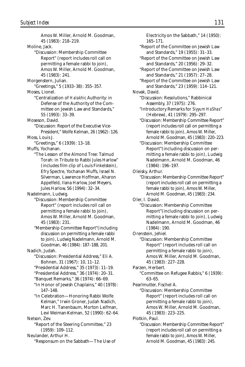Amos W. Miller, Arnold M. Goodman, 45 (1983): 218–219. Moline, Jack. "Discussion: Membership Committee Report" (report includes roll call on permitting a female rabbi to join), Amos W. Miller, Arnold M. Goodman, 45 (1983): 241. Morgenstern, Julian. "Greetings," 5 (1933–38): 355–357. Moses, Lionel. "Centralization of *Halakhic* Authority: in Defense of the Authority of the Committee on Jewish Law and Standards," 55 (1993): 33–39. Moseson, David. "Discussion: Report of the Executive Vice-President," Wolfe Kelman, 26 (1962): 126. Moss, Louis J. "Greetings," 6 (1939): 13–18. Muffs, Yochanan. "The Lesson of the Almond Tree: Talmud Torah: in Tribute to Rabbi Jules Harlow" (includes film clip of Louis Finkelstein), Efry Spectre, Yochanan Muffs, Israel N. Silverman, Lawrence Hoffman, Aharon Appelfeld, Ilana Harlow, Joel Meyers, Jules Harlow, 56 (1994): 32–34. Nadelmann, Ludwig. "Discussion: Membership Committee Report" (report includes roll call on permitting a female rabbi to join), Amos W. Miller, Arnold M. Goodman, 45 (1983): 231. "Membership Committee Report"(including discussion on permitting a female rabbi to join), Ludwig Nadelmann, Arnold M. Goodman, 46 (1984): 187–188, 201. Nadich, Judah. "Discussion: Presidential Address," Eli A. Bohnen, 31 (1967): 10, 11–12. "Presidential Address," 35 (1973): 11–19. "Presidential Address," 36 (1974): 20–31. "Banquet Remarks," 36 (1974): 66–69. "In Honor of Jewish Chaplains," 40 (1978): 147–148. "In Celebration—Honoring Rabbi Wolfe Kelman," Irwin Groner, Judah Nadich, Marc H. Tanenbaum, Morton Leifman, Levi Weiman-Kelman, 52 (1990): 62–64. Nelson, Zev. "Report of the Steering Committee," 23 (1959): 109–112. Neulander, Arthur H. "Responsum on the Sabbath—The Use of

165–171. "Report of the Committee on Jewish Law and Standards," 19 (1955): 31–33. "Report of the Committee on Jewish Law and Standards," 20 (1956): 29–32. "Report of the Committee on Jewish Law and Standards," 21 (1957): 27–28. "Report of the Committee on Jewish Law and Standards," 23 (1959): 114–121. Novak, David. "Discussion: Resolutions," Rabbinical Assembly, 37 (1975): 276. "Introductory Remarks for *Siyyum HaShas*" (Hebrew), 41 (1979): 295–297. "Discussion: Membership Committee Report" (report includes roll call on permitting a female rabbi to join), Amos W. Miller, Arnold M. Goodman, 45 (1983): 220–223. "Discussion: Membership Committee Report"(including discussion on permitting a female rabbi to join), Ludwig Nadelmann, Arnold M. Goodman, 46 (1984): 196–197. Oleisky, Arthur. "Discussion: Membership Committee Report" (report includes roll call on permitting a female rabbi to join), Amos W. Miller, Arnold M. Goodman, 45 (1983): 234. Oler, I. David. "Discussion: Membership Committee Report"(including discussion on permitting a female rabbi to join), Ludwig Nadelmann, Arnold M. Goodman, 46 (1984): 190. Orenstein, Jehiel. "Discussion: Membership Committee Report" (report includes roll call on permitting a female rabbi to join), Amos W. Miller, Arnold M. Goodman, 45 (1983): 227–228. Parzen, Herbert. "Committee on Refugee Rabbis," 6 (1939): 63–65. Pearlmutter, Fischel A. "Discussion: Membership Committee Report" (report includes roll call on permitting a female rabbi to join), Amos W. Miller, Arnold M. Goodman, 45 (1983): 223–225. Plotkin, Paul. "Discussion: Membership Committee Report"

Electricity on the Sabbath," 14 (1950):

(report includes roll call on permitting a female rabbi to join), Amos W. Miller, Arnold M. Goodman, 45 (1983): 245.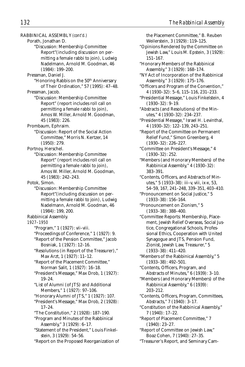RABBINICAL ASSEMBLY *(cont'd.)* Porath, Jonathan D. "Discussion: Membership Committee Report"(including discussion on permitting a female rabbi to join), Ludwig Nadelmann, Arnold M. Goodman, 46 (1984): 199–200. Pressman, Daniel J. "Honoring Rabbis on the 50<sup>th</sup> Anniversary of Their Ordination," 57 (1995): 47–48. Pressman, Jacob. "Discussion: Membership Committee Report" (report includes roll call on permitting a female rabbi to join), Amos W. Miller, Arnold M. Goodman, 45 (1983): 226. Prombaum, Ephraim. "Discussion: Report of the Social Action Committee," Morris N. Kertzer, 14 (1950): 279. Portnoy, Herschel. "Discussion: Membership Committee Report" (report includes roll call on permitting a female rabbi to join), Amos W. Miller, Arnold M. Goodman, 45 (1983): 242–243. Potok, Simon. "Discussion: Membership Committee Report"(including discussion on permitting a female rabbi to join), Ludwig Nadelmann, Arnold M. Goodman, 46 (1984): 199, 200. Rabbinical Assembly. *1927–1950* "Program," 1 (1927): vii–viii. "Proceedings of Conference," 1 (1927): 9. "Report of the Pension Committee," Jacob Bosniak, 1 (1927): 12–16. "Resolutions (in Report of the Treasurer)," Max Arzt, 1 (1927): 11–12. "Report of the Placement Committee," Norman Salit, 1 (1927): 16–18. "President's Message," Max Drob, 1 (1927): 19–24. "List of Alumni (of JTS) and Additional Members," 1 (1927): 97–106. "Honorary Alumni of JTS," 1 (1927): 107. "President's Message," Max Drob, 2 (1928): 17–24. "The Constitution," 2 (1928): 187–190. "Program and Minutes of the Rabbinical Assembly," 3 (1929): 6–17. "Statement of the President," Louis Finkelstein, 3 (1929): 54–56. "Report on the Proposed Reorganization of

the Placement Committee," B. Reuben Weilerstein, 3 (1929): 119–125. "Opinions Rendered by the Committee on Jewish Law," Louis M. Epstein, 3 (1929): 151–167. "Honorary Members of the Rabbinical Assembly," 3 (1929): 168–174. "NY Act of Incorporation of the Rabbinical Assembly," 3 (1929): 175–176. "Officers and Program of the Convention," 4 (1930–32): 5–6, 115–116, 231–233. "Presidential Message," Louis Finkelstein, 4 (1930–32): 9–19. "Abstracts (and Resolutions) of the Minutes," 4 (1930–32): 234–237. "Presidential Message," Israel H. Levinthal, 4 (1930–32): 122–139, 243–251. "Report of the Committee on Permanent Relief Fund," Simon Greenberg, 4 (1930–32): 226–227. "Committee on President's Message," 4 (1930–32): 252. "Members (and Honorary Members) of the Rabbinical Assembly," 4 (1930–32): 383–391. "Contents, Officers, and Abstracts of Minutes," 5 (1933–38): iii–v, viii, ix-x, 53, 54–59, 167, 241–248, 339–351, 403–410. "Pronouncement on Social Justice," 5 (1933–38): 156–164. "Pronouncement on Zionism," 5 (1933–38): 388–400. "Committee Reports: Membership, Placement, Jewish Relief Overseas, Social Justice, Congregational Schools, Professional Ethics, Cooperation with United Synagogue and JTS, Pension Fund, Zionist, Jewish Law, Treasurer," 5 (1933–38): 411–420. "Members of the Rabbinical Assembly," 5 (1933–38): 492–501. "Contents, Officers, Program, and Abstracts of Minutes," 6 (1939): 3–10. "Members (and Honorary Members) of the Rabbinical Assembly," 6 (1939): 203–212. "Contents, Officers, Program, Committees, Abstracts," 7 (1940): 3–17. "Constitution of the Rabbinical Assembly," 7 (1940): 17–22. "Report of Placement Committee," 7 (1940): 23–27. "Report of Committee on Jewish Law," Boaz Cohen, 7 (1940): 27–35. "Treasurer's Report, and Seminary Cam-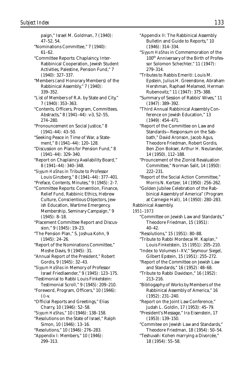paign," Israel M. Goldman, 7 (1940): 47–52, 54. "Nominations Committee," 7 (1940): 61–62. "Committee Reports: Chaplaincy, Inter-Rabbinical Cooperation, Jewish Student Activities, Palestine, Pension Fund," 7 (1940): 327–337. "Members (and Honorary Members) of the Rabbinical Assembly," 7 (1940): 339–352. "List of Members of R.A. by State and City," 7 (1940): 353–363. "Contents, Officers, Program, Committees, Abstracts," 8 (1941–44): v-3, 52–55, 274–280. "Pronouncement on Social Justice," 8 (1941–44): 43–50. "Seeking Peace in Time of War, a Statement," 8 (1941–44): 120–128. "Discussion on Plans for Pension Fund," 8 (1941–44): 329–340. "Report on Chaplaincy Availability Board," 8 (1941–44): 340–348. "*Siyyum HaShas* in Tribute to Professor Louis Ginzberg," 8 (1941–44): 377–401. "Preface, Contents, Minutes," 9 (1945): 2–7. "Committee Reports: Convention, Finance, Relief Fund, Rabbinic Ethics, Hebrew Culture, Conscientious Objectors, Jewish Education, Wartime Emergency, Membership, Seminary Campaign," 9 (1945): 8–18. "Placement Committee Report and Discussion," 9 (1945): 19–23. "The Pension Plan," S. Joshua Kohn, 9 (1945): 24–26. "Report of the Nominations Committee," Moshe Davis, 9 (1945): 31. "Annual Report of the President," Robert Gordis, 9 (1945): 32–43. "*Siyyum HaShas* in Memory of Professor Israel Friedlaender," 9 (1945): 123–175. "Testimonial to Rabbi Louis Finkelstein: Testimonial Scroll," 9 (1945): 209–210. "Foreword, Program, Officers," 10 (1946): (i)-v. "Official Reports and Greetings," Elias Charry, 10 (1946): 52–58. "*Siyyum HaShas*," 10 (1946): 138–158. "Resolutions on the State of Israel," Ralph Simon, 10 (1946): 13–16. "Resolutions," 10 (1946): 276–283. "Appendix I: Members," 10 (1946): 299–313.

- "Appendix II: The Rabbinical Assembly Bulletin and Guide to Reports," 10 (1946): 314–334.
- "*Siyyum HaShas* in Commemoration of the 100th Anniversary of the Birth of Professor Solomon Schechter," 11 (1947): 279–314.

"Tributes to Rabbis Emeriti: Louis M. Epstein, Julius H. Greenstone, Abraham Hershman, Raphael Melamed, Herman Rubenovitz," 11 (1947): 375–388.

"Summary of Session of Rabbis' Wives," 11 (1947): 389–392.

"Third Annual Rabbinical Assembly Conference on Jewish Education," 13 (1949): 454–471.

- "Report of the Committee on Law and Standards—Responsum on the Sabbath," David Aronson, Jacob Agus, Theodore Friedman, Robert Gordis, Ben Zion Bokser, Arthur H. Neulander, 14 (1950), 112–188.
- "Prouncement of the Zionist Revaluation Committee," Norman Salit, 14 (1950): 222–231.
- "Report of the Social Action Committee," Morris N. Kertzer, 14 (1950): 256–262.
- "Golden Jubilee Celebration of the Rabbinical Assembly of America" (Program at Carnegie Hall), 14 (1950): 280–283.

Rabbinical Assembly.

*1951–1973*

"Committee on Jewish Law and Standards," Theodore Friedman, 15 (1951): 40–42.

"Resolutions," 15 (1951): 80–88.

- "Tribute to Rabbi Mordecai M. Kaplan," Louis Finkelstein, 15 (1951): 205–210.
- "Index to Volumes I–XV," Seymour Siegel, Gilbert Epstein, 15 (1951): 255–272.

"Report of the Committee on Jewish Law and Standards," 16 (1952): 48–68.

"Tribute to Rabbi Davidson," 16 (1952): 213–216.

"Bibliogaphy of Works by Members of the Rabbinical Assembly of America," 16 (1952): 231–240.

"Report on the Joint Law Conference," Judah L. Goldin, 17 (1953): 45–79.

"President's Message," Ira Eisenstein, 17 (1953): 139–150.

"Commitee on Jewish Law and Standards," Theodore Friedman, 18 (1954): 50–54.

"Teshuvah: Kohen marrying a Divorcée," 18 (1954): 55–58.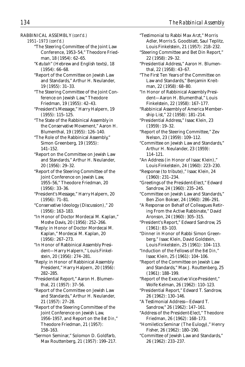- RABBINICAL ASSEMBLY *(cont'd.)*
	- *1951–1973 (cont'd.)*
		- "The Steering Committee of the Joint Law Conference, 1953–54," Theodore Friedman, 18 (1954): 62–65.
		- "*Ketubah*" (Hebrew and English texts), 18 (1954): 66–68.
		- "Report of the Committee on Jewish Law and Standards," Arthur H. Neulander, 19 (1955): 31–33.
		- "The Steering Committee of the Joint Conference on Jewish Law," Theodore Friedman, 19 (1955): 42–43.
		- "President's Message," Harry Halpern, 19 (1955): 115–125.
		- "The State of the Rabbinical Assembly in the Conservative Movement," Aaron H. Blumenthal, 19 (1955): 126–140.
		- "The Role of the Rabbinical Assembly," Simon Greenberg, 19 (1955): 141–152.
		- "Report on the Committee on Jewish Law and Standards," Arthur H. Neulander, 20 (1956): 29–32.
		- "Report of the Steering Committee of the Joint Conference on Jewish Law, 1955–56," Theodore Friedman, 20 (1956): 33–36.
		- "President's Message," Harry Halpern, 20 (1956): 71–81.
		- "Conservative Ideology (Discussion)," 20 (1956): 163–183.
		- "In Honor of Doctor Mordecai M. Kaplan," Moshe Davis, 20 (1956): 252–266.
		- "Reply: in Honor of Doctor Mordecai M. Kaplan," Mordecai M. Kaplan, 20 (1956): 267–273.
		- "In Honor of Rabbinical Assembly President—Harry Halpern," Louis Finkelstein, 20 (1956): 274–281.
		- "Reply: in Honor of Rabbinical Assembly President," Harry Halpern, 20 (1956): 282–285.
		- "Presidential Report," Aaron H. Blumenthal, 21 (1957): 37–56.
		- "Report of the Committee on Jewish Law and Standards," Arthur H. Neulander, 21 (1957): 27–28.
		- "Report of the Steering Committee of the Joint Conference on Jewish Law, 1956–1957, and Report on the *Bet Din*," Theodore Friedman, 21 (1957): 158–163.
		- "Sermon Seminar," Solomon D. Goldfarb, Max Routtenberg, 21 (1957): 199–217.
- "Testimonial to Rabbi Max Arzt," Morris Adler, Morris S. Goodblatt, Saul Teplitz, Louis Finkelstein, 21 (1957): 218–232.
- "Steering Committee and Bet Din Report," 22 (1958): 29–32.
- "Presidential Address," Aaron H. Blumenthal, 22 (1958): 43–67.
- "The First Ten Years of the Committee on Law and Standards," Benjamin Kreitman, 22 (1958): 68–80.
- "In Honor of Rabbinical Assembly President—Aaron H. Blumenthal," Louis Finkelstein, 22 (1958): 167–177.
- "Rabbinical Assembly of America Membership List," 22 (1958): 181–214.
- "Presidential Address," Isaac Klein, 23 (1959): 19–32.
- "Report of the Steering Committee," Zev Nelson, 23 (1959): 109–112.
- "Committee on Jewish Law and Standards," Arthur H. Neulander, 23 (1959): 114–121.
- "An Address (in Honor of Isaac Klein)," Louis Finkelstein, 24 (1960): 223–230.
- "Response (to tribute)," Isaac Klein, 24 (1960): 231–234.
- "Greetings of the President-Elect," Edward Sandrow, 24 (1960): 235–245.
- "Committee on Jewish Law and Standards," Ben Zion Bokser, 24 (1960): 286–291.
- "A Response on Behalf of Colleagues Retiring From the Active Rabbinate," David Aronson, 24 (1960): 305–315.
- "President's Report," Edward Sandrow, 25 (1961): 83–103.
- "Dinner in Honor of Rabbi Simon Greenberg," Isaac Klein, David Goldstein, Louis Finkelstein, 25 (1961): 104–113.
- "Induction of the Fellows of the *Bet Din,*" Isaac Klein, 25 (1961): 104–106.
- "Report of the Committee on Jewish Law and Standards," Max J. Routtenberg, 25 (1961): 188–199.
- "Report of the Executive Vice-President," Wolfe Kelman, 26 (1962): 110–123.
- "Presidential Report," Edward T. Sandrow, 26 (1962): 130–146.
- "A Testimonial Address—Edward T. Sandrow," 26 (1962): 147–161.
- "Address of the President-Elect," Theodore Friedman, 26 (1962): 168–173.
- "Homiletics Seminar (The Eulogy)," Henry Fisher, 26 (1962): 180–190.
- "Committee of Jewish Law and Standards," 26 (1962): 233–237.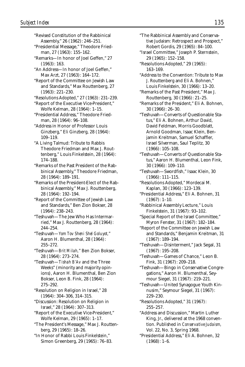- "Revised Constitution of the Rabbinical Assembly," 26 (1962): 246–251.
- "Presidential Message," Theodore Friedman, 27 (1963): 155–162.
- "Remarks—In honor of Joel Geffen," 27 (1963): 163.
- "An Address—In honor of Joel Geffen," Max Arzt, 27 (1963): 164–172.
- "Report of the Committee on Jewish Law and Standards," Max Routtenberg, 27 (1963): 221–230.
- "Resolutions Adopted," 27 (1963): 231–239.
- "Report of the Executive Vice-President," Wolfe Kelman, 28 (1964): 1–15.

"Presidential Address," Theodore Friedman, 28 (1964): 96–108.

- "Address in Honor of Professor Louis Ginzberg," Eli Ginzberg, 28 (1964): 109–119.
- "A Living Talmud: Tribute to Rabbis Theodore Friedman and Max J. Routtenberg," Louis Finkelstein, 28 (1964): 174–188.

"Remarks of the Past President of the Rabbinical Assembly," Theodore Friedman, 28 (1964): 189–191.

"Remarks of the President-Elect of the Rabbinical Assembly," Max J. Routtenberg, 28 (1964): 192–194.

"Report of the Committee of Jewish Law and Standards," Ben Zion Bokser, 28 (1964): 238–243.

"Teshuvah—The Jew Who Has Intermarried," Max J. Routtenberg, 28 (1964): 244–254.

"Teshuvah—*Yom Tov Sheni Shel Goluyot,*" Aaron H. Blumenthal, 28 (1964): 255–272.

"Teshuvah—*Brit Milah,*" Ben Zion Bokser, 28 (1964): 273–274.

"Teshuvah—*Tishah B'Av* and the Three Weeks" (minority and majority opinions), Aaron H. Blumenthal, Ben Zion Bokser, Leon B. Fink, 28 (1964): 275–292.

"Resolution on Religion in Israel," 28 (1964): 304–306, 314–315.

"Discussion: Resolution on Religion in Israel," 28 (1964): 307–313.

"Report of the Executive Vice-President," Wolfe Kelman, 29 (1965): 1–17.

"The President's Message," Max J. Routtenberg, 29 (1965): 18–26.

"In Honor of Rabbi Louis Finkelstein," Simon Greenberg, 29 (1965): 76–83.

- "The Rabbinical Assembly and Conservative Judaism: Retrospect and Prospect," Robert Gordis, 29 (1965): 84–100.
- "Israel Committee," Joseph P. Sternstein, 29 (1965): 152–158.
- "Resolutions Adopted," 29 (1965): 163–169.
- "Address to the Convention: Tribute to Max J. Routtenberg and Eli A. Bohnen," Louis Finkelstein, 30 (1966): 13–20.
- "Remarks of the Past President," Max J. Routtenberg, 30 (1966): 21–25.
- "Remarks of the President," Eli A. Bohnen, 30 (1966): 26–30.
- "Teshuvah—Converts of Questionable Status," Eli A. Bohnen, Arthur David, David Feldman, Morris Goodblatt, Arnold Goodman, Isaac Klein, Benjamin Kreitman, Samuel Schaffler, Israel Silverman, Saul Teplitz, 30 (1966): 105–108.
- "Teshuvah—Converts of Questionable Status," Aaron H. Blumenthal, Leon Fink, 30 (1966): 109–110.
- "Teshuvah—Swordfish," Isaac Klein, 30 (1966): 111–115.
- "Resolutions Adopted," Mordecai M. Kaplan, 30 (1966): 123–139.
- "Presidential Address," Eli A. Bohnen, 31 (1967): 1–10.
- "Rabbinical Assembly Lecture," Louis Finkelstein, 31 (1967): 93–102.
- "Special Report of the Israel Committee," Myron Fenster, 31 (1967): 182–184.
- "Report of the Committee on Jewish Law and Standards," Benjamin Kreitman, 31 (1967): 189–194.
- "Teshuvah—Disinterment," Jack Segal, 31 (1967): 195–208.
- "Teshuvah—Games of Chance," Leon B. Fink, 31 (1967): 209–218.
- "Teshuvah—Bingo in Conservative Congregations," Aaron H. Blumenthal, Seymour Siegel, 31 (1967): 219–221.
- "Teshuvah—United Synagogue Youth Kinnusim," Seymour Siegel, 31 (1967): 229–230.
- "Resolutions Adopted," 31 (1967): 255–257.
- "Address and Discussion," Martin Luther King, Jr., delivered at the 1968 convention. Published in *Conservative Judaism,* Vol. 22, No. 3, Spring 1968.
- "Presidential Address," Eli A. Bohnen, 32 (1968): 1–6.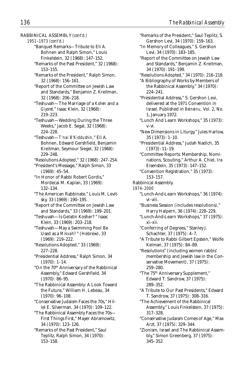RABBINICAL ASSEMBLY *(cont'd.) 1951–1973 (cont'd.)* "Banquet Remarks—Tribute to Eli A. Bohnen and Ralph Simon," Louis Finkelstein, 32 (1968): 147–152. "Remarks of the Past President," 32 (1968): 153–155. "Remarks of the President," Ralph Simon, 32 (1968): 156–161. "Report of the Committee on Jewish Law and Standards," Benjamin Z. Kreitman, 32 (1968): 206–218. "Teshuvah—The Marriage of a *Kohen* and a *Giyoret,*" Isaac Klein, 32 (1968): 219–223. "Teshuvah—Wedding During the Three Weeks," Jacob E. Segal, 32 (1968): 224–228. "Teshuvah—*T'nai B'Kiddushin,*" Eli A. Bohnen, Edward Gershfield, Benjamin Kreitman, Seymour Siegel, 32 (1968): 229–248. "Resolutions Adopted," 32 (1968): 247–254. "President's Message," Ralph Simon, 33 (1969): 45–54. "In Honor of Rabbi Robert Gordis," Mordecai M. Kaplan, 33 (1969): 132–134. "The American Rabbinate," Louis M. Levitsky, 33 (1969): 190–195. "Report of the Committee on Jewish Law and Standards," 33 (1969): 199–201. "Teshuvah—Is Gelatin Kosher? " Isaac Klein, 33 (1969): 203–218. "Teshuvah—May a Swimming Pool Be Used as a *Mikvah?*" (Hebrew), 33 (1969): 219–222. "Resolutions Adopted," 33 (1969): 227–228. "Presidential Address," Ralph Simon, 34 (1970): 1–14. "On the 70<sup>th</sup> Anniversary of the Rabbinical Assembly," Edward Gershfield, 34 (1970): 86–95. "The Rabbinical Assembly: A Look Toward the Future," William H. Lebeau, 34 (1970): 96–108. "Conservative Judaism Faces the 70s," Hillel E. Silverman, 34 (1970): 109–122. "The Rabbinical Assembly Faces the 70s— First Things First," Mayer Abramowitz, 34 (1970): 123–126. "Remarks of the Past President," Saul Teplitz, Ralph Simon, 34 (1970): 153–158.

"Remarks of the President," Saul Teplitz, S. Gershon Levi, 34 (1970): 159–163. "In Memory of Colleagues," S. Gershon Levi, 34 (1970): 183–185. "Report of the Committee on Jewish Law and Standards," Benjamin Z. Kreitman, 34 (1970): 191–199. "Resolutions Adopted," 34 (1970): 216–218. "A Bibliography of Works by Members of the Rabbinical Assembly," 34 (1970): 224–241. "Presidential Address," S. Gershon Levi, delivered at the 1971 Convention in Israel. Published in *Beineinu,* Vol. 2, No. 1, January 1972. "Lunch And Learn Workshops," 35 (1973): v–vi. "New Dimensions in Liturgy," Jules Harlow, 35 (1973): 1–10. "Presidential Address," Judah Nadich, 35 (1973): 11–19. "Committee Reports: Membership, Nominations, Scouting," Arthur A. Chiel, Ira Eisenstein, 35 (1973): 147–152. "Convention Registration," 35 (1973): 153–157. Rabbinical Assembly. *1974–2000* "Lunch-And-Learn Workshops," 36 (1974): vi–viii. "Business Session (includes resolutions)," Harry Halpern, 36 (1974): 228–229. "Lunch-And-Learn Workshops," 37 (1975): xi–xii. "Conferring of Degrees," Stanley J. Schachter, 37 (1975): 4–7. "A Tribute to Rabbi Gilbert Epstein," Wolfe Kelman, 37 (1975): 84–89. "Resolutions" (including women rabbis' membership and Jewish law in the Conservative Movement), 37 (1975): 259–280. "The 75th Anniversary Supplement," Edward T. Sandrow, 37 (1975): 289–352. "A Tribute to Our Past Presidents," Edward T. Sandrow, 37 (1975): 308–316. "The Achievement of the Rabbinical Assembly," Louis Finkelstein, 37 (1975): 317–328. "Conservative Judaism Comes of Age," Max Arzt, 37 (1975): 329–344. "Zionism, Israel and The Rabbinical Assembly," Simon Greenberg, 37 (1975): 345–352.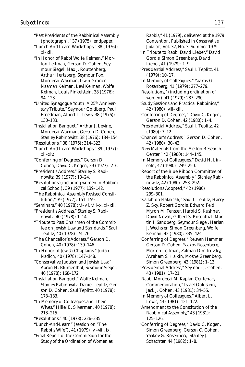| "Past Presidents of the Rabbinical Assembly          |  |
|------------------------------------------------------|--|
| (photograph)," 37 (1975): endpaper.                  |  |
|                                                      |  |
| "Lunch-And-Learn Workshops," 38 (1976):              |  |
| xi-xii.                                              |  |
| "In Honor of Rabbi Wolfe Kelman," Mor-               |  |
| ton Leifman, Gerson D. Cohen, Sey-                   |  |
| mour Siegel, Max J. Routtenberg,                     |  |
| Arthur Hertzberg, Seymour Fox,                       |  |
| Mordecai Waxman, Irwin Groner,                       |  |
| Naamah Kelman, Levi Kelman, Wolfe                    |  |
| Kelman, Louis Finkelstein, 38 (1976):                |  |
| $94 - 123.$                                          |  |
| "United Synagogue Youth: A 25 <sup>th</sup> Anniver- |  |
| sary Tribute," Seymour Goldberg, Paul                |  |
| Freedman, Albert L. Lewis, 38 (1976):                |  |
| 130-133.                                             |  |
| "Installation Banquet," Arthur J. Levine,            |  |
| Mordecai Waxman, Gerson D. Cohen,                    |  |
| Stanley Rabinowitz, 38 (1976): 134-154.              |  |
| "Resolutions," 38 (1976): 314-323.                   |  |
| "Lunch-And-Learn Workshops," 39 (1977):              |  |
| xii-xiv.                                             |  |
| "Conferring of Degrees," Gerson D.                   |  |
| Cohen, David C. Kogen, 39 (1977): 2-6.               |  |
|                                                      |  |
| "President's Address," Stanley S. Rabi-              |  |
| nowitz, 39 (1977): 13-24.                            |  |
| "Resolutions" (including women in Rabbini-           |  |
| cal School), 39 (1977): 139-142.                     |  |
| "The Rabbinical Assembly Revised Consti-             |  |
| tution," 39 (1977): 151-159.                         |  |
| "Seminars," 40 (1978): vi-vii, viii-x, xi-xii.       |  |
| "President's Address," Stanley S. Rabi-              |  |
| nowitz, 40 (1978): 1-14.                             |  |
| "Tribute to Past Chairmen of the Commit-             |  |
| tee on Jewish Law and Standards," Saul               |  |
| Teplitz, 40 (1978): 74-76.                           |  |
| "The Chancellor's Address," Gerson D.                |  |
| Cohen, 40 (1978): 139-146.                           |  |
| "In Honor of Jewish Chaplains," Judah                |  |
| Nadich, 40 (1978): 147-148.                          |  |
| "Conservative Judaism and Jewish Law,"               |  |
| Aaron H. Blumenthal, Seymour Siegel,                 |  |
| 40 (1978): 168-172.                                  |  |
| "Installation Banquet," Wolfe Kelman,                |  |
| Stanley Rabinowitz, Daniel Teplitz, Ger-             |  |
| son D. Cohen, Saul Teplitz, 40 (1978):               |  |
| 173-183.                                             |  |
| "In Memory of Colleagues and Their                   |  |
|                                                      |  |
| Wives," Hillel E. Silverman, 40 (1978):              |  |
| 213-215.                                             |  |
| "Resolutions," 40 (1978): 226-235.                   |  |
| "Lunch-And-Learn" (session on "The                   |  |

"Final Report of the Commission for the Study of the Ordination of Women as Rabbis," 41 (1979), delivered at the 1979 Convention. Published in *Conservative Judaism,* Vol. 32, No. 3, Summer 1979.

- "In Tribute to Rabbi David Lieber," David Gordis, Simon Greenberg, David Lieber, 41 (1979): 1–9.
- "Presidential Address," Saul I. Teplitz, 41 (1979): 10–17.
- "In Memory of Colleagues," Yaakov G. Rosenberg, 41 (1979): 277–279.
- "Resolutions," (including ordination of women), 41 (1979): 287–290.
- "Study Sessions and Practical Rabbinics," 42 (1980): viii–xiii.
- "Conferring of Degrees," David C. Kogen, Gerson D. Cohen, 42 (1980): 1–4.
- "Presidential Address," Saul I. Teplitz, 42 (1980): 7–12.
- "Chancellor's Address," Gerson D. Cohen, 42 (1980): 30–43.
- "New Materials from the Melton Research Center," 42 (1980): 144–145.
- "In Memory of Colleagues," David H. Lincoln, 42 (1980): 249–250.
- "Report of the Blue Ribbon Committee of the Rabbinical Assembly," Stanley Rabinowitz, 42 (1980): 253–292.
- "Resolutions Adopted," 42 (1980): 299–301.
- "Kallah on *Halakhah,*" Saul I. Teplitz, Harry Z. Sky, Robert Gordis, Edward Feld, Myron M. Fenster, Harold S. Kushner, David Novak, Gilbert S. Rosenthal, Martin I. Sandberg, Seymour Siegel, Harlan J. Wechsler, Simon Greenberg, Wolfe Kelman, 42 (1980): 335–424.
- "Conferring of Degrees," Reuven Hammer, Gerson D. Cohen, Yaakov Rosenberg, Morton Leifman, Zalman Dimitrovsky, Avraham S. Halkin, Moshe Greenberg, Simon Greenberg, 43 (1981): 1–13.
- "Presidential Address," Seymour J. Cohen, 43 (1981): 17–21.
- "Rabbi Mordecai M. Kaplan Centenary Commemoration," Israel Goldstein, Jack J. Cohen, 43 (1981): 34–55.
- "In Memory of Colleagues," Albert L. Lewis, 43 (1981): 121–122.
- "Amendment to the Constitution of the Rabbinical Assembly," 43 (1981): 125–126.
- "Conferring of Degrees," David C. Kogen, Simon Greenberg, Gerson C. Cohen, Yaakov G. Rosenberg, Stanley J. Schachter, 44 (1982): 1–8.

<sup>&</sup>quot;Lunch-And-Learn" (session on "The Rabbi's Wife"), 41 (1979): vi–viii, ix.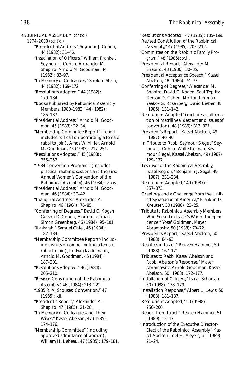RABBINICAL ASSEMBLY *(cont'd.)*

*1974–2000 (cont'd.)*

- "Presidential Address," Seymour J. Cohen, 44 (1982): 31–46.
- "Installation of Officers," William Frankel, Seymour J. Cohen, Alexander M. Shapiro, Arnold M. Goodman, 44 (1982): 83–97.
- "In Memory of Colleagues," Sholom Stern, 44 (1982): 169–172.
- "Resolutions Adopted," 44 (1982): 179–184.
- "Books Published by Rabbinical Assembly Members, 1980–1982," 44 (1982): 185–187.
- "Presidential Address," Arnold M. Goodman, 45 (1983): 22–34.
- "Membership Committee Report" (report includes roll call on permitting a female rabbi to join), Amos W. Miller, Arnold M. Goodman, 45 (1983): 217–251.
- "Resolutions Adopted," 45 (1983): 255–257.
- "1984 Convention Program," (includes practical rabbinic sessions and the First Annual Women's Convention of the Rabbinical Assembly), 46 (1984): v–xiv.
- "Presidential Address," Arnold M. Goodman, 46 (1984): 37–42.
- "Inaugural Address," Alexander M. Shapiro, 46 (1984): 76–85.
- "Conferring of Degrees," David C. Kogen, Gerson D. Cohen, Morton Leifman, Simon Greenberg, 46 (1984): 95–101.
- "*Hazkarah,*" Samuel Chiel, 46 (1984): 182–184.
- "Membership Committee Report"(including discussion on permitting a female rabbi to join), Ludwig Nadelmann, Arnold M. Goodman, 46 (1984): 187–201.
- "Resolutions Adopted," 46 (1984): 205–210.
- "Revised Constitution of the Rabbinical Assembly," 46 (1984): 213–221.
- "1985 R. A. Spouses' Convention," 47 (1985): xii.
- "President's Report," Alexander M. Shapiro, 47 (1985): 21–28.
- "In Memory of Colleagues and Their Wives," Kassel Abelson, 47 (1985): 174–176.
- "Membership Committee" (including approved admittance of women), William H. Lebeau, 47 (1985): 179–181.
- "Resolutions Adopted," 47 (1985): 185–199.
- "Revised Constitution of the Rabbinical Assembly," 47 (1985): 203–212.
- "Committee on the Rabbinic Family Program," 48 (1986): xvii.
- "Presidential Report," Alexander M. Shapiro, 48 (1986): 30–35.
- "Presidential Acceptance Speech," Kassel Abelson, 48 (1986): 74–77.
- "Conferring of Degrees," Alexander M. Shapiro, David C. Kogen, Saul Teplitz, Gerson D. Cohen, Morton Leifman, Yaakov G. Rosenberg, David Lieber, 48 (1986): 131–142.
- "Resolutions Adopted" (includes reaffirmation of matrilineal descent and issues of conversion), 48 (1986): 313–327.
- "President's Report," Kassel Abelson, 49 (1987): 40–46.
- "In Tribute to Rabbi Seymour Siegel," Seymour J. Cohen, Wolfe Kelman, Seymour Siegel, Kassel Abelson, 49 (1987): 129–137.
- "Teshuvot of the Rabbinical Assembly, Israel Region," Benjamin J. Segal, 49 (1987): 231–234.
- "Resolutions Adopted," 49 (1987): 357–373.
- "Greetings and a Challenge from the United Synagogue of America," Franklin D. Kreutzer, 50 (1988): 23–25.
- "Tribute to Rabbinical Assembly Members Who Served in Israel's War of Independence," Yosef Goldman, Mayer Abramovitz, 50 (1988): 70–72.
- "President's Report," Kassel Abelson, 50 (1988): 84–93.
- "Realities in Israel," Reuven Hammer, 50 (1988): 167–171.
- "Tributes to Rabbi Kassel Abelson and Rabbi Abelson's Response," Mayer Abramowitz, Arnold Goodman, Kassel Abelson, 50 (1988): 172–177.
- "Installation of Officers," Ismar Schorsch, 50 (1988): 178–179.
- "Installation Response," Albert L. Lewis, 50 (1988): 181–187.
- "Resolutions Adopted," 50 (1988): 256–260.
- "Report from Israel," Reuven Hammer, 51 (1989): 12–17.

"Introduction of the Executive Director-Elect of the Rabbinical Assembly," Kassel Abelson, Joel H. Meyers, 51 (1989): 21–24.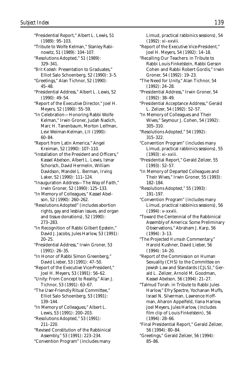"Presidential Report," Albert L. Lewis, 51 (1989): 95–103. "Tribute to Wolfe Kelman," Stanley Rabinowitz, 51 (1989): 104–107. "Resolutions Adopted," 51 (1989): 329–341. "*Brit Kodesh:* Presentation to Graduates," Elliot Salo Schoenberg, 52 (1990): 3–5. "Greetings," Alan Tichnor, 52 (1990): 45–48. "Presidential Address," Albert L. Lewis, 52 (1990): 49–54. "Report of the Executive Director," Joel H. Meyers, 52 (1990): 55–59. "In Celebration—Honoring Rabbi Wolfe Kelman," Irwin Groner, Judah Nadich, Marc H. Tanenbaum, Morton Leifman, Levi Weiman-Kelman, LII (1990): 60–84. "Report from Latin America," Angel Kreiman, 52 (1990): 107–110. "Installation of the President and Officers," Kassel Abelson, Albert L. Lewis, Ismar Schorsch, David Hermelin, William Davidson, Mandel L. Berman, Irving Laker, 52 (1990): 111–124. "Inauguration Address—The Way of Faith,"

Irwin Groner, 52 (1990): 125–133. "In Memory of Colleagues," Kassel Abel-

son, 52 (1990): 260–262.

"Resolutions Adopted" (includes abortion rights, gay and lesbian issues, and organ and tissue donations), 52 (1990): 273–283.

"In Recognition of Rabbi Gilbert Epstein," David J. Jacobs, Jules Harlow, 53 (1991): 20–25.

"Presidential Address," Irwin Groner, 53 (1991): 26–35.

"In Honor of Rabbi Simon Greenberg," David Lieber, 53 (1991): 47–50.

"Report of the Executive Vice-President," Joel H. Meyers, 53 (1991): 56–62.

"Unity: From Concept to Reality," Alan J. Tichnor, 53 (1991): 63–67.

"The User-Friendly Ritual Committee," Elliot Salo Schoenberg, 53 (1991): 139–144.

"In Memory of Colleagues," Albert L. Lewis, 53 (1991): 200–203.

"Resolutions Adopted," 53 (1991): 211–220.

"Revised Constitution of the Rabbinical Assembly," 53 (1991): 223–234.

"Convention Program" (includes many

Limud, practical rabbinics sessions), 54 (1992): xi–xxviii.

"Report of the Executive Vice-President," Joel H. Meyers, 54 (1992): 14–18.

- "Recalling Our Teachers: in Tribute to Rabbi Louis Finkelstein, Rabbi Gerson Cohen and Rabbi Robert Gordis," Irwin Groner, 54 (1992): 19–23.
- "The Need for Unity," Alan Tichnor, 54 (1992): 24–28.
- "Presidential Address," Irwin Groner, 54 (1992): 38–49.

"Presidential Acceptance Address," Gerald L. Zelizer, 54 (1992): 52–57.

"In Memory of Colleagues and Their Wives," Seymour J. Cohen, 54 (1992): 305–310.

"Resolutions Adopted," 54 (1992): 315–322.

"Convention Program" (includes many Limud, practical rabbinics sessions), 55 (1993): xi–xxiii.

"Presidential Report," Gerald Zelizer, 55 (1993): 52–57.

"In Memory of Departed Colleagues and Their Wives," Irwin Groner, 55 (1993): 182–184.

"Resolutions Adopted," 55 (1993): 191–197.

"Convention Program" (includes many Limud, practical rabbinics sessions), 56 (1994): v–xxviii.

"Toward the Centennial of the Rabbinical Assembly of America: Some Preliminary Observations," Abraham J. Karp, 56 (1994): 3–13.

"The Projected *Humash* Commentary," Harold Kushner, David Lieber, 56 (1994): 14–20.

"Report of the Commission on Human Sexuality (CHS) to the Committee on Jewish Law and Standards (CJLS)," Gerald L. Zelizer, Arnold M. Goodman, Kassel Abelson, 56 (1994): 21–27.

"Talmud Torah: in Tribute to Rabbi Jules Harlow," Efry Spectre, Yochanan Muffs, Israel N. Silverman, Lawrence Hoffman, Aharon Appelfeld, Ilana Harlow, Joel Meyers, Jules Harlow, (includes film clip of Louis Finkelstein), 56 (1994): 28–66.

"Final Presidential Report," Gerald Zelizer, 56 (1994): 80–84.

<sup>&</sup>quot;Greetings," Gerald Zelizer, 56 (1994): 85–86.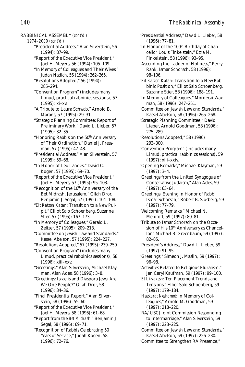RABBINICAL ASSEMBLY *(cont'd.)*

*1974–2000 (cont'd.)*

- "Presidential Address," Alan Silverstein, 56 (1994): 87–99.
- "Report of the Executive Vice President," Joel H. Meyers, 56 (1994): 105–109.
- "In Memory of Colleagues and Their Wives," Judah Nadich, 56 (1994): 262–265.
- "Resolutions Adopted," 56 (1994): 285–294.
- "Convention Program" (includes many Limud, practical rabbinics sessions), 57 (1995): xi–xv.
- "A Tribute to Laura Schwab," Arnold B. Marans, 57 (1995): 29–31.
- "Strategic Planning Committee: Report of Preliminary Work," David L. Lieber, 57 (1995): 32–35.
- "Honoring Rabbis on the 50<sup>th</sup> Anniversary of Their Ordination," Daniel J. Pressman, 57 (1995): 47–48.
- "Presidential Address," Alan Silverstein, 57 (1995): 59–68.
- "In Honor of Leo Landes," David C. Kogen, 57 (1995): 69–70.
- "Report of the Executive Vice President," Joel H. Meyers, 57 (1995): 95–103.
- "Recognition of the 10<sup>th</sup> Anniversary of the Bet Midrash, Jerusalem," Gilah Dror, Benjamin J. Segal, 57 (1995): 104–108.
- "*Eit Ratzon Katan:* Transition to a New Pulpit," Elliot Salo Schoenberg, Suzanne Stier, 57 (1995): 167–173.
- "In Memory of Colleagues," Gerald L. Zelizer, 57 (1995): 209–213.
- "Committee on Jewish Law and Standards," Kassel Abelson, 57 (1995): 224–227.
- "Resolutions Adopted," 57 (1995): 239–250.
- "Convention Program" (includes many Limud, practical rabbinics sessions), 58 (1996): xiii–xxv.
- "Greetings," Alan Silverstein, Michael Klayman, Alan Ades, 58 (1996): 3–8.
- "Greetings: Israelis and Diaspora Jews: Are We One People?" Gilah Dror, 58 (1996): 34–36.
- "Final Presidential Report," Alan Silverstein, 58 (1996): 55–60.
- "Report of the Executive Vice President," Joel H. Meyers, 58 (1996): 61–68.
- "Report from the *Bet Midrash,*" Benjamin J. Segal, 58 (1996): 69–71.
- "Recognition of Rabbis Celebrating 50 Years of Service," Judah Kogen, 58 (1996): 72–76.
- "Presidential Address," David L. Lieber, 58 (1996): 77–81.
- "In Honor of the 100<sup>th</sup> Birthday of Chancellor Louis Finkelstein," Ezra M. Finkelstein, 58 (1996): 93–95.
- "Ascending the Ladder of Holiness," Perry Rank, Ismar Schorsch, 58 (1996): 98–106.
- "*Eit Ratzon Katan:* Transition to a New Rabbinic Position," Elliot Salo Schoenberg, Suzanne Stier, 58 (1996): 188–191.
- "In Memory of Colleagues," Mordecai Waxman, 58 (1996): 247–251.
- "Committee on Jewish Law and Standards," Kassel Abelson, 58 (1996): 265–268.
- "Strategic Planning Committee," David Lieber, Arnold Goodman, 58 (1996): 275–289.
- "Resolutions Adopted," 58 (1996): 293–300.
- "Convention Program" (includes many Limud, practical rabbinics sessions), 59 (1997): xiii–xxiv.
- "Opening Remarks," Michael Klayman, 59 (1997): 3–4.
- "Greetings from the United Synagogue of Conservative Judaism," Alan Ades, 59 (1997): 63–64.
- "Greetings: Evening in Honor of Rabbi Ismar Schorsch," Robert B. Slosberg, 59 (1997): 77–79.
- "Welcoming Remarks," Michael N. Menitoff, 59 (1997): 80–81.
- "Tribute to Ismar Schorsch on the Occasion of His 10<sup>th</sup> Anniversary as Chancellor," Michael B. Greenbaum, 59 (1997): 82–85.
- "President's Address," David L. Lieber, 59 (1997): 91–95.
- "Greetings," Simeon J. Maslin, 59 (1997): 96–98.
- "Activities Related to Religious Pluralism," Jan Caryl Kaufman, 59 (1997): 99–100.
- "*Et Li-vakesh:* Ten Placement Trends and Tensions," Elliot Salo Schoenberg, 59 (1997): 179–184.
- "*Hazkarat Neshamot:* in Memory of Colleagues," Arnold M. Goodman, 59 (1997): 218–220.
- "RA/USCJ Joint Commission Responding to Intermarriage," Alan Silverstein, 59 (1997): 223–225.
- "Committee on Jewish Law and Standards," Kassel Abelson, 59 (1997): 226–230.
- "Committee to Strengthen RA Presence,"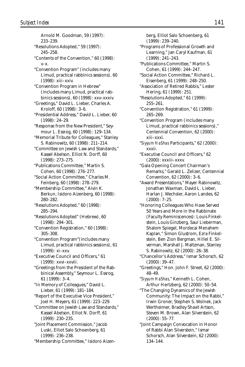Arnold M. Goodman, 59 (1997): 233–239. "Resolutions Adopted," 59 (1997): 245–258. "Contents of the Convention," 60 (1998): v–x. "Convention Program" (includes many Limud, practical rabbinics sessions), 60 (1998): xiii–xxiv. "Convention Program in Hebrew" (includes many Limud, practical rabbinics sessions), 60 (1998): xxv–xxxiv. "Greetings," David L. Lieber, Charles A. Kroloff, 60 (1998): 3–6. "Presidential Address," David L. Lieber, 60 (1998): 24–29. "Response from the New President," Seymour L. Essrog, 60 (1998): 129–134. "Memorial Tribute for Colleagues," Stanley S. Rabinowitz, 60 (1998): 211–214. "Committee on Jewish Law and Standards," Kassel Abelson, Elliot N. Dorff, 60 (1998): 273–275. "Publications Committee," Martin S. Cohen, 60 (1998): 276–277. "Social Action Committee," Charles M. Feinberg, 60 (1998): 278–279. "Membership Committee," Alvin K. Berkun, Isidoro Aizenberg, 60 (1998): 280–282. "Resolutions Adopted," 60 (1998): 285–294. "Resolutions Adopted" (Hebrew), 60 (1998): 294–301. "Convention Registration," 60 (1998): 305–308. "Convention Program"(includes many Limud, practical rabbinics sessions), 61 (1999): xi–xxv. "Executive Council and Officers," 61 (1999): xxvi–xxviii. "Greetings from the President of the Rabbinical Assembly," Seymour L. Essrog, 61 (1999): 3–4. "In Memory of Colleagues," David L. Lieber, 61 (1999): 181–184. "Report of the Executive Vice President," Joel H. Meyers, 61 (1999): 223–229. "Committee on Jewish Law and Standards," Kassel Abelson, Elliot N. Dorff, 61 (1999): 230–235. "Joint Placement Commission," Jacob Luski, Elliot Salo Schoenberg, 61 (1999): 236–238. "Membership Committee," Isidoro Aizen-

berg, Elliot Salo Schoenberg, 61 (1999): 239–240. "Programs of Professional Growth and Learning," Jan Caryl Kaufman, 61 (1999): 241–243. "Publications Committee," Martin S. Cohen, 61 (1999): 244–247. "Social Action Committee," Richard L. Eisenberg, 61 (1999): 248–250. "Association of Retired Rabbis," Lester Hering, 61 (1999): 251. "Resolutions Adopted," 61 (1999): 255–261. "Convention Registration," 61 (1999): 265–269. "Convention Program (includes many Limud, practical rabbinics sessions)," Centennial Convention, 62 (2000): xiii–xxxi. "*Siyyum HaShas* Participants," 62 (2000): xxxii. "Executive Council and Officers," 62 (2000): xxxiii–xxxv. "Gala Opening Concert Chairman's Remarks," Gerald L. Zelizer, Centennial Convention, 62 (2000): 3–6. "Award Presentations," Mayer Rabinowitz, Jonathan Waxman, David L. Lieber, Harlan J. Wechsler, Aaron Landes, 62 (2000): 7–25. "Honoring Colleagues Who Have Served 50 Years and More in the Rabbinate (Faculty Reminiscences): Louis Finkelstein, Louis Ginzberg, Saul Lieberman, Shalom Spiegel, Mordecai Menahem Kaplan," Simon Glustrom, Ezra Finkelstein, Ben Zion Bergman, Hillel E. Silverman, Marshall J. Maltzman, Stanley S. Rabinowitz, 62 (2000): 26–38. "Chancellor's Address," Ismar Schorsch, 62 (2000): 39–47. "Greetings," Hon. John F. Street, 62 (2000): 48–49. "*Siyyum HaShas*," Kenneth L. Cohen, Arthur Hertzberg, 62 (2000): 50–54. "The Changing Dynamics of the Jewish Community: The Impact on the Rabbi," Irwin Groner, Stephen S. Wolnek, Jack Wertheimer, Bradley Shavit Artson, Steven M. Brown, Alan Silverstein, 62 (2000): 55–77. "Joint Campaign Convocation in Honor

of Rabbi Alan Silverstein," Ismar Schorsch, Alan Silverstein, 62 (2000): 134–144.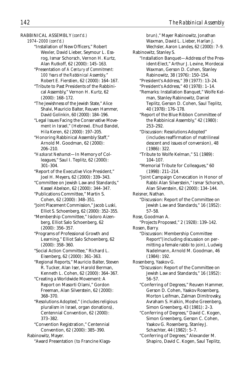RABBINICAL ASSEMBLY *(cont'd.)*

*1974–2000 (cont'd.)*

- "Installation of New Officers," Robert Wexler, David Lieber, Seymour L. Essrog, Ismar Schorsch, Vernon H. Kurtz, Alan Rutkoff, 62 (2000): 145–163.
- "Presentation of *A Century of Commitment: 100 Years of the Rabbinical Assembly,*" Robert E. Fierstien, 62 (2000): 164–167.
- "Tribute to Past Presidents of the Rabbinical Assembly," Vernon H. Kurtz, 62 (2000): 168–172.
- "The Jewishness of the Jewish State," Alice Shalvi, Mauricio Balter, Reuven Hammer, David Golinkin, 60 (2000): 184–196.
- "Legal Issues Facing the Conservative Movement in Israel," (Hebrew). Ehud Bandel, Hila Keren, 62 (2000): 197–205.
- "Honoring Rabbinical Assembly Staff," Arnold M. Goodman, 62 (2000): 206–210.
- "*Hazkarat Neshamot*—In Memory of Colleagues," Saul I. Teplitz, 62 (2000): 301–304.
- "Report of the Executive Vice President," Joel H. Meyers, 62 (2000): 339–343.
- "Committee on Jewish Law and Standards," Kassel Abelson, 62 (2000): 344–347.
- "Publications Committee," Martin S. Cohen, 62 (2000): 348–351.
- "Joint Placement Commission," Jacob Luski, Elliot S. Schoenberg, 62 (2000): 352–355.
- "Membership Committee," Isidoro Aizenberg, Elliot Salo Schoenberg, 62 (2000): 356–357.
- "Programs of Professional Growth and Learning," Elliot Salo Schoenberg, 62 (2000): 358–360.
- "Social Action Committee," Richard L. Eisenberg, 62 (2000): 361–363.
- "Regional Reports," Mauricio Balter, Steven R. Tucker, Alan Iser, Harold Berman, Kenneth L. Cohen, 62 (2000): 364–367.
- "Creating a Worldwide Movement: A Report on Masorti Olami," Gordon Freeman, Alan Silverstein, 62 (2000): 368–370.
- "Resolutions Adopted," (includes religious pluralism in Israel, organ donations), Centennial Convention, 62 (2000): 373–382.
- "Convention Registration," Centennial Convention, 62 (2000): 385–390. Rabinowitz, Mayer.
	- "Award Presentation (to Francine Klags-

brun)," Mayer Rabinowitz, Jonathan

Waxman, David L. Lieber, Harlan J.

Wechsler, Aaron Landes, 62 (2000): 7–9. Rabinowitz, Stanley S.

- "Installation Banquet—Address of the President-Elect," Arthur J. Levine, Mordecai Waxman, Gerson D. Cohen, Stanley Rabinowitz, 38 (1976): 150–154.
	- "President's Address," 39 (1977): 13–24.
	- "President's Address," 40 (1978): 1–14. "Remarks: Installation Banquet," Wolfe Kelman, Stanley Rabinowitz, Daniel Teplitz, Gerson D. Cohen, Saul Teplitz,

40 (1978): 176–178.

"Report of the Blue Ribbon Committee of the Rabbinical Assembly," 42 (1980): 253–292.

"Discussion: Resolutions Adopted" (includes reaffirmation of matrilineal descent and issues of conversion), 48 (1986): 322.

- "Tribute to Wolfe Kelman," 51 (1989): 104–107.
- "Memorial Tribute for Colleagues," 60 (1998): 211–214.
- "Joint Campaign Convocation in Honor of Rabbi Alan Silverstein," Ismar Schorsch, Alan Silverstein, 62 (2000): 134–144.
- Reisner, Nathan.
	- "Discussion: Report of the Committee on Jewish Law and Standards," 16 (1952): 57–58.
- Rose, Goodman A.
- "Projects Proposed," 2 (1928): 139–142. Rosen, Barry.
	- "Discussion: Membership Committee Report"(including discussion on permitting a female rabbi to join), Ludwig Nadelmann, Arnold M. Goodman, 46 (1984): 192.
- Rosenberg, Yaakov G.
	- "Discussion: Report of the Committee on Jewish Law and Standards," 16 (1952): 56–57.

"Conferring of Degrees," Reuven Hammer, Gerson D. Cohen, Yaakov Rosenberg, Morton Leifman, Zalman Dimitrovsky, Avraham S. Halkin, Moshe Greenberg, Simon Greenberg, 43 (1981): 2–3.

- "Conferring of Degrees," David C. Kogen, Simon Greenberg, Gerson C. Cohen, Yaakov G. Rosenberg, Stanley J. Schachter, 44 (1982): 5–7.
- "Conferring of Degrees," Alexander M. Shapiro, David C. Kogen, Saul Teplitz,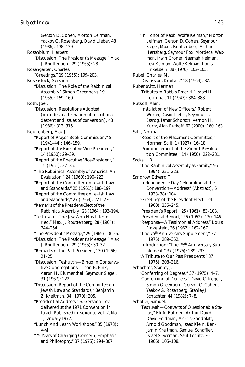(1986): 138–139.

(1955): 159–160.

(1986): 313–315.

14 (1950): 29–39.

15 (1951): 27–35.

244–254.

Rosenblum, Herbert.

Rosengarten, Charles.

Rosenstock, Gershon.

Routtenberg, Max J.

Roth, Joel.

Gerson D. Cohen, Morton Leifman, Yaakov G. Rosenberg, David Lieber, 48 "Discussion: The President's Message," Max J. Routtenberg, 29 (1965): 28. "Greetings," 19 (1955): 199–203. "Discussion: The Role of the Rabbinical Assembly," Simon Greenberg, 19 "Discussion: Resolutions Adopted" (includes reaffirmation of matrilineal descent and issues of conversion), 48 "Report of Prayer Book Commission," 8 (1941–44): 146–159. "Report of the Executive Vice-President," "Report of the Executive Vice-President," "The Rabbinical Assembly of America: An Evaluation," 24 (1960): 190–222. "Report of the Committee on Jewish Law and Standards," 25 (1961): 188–199. "Report of the Committee on Jewish Law and Standards," 27 (1963): 221–230. "Remarks of the President-Elect of the Rabbinical Assembly," 28 (1964): 192–194. "Teshuvah—The Jew Who Has Intermarried," Max. J. Routtenberg, 28 (1964): "The President's Message," 29 (1965): 18–26. "Discussion: The President's Message," Max J. Routtenberg, 29 (1965): 30–32. "Remarks of the Past President," 30 (1966): Sacks, J. B. *Subject Index 143*

21–25. "Discussion: Teshuvah—Bingo in Conservative Congregations," Leon B. Fink, Aaron H. Blumenthal, Seymour Siegel, 31 (1967): 222.

"Discussion: Report of the Committee on Jewish Law and Standards," Benjamin Z. Kreitman, 34 (1970): 205.

"Presidential Address," S. Gershon Levi, delivered at the 1971 Convention in Israel. Published in *Beineinu,* Vol. 2, No. 1, January 1972.

- "Lunch And Learn Workshops," 35 (1973): v–vi.
- "75 Years of Changing Concern, Emphasis and Philosophy," 37 (1975): 294–307.

"In Honor of Rabbi Wolfe Kelman," Morton Leifman, Gerson D. Cohen, Seymour Siegel, Max J. Routtenberg, Arthur Hertzberg, Seymour Fox, Mordecai Waxman, Irwin Groner, Naamah Kelman, Levi Kelman, Wolfe Kelman, Louis Finkelstein, 38 (1976): 102–105. Rubel, Charles. M. "Discussion: *Ketubah,*" 18 (1954): 82. Rubenovitz, Herman. "Tributes to Rabbis Emeriti," Israel H. Levinthal, 11 (1947): 384–388. Rutkoff, Alan. "Installation of New Officers," Robert Wexler, David Lieber, Seymour L. Essrog, Ismar Schorsch, Vernon H. Kurtz, Alan Rutkoff, 62 (2000): 160–163. Salit, Norman. "Report of the Placement Committee," Norman Salit, 1 (1927): 16–18. "Pronouncement of the Zionist Revaluation Committee," 14 (1950): 222–231. "The Rabbinical Assembly as Family," 56 (1994): 221–223. Sandrow, Edward T. "Independence Day Celebration at the Convention—Address" (Abstract), 5 (1933–38): 104. "Greetings of the President-Elect," 24 (1960): 235–245. "President's Report," 25 (1961): 83–103. "Presidential Report," 26 (1962): 130–146. "Response—A Testimonial Address," Louis Finkelstein, 26 (1962): 162–167. "The 75th Anniversary Supplement," 37 (1975): 289–352. "Introduction: "The 75<sup>th</sup> Anniversary Supplement," 37 (1975): 289–293. "A Tribute to Our Past Presidents," 37 (1975): 308–316. Schachter, Stanley J. "Conferring of Degrees," 37 (1975): 4–7. "Conferriing of Degrees," David C. Kogen, Simon Greenberg, Gerson C. Cohen, Yaakov G. Rosenberg, Stanley J. Schachter, 44 (1982): 7–8. Schafler, Samuel. "Teshuvah—Converts of Questionable Status," Eli A. Bohnen, Arthur David, David Feldman, Morris Goodblatt, Arnold Goodman, Isaac Klein, Benjamin Kreitman, Samuel Schaffler, Israel Silverman, Saul Teplitz, 30 (1966): 105–108.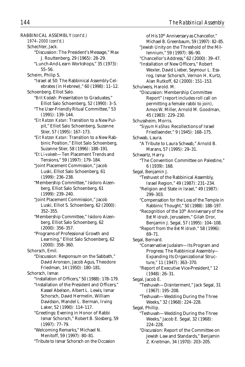RABBINICAL ASSEMBLY *(cont'd.) 1974–2000 (cont'd.)* Schechter, Jack. "Discussion: The President's Message," Max J. Routtenberg, 29 (1965): 28–29. "Lunch-And-Learn Workshops," 35 (1973): 55–56. Scheim, Philip S. "Israel at 50: The Rabbinical Assembly Celebrates (in Hebrew)," 60 (1998): 11–12. Schoenberg, Elliot Salo. "*Brit Kodesh:* Presentation to Graduates," Elliot Salo Schoenberg, 52 (1990): 3–5. "The User-Friendly Ritual Committee," 53 (1991): 139–144. "*Eit Ratzon Katan:* Transition to a New Pulpit," Elliot Salo Schoenberg, Suzanne Stier, 57 (1995): 167–173. "*Eit Ratzon Katan:* Transition to a New Rabbinic Position," Elliot Salo Schoenberg, Suzanne Stier, 58 (1996): 188–191. "*Et Li-vakesh*—Ten Placement Trends and Tensions," 59 (1997): 179–184. "Joint Placement Commission," Jacob Luski, Elliot Salo Schoenberg, 61 (1999): 236–238. "Membership Committee," Isidoro Aizenberg, Elliot Salo Schoenberg, 61 (1999): 239–240. "Joint Placement Commission," Jacob Luski, Elliot S. Schoenberg, 62 (2000): 352–355. "Membership Committee," Isidoro Aizenberg, Elliot Salo Schoenberg, 62 (2000): 356–357. "Programs of Professional Growth and Learning," Elliot Salo Schoenberg, 62 (2000): 358–360. Schorsch, Emil. "Discussion: Responsum on the Sabbath," David Aronson, Jacob Agus, Theodore Friedman, 14 (1950): 180–181. Schorsch, Ismar. "Installation of Officers," 50 (1988): 178–179. "Installation of the President and Officers," Kassel Abelson, Albert L. Lewis, Ismar Schorsch, David Hermelin, William Davidson, Mandel L. Berman, Irving Laker, 52 (1990): 114–117. "Greetings: Evening in Honor of Rabbi Ismar Schorsch," Robert B. Slosberg, 59 (1997): 77–79. "Welcoming Remarks," Michael N. Menitoff, 59 (1997): 80–81. "Tribute to Ismar Schorsch on the Occasion

of His 10<sup>th</sup> Anniversary as Chancellor," Michael B. Greenbaum, 59 (1997): 82–85. "Jewish Unity on the Threshold of the Millennium," 59 (1997): 86–90. "Chancellor's Address," 62 (2000): 39–47. "Installation of New Officers," Robert Wexler, David Lieber, Seymour L. Essrog, Ismar Schorsch, Vernon H. Kurtz, Alan Rutkoff, 62 (2000): 151–153. Schulweis, Harold. M. "Discussion: Membership Committee Report" (report includes roll call on permitting a female rabbi to join), Amos W. Miller, Arnold M. Goodman, 45 (1983): 229–230. Schussheim, Morris. "*Siyyum HaShas:* Recollections of Israel Friedlaender," 9 (1945): 168–175. Schwab, Laura. "A Tribute to Laura Schwab," Arnold B. Marans, 57 (1995): 29–31. Schwartz, Harry. "The Convention Committee on Palestine," 6 (1939): 168. Segal, Benjamin J. "Teshuvot of the Rabbinical Assembly, Israel Region," 49 (1987): 231–234. "Religion and State in Israel," 49 (1987): 299–303. "Compensation for the Loss of the Temple in Rabbinic Thought," 50 (1988): 188–197. "Recognition of the 10<sup>th</sup> Anniversary of the *Bet Midrash,* Jerusalem," Gilah Dror, Benjamin J. Segal, 57 (1995): 104–108. "Report from the *Bet Midrash,*" 58 (1996): 69–71. Segal, Bernard. "Conservative Judaism—Its Program and Progress: The Rabbinical Assembly— Expanding Its Organizational Structure," 11 (1947): 363–370. "Report of Executive Vice-President," 12 (1948): 26–31. Segal, Jacob E. "Teshuvah—Disinterment," Jack Segal, 31 (1967): 195–208. "Teshuvah—Wedding During the Three Weeks," 32 (1968): 224–228. Segal, Phillip. "Teshuvah—Wedding During the Three Weeks," Jacob E. Segal, 32 (1968): 224–228. "Discussion: Report of the Committee on Jewish Law and Standards," Benjamin Z. Kreitman, 34 (1970): 203–205.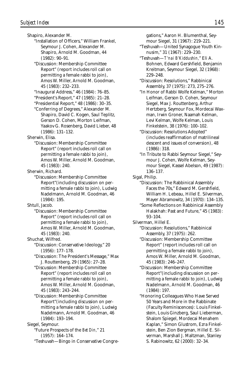Shapiro, Alexander M.

"Installation of Officers," William Frankel, Seymour J. Cohen, Alexander M. Shapiro, Arnold M. Goodman, 44 (1982): 90–91.

"Discussion: Membership Committee Report" (report includes roll call on permitting a female rabbi to join), Amos W. Miller, Arnold M. Goodman, 45 (1983): 232–233.

"Inaugural Address," 46 (1984): 76–85.

"President's Report," 47 (1985): 21–28.

"Presidential Report," 48 (1986): 30–35.

"Conferring of Degrees," Alexander M. Shapiro, David C. Kogen, Saul Teplitz, Gerson D. Cohen, Morton Leifman, Yaakov G. Rosenberg, David Lieber, 48 (1986): 131–132.

Sherwin, Elisa.

"Discussion: Membership Committee Report" (report includes roll call on permitting a female rabbi to join), Amos W. Miller, Arnold M. Goodman, 45 (1983): 240.

Sherwin, Richard.

"Discussion: Membership Committee Report"(including discussion on permitting a female rabbi to join), Ludwig Nadelmann, Arnold M. Goodman, 46 (1984): 195.

Shtull, Jacob.

"Discussion: Membership Committee Report" (report includes roll call on permitting a female rabbi to join), Amos W. Miller, Arnold M. Goodman, 45 (1983): 240.

Shuchat, Wilfred.

"Discussion: Conservative Ideology," 20 (1956): 177–178.

"Discussion: The President's Message," Max J. Routtenberg, 29 (1965): 27–28.

"Discussion: Membership Committee Report" (report includes roll call on permitting a female rabbi to join), Amos W. Miller, Arnold M. Goodman, 45 (1983): 243–244.

"Discussion: Membership Committee Report"(including discussion on permitting a female rabbi to join), Ludwig Nadelmann, Arnold M. Goodman, 46 (1984): 193–194.

Siegel, Seymour.

"Future Prospects of the *Bet Din,*" 21 (1957): 164–174.

"Teshuvah—Bingo in Conservative Congre-

gations," Aaron H. Blumenthal, Sey-

mour Siegel, 31 (1967): 219–221.

- "Teshuvah—United Synagogue Youth Kinnusim," 31 (1967): 229–230.
- "Teshuvah—*T'nai B'Kiddushin,*" Eli A. Bohnen, Edward Gershfield, Benjamin Kreitman, Seymour Siegel, 32 (1968): 229–248.
- "Discussion: Resolutions," Rabbinical Assembly, 37 (1975): 273, 275–276.

"In Honor of Rabbi Wolfe Kelman," Morton Leifman, Gerson D. Cohen, Seymour Siegel, Max J. Routtenberg, Arthur Hertzberg, Seymour Fox, Mordecai Waxman, Irwin Groner, Naamah Kelman, Levi Kelman, Wolfe Kelman, Louis Finkelstein, 38 (1976): 100–102.

"Discussion: Resolutions Adopted" (includes reaffirmation of matrilineal descent and issues of conversion), 48 (1986): 318.

"In Tribute to Rabbi Seymour Siegel," Seymour J. Cohen, Wolfe Kelman, Seymour Siegel, Kassel Abelson, 49 (1987): 136–137.

Sigal, Philip.

"Discussion: The Rabbinical Assembly Faces the 70s," Edward M. Gershfield, William H. Lebeau, Hillel E. Silverman, Mayer Abramowitz, 34 (1970): 134–135.

"Some Reflections on Rabbinical Assembly Halakhah: Past and Future," 45 (1983): 93–104.

Silverman, Hillel E.

"Discussion: Resolutions," Rabbinical Assembly, 37 (1975): 262.

"Discussion: Membership Committee Report" (report includes roll call on permitting a female rabbi to join), Amos W. Miller, Arnold M. Goodman, 45 (1983): 246–247.

"Discussion: Membership Committee Report"(including discussion on permitting a female rabbi to join), Ludwig Nadelmann, Arnold M. Goodman, 46 (1984): 197.

"Honoring Colleagues Who Have Served 50 Years and More in the Rabbinate (Faculty Reminiscences): Louis Finkelstein, Louis Ginzberg, Saul Lieberman, Shalom Spiegel, Mordecai Menahem Kaplan," Simon Glustrom, Ezra Finkelstein, Ben Zion Bergman, Hillel E. Silverman, Marshall J. Maltzman, Stanley S. Rabinowitz, 62 (2000): 32–34.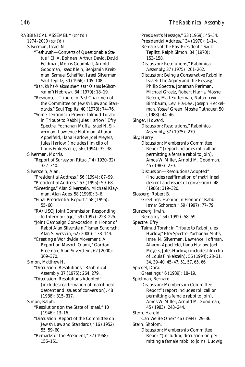| RABBINICAL ASSEMBLY (cont'd.)                | "President's Message," 33 (1969): 45-54.   |
|----------------------------------------------|--------------------------------------------|
| 1974-2000 (cont'd.)                          | "Presidential Address," 34 (1970): 1-14.   |
| Silverman, Israel N.                         | "Remarks of the Past President," Saul      |
| "Teshuvah-Converts of Questionable Sta-      | Teplitz, Ralph Simon, 34 (1970):           |
| tus," Eli A. Bohnen, Arthur David, David     | 153-158.                                   |
| Feldman, Morris Goodblatt, Arnold            | "Discussion: Resolutions," Rabbinical      |
| Goodman, Isaac Klein, Benjamin Kreit-        | Assembly, 37 (1975): 261-262.              |
| man, Samuel Schaffler, Israel Silverman,     | "Discussion: Being a Conservative Rabbi in |
| Saul Teplitz, 30 (1966): 105-108.            | Israel: The Agony and the Ecstasy,"        |
| "Barukh ha-Makom she-Masar Olamo le-Shom-    | Philip Spectre, Jonathan Perlman,          |
| ronim" (Hebrew), 34 (1970): 18-19.           | Michael Graetz, Robert Harris, Moshe       |
| "Response-Tribute to Past Chairmen of        | Re'em, Matt Futterman, Natan Irwin         |
| the Committee on Jewish Law and Stan-        | Birnbaum, Levi Ha-Levi, Joseph Heckel-     |
| dards," Saul Teplitz, 40 (1978): 74-76.      | man, Yossef Green, Moshe Tutnauer, 50      |
| "Some Tensions in Prayer: Talmud Torah:      | $(1988): 44-46.$                           |
| in Tribute to Rabbi Jules Harlow," Efry      | Singer, Howard.                            |
| Spectre, Yochanan Muffs, Israel N. Sil-      | "Discussion: Resolutions," Rabbinical      |
| verman, Lawrence Hoffman, Aharon             | Assembly, 37 (1975): 279.                  |
| Appelfeld, Ilana Harlow, Joel Meyers,        | Sky, Harry.                                |
| Jules Harlow, (includes film clip of         | "Discussion: Membership Committee          |
| Louis Finkelstein), 56 (1994): 35-38.        | Report" (report includes roll call on      |
| Silverman, Morris.                           | permitting a female rabbi to join),        |
| "Report of Survey on Ritual," 4 (1930-32):   | Amos W. Miller, Arnold M. Goodman,         |
| 322-340.                                     | 45 (1983): 230.                            |
| Silverstein, Alan.                           | "Discussion-Resolutions Adopted"           |
| "Presidential Address," 56 (1994): 87-99.    | (includes reaffirmation of matrilineal     |
| "Presidential Address," 57 (1995): 59-68.    | descent and issues of conversion), 48      |
| "Greetings," Alan Silverstein, Michael Klay- | $(1986): 319-320.$                         |
| man, Alan Ades, 58 (1996): 3-6.              | Slosberg, Robert B.                        |
| "Final Presidential Report," 58 (1996):      | "Greetings: Evening in Honor of Rabbi      |
| $55 - 60.$                                   | Ismar Schorsch," 59 (1997): 77-79.         |
| "RA/USCJ Joint Commission Responding         | Slurzberg, Irwin.                          |
| to Intermarriage," 59 (1997): 223-225.       | "Remarks," 54 (1992): 58-59.               |
| "Joint Campaign Convocation in Honor of      | Spectre, Efry.                             |
| Rabbi Alan Silverstein," Ismar Schorsch,     | "Talmud Torah: in Tribute to Rabbi Jules   |
| Alan Silverstein, 62 (2000): 138-144.        | Harlow," Efry Spectre, Yochanan Muffs,     |
| "Creating a Worldwide Movement: A            | Israel N. Silverman, Lawrence Hoffman,     |
| Report on Masorti Olami," Gordon             | Aharon Appelfeld, Ilana Harlow, Joel       |
| Freeman, Alan Silverstein, 62 (2000):        | Meyers, Jules Harlow, (includes film clip  |
| 369-370.                                     | of Louis Finkelstein), 56 (1994): 28-31,   |
| Simon, Matthew H.                            | 34, 39-40, 45-47, 51, 57, 65, 66.          |
| "Discussion: Resolutions," Rabbinical        | Spiegel, Dora.                             |
| Assembly, 37 (1975): 264, 279.               | "Greetings," 6 (1939): 18-19.              |
| "Discussion: Resolutions Adopted"            | Spielman, Bernard.                         |
| (includes reaffirmation of matrilineal       | "Discussion: Membership Committee          |
| descent and issues of conversion), 48        | Report" (report includes roll call on      |
| $(1986): 315 - 317.$                         | permitting a female rabbi to join),        |
| Simon, Ralph.                                | Amos W. Miller, Arnold M. Goodman,         |
| "Resolutions on the State of Israel," 10     | 45 (1983): 243-244.                        |
| $(1946): 13-16.$                             | Stern, Harold.                             |
| "Discussion: Report of the Committee on      | "Can We Be One?" 46 (1984): 29-36.         |
| Jewish Law and Standards," 16 (1952):        | Stern, Sholom.                             |
| 55, 59-60.                                   | "Discussion: Membership Committee          |
| "Remarks of the President," 32 (1968):       | Report" (including discussion on per-      |
| $156 - 161.$                                 | mitting a female rabbi to join), Ludwig    |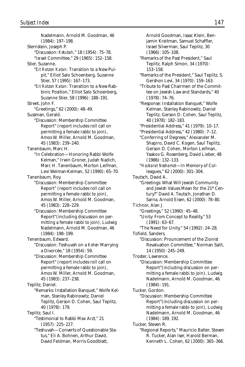Nadelmann, Arnold M. Goodman, 46 (1984): 197–198. Sternstein, Joseph P. "Discussion: *Ketubah,*" 18 (1954): 75–78. "Israel Committee," 29 (1965): 152–158. Stier, Suzanne. "*Eit Ratzon Katan:* Transition to a New Pulpit," Elliot Salo Schoenberg, Suzanne Stier, 57 (1995): 167–173. "*Eit Ratzon Katan:* Transition to a New Rabbinic Position," Elliot Salo Schoenberg, Suzanne Stier, 58 (1996): 188–191. Street, John F. "Greetings," 62 (2000): 48–49. Sussman, Gerald. "Discussion: Membership Committee Report" (report includes roll call on permitting a female rabbi to join), Amos W. Miller, Arnold M. Goodman, 45 (1983): 239–240. Tanenbaum, Marc H. "In Celebration—Honoring Rabbi Wolfe Kelman," Irwin Groner, Judah Nadich, Marc H. Tanenbaum, Morton Leifman, Levi Weiman-Kelman, 52 (1990): 65–70. Tanenbaum, Roy. "Discussion: Membership Committee Report" (report includes roll call on permitting a female rabbi to join), Amos W. Miller, Arnold M. Goodman, 45 (1983): 228–229. "Discussion: Membership Committee Report"(including discussion on permitting a female rabbi to join), Ludwig Nadelmann, Arnold M. Goodman, 46 (1984): 198–199. Tenenbaum, Edward. "Discussion: Teshuvah on a *Kohen* Marrying a Divorcée," 18 (1954): 59. "Discussion: Membership Committee Report" (report includes roll call on permitting a female rabbi to join), Amos W. Miller, Arnold M. Goodman, 45 (1983): 237–238. Teplitz, Daniel. "Remarks: Installation Banquet," Wolfe Kelman, Stanley Rabinowitz, Daniel Teplitz, Gerson D. Cohen, Saul Teplitz, 40 (1978): 179. Teplitz, Saul I. "Testimonial to Rabbi Max Arzt," 21 (1957): 225–227. "Teshuvah—Converts of Questionable Status," Eli A. Bohnen, Arthur David, David Feldman, Morris Goodblatt,

jamin Kreitman, Samuel Schaffler, Israel Silverman, Saul Teplitz, 30 (1966): 105–108. "Remarks of the Past President," Saul Teplitz, Ralph Simon, 34 (1970): 153–158. "Remarks of the President," Saul Teplitz, S. Gershon Levi, 34 (1970): 159–163. "Tribute to Past Chairmen of the Committee on Jewish Law and Standards," 40 (1978): 74–76. "Response: Installation Banquet," Wolfe Kelman, Stanley Rabinowitz, Daniel Teplitz, Gerson D. Cohen, Saul Teplitz, 40 (1978): 182–183. "Presidential Address," 41 (1979): 10–17. "Presidential Address," 42 (1980): 7–12. "Conferring of Degrees," Alexander M. Shapiro, David C. Kogen, Saul Teplitz, Gerson D. Cohen, Morton Leifman, Yaakov G. Rosenberg, David Lieber, 48 (1986): 132–133. "*Hazkarat Neshamot*—In Memory of Colleagues," 62 (2000): 301–304. Teutsch, David A. "Greetings: What Will Jewish Community and Jewish Values Mean for the 21st Century?" David A. Teutsch, Jonathan D. Sarna, Arnold Eisen, 62 (2000): 78–80. Tichnor, Alan J. "Greetings," 52 (1990): 45–48. "Unity: From Concept to Reality," 53 (1991): 63–67. "The Need for Unity," 54 (1992): 24–28. Tofield, Sanders. "Discussion: Prouncement of the Zionist Revaluation Committee," Norman Salit, 14 (1950): 245–249. Troster, Lawrence. "Discussion: Membership Committee Report"(including discussion on permitting a female rabbi to join), Ludwig Nadelmann, Arnold M. Goodman, 46 (1984): 191. Tucker, Gordon. "Discussion: Membership Committee Report"(including discussion on permitting a female rabbi to join), Ludwig Nadelmann, Arnold M. Goodman, 46 (1984): 189, 192. Tucker, Steven R. "Regional Reports," Mauricio Balter, Steven R. Tucker, Alan Iser, Harold Berman,

Kenneth L. Cohen, 62 (2000): 365–366.

Arnold Goodman, Isaac Klein, Ben-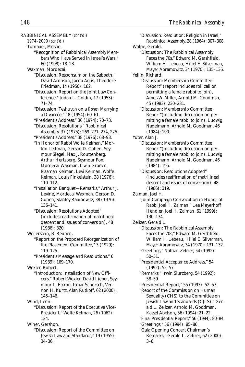RABBINICAL ASSEMBLY *(cont'd.)*

```
1974–2000 (cont'd.)
```
Tutnauer, Moshe.

"Recognition of Rabbinical Assembly Members Who Have Served in Israel's Wars," 60 (1998): 18–23.

Waxman, Mordecai.

- "Discussion: Responsum on the Sabbath," David Aronson, Jacob Agus, Theodore Friedman, 14 (1950): 182.
- "Discussion: Report on the Joint Law Conference," Judah L. Goldin, 17 (1953): 71–74.
- "Discussion: Teshuvah on a *Kohen* Marrying a Divorcée," 18 (1954): 60–61.
- "President's Address," 36 (1974): 70–73. "Discussion: Resolutions," Rabbinical
- Assembly, 37 (1975): 269–271, 274, 275. "President's Address," 38 (1976): 68–93.
- "In Honor of Rabbi Wolfe Kelman," Morton Leifman, Gerson D. Cohen, Seymour Siegel, Max J. Routtenberg, Arthur Hertzberg, Seymour Fox, Mordecai Waxman, Irwin Groner, Naamah Kelman, Levi Kelman, Wolfe Kelman, Louis Finkelstein, 38 (1976): 110–112.
- "Installation Banquet—Remarks," Arthur J. Levine, Mordecai Waxman, Gerson D. Cohen, Stanley Rabinowitz, 38 (1976): 136–141.
- "Discussion: Resolutions Adopted" (includes reaffirmation of matrilineal descent and issues of conversion), 48 (1986): 320.

Weilerstein, B. Reuben.

- "Report on the Proposed Reorganization of the Placement Committee," 3 (1929): 119–125.
- "President's Message and Resolutions," 6 (1939): 169–170.

Wexler, Robert.

"Introduction: Installation of New Officers," Robert Wexler, David Lieber, Seymour L. Essrog, Ismar Schorsch, Vernon H. Kurtz, Alan Rutkoff, 62 (2000): 145–146.

Wind, Leon.

"Discussion: Report of the Executive Vice-President," Wolfe Kelman, 26 (1962): 124.

Winer, Gershon.

"Discussion: Report of the Committee on Jewish Law and Standards," 19 (1955): 34–36.

Wolpe, Gerald. "Discussion: The Rabbinical Assembly Faces the 70s," Edward M. Gershfield, William H. Lebeau, Hillel E. Silverman, Mayer Abramowitz, 34 (1970): 135–136. Yellin, Richard. "Discussion: Membership Committee Report" (report includes roll call on permitting a female rabbi to join), Amos W. Miller, Arnold M. Goodman, 45 (1983): 230–231. "Discussion: Membership Committee Report"(including discussion on permitting a female rabbi to join), Ludwig Nadelmann, Arnold M. Goodman, 46 (1984): 190. Yuter, Alan I. "Discussion: Membership Committee Report"(including discussion on permitting a female rabbi to join), Ludwig

"Discussion: Resolution: Religion in Israel," Rabbinical Assembly, 28 (1964): 307–308.

- Nadelmann, Arnold M. Goodman, 46 (1984): 195. "Discussion: Resolutions Adopted" (includes reaffirmation of matrilineal descent and issues of conversion), 48 (1986): 319.
- Zaiman, Joel H.
	- "Joint Campaign Convocation in Honor of Rabbi Joel H. Zaiman," Lee Meyerhoff Hendler, Joel H. Zaiman, 61 (1999): 130–134.
- Zelizer, Gerald L.
	- "Discussion: The Rabbinical Assembly Faces the 70s," Edward M. Gershfield, William H. Lebeau, Hillel E. Silverman, Mayer Abramowitz, 34 (1970): 131–132.
	- "Greetings," Nathan Zelizer, 54 (1992): 50–51.
	- "Presidential Acceptance Address," 54 (1992): 52–57.
	- "Remarks," Irwin Slurzberg, 54 (1992): 58–59.
	- "Presidential Report," 55 (1993): 52–57.
	- "Report of the Commission on Human Sexuality (CHS) to the Committee on Jewish Law and Standards (CJLS)," Gerald L. Zelizer, Arnold M. Goodman, Kassel Abelson, 56 (1994): 21–22.
	- "Final Presidential Report," 56 (1994): 80–84. "Greetings," 56 (1994): 85–86.
	- "Gala Opening Concert Chairman's Remarks," Gerald L. Zelizer, 62 (2000): 3–6.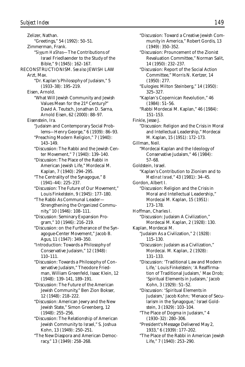Zelizer, Nathan. "Greetings," 54 (1992): 50–51. Zimmerman, Frank. "*Siyyum HaShas*—The Contributions of Israel Friedlaender to the Study of the Bible," 9 (1945): 162–167. RECONSTRUCTIONISM. *See also* JEWISH LAW Arzt, Max. "Dr. Kaplan's Philosophy of Judaism," 5 (1933–38): 195–219. Eisen, Arnold. "What Will Jewish Community and Jewish Values Mean for the 21st Century?" David A. Teutsch, Jonathan D. Sarna, Arnold Eisen, 62 (2000): 88–97. Eisenstein, Ira. "Judaism and Contemporary Social Problems—Henry George," 6 (1939): 86–93. "Preaching Modern Religion," 7 (1940): 143–149. "Discussion: The Rabbi and the Jewish Center Movement," 7 (1940): 139–140. "Discussion: The Place of the Rabbi in American Jewish Life," Mordecai M. Kaplan, 7 (1940): 294–295. "The Centrality of the Synagogue," 8 (1941–44): 225–237. "Discussion: The Future of Our Movement," Louis Finkelstein, 9 (1945): 177–180. "The Rabbi As Communal Leader— Strengthening the Organized Community," 10 (1946): 108–111. "Discussion: Seminary Expansion Program," 10 (1946): 216–219. "Discussion: on the Furtherance of the Synagogue-Center Movement," Jacob B. Agus, 11 (1947): 349–350. "Introduction: Towards a Philosophy of Conservative Judaism," 12 (1948): 110–111. "Discussion: Towards a Philosophy of Conservative Judaism," Theodore Friedman, William Greenfeld, Isaac Klein, 12 (1948): 139–141, 189–191. "Discussion: The Future of the American Jewish Community," Ben Zion Bokser, 12 (1948): 218–222. "Discussion: American Jewry and the New Jewish State," Simon Greenberg, 12 (1948): 255–256. "Discussion: The Relationship of American Jewish Community to Israel," S. Joshua Kohn, 13 (1949): 250–251. "The New Diaspora and American Democracy," 13 (1949): 258–268.

"Discussion: Toward a Creative Jewish Community in America," Robert Gordis, 13 (1949): 350–352. "Discussion: Prouncement of the Zionist Revaluation Committee," Norman Salit, 14 (1950): 232–237. "Discussion: Report of the Social Action Committee," Morris N. Kertzer, 14 (1950): 277. "Eulogies: Milton Steinberg," 14 (1950): 325–327. "Kaplan's Copernican Revolution," 46 (1984): 51–56. "Rabbi Mordecai M. Kaplan," 46 (1984): 151–153. Finkle, Jesse J. "Discussion: Religion and the Crisis in Moral and Intellectual Leadership," Mordecai M. Kaplan, 15 (1951): 172–173. Gillman, Neil. "Mordecai Kaplan and the Ideology of Conservative Judaism," 46 (1984): 57–68. Goldstein, Israel. "Kaplan's Contribution to Zionism and to *Medinat Israel,*" 43 (1981): 34–45. Gordon, Albert I. "Discussion: Religion and the Crisis in Moral and Intellectual Leadership," Mordecai M. Kaplan, 15 (1951): 173–178. Hoffman, Charles I. "Discussion: Judaism A Civilization," Mordecai M. Kaplan, 2 (1928): 130. Kaplan, Mordecai M. "Judaism As a Civilization," 2 (1928): 115–130. "Discussion: Judaism as a Civilization," Mordecai. M. Kaplan, 2 (1928): 131–133. "Discussion: 'Traditional Law and Modern Life,' Louis Finkelstein; 'A Reaffirmation of Traditional Judaism,' Max Drob; 'Spiritual Elements in Judaism,' Jacob Kohn, 3 (1929): 51–52. "Discussion: 'Spiritual Elements in Judaism,' Jacob Kohn; 'Menace of Secularism in the Synagogue,' Israel Goldstein, 3 (1929): 103–104. "The Place of Dogma in Judaism," 4 (1930–32): 280–306. "President's Message Delivered May 2, 1933," 6 (1939): 177–202. "The Place of the Rabbi in American Jewish Life," 7 (1940): 253–290.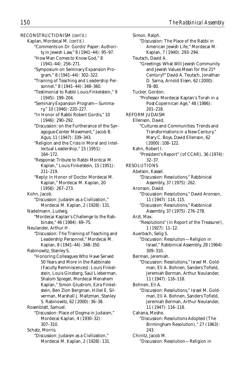RECONSTRUCTIONISM *(cont'd.)* Kaplan, Mordecai M. *(cont'd.)* "Comments on Dr. Gordis' Paper: Authority in Jewish Law," 8 (1941–44): 95–97. "How Man Comes to Know God," 8 (1941–44): 256–271. "Symposium on Seminary Expansion Program," 8 (1941–44): 302–322. "Training of Teaching and Leadership Personnel," 8 (1941–44): 348–360. "Testimonial to Rabbi Louis Finkelstein," 9 (1945): 199–204. "Seminary Expansion Program—Summary," 10 (1946): 220–227. "In Honor of Rabbi Robert Gordis," 10 (1946): 290–292. "Discussion: on the Furtherance of the Synagogue-Center Movement," Jacob B. Agus, 11 (1947): 339–343. "Religion and the Crisis in Moral and Intellectual Leadership," 15 (1951): 164–172. "Response: Tribute to Rabbi Mordcai M. Kaplan," Louis Finkelstein, 15 (1951): 211–219. "Reply: in Honor of Doctor Mordecai M. Kaplan," Mordecai M. Kaplan, 20 (1956): 267–273. Kohn, Jacob. "Discussion: Judaism as a Civilization," Mordecai M. Kaplan, 2 (1928): 131. Nadelmann, Ludwig. "Mordecai Kaplan's Challenge to the Rabbinate," 46 (1984): 69–75. Neulander, Arthur H. "Discussion: The Training of Teaching and Leadership Personnel," Mordecai M. Kaplan, 8 (1941–44): 348–350. Rabinowitz, Stanley S. "Honoring Colleagues Who Have Served 50 Years and More in the Rabbinate (Faculty Reminiscences): Louis Finkelstein, Louis Ginzberg, Saul Lieberman, Shalom Spiegel, Mordecai Menahem Kaplan," Simon Glustrom, Ezra Finkelstein, Ben Zion Bergman, Hillel E. Silverman, Marshall J. Maltzman, Stanley S. Rabinowitz, 62 (2000): 36–38. Rosenblatt, Samuel. "Discussion: Place of Dogma in Judaism," Mordecai Kaplan, 4 (1930–32): 307–310. Schatz, Morris.

"Discussion: Judaism as a Civilization," Mordecai M. Kaplan, 2 (1928): 131.

Simon, Ralph. "Discussion: The Place of the Rabbi in American Jewish Life," Mordecai M. Kaplan, 7 (1940): 293–294. Teutsch, David A. "Greetings: What Will Jewish Community and Jewish Values Mean for the 21st Century?" David A. Teutsch, Jonathan D. Sarna, Arnold Eisen, 62 (2000): 78–80. Tucker, Gordon. "Professor Mordecai Kaplan's Torah in a Post-Copernican Age," 48 (1986): 201–218. REFORM JUDAISM Ellenson, David. "Cultures and Communities: Trends and Transformations in a New Century." Mary C. Boys, David Ellenson, 62 (2000): 108–122. Kahn, Robert I. "President's Report" (of CCAR), 36 (1974): 32–37. RESOLUTIONS Abelson, Kassel. "Discussion: Resolutions," Rabbinical Assembly, 37 (1975): 262. Aronson, David. "Discussion: Resolutions," David Aronson, 11 (1947): 114, 115. "Discussion: Resolutions," Rabbinical Assembly, 37 (1975): 276–278. Arzt, Max. "Resolutions" (in Report of the Treasurer), 1 (1927): 11–12. Auerbach, Selig S. "Discussion: Resolution—Religion in Israel," Rabbinical Assembly, 28 (1964): 309–310. Berman, Jeremiah. "Discussion: Resolutions," Israel M. Goldman, Eli A. Bohnen, Sanders Tofield, Jeremiah Berman, Arthur Neulander, 11 (1947): 116–118. Bohnen, Eli A. "Discussion: Resolutions," Israel M. Goldman, Eli A. Bohnen, Sanders Tofield, Jeremiah Berman, Arthur Neulander, 11 (1947): 116–118. Cahana, Moshe. "Discussion: Resolutions Adopted (The Birmingham Resolution)," 27 (1963): 243. Chinitz, Jacob M. "Discussion: Resolution—Religion in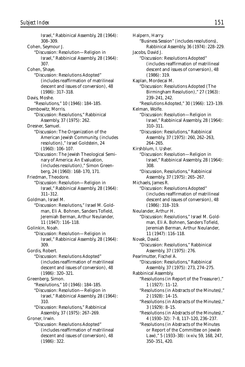Israel," Rabbinical Assembly, 28 (1964): 308–309. Cohen, Seymour J. "Discussion: Resolution—Religion in Israel," Rabbinical Assembly, 28 (1964): 307. Cohen, Shaye. "Discussion: Resolutions Adopted" (includes reaffirmation of matrilineal descent and issues of conversion), 48 (1986): 317–318. Davis, Moshe. "Resolutions," 10 (1946): 184–185. Dembowitz, Morris. "Discussion: Resolutions," Rabbinical Assembly, 37 (1975): 262. Dresner, Samuel. "Discussion: The Organization of the American Jewish Community, (includes resolution)," Israel Goldstein, 24 (1960): 106–107. "Discussion: The Jewish Theological Seminary of America: An Evaluation, (includes resolution)," Simon Greenberg, 24 (1960): 168–170, 171. Friedman, Theodore. "Discussion: Resolution—Religion in Israel," Rabbinical Assembly, 28 (1964): 311–312. Goldman, Israel M. "Discussion: Resolutions," Israel M. Goldman, Eli A. Bohnen, Sanders Tofield, Jeremiah Berman, Arthur Neulander, 11 (1947): 116–118. Golinkin, Noah. "Discussion: Resolution—Religion in Israel," Rabbinical Assembly, 28 (1964): 309. Gordis, Robert. "Discussion: Resolutions Adopted" (includes reaffirmation of matrilineal descent and issues of conversion), 48 (1986): 320–321. Greenberg, Simon. "Resolutions," 10 (1946): 184–185. "Discussion: Resolution—Religion in Israel," Rabbinical Assembly, 28 (1964): 310. "Discussion: Resolutions," Rabbinical Assembly, 37 (1975): 267–269. Groner, Irwin. "Discussion: Resolutions Adopted" (includes reaffirmation of matrilineal descent and issues of conversion), 48 (1986): 322.

Halpern, Harry. "Business Session" (includes resolutions), Rabbinical Assembly, 36 (1974): 228–229. Jacobs, David J. "Discussion: Resolutions Adopted" (includes reaffirmation of matrilineal descent and issues of conversion), 48 (1986): 319. Kaplan, Mordecai M. "Discussion: Resolutions Adopted (The Birmingham Resolution)," 27 (1963): 239–241, 242. "Resolutions Adopted," 30 (1966): 123–139. Kelman, Wolfe. "Discussion: Resolution—Religion in Israel," Rabbinical Assembly, 28 (1964): 310–311. "Discussion: Resolutions," Rabbinical Assembly, 37 (1975): 260, 262–263, 264–265. Kirshblum, I. Usher. "Discussion: Resolution—Religion in Israel," Rabbinical Assembly, 28 (1964): 308. "Discussion, Resolutions," Rabbinical Assembly, 37 (1975): 265–267. Michaels, James R. "Discussion: Resolutions Adopted" (includes reaffirmation of matrilineal descent and issues of conversion), 48 (1986): 318–319. Neulander, Arthur H. "Discussion: Resolutions," Israel M. Goldman, Eli A. Bohnen, Sanders Tofield, Jeremiah Berman, Arthur Neulander, 11 (1947): 116–118. Novak, David. "Discussion: Resolutions," Rabbinical Assembly, 37 (1975): 276. Pearlmutter, Fischel A. "Discussion: Resolutions," Rabbinical Assembly, 37 (1975): 273, 274–275. Rabbinical Assembly. "Resolutions (in Report of the Treasurer)," 1 (1927): 11–12. "Resolutions (in Abstracts of the Minutes)," 2 (1928): 14–15. "Resolutions (in Abstracts of the Minutes)," 3 (1929): 8–15. "Resolutions (in Abstracts of the Minutes)," 4 (1930–32): 7–8, 117–120, 236–237. "Resolutions (in Abstracts of the Minutes or Report of the Committee on Jewish Law)," 5 (1933–38): ix-xiv, 59, 168, 247, 350–351, 420.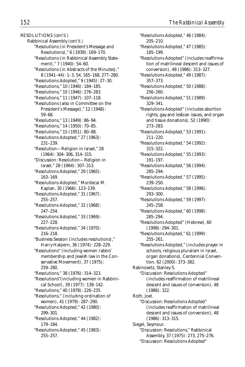RESOLUTIONS *(cont'd.)* Rabbinical Assembly *(cont'd.)* "Resolutions (in President's Message and Resolutions)," 6 (1939): 169–170. "Resolutions (in Rabbinical Assembly Statement)," 7 (1940): 54–60. "Resolutions (in Abstracts of the Minutes)," 8 (1941–44): 1–3, 54, 165–168, 277–280. "Resolutions Adopted," 9 (1945): 27–30. "Resolutions," 10 (1946): 184–185. "Resolutions," 10 (1946): 276–283. "Resolutions," 11 (1947): 107–118. "Resolutions (also in Committee on the President's Message)," 12 (1948): 59–68. "Resolutions," 13 (1949): 86–94. "Resolutions," 14 (1950): 70–85. "Resolutions," 15 (1951): 80–88. "Resolutions Adopted," 27 (1963): 231–239. "Resolution—Religion in Israel," 28 (1964): 304–306, 314–315. "Discussion: Resolution—Religion in Israel," 28 (1964): 307–313. "Resolutions Adopted," 29 (1965): 163–169. "Resolutions Adopted," Mordecai M. Kaplan, 30 (1966): 123–139. "Resolutions Adopted," 31 (1967): 255–257. "Resolutions Adopted," 32 (1968): 247–254. "Resolutions Adopted," 33 (1969): 227–228. "Resolutions Adopted," 34 (1970): 216–218. "Business Session (includes resolutions)," Harry Halpern, 36 (1974): 228–229. "Resolutions" (including women rabbis' membership and Jewish law in the Conservative Movement), 37 (1975): 259–280. "Resolutions," 38 (1976): 314–323. "Resolutions"(including women in Rabbinical School), 39 (1977): 139–142. "Resolutions," 40 (1978): 226–235. "Resolutions," (including ordination of women), 41 (1979): 287–290. "Resolutions Adopted," 42 (1980): 299–301. "Resolutions Adopted," 44 (1982): 179–184. "Resolutions Adopted," 45 (1983): 255–257.

"Resolutions Adopted," 46 (1984): 205–210. "Resolutions Adopted," 47 (1985): 185–199. "Resolutions Adopted" (includes reaffirmation of matrilineal descent and issues of conversion), 48 (1986): 313–327. "Resolutions Adopted," 49 (1987): 357–373. "Resolutions Adopted," 50 (1988): 256–260. "Resolutions Adopted," 51 (1989): 329–341. "Resolutions Adopted" (includes abortion rights, gay and lesbian issues, and organ and tissue donations), 52 (1990): 273–283. "Resolutions Adopted," 53 (1991): 211–220. "Resolutions Adopted," 54 (1992): 315–322. "Resolutions Adopted," 55 (1993): 191–197. "Resolutions Adopted," 56 (1994): 285–294. "Resolutions Adopted," 57 (1995): 239–250. "Resolutions Adopted," 58 (1996): 293–300. "Resolutions Adopted," 59 (1997): 245–258. "Resolutions Adopted," 60 (1998): 285–294. "Resolutions Adopted" (Hebrew), 60 (1998): 294–301. "Resolutions Adopted," 61 (1999): 255–261. "Resolutions Adopted," (includes prayer in schools, religious pluralism in Israel, organ donations), Centennial Convention, 62 (2000): 373–382. Rabinowitz, Stanley S. "Discussion: Resolutions Adopted" (includes reaffirmation of matrilineal descent and issues of conversion), 48 (1986): 322. Roth, Joel. "Discussion: Resolutions Adopted" (includes reaffirmation of matrilineal descent and issues of conversion), 48 (1986): 313–315. Siegel, Seymour. "Discussion: Resolutions," Rabbinical Assembly, 37 (1975): 273, 275–276. "Discussion: Resolutions Adopted"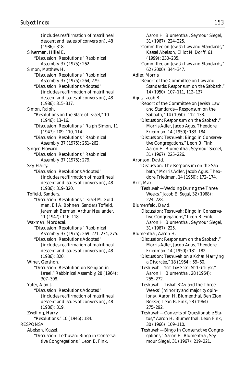(includes reaffirmation of matrilineal descent and issues of conversion), 48 (1986): 318. Silverman, Hillel E. "Discussion: Resolutions," Rabbinical Assembly, 37 (1975): 262. Simon, Matthew H. "Discussion: Resolutions," Rabbinical Assembly, 37 (1975): 264, 279. "Discussion: Resolutions Adopted" (includes reaffirmation of matrilineal descent and issues of conversion), 48 (1986): 315–317. Simon, Ralph. "Resolutions on the State of Israel," 10 (1946): 13–16. "Discussion: Resolutions," Ralph Simon, 11 (1947): 109–110, 114. "Discussion: Resolutions," Rabbinical Assembly, 37 (1975): 261–262. Singer, Howard. "Discussion: Resolutions," Rabbinical Assembly, 37 (1975): 279. Sky, Harry. "Discussion: Resolutions Adopted" (includes reaffirmation of matrilineal descent and issues of conversion), 48 (1986): 319–320. Tofield, Sanders. "Discussion: Resolutions," Israel M. Goldman, Eli A. Bohnen, Sanders Tofield, Jeremiah Berman, Arthur Neulander, 11 (1947): 116–118. Waxman, Mordecai. "Discussion: Resolutions," Rabbinical Assembly, 37 (1975): 269–271, 274, 275. "Discussion: Resolutions Adopted" (includes reaffirmation of matrilineal descent and issues of conversion), 48 (1986): 320. Winer, Gershon. "Discussion: Resolution on Religion in Israel," Rabbinical Assembly, 28 (1964): 307–308. Yuter, Alan J. "Discussion: Resolutions Adopted" (includes reaffirmation of matrilineal descent and issues of conversion), 48 (1986): 319. Zwelling, Harry. "Resolutions," 10 (1946): 184. RESPONSA Abelson, Kassel. "Discussion: Teshuvah: Bingo in Conserva-

tive Congregations," Leon B. Fink,

Aaron H. Blumenthal, Seymour Siegel, 31 (1967): 224–225. "Committee on Jewish Law and Standards," Kassel Abelson, Elliot N. Dorff, 61 (1999): 230–235. "Committee on Jewish Law and Standards," 62 (2000): 344–347. Adler, Morris. "Report of the Committee on Law and Standards: Responsum on the Sabbath," 14 (1950): 107–111, 112–137. Agus, Jacob B. "Report of the Committee on Jewish Law and Standards—Responsum on the Sabbath," 14 (1950): 112–138. "Discussion: Responsum on the Sabbath," Morris Adler, Jacob Agus, Theodore Friedman, 14 (1950): 183–184. "Discussion: Teshuvah: Bingo in Conservative Congregations," Leon B. Fink, Aaron H. Blumenthal, Seymour Siegel, 31 (1967): 225–226. Aronson, David. "Discussion: The Responsum on the Sabbath," Morris Adler, Jacob Agus, Theodore Friedman, 14 (1950): 172–174. Arzt, Max. "Teshuvah—Wedding During the Three Weeks," Jacob E. Segal, 32 (1968): 224–228. Blumenfeld, David. "Discussion: Teshuvah: Bingo in Conservative Congregations," Leon B. Fink, Aaron H. Blumenthal, Seymour Siegel, 31 (1967): 225. Blumenthal, Aaron H. "Discussion: Responsum on the Sabbath," Morris Adler, Jacob Agus, Theodore Friedman, 14 (1950): 181–182. "Discussion: Teshuvah on a *Kohen* Marrying a Divorcée," 18 (1954): 59–60. "Teshuvah—*Yom Tov Sheni Shel Goluyot,*" Aaron H. Blumenthal, 28 (1964): 255–272. "Teshuvah—*Tishah B'Av* and the Three Weeks" (minority and majority opinions), Aaron H. Blumenthal, Ben Zion Bokser, Leon B. Fink, 28 (1964): 275–292. "Teshuvah—Converts of Questionable Status," Aaron H. Blumenthal, Leon Fink, 30 (1966): 109–110. "Teshuvah—Bingo in Conservative Congregations," Aaron H. Blumenthal, Seymour Siegel, 31 (1967): 219–221.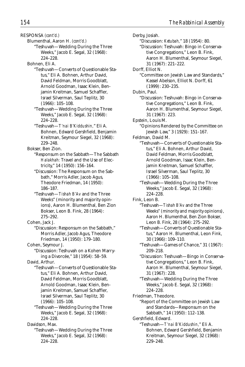RESPONSA *(cont'd.)*

Blumenthal, Aaron H. *(cont'd.)*

"Teshuvah—Wedding During the Three Weeks," Jacob E. Segal, 32 (1968): 224–228.

Bohnen, Eli A.

- "Teshuvah—Converts of Questionable Status," Eli A. Bohnen, Arthur David, David Feldman, Morris Goodblatt, Arnold Goodman, Isaac Klein, Benjamin Kreitman, Samuel Schaffler, Israel Silverman, Saul Teplitz, 30 (1966): 105–108.
- "Teshuvah—Wedding During the Three Weeks," Jacob E. Segal, 32 (1968): 224–228.
- "Teshuvah—*T'nai B'Kiddushin,*" Eli A. Bohnen, Edward Gershfield, Benjamin Kreitman, Seymour Siegel, 32 (1968): 229–248.

Bokser, Ben Zion.

- "Responsum on the Sabbath—The Sabbath *Halakhah:* Travel and the Use of Electricity," 14 (1950): 156–164.
- "Discussion: The Responsum on the Sabbath," Morris Adler, Jacob Agus, Theodore Friedman, 14 (1950): 186–187.
- "Teshuvah—*Tishah B'Av* and the Three Weeks" (minority and majority opinions), Aaron H. Blumenthal, Ben Zion Bokser, Leon B. Fink, 28 (1964): 275–292.
- Cohen, Jack J.
- "Discussion: Responsum on the Sabbath," Morris Adler, Jacob Agus, Theodore Friedman, 14 (1950): 179–180.
- Cohen, Seymour J.
- "Discussion: Teshuvah on a Kohen Marrying a Divorcée," 18 (1954): 58–59.

David, Arthur.

- "Teshuvah—Converts of Questionable Status," Eli A. Bohnen, Arthur David, David Feldman, Morris Goodblatt, Arnold Goodman, Isaac Klein, Benjamin Kreitman, Samuel Schaffler, Israel Silverman, Saul Teplitz, 30 (1966): 105–108.
- "Teshuvah—Wedding During the Three Weeks," Jacob E. Segal, 32 (1968): 224–228.

Davidson, Max. "Teshuvah—Wedding During the Three

Weeks," Jacob E. Segal, 32 (1968): 224–228.

Derby, Josiah. "Discussion: *Ketubah,*" 18 (1954): 80. "Discussion: Teshuvah: Bingo in Conservative Congregations," Leon B. Fink, Aaron H. Blumenthal, Seymour Siegel, 31 (1967): 221–222. Dorff, Elliot N. "Committee on Jewish Law and Standards," Kassel Abelson, Elliot N. Dorff, 61 (1999): 230–235. Dubin, Paul. "Discussion: Teshuvah: Bingo in Conservative Congregations," Leon B. Fink, Aaron H. Blumenthal, Seymour Siegel, 31 (1967): 223. Epstein, Louis M. "Opinions Rendered by the Committee on Jewish Law," 3 (1929): 151–167. Feldman, David M. "Teshuvah—Converts of Questionable Status," Eli A. Bohnen, Arthur David, David Feldman, Morris Goodblatt, Arnold Goodman, Isaac Klein, Benjamin Kreitman, Samuel Schaffler, Israel Silverman, Saul Teplitz, 30 (1966): 105–108. "Teshuvah—Wedding During the Three Weeks," Jacob E. Segal, 32 (1968): 224–228. Fink, Leon B. "Teshuvah—*Tishah B'Av* and the Three Weeks" (minority and majority opinions), Aaron H. Blumenthal, Ben Zion Bokser, Leon B. Fink, 28 (1964): 275–292. "Teshuvah—Converts of Questionable Status," Aaron H. Blumenthal, Leon Fink, 30 (1966): 109–110. "Teshuvah—Games of Chance," 31 (1967): 209–218. "Discussion: Teshuvah—Bingo in Conservative Congregations," Leon B. Fink, Aaron H. Blumenthal, Seymour Siegel, 31 (1967): 228. "Teshuvah—Wedding During the Three Weeks," Jacob E. Segal, 32 (1968): 224–228. Friedman, Theodore. "Report of the Committee on Jewish Law and Standards—Responsum on the Sabbath," 14 (1950): 112–138. Gershfield, Edward. "Teshuvah—*T'nai B'Kiddushin,*" Eli A. Bohnen, Edward Gershfield, Benjamin Kreitman, Seymour Siegel, 32 (1968): 229–248.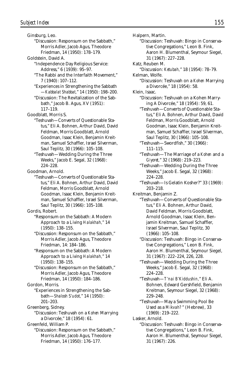Ginsburg, Leo. "Discussion: Responsum on the Sabbath," Morris Adler, Jacob Agus, Theodore Friedman, 14 (1950): 178–179. Goldstein, David A. "Independence Day Religious Service: Address," 6 (1939): 95–97. "The Rabbi and the Interfaith Movement," 7 (1940): 107–112. "Experiences in Strengthening the Sabbath —*Kabbalat Shabbat,*" 14 (1950): 198–200. "Discussion: The Revitalization of the Sabbath," Jacob B. Agus, XV (1951): 117–119. Goodblatt, Morris S. "Teshuvah—Converts of Questionable Status," Eli A. Bohnen, Arthur David, David Feldman, Morris Goodblatt, Arnold Goodman, Isaac Klein, Benjamin Kreitman, Samuel Schaffler, Israel Silverman, Saul Teplitz, 30 (1966): 105–108. "Teshuvah—Wedding During the Three Weeks," Jacob E. Segal, 32 (1968): 224–228. Goodman, Arnold. "Teshuvah—Converts of Questionable Status," Eli A. Bohnen, Arthur David, David Feldman, Morris Goodblatt, Arnold Goodman, Isaac Klein, Benjamin Kreitman, Samuel Schaffler, Israel Silverman, Saul Teplitz, 30 (1966): 105–108. Gordis, Robert. "Responsum on the Sabbath: A Modern Approach to a Living *Halakhah,*" 14 (1950): 138–155. "Discussion: Responsum on the Sabbath," Morris Adler, Jacob Agus, Theodore Friedman, 14: 184–186. "Responsum on the Sabbath: A Modern Approach to a Living *Halakhah,*" 14 (1950): 138–155. "Discussion: Responsum on the Sabbath," Morris Adler, Jacob Agus, Theodore Friedman, 14 (1950): 184–186. Gordon, Morris. "Experiences in Strengthening the Sabbath—*Shalosh S'udot,*" 14 (1950): 201–203. Greenberg, Sidney. "Discussion: Teshuvah on a *Kohen* Marrying a Divorcée," 18 (1954): 61. Greenfeld, William P. "Discussion: Responsum on the Sabbath," Morris Adler, Jacob Agus, Theodore Friedman, 14 (1950): 176–177.

Halpern, Martin. "Discussion: Teshuvah: Bingo in Conservative Congregations," Leon B. Fink, Aaron H. Blumenthal, Seymour Siegel, 31 (1967): 227–228. Katz, Reuben M. "Discussion: *Ketubah,*" 18 (1954): 78–79. Kelman, Wolfe. "Discussion: Teshuvah on a *Kohen* Marrying a Divorcée," 18 (1954): 58. Klein, Isaac. "Discussion: Teshuvah on a Kohen Marrying A Divorcée," 18 (1954): 59, 61. "Teshuvah—Converts of Questionable Status," Eli A. Bohnen, Arthur David, David Feldman, Morris Goodblatt, Arnold Goodman, Isaac Klein, Benjamin Kreitman, Samuel Schaffler, Israel Silverman, Saul Teplitz, 30 (1966): 105–108. "Teshuvah—Swordfish," 30 (1966): 111–115. "Teshuvah—The Marriage of a *Kohen* and a *Giyoret,*" 32 (1968): 219–223. "Teshuvah—Wedding During the Three Weeks," Jacob E. Segal, 32 (1968): 224–228. "Teshuvah—Is Gelatin Kosher?" 33 (1969): 203–218. Kreitman, Benjamin Z. "Teshuvah—Converts of Questionable Status," Eli A. Bohnen, Arthur David, David Feldman, Morris Goodblatt, Arnold Goodman, Isaac Klein, Benjamin Kreitman, Samuel Schaffler, Israel Silverman, Saul Teplitz, 30 (1966): 105–108. "Discussion: Teshuvah: Bingo in Conservative Congregations," Leon B. Fink, Aaron H. Blumenthal, Seymour Siegel, 31 (1967): 222–224, 226, 228. "Teshuvah—Wedding During the Three Weeks," Jacob E. Segal, 32 (1968): 224–228. "Teshuvah—*T'nai B'Kiddushin,*" Eli A. Bohnen, Edward Gershfield, Benjamin Kreitman, Seymour Siegel, 32 (1968): 229–248. "Teshuvah—May a Swimming Pool Be Used as a *Mikvah?*" (Hebrew), 33 (1969): 219–222. Lasker, Arnold. "Discussion: Teshuvah: Bingo in Conservative Congregations," Leon B. Fink, Aaron H. Blumenthal, Seymour Siegel, 31 (1967): 226.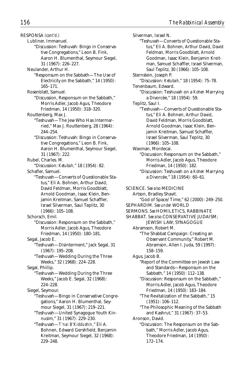RESPONSA *(cont'd.)*

- Lubliner, Immanuel.
	- "Discussion: Teshuvah: Bingo in Conservative Congregations," Leon B. Fink, Aaron H. Blumenthal, Seymour Siegel, 31 (1967): 226–227.
- Neulander, Arthur H.
	- "Responsum on the Sabbath—The Use of Electricity on the Sabbath," 14 (1950): 165–171.
- Rosenblatt, Samuel.
- "Discussion, Responsum on the Sabbath," Morris Adler, Jacob Agus, Theodore Friedman, 14 (1950): 318–320.
- Routtenberg, Max J.
	- "Teshuvah—The Jew Who Has Intermarried," Max J. Routtenberg, 28 (1964): 244–254.
		- "Discussion: Teshuvah: Bingo in Conservative Congregations," Leon B. Fink, Aaron H. Blumenthal, Seymour Siegel, 31 (1967): 222.
- Rubel, Charles. M.

"Discussion: *Ketubah,*" 18 (1954): 82. Schafler, Samuel.

- "Teshuvah—Converts of Questionable Status," Eli A. Bohnen, Arthur David, David Feldman, Morris Goodblatt, Arnold Goodman, Isaac Klein, Benjamin Kreitman, Samuel Schaffler, Israel Silverman, Saul Teplitz, 30 (1966): 105–108.
- Schorsch, Emil.
	- "Discussion: Responsum on the Sabbath," Morris Adler, Jacob Agus, Theodore Friedman, 14 (1950): 180–181.
- Segal, Jacob E. "Teshuvah—Disinterment," Jack Segal, 31 (1967): 195–208.
	- "Teshuvah—Wedding During the Three Weeks," 32 (1968): 224–228.

Segal, Phillip.

- "Teshuvah—Wedding During the Three Weeks," Jacob E. Segal, 32 (1968): 224–228.
- Siegel, Seymour.
	- "Teshuvah—Bingo in Conservative Congregations," Aaron H. Blumenthal, Seymour Siegel, 31 (1967): 219–221.
		- "Teshuvah—United Synagogue Youth Kinnusim," 31 (1967): 229–230.
		- "Teshuvah—*T'nai B'Kiddushin,*" Eli A. Bohnen, Edward Gershfield, Benjamin Kreitman, Seymour Siegel, 32 (1968): 229–248.

Silverman, Israel N. "Teshuvah—Converts of Questionable Status," Eli A. Bohnen, Arthur David, David Feldman, Morris Goodblatt, Arnold Goodman, Isaac Klein, Benjamin Kreitman, Samuel Schaffler, Israel Silverman, Saul Teplitz, 30 (1966): 105–108. Sternstein, Joseph P. "Discussion: *Ketubah,*" 18 (1954): 75–78. Tenenbaum, Edward. "Discussion: Teshuvah on a *Kohen* Marrying a Divorcée," 18 (1954): 59. Teplitz, Saul I. "Teshuvah—Converts of Questionable Status," Eli A. Bohnen, Arthur David, David Feldman, Morris Goodblatt, Arnold Goodman, Isaac Klein, Benjamin Kreitman, Samuel Schaffler, Israel Silverman, Saul Teplitz, 30 (1966): 105–108. Waxman, Mordecai. "Discussion: Responsum on the Sabbath," Morris Adler, Jacob Agus, Theodore Friedman, 14 (1950): 182. "Discussion: Teshuvah on a *Kohen* Marrying a Divorcée," 18 (1954): 60–61. SCIENCE. *See also* MEDICINE Artson, Bradley Shavit. "God of Space/Time," 62 (2000): 249–250. SEPHARDIM. *See under* WORLD SERMONS. *See* HOMILETICS, RABBINATE SHABBAT. *See also* CONSERVATIVE JUDAISM; JEWISH LAW; SYNAGOGUE Abramson, Robert M. "The Shabbat Campaign: Creating an Observant Community," Robert M. Abramson, Allen I. Juda, 59 (1997): 158–159. Agus, Jacob B. "Report of the Committee on Jewish Law and Standards—Responsum on the Sabbath," 14 (1950): 112–138. "Discussion: Responsum on the Sabbath," Morris Adler, Jacob Agus, Theodore Friedman, 14 (1950): 183–184. "The Revitalization of the Sabbath," 15 (1951): 106–112. "The Philosophic Meaning of the Sabbath and Kashrut," 31 (1967): 37–53. Aronson, David. "Discussion: The Responsum on the Sabbath," Morris Adler, Jacob Agus, Theodore Friedman, 14 (1950): 172–174.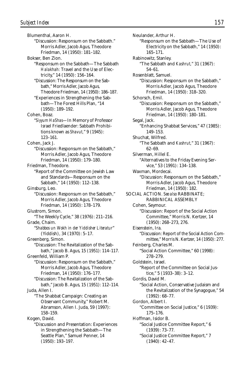Blumenthal, Aaron H. "Discussion: Responsum on the Sabbath." Morris Adler, Jacob Agus, Theodore Friedman, 14 (1950): 181–182. Bokser, Ben Zion. "Responsum on the Sabbath—The Sabbath *Halakhah:* Travel and the Use of Electricity," 14 (1950): 156–164. "Discussion: The Responsum on the Sabbath," Morris Adler, Jacob Agus, Theodore Friedman, 14 (1950): 186–187. "Experiences in Strengthening the Sabbath—The Forest Hills Plan, "14 (1950): 189–192. Cohen, Boaz. "*Siyyum HaShas*—In Memory of Professor Israel Friedlaender: Sabbath Prohibitions known as *Shavut,*" 9 (1945): 123–161. Cohen, Jack J. "Discussion: Responsum on the Sabbath," Morris Adler, Jacob Agus, Theodore Friedman, 14 (1950): 179–180. Friedman, Theodore. "Report of the Committee on Jewish Law and Standards—Responsum on the Sabbath," 14 (1950): 112–138. Ginsburg, Leo. "Discussion: Responsum on the Sabbath," Morris Adler, Jacob Agus, Theodore Friedman, 14 (1950): 178–179. Glustrom, Simon. "The Weekly Cycle," 38 (1976): 211–216. Grade, Chaim. "*Shabbos un Wokh in der Yiddisher Literatur*" (Yiddish), 34 (1970): 5–17. Greenberg, Simon. "Discussion: The Revitalization of the Sabbath," Jacob B. Agus, 15 (1951): 114–117. Greenfeld, William P. "Discussion: Responsum on the Sabbath," Morris Adler, Jacob Agus, Theodore Friedman, 14 (1950): 176–177. "Discussion: The Revitalization of the Sabbath," Jacob B. Agus, 15 (1951): 112–114. Juda, Allen I. "The Shabbat Campaign: Creating an Observant Community," Robert M. Abramson, Allen I. Juda, 59 (1997): 158–159. Kogen, David. "Discussion and Presentation: Experiences in Strengthening the Sabbath—The Seattle Plan," Samuel Penner, 14

(1950): 193–197.

Neulander, Arthur H. "Responsum on the Sabbath—The Use of Electricity on the Sabbath," 14 (1950): 165–171. Rabinowitz, Stanley. "The Sabbath and *Kashrut,*" 31 (1967): 54–61. Rosenblatt, Samuel. "Discussion: Responsum on the Sabbath," Morris Adler, Jacob Agus, Theodore Friedman, 14 (1950): 318–320. Schorsch, Emil. "Discussion: Responsum on the Sabbath," Morris Adler, Jacob Agus, Theodore Friedman, 14 (1950): 180–181. Segal, Jack. "Enhancing Shabbat Services," 47 (1985): 149–153. Shuchat, Wilfred. "The Sabbath and *Kashrut,*" 31 (1967): 62–69. Silverman, Hillel E. "Alternatives to the Friday Evening Service," 53 (1991): 134–138. Waxman, Mordecai. "Discussion: Responsum on the Sabbath," Morris Adler, Jacob Agus, Theodore Friedman, 14 (1950): 182. SOCIAL ACTION. *See also* RABBINATE; RABBINICAL ASSEMBLY Cohen, Seymour. "Discussion: Report of the Social Action Committee," Morris N. Kertzer, 14 (1950): 268–273, 276. Eisenstein, Ira. "Discussion: Report of the Social Action Committee," Morris N. Kertzer, 14 (1950): 277. Feinberg, Charles M. "Social Action Committee," 60 (1998): 278–279. Goldstein, Israel. "Report of the Committee on Social Justice," 5 (1933–38): 3–12. Gordis, David M. "Social Action, Conservative Judaism and the Revitalization of the Synagogue," 54 (1992): 68–77. Gordon, Albert I. "Committee on Social Justice," 6 (1939): 175–176. Hoffman, Isidor B. "Social Justice Committee Report," 6 (1939): 73–77. "Social Justice Committee Report," 7 (1940): 42–47.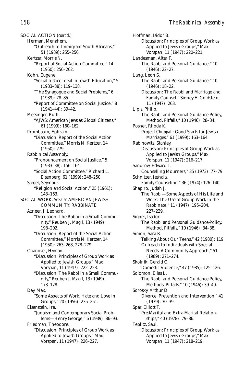SOCIAL ACTION *(cont'd.)* Herman, Menahem. "Outreach to Immigrant South Africans," 51 (1989): 255–256. Kertzer, Morris N. "Report of Social Action Committee," 14 (1950): 256–262. Kohn, Eugene. "Social Justice Ideal in Jewish Education," 5 (1933–38): 119–138. "The Synagogue and Social Problems," 6 (1939): 78–85. "Report of Committee on Social Justice," 8 (1941–44): 39–42. Messinger, Ruth. "AJWS: American Jews as Global Citizens," 61 (1999): 160–162. Prombaum, Ephraim. "Discussion: Report of the Social Action Committee," Morris N. Kertzer, 14 (1950): 279. Rabbinical Assembly. "Pronouncement on Social Justice," 5 (1933–38): 156–164. "Social Action Committee," Richard L. Eisenberg, 61 (1999): 248–250. Siegel, Seymour. "Religion and Social Action," 25 (1961): 143–163. SOCIAL WORK. *See also* AMERICAN JEWISH COMMUNITY; RABBINATE Azneer, J. Leonard. "Discussion: The Rabbi in a Small Community," Reuben J. Magil, 13 (1949): 198–202. "Discussion: Report of the Social Action Committee," Morris N. Kertzer, 14 (1950): 263–268, 278–279. Chanover, Hyman. "Discussion: Principles of Group Work as Applied to Jewish Groups," Max Vorspan, 11 (1947): 222–223. "Discussion: The Rabbi in a Small Community," Reuben J. Magil, 13 (1949): 173–178. Day, Max. "Some Aspects of Work, Hate and Love in Groups," 20 (1956): 235–251. Eisenstein, Ira. "Judaism and Contemporary Social Problems—Henry George," 6 (1939): 86–93. Friedman, Theodore. "Discussion: Principles of Group Work as Applied to Jewish Groups," Max Vorspan, 11 (1947): 226–227.

Hoffman, Isidor B. "Discussion: Principles of Group Work as Applied to Jewish Groups," Max Vorspan, 11 (1947): 220–221. Landesman, Alter F. "The Rabbi and Personal Guidance," 10 (1946): 22–27. Lang, Leon S. "The Rabbi and Personal Guidance," 10 (1946): 18–22. "Discussion: The Rabbi and Marriage and Family Counsel," Sidney E. Goldstein, 11 (1947): 263. Lipis, Philip. "The Rabbi and Personal Guidance-Policy, Method, Pitfalls," 10 (1946): 28–34. Posner, Rhoda K. "Project *Chuppah:* Good Starts for Jewish Marriages," 61 (1999): 163–164. Rabinowitz, Stanley. "Discussion: Principles of Group Work as Applied to Jewish Groups," Max Vorspan, 11 (1947): 216–217. Sandrow, Edward T. "Counselling Mourners," 35 (1973): 77–79. Schnitzer, Jeshaia. "Family Counseling," 36 (1974): 126–140. Shapiro, Judah J. "The Rabbi—Some Aspects of His Life and Work: The Use of Group Work in the Rabbinate," 11 (1947): 195–204, 227–229. Signer, Isador. "The Rabbi and Personal Guidance-Policy, Method, Pitfalls," 10 (1946): 34–38. Simon, Sara R. "Talking About Our Teens," 42 (1980): 119. "Outreach to Individuals with Special Needs: A Community Approach," 51 (1989): 271–274. Skolnik, Gerald C. "Domestic Violence," 47 (1985): 125–126. Solomon, Elias L. "The Rabbi and Personal Guidance-Policy, Methods, Pitfalls," 10 (1946): 39–40. Sorosky, Arthur D. "Divorce: Prevention and Intervention," 41 (1979): 30–39. Spar, Elliott T. "Pre-Marital and Extra-Marital Relationships," 40 (1978): 79–86. Teplitz, Saul. "Discussion: Principles of Group Work as Applied to Jewish Groups," Max Vorspan, 11 (1947): 218–219.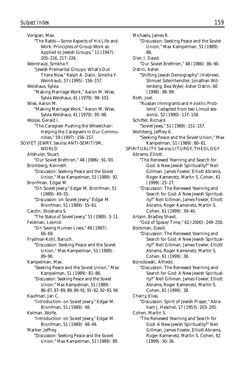Vorspan, Max. "The Rabbi—Some Aspects of His Life and Work: Principles of Group Work as Applied to Jewish Groups," 11 (1947): 205–216, 217–226. Weintraub, Simkha Y. "Jewish Premarital Groups: What's Out There Now," Ralph A. Dalin, Simkha Y. Weintraub, 57 (1995): 156–157. Weishaus, Sylvia. "Making Marriage Work," Aaron M. Wise, Sylvia Weishaus, 41 (1979): 98–103. Wise, Aaron M. "Making Marriage Work," Aaron M. Wise, Sylvia Weishaus, 41 (1979): 95–98. Wolpe, Gerald I. "The Caregiver Pushing the Wheelchair: Helping the Caregivers in Our Communities," 59 (1997): 156–157. SOVIET JEWRY. *See also* ANTI-SEMITISM; WORLD Altshuler, Stuart. "Our Soviet Brethren," 48 (1986): 91–93. Bromberg, Kenneth. "Discussion: Seeking Peace and the Soviet Union," Max Kampelman, 51 (1989): 92. Bronfman, Edgar M. "On Soviet Jewry," Edgar M. Bronfman, 51 (1989): 49–55. "Discussion: on Soviet Jewry," Edgar M. Bronfman, 51 (1989): 55–61. Cardin, Shoshana S. "The Status of Soviet Jewry," 51 (1989): 3–11. Feldman, Leonid. "On Saving Human Lives," 49 (1987): 66–69. Frydman-Kohl, Baruch. "Discussion: Seeking Peace and the Soviet Union," Max Kampelman, 51 (1989): 89–90. Kampelman, Max. "Seeking Peace and the Soviet Union," Max Kampelman, 51 (1989): 81–86. "Discussion: Seeking Peace and the Soviet Union," Max Kampelman, 51 (1989): 86–87, 87–89, 89, 90–91, 91–92, 92–93, 94. Kaufman, Jan C. "Introduction: on Soviet Jewry," Edgar M. Bronfman, 51 (1989): 48. Kelman, Wolfe. "Introduction: on Soviet Jewry," Edgar M. Bronfman, 51 (1989): 48–49. Marker, Jeffrey. "Discussion: Seeking Peace and the Soviet

Union," Max Kampelman, 51 (1989): 89.

"Discussion: Seeking Peace and the Soviet Union," Max Kampelman, 51 (1989): 86. Oler, I. David. "Our Soviet Brethren," 48 (1986): 86–90. Ostrin, Asher. "Shifting Jewish Demography" (Hebrew), Shmuel Szteinhendler, Jonathan Wittenberg, Bea Wyler, Asher Ostrin, 60 (1998): 98–99. Roth, Joel. "Russian Immigrants and *Halakhic* Problems" (adapted from two Limud sessions), 52 (1990): 137–158. Schifter, Richard. "Soviet Jews," 51 (1989): 151–157. Wohlberg, Jeffrey A. "Seeking Peace and the Soviet Union," Max Kampelman, 51 (1989): 80–81. SPIRITUALITY. *See also* LITURGY; THEOLOGY Abrams, Elliott. "The Renewed Yearning and Search for God: A New Jewish Spirituality?" Neil Gillman, James Fowler, Elliott Abrams, Roger Kamenetz, Martin S. Cohen, 61 (1999): 25–27. "Discussion: The Renewed Yearning and Search for God: A New Jewish Spirituality?" Neil Gillman, James Fowler, Elliott Abrams, Roger Kamenetz, Martin S. Cohen, 61 (1999): 39–40. Artson, Bradley Shavit. "God of Space/Time," 62 (2000): 249–250. Bockman, David. "Discussion: The Renewed Yearning and Search for God: A New Jewish Spirituality?" Neil Gillman, James Fowler, Elliott Abrams, Roger Kamenetz, Martin S. Cohen, 61 (1999): 38. Borodowski, Alfredo. "Discussion: The Renewed Yearning and Search for God: A New Jewish Spirituality?" Neil Gillman, James Fowler, Elliott Abrams, Roger Kamenetz, Martin S. Cohen, 61 (1999): 38. Charry, Elias. "Discussion: Spirit of Jewish Prayer," Abraham J. Heschel, 17 (1953): 203–205. Cohen, Martin S. "The Renewed Yearning and Search for God: A New Jewish Spirituality?" Neil Gillman, James Fowler, Elliott Abrams, Roger Kamenetz, Martin S. Cohen, 61 (1999): 30–36.

Michaels, James R.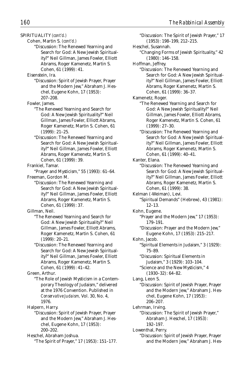SPIRITUALITY *(cont'd.)*

Cohen, Martin S. *(cont'd.)*

"Discussion: The Renewed Yearning and Search for God: A New Jewish Spirituality?" Neil Gillman, James Fowler, Elliott Abrams, Roger Kamenetz, Martin S. Cohen, 61 (1999): 41.

Eisenstein, Ira.

"Discussion: Spirit of Jewish Prayer, Prayer and the Modern Jew," Abraham J. Heschel, Eugene Kohn, 17 (1953): 207–208.

Fowler, James.

- "The Renewed Yearning and Search for God: A New Jewish Spirituality?" Neil Gillman, James Fowler, Elliott Abrams, Roger Kamenetz, Martin S. Cohen, 61 (1999): 21–25.
- "Discussion: The Renewed Yearning and Search for God: A New Jewish Spirituality?" Neil Gillman, James Fowler, Elliott Abrams, Roger Kamenetz, Martin S. Cohen, 61 (1999): 39.

Frankiel, Tamar.

- "Prayer and Mysticism," 55 (1993): 61–64. Freeman, Gordon M.
	- "Discussion: The Renewed Yearning and Search for God: A New Jewish Spirituality?" Neil Gillman, James Fowler, Elliott Abrams, Roger Kamenetz, Martin S. Cohen, 61 (1999): 37.

Gillman, Neil.

- "The Renewed Yearning and Search for God: A New Jewish Spirituality?" Neil Gillman, James Fowler, Elliott Abrams, Roger Kamenetz, Martin S. Cohen, 61 (1999): 20–21.
- "Discussion: The Renewed Yearning and Search for God: A New Jewish Spirituality?" Neil Gillman, James Fowler, Elliott Abrams, Roger Kamenetz, Martin S. Cohen, 61 (1999): 41–42.

Green, Arthur.

"The Role of Jewish Mysticism in a Contemporary Theology of Judaism," delivered at the 1976 Convention. Published in *Conservative Judaism,* Vol. 30, No. 4, 1976.

Halpern, Harry.

- "Discussion: Spirit of Jewish Prayer, Prayer and the Modern Jew," Abraham J. Heschel, Eugene Kohn, 17 (1953): 200–202.
- Heschel, Abraham Joshua. "The Spirit of Prayer," 17 (1953): 151–177.
- "Discussion: The Spirit of Jewish Prayer," 17 (1953): 198–199, 212–215. Heschel, Susannah. "Changing Forms of Jewish Spirituality," 42 (1980): 146–158. Hoffman, Jeffrey. "Discussion: The Renewed Yearning and Search for God: A New Jewish Spirituality?" Neil Gillman, James Fowler, Elliott Abrams, Roger Kamenetz, Martin S. Cohen, 61 (1999): 36–37. Kamenetz, Roger. "The Renewed Yearning and Search for God: A New Jewish Spirituality?" Neil Gillman, James Fowler, Elliott Abrams, Roger Kamenetz, Martin S. Cohen, 61 (1999): 27–30. "Discussion: The Renewed Yearning and Search for God: A New Jewish Spirituality?" Neil Gillman, James Fowler, Elliott Abrams, Roger Kamenetz, Martin S. Cohen, 61 (1999): 40–41. Kanter, Elana. "Discussion: The Renewed Yearning and Search for God: A New Jewish Spirituality?" Neil Gillman, James Fowler, Elliott Abrams, Roger Kamenetz, Martin S. Cohen, 61 (1999): 38. Kelman (-Weiman), Levi. "Spiritual Demands" (Hebrew), 43 (1981): 12–13. Kohn, Eugene. "Prayer and the Modern Jew," 17 (1953): 179–191. "Discussion: Prayer and the Modern Jew," Eugene Kohn, 17 (1953): 215–217. Kohn, Jacob. "Spiritual Elements in Judaism," 3 (1929): 75–89. "Discussion: Spiritual Elements in Judaism," 3 (1929): 103–104. "Science and the New Mysticism," 4 (1930–32): 64–82. Lang, Leon S. "Discussion: Spirit of Jewish Prayer, Prayer and the Modern Jew," Abraham J. Heschel, Eugene Kohn, 17 (1953): 206–207. Lehrman, Irving. "Discussion: The Spirit of Jewish Prayer," Abraham J. Heschel, 17 (1953): 192–197. Lowenthal, Perry. "Discussion: Spirit of Jewish Prayer, Prayer and the Modern Jew," Abraham J. Hes-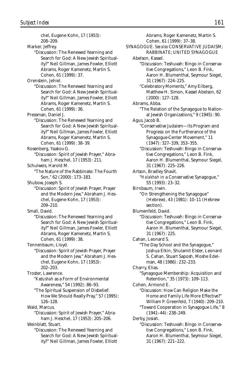chel, Eugene Kohn, 17 (1953): 208–209. Marker, Jeffrey. "Discussion: The Renewed Yearning and Search for God: A New Jewish Spirituality?" Neil Gillman, James Fowler, Elliott Abrams, Roger Kamenetz, Martin S. Cohen, 61 (1999): 37. Orenstein, Jehiel. "Discussion: The Renewed Yearning and Search for God: A New Jewish Spirituality?" Neil Gillman, James Fowler, Elliott Abrams, Roger Kamenetz, Martin S. Cohen, 61 (1999): 36. Pressman, Daniel J. "Discussion: The Renewed Yearning and Search for God: A New Jewish Spirituality?" Neil Gillman, James Fowler, Elliott Abrams, Roger Kamenetz, Martin S. Cohen, 61 (1999): 38–39. Rosenberg, Yaakov G. "Discussion: Spirit of Jewish Prayer," Abraham J. Heschel, 17 (1953): 211. Schulweis, Harold M. "The Nature of the Rabbinate: The Fourth Son," 62 (2000): 173–183. Shubow, Joseph S. "Discussion: Spirit of Jewish Prayer, Prayer and the Modern Jew," Abraham J. Heschel, Eugene Kohn, 17 (1953): 209–210. Small, David. "Discussion: The Renewed Yearning and Search for God: A New Jewish Spirituality?" Neil Gillman, James Fowler, Elliott Abrams, Roger Kamenetz, Martin S. Cohen, 61 (1999): 38. Tennenbaum, Lloyd. "Discussion: Spirit of Jewish Prayer, Prayer and the Modern Jew," Abraham J. Heschel, Eugene Kohn, 17 (1953): 202–203. Troster, Lawrence. "*Kedushah* as a Form of Environmental Awareness," 54 (1992): 86–93. "The Spiritual Suspension of Disbelief: How We Should Really Pray," 57 (1995): 126–128. Wald, Marcus. "Discussion: Spirit of Jewish Prayer," Abraham J. Heschel, 17 (1953): 205–206. Weinblatt, Stuart. "Discussion: The Renewed Yearning and Search for God: A New Jewish Spirituality?" Neil Gillman, James Fowler, Elliott

Abrams, Roger Kamenetz, Martin S. Cohen, 61 (1999): 37–38. SYNAGOGUE. *See also* CONSERVATIVE JUDAISM; RABBINATE; UNITED SYNAGOGUE Abelson, Kassel. "Discussion: Teshuvah: Bingo in Conservative Congregations," Leon B. Fink, Aaron H. Blumenthal, Seymour Siegel, 31 (1967): 224–225. "Celebratory Moments," Amy Eilberg, Matthew H. Simon, Kassel Abelson, 62 (2000): 127–128. Abrams, Abba. "The Relation of the Synagogue to National Jewish Organizations," 9 (1945): 90. Agus, Jacob B. "Conservative Judaism—Its Program and Progress: on the Furtherance of the Synagogue-Center Movement," 11 (1947): 327–339, 353–355. "Discussion: Teshuvah: Bingo in Conservative Congregations," Leon B. Fink, Aaron H. Blumenthal, Seymour Siegel, 31 (1967): 225–226. Artson, Bradley Shavit. "*Halakhah* in a Conservative Synagogue," 55 (1993): 23–32. Birnbaum, Irwin. "On Strengthening the Synagogue" (Hebrew), 43 (1981): 10–11 (Hebrew section). Blumenfeld, David. "Discussion: Teshuvah: Bingo in Conservative Congregations," Leon B. Fink, Aaron H. Blumenthal, Seymour Siegel, 31 (1967): 225. Cahan, Leonard S. "The Day School and the Synagogue," Joshua Elkin, Shulamit Elster, Leonard S. Cahan, Stuart Saposh, Moshe Edelman, 48 (1986): 232–233. Charry, Elias. "Synagogue Membership: Acquisition and Retention," 35 (1973): 109–113. Cohen, Armond E. "Discussion: How Can Religion Make the Home and Family Life More Effective?" William P. Greenfeld, 7 (1940): 209–210. "Toward Cooperation in Synagogue Life," 8 (1941–44): 238–249. Derby, Josiah. "Discussion: Teshuvah: Bingo in Conservative Congregations," Leon B. Fink, Aaron H. Blumenthal, Seymour Siegel,

31 (1967): 221–222.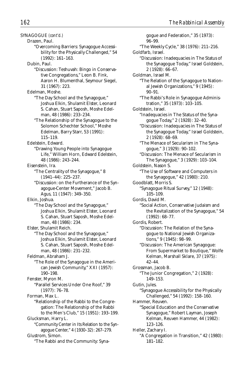SYNAGOGUE *(cont'd.)* Drazen, Paul. "Overcoming Barriers: Synagogue Accessibility for the Physically Challenged," 54 (1992): 161–163. Dubin, Paul. "Discussion: Teshuvah: Bingo in Conservative Congregations," Leon B. Fink, Aaron H. Blumenthal, Seymour Siegel, 31 (1967): 223. Edelman, Moshe. "The Day School and the Synagogue," Joshua Elkin, Shulamit Elster, Leonard S. Cahan, Stuart Saposh, Moshe Edelman, 48 (1986): 233–234. "The Relationship of the Synagogue to the Solomon Schechter School," Moshe Edelman, Barry Starr, 53 (1991): 115–119. Edelstein, Edward. "Drawing Young People into Synagogue Life," William Horn, Edward Edelstein, 48 (1986): 243–244. Eisenstein, Ira. "The Centrality of the Synagogue," 8 (1941–44): 225–237. "Discussion: on the Furtherance of the Synagogue-Center Movement," Jacob B. Agus, 11 (1947): 349–350. Elkin, Joshua. "The Day School and the Synagogue," Joshua Elkin, Shulamit Elster, Leonard S. Cahan, Stuart Saposh, Moshe Edelman, 48 (1986): 234. Elster, Shulamit Reich. "The Day School and the Synagogue," Joshua Elkin, Shulamit Elster, Leonard S. Cahan, Stuart Saposh, Moshe Edelman, 48 (1986): 231–232. Feldman, Abraham J. "The Role of the Synagogue in the American Jewish Community," XXI (1957): 190–198. Fenster, Myron M. "Parallel Services Under One Roof," 39 (1977): 76–78. Forman, Max L. "Relationship of the Rabbi to the Congregation: The Relationship of the Rabbi to the Men's Club," 15 (1951): 193–199. Glucksman, Harry L. "Community Center in Its Relation to the Synagogue Center," 4 (1930–32): 267–279. Glustrom, Simon.

"The Rabbi and the Community: Syna-

gogue and Federation," 35 (1973): 96–99. "The Weekly Cycle," 38 (1976): 211–216. Goldfarb, Israel. "Discussion: Inadequacies in The Status of the Synagogue Today," Israel Goldstein, 2 (1928): 66–67. Goldman, Israel M. "The Relation of the Synagogue to National Jewish Organizations," 9 (1945): 90–91. "The Rabbi's Role in Synagogue Administration," 35 (1973): 103–105. Goldstein, Israel. "Inadequacies in The Status of the Synagogue Today," 2 (1928): 32–40. "Discussion: Inadequacies in The Status of the Synagogue Today," Israel Goldstein, 2 (1928): 68–69. "The Menace of Secularism in The Synagogue," 3 (1929): 90–102. "Discussion: The Menace of Secularism in The Synagogue," 3 (1929): 103–104. Goldstein, Nason S. "The Use of Software and Computers in the Synagogue," 42 (1980): 210. Goodblatt, Morris S. "Synagogue Ritual Survey," 12 (1948): 105–109. Gordis, David M. "Social Action, Conservative Judaism and the Revitalization of the Synagogue," 54 (1992): 68–77. Gordis, Robert. "Discussion: The Relation of the Synagogue to National Jewish Organizations," 9 (1945): 98–99. "Discussion: The American Synagogue: From Supermarket to Boutique," Wolfe Kelman, Marshall Sklare, 37 (1975): 42–44. Grossman, Jacob B. "The Junior Congregation," 2 (1928): 149–153. Gutin, Jules. "Synagogue Accessibility for the Physically Challenged," 54 (1992): 158–160. Hammer, Reuven. "Special Education and the Conservative Synagogue," Robert Layman, Joseph Kelman, Reuven Hammer, 44 (1982): 123–126. Heller, Zachary I. "A Congregation in Transition," 42 (1980): 181–182.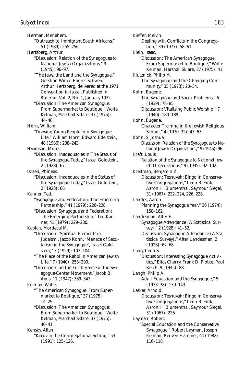Herman, Menahem. "Outreach to Immigrant South Africans," 51 (1989): 255–256. Hertzberg, Arthur. "Discussion: Relation of the Synagogues to National Jewish Organizations," 9 (1945): 96–97. "The Jews, the Land and the Synagogue," Gershon Winer, Eliezer Schweid, Arthur Hertzberg, delivered at the 1971 Convention in Israel. Published in *Beineinu,* Vol. 2, No. 1, January 1972. "Discussion: The American Synagogue: From Supermarket to Boutique," Wolfe Kelman, Marshall Sklare, 37 (1975): 44–46. Horn, William. "Drawing Young People into Synagogue Life," William Horn, Edward Edelstein, 48 (1986): 238–243. Hyamson, Moses. "Discussion: Inadequacies in The Status of the Synagogue Today," Israel Goldstein, 2 (1928): 67. Israeli, Phineas. "Discussion: Inadequacies in the Status of the Synagogue Today," Israel Goldstein, 2 (1928): 66. Kanner, Ted. "Synagogue and Federation: The Emerging Partnership," 41 (1979): 226–228. "Discussion: Synagogue and Federation: The Emerging Partnership," Ted Kanner, 41 (1979): 229–230. Kaplan, Mordecai M. "Discussion: 'Spiritual Elements in Judaism'. Jacob Kohn. 'Menace of Secularism in the Synagogue', Israel Goldstein," 3 (1929): 103–104. "The Place of the Rabbi in American Jewish Life," 7 (1940): 253–290. "Discussion: on the Furtherance of the Synagogue-Center Movement," Jacob B. Agus, 11 (1947): 339–343. Kelman, Wolfe. "The American Synagogue: From Supermarket to Boutique," 37 (1975): 14–29. "Discussion: The American Synagogue: From Supermarket to Boutique," Wolfe Kelman, Marshall Sklare, 37 (1975): 40–41. Kensky, Allan. "Keruv in the Congregational Setting," 53 (1991): 125–126.

Kieffer, Melvin. "Dealing with Conflicts in the Congregation," 39 (1977): 58–61. Klein, Isaac. "Discussion: The American Synagogue: From Supermarket to Boutique," Wolfe Kelman, Marshall Sklare, 37 (1975): 41. Klutznick, Philip M. "The Synagogue and the Changing Community," 35 (1973): 20–34. Kohn, Eugene. "The Synagogue and Social Problems," 6 (1939): 78–85. "Discussion: Vitalizing Public Worship," 7 (1940): 180–189. Kohn, Eugene. "Character Training in the Jewish Religious School," 4 (1930–32): 43–63. Kohn, S. Joshua. "Discussion: Relation of the Synagogues to National Jewish Organizations," 9 (1945): 96. Kraft, Louis. "Relation of the Synagogue to National Jewish Organizations," 9 (1945): 92–102. Kreitman, Benjamin Z. "Discussion: Teshuvah: Bingo in Conservative Congregations," Leon B. Fink, Aaron H. Blumenthal, Seymour Siegel, 31 (1967): 222–224, 226, 228. Landes, Aaron. "Planning the Synagogue Year," 36 (1974): 158–162. Landesman, Alter F. "Synagogue Attendance (A Statistical Survey)," 2 (1928): 41–52. "Discussion: Synagogue Attendance (A Statistical Survey)," Alter Landesman, 2 (1928): 67–68. Lang, Leon S. "Discussion: Interesting Synagogue Activities," Elias Charry, Frank D. Plotke, Paul Reich, 9 (1945): 88. Langh, Philip A. "Adult Education and the Synagogue," 5 (1933–38): 139–143. Lasker, Arnold. "Discussion: Teshuvah: Bingo in Conservative Congregations," Leon B. Fink, Aaron H. Blumenthal, Seymour Siegel, 31 (1967): 226. Layman, Robert. "Special Education and the Conservative Synagogue," Robert Layman, Joseph Kelman, Reuven Hammer, 44 (1982): 116–118.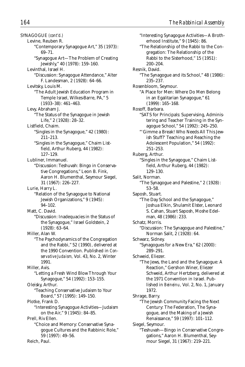SYNAGOGUE *(cont'd.)* Levine, Reuben R. "Contemporary Synagogue Art," 35 (1973): 69–71. "Synagogue Art—The Problem of Creating Jewishly," 40 (1978): 159–160. Levinthal, Israel H. "Discussion: Synagogue Attendance," Alter F. Landesman, 2 (1928): 64–66. Levitsky, Louis M. "The Adult Jewish Education Program in Temple Israel, Wilkes-Barre, PA," 5 (1933–38): 461–463. Levy, Abraham J. "The Status of the Synagogue in Jewish Life," 2 (1928): 28–32. Listfield, Chaim. "Singles in the Synagogue," 42 (1980): 211–213. "Singles in the Synagogue," Chaim Listfield, Arthur Ruberg, 44 (1982): 127–129. Lubliner, Immanuel. "Discussion: Teshuvah: Bingo in Conservative Congregations," Leon B. Fink, Aaron H. Blumenthal, Seymour Siegel, 31 (1967): 226–227. Lurie, Harry L. "Relation of the Synagogue to National Jewish Organizations," 9 (1945): 94–102. Matt, C. David. "Discussion: Inadequacies in the Status of the Synagogue," Israel Goldstein, 2 (1928): 63–64. Miller, Alan W. "The Psychodynamics of the Congregation and the Rabbi," 52 (1990), delivered at the 1990 Convention. Published in *Conservative Judaism,* Vol. 43, No. 2, Winter 1991. Miller, Avis. "Letting a Fresh Wind Blow Through Your Synagogue," 54 (1992): 153–155. Oleisky, Arthur. "Teaching Conservative Judaism to Your Board," 57 (1995): 149–150. Plotke, Frank D. "Interesting Synagogue Activities—Judaism on the Air," 9 (1945): 84–85. Prell, Riv Ellen. "Choice and Memory: Conservative Synagogue Cultures and the Rabbinic Role," 59 (1997): 49–56. Reich, Paul.

"Interesting Synagogue Activities—A Brotherhood Institute," 9 (1945): 86. "The Relationship of the Rabbi to the Congregation: The Relationship of the Rabbi to the Sisterhood," 15 (1951): 200–204. Resnik, David. "The Synagogue and its School," 48 (1986): 235–237. Rosenbloom, Seymour. "A Place for Men: Where Do Men Belong in an Egalitarian Synagogue," 61 (1999): 165–168. Rosoff, Barbara. "SATS for Principals: Supervising, Administering and Teacher Training in the Synagogue School," 54 (1992): 245–250. "'Gimme a Break! Who Needs All This Jewish Stuff?' Teaching and Reaching the Adolescent Population," 54 (1992): 251–253. Ruberg, Arthur. "Singles in the Synagogue," Chaim Listfield, Arthur Ruberg, 44 (1982): 129–130. Salit, Norman. "The Synagogue and Palestine," 2 (1928): 53–58. Saposh, Stuart. "The Day School and the Synagogue," Joshua Elkin, Shulamit Elster, Leonard S. Cahan, Stuart Saposh, Moshe Edelman, 48 (1986): 233. Schatz, Morris. "Discussion: The Synagogue and Palestine," Norman Salit, 2 (1928): 64. Schwarz, Sidney. "Synagogues for a New Era," 62 (2000): 289–291. Schweid, Eliezer. "The Jews, the Land and the Synagogue: A Reaction," Gershon Winer, Eliezer Schweid, Arthur Hertzberg, delivered at the 1971 Convention in Israel. Published in *Beineinu,* Vol. 2, No. 1, January 1972. Shrage, Barry. "The Jewish Community Facing the Next Century: The Federation, The Synagogue, and the Making of a Jewish Renaissance," 59 (1997): 101–112. Siegel, Seymour. "Teshuvah—Bingo in Conservative Congregations," Aaron H. Blumenthal, Seymour Siegel, 31 (1967): 219–221.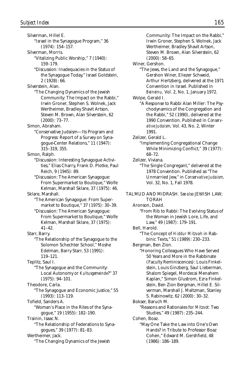Silverman, Hillel E. "Israel in the Synagogue Program," 36 (1974): 154–157. Silverman, Morris. "Vitalizing Public Worship," 7 (1940): 159–179. "Discussion: Inadequacies in the Status of the Synagogue Today," Israel Goldstein, 2 (1928): 66. Silverstein, Alan. "The Changing Dynamics of the Jewish Community: The Impact on the Rabbi," Irwin Groner, Stephen S. Wolnek, Jack Wertheimer, Bradley Shavit Artson, Steven M. Brown, Alan Silverstein, 62 (2000): 73–77. Simon, Abraham. "Conservative Judaism—Its Program and Progress: Report of a Survey on Synagogue-Center Relations," 11 (1947): 315–319, 355. Simon, Ralph. "Discussion: Interesting Synagogue Activities," Elias Charry, Frank D. Plotke, Paul Reich, 9 (1945): 89. "Discussion: The American Synagogue: From Supermarket to Boutique," Wolfe Kelman, Marshall Sklare, 37 (1975): 46. Sklare, Marshall. "The American Synagogue: From Supermarket to Boutique," 37 (1975): 30–39. "Discussion: The American Synagogue: From Supermarket to Boutique," Wolfe Kelman, Marshall Sklare, 37 (1975): 41–42. Starr, Barry. "The Relationship of the Synagogue to the Solomon Schechter School," Moshe Edelman, Barry Starr, 53 (1991): 119–121. Teplitz, Saul I. "The Synagogue and the Community: Local Autonomy or *Kultusgemeinde*?" 37 (1975): 94–101. Theodore, Carla. "The Synagogue and Economic Justice," 55 (1993): 113–119. Tofield, Sanders A. "Woman's Place in the Rites of the Synagogue," 19 (1955): 182–190. Trainin, Isaac N. "The Relationship of Federations to Synagogues," 39 (1977): 81–83. Wertheimer, Jack. "The Changing Dynamics of the Jewish

Community: The Impact on the Rabbi," Irwin Groner, Stephen S. Wolnek, Jack Wertheimer, Bradley Shavit Artson, Steven M. Brown, Alan Silverstein, 62 (2000): 58–65. Winer, Gershon. "The Jews, the Land and the Synagogue," Gershon Winer, Eliezer Schweid, Arthur Hertzberg, delivered at the 1971 Convention in Israel. Published in *Beineinu,* Vol. 2, No. 1, January 1972. Wolpe, Gerald I. "A Response to Rabbi Alan Miller: The Psychodynamics of the Congregation and the Rabbi," 52 (1990), delivered at the 1990 Convention. Published in *Conservative Judaism,* Vol. 43, No. 2, Winter 1991. Zelizer, Gerald L. "Implementing Congregational Change While Minimizing Conflict," 39 (1977): 68–72. Zelizer, Viviana. "The Single Congregant," delivered at the 1978 Convention. Published as "The Unmarried Jew," in *Conservative Judaism,* Vol. 32, No. 1, Fall 1978. TALMUD AND MIDRASH. *See also* JEWISH LAW; TORAH Aronson, David. "From Rib to Rabbi: The Evolving Status of the Woman in Jewish Lore, Life, and Law," 49 (1987): 179–191. Bell, Harold. "The Concept of *Hiddur Mitzvah* in Rabbinic Texts," 51 (1989): 230–233. Bergman, Ben Zion. "Honoring Colleagues Who Have Served 50 Years and More in the Rabbinate (Faculty Reminiscences): Louis Finkelstein, Louis Ginzberg, Saul Lieberman, Shalom Spiegel, Mordecai Menahem Kaplan," Simon Glustrom, Ezra Finkelstein, Ben Zion Bergman, Hillel E. Silverman, Marshall J. Maltzman, Stanley S. Rabinowitz, 62 (2000): 30–32. Bokser, Baruch M. "Reasons and Rationales for *Mitzvot:* Two Studies," 49 (1987): 235–244. Cohen, Boaz. "May One Take the Law into One's Own Hands? in Tribute to Professor Boaz Cohen," Edward M. Gershfield, 48

(1986): 186–189.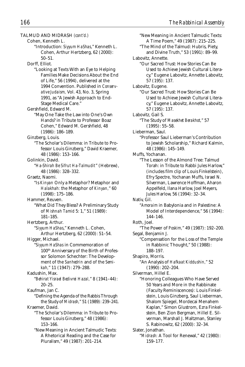TALMUD AND MIDRASH *(cont'd.)* Cohen, Kenneth L. "Introduction: *Siyyum HaShas*," Kenneth L. Cohen, Arthur Hertzberg, 62 (2000): 50–51. Dorff, Elliot. "Looking at Texts With an Eye to Helping Families Make Decisions About the End of Life," 56 (1994), delivered at the 1994 Convention. Published in *Conservative Judaism,* Vol. 43, No. 3, Spring 1991, as "A Jewish Approach to End-Stage Medical Care." Gershfield, Edward M. "May One Take the Law into One's Own Hands? in Tribute to Professor Boaz Cohen," Edward M. Gershfield, 48 (1986): 186–189. Ginzberg, Louis. "The Scholar's Dilemma: in Tribute to Professor Louis Ginzberg," David Kraemer, 48 (1986): 153–166. Golinkin, David. "*Ha-Shirah Be Sifrut Ha-Talmudit*" (Hebrew), 48 (1986): 328–332. Graetz, Naomi. "Is *Kinyan* Only a Metaphor? Metaphor and *Halakhah:* the Metaphor of *Kinyan,*" 60 (1998): 175–186. Hammer, Reuven. "What Did They Bless? A Preliminary Study of *Mishnah Tamid* 5: 1," 51 (1989): 181–185. Hertzberg, Arthur. "*Siyyum HaShas*," Kenneth L. Cohen, Arthur Hertzberg, 62 (2000): 51–54. Higger, Michael. "*Siyyum HaShas* in Commemoration of 100th Anniversary of the Birth of Professor Solomon Schechter: The Development of the *Sanhedrin* and of the *Semikah,*" 11 (1947): 279–288. Kadushin, Max. "*Behirat Yisrael Bedivrei Hazal,*" 8 (1941–44): 20–25. Kaufman, Jan C. "Defining the Agenda of the Rabbis Through the Study of *Midrash,*" 51 (1989): 239–241. Kraemer, David. "The Scholar's Dilemma: in Tribute to Professor Louis Ginzberg," 48 (1986): 153–166. "New Meaning in Ancient Talmudic Texts: A Rhetorical Reading and the Case for Pluralism," 49 (1987): 201–214.

"New Meaning in Ancient Talmudic Texts: A Time Poem," 49 (1987): 215–225. "The Mind of the Talmud: Hubris, Piety, and Divine Truth," 53 (1991): 89–99. Labovitz, Annette. "Our Sacred Trust: How Stories Can Be Used to Achieve Jewish Cultural Literacy," Eugene Labovitz, Annette Labovitz, 57 (195): 137. Labovitz, Eugene. "Our Sacred Trust: How Stories Can Be Used to Achieve Jewish Cultural Literacy," Eugene Labovitz, Annette Labovitz, 57 (195): 137. Labovitz, Gail S. "The Study of *Masekhet Berakhot,*" 57 (1995): 55–58. Lieberman, Saul. "Professor Saul Lieberman's Contribution to Jewish Scholarship," Richard Kalmin, 48 (1986): 145–149. Muffs, Yochanan. "The Lesson of the Almond Tree: Talmud Torah: in Tribute to Rabbi Jules Harlow," (includes film clip of Louis Finkelstein), Efry Spectre, Yochanan Muffs, Israel N. Silverman, Lawrence Hoffman, Aharon Appelfeld, Ilana Harlow, Joel Meyers, Jules Harlow, 56 (1994): 32–34. Nativ, Gil. "*Amoraim* in Babylonia and in Palestine: A Model of Interdependence," 56 (1994): 144–146. Roth, Joel. "The Power of *Poskim,*" 49 (1987): 192–200. Segal, Benjamin J. "Compensation for the Loss of the Temple in Rabbinic Thought," 50 (1988): 188–197. Shapiro, Morris. "An Analysis of *Hafkaat Kiddushin,*" 52 (1990): 202–204. Silverman, Hillel E. "Honoring Colleagues Who Have Served 50 Years and More in the Rabbinate (Faculty Reminiscences): Louis Finkelstein, Louis Ginzberg, Saul Lieberman, Shalom Spiegel, Mordecai Menahem Kaplan," Simon Glustrom, Ezra Finkelstein, Ben Zion Bergman, Hillel E. Silverman, Marshall J. Maltzman, Stanley S. Rabinowitz, 62 (2000): 32–34. Slater, Jonathan. "*Midrash:* A Tool for Renewal," 42 (1980): 159–177.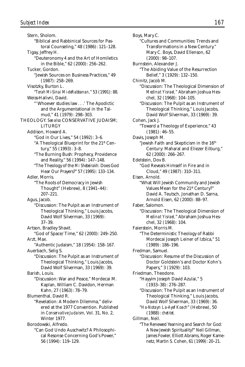Stern, Sholom. "Biblical and Rabbinical Sources for Pastoral Counseling," 48 (1986): 121–128. Tigay, Jeffrey H. "Deuteronomy 4 and the Art of Homiletics in the Bible," 62 (2000): 256–262. Tucker, Gordon. "Jewish Sources on Business Practices," 49 (1987): 258–269. Visotzky, Burton L. "*Torah Mi-Sinai Mi-deRabbanan,*" 53 (1991): 88. Weiss-Halivni, David. "'Whoever studies law . . .' The Apodictic and the Argumentational in the Talmud," 41 (1979): 298–303. THEOLOGY. *See also* CONSERVATIVE JUDAISM; LITURGY Addison, Howard A. "God in Our Lives," 54 (1992): 3–6. "A Theological Blueprint for the 21st Century," 55 (1993): 3–8. "The Burning Bush: Prophecy, Providence and Reality," 56 (1994): 147–148. "The Theology of the *Mi Shebeirakh:* Does God Hear Our Prayers?" 57 (1995): 133–134. Adler, Morris. "The Roots of Democracy in Jewish Thought" (Hebrew), 8 (1941–44): 207–221. Agus, Jacob. "Discussion: The Pulpit as an Instrument of Theological Thinking," Louis Jacobs, David Wolf Silverman, 33 (1969): 37–39. Artson, Bradley Shavit. "God of Space/Time," 62 (2000): 249–250. Arzt, Max. "Authentic Judaism," 18 (1954): 158–167. Auerbach, Selig S. "Discussion: The Pulpit as an Instrument of Theological Thinking," Louis Jacobs, David Wolf Silverman, 33 (1969): 39. Barish, Louis. "Discussion: War and Peace," Mordecai M. Kaplan, William C. Davidon, Herman Kahn, 27 (1963): 78–79. Blumenthal, David R. "Revelation: A Modern Dilemma," delivered at the 1977 Convention. Published in *Conservative Judaism,* Vol. 31, No. 2, Winter 1977. Borodowski, Alfredo. "Can God Undo Auschwitz? A Philosophical Resonse Concerning God's Power," 56 (1994): 119–129.

Boys, Mary C. "Cultures and Communities: Trends and Transformations in a New Century." Mary C. Boys, David Ellenson, 62 (2000): 98–107. Burnstein, Alexander J. "The Abiding Value of the Resurrection Belief," 3 (1929): 132–150. Chinitz, Jacob M. "Discussion: The Theological Dimension of *Medinat Yisrael,*" Abraham Joshua Heschel, 32 (1968): 104–105. "Discussion: The Pulpit as an Instrument of Theological Thinking," Louis Jacobs, David Wolf Silverman, 33 (1969): 39. Cohen, Jack J. "Toward a Theology of Experience," 43 (1981): 46–55. Davis, Joseph M. "Jewish Faith and Skepticism in the 16<sup>th</sup> Century: Maharal and Eliezer Eilburg," 62 (2000): 266–267. Edelstein, Dov B. "God Reveals Himself in Fire and in Cloud," 49 (1987): 310–311. Eisen, Arnold. "What Will Jewish Community and Jewish Values Mean for the 21<sup>st</sup> Century?" David A. Teutsch, Jonathan D. Sarna, Arnold Eisen, 62 (2000): 88–97. Faber, Salomon. "Discussion: The Theological Dimension of *Medinat Yisrael,*" Abraham Joshua Heschel, 32 (1968): 104. Faierstein, Morris M. "The Deterministic Theology of Rabbi Mordecai Joseph Leiner of Izbica," 51 (1989): 186–196. Fredman, Samuel. "Discussion: Resume of the Discussion of Doctor Goldstein's and Doctor Kohn's Papers," 3 (1929): 103. Friedman, Theodore. "Hayyim Joseph David Azulai," 5 (1933–38): 276–287. "Discussion: The Pulpit as an Instrument of Theological Thinking," Louis Jacobs, David Wolf Silverman, 33 (1969): 36. "*Ha-Notayn La-Ayef Koach*" (Hebrew), 50 (1988): *chet-tet.* Gillman, Neil. "The Renewed Yearning and Search for God: A New Jewish Spirituality?" Neil Gillman, James Fowler, Elliott Abrams, Roger Kamenetz, Martin S. Cohen, 61 (1999): 20–21.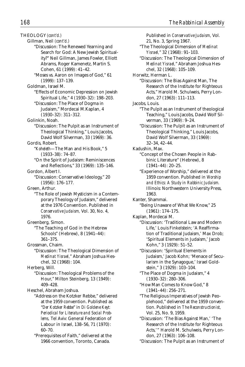THEOLOGY *(cont'd.)* Gillman, Neil *(cont'd.)* "Discussion: The Renewed Yearning and Search for God: A New Jewish Spirituality?" Neil Gillman, James Fowler, Elliott Abrams, Roger Kamenetz, Martin S. Cohen, 61 (1999): 41–42. "Moses vs. Aaron on Images of God," 61 (1999): 137–139. Goldman, Israel M. "Effects of Economic Depression on Jewish Spiritual Life," 4 (1930–32): 198–203. "Discussion: The Place of Dogma in Judaism," Mordecai M.Kaplan, 4 (1930–32): 311–312. Golinkin, Noah. "Discussion: The Pulpit as an Instrument of Theological Thinking," Louis Jacobs, David Wolf Silverman, 33 (1969): 36. Gordis, Robert. "*Koheleth*—The Man and His Book," 5 (1933–38): 74–87. "On the Spirit of Judaism: Reminiscences and Reflections," 33 (1969): 135–146. Gordon, Albert I. "Discussion: Conservative Ideology," 20 (1956): 176–177. Green, Arthur. "The Role of Jewish Mysticism in a Contemporary Theology of Judaism," delivered at the 1976 Convention. Published in *Conservative Judaism,* Vol. 30, No. 4, 1976. Greenberg, Simon. "The Teaching of God in the Hebrew Schools" (Hebrew), 8 (1941–44): 361–375. Grossman, Chaim. "Discussion: The Theological Dimension of *Medinat Yisrael,*" Abraham Joshua Heschel, 32 (1968): 104. Herberg, Will. "Discussion: Theological Problems of the Hour," Milton Steinberg, 13 (1949): 409–428. Heschel, Abraham Joshua. "Address on the Kotzker Rebbe," delivered at the 1959 convention. Published as "*Der Kotzker Rebbe*" in *Di Goldene Keyt: Periodical for Literature and Social Problems,* Tel Aviv: General Federation of Labour in Israel, 138–56, 71 (1970): 60–70.

"Prerequisites of Faith," delivered at the 1966 convention, Toronto, Canada.

Published in *Conservative Judaism,* Vol. 21, No. 3, Spring 1967. "The Theological Dimension of *Medinat Yisrael,*" 32 (1968): 91–103. "Discussion: The Theological Dimension of *Medinat Yisrael,*" Abraham Joshua Heschel, 32 (1968): 105–109. Horwitz, Herman L. "Discussion: The Bias Against Man, The Research of the Institute for Righteous Acts," Harold M. Schulweis, Perry London, 27 (1963): 111–113. Jacobs, Louis. "The Pulpit as an Instrument of theological Teaching," Louis Jacobs, David Wolf Silverman, 33 (1969): 9–24. "Discussion: The Pulpit as an Instrument of Theological Thinking," Louis Jacobs, David Wolf Silverman, 33 (1969): 32–34, 42–44. Kadushin, Max. "Concept of the Chosen People in Rabbinic Literature" (Hebrew), 8 (1941–44): 20–25. "Experience of Worship," delivered at the 1959 convention. Published in *Worship and Ethics: A Study in Rabbinic Judaism.* Illinois: Northwestern University Press, 1963. Kanter, Shammai. "Being Unaware of What We Know," 25 (1961): 174–175. Kaplan, Mordecai M. "Discussion: 'Traditional Law and Modern Life,' Louis Finkelstein; 'A Reaffirmation of Traditional Judaism,' Max Drob; 'Spiritual Elements in Judaism,' Jacob Kohn," 3 (1929): 51–52. "Discussion: 'Spiritual Elements in Judaism,' Jacob Kohn; 'Menace of Secularism in the Synagogue,' Israel Goldstein," 3 (1929): 103–104. "The Place of Dogma in Judaism," 4 (1930–32): 280–306. "How Man Comes to Know God," 8 (1941–44): 256–271. "The Religious Imperatives of Jewish Peoplehood," delivered at the 1959 convention. Published in *The Reconstructionist,* Vol. 25, No. 9, 1959. "Discussion: 'The Bias Against Man,' 'The Research of the Institute for Righteous Acts,'" Harold M. Schulweis, Perry London, 27 (1963): 106–108.

"Discussion: The Pulpit as an Instrument of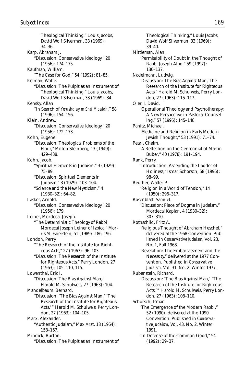Theological Thinking," Louis Jacobs, David Wolf Silverman, 33 (1969): 34–36. Karp, Abraham J. "Discussion: Conservative Ideology," 20 (1956): 174–175. Kaufman, William. "The Case for God," 54 (1992): 81–85. Kelman, Wolfe. "Discussion: The Pulpit as an Instrument of Theological Thinking," Louis Jacobs, David Wolf Silverman, 33 (1969): 34. Kensky, Allan. "In Search of *Yerushalayim Shel Maalah,*" 58 (1996): 154–156. Klein, Andrew. "Discussion: Conservative Ideology," 20 (1956): 172–173. Kohn, Eugene. "Discussion: Theological Problems of the Hour," Milton Steinberg, 13 (1949): 429–438. Kohn, Jacob. "Spiritual Elements in Judaism," 3 (1929): 75–89. "Discussion: Spiritual Elements in Judaism," 3 (1929): 103–104. "Science and the New Mysticism," 4 (1930–32): 64–82. Lasker, Arnold. "Discussion: Conservative Ideology," 20 (1956): 179. Leiner, Mordecai Joseph. "The Deterministic Theology of Rabbi Mordecai Joseph Leiner of Izbica," Morris M. Faierstein, 51 (1989): 186–196. London, Perry. "The Research of the Institute for Righteous Acts," 27 (1963): 96–103. "Discussion: The Research of the Institute for Righteous Acts," Perry London, 27 (1963): 105, 110, 115. Lowenthal, Eric I. "Discussion: The Bias Against Man," Harold M. Schulweis, 27 (1963): 104. Mandelbaum, Bernard. "Discussion: 'The Bias Against Man,' 'The Research of the Institute for Righteous Acts,'" Harold M. Schulweis, Perry London, 27 (1963): 104–105. Marx, Alexander. "Authentic Judaism," Max Arzt, 18 (1954): 158–167. Mindick, Burton. "Discussion: The Pulpit as an Instrument of

Theological Thinking," Louis Jacobs, David Wolf Silverman, 33 (1969): 39–40. Mittleman, Alan. "Permissibility of Doubt in the Thought of Rabbi Joseph Albo," 59 (1997): 136–137. Nadelmann, Ludwig. "Discussion: The Bias Against Man, The Research of the Institute for Righteous Acts," Harold M. Schulweis, Perry London, 27 (1963): 115–117. Oler, I. David. "Operational Theology and Psychotherapy: A New Perspective in Pastoral Counseling," 57 (1995): 145–148. Panitz, Michael. "Medicine and Religion in Early-Modern Jewish Thought," 53 (1991): 71–74. Pearl, Chaim. "A Reflection on the Centennial of Martin Buber," 40 (1978): 191–194. Rank, Perry. "Introduction: Ascending the Ladder of Holiness," Ismar Schorsch, 58 (1996): 98–99. Reuther, Walter P. "Religion in a World of Tension," 14 (1950): 296–317. Rosenblatt, Samuel. "Discussion: Place of Dogma in Judaism," Mordecai Kaplan, 4 (1930–32): 307–310. Rothschild, Fritz A. "Religious Thought of Abraham Heschel," delivered at the 1968 Convention. Published in *Conservative Judaism,* Vol. 23, No. 1, Fall 1968. "Revelation: The Embarrassment and the Necessity," delivered at the 1977 Convention. Published in *Conservative Judaism,* Vol. 31, No. 2, Winter 1977. Rubenstein, Richard. "Discussion: 'The Bias Against Man,' 'The Research of the Institute for Righteous Acts,'" Harold M. Schulweis, Perry London, 27 (1963): 108–110. Schorsch, Ismar. "The Emergence of the Modern Rabbi," 52 (1990), delivered at the 1990 Convention. Published in *Conservative Judaism,* Vol. 43, No. 2, Winter 1991. "In Defense of the Common Good," 54 (1992): 29–37.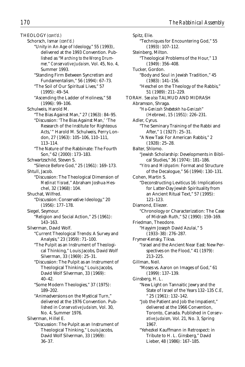THEOLOGY *(cont'd.)* Schorsch, Ismar *(cont'd.)* "Unity in An Age of Ideology," 55 (1993), delivered at the 1993 Convention. Published as "*Marching to the Wrong Drummer,*" *Conservative Judaism,* Vol. 45, No. 4, Summer 1993. "Standing Firm Between Syncretism and Fundamentalism," 56 (1994): 67–73. "The Soil of Our Spiritual Lives," 57 (1995): 49–54. "Ascending the Ladder of Holiness," 58 (1996): 99–106. Schulweis, Harold M. "The Bias Against Man," 27 (1963): 84–95. "Discussion: 'The Bias Against Man,' 'The Research of the Institute for Righteous Acts,'" Harold M. Schulweis, Perry London, 27 (1963): 105–106, 110–111, 113–114. "The Nature of the Rabbinate: The Fourth Son," 62 (2000): 173–183. Schwartzschild, Steven S. "Silence Before God," 25 (1961): 169–173. Shtull, Jacob. "Discussion: The Theological Dimension of *Medinat Yisrael,*" Abraham Joshua Heschel, 32 (1968): 104. Shuchat, Wilfred. "Discussion: Conservative Ideology," 20 (1956): 177–178. Siegel, Seymour. "Religion and Social Action," 25 (1961): 143–163. Silverman, David Wolf. "Current Theological Trends: A Survey and Analysis," 23 (1959): 71–100. "The Pulpit as an Instrument of Theological Thinking," Louis Jacobs, David Wolf Silverman, 33 (1969): 25–31. "Discussion: The Pulpit as an Instrument of Theological Thinking," Louis Jacobs, David Wolf Silverman, 33 (1969): 40–42. "Some Modern Theologies," 37 (1975): 189–202. "Animadversions on the Mystical Turn," delivered at the 1976 Convention. Published in *Conservative Judaism,* Vol. 30, No. 4, Summer 1976. Silverman, Hillel E. "Discussion: The Pulpit as an Instrument of Theological Thinking," Louis Jacobs, David Wolf Silverman, 33 (1969):

36–37.

Spitz, Elie. "Techniques for Encountering God," 55 (1993): 107–112. Steinberg, Milton. "Theological Problems of the Hour," 13 (1949): 356–408. Tucker, Gordon. "Body and Soul in Jewish Tradition," 45 (1983): 141–156. "Heschel on the Theology of the Rabbis," 51 (1989): 211–229. TORAH. *See also* TALMUD AND MIDRASH Abramson, Shraga. "*Ha-Genizah Shebetokh ha-Genizah*" (Hebrew), 15 (1951): 226–231. Adler, Cyrus. "The Seminary Training of the Rabbi and After," 1 (1927): 25–31. "A New Task For American Rabbis," 2 (1928): 25–28. Balter, Shlomo. "Jewish Scholarship: Developments in Biblical Studies," 36 (1974): 181–186. "*Yitro* and *Mishpatim:* Format and Structure of the Decalogue," 56 (1994): 130–131. Cohen, Martin S. "Deconstructing Leviticus 16: Implications for Latter-Day Jewish Spirituality from an Ancient Ritual Text," 57 (1995): 121–123. Diamond, Eliezer. "Chronology or Characterization: The Case of Midrash Ruth," 52 (1990): 159–169. Friedman, Theodore. "Hayyim Joseph David Azulai," 5 (1933–38): 276–287. Frymer-Kensky, Tikva. "Israel and the Ancient Near East: New Perspectives on the Flood," 41 (1979): 213–225. Gillman, Neil. "Moses vs. Aaron on Images of God," 61 (1999): 137–139. Ginsberg, H. L. "New Light on Tannaitic Jewry and the State of Israel of the Years 132–135 C.E, " 25 (1961): 132–142. "Job the Patient and Job the Impatient," delivered at the 1966 Convention, Toronto, Canada. Published in *Conservative Judaism,* Vol. 21, No. 3, Spring 1967. "Yehezkel Kauffmann in Retrospect: in Tribute to H. L. Ginsberg," David Lieber, 48 (1986): 167–185.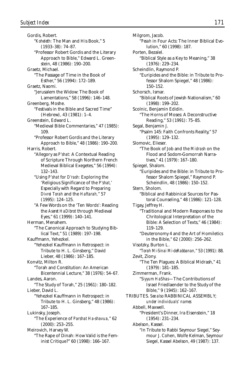Gordis, Robert. "*Koheleth:* The Man and His Book," 5 (1933–38): 74–87. "Professor Robert Gordis and the Literary Approach to Bible," Edward L. Greenstein, 48 (1986): 190–200. Graetz, Michael. "The Passage of Time in the Book of Esther," 56 (1994): 172–189. Graetz, Naomi. "Jerusalem the Widow: The Book of Lamentations," 58 (1996): 146–148. Greenberg, Moshe. "Festivals in the Bible and Sacred Time" (Hebrew), 43 (1981): 1–4. Greenstein, Edward L. "Medieval Bible Commentaries," 47 (1985): 109. "Professor Robert Gordis and the Literary Approach to Bible," 48 (1986): 190–200. Harris, Robert. "Allegory as *P'shat:* A Contextual Reading of Scripture Through Northern French Medieval Biblical Exegetes," 56 (1994): 132–143. "Using *P'shat* for *D'rash:* Exploring the 'Religious Significance of the *P'shat,*' Especially with Regard to Preparing *Divrei Torah* and the *Haftarah,*" 57 (1995): 124–125. "A Few Words on the 'Ten Words': Reading the *Aseret HaDibrot* through Medieval Eyes," 61 (1999): 140–141. Herman, Menahem. "The Canonical Approach to Studying Biblical Text," 51 (1989): 197–198. Kauffmann, Yehezkel. "Yehezkel Kauffmann in Retrospect: in Tribute to H. L. Ginsberg," David Lieber, 48 (1986): 167–185. Konvitz, Milton R. "Torah and Constitution: An American Bicentennial Lecture," 38 (1976): 54–67. Landes, Aaron. "The Study of Torah," 25 (1961): 180–182. Lieber, David L. "Yehezkel Kauffmann in Retrospect: in Tribute to H. L. Ginsberg," 48 (1986): 167–185. Lukinsky, Joseph. "The Experience of *Parshat Ha-shavua,*" 62 (2000): 253–255. Meirovich, Harvey W. "The Rape of Dinah: How Valid is the Feminist Critique?" 60 (1998): 166–167.

Milgrom, Jacob. "*Pesah* in Four Acts: The Inner Biblical Evolution," 60 (1998): 187. Porten, Bezalel. "Biblical Style as a Key to Meaning," 38 (1976): 229–234. Scheindlin, Raymond P. "Euripides and the Bible: in Tribute to Professor Shalom Spiegel," 48 (1986): 150–152. Schorsch, Ismar. "Biblical Roots of Jewish Nationalism," 60 (1998): 199–202. Scolnic, Benjamin Edidin. "The Horns of Moses: A Deconstructive Reading," 53 (1991): 75–85. Segal, Benjamin J. "Psalm 145: Faith Confronts Reality," 57 (1995): 129–132. Slomovic, Elieser. "The Book of Job and the *Midrash* on the Flood and Sodom-Gomorrah Narratives," 41 (1979): 167–180. Spiegel, Shalom. "Euripides and the Bible: in Tribute to Professor Shalom Spiegel," Raymond P. Scheindlin, 48 (1986): 150–152. Stern, Sholom. "Biblical and Rabbinical Sources for Pastoral Counseling," 48 (1986): 121–128. Tigay, Jeffrey H. "Traditional and Modern Responses to the Chritological Interpretation of the Bible: A Selection of Texts," 46 (1984): 119–129. "Deuteronomy 4 and the Art of Homiletics in the Bible," 62 (2000): 256–262. Visotzky, Burton L. "*Torah Mi-Sinai Mi-deRabbanan,*" 53 (1991): 88. Zevit, Ziony. "The Ten Plagues: A Biblical Midrash," 41 (1979): 181–185. Zimmerman, Frank. "*Siyyum HaShas*—The Contributions of Israel Friedlaender to the Study of the Bible," 9 (1945): 162–167. TRIBUTES. *See also* RABBINICAL ASSEMBLY; *under individuals' names* Abbell, Maxwell. "President's Dinner, Ira Eisenstein," 18 (1954): 231–234. Abelson, Kassel. "In Tribute to Rabbi Seymour Siegel," Seymour J. Cohen, Wolfe Kelman, Seymour Siegel, Kassel Abelson, 49 (1987): 137.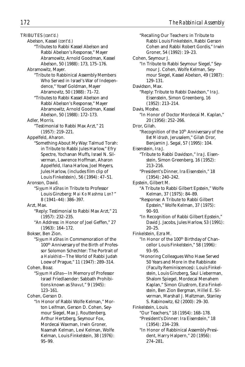TRIBUTES *(cont'd.)*

Abelson, Kassel *(cont'd.)*

"Tributes to Rabbi Kassel Abelson and Rabbi Abelson's Response," Mayer Abramowitz, Arnold Goodman, Kassel Abelson, 50 (1988): 173, 175–176.

Abramowitz, Mayer.

- "Tribute to Rabbinical Assembly Members Who Served in Israel's War of Independence," Yosef Goldman, Mayer Abramovitz, 50 (1988): 71–72.
- "Tributes to Rabbi Kassel Abelson and Rabbi Abelson's Response," Mayer Abramowitz, Arnold Goodman, Kassel Abelson, 50 (1988): 172–173.
- Adler, Morris.
	- "Testimonial to Rabbi Max Arzt," 21 (1957): 219–221.

Appelfeld, Aharon.

"Something About My Way: Talmud Torah: in Tribute to Rabbi Jules Harlow," Efry Spectre, Yochanan Muffs, Israel N. Silverman, Lawrence Hoffman, Aharon Appelfeld, Ilana Harlow, Joel Meyers, Jules Harlow, (includes film clip of Louis Finkelstein), 56 (1994): 47–51.

Aronson, David.

"*Siyyum HaShas* in Tribute to Professor Louis Ginzberg: *Mai Ko Mashma Lon?* " 8 (1941–44): 386–397.

Arzt, Max.

- "Reply: Testimonial to Rabbi Max Arzt," 21 (1957): 232–235.
- "An Address: in Honor of Joel Geffen," 27 (1963): 164–172.

Bokser, Ben Zion.

"*Siyyum HaShas* in Commemoration of the 100th Anniversary of the Birth of Professor Solomon Schechter: The Portrait of a *Halakhist*—The World of Rabbi Judah Loew of Prague," 11 (1947): 289–314.

Cohen, Boaz.

"*Siyyum HaShas*—In Memory of Professor Israel Friedlaender: Sabbath Prohibitions known as *Shavut,*" 9 (1945): 123–161.

Cohen, Gerson D.

"In Honor of Rabbi Wolfe Kelman," Morton Leifman, Gerson D. Cohen, Seymour Siegel, Max J. Routtenberg, Arthur Hertzberg, Seymour Fox, Mordecai Waxman, Irwin Groner, Naamah Kelman, Levi Kelman, Wolfe Kelman, Louis Finkelstein, 38 (1976): 95–99.

"Recalling Our Teachers: in Tribute to Rabbi Louis Finkelstein, Rabbi Gerson Cohen and Rabbi Robert Gordis," Irwin Groner, 54 (1992): 19–23. Cohen, Seymour J. "In Tribute to Rabbi Seymour Siegel," Seymour J. Cohen, Wolfe Kelman, Seymour Siegel, Kassel Abelson, 49 (1987): 129–131. Davidson, Max. "Reply: Tribute to Rabbi Davidson," Ira J. Eisenstein, Simon Greenberg, 16 (1952): 213–214. Davis, Moshe. "In Honor of Doctor Mordecai M. Kaplan," 20 (1956): 252–266. Dror, Gilah. "Recognition of the 10<sup>th</sup> Anniversary of the *Bet Midrash,* Jerusalem," Gilah Dror, Benjamin J. Segal, 57 (1995): 104. Eisenstein, Ira J. "Tribute to Rabbi Davidson," Ira J. Eisenstein, Simon Greenberg, 16 (1952): 213–216. "President's Dinner, Ira Eisenstein," 18 (1954): 240–242. Epstein, Gilbert M. "A Tribute to Rabbi Gilbert Epstein," Wolfe Kelman, 37 (1975): 84–89. "Response: A Tribute to Rabbi Gilbert Epstein," Wolfe Kelman, 37 (1975): 90–93. "In Recognition of Rabbi Gilbert Epstein," David J. Jacobs, Jules Harlow, 53 (1991): 20–25. Finkelstein, Ezra M. "In Honor of the 100<sup>th</sup> Birthday of Chancellor Louis Finkelstein," 58 (1996): 93–95. "Honoring Colleagues Who Have Served 50 Years and More in the Rabbinate (Faculty Reminiscences): Louis Finkelstein, Louis Ginzberg, Saul Lieberman, Shalom Spiegel, Mordecai Menahem Kaplan," Simon Glustrom, Ezra Finkelstein, Ben Zion Bergman, Hillel E. Silverman, Marshall J. Maltzman, Stanley S. Rabinowitz, 62 (2000): 29–30. Finkelstein, Louis. "Our Teachers," 18 (1954): 168–178. "President's Dinner: Ira Eisenstein," 18 (1954): 234–239. "In Honor of Rabbinical Assembly President, Harry Halpern," 20 (1956): 274–281.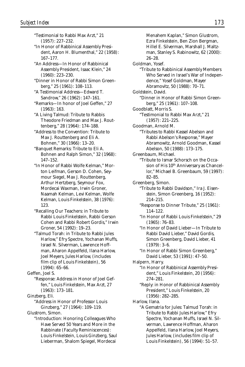"Testimonial to Rabbi Max Arzt," 21 (1957): 227–232.

- "In Honor of Rabbinical Assembly President, Aaron H. Blumenthal," 22 (1958): 167–177.
- "An Address—In Honor of Rabbinical Assembly President, Isaac Klein," 24 (1960): 223–230.
- "Dinner in Honor of Rabbi Simon Greenberg," 25 (1961): 108–113.
- "A Testimonial Address—Edward T. Sandrow," 26 (1962): 147–161.
- "Remarks—In honor of Joel Geffen," 27 (1963): 163.
- "A Living Talmud: Tribute to Rabbis Theodore Friedman and Max J. Routtenberg," 28 (1964): 174–188.
- "Address to the Convention: Tribute to Max J. Routtenberg and Eli A. Bohnen," 30 (1966): 13–20.
- "Banquet Remarks: Tribute to Eli A. Bohnen and Ralph Simon," 32 (1968): 147–152.
- "In Honor of Rabbi Wolfe Kelman," Morton Leifman, Gerson D. Cohen, Seymour Siegel, Max J. Routtenberg, Arthur Hertzberg, Seymour Fox, Mordecai Waxman, Irwin Groner, Naamah Kelman, Levi Kelman, Wolfe Kelman, Louis Finkelstein, 38 (1976): 123.
- "Recalling Our Teachers: in Tribute to Rabbi Louis Finkelstein, Rabbi Gerson Cohen and Rabbi Robert Gordis," Irwin Groner, 54 (1992): 19–23.
- "Talmud Torah: in Tribute to Rabbi Jules Harlow," Efry Spectre, Yochanan Muffs, Israel N. Silverman, Lawrence Hoffman, Aharon Appelfeld, Ilana Harlow, Joel Meyers, Jules Harlow, (includes film clip of Louis Finkelstein), 56 (1994): 65–66.

Geffen, Joel S.

"Response: Address in Honor of Joel Geffen," Louis Finkelstein, Max Arzt, 27 (1963): 173–181.

Ginzberg, Eli.

"Address in Honor of Professor Louis Ginzberg," 27 (1964): 109–119.

Glustrom, Simon.

"Introduction: Honoring Colleagues Who Have Served 50 Years and More in the Rabbinate (Faculty Reminiscences): Louis Finkelstein, Louis Ginzberg, Saul Lieberman, Shalom Spiegel, Mordecai

Menahem Kaplan," Simon Glustrom, Ezra Finkelstein, Ben Zion Bergman, Hillel E. Silverman, Marshall J. Maltzman, Stanley S. Rabinowitz, 62 (2000): 26–28. Goldman, Yosef. "Tribute to Rabbinical Assembly Members Who Served in Israel's War of Independence," Yosef Goldman, Mayer Abramovitz, 50 (1988): 70–71. Goldstein, David. "Dinner in Honor of Rabbi Simon Greenberg," 25 (1961): 107–108. Goodblatt, Morris S. "Testimonial to Rabbi Max Arzt," 21 (1957): 221–225. Goodman, Arnold M. "Tributes to Rabbi Kassel Abelson and Rabbi Abelson's Response," Mayer Abramowitz, Arnold Goodman, Kassel Abelson, 50 (1988): 173–175. Greenbaum, Michael. "Tribute to Ismar Schorsch on the Occasion of His 10<sup>th</sup> Anniversary as Chancellor," Michael B. Greenbaum, 59 (1997): 82–85. Greenberg, Simon. "Tribute to Rabbi Davidson," Ira J. Eisenstein, Simon Greenberg, 16 (1952): 214–215. "Response to Dinner Tribute," 25 (1961): 114–122. "In Honor of Rabbi Louis Finkelstein," 29 (1965): 76–83. "In Honor of David Lieber—In Tribute to Rabbi David Lieber," David Gordis, Simon Greenberg, David Lieber, 41 (1979): 3–6. "In Honor of Rabbi Simon Greenberg," David Lieber, 53 (1991): 47–50. Halpern, Harry. "In Honor of Rabbinical Assembly President," Louis Finkelstein, 20 (1956): 274–281. "Reply: in Honor of Rabbinical Assembly President," Louis Finkelstein, 20 (1956): 282–285. Harlow, Ilana. "A Gematria for Jules: Talmud Torah: in Tribute to Rabbi Jules Harlow," Efry Spectre, Yochanan Muffs, Israel N. Silverman, Lawrence Hoffman, Aharon Appelfeld, Ilana Harlow, Joel Meyers, Jules Harlow, (includes film clip of Louis Finkelstein), 56 (1994): 51–57.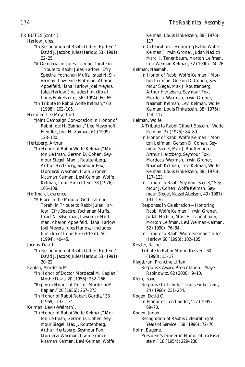- TRIBUTES *(cont'd.)*
	- Harlow, Jules.

"In Recognition of Rabbi Gilbert Epstein," David J. Jacobs, Jules Harlow, 53 (1991): 22–25.

"A Gematria for Jules: Talmud Torah: in Tribute to Rabbi Jules Harlow," Efry Spectre, Yochanan Muffs, Israel N. Silverman, Lawrence Hoffman, Aharon Appelfeld, Ilana Harlow, Joel Meyers, Jules Harlow, (includes film clip of Louis Finkelstein), 56 (1994): 60–65.

- "In Tribute to Rabbi Wolfe Kelman," 60 (1998): 102–105.
- Hendler, Lee Meyerhoff.
	- "Joint Campaign Convocation in Honor of Rabbi Joel H. Zaiman," Lee Meyerhoff Hendler, Joel H. Zaiman, 61 (1999): 128–130.

Hertzberg, Arthur.

"In Honor of Rabbi Wolfe Kelman," Morton Leifman, Gerson D. Cohen, Seymour Siegel, Max J. Routtenberg, Arthur Hertzberg, Seymour Fox, Mordecai Waxman, Irwin Groner, Naamah Kelman, Levi Kelman, Wolfe Kelman, Louis Finkelstein, 38 (1976): 105–108.

Hoffman, Lawrence.

- "A Place in the Mind of God: Talmud Torah: in Tribute to Rabbi Jules Harlow," Efry Spectre, Yochanan Muffs, Israel N. Silverman, Lawrence Hoffman, Aharon Appelfeld, Ilana Harlow, Joel Meyers, Jules Harlow, (includes film clip of Louis Finkelstein), 56 (1994): 40–45.
- Jacobs, David J.
	- "In Recognition of Rabbi Gilbert Epstein," David J. Jacobs, Jules Harlow, 53 (1991): 20–22.

Kaplan, Mordecai M.

- "In Honor of Doctor Mordecai M. Kaplan," Moshe Davis, 20 (1956): 252–266.
	- "Reply: in Honor of Doctor Mordecai M. Kaplan," 20 (1956): 267–273.
	- "In Honor of Rabbi Robert Gordis," 33 (1969): 132–134.

Kelman, Levi (-Weiman).

"In Honor of Rabbi Wolfe Kelman," Morton Leifman, Gerson D. Cohen, Seymour Siegel, Max J. Routtenberg, Arthur Hertzberg, Seymour Fox, Mordecai Waxman, Irwin Groner, Naamah Kelman, Levi Kelman, Wolfe Kelman, Louis Finkelstein, 38 (1976): 117.

"In Celebration—Honoring Rabbi Wolfe Kelman," Irwin Groner, Judah Nadich, Marc H. Tanenbaum, Morton Leifman, Levi Weiman-Kelman, 52 (1990): 74–76.

Kelman, Naamah.

"In Honor of Rabbi Wolfe Kelman," Morton Leifman, Gerson D. Cohen, Seymour Siegel, Max J. Routtenberg, Arthur Hertzberg, Seymour Fox, Mordecai Waxman, Irwin Groner, Naamah Kelman, Levi Kelman, Wolfe Kelman, Louis Finkelstein, 38 (1976): 114–117.

Kelman, Wolfe.

- "A Tribute to Rabbi Gilbert Epstein," Wolfe Kelman, 37 (1975): 84–89.
- "In Honor of Rabbi Wolfe Kelman," Morton Leifman, Gerson D. Cohen, Seymour Siegel, Max J. Routtenberg, Arthur Hertzberg, Seymour Fox, Mordecai Waxman, Irwin Groner, Naamah Kelman, Levi Kelman, Wolfe Kelman, Louis Finkelstein, 38 (1976): 117–123.
- "In Tribute to Rabbi Seymour Siegel," Seymour J. Cohen, Wolfe Kelman, Seymour Siegel, Kassel Abelson, 49 (1987): 131–136.
- "Response: in Celebration—Honoring Rabbi Wolfe Kelman," Irwin Groner, Judah Nadich, Marc H. Tanenbaum, Morton Leifman, Levi Weiman-Kelman, 52 (1990): 76–84.
- "In Tribute to Rabbi Wolfe Kelman," Jules Harlow, 60 (1998): 102–105.
- Kessler, Rachel. "Tribute to Rabbi Martin Kessler," 60 (1998): 15–17.

Klagsbrun, Francine Lifton. "Response: Award Presentation," Mayer Rabinowitz, 62 (2000): 9–10.

Klein, Isaac.

"Response to Tribute," Louis Finkelstein, 24 (1960): 231–234.

Kogen, David C. "In Honor of Leo Landes," 57 (1995): 69–70.

Kogen, Judah. "Recognition of Rabbis Celebrating 50 Years of Service," 58 (1996): 72–76.

Kohn, Eugene.

"President's Dinner in Honor of Ira Eisenstein," 18 (1954): 229–230.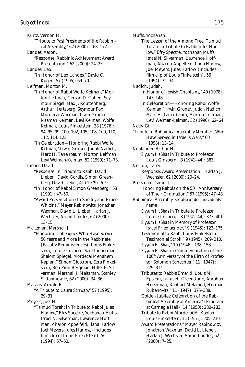Kurtz, Vernon H. "Tribute to Past Presidents of the Rabbinical Assembly," 62 (2000): 168–172. Landes, Aaron. "Response: Rabbinic Achievement Award Presentation," 62 (2000): 24–25. Landes, Leo. "In Honor of Leo Landes," David C. Kogen, 57 (1995): 69–70. Leifman, Morton M. "In Honor of Rabbi Wolfe Kelman," Morton Leifman, Gerson D. Cohen, Seymour Siegel, Max J. Routtenberg, Arthur Hertzberg, Seymour Fox, Mordecai Waxman, Irwin Groner, Naamah Kelman, Levi Kelman, Wolfe Kelman, Louis Finkelstein, 38 (1976): 94–95, 99–100, 102, 105, 108–109, 110, 112, 114, 123. "In Celebration—Honoring Rabbi Wolfe Kelman," Irwin Groner, Judah Nadich, Marc H. Tanenbaum, Morton Leifman, Levi Weiman-Kelman, 52 (1990): 71–73. Lieber, David L. "Response: in Tribute to Rabbi David Lieber," David Gordis, Simon Greenberg, David Lieber, 41 (1979): 6–9. "In Honor of Rabbi Simon Greenberg," 53 (1991): 47–50. "Award Presentation (to Shelley and Bruce Whizin)," Mayer Rabinowitz, Jonathan Waxman, David L. Lieber, Harlan J. Wechsler, Aaron Landes, 62 (2000): 13–15. Maltzman, Marshall J. "Honoring Colleagues Who Have Served 50 Years and More in the Rabbinate (Faculty Reminiscences): Louis Finkelstein, Louis Ginzberg, Saul Lieberman, Shalom Spiegel, Mordecai Menahem Kaplan," Simon Glustrom, Ezra Finkelstein, Ben Zion Bergman, Hillel E. Silverman, Marshall J. Maltzman, Stanley S. Rabinowitz, 62 (2000): 34–36. Marans, Arnold B. "A Tribute to Laura Schwab," 57 (1995): 29–31. Meyers, Joel H. "Talmud Torah: in Tribute to Rabbi Jules Harlow," Efry Spectre, Yochanan Muffs, *Subject Index 175*

Israel N. Silverman, Lawrence Hoffman, Aharon Appelfeld, Ilana Harlow, Joel Meyers, Jules Harlow, (includes film clip of Louis Finkelstein), 56 (1994): 57–60.

Muffs, Yochanan. "The Lesson of the Almond Tree: Talmud Torah: in Tribute to Rabbi Jules Harlow," Efry Spectre, Yochanan Muffs, Israel N. Silverman, Lawrence Hoffman, Aharon Appelfeld, Ilana Harlow, Joel Meyers, Jules Harlow, (includes film clip of Louis Finkelstein), 56 (1994): 32–34. Nadich, Judah. "In Honor of Jewish Chaplains," 40 (1978): 147–148. "In Celebration—Honoring Rabbi Wolfe Kelman," Irwin Groner, Judah Nadich, Marc H. Tanenbaum, Morton Leifman, Levi Weiman-Kelman, 52 (1990): 62–64 Nativ, Gil. 'Tribute to Rabbinical Assembly Members Who Have Served in Israel's Wars," 60 (1998): 13–14. Neulander, Arthur H. "*Siyyum HaShas* in Tribute to Professor Louis Ginzberg," 8 (1941–44): 383. Norton, Larry. "Response: Award Presentation," Harlan J. Wechsler, 62 (2000): 20–24. Pressman, Daniel J. "Honoring Rabbis on the 50<sup>th</sup> Anniversary of Their Ordination," 57 (1995): 47–48. Rabbinical Assembly. *See also under individuals' names* "*Siyyum HaShas* in Tribute to Professor Louis Ginzberg," 8 (1941–44): 377–401. "*Siyyum HaShas* in Memory of Professor Israel Friedlaender," 9 (1945): 123–175. "Testimonial to Rabbi Louis Finkelstein: Testimonial Scroll," 9 (1945): 209–210. "*Siyyum HaShas*," 10 (1946): 138–158. "*Siyyum HaShas* in Commemoration of the 100th Anniversary of the Birth of Professor Solomon Schechter," 11 (1947): 279–314. "Tributes to Rabbis Emeriti: Louis M. Epstein, Julius H. Greenstone, Abraham Hershman, Raphael Melamed, Herman Rubenovitz," 11 (1947): 375–388. "Golden Jubilee Celebration of the Rabbinical Assembly of America" (Program at Carnegie Hall), 14 (1950): 280–283. "Tribute to Rabbi Mordecai M. Kaplan," Louis Finkelstein, 15 (1951): 205–210.

"Award Presentations," Mayer Rabinowitz, Jonathan Waxman, David L. Lieber, Harlan J. Wechsler, Aaron Landes, 62  $(2000): 7-25.$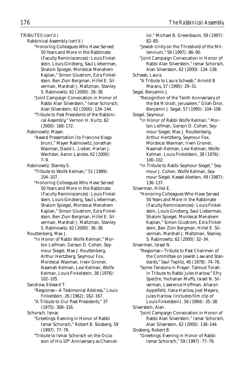lor," Michael B. Greenbaum, 59 (1997):

- TRIBUTES *(cont'd.)*
	- Rabbinical Assembly *(cont'd.)*
		- "Honoring Colleagues Who Have Served 50 Years and More in the Rabbinate (Faculty Reminiscences): Louis Finkelstein, Louis Ginzberg, Saul Lieberman, Shalom Spiegel, Mordecai Menahem Kaplan," Simon Glustrom, Ezra Finkelstein, Ben Zion Bergman, Hillel E. Silverman, Marshall J. Maltzman, Stanley S. Rabinowitz, 62 (2000): 26–38.
		- "Joint Campaign Convocation in Honor of Rabbi Alan Silverstein," Ismar Schorsch, Alan Silverstein, 62 (2000): 134–144.
		- "Tribute to Past Presidents of the Rabbinical Assembly," Vernon H. Kurtz, 62 (2000): 168–172.

Rabinowitz, Mayer.

- "Award Presentation (to Francine Klagsbrun)," Mayer Rabinowitz, Jonathan Waxman, David L. Lieber, Harlan J. Wechsler, Aaron Landes, 62 (2000): 7–9.
- Rabinowitz, Stanley S.
	- "Tribute to Wolfe Kelman," 51 (1989): 104–107.
	- "Honoring Colleagues Who Have Served 50 Years and More in the Rabbinate (Faculty Reminiscences): Louis Finkelstein, Louis Ginzberg, Saul Lieberman, Shalom Spiegel, Mordecai Menahem Kaplan," Simon Glustrom, Ezra Finkelstein, Ben Zion Bergman, Hillel E. Silverman, Marshall J. Maltzman, Stanley S. Rabinowitz, 62 (2000): 36–38.

Routtenberg, Max J.

- "In Honor of Rabbi Wolfe Kelman," Morton Leifman, Gerson D. Cohen, Seymour Siegel, Max J. Routtenberg, Arthur Hertzberg, Seymour Fox, Mordecai Waxman, Irwin Groner, Naamah Kelman, Levi Kelman, Wolfe Kelman, Louis Finkelstein, 38 (1976): 102–105.
- Sandrow, Edward T.
	- "Response—A Testimonial Address," Louis Finkelstein, 26 (1962): 162–167. "A Tribute to Our Past Presidents," 37
	- (1975): 308–316.
- Schorsch, Ismar.
	- "Greetings: Evening in Honor of Rabbi Ismar Schorsch," Robert B. Slosberg, 59 (1997): 77–79.
		- "Tribute to Ismar Schorsch on the Occasion of His 10<sup>th</sup> Anniversary as Chancel-
- 82–85. "Jewish Unity on the Threshold of the Millennium," 59 (1997): 86–90. "Joint Campaign Convocation in Honor of Rabbi Alan Silverstein," Ismar Schorsch, Alan Silverstein, 62 (2000): 134–138. Schwab, Laura. "A Tribute to Laura Schwab," Arnold B. Marans, 57 (1995): 29–31. Segal, Benjamin J. "Recognition of the Tenth Anniversary of the *Bet Midrash,* Jerusalem," Gilah Dror, Benjamin J. Segal, 57 (1995): 104–108. Siegel, Seymour. "In Honor of Rabbi Wolfe Kelman," Morton Leifman, Gerson D. Cohen, Seymour Siegel, Max J. Routtenberg, Arthur Hertzberg, Seymour Fox, Mordecai Waxman, Irwin Groner,
	- Naamah Kelman, Levi Kelman, Wolfe Kelman, Louis Finkelstein, 38 (1976): 100–102.
	- "In Tribute to Rabbi Seymour Siegel," Seymour J. Cohen, Wolfe Kelman, Seymour Siegel, Kassel Abelson, 49 (1987): 136–137.

Silverman, Hillel E.

- "Honoring Colleagues Who Have Served 50 Years and More in the Rabbinate (Faculty Reminiscences): Louis Finkelstein, Louis Ginzberg, Saul Lieberman, Shalom Spiegel, Mordecai Menahem Kaplan," Simon Glustrom, Ezra Finkelstein, Ben Zion Bergman, Hillel E. Silverman, Marshall J. Maltzman, Stanley S. Rabinowitz, 62 (2000): 32–34.
- Silverman, Israel N.
	- "Response—Tribute to Past Chairmen of the Committee on Jewish Law and Standards," Saul Teplitz, 40 (1978): 74–76.
	- "Some Tensions in Prayer: Talmud Torah: in Tribute to Rabbi Jules Harlow," Efry Spectre, Yochanan Muffs, Israel N. Silverman, Lawrence Hoffman, Aharon Appelfeld, Ilana Harlow, Joel Meyers, Jules Harlow, (includes film clip of Louis Finkelstein), 56 (1994): 35–38.
- Silverstein, Alan.
	- "Joint Campaign Convocation in Honor of Rabbi Alan Silverstein," Ismar Schorsch, Alan Silverstein, 62 (2000): 138–144.
- Slosberg, Robert B.
	- "Greetings: Evening in Honor of Rabbi Ismar Schorsch," 59 (1997): 77–79.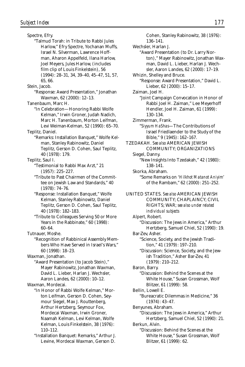Spectre, Efry. "Talmud Torah: in Tribute to Rabbi Jules Harlow," Efry Spectre, Yochanan Muffs, Israel N. Silverman, Lawrence Hoffman, Aharon Appelfeld, Ilana Harlow, Joel Meyers, Jules Harlow, (includes film clip of Louis Finkelstein), 56 (1994): 28–31, 34, 39–40, 45–47, 51, 57, 65, 66. Stein, Jacob. "Response: Award Presentation," Jonathan Waxman, 62 (2000): 12–13. Tanenbaum, Marc H. "In Celebration—Honoring Rabbi Wolfe Kelman," Irwin Groner, Judah Nadich, Marc H. Tanenbaum, Morton Leifman, Levi Weiman-Kelman, 52 (1990): 65–70. Teplitz, Daniel. "Remarks: Installation Banquet," Wolfe Kelman, Stanley Rabinowitz, Daniel Teplitz, Gerson D. Cohen, Saul Teplitz, 40 (1978): 179. Teplitz, Saul I. "Testimonial to Rabbi Max Arzt," 21 (1957): 225–227. "Tribute to Past Chairmen of the Committee on Jewish Law and Standards," 40 (1978): 74–76. "Response: Installation Banquet," Wolfe Kelman, Stanley Rabinowitz, Daniel Teplitz, Gerson D. Cohen, Saul Teplitz, 40 (1978): 182–183. "Tribute to Colleagues Serving 50 or More Years in the Rabbinate," 60 (1998): 60–64. Tutnauer, Moshe. "Recognition of Rabbinical Assembly Members Who Have Served in Israel's Wars," 60 (1998): 18–23. Waxman, Jonathan. "Award Presentation (to Jacob Stein)," Mayer Rabinowitz, Jonathan Waxman, David L. Lieber, Harlan J. Wechsler, Aaron Landes, 62 (2000): 10–12. Waxman, Mordecai. "In Honor of Rabbi Wolfe Kelman," Morton Leifman, Gerson D. Cohen, Seymour Siegel, Max J. Routtenberg, Arthur Hertzberg, Seymour Fox, Mordecai Waxman, Irwin Groner, Naamah Kelman, Levi Kelman, Wolfe Kelman, Louis Finkelstein, 38 (1976): 110–112. "Installation Banquet: Remarks," Arthur J. Levine, Mordecai Waxman, Gerson D.

Cohen, Stanley Rabinowitz, 38 (1976): 136–141. Wechsler, Harlan J. "Award Presentation (to Dr. Larry Norton)," Mayer Rabinowitz, Jonathan Waxman, David L. Lieber, Harlan J. Wechsler, Aaron Landes, 62 (2000): 17–19. Whizin, Shelley and Bruce. "Response: Award Presentation," David L. Lieber, 62 (2000): 15–17. Zaiman, Joel H. "Joint Campaign Convocation in Honor of Rabbi Joel H. Zaiman," Lee Meyerhoff Hendler, Joel H. Zaiman, 61 (1999): 130–134. Zimmerman, Frank. "*Siyyum HaShas*—The Contributions of Israel Friedlaender to the Study of the Bible," 9 (1945): 162–167. TZEDAKAH. *See also* AMERICAN JEWISH COMMUNITY; ORGANIZATIONS Siegel, Danny. "New Insights Into Tzedakah," 42 (1980): 138–141. Skorka, Abraham. "Some Remarks on '*Hilkhot Matanot Aniyim*' of the Rambam," 62 (2000): 251–252. UNITED STATES. *See also* AMERICAN JEWISH COMMUNITY; CHAPLAINCY; CIVIL RIGHTS; WAR; *see also under related individual subjects* Alpert, Robert. "Discussion: The Jews in America," Arthur Hertzberg, Samuel Chiel, 52 (1990): 19. Bar-Zev, Asher. "Science, Society, and the Jewish Tradition," 41 (1979): 197–210. "Discussion: Science, Society, and the Jewish Tradition," Asher Bar-Zev, 41 (1979): 210–212. Baron, Barry. "Discussion: Behind the Scenes at the White House," Susan Grossman, Wolf Blitzer, 61 (1999): 58. Bellin, Lowell E. "Bureacratic Dilemmas in Medicine," 36 (1974): 43–47. Benyunes, Abraham. "Discussion: The Jews in America," Arthur Hertzberg, Samuel Chiel, 52 (1990): 21. Berkun, Alvin. "Discussion: Behind the Scenes at the White House," Susan Grossman, Wolf Blitzer, 61 (1999): 62.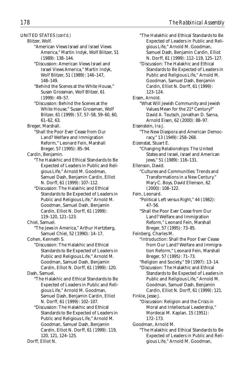## UNITED STATES *(cont'd.)*

Blitzer, Wolf.

- "American Views Israel and Israel Views America," Martin Indyk, Wolf Blitzer, 51 (1989): 138–144.
- "Discussion: American Views Israel and Israel Views America," Martin Indyk, Wolf Blitzer, 51 (1989): 146–147, 148–149.
- "Behind the Scenes at the White House," Susan Grossman, Wolf Blitzer, 61 (1999): 49–57.
- "Discussion: Behind the Scenes at the White House," Susan Grossman, Wolf Blitzer, 61 (1999): 57, 57–58, 59–60, 60, 61–62, 63.
- Breger, Marshall.
	- "Shall the Poor Ever Cease from Our Land? Welfare and Immigration Reform," Leonard Fein, Marshall Breger, 57 (1995): 85–94.

Cardin, Benjamin.

- "The Halakhic and Ethical Standards to Be Expected of Leaders in Public and Religious Life," Arnold M. Goodman, Samuel Dash, Benjamin Cardin, Elliot N. Dorff, 61 (1999): 107–112.
- "Discussion: The Halakhic and Ethical Standards to Be Expected of Leaders in Public and Religious Life," Arnold M. Goodman, Samuel Dash, Benjamin Cardin, Elliot N. Dorff, 61 (1999): 119–120, 121–123.
- Chiel, Samuel.
	- "The Jews in America," Arthur Hertzberg, Samuel Chiel, 52 (1990): 14–17.

Cohen, Kenneth S.

"Discussion: The Halakhic and Ethical Standards to Be Expected of Leaders in Public and Religious Life," Arnold M. Goodman, Samuel Dash, Benjamin Cardin, Elliot N. Dorff, 61 (1999): 120.

Dash, Samuel.

- "The Halakhic and Ethical Standards to Be Expected of Leaders in Public and Religious Life," Arnold M. Goodman, Samuel Dash, Benjamin Cardin, Elliot N. Dorff, 61 (1999): 102–107.
- "Discussion: The Halakhic and Ethical Standards to Be Expected of Leaders in Public and Religious Life," Arnold M. Goodman, Samuel Dash, Benjamin Cardin, Elliot N. Dorff, 61 (1999): 119, 120, 121, 124–125.

Dorff, Elliot N.

"The Halakhic and Ethical Standards to Be Expected of Leaders in Public and Religious Life," Arnold M. Goodman, Samuel Dash, Benjamin Cardin, Elliot N. Dorff, 61 (1999): 112–119, 125–127. "Discussion: The Halakhic and Ethical Standards to Be Expected of Leaders in Public and Religious Life," Arnold M. Goodman, Samuel Dash, Benjamin Cardin, Elliot N. Dorff, 61 (1999): 123–124. Eisen, Arnold. "What Will Jewish Community and Jewish Values Mean for the 21st Century?" David A. Teutsch, Jonathan D. Sarna, Arnold Eisen, 62 (2000): 88–97. Eisenstein, Ira J. "The New Diaspora and American Democracy," 13 (1949): 258–268. Eizenstat, Stuart E. "Changing Relationships: The United States and Israel, Israel and American Jews," 51 (1989): 116–131. Ellenson, David. "Cultures and Communities: Trends and Transformations in a New Century." Mary C. Boys, David Ellenson, 62 (2000): 108–122. Fein, Leonard. "Political Left versus Right," 44 (1982): 47–56. "Shall the Poor Ever Cease from Our Land? Welfare and Immigration Reform," Leonard Fein, Marshall Breger, 57 (1995): 73–85. Feinberg, Charles M. "Introduction: Shall the Poor Ever Cease from Our Land? Welfare and Immigration Reform," Leonard Fein, Marshall Breger, 57 (1995): 71–73. "Religion and Society," 59 (1997): 13–14. "Discussion: The Halakhic and Ethical Standards to Be Expected of Leaders in Public and Religious Life," Arnold M. Goodman, Samuel Dash, Benjamin Cardin, Elliot N. Dorff, 61 (1999): 121. Finkle, Jesse J. "Discussion: Religion and the Crisis in Moral and Intellectual Leadership," Mordecai M. Kaplan, 15 (1951): 172–173. Goodman, Arnold M. "The Halakhic and Ethical Standards to Be Expected of Leaders in Public and Reli-

gious Life," Arnold M. Goodman,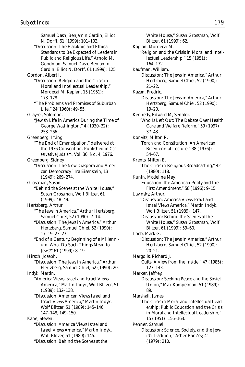Samuel Dash, Benjamin Cardin, Elliot N. Dorff, 61 (1999): 101–102. "Discussion: The Halakhic and Ethical Standards to Be Expected of Leaders in Public and Religious Life," Arnold M. Goodman, Samuel Dash, Benjamin Cardin, Elliot N. Dorff, 61 (1999): 125. Gordon, Albert I. "Discussion: Religion and the Crisis in Moral and Intellectual Leadership," Mordecai M. Kaplan, 15 (1951): 173–178. "The Problems and Promises of Suburban Life," 24(1960): 49–55. Grayzel, Solomon. "Jewish Life in America During the Time of George Washington," 4 (1930–32): 253–266. Greenberg, Irving. "The End of Emancipation," delivered at the 1976 Convention. Published in *Conservative Judaism,* Vol. 30, No. 4, 1976. Greenberg, Sidney. "Discussion: The New Diaspora and American Democracy," Ira Eisenstein, 13 (1949): 269–274. Grossman, Susan. "Behind the Scenes at the White House," Susan Grossman, Wolf Blitzer, 61 (1999): 48–49. Hertzberg, Arthur. "The Jews in America," Arthur Hertzberg, Samuel Chiel, 52 (1990): 7–14. "Discussion: The Jews in America," Arthur Hertzberg, Samuel Chiel, 52 (1990): 17–19, 23–27. "End of a Century, Beginning of a Millennium: What Do Such Things Mean to Jews?" 61 (1999): 8–19. Hirsch, Joseph. "Discussion: The Jews in America," Arthur Hertzberg, Samuel Chiel, 52 (1990): 20. Indyk, Martin. "America Views Israel and Israel Views America," Martin Indyk, Wolf Blitzer, 51 (1989): 132–138. "Discussion: American Views Israel and Israel Views America," Martin Indyk, Wolf Blitzer, 51 (1989): 145–146, 147–148, 149–150. Kane, Steven. "Discussion: America Views Israel and Israel Views America," Martin Indyk, Wolf Blitzer, 51 (1989): 145.

"Discussion: Behind the Scenes at the

White House," Susan Grossman, Wolf Blitzer, 61 (1999): 62. Kaplan, Mordecai M. "Religion and the Crisis in Moral and Intellectual Leadership," 15 (1951): 164–172. Kaufman, William. "Discussion: The Jews in America," Arthur Hertzberg, Samuel Chiel, 52 (1990): 21–22. Kazan, Fredric. "Discussion: The Jews in America," Arthur Hertzberg, Samuel Chiel, 52 (1990): 19–20. Kennedy, Edward M, Senator. "Who Is Left Out: The Debate Over Health Care and Welfare Reform," 59 (1997): 37–43. Konvitz, Milton R. "Torah and Constitution: An American Bicentennial Lecture," 38 (1976): 54–67. Krents, Milton E. "The Crisis in Religious Broadcasting," 42 (1980): 118. Kunin, Madeline May. "Education, the American Polity and the First Amendment," 58 (1996): 9–15. Lavinsky, Arthur. "Discussion: America Views Israel and Israel Views America," Martin Indyk, Wolf Blitzer, 51 (1989): 147. "Discussion: Behind the Scenes at the White House," Susan Grossman, Wolf Blitzer, 61 (1999): 59–60. Loeb, Mark G. "Discussion: The Jews in America," Arthur Hertzberg, Samuel Chiel, 52 (1990): 20–21. Margolis, Richard J. "Cults: A View from the Inside," 47 (1985): 127–143. Marker, Jeffrey. "Discussion: Seeking Peace and the Soviet Union," Max Kampelman, 51 (1989): 89. Marshall, James. "The Crisis in Moral and Intellectual Leadership: Public Education and the Crisis in Moral and Intellectual Leadership," 15 (1951): 156–163. Penner, Samuel. "Discussion: Science, Society, and the Jewish Tradition," Asher Bar-Zev, 41 (1979): 210.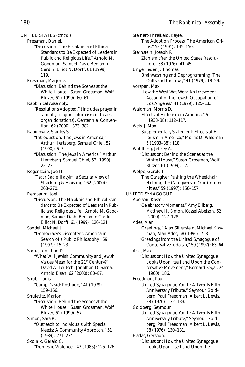UNITED STATES *(cont'd.)* Pressman, Daniel. "Discussion: The Halakhic and Ethical Standards to Be Expected of Leaders in Public and Religious Life," Arnold M. Goodman, Samuel Dash, Benjamin Cardin, Elliot N. Dorff, 61 (1999): 119. Pressman, Marjorie. "Discussion: Behind the Scenes at the White House," Susan Grossman, Wolf Blitzer, 61 (1999): 60–61. Rabbinical Assembly. "Resolutions Adopted," (includes prayer in schools, religious pluralism in Israel, organ donations), Centennial Convention, 62 (2000): 373–382. Rabinowitz, Stanley S. "Introduction: The Jews in America," Arthur Hertzberg, Samuel Chiel, 52  $(1990): 6-7.$ "Discussion: The Jews in America," Arthur Hertzberg, Samuel Chiel, 52 (1990): 22–23. Regenstein, Joe M. "*Tzaar Baalei Hayyim:* a Secular View of Shackling & Hoisting," 62 (2000): 268–270. Rembaum, Joel. "Discussion: The Halakhic and Ethical Standards to Be Expected of Leaders in Public and Religious Life," Arnold M. Goodman, Samuel Dash, Benjamin Cardin, Elliot N. Dorff, 61 (1999): 120–121. Sandel, Michael J. "Democracy's Discontent: America in Search of a Public Philosophy," 59 (1997): 15–23. Sarna, Jonathan D. "What Will Jewish Community and Jewish Values Mean for the 21st Century?" David A. Teutsch, Jonathan D. Sarna, Arnold Eisen, 62 (2000): 80–87. Shub, Louis. "Camp David: Postlude," 41 (1979): 159–166. Shulevitz, Marion. "Discussion: Behind the Scenes at the White House," Susan Grossman, Wolf Blitzer, 61 (1999): 57. Simon, Sara R. "Outreach to Individuals with Special Needs: A Community Approach," 51 (1989): 271–274. Skolnik, Gerald C.

"Domestic Violence," 47 (1985): 125–126.

Steinert-Threlkeld, Kayte. "The Adoption Process: The American Crisis," 53 (1991): 145–150. Sternstein, Joseph P. "Zionism after the United States Resolution," 38 (1976): 41–45. Ungerlieder, J. Thomas. "Brainwashing and Deprogramming: The Cults and the Jews," 41 (1979): 18–29. Vorspan, Max. "How the West Was Won: An Irreverent Account of the Jewish Occupation of Los Angeles," 41 (1979): 125–133. Waldman, Morris D. "Effects of Hitlerism in America," 5 (1933–38): 112–117. Weis, J. Max. "Supplementary Statement: Effects of Hitlerism in America," Morris D. Waldman, 5 (1933–38): 118. Wohlberg, Jeffrey A. "Discussion: Behind the Scenes at the White House," Susan Grossman, Wolf Blitzer, 61 (1999): 57. Wolpe, Gerald I. "The Caregiver Pushing the Wheelchair: Helping the Caregivers in Our Communities," 59 (1997): 156–157. UNITED SYNAGOGUE Abelson, Kassel. "Celebratory Moments," Amy Eilberg, Matthew H. Simon, Kassel Abelson, 62 (2000): 127–128. Ades, Alan. "Greetings," Alan Silverstein, Michael Klayman, Alan Ades, 58 (1996): 7–8. "Greetings from the United Synagogue of Conservative Judaism," 59 (1997): 63–64. Arzt, Max. "Discussion: How the United Synagogue Looks Upon Itself and Upon the Conservative Movement," Bernard Segal, 24 (1960): 186. Freedman, Paul. "United Synagogue Youth: A Twenty-Fifth Anniversary Tribute," Seymour Goldberg, Paul Freedman, Albert L. Lewis, 38 (1976): 132–133. Goldberg, Seymour. "United Synagogue Youth: A Twenty-Fifth Anniversary Tribute," Seymour Goldberg, Paul Freedman, Albert L. Lewis, 38 (1976): 130–131. Hadas, Gershon. "Discussion: How the United Synagogue Looks Upon Itself and Upon the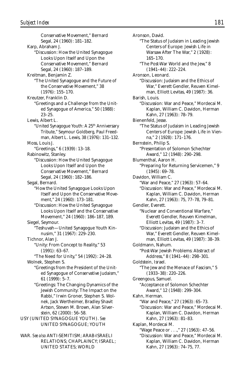Conservative Movement," Bernard Segal, 24 (1960): 181–182. Karp, Abraham J. "Discussion: How the United Synagogue Looks Upon Itself and Upon the Conservative Movement," Bernard Segal, 24 (1960): 187–189. Kreitman, Benjamin Z. "The United Synagogue and the Future of the Conservative Movement," 38 (1976): 155–170. Kreutzer, Franklin D. "Greetings and a Challenge from the United Synagogue of America," 50 (1988): 23–25. Lewis, Albert L. "United Synagogue Youth: A 25<sup>th</sup> Anniversary Tribute," Seymour Goldberg, Paul Freedman, Albert L. Lewis, 38 (1976): 131–132. Moss, Louis J. "Greetings," 6 (1939): 13–18. Rabinowitz, Stanley. "Discussion: How the United Synagogue Looks Upon Itself and Upon the Conservative Movement," Bernard Segal, 24 (1960): 182–186. Segal, Bernard. "How the United Synagogue Looks Upon Itself and Upon the Conservative Movement," 24 (1960): 173–181. "Discussion: How the United Synagogue Looks Upon Itself and the Conservative Movement," 24 (1960): 186–187, 189. Siegel, Seymour. "Teshuvah—United Synagogue Youth Kinnusim," 31 (1967): 229–230. Tichnor, Alan J. "Unity: From Concept to Reality," 53 (1991): 63–67. "The Need for Unity," 54 (1992): 24–28. Wolnek, Stephen S. "Greetings from the President of the United Synagogue of Conservative Judaism," 61 (1999): 5–7. "Greetings: The Changing Dynamics of the Jewish Community: The Impact on the Rabbi," Irwin Groner, Stephen S. Wolnek, Jack Wertheimer, Bradley Shavit Artson, Steven M. Brown, Alan Silverstein, 62 (2000): 56–58. USY (UNITED SYNAGOGUE YOUTH). *See* UNITED SYNAGOGUE; YOUTH

WAR. *See also* ANTI-SEMITISM; ARAB-ISRAELI RELATIONS; CHAPLAINCY; ISRAEL; UNITED STATES; WORLD

Aronson, David. "The Status of Judaism in Leading Jewish Centers of Europe: Jewish Life in Warsaw After The War," 2 (1928): 165–170. "The Post-War World and the Jew," 8 (1941–44): 222–224. Aronson, Leonard. "Discussion: Judaism and the Ethics of War," Everett Gendler, Reuven Kimelman, Elliott Levitas, 49 (1987): 36. Barish, Louis. "Discussion: War and Peace," Mordecai M. Kaplan, William C. Davidon, Herman Kahn, 27 (1963): 78–79. Bienenfeld, Jesse. "The Status of Judaism in Leading Jewish Centers of Europe: Jewish Life in Vienna," 2 (1928): 171–176. Bernstein, Philip S. "Presentation of Solomon Schechter Award," 12 (1948): 290–298. Blumenthal, Aaron H. "Preparing for Returning Servicemen," 9  $(1945): 69-78.$ Davidon, William C. "War and Peace," 27 (1963): 57–64. "Discussion: War and Peace," Mordecai M. Kaplan, William C. Davidon, Herman Kahn, 27 (1963): 75, 77–78, 79–81. Gendler, Everett. "Nuclear and Conventional Warfare," Everett Gendler, Reuven Kimelman, Elliott Levitas, 49 (1987): 3–7. "Discussion: Judaism and the Ethics of War," Everett Gendler, Reuven Kimelman, Elliott Levitas, 49 (1987): 38–39. Goldmann, Nahum. "Post-War Jewish Problems: Abstract of Address," 8 (1941–44): 298–301. Goldstein, Israel. "The Jew and the Menace of Fascism," 5 (1933–38): 220–226. Greengous, Samuel. "Acceptance of Solomon Schechter Award," 12 (1948): 299–304. Kahn, Herman. "War and Peace," 27 (1963): 65–73. "Discussion: War and Peace," Mordecai M. Kaplan, William C. Davidon, Herman Kahn, 27 (1963): 81–83. Kaplan, Mordecai M. "Wage Peace or . . .," 27 (1963): 47–56. "Discussion: War and Peace," Mordecai M. Kaplan, William C. Davidon, Herman Kahn, 27 (1963): 74–75, 77.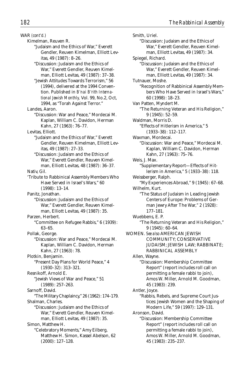WAR *(cont'd.)* Kimelman, Reuven R. "Judaism and the Ethics of War," Everett Gendler, Reuven Kimelman, Elliott Levitas, 49 (1987): 8–26. "Discussion: Judaism and the Ethics of War," Everett Gendler, Reuven Kimelman, Elliott Levitas, 49 (1987): 37–38. "Jewish Attitudes Towards Terrorism," 56 (1994), delivered at the 1994 Convention. Published in *B'nai B'rith International Jewish Monthly,* Vol. 99, No.2, Oct, 1994, as "Torah Against Terror." Landes, Aaron. "Discussion: War and Peace," Mordecai M. Kaplan, William C. Davidon, Herman Kahn, 27 (1963): 76–77. Levitas, Elliott. "Judaism and the Ethics of War," Everett Gendler, Reuven Kimelman, Elliott Levitas, 49 (1987): 27–33. "Discussion: Judaism and the Ethics of War," Everett Gendler, Reuven Kimelman, Elliott Levitas, 48 (1987): 36–37. Nativ, Gil. 'Tribute to Rabbinical Assembly Members Who Have Served in Israel's Wars," 60 (1998): 13–14. Panitz, Jonathan. "Discussion: Judaism and the Ethics of War," Everett Gendler, Reuven Kimelman, Elliott Levitas, 49 (1987): 35. Parzen, Herbert. "Committee on Refugee Rabbis," 6 (1939): 63–65. Pollak, George. "Discussion: War and Peace," Mordecai M. Kaplan, William C. Davidon, Herman Kahn, 27 (1963): 78. Plotkin, Benjamin. "Present Day Plans for World Peace," 4 (1930–32): 313–321. Resnikoff, Arnold E. "Jewish Views of War and Peace," 51 (1989): 257–263. Sarnoff, David. "The Military Chaplaincy," 26 (1962): 174–179. Shalman, Charles. "Discussion: Judaism and the Ethics of War," Everett Gendler, Reuven Kimelman, Elliott Levitas, 49 (1987): 35. Simon, Matthew H. "Celebratory Moments," Amy Eilberg, Matthew H. Simon, Kassel Abelson, 62 (2000): 127–128.

Smith, Uriel. "Discussion: Judaism and the Ethics of War," Everett Gendler, Reuven Kimelman, Elliott Levitas, 49 (1987): 34. Spiegel, Richard. "Discussion: Judaism and the Ethics of War," Everett Gendler, Reuven Kimelman, Elliott Levitas, 49 (1987): 34. Tutnauer, Moshe. "Recognition of Rabbinical Assembly Members Who Have Served in Israel's Wars," 60 (1998): 18–23. Van Patten, Myndert M. "The Returning Veteran and His Religion," 9 (1945): 52–59. Waldman, Morris D. "Effects of Hitlerism in America," 5 (1933–38): 112–117. Waxman, Mordecai. "Discussion: War and Peace," Mordecai M. Kaplan, William C. Davidon, Herman Kahn, 27 (1963): 75–76. Weis, J. Max. "Supplementary Report—Effects of Hitlerism in America," 5 (1933–38): 118. Weissberger, Ralph. "My Experiences Abroad," 9 (1945): 67–68. Wilhelm, Kurt. "The Status of Judaism in Leading Jewish Centers of Europe: Problems of German Jewry After The War," 2 (1928): 177–181. Wuebbens, E. P. "The Returning Veteran and His Religion," 9 (1945): 60–64. WOMEN. *See also* AMERICAN JEWISH COMMUNITY; CONSERVATIVE JUDAISM; JEWISH LAW; RABBINATE; RABBINICAL ASSEMBLY Allen, Wayne. "Discussion: Membership Committee Report" (report includes roll call on permitting a female rabbi to join), Amos W. Miller, Arnold M. Goodman, 45 (1983): 239. Antler, Joyce. "Rabbis, Rebels, and Supreme Court Justices: Jewish Women and the Shaping of Modern Life," 59 (1997): 129–131. Aronson, David. "Discussion: Membership Committee Report" (report includes roll call on permitting a female rabbi to join), Amos W. Miller, Arnold M. Goodman, 45 (1983): 235–237.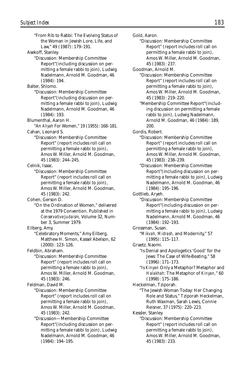"From Rib to Rabbi: The Evolving Status of the Woman in Jewish Lore, Life, and Law," 49 (1987): 179–191. Asekoff, Stanley. "Discussion: Membership Committee Report"(including discussion on permitting a female rabbi to join), Ludwig Nadelmann, Arnold M. Goodman, 46 (1984): 194. Balter, Shlomo. "Discussion: Membership Committee Report"(including discussion on permitting a female rabbi to join), Ludwig Nadelmann, Arnold M. Goodman, 46 (1984): 193. Blumenthal, Aaron H. "An *Aliyah* For Women," 19 (1955): 168–181. Cahan, Leonard S. "Discussion: Membership Committee Report" (report includes roll call on permitting a female rabbi to join), Amos W. Miller, Arnold M. Goodman, 45 (1983): 244–245. Celnik, Isaac. "Discussion: Membership Committee Report" (report includes roll call on permitting a female rabbi to join), Amos W. Miller, Arnold M. Goodman, 45 (1983): 242. Cohen, Gerson D. "On the Ordination of Women," delivered at the 1979 Convention. Published in *Conservative Judaism,* Volume 32, Number 3, Summer 1979. Eilberg, Amy. "Celebratory Moments," Amy Eilberg, Matthew H. Simon, Kassel Abelson, 62 (2000): 123–126. Feldbin, Abraham. "Discussion: Membership Committee Report" (report includes roll call on permitting a female rabbi to join), Amos W. Miller, Arnold M. Goodman, 45 (1983): 246. Feldman, David M. "Discussion: Membership Committee Report" (report includes roll call on permitting a female rabbi to join), Amos W. Miller, Arnold M. Goodman, 45 (1983): 242. "Discussion—Membership Committee Report"(including discussion on permitting a female rabbi to join), Ludwig Nadelmann, Arnold M. Goodman, 46 (1984): 194–195.

Gold, Aaron. "Discussion: Membership Committee Report" (report includes roll call on permitting a female rabbi to join), Amos W. Miller, Arnold M. Goodman, 45 (1983): 237. Goodman, Arnold M. "Discussion: Membership Committee Report" (report includes roll call on permitting a female rabbi to join), Amos W. Miller, Arnold M. Goodman, 45 (1983): 219–220. "Membership Committee Report"(including discussion on permitting a female rabbi to join), Ludwig Nadelmann, Arnold M. Goodman, 46 (1984): 189, 200. Gordis, Robert. "Discussion: Membership Committee Report" (report includes roll call on permitting a female rabbi to join), Amos W. Miller, Arnold M. Goodman, 45 (1983): 238–239. "Discussion: Membership Committee Report"(including discussion on permitting a female rabbi to join), Ludwig Nadelmann, Arnold M. Goodman, 46 (1984): 195–196. Gottlieb, Aryeh. "Discussion: Membership Committee Report"(including discussion on permitting a female rabbi to join), Ludwig Nadelmann, Arnold M. Goodman, 46 (1984): 192–193. Grossman, Susan. "*Mikvah, Midrash,* and Modernity," 57 (1995): 115–117. Graetz, Naomi. "Is Denial and Apologetics 'Good' for the Jews: The Case of Wife-Beating," 58 (1996): 171–173. "Is *Kinyan* Only a Metaphor? Metaphor and *Halakhah:* The Metaphor of *Kinyan,*" 60 (1998): 175–186. Heckelman, Tziporah. "The Jewish Woman Today: Her Changing Role and Status," Tziporah Heckelman, Ruth Waxman, Sarah Lewis, Connie Reisner, 37 (1975): 220–223. Kessler, Stanley. "Discussion: Membership Committee Report" (report includes roll call on permitting a female rabbi to join), Amos W. Miller, Arnold M. Goodman,

45 (1983): 233.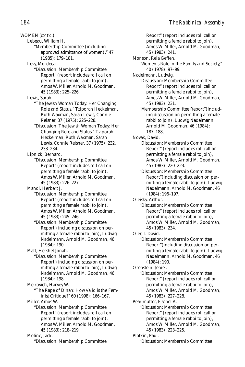WOMEN *(cont'd.)*

Lebeau, William H.

"Membership Committee (including approved admittance of women)," 47 (1985): 179–181.

Levy, Mordecai.

- "Discussion: Membership Committee Report" (report includes roll call on permitting a female rabbi to join), Amos W. Miller, Arnold M. Goodman, 45 (1983): 225–226.
- Lewis, Sarah.
	- "The Jewish Woman Today: Her Changing Role and Status," Tziporah Heckelman, Ruth Waxman, Sarah Lewis, Connie Reisner, 37 (1975): 225–228.
	- "Discussion: The Jewish Woman Today: Her Changing Role and Status," Tziporah Heckelman, Ruth Waxman, Sarah Lewis, Connie Reisner, 37 (1975): 232, 233–234.

Lipnick, Bernard.

"Discussion: Membership Committee Report" (report includes roll call on permitting a female rabbi to join), Amos W. Miller, Arnold M. Goodman, 45 (1983): 226–227.

Mandl, Herbert J.

- "Discussion: Membership Committee Report" (report includes roll call on permitting a female rabbi to join), Amos W. Miller, Arnold M. Goodman, 45 (1983): 245–246.
- "Discussion: Membership Committee Report"(including discussion on permitting a female rabbi to join), Ludwig Nadelmann, Arnold M. Goodman, 46 (1984): 190.

Matt, Hershel Jonah.

"Discussion: Membership Committee Report"(including discussion on permitting a female rabbi to join), Ludwig Nadelmann, Arnold M. Goodman, 46 (1984): 198.

"The Rape of Dinah: How Valid is the Feminist Critique?" 60 (1998): 166–167.

Miller, Amos W.

"Discussion: Membership Committee Report" (report includes roll call on permitting a female rabbi to join), Amos W. Miller, Arnold M. Goodman, 45 (1983): 218–219.

Moline, Jack.

"Discussion: Membership Committee

Report" (report includes roll call on permitting a female rabbi to join), Amos W. Miller, Arnold M. Goodman, 45 (1983): 241. Monson, Rela Geffen. "Women's Role in the Family and Society," 40 (1978): 97–99. Nadelmann, Ludwig. "Discussion: Membership Committee Report" (report includes roll call on permitting a female rabbi to join), Amos W. Miller, Arnold M. Goodman, 45 (1983): 231. "Membership Committee Report"(including discussion on permitting a female rabbi to join), Ludwig Nadelmann, Arnold M. Goodman, 46 (1984): 187–188, Novak, David. "Discussion: Membership Committee Report" (report includes roll call on permitting a female rabbi to join), Amos W. Miller, Arnold M. Goodman, 45 (1983): 220–223. "Discussion: Membership Committee Report"(including discussion on permitting a female rabbi to join), Ludwig Nadelmann, Arnold M. Goodman, 46 (1984): 196–197. Oleisky, Arthur. "Discussion: Membership Committee Report" (report includes roll call on permitting a female rabbi to join), Amos W. Miller, Arnold M. Goodman, 45 (1983): 234. Oler, I. David. "Discussion: Membership Committee Report"(including discussion on permitting a female rabbi to join), Ludwig Nadelmann, Arnold M. Goodman, 46 (1984): 190. Orenstein, Jehiel. "Discussion: Membership Committee Report" (report includes roll call on permitting a female rabbi to join), Amos W. Miller, Arnold M. Goodman, 45 (1983): 227–228. Pearlmutter, Fischel A. "Discussion: Membership Committee Report" (report includes roll call on permitting a female rabbi to join), Amos W. Miller, Arnold M. Goodman, 45 (1983): 223–225. Plotkin, Paul. "Discussion: Membership Committee

Meirovich, Harvey W.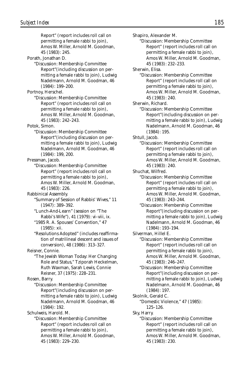Report" (report includes roll call on permitting a female rabbi to join), Amos W. Miller, Arnold M. Goodman, 45 (1983): 245.

Porath, Jonathan D.

"Discussion: Membership Committee Report"(including discussion on permitting a female rabbi to join), Ludwig Nadelmann, Arnold M. Goodman, 46 (1984): 199–200.

Portnoy, Herschel.

"Discussion: Membership Committee Report" (report includes roll call on permitting a female rabbi to join), Amos W. Miller, Arnold M. Goodman, 45 (1983): 242–243.

Potok, Simon.

"Discussion: Membership Committee Report"(including discussion on permitting a female rabbi to join), Ludwig Nadelmann, Arnold M. Goodman, 46 (1984): 199, 200.

Pressman, Jacob.

"Discussion: Membership Committee Report" (report includes roll call on permitting a female rabbi to join), Amos W. Miller, Arnold M. Goodman, 45 (1983): 226.

Rabbinical Assembly.

- "Summary of Session of Rabbis' Wives," 11 (1947): 389–392.
- "Lunch-And-Learn" (session on "The Rabbi's Wife"), 41 (1979): vi–viii, ix.
- "1985 R. A. Spouses' Convention," 47 (1985): xii.
- "Resolutions Adopted" (includes reaffirmation of matrilineal descent and issues of conversion), 48 (1986): 313–327.

Reisner, Connie.

"The Jewish Woman Today: Her Changing Role and Status," Tziporah Heckelman, Ruth Waxman, Sarah Lewis, Connie Reisner, 37 (1975): 228–231.

Rosen, Barry.

"Discussion: Membership Committee Report"(including discussion on permitting a female rabbi to join), Ludwig Nadelmann, Arnold M. Goodman, 46 (1984): 192.

Schulweis, Harold. M.

"Discussion: Membership Committee Report" (report includes roll call on permitting a female rabbi to join), Amos W. Miller, Arnold M. Goodman, 45 (1983): 229–230.

Shapiro, Alexander M. "Discussion: Membership Committee Report" (report includes roll call on permitting a female rabbi to join), Amos W. Miller, Arnold M. Goodman, 45 (1983): 232–233. Sherwin, Elisa. "Discussion: Membership Committee Report" (report includes roll call on permitting a female rabbi to join), Amos W. Miller, Arnold M. Goodman, 45 (1983): 240. Sherwin, Richard. "Discussion: Membership Committee Report"(including discussion on permitting a female rabbi to join), Ludwig Nadelmann, Arnold M. Goodman, 46 (1984): 195. Shtull, Jacob. "Discussion: Membership Committee Report" (report includes roll call on permitting a female rabbi to join), Amos W. Miller, Arnold M. Goodman, 45 (1983): 240. Shuchat, Wilfred. "Discussion: Membership Committee Report" (report includes roll call on permitting a female rabbi to join), Amos W. Miller, Arnold M. Goodman, 45 (1983): 243–244. "Discussion: Membership Committee Report"(including discussion on permitting a female rabbi to join), Ludwig Nadelmann, Arnold M. Goodman, 46 (1984): 193–194. Silverman, Hillel E. "Discussion: Membership Committee Report" (report includes roll call on permitting a female rabbi to join), Amos W. Miller, Arnold M. Goodman,

45 (1983): 246–247.

"Discussion: Membership Committee Report"(including discussion on permitting a female rabbi to join), Ludwig Nadelmann, Arnold M. Goodman, 46 (1984): 197.

Skolnik, Gerald C. "Domestic Violence," 47 (1985): 125–126.

- Sky, Harry.
	- "Discussion: Membership Committee Report" (report includes roll call on permitting a female rabbi to join), Amos W. Miller, Arnold M. Goodman, 45 (1983): 230.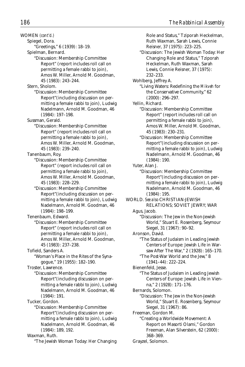WOMEN *(cont'd.)* Spiegel, Dora. "Greetings," 6 (1939): 18–19. Spielman, Bernard. "Discussion: Membership Committee Report" (report includes roll call on permitting a female rabbi to join), Amos W. Miller, Arnold M. Goodman, 45 (1983): 243–244. Stern, Sholom. "Discussion: Membership Committee Report"(including discussion on permitting a female rabbi to join), Ludwig Nadelmann, Arnold M. Goodman, 46 (1984): 197–198. Sussman, Gerald. "Discussion: Membership Committee Report" (report includes roll call on permitting a female rabbi to join), Amos W. Miller, Arnold M. Goodman, 45 (1983): 239–240. Tanenbaum, Roy. "Discussion: Membership Committee Report" (report includes roll call on permitting a female rabbi to join), Amos W. Miller, Arnold M. Goodman, 45 (1983): 228–229. "Discussion: Membership Committee Report"(including discussion on permitting a female rabbi to join), Ludwig Nadelmann, Arnold M. Goodman, 46 (1984): 198–199. Tenenbaum, Edward. "Discussion: Membership Committee Report" (report includes roll call on permitting a female rabbi to join), Amos W. Miller, Arnold M. Goodman, 45 (1983): 237–238. Tofield, Sanders A. "Woman's Place in the Rites of the Synagogue," 19 (1955): 182–190. Troster, Lawrence. "Discussion: Membership Committee Report"(including discussion on permitting a female rabbi to join), Ludwig Nadelmann, Arnold M. Goodman, 46 (1984): 191. Tucker, Gordon. "Discussion: Membership Committee Report"(including discussion on permitting a female rabbi to join), Ludwig Nadelmann, Arnold M. Goodman, 46 (1984): 189, 192. Waxman, Ruth. "The Jewish Woman Today: Her Changing

Role and Status," Tziporah Heckelman, Ruth Waxman, Sarah Lewis, Connie Reisner, 37 (1975): 223–225. "Discussion: The Jewish Woman Today: Her Changing Role and Status," Tziporah Heckelman, Ruth Waxman, Sarah Lewis, Connie Reisner, 37 (1975): 232–233. Wohlberg, Jeffrey A. "Living Waters: Redefining the *Mikveh* for the Conservative Community," 62 (2000): 296–297. Yellin, Richard. "Discussion: Membership Committee Report" (report includes roll call on permitting a female rabbi to join), Amos W. Miller, Arnold M. Goodman, 45 (1983): 230–231. "Discussion: Membership Committee Report"(including discussion on permitting a female rabbi to join), Ludwig Nadelmann, Arnold M. Goodman, 46 (1984): 190. Yuter, Alan J. "Discussion: Membership Committee Report"(including discussion on permitting a female rabbi to join), Ludwig Nadelmann, Arnold M. Goodman, 46 (1984): 195. WORLD. *See also* CHRISTIAN-JEWISH RELATIONS; SOVIET JEWRY; WAR Agus, Jacob. "Discussion: The Jew in the Non-Jewish World," Stuart E. Rosenberg, Seymour Siegel, 31 (1967): 90–92. Aronson, David. "The Status of Judaism in Leading Jewish Centers of Europe: Jewish Life in Warsaw After The War," 2 (1928): 165–170. "The Post-War World and the Jew," 8 (1941–44): 222–224. Bienenfeld, Jesse. "The Status of Judaism in Leading Jewish Centers of Europe: Jewish Life in Vienna," 2 (1928): 171–176. Bernards, Solomon. "Discussion: The Jew in the Non-Jewish World," Stuart E. Rosenberg, Seymour Siegel, 31 (1967): 86. Freeman, Gordon M. "Creating a Worldwide Movement: A Report on Masorti Olami," Gordon Freeman, Alan Silverstein, 62 (2000): 368–369. Grayzel, Solomon.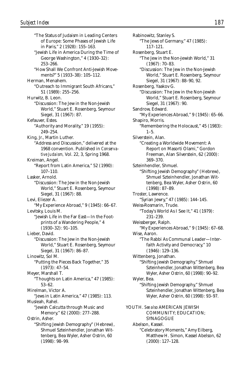"The Status of Judaism in Leading Centers of Europe: Some Phases of Jewish Life in Paris," 2 (1928): 155–163. "Jewish Life in America During the Time of George Washington," 4 (1930–32): 253–266. "How Shall We Confront Anti-Jewish Movements?" 5 (1933–38): 105–112. Herman, Menahem. "Outreach to Immigrant South Africans," 51 (1989): 255–256. Hurwitz, B. Leon. "Discussion: The Jew in the Non-Jewish World," Stuart E. Rosenberg, Seymour Siegel, 31 (1967): 87. Kefauver, Estes. "Authority and Morality," 19 (1955): 249–254. King, Jr., Martin Luther. "Address and Discussion," delivered at the 1968 convention. Published in *Conservative Judaism,* Vol. 22, 3, Spring 1968. Kreiman, Angel. "Report from Latin America," 52 (1990): 107–110. Lasker, Arnold. "Discussion: The Jew in the Non-Jewish World," Stuart E. Rosenberg, Seymour Siegel, 31 (1967): 88. Levi, Eliezer A. "My Experience Abroad," 9 (1945): 66–67. Levitsky, Louis M. "Jewish Life in the Far East—In the Footprints of a Wandering People," 4 (1930–32): 91–105. Lieber, David. "Discussion: The Jew in the Non-Jewish World," Stuart E. Rosenberg, Seymour Siegel, 31 (1967): 86–87. Linowitz, Sol M. "Putting the Pieces Back Together," 35 (1973): 47–54. Meyer, Marshall T. "Thoughts on Latin America," 47 (1985): 53–62. Mirelman, Victor A. "Jews in Latin America," 47 (1985): 113. Musleah, Rahel. "Jewish Calcutta through Music and Memory," 62 (2000): 277–288. Ostrin, Asher. "Shifting Jewish Demography" (Hebrew), Shmuel Szteinhendler, Jonathan Wittenberg, Bea Wyler, Asher Ostrin, 60 (1998): 98–99.

Rabinowitz, Stanley S. "The Jews of Germany," 47 (1985): 117–121. Rosenberg, Stuart E. "The Jew in the Non-Jewish World," 31 (1967): 70–83. "Discussion: The Jew in the Non-Jewish World," Stuart E. Rosenberg, Seymour Siegel, 31 (1967): 88–90, 92. Rosenberg, Yaakov G. "Discussion: The Jew in the Non-Jewish World," Stuart E. Rosenberg, Seymour Siegel, 31 (1967): 90. Sandrow, Edward. "My Experiences Abroad," 9 (1945): 65–66. Shapiro, Morris. "Remembering the Holocaust," 45 (1983):  $1 - 5$ . Silverstein, Alan. "Creating a Worldwide Movement: A Report on Masorti Olami," Gordon Freeman, Alan Silverstein, 62 (2000): 369–370. Szteinhendler, Shmuel. "Shifting Jewish Demography" (Hebrew), Shmuel Szteinhendler, Jonathan Wittenberg, Bea Wyler, Asher Ostrin, 60 (1998): 87–89. Troster, Lawrence. "Syrian Jewry," 47 (1985): 144–145. Weiss-Rosmarin, Trude. "Today's World As I See It," 41 (1979): 231–239. Weissberger, Ralph. "My Experiences Abroad," 9 (1945): 67–68. Wise, Aaron. "The Rabbi As Communal Leader—Interfaith Activity and Democracy," 10 (1946): 129–136. Wittenberg, Jonathan. "Shifting Jewish Demography," Shmuel Szteinhendler, Jonathan Wittenberg, Bea Wyler, Asher Ostrin, 60 (1998): 90–92. Wyler, Bea. "Shifting Jewish Demography," Shmuel Szteinhendler, Jonathan Wittenberg, Bea Wyler, Asher Ostrin, 60 (1998): 93–97. YOUTH. *See also* AMERICAN JEWISH COMMUNITY; EDUCATION; SYNAGOGUE Abelson, Kassel. "Celebratory Moments," Amy Eilberg, Matthew H. Simon, Kassel Abelson, 62 (2000): 127–128.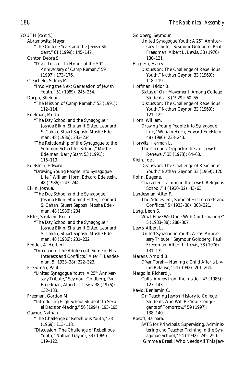YOUTH *(cont'd.)* Abramowitz, Mayer. "The College Years and the Jewish Student," 61 (1999): 145–147. Cantor, Debra S. "D'var Torah—In Honor of the 50<sup>th</sup> Anniversary of Camp Ramah," 59 (1997): 173–176. Clearfield, Sidney M. "Involving the Next Generation of Jewish Youth," 51 (1989): 245–254. Dorph, Sheldon. "The Mission of Camp Ramah," 53 (1991): 112–114. Edelman, Moshe. "The Day School and the Synagogue," Joshua Elkin, Shulamit Elster, Leonard S. Cahan, Stuart Saposh, Moshe Edelman, 48 (1986): 233–234. "The Relationship of the Synagogue to the Solomon Schechter School," Moshe Edelman, Barry Starr, 53 (1991): 115–119. Edelstein, Edward. "Drawing Young People into Synagogue Life," William Horn, Edward Edelstein, 48 (1986): 243–244. Elkin, Joshua. "The Day School and the Synagogue," Joshua Elkin, Shulamit Elster, Leonard S. Cahan, Stuart Saposh, Moshe Edelman, 48 (1986): 234. Elster, Shulamit Reich. "The Day School and the Synagogue," Joshua Elkin, Shulamit Elster, Leonard S. Cahan, Stuart Saposh, Moshe Edelman, 48 (1986): 231–232. Fedder, A. Herbert. "Discussion: The Adolescent, Some of His Interests and Conflicts," Alter F. Landesman, 5 (1933–38): 322–323. Freedman, Paul. "United Synagogue Youth: A 25<sup>th</sup> Anniversary Tribute," Seymour Goldberg, Paul Freedman, Albert L. Lewis, 38 (1976): 132–133. Freeman, Gordon M. "Introducing High School Students to Sexual Decision-Making," 56 (1994): 193–195. Gaynor, Nathan. "The Challenge of Rebellious Youth," 33 (1969): 113–118. "Discussion: The Challenge of Rebellious Youth," Nathan Gaynor, 33 (1969):

119–122.

Goldberg, Seymour. "United Synagogue Youth: A 25th Anniversary Tribute," Seymour Goldberg, Paul Freedman, Albert L. Lewis, 38 (1976): 130–131. Halpern, Harry. "Discussion: The Challenge of Rebellious Youth," Nathan Gaynor, 33 (1969): 118–119. Hoffman, Isidor B. "Status of Our Movement: Among College Students," 3 (1929): 60–65. "Discussion: The Challenge of Rebellious Youth," Nathan Gaynor, 33 (1969): 121–122. Horn, William. "Drawing Young People into Synagogue Life," William Horn, Edward Edelstein, 48 (1986): 238–243. Horwitz, Herman L. "The Campus: Opportunities for Jewish Renewal," 35 (1973): 64–68. Klein, Joel. "Discussion: The Challenge of Rebellious Youth," Nathan Gaynor, 33 (1969): 120. Kohn, Eugene. "Character Training in the Jewish Religious School," 4 (1930–32): 43–63. Landesman, Alter F. "The Adolescent, Some of His Interests and Conflicts," 5 (1933–38): 308–321. Lang, Leon S. "What Have We Done With Confirmation?" 5 (1933–38): 288–307. Lewis, Albert L. "United Synagogue Youth: A 25<sup>th</sup> Anniversary Tribute," Seymour Goldberg, Paul Freedman, Albert L. Lewis, 38 (1976): 131–132. Marans, Arnold B. "D'var Torah—Naming a Child After a Living Relative," 54 (1992): 261–264. Margolis, Richard J. "Cults: A View from the Inside," 47 (1985): 127–143. Ravid, Benjamin C. "On Teaching Jewish History to College Students Who Will Be Your Congregants of Tomorrow," 59 (1997): 138–140. Rosoff, Barbara. "SATS for Principals: Supervising, Administering and Teacher Training in the Synagogue School," 54 (1992): 245–250.

"'Gimme a Break! Who Needs All This Jew-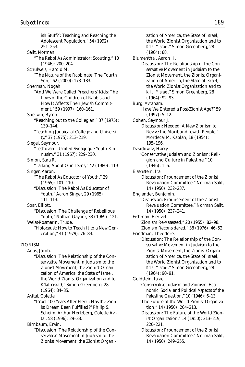ish Stuff?': Teaching and Reaching the Adolescent Population," 54 (1992): 251–253. Salit, Norman. "The Rabbi As Administrator: Scouting," 10 (1946): 200–204. Schulweis, Harold M. "The Nature of the Rabbinate: The Fourth Son," 62 (2000): 173–183. Sherman, Nogah. "And We Were Called Preachers' Kids: The Lives of the Children of Rabbis and How It Affects Their Jewish Commitment," 59 (1997): 160–161. Sherwin, Byron L. "Reaching out to the Collegian," 37 (1975): 139–144. "Teaching Judaica at College and University," 37 (1975): 213–219. Siegel, Seymour. "Teshuvah—United Synagogue Youth Kinnusim," 31 (1967): 229–230. Simon, Sara R. "Talking About Our Teens," 42 (1980): 119 Singer, Aaron. "The Rabbi As Educator of Youth," 29 (1965): 101–110. "Discussion: The Rabbi As Educator of Youth," Aaron Singer, 29 (1965): 111–113. Spar, Elliott. "Discussion: The Challenge of Rebellious Youth," Nathan Gaynor, 33 (1969): 121. Weiss-Rosmarin, Trude. "Holocaust: How to Teach It to a New Generation," 41 (1979): 76–83. ZIONISM Agus, Jacob. "Discussion: The Relationship of the Conservative Movement in Judaism to the Zionist Movement, the Zionist Organization of America, the State of Israel,

the World Zionist Organization and to *K'lal Yisrael,*" Simon Greenberg, 28 (1964): 84–85.

Avital, Colette.

"Israel 100 Years After Herzl: Has the Zionist Dream Been Fulfilled?" Philip S. Scheim, Arthur Hertzberg, Colette Avital, 58 (1996): 29–33.

Birnbaum, Ervin.

"Discussion: The Relationship of the Conservative Movement in Judaism to the Zionist Movement, the Zionist Organi-

zation of America, the State of Israel, the World Zionist Organization and to *K'lal Yisrael,*" Simon Greenberg, 28 (1964): 88. Blumenthal, Aaron H. "Discussion: The Relationship of the Conservative Movement in Judaism to the Zionist Movement, the Zionist Organization of America, the State of Israel, the World Zionist Organization and to *K'lal Yisrael,*" Simon Greenberg, 28 (1964): 92–93. Burg, Avraham. "Have We Entered a Post-Zionist Age?" 59 (1997): 5–12. Cohen, Seymour J. "Discussion: Needed: A New Zionism to Revive the Moribund Jewish People," Mordecai M. Kaplan, 18 (1954): 195–196. Davidowitz, Harry. "Conservative Judaism and Zionism: Religion and Culture in Palestine," 10  $(1946): 1-6.$ Eisenstein, Ira. "Discussion: Prouncement of the Zionist Revaluation Committee," Norman Salit, 14 (1950): 232–237. Englander, Benjamin. "Discussion: Prouncement of the Zionist Revaluation Committee," Norman Salit, 14 (1950): 237–241. Fishman, Hertzel. "Zionism Re-Assessed," 20 (1955): 82–98. "Zionism Reconsidered," 38 (1976): 46–52. Friedman, Theodore. "Discussion: The Relationship of the Conservative Movement in Judaism to the Zionist Movement, the Zionist Organization of America, the State of Israel, the World Zionist Organization and to *K'lal Yisrael,*" Simon Greenberg, 28 (1964): 90–91. Goldstein, Israel. "Conservative Judaism and Zionism: Economic, Social and Political Aspects of the Palestine Question," 10 (1946): 6–13. "The Future of the World Zionist Organization," 14 (1950): 204–213. "Discussion: The Future of the World Zionist Organization," 14 (1950): 213–219,

220–221. "Discussion: Prouncement of the Zionist Revaluation Committee," Norman Salit, 14 (1950): 249–255.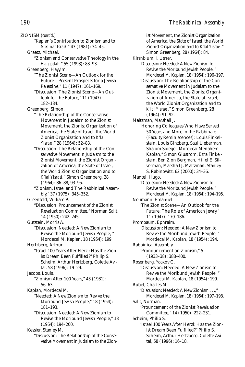ZIONISM *(cont'd.)* "Kaplan's Contribution to Zionism and to *Medinat Israel,*" 43 (1981): 34–45. Graetz, Michael. "Zionism and Conservative Theology in the *Haggadah,*" 55 (1993): 83–93. Greenberg, Hayyim. "The Zionist Scene—An Outlook for the Future—Present Prospects for a Jewish Palestine," 11 (1947): 161–169. "Discussion: The Zionist Scene—An Outlook for the Future," 11 (1947): 182–184. Greenberg, Simon. "The Relationship of the Conservative Movement in Judaism to the Zionist Movement, the Zionist Organization of America, the State of Israel, the World Zionist Organization and to *K'lal Yisrael,*" 28 (1964): 52–83. "Discussion: The Relationship of the Conservative Movement in Judaism to the Zionist Movement, the Zionist Organization of America, the State of Israel, the World Zionist Organization and to *K'lal Yisrael,*" Simon Greenberg, 28 (1964): 86–88, 93–95. "Zionism, Israel and The Rabbinical Assembly," 37 (1975): 345–352. Greenfeld, William P. "Discussion: Prouncement of the Zionist Revaluation Committee," Norman Salit, 14 (1950): 242–245. Gutstein, Morris A. "Discussion: Needed: A New Zionism to Revive the Moribund Jewish People, " Mordecai M. Kaplan, 18 (1954): 199. Hertzberg, Arthur. "Israel 100 Years After Herzl: Has the Zionist Dream Been Fulfilled?" Philip S. Scheim, Arthur Hertzberg, Colette Avital, 58 (1996): 19–29. Jacobs, Louis. "Zionism After 100 Years," 43 (1981): 56–63. Kaplan, Mordecai M. "Needed: A New Zionism to Revive the Moribund Jewish People," 18 (1954): 181–193. "Discussion: Needed: A New Zionism to Revive the Moribund Jewish People," 18 (1954): 194–200. Kessler, Stanley M. "Discussion: The Relationship of the Conser-

vative Movement in Judaism to the Zion-

ist Movement, the Zionist Organization of America, the State of Israel, the World Zionist Organization and to *K'lal Yisrael,*" Simon Greenberg, 28 (1964): 84. Kirshblum, I. Usher. "Discussion: Needed: A New Zionism to Revive the Moribund Jewish People, " Mordecai M. Kaplan, 18 (1954): 196–197. "Discussion: The Relationship of the Conservative Movement in Judaism to the Zionist Movement, the Zionist Organization of America, the State of Israel, the World Zionist Organization and to *K'lal Yisrael,*" Simon Greenberg, 28 (1964): 91–92. Maltzman, Marshall J. "Honoring Colleagues Who Have Served 50 Years and More in the Rabbinate (Faculty Reminiscences): Louis Finkelstein, Louis Ginzberg, Saul Lieberman, Shalom Spiegel, Mordecai Menahem Kaplan," Simon Glustrom, Ezra Finkelstein, Ben Zion Bergman, Hillel E. Silverman, Marshall J. Maltzman, Stanley S. Rabinowitz, 62 (2000): 34–36. Mantel, Hugo. "Discussion: Needed: A New Zionism to Revive the Moribund Jewish People, " Mordecai M. Kaplan, 18 (1954): 194–195. Neumann, Emanuel. "The Zionist Scene—An Outlook for the Future: The Role of American Jewry," 11 (1947): 170–186. Prombaum, Ephraim. "Discussion: Needed: A New Zionism to Revive the Moribund Jewish People, " Mordecai M. Kaplan, 18 (1954): 194. Rabbinical Assembly. "Pronouncement on Zionism," 5 (1933–38): 388–400. Rosenberg, Yaakov G. "Discussion: Needed: A New Zionism to Revive the Moribund Jewish People, " Mordecai M. Kaplan, 18 (1954): 199. Rubel, Charles M. "Discussion: Needed: A New Zionism . . .," Mordecai M. Kaplan, 18 (1954): 197–198. Salit, Norman. "Prouncement of the Zionist Revaluation Committee," 14 (1950): 222–231. Scheim, Philip S. "Israel 100 Years After Herzl: Has the Zionist Dream Been Fulfilled?" Philip S. Scheim, Arthur Hertzberg, Colette Avi-

tal, 58 (1996): 16–18.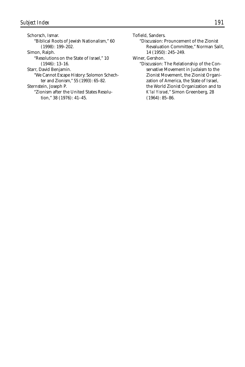Schorsch, Ismar. "Biblical Roots of Jewish Nationalism," 60 (1998): 199–202. Simon, Ralph. "Resolutions on the State of Israel," 10 (1946): 13–16. Starr, David Benjamin. "We Cannot Escape History: Solomon Schechter and Zionism," 55 (1993): 65–82.

Sternstein, Joseph P.

"Zionism after the United States Resolution," 38 (1976): 41–45.

Tofield, Sanders.

"Discussion: Prouncement of the Zionist Revaluation Committee," Norman Salit, 14 (1950): 245–249.

Winer, Gershon.

"Discussion: The Relationship of the Conservative Movement in Judaism to the Zionist Movement, the Zionist Organization of America, the State of Israel, the World Zionist Organization and to *K'lal Yisrael,*" Simon Greenberg, 28 (1964): 85–86.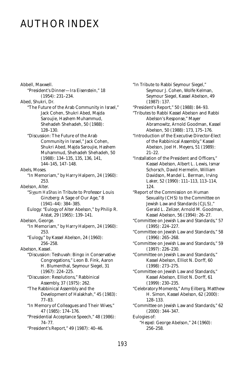## AUTHOR INDEX

Abbell, Maxwell. "President's Dinner—Ira Eisenstein," 18 (1954): 231–234. Abed, Shukri, Dr. "The Future of the Arab Community in Israel," Jack Cohen, Shukri Abed, Majda Saroujie, Hashem Muhammud, Shehadeh Shehadeh, 50 (1988): 128–130. "Discussion: The Future of the Arab Community in Israel," Jack Cohen, Shukri Abed, Majda Saroujie, Hashem Muhammud, Shehadeh Shehadeh, 50 (1988): 134–135, 135, 136, 141, 144–145, 147–148. Abels, Moses. "In Memoriam," by Harry Halpern, 24 (1960): 253. Abelson, Alter. "*Siyyum HaShas* in Tribute to Professor Louis Ginzberg: A Sage of Our Age," 8 (1941–44): 384–385. Eulogy: "Eulogy of Alter Abelson," by Philip R. Alstat, 29 (1965): 139–141. Abelson, George. "In Memoriam," by Harry Halpern, 24 (1960): 253. "Eulogy," by Kassel Abelson, 24 (1960): 256–258. Abelson, Kassel. "Discussion: Teshuvah: Bingo in Conservative Congregations," Leon B. Fink, Aaron H. Blumenthal, Seymour Siegel, 31 (1967): 224–225. "Discussion: Resolutions," Rabbinical Assembly, 37 (1975): 262. "The Rabbinical Assembly and the Development of Halakhah," 45 (1983): 77–83. "In Memory of Colleagues and Their Wives," 47 (1985): 174–176. "Presidential Acceptance Speech," 48 (1986): 74–77.

"President's Report," 49 (1987): 40–46.

"In Tribute to Rabbi Seymour Siegel," Seymour J. Cohen, Wolfe Kelman, Seymour Siegel, Kassel Abelson, 49 (1987): 137.

"President's Report," 50 (1988): 84–93.

"Tributes to Rabbi Kassel Abelson and Rabbi Abelson's Response," Mayer Abramowitz, Arnold Goodman, Kassel Abelson, 50 (1988): 173, 175–176.

"Introduction of the Executive Director-Elect of the Rabbinical Assembly," Kassel Abelson, Joel H. Meyers, 51 (1989): 21–22.

"Installation of the President and Officers," Kassel Abelson, Albert L. Lewis, Ismar Schorsch, David Hermelin, William Davidson, Mandel L. Berman, Irving Laker, 52 (1990): 111–113, 113–114, 124.

"Report of the Commission on Human Sexuality (CHS) to the Committee on Jewish Law and Standards (CJLS)," Gerald L. Zelizer, Arnold M. Goodman, Kassel Abelson, 56 (1994): 26–27.

"Committee on Jewish Law and Standards," 57 (1995): 224–227.

"Committee on Jewish Law and Standards," 58 (1996): 265–268.

"Committee on Jewish Law and Standards," 59 (1997): 226–230.

"Committee on Jewish Law and Standards," Kassel Abelson, Elliot N. Dorff, 60 (1998): 273–275.

"Committee on Jewish Law and Standards," Kassel Abelson, Elliot N. Dorff, 61 (1999): 230–235.

"Celebratory Moments," Amy Eilberg, Matthew H. Simon, Kassel Abelson, 62 (2000): 128–133.

"Committee on Jewish Law and Standards," 62 (2000): 344–347.

Eulogies of: "*Hesped:* George Abelson," 24 (1960): 256–258.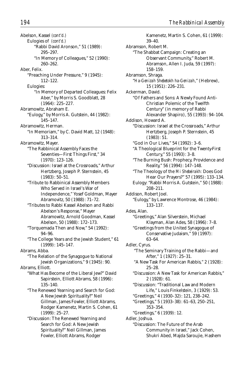Abelson, Kassel *(cont'd.)* Eulogies of *(cont'd.)* "Rabbi David Aronson," 51 (1989): 295–297. "In Memory of Colleagues," 52 (1990): 260–262. Aber, Felix. "Preaching Under Pressure," 9 (1945): 112–122. Eulogies: "In Memory of Departed Colleagues: Felix Aber," by Morris S. Goodblatt, 28 (1964): 225–227. Abramowitz, Abraham E. "Eulogy," by Morris A. Gutstein, 44 (1982): 145–147. Abramowitz, Herman. "In Memoriam," by C. David Matt, 12 (1948): 313–314. Abramowitz, Mayer. "The Rabbinical Assembly Faces the Seventies—First Things First," 34 (1970): 123–126. "Discussion: Israel at the Crossroads," Arthur Hertzberg, Joseph P. Sternstein, 45 (1983): 50–51. "Tribute to Rabbinical Assembly Members Who Served in Israel's War of Independence," Yosef Goldman, Mayer Abramovitz, 50 (1988): 71–72. "Tributes to Rabbi Kassel Abelson and Rabbi Abelson's Response," Mayer Abramowitz, Arnold Goodman, Kassel Abelson, 50 (1988): 172–173. "Torquemada Then and Now," 54 (1992): 94–96. "The College Years and the Jewish Student," 61 (1999): 145–147. Abrams, Abba. "The Relation of the Synagogue to National Jewish Organizations," 9 (1945): 90. Abrams, Elliott. "What Has Become of the Liberal Jew?" David Sapirstein, Elliott Abrams, 58 (1996): 135–140. "The Renewed Yearning and Search for God: A New Jewish Spirituality?" Neil Gillman, James Fowler, Elliott Abrams, Rodger Kamenetz, Martin S. Cohen, 61 (1999): 25–27. "Discussion: The Renewed Yearning and Search for God: A New Jewish Spirituality?" Neil Gillman, James

Fowler, Elliott Abrams, Rodger

Kamenetz, Martin S. Cohen, 61 (1999): 39–40. Abramson, Robert M. "The Shabbat Campaign: Creating an Observant Community," Robert M. Abramson, Allen I. Juda, 59 (1997): 158–159. Abramson, Shraga. "*Ha-Genizah Shebetokh ha-Genizah*," (Hebrew), 15 (1951): 226–231. Ackerman, David. "Of Fathers and Sons: A Newly Found Anti-Christian Polemic of the Twelfth Century" (in memory of Rabbi Alexander Shapiro), 55 (1993): 94–104. Addison, Howard A. "Discussion: Israel at the Crossroads," Arthur Hertzberg, Joseph P. Sternstein, 45 (1983): 51. "God in Our Lives," 54 (1992): 3–6. "A Theological Blueprint for the Twenty-First Century," 55 (1993): 3–8. "The Burning Bush: Prophecy, Providence and Reality," 56 (1994): 147–148. "The Theology of the *Mi Shebeirakh:* Does God Hear Our Prayers?" 57 (1995): 133–134. Eulogy: "Rabbi Morris A. Gutstein," 50 (1988): 208–211. Addison, Robert Joel. "Eulogy," by Lawrence Montrose, 46 (1984): 133–137. Ades, Alan. "Greetings," Alan Silverstein, Michael Klayman, Alan Ades, 58 (1996): 7–8. "Greetings from the United Synagogue of Conservative Judaism," 59 (1997): 63–64. Adler, Cyrus. "The Seminary Training of the Rabbi—and After," 1 (1927): 25–31. "A New Task For American Rabbis," 2 (1928): 25–28. "Discussion: A New Task for American Rabbis," 2 (1928): 61. "Discussion: "Traditional Law and Modern Life," Louis Finkelstein, 3 (1929): 53. "Greetings," 4 (1930–32): 121, 238–242. "Greetings," 5 (1933–38): 61–63, 250–251, 353–354. "Greetings," 6 (1939): 12. Adler, Joshua. "Discussion: The Future of the Arab Community in Israel," Jack Cohen, Shukri Abed, Majda Saroujie, Hashem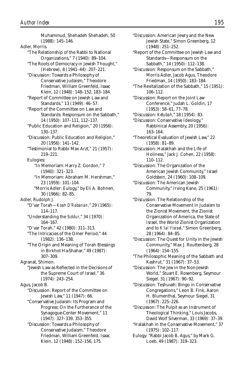Muhammud, Shehadeh Shehadeh, 50 (1988): 145–146. Adler, Morris. "The Relationship of the Rabbi to National Organizations," 7 (1940): 89–104. "The Roots of Democracy in Jewish Thought," (Hebrew), 8 (1941–44): 207–221. "Discussion: Towards a Philosophy of Conservative Judaism," Theodore Friedman, William Greenfeld, Isaac Klein, 12 (1948): 148–152, 183–184. "Report of Committee on Jewish Law and Standards," 13 (1949): 46–57. "Report of the Committee on Law and Standards: Responsum on the Sabbath," 14 (1950): 107–111, 112–137. "Public Education and Religion," 20 (1956): 130–137. "Discussion: Public Education and Religion," 20 (1956): 141–142. "Testimonial to Rabbi Max Arzt," 21 (1957): 219–221. Eulogies: "In Memoriam: Harry Z. Gordon," 7 (1940): 321–323. "In Memoriam: Abraham M. Hershman," 23 (1959): 101–104. "Morris Adler: Eulogy," by Eli A. Bohnen, 30 (1966): 82–85. Adler, Rudolph J. "D'var Torah—*Koah D'Rabanan*," 29 (1965): 114–117. "Understanding the *Siddur*," 34 (1970): 164–167. "D'var Torah," 42 (1980): 311–313. "The Intricacies of the Omer Period," 44 (1982): 136–138. "The Origin and Meaning of Torah Blessings in Birkhot Ha-Shahar," 49 (1987): 307–309. Agranat, Shimon. "Jewish Law as Reflected in the Decisions of the Supreme Court of Israel," 36 (1974): 243–254. Agus, Jacob B. "Discussion: Report of the Committee on Jewish Law," 11 (1947): 66. "Conservative Judaism: Its Program and Progress: On the Furtherance of the Synagogue-Center Movement," 11 (1947): 327–339, 353–355. "Discussion: Towards a Philosophy of Conservative Judaism," Theodore Friedman, William Greenfeld, Isaac

Klein, 12 (1948): 152–156, 175.

"Discussion: American Jewry and the New Jewish State," Simon Greenberg, 12 (1948): 251–252. "Report of the Committee on Jewish Law and Standards—Responsum on the Sabbath," 14 (1950): 112–138. "Discussion: Responsum on the Sabbath," Morris Adler, Jacob Agus, Theodore Friedman, 14 (1950): 183–184. "The Revitalization of the Sabbath," 15 (1951): 106–112. "Discussion: Report on the Joint Law Conference," Judah L. Goldin, 17 (1953): 58–61, 77–78. "Discussion: *Ketubah*," 18 (1954): 83. "Discussion: Conservative Ideology," Rabbinical Assembly, 20 (1956): 163–164. "Theoretical Evaluation of Jewish Law," 22 (1958): 81–89. "Discussion: Halakhah and the Life of Holiness," Jack J. Cohen, 22 (1958): 110–112. "Discussion: The Organization of the American Jewish Community," Israel Goldstein, 24 (1960): 108–109. "Discussion: The American Jewish Community," Irving Kane, 25 (1961): 79. "Discussion: The Relationship of the Conservative Movement in Judaism to the Zionist Movement, the Zionist Organization of America, the State of Israel, the World Zionist Organization and to *K'lal Yisrael*," Simon Greenberg, 28 (1964): 84–85. "Discussion: The Quest for Unity in the Jewish Community," Max J. Routtenberg, 28 (1964): 154–155. "The Philosophic Meaning of the Sabbath and Kashrut," 31 (1967): 37–53. "Discussion: The Jew in the Non-Jewish World," Stuart E. Rosenberg, Seymour Siegel, 31 (1967): 90–92. "Discussion: Teshuvah: Bingo in Conservative Congregations," Leon B. Fink, Aaron H. Blumenthal, Seymour Siegel, 31 (1967): 225–226. "Discussion: The Pulpit as an Instrument of Theological Thinking," Louis Jacobs, David Wolf Silverman, 33 (1969): 37–39. "Halakhah in the Conservative Movement," 37 (1975): 102–117. Eulogy: "Rabbi Jacob B. Agus," by Mark G.

Loeb, 49 (1987): 319–323.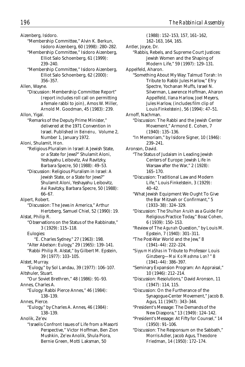Aizenberg, Isidoro.

- "Membership Committee," Alvin K. Berkun, Isidoro Aizenberg, 60 (1998): 280–282.
- "Membership Committee," Isidoro Aizenberg, Elliot Salo Schoenberg, 61 (1999): 239–240.
- "Membership Committee," Isidoro Aizenberg, Elliot Salo Schoenberg, 62 (2000): 356–357.

Allen, Wayne.

"Discussion: Membership Committee Report" (report includes roll call on permitting a female rabbi to join), Amos W. Miller, Arnold M. Goodman, 45 (1983): 239.

Allon, Yigal.

"Remarks of the Deputy Prime Minister," delivered at the 1971 Convention in Israel. Published in *Beineinu,* Volume 2, Number 1, January 1972.

Aloni, Shulamit, Hon.

- "Religious Pluralism in Israel: A Jewish State, or a State for Jews?" Shulamit Aloni, Yeshayahu Leibovitz, Avi Ravitzky, Barbara Specre, 50 (1988): 49–53.
	- "Discussion: Religious Pluralism in Israel: A Jewish State, or a State for Jews?" Shulamit Aloni, Yeshayahu Leibovitz, Avi Ravitzky, Barbara Specre, 50 (1988): 66–67.
- Alpert, Robert.
- "Discussion: The Jews in America," Arthur Hertzberg, Samuel Chiel, 52 (1990): 19.

Alstat, Philip R.

"Observations on the Status of the Rabbinate," 3 (1929): 115–118.

Eulogies:

- "E. Charles Sydney," 27 (1963): 198.
- "Alter Abelson: Eulogy," 29 (1965): 139–141.
- "Rabbi Philip R. Alstat," by Gilbert M. Epstein, 39 (1977): 103–105.

Alstet, Murray.

"Eulogy," by Sol Landau, 39 (1977): 106–107. Altshuler, Stuart.

"Our Soviet Brethren," 48 (1986): 91–93.

Annes, Charles A.

"Eulogy: Rabbi Pierce Annes," 46 (1984): 138–139.

Annes, Pierce.

"Eulogy," by Charles A. Annes, 46 (1984): 138–139.

Anolik, Ze'ev.

"Israelis Confront Issues of Life from a Masorti Perspective," Victor Hoffman, Ben Zion Mushkin, Ze'ev Anolik, Shula Piora, Bernie Green, Motti Laksman, 50

(1988): 152–153, 157, 161–162, 162–163, 164, 165. Antler, Joyce, Dr. "Rabbis, Rebels, and Supreme Court Justices: Jewish Women and the Shaping of Modern Life," 59 (1997): 129–131. Appelfeld, Aharon. "Something About My Way: Talmud Torah: In Tribute to Rabbi Jules Harlow," Efry Spectre, Yochanan Muffs, Israel N. Silverman, Lawrence Hoffman, Aharon Appelfeld, Ilana Harlow, Joel Meyers, Jules Harlow, (includes film clip of Louis Finkelstein), 56 (1994): 47–51. Arnoff, Nachman. "Discussion: The Rabbi and the Jewish Center Movement," Armond E. Cohen, 7 (1940): 135–136. "In Memoriam," by Isidore Signer, 10 (1946): 239–241. Aronson, David. "The Status of Judaism in Leading Jewish Centers of Europe: Jewish Life in Warsaw after the War," 2 (1928): 165–170. "Discussion: Traditional Law and Modern Life," Louis Finkelstein, 3 (1929): 40–42. "What Jewish Equipment We Ought To Give the Bar Mitzvah or Confirmant," 5 (1933–38): 324–329. "Discussion: The *Shulhan Arukh* as a Guide For Religious Practice Today," Boaz Cohen, 6 (1939): 150–153. "Review of The *Agunah* Question," by Louis M. Epstein, 7 (1940): 301–311. "The Post-War World and the Jew," 8 (1941–44): 222–224. "*Siyyum HaShas* in Tribute to Professor Louis Ginzberg—*Mai Ko Mashma Lon?* " 8 (1941–44): 386–397. "Seminary Expansion Program: An Appraisal," 10 (1946): 212–214.

"Discussion: Resolutions," David Aronson, 11 (1947): 114, 115.

"Discussion: On the Furtherance of the Synagogue-Center Movement," Jacob B. Agus, 11 (1947): 343–344.

- "President's Message: The Demands of the New Diaspora," 13 (1949): 124–142.
- "President's Message: At Fifty for Counsel," 14 (1950): 91–106.

"Discussion: The Responsum on the Sabbath," Morris Adler, Jacob Agus, Theodore Friedman, 14 (1950): 172–174.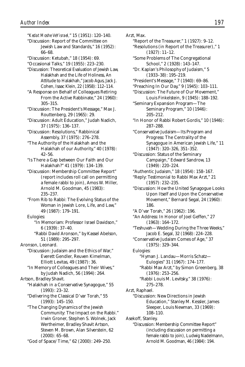"*Kedat Moshe VeYisrael,*" 15 (1951): 120–140. "Discussion: Report of the Committee on Jewish Law and Standards," 16 (1952): 66–68. "Discussion: Ketubah," 18 (1954): 69.

"Occasional Talks," 19 (1955): 223–230.

"Discussion: Theoretical Evaluation of Jewish Law, Halakhah and the Life of Holiness, An Attitude to Halakhah," Jacob Agus, Jack J. Cohen, Isaac Klein, 22 (1958): 112–114.

"A Response on Behalf of Colleagues Retiring From the Active Rabbinate," 24 (1960): 305–315.

"Discussion: The President's Message," Max J. Routtenberg, 29 (1965): 29.

"Discussion: Adult Education," Judah Nadich, 37 (1975): 136–137.

"Discussion: Resolutions," Rabbinical Assembly, 37 (1975): 276–278.

"The Authority of the Halakhah and the Halakhah of our Authority," 40 (1978): 42–56.

"Is There a Gap between Our Faith and Our Halakhah?" 41 (1979): 134–139.

"Discussion: Membership Committee Report" (report includes roll call on permitting a female rabbi to join), Amos W. Miller, Arnold M. Goodman, 45 (1983): 235–237.

"From Rib to Rabbi: The Evolving Status of the Woman in Jewish Lore, Life, and Law," 49 (1987): 179–191.

Eulogies:

"In Memoriam: Professor Israel Davidson," 6 (1939): 37–40.

"Rabbi David Aronson," by Kassel Abelson, 51 (1989): 295–297.

Aronson, Leonard.

"Discussion: Judaism and the Ethics of War," Everett Gendler, Reuven Kimelman, Elliott Levitas, 49 (1987): 36.

"In Memory of Colleagues and Their Wives," by Judah Nadich, 56 (1994): 264.

Artson, Bradley Shavit.

"Halakhah in a Conservative Synagogue," 55 (1993): 23–32.

- "Delivering the Classical D'var Torah," 55 (1993): 145–150.
- "The Changing Dynamics of the Jewish Community: The Impact on the Rabbi." Irwin Groner, Stephen S. Wolnek, Jack Wertheimer, Bradley Shavit Artson, Steven M. Brown, Alan Silverstein, 62 (2000): 65–68.

"God of Space/Time," 62 (2000): 249–250.

Arzt, Max.

"Report of the Treasurer," 1 (1927): 9–12.

"Resolutions (in Report of the Treasurer)," 1 (1927): 11–12.

"Some Problems of The Congregational School," 2 (1928): 143–147.

"Dr. Kaplan's Philosophy of Judaism," 5 (1933–38): 195–219.

"President's Message," 7 (1940): 69–86.

- "Preaching In Our Day," 9 (1945): 103–111.
- "Discussion: The Future of Our Movement," Louis Finkelstein, 9 (1945): 188–192.

"Seminary Expansion Program—The Seminary Program," 10 (1946): 205–212.

"In Honor of Rabbi Robert Gordis," 10 (1946): 287–288.

"Conservative Judaism—Its Program and Progress: The Centrality of the Synagogue in American Jewish Life," 11 (1947): 320–326, 351–352.

"Discussion: Status of the Seminary Campaign," Edward Sandrow, 13 (1949): 220–224.

- "Authentic Judaism," 18 (1954): 158–167.
- "Reply: Testimonial to Rabbi Max Arzt," 21 (1957): 232–235.
- "Discussion: How the United Synagogue Looks Upon Itself and Upon the Conservative Movement," Bernard Segal, 24 (1960): 186.

"A D'var Torah," 26 (1962): 196.

- "An Address: In Honor of Joel Geffen," 27 (1963): 164–172.
- "Teshuvah—Wedding During the Three Weeks," Jacob E. Segal, 32 (1968): 224–228.

"Conservative Judaism Comes of Age," 37 (1975): 329–344.

Eulogies: "Hyman J. Landau—Morris Schatz—

Eulogies" 31 (1967): 174–177.

- "Rabbi Max Arzt," by Simon Greenberg, 38 (1976): 253–256.
- "Rabbi Louis M. Levitsky," 38 (1976): 275–278.

Arzt, Raphael.

"Discussion: New Directions in Jewish Education," Stanley M. Kessler, James Sleeper, Louis Newman, 33 (1969): 108–110.

Asekoff, Stanley.

"Discussion: Membership Committee Report" (including discussion on permitting a female rabbi to join), Ludwig Nadelmann, Arnold M. Goodman, 46 (1984): 194.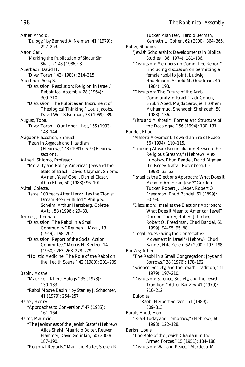Asher, Arnold. "Eulogy," by Bennett A. Neiman, 41 (1979): 252–253. Astor, Carl. "Marking the Publication of *Siddur Sim Shalom,"* 48 (1986): 3. Auerbach, David H. "D'var Torah," 42 (1980): 314–315. Auerbach, Selig S. "Discussion: Resolution: Religion in Israel," Rabbinical Assembly, 28 (1964): 309–310. "Discussion: The Pulpit as an Instrument of Theological Thinking," Louis Jacobs, David Wolf Silverman, 33 (1969): 39. August, Toba. "D'var Torah—Our Inner Lives," 55 (1993): 143–144. Avigdor Haccohen, Shmuel. "*Pesah* in *Aggadah* and Hasidism (Hebrew)," 43 (1981): 5–9 (Hebrew section). Avineri, Shlomo, Professor. "Morality and Policy: American Jews and the State of Israel," David Clayman, Shlomo Avineri, Yosef Goell, Daniel Elazar, Abba Eban, 50 (1988): 96–101. Avital, Colette. "Israel 100 Years After Herzl: Has the Zionist Dream Been Fulfilled?" Philip S. Scheim, Arthur Hertzberg, Colette Avital, 58 (1996): 29–33. Azneer, J. Leonard. "Discussion: The Rabbi in a Small Community," Reuben J. Magil, 13 (1949): 198–202. "Discussion: Report of the Social Action Committee," Morris N. Kertzer, 14 (1950): 263–268, 278–279. "Holistic Medicine: The Role of the Rabbi on the Health Scene," 42 (1980): 201–209. Babin, Moshe. "Maurice I. Kliers: Eulogy," 35 (1973): 130–133. "Rabbi Moshe Babin," by Stanley J. Schachter, 41 (1979): 254–257. Balser, Henry. "Approaches to Conversion," 47 (1985): 161–164. Balter, Mauricio. "The Jewishness of the Jewish State" (Hebrew), Alice Shalvi, Mauricio Balter, Reuven Hammer, David Golinkin, 60 (2000): 187–190. "Regional Reports," Mauricio Balter, Steven R.

Tucker, Alan Iser, Harold Berman, Kenneth L. Cohen, 62 (2000): 364–365. Balter, Shlomo. "Jewish Scholarship: Developments in Biblical Studies," 36 (1974): 181–186. "Discussion: Membership Committee Report" (including discussion on permitting a female rabbi to join), Ludwig Nadelmann, Arnold M. Goodman, 46 (1984): 193. "Discussion: The Future of the Arab Community in Israel," Jack Cohen, Shukri Abed, Majda Saroujie, Hashem Muhammud, Shehadeh Shehadeh, 50 (1988): 136. "*Yitro* and *Mishpatim:* Format and Structure of the Decalogue," 56 (1994): 130–131. Bandel, Ehud. "Masorti Movement: Toward an Era of Peace," 56 (1994): 110–115. "Looking Ahead: Reconciliation Between the Religious Streams," (Hebrew), Alex Lubotsky, Ehud Bandel, David Bigman, Uri Regev, Naftali Rotenberg, 60 (1998): 32–33. "Israel as the Elections Approach: What Does it Mean to American Jews?" Gordon Tucker, Robert J. Lieber, Robert O. Freedman, Ehud Bandel, 61 (1999): 90–93. "Discussion: Israel as the Elections Approach: What Does it Mean to American Jews?" Gordon Tucker, Robert J. Lieber, Robert O. Freedman, Ehud Bandel, 61 (1999): 94–95, 95, 98. "Legal Issues Facing the Conservative Movement in Israel" (Hebrew), Ehud Bandel, Hila Keren, 62 (2000): 197–198. Bar-Zev, Asher. "The Rabbi in a Small Congregation: Joys and Sorrows," 38 (1976): 178–192. "Science, Society, and the Jewish Tradition," 41 (1979): 197–210. "Discussion: Science, Society, and the Jewish Tradition," Asher Bar-Zev, 41 (1979): 210–212. Eulogies: "Rabbi Herbert Seltzer," 51 (1989): 309–313. Barak, Ehud, Hon. "Israel Today and Tomorrow," (Hebrew), 60 (1998): 122–128. Barish, Louis. "The Role of the Jewish Chaplain in the Armed Forces," 15 (1951): 184–188. "Discussion: War and Peace," Mordecai M.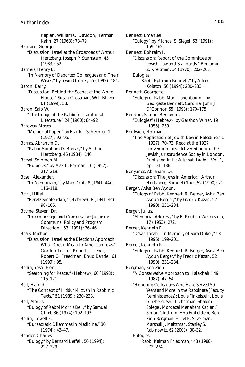Bennett, Emanuel. "Eulogy," by Michael S. Siegel, 53 (1991): 159–162. Bennett, Ephraim I. "Discussion: Report of the Committee on Jewish Law and Standards," Benjamin Z. Kreitman, 34 (1970): 202–203. Eulogies, "Rabbi Ephraim Bennett," by Alfred Kolatch, 56 (1994): 230–233. Bennett, Georgette. "Eulogy of Rabbi Marc Tanenbaum," by Georgette Bennett, Cardinal John J. O'Connor, 55 (1993): 170–175. Bension, Samuel Benjamin. *Author Index 199*

- "Eulogies" (Hebrew), by Gershon Winer, 19 (1955): 259.
- Bentwich, Norman.
	- "The Application of Jewish Law in Palestine," 1 (1927): 70–73. Read at the 1927 convention, first delivered before the Jewish Jurisprudence Sociey in London. Published in *Ha-Mishpat Ha-Ibri,* Vol. 1, pp. 131–136.
- Benyunes, Abraham, Dr. "Discussion: The Jews in America," Arthur Hertzberg, Samuel Chiel, 52 (1990): 21.
- Berger, Aviva Ben Ayoun. "Eulogy of Rabbi Kenneth R. Berger, Aviva Ben Ayoun Berger," by Fredric Kazan, 52 (1990): 231–234.
- Berger, Julius. "Memorial Address," by B. Reuben Weilerstein, 17 (1953): 272.
- Berger, Kenneth E. "D'var Torah—In Memory of Sara Duker," 58 (1996): 199–201.
- Berger, Kenneth R. "Eulogy of Rabbi Kenneth R. Berger, Aviva Ben Ayoun Berger," by Fredric Kazan, 52 (1990): 231–234.
- Bergman, Ben Zion.

"A Conservative Approach to Halakhah," 49 (1987): 47–54.

- "Honoring Colleagues Who Have Served 50 Years and More in the Rabbinate (Faculty Reminiscences): Louis Finkelstein, Louis Ginzberg, Saul Lieberman, Shalom Spiegel, Mordecai Menahem Kaplan," Simon Glustrom, Ezra Finkelstein, Ben Zion Bergman, Hillel E. Silverman, Marshall J. Maltzman, Stanley S. Rabinowitz, 62 (2000): 30–32. Eulogies:
	- "Rabbi Kalman Friedman," 48 (1986): 272–274.

Barnard, George. "Discussion: Israel at the Crossroads," Arthur Hertzberg, Joseph P. Sternstein, 45 (1983): 52. Barneis, Henry E. "In Memory of Departed Colleagues and Their Wives," by Irwin Groner, 55 (1993): 184. Baron, Barry. "Discussion: Behind the Scenes at the White House," Susan Grossman, Wolf Blitzer, 61 (1999): 58. Baron, Salo W. "The Image of the Rabbi in Traditional Literature," 24 (1960): 84–92. Baroway, Moses. "Memorial Paper," by Frank I. Schechter. 1 (1927): 92–95. Barras, Abraham D. "Rabbi Abraham D. Barras," by Arthur Hertzberg, 46 (1984): 140. Barsel, Solomon M. "Eulogies," by Max L. Forman, 16 (1952): 217–219. Basel, Alexander. "In Memoriam," by Max Drob, 8 (1941–44): 116–118. Bavli, Hillel. "Peretz Smolenskin," (Hebrew), 8 (1941–44): 98–106. Bayme, Steven, Dr. "Intermarriage and Conservative Judaism: Communal Policy and Program Direction," 53 (1991): 36–46. Beals, Michael. "Discussion: Israel as the Elections Approach: What Does it Mean to American Jews?" Gordon Tucker, Robert J. Lieber, Robert O. Freedman, Ehud Bandel, 61  $(1999): 95.$ Beilin, Yossi, Hon. "Searching for Peace," (Hebrew), 60 (1998): 115–121. Bell, Harold. "The Concept of *Hiddur Mitzvah* in Rabbinic Texts," 51 (1989): 230–233. Bell, Morris. "Eulogy of Rabbi Morris Bell," by Samuel Chiel, 36 (1974): 192–193. Bellin, Lowell E. "Bureacratic Dilemmas in Medicine," 36 (1974): 43–47. Bender, Charles.

Kaplan, William C. Davidon, Herman

Kahn, 27 (1963): 78–79.

"Eulogy," by Bernard Leffell, 56 (1994): 227–229.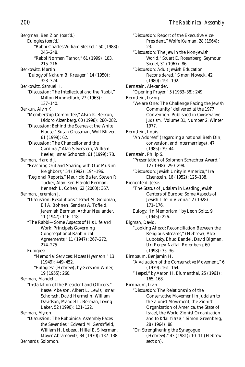Bergman, Ben Zion *(cont'd.)* Eulogies *(cont'd.)* "Rabbi Charles William Steckel," 50 (1988): 245–248. "Rabbi Norman Tarnor," 61 (1999): 183, 215–216. Berkowitz, Martin. "Eulogy of Nahum B. Kreuger," 14 (1950): 323–324. Berkowitz, Samuel H. "Discussion: The Intellectual and the Rabbi," Milton Himmelfarb, 27 (1963): 137–140. Berkun, Alvin K. "Membership Committee," Alvin K. Berkun, Isidoro Aizenberg, 60 (1998): 280–282. "Discussion: Behind the Scenes at the White House," Susan Grossman, Wolf Blitzer, 61 (1999): 62. "Discussion: The Chancellor and the Cardinal," Alan Silverstein, William Keeler, Ismar Schorsch, 61 (1999): 78. Berman, Harold J. "Reaching Out and Sharing with Our Muslim Neighbors," 54 (1992): 194–196. "Regional Reports," Mauricio Balter, Steven R. Tucker, Alan Iser, Harold Berman, Kenneth L. Cohen, 62 (2000): 367. Berman, Jeremiah J. "Discussion: Resolutions," Israel M. Goldman, Eli A. Bohnen, Sanders A. Tofield, Jeremiah Berman, Arthur Neulander, 11 (1947): 116–118. "The Rabbi—Some Aspects of His Life and Work: Principals Governing Congregational-Rabbinical Agreements," 11 (1947): 267–272, 274–275. Eulogies: "Memorial Services: Moses Hyamson," 13 (1949): 449–452. "Eulogies" (Hebrew), by Gershon Winer, 19 (1955): 260. Berman, Mandel L. "Installation of the President and Officers," Kassel Abelson, Albert L. Lewis, Ismar Schorsch, David Hermelin, William Davidson, Mandel L. Berman, Irving Laker, 52 (1990): 121–122. Berman, Myron. "Discussion: The Rabbinical Assembly Faces the Seventies," Edward M. Gershfield, William H. Lebeau, Hillel E. Silverman, Mayer Abramowitz, 34 (1970): 137–138.

Bernards, Solomon.

"Discussion: Report of the Executive Vice-President," Wolfe Kelman, 28 (1964): 23. "Discussion: The Jew in the Non-Jewish World," Stuart E. Rosenberg, Seymour Siegel, 31 (1967): 86. "Discussion: Adult Jewish Education Reconsidered," Simon Noveck, 42 (1980): 191–192. Bernstein, Alexander. "Opening Prayer," 5 (1933–38): 249. Bernstein, Irving. "We are One: The Challenge Facing the Jewish Community," delivered at the 1977 Convention. Published in *Conservative Judaism,* Volume 31, Number 2, Winter 1977. Bernstein, Louis. "An Address" (regarding a national Beth Din, conversion, and intermarriage), 47 (1985): 39–44. Bernstein, Philip S. "Presentation of Solomon Schechter Award," 12 (1948): 290–298. "Discussion: Jewish Unity in America," Ira Eisenstein, 16 (1952): 125–138. Bienenfeld, Jesse. "The Status of Judaism in Leading Jewish Centers of Europe: Some Aspects of Jewish Life in Vienna," 2 (1928): 171–176. Eulogy: "In Memoriam," by Leon Spitz, 9 (1945): 226. Bigman, David. "Looking Ahead: Reconciliation Between the Religious Streams," (Hebrew), Alex Lubotsky, Ehud Bandel, David Bigman, Uri Regev, Naftali Rotenberg, 60 (1998): 35–36. Birnbaum, Benjamin H. "A Valuation of the Conservative Movement," 6 (1939): 161–164. "*Hesped*," by Aaron H. Blumenthal, 25 (1961): 165, 168. Birnbaum, Irvin. "Discussion: The Relationship of the Conservative Movement in Judaism to the Zionist Movement, the Zionist Organization of America, the State of Israel, the World Zionist Organization and to *K'lal Yisrael,"* Simon Greenberg, 28 (1964): 88. "On Strengthening the Synagogue (Hebrew)," 43 (1981): 10–11 (Hebrew section).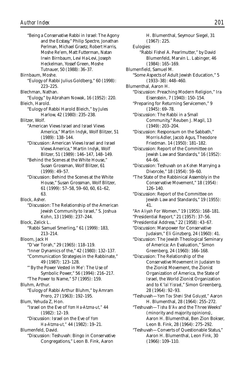| <b>Author Index</b>                                                                            | 201                                               |
|------------------------------------------------------------------------------------------------|---------------------------------------------------|
| "Being a Conservative Rabbi in Israel: The Agony<br>and the Ecstasy," Philip Spectre, Jonathan | H. Blumenthal, Seymour Siegel, 31<br>(1967): 225. |
| Perlman, Michael Graetz, Robert Harris,                                                        | Eulogies:                                         |
| Moshe Re'em, Matt Futterman, Natan                                                             | "Rabbi Fishel A. Pearlmutter," by David           |
| Irwin Birnbaum, Levi Ha-Levi, Joseph                                                           | Blumenfeld, Marvin L. Labinger, 46                |
| Heckelman, Yossef Green, Moshe                                                                 | $(1984): 165 - 169.$                              |
| Tutnauer, 50 (1988): 36-37.                                                                    | Blumenfield, Samuel M.                            |
| Birnbaum. Moshe.                                                                               | "Some Aspects of Adult Jewish Education," 5       |
| "Eulogy of Rabbi Julius Goldberg," 60 (1998):                                                  | $(1933-38): 448-460.$                             |
| $223 - 225.$                                                                                   | Blumenthal, Aaron H.                              |
| Blechman, Nathan.                                                                              | "Discussion: Preaching Modern Religion," Ira      |
| "Eulogy," by Abraham Nowak, 16 (1952): 220.                                                    | Eisenstein, 7 (1940): 150-154.                    |
| Bleich, Harold.                                                                                | "Preparing for Returning Servicemen," 9           |
| "Eulogy of Rabbi Harold Bleich," by Jules                                                      | $(1945): 69-78.$                                  |
| Harlow, 42 (1980): 235-238.                                                                    | "Discussion: The Rabbi in a Small                 |
| Blitzer, Wolf.                                                                                 | Community," Reuben J. Magil, 13                   |
| "American Views Israel and Israel Views                                                        | $(1949): 203 - 204.$                              |
| America," Martin Indyk, Wolf Blitzer, 51                                                       | "Discussion: Responsum on the Sabbath,"           |
| $(1989): 138-144.$                                                                             | Morris Adler, Jacob Agus, Theodore                |
| "Discussion: American Views Israel and Israel                                                  | Friedman. 14 (1950): 181-182.                     |
| Views America," Martin Indyk, Wolf                                                             | "Discussion: Report of the Committee on           |
| Blitzer, 51 (1989): 146-147, 148-149.                                                          | Jewish Law and Standards," 16 (1952):             |
| "Behind the Scenes at the White House,"                                                        | $64 - 66.$                                        |
| Susan Grossman, Wolf Blitzer, 61                                                               | "Discussion: Teshuvah on a Kohen Marrying a       |
| $(1999): 49-57.$                                                                               | Divorcée," 18 (1954): 59-60.                      |
| "Discussion: Behind the Scenes at the White                                                    | "The State of the Rabbinical Assembly in the      |
| House," Susan Grossman, Wolf Blitzer,                                                          | Conservative Movement," 18 (1954):                |
| $61$ (1999): 57–58, 59–60, 60, 61–62,                                                          | $126 - 140.$                                      |
| 63.                                                                                            | "Discussion: Report of the Committee on           |
| Block, Asher.                                                                                  | Jewish Law and Standards," 19 (1955):             |
| "Discussion: The Relationship of the American                                                  | 41.                                               |
| Jewish Community to Israel," S. Joshua                                                         | "An Aliyah For Women," 19 (1955): 168-181.        |
| Kohn, 13 (1949): 237–244.                                                                      | "Presidential Report," 21 (1957): 37-56.          |
| Block, Zelick L.                                                                               | "Presidential Address," 22 (1958): 43-67.         |
| "Rabbi Samuel Smerling," 61 (1999): 183,                                                       | "Discussion: Manpower for Conservative            |
| 213-214.                                                                                       | Judaism," Eli Ginzberg, 24 (1960): 41.            |
| Bloom, Jack H                                                                                  | "Discussion: The Jewish Theological Seminary      |
| "D'var Torah," 29 (1965): 118-119.                                                             | of America: An Evaluation," Simon                 |
| "Inner Dynamics of the," 42 (1980): 132-137.                                                   | Greenberg, 24 (1960): 166-168.                    |
| "Communication Strategies in the Rabbinate,"                                                   | "Discussion: The Relationship of the              |
| 49 (1987): 123-128.                                                                            | Conservative Movement in Judaism to               |
| "By the Power Vested in Me': The Use of                                                        | the Zionist Movement, the Zionist                 |
| Symbolic Power," 56 (1994): 216-217.                                                           | Organization of America, the State of             |
| "The Power to Name," 57 (1995): 159.                                                           | Israel, the World Zionist Organization            |
|                                                                                                |                                                   |

Birnbaum, Moshe. "Eulogy of Rabbi Julius Goldberg," 60 (1998): 223–225. Blechman, Nathan. "Eulogy," by Abraham Nowak, 16 (1952): 220. Bleich, Harold. "Eulogy of Rabbi Harold Bleich," by Jules Harlow, 42 (1980): 235–238. Blitzer, Wolf. "American Views Israel and Israel Views America," Martin Indyk, Wolf Blitzer, 51 (1989): 138–144. "Discussion: American Views Israel and Israel Views America," Martin Indyk, Wolf Blitzer, 51 (1989): 146–147, 148–149. "Behind the Scenes at the White House," Susan Grossman, Wolf Blitzer, 61 (1999): 49–57. "Discussion: Behind the Scenes at the White House," Susan Grossman, Wolf Blitzer, 61 (1999): 57–58, 59–60, 60, 61–62, 63. Block, Asher. "Discussion: The Relationship of the American Jewish Community to Israel," S. Joshua Kohn, 13 (1949): 237–244. Block, Zelick L. "Rabbi Samuel Smerling," 61 (1999): 183, 213–214. Bloom, Jack H "D'var Torah," 29 (1965): 118–119. "Inner Dynamics of the," 42 (1980): 132–137. "Communication Strategies in the Rabbinate," 49 (1987): 123–128. "'By the Power Vested in Me': The Use of Symbolic Power," 56 (1994): 216–217. "The Power to Name," 57 (1995): 159. Bluhm, Arthur. "Eulogy of Rabbi Arthur Bluhm," by Amram Prero, 27 (1963): 192–195. Blum, Yehuda Z, Hon. "Israel on the Eve of *Yom Ha-Atzma-ut,"* 44 (1982): 12–19. "Discussion: Israel on the Eve of *Yom Ha-Atzma-ut,"* 44 (1982): 19–21. Blumenfeld, David.

"Discussion: Teshuvah: Bingo in Conservative Congregations," Leon B. Fink, Aaron

- "Rabbi Fishel A. Pearlmutter," by David Blumenfeld, Marvin L. Labinger, 46
- Blume
- "Some Aspects of Adult Jewish Education," 5
- Blume
	- "Discussion: Preaching Modern Religion," Ira
	- "Preparing for Returning Servicemen," 9
	- "Discussion: The Rabbi in a Small Community," Reuben J. Magil, 13
	- "Discussion: Responsum on the Sabbath," Morris Adler, Jacob Agus, Theodore
	- "Discussion: Report of the Committee on  $(1952)$ :
	- "Discussion: Teshuvah on a *Kohen* Marrying a
	- "The State of the Rabbinical Assembly in the Conservative Movement," 18 (1954):
	- "Discussion: Report of the Committee on  $(1955)$ :
	- "An *Aliyah* For Women," 19 (1955): 168–181.
	- "Presidential Report," 21 (1957): 37–56.
	- "Presidential Address," 22 (1958): 43–67.
	- "Discussion: Manpower for Conservative  $0: 41.$
	- "Discussion: The Jewish Theological Seminary of America: An Evaluation," Simon
	- ism to the Zionist Movement, the Zionist Organization of America, the State of zation and to *K'lal Yisrael*," Simon Greenberg, 28 (1964): 92–93.
	- "Teshuvah—*Yom Tov Sheni Shel Goluyot,"* Aaron H. Blumenthal, 28 (1964): 255–272.
	- "Teshuvah—*Tisha B'Av* and the Three Weeks" (minority and majority opinions), Aaron H. Blumenthal, Ben Zion Bokser, Leon B. Fink, 28 (1964): 275–292.
	- "Teshuvah—Converts of Questionable Status," Aaron H. Blumenthal, Leon Fink, 30 (1966): 109–110.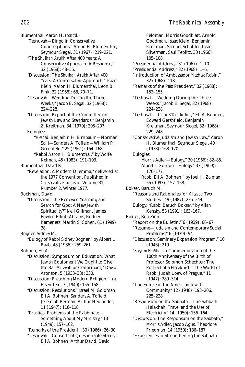Blumenthal, Aaron H. *(cont'd.)*

- "Teshuvah—Bingo in Conservative Congregations," Aaron H. Blumenthal, Seymour Siegel, 31 (1967): 219–221.
- "The *Shulhan Arukh* After 400 Years: A Conservative Approach: A Response," 32 (1968): 48–55.
- "Discussion: The *Shulhan Arukh* After 400 Years: A Conservative Approach," Isaac Klein, Aaron H. Blumenthal, Leon B. Fink, 32 (1968): 68, 70–71.
- "Teshuvah—Wedding During the Three Weeks," Jacob E. Segal, 32 (1968): 224–228.
- "Discussion: Report of the Committee on Jewish Law and Standards," Benjamin Z. Kreitman, 34 (1970): 205–207.
- Eulogies: "*Hesped:* Benjamin H. Birnbaum—Norman Salit—Sanders A. Tofield—William P. Greenfeld," 25 (1961): 164–168.
	- "Rabbi Aaron H. Blumenthal," by Wolfe Kelman, 45 (1983): 191–193.
- Blumenthal, David R.
	- "Revelation: A Modern Dilemma," delivered at the 1977 Convention. Published in *Conservative Judaism,* Volume 31, Number 2, Winter 1977.

Bockman, David.

- "Discussion: The Renewed Yearning and Search for God: A New Jewish Spirituality?" Neil Gillman, James Fowler, Elliott Abrams, Rodger Kamenetz, Martin S. Cohen, 61 (1999): 38.
- Bogner, Sidney M.
	- "Eulogy of Rabbi Sidney Bogner," by Albert L. Raab, 48 (1986): 259–261.
- Bohnen, Eli A. "Discussion: Symposium on Education: What Jewish Equipment We Ought to Give the Bar Mitzvah or Confirmant," David Aronson, 5 (1933–38): 330.
	- "Discussion: Preaching Modern Religion," Ira Eisenstein, 7 (1940): 155–158.
	- "Discussion: Resolutions," Israel M. Goldman, Eli A. Bohnen, Sanders A. Tofield, Jeremiah Berman, Arthur Neulander, 11 (1947): 116–118.
	- "Practical Problems of the Rabbinate— Something About My Ministry," 13 (1949): 157–162.
	- "Remarks of the President," 30 (1966): 26–30.
	- "Teshuvah—Converts of Questionable Status," Eli A. Bohnen, Arthur David, David

Feldman, Morris Goodblatt, Arnold Goodman, Isaac Klein, Benjamin Kreitman, Samuel Schaffler, Israel Silverman, Saul Teplitz, 30 (1966): 105–108. "Presidential Address," 31 (1967): 1–10. "Presidential Address," 32 (1968): 1–6. "Introduction of Ambassador Yitzhak Rabin," 32 (1968): 118. "Remarks of the Past President," 32 (1968): 153–155. "Teshuvah—Wedding During the Three Weeks," Jacob E. Segal, 32 (1968): 224–228. "Teshuvah—*T'nai B'Kiddushin,"* Eli A. Bohnen, Edward Gershfield, Benjamin Kreitman, Seymour Siegel, 32 (1968): 229–248. "Conservative Judaism and Jewish Law," Aaron H. Blumenthal, Seymour Siegel, 40 (1978): 168–170. Eulogies: "Morris Adler—Eulogy," 30 (1966): 82–85. "Albert I. Gordon—Eulogy," 33 (1969): 176–177. "Rabbi Eli A. Bohnen," by Joel H. Zaiman, 55 (1993): 157–158. Bokser, Baruch M. "Reasons and Rationales for *Mitzvot:* Two Studies," 49 (1987): 235–244. Eulogy: "Rabbi Baruch Bokser," by Allan Kensky, 53 (1991): 163–167. Bokser, Ben Zion. "Report on the Bulletin," 6 (1939): 66–67. "Resume—Judaism and Contemporary Social Problems," 6 (1939): 94. "Discussion: Seminary Expansion Program," 10 (1946): 219. "*Siyyum HaShas* in Commemoration of the 100th Anniversary of the Birth of Professor Solomon Schechter: The Portrait of a Halakhist—The World of Rabbi Judah Loew of Prague," 11 (1947): 289–314. "The Future of the American Jewish Community," 12 (1948): 193–206, 225–228. "Responsum on the Sabbath—The Sabbath Halakhah: Travel and the Use of Electricity," 14 (1950): 156–164. "Discussion: The Responsum on the Sabbath," Morris Adler, Jacob Agus, Theodore Friedman, 14 (1950): 186–187.

"Experiences in Strengthening the Sabbath—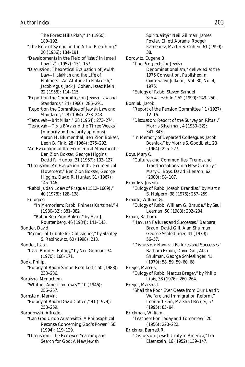The Forest Hills Plan," 14 (1950): 189–192. "The Role of Symbol in the Art of Preaching," 20 (1956): 184–191. "Developments in the Field of *'Ishut'* in Israeli Law," 21 (1957): 151–157. "Discussion: Theoretical Evaluation of Jewish Law*—Halakhah* and the Life of Holiness—An Attitude to *Halakhah,"* Jacob Agus, Jack J. Cohen, Isaac Klein, 22 (1958): 114–115. "Report on the Committee on Jewish Law and Standards," 24 (1960): 286–291. "Report on the Committee of Jewish Law and Standards," 28 (1964): 238–243. "Teshuvah—*Brit Milah,"* 28 (1964): 273–274. "Teshuvah—*Tisha B'Av* and the Three Weeks" (minority and majority opinions), Aaron H. Blumenthal, Ben Zion Bokser, Leon B. Fink, 28 (1964): 275–292. "An Evaluation of the Ecumenical Movement," Ben Zion Bokser, George Higgins, David R. Hunter, 31 (1967): 103–127. "Discussion: An Evaluation of the Ecumenical Movement," Ben Zion Bokser, George Higgins, David R. Hunter, 31 (1967): 145–146. "Rabbi Judah Loew of Prague (1512–1609)," 40 (1978): 128–138. Eulogies: "In Memoriam: Rabbi Phineas Kartzinel," 4 (1930–32): 381–382. "Rabbi Ben Zion Bokser," by Max J. Routtenberg, 46 (1984): 141–143. Bonder, David. "Memorial Tribute for Colleagues," by Stanley S. Rabinowitz, 60 (1998): 213. Bonder, Isaac. "Isaac Bonder: Eulogy," by Neil Gillman, 34 (1970): 168–171. Book, Philip. "Eulogy of Rabbi Simon Resnikoff," 50 (1988): 233–236. Boraisha, Menachem. "Whither American Jewry?" 10 (1946): 256–257. Bornstein, Marvin. "Eulogy of Rabbi David Cohen," 41 (1979): 258–259. Borodowski, Alfredo. "Can God Undo Auschwitz?: A Philosophical Resonse Concerning God's Power," 56 (1994): 119–129. "Discussion: The Renewed Yearning and Search for God: A New Jewish

Spirituality?" Neil Gillman, James Fowler, Elliott Abrams, Rodger Kamenetz, Martin S. Cohen, 61 (1999): 38. Borowitz, Eugene B. "The Prospects for Jewish Denominationalism," delivered at the 1976 Convention. Published in *Conservative Judaism,* Vol. 30, No. 4, 1976. "Eulogy of Rabbi Steven Samuel Schwarzschild," 52 (1990): 249–250. Bosniak, Jacob. "Report of the Pension Committee," 1 (1927): 12–16. "Discussion: Report of the Survey on Ritual," Morris Silverman, 4 (1930–32): 341–343. "In Memory of Departed Colleagues: Jacob Bosniak," by Morris S. Goodblatt, 28 (1964): 225–227. Boys, Mary C. "Cultures and Communities: Trends and Transformations in a New Century." Mary C. Boys, David Ellenson, 62 (2000): 98–107. Brandiss, Joseph. "Eulogy of Rabbi Joseph Brandiss," by Martin S. Halpern, 38 (1976): 257–259. Braude, William G. "Eulogy of Rabbi William G. Braude," by Saul Leeman, 50 (1988): 202–204. Braun, Barbara. "*Havurah* Failures and Successes," Barbara Braun, David Gill, Alan Shulman, George Schleslinger, 41 (1979): 56–57. "Discussion: *Havurah* Failures and Successes," Barbara Braun, David Gill, Alan Shulman, George Schleslinger, 41 (1979): 58, 59, 59–60, 68. Breger, Marcus. "Eulogy of Rabbi Marcus Breger," by Philip Lipis, 38 (1976): 260–264. Breger, Marshall. "Shall the Poor Ever Cease from Our Land?: Welfare and Immigration Reform," Leonard Fein, Marshall Breger, 57 (1995): 85–94. Brickman, William. "Teachers For Today and Tomorrow," 20 (1956): 220–222. Brickner, Barnett R. "Discussion: Jewish Unity in America," Ira Eisenstein, 16 (1952): 139–147.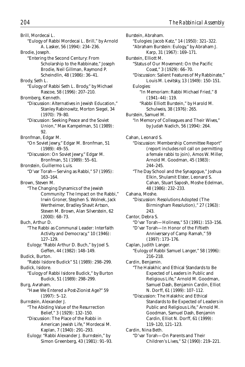Brill, Mordecai L. "Eulogy of Rabbi Mordecai L. Brill," by Arnold A. Lasker, 56 (1994): 234–236. Brodie, Joseph. "Entering the Second Century: From Scholarship to the Rabbinate," Joseph Brodie, Neil Gillman, Raymond P. Scheindlin, 48 (1986): 36–41. Brody, Seth L. "Eulogy of Rabbi Seth L. Brody," by Michael Rascoe, 58 (1996): 207–210. Bromberg, Kenneth. "Discussion: Alternatives in Jewish Education," Stanley Rabinowitz, Morton Siegel, 34 (1970): 79–80. "Discussion: Seeking Peace and the Soviet Union," Max Kampelman, 51 (1989): 92. Bronfman, Edgar M. "On Soviet Jewry," Edgar M. Bronfman, 51 (1989): 49–55. "Discussion: On Soviet Jewry," Edgar M. Bronfman, 51 (1989): 55–61. Bronstein, Guillermo Luis. "D'var Torah—Serving as Rabbi," 57 (1995): 163–164. Brown, Steven M. "The Changing Dynamics of the Jewish Community: The Impact on the Rabbi," Irwin Groner, Stephen S. Wolnek, Jack Wertheimer, Bradley Shavit Artson, Steven M. Brown, Alan Silverstein, 62 (2000): 68–73. Buch, Arthur D. "The Rabbi as Communal Leader: Interfaith Activity and Democracy," 10 (1946): 127–129. Eulogy: "Rabbi Arthur D. Buch," by Joel S. Geffen, 44 (1982): 148–149. Budick, Burton. "Rabbi Isidore Budick" 51 (1989): 298–299. Budick, Isidore. "Eulogy of Rabbi Isidore Budick," by Burton Budick, 51 (1989): 298–299. Burg, Avraham. "Have We Entered a Post-Zionist Age?" 59 (1997): 5–12. Burnstein, Alexander J. "The Abiding Value of the Resurrection Belief," 3 (1929): 132–150. "Discussion: The Place of the Rabbi in American Jewish Life," Mordecai M. Kaplan, 7 (1940): 291–293. Eulogy: "Rabbi Alexander J. Burnstein," by Simon Greenberg, 43 (1981): 91–93.

Burstein, Abraham. "Eulogies: Jacob Katz," 14 (1950): 321–322. "Abraham Burstein: Eulogy," by Abraham J. Karp, 31 (1967): 169–171. Burstein, Elliott M. "Status of Our Movement: On the Pacific Coast," 3 (1929): 66–70. "Discussion: Salient Features of My Rabbinate," Louis M. Levitsky, 13 (1949): 150–151. Eulogies: "In Memoriam: Rabbi Michael Fried," 8 (1941–44): 119. "Rabbi Elliott Burstein," by Harold M. Schulweis, 38 (1976): 265. Burstein, Samuel M. "In Memory of Colleagues and Their Wives," by Judah Nadich, 56 (1994): 264. Cahan, Leonard S. "Discussion: Membership Committee Report" (report includes roll call on permitting a female rabbi to join), Amos W. Miller, Arnold M. Goodman, 45 (1983): 244–245. "The Day School and the Synagogue," Joshua Elkin, Shulamit Elster, Leonard S. Cahan, Stuart Saposh, Moshe Edelman, 48 (1986): 232–233. Cahana, Moshe. "Discussion: Resolutions Adopted (The Birmingham Resolution)," 27 (1963): 243. Cantor, Debra S. "D'var Torah—Holiness," 53 (1991): 153–156. "D'var Torah—In Honor of the Fiftieth Anniversary of Camp Ramah," 59 (1997): 173–176. Caplan, Judith Langer. "Eulogy of Rabbi Samuel Langer," 58 (1996): 216–218. Cardin, Benjamin. "The Halakhic and Ethical Standards to Be Expected of Leaders in Public and Religious Life," Arnold M. Goodman, Samuel Dash, Benjamin Cardin, Elliot N. Dorff, 61 (1999): 107–112. "Discussion: The Halakhic and Ethical Standards to Be Expected of Leaders in Public and Religious Life," Arnold M. Goodman, Samuel Dash, Benjamin Cardin, Elliot N. Dorff, 61 (1999): 119–120, 121–123. Cardin, Nina Beth. "D'var Torah—On Parents and Their Children's Lives," 52 (1990): 219–221.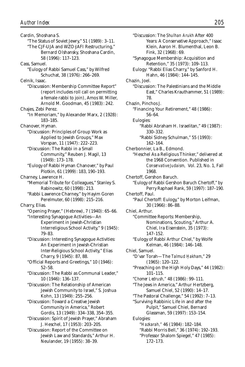Cardin, Shoshana S. "The Status of Soviet Jewry," 51 (1989): 3–11. "The CJF-UJA and WZO-JAFI Restructuring," Bernard Olshansky, Shoshana Cardin, 58 (1996): 117–123. Cass, Samuel. "Eulogy of Rabbi Samuel Cass," by Wilfred Schuchat, 38 (1976): 266–269. Celnik, Isaac. "Discussion: Membership Committee Report" (report includes roll call on permitting a female rabbi to join), Amos W. Miller, Arnold M. Goodman, 45 (1983): 242. Chajes, Zebi Perez. "In Memoriam," by Alexander Marx, 2 (1928): 183–185. Chanover, Hyman. "Discussion: Principles of Group Work as Applied to Jewish Groups," Max Vorspan, 11 (1947): 222–223. "Discussion: The Rabbi in a Small Community," Reuben J. Magil, 13 (1949): 173–178. "Eulogy of Rabbi Hyman Chanover," by Paul Plotkin, 61 (1999): 183, 190–193. Charney, Lawrence H. "Memorial Tribute for Colleagues," Stanley S. Rabinowitz, 60 (1998): 213. "Rabbi Lawrence Charney," by Hayim Goren Perelmuter, 60 (1998): 215–216. Charry, Elias. "Opening Prayer," (Hebrew), 7 (1940): 65–66. "Interesting Synagogue Activities—An Experiment in Jewish-Christian Interreligious School Activity," 9 (1945): 79–83. "Discussion: Interesting Synagogue Activities: An Experiment in Jewish-Christian Inter-Religious School Activity," Elias Charry, 9 (1945): 87, 88. "Official Reports and Greetings," 10 (1946): 52–58. "Discussion: The Rabbi as Communal Leader," 10 (1946): 136–137. "Discussion: The Relationship of American Jewish Community to Israel," S. Joshua Kohn, 13 (1949): 255–256. "Discussion: Toward a Creative Jewish Community in America," Robert Gordis, 13 (1949): 334–338, 354–355. "Discussion: Spirit of Jewish Prayer," Abraham J. Heschel, 17 (1953): 203–205. "Discussion: Report of the Committee on Jewish Law and Standards," Arthur H. Neulander, 19 (1955): 38–39.

"Discussion: The *Shulhan Arukh* After 400 Years: A Conservative Approach," Isaac Klein, Aaron H. Blumenthal, Leon B. Fink, 32 (1968): 69. "Synagogue Membership: Acquisition and Retention," 35 (1973): 109–113. Eulogy: "Rabbi Elias Charry," by Sanford H. Hahn, 46 (1984): 144–145. Chazin, Joel. "Discussion: The Palestinians and the Middle East," Charles Krauthammer, 51 (1989): 78. Chazin, Pinchos J. "Financing Your Retirement," 48 (1986): 56–64. Eulogies: "Rabbi Abraham H. Israelitan," 49 (1987): 330–332. "Rabbi Sidney Schulman," 55 (1993): 162–164. Cherbonnier, La B., Edmond. "Heschel As a Religious Thinker," delivered at the 1968 Convention. Published in *Conservative Judaism,* Vol. 23, No. 1, Fall 1968. Chertoff, Gershon Baruch. "Eulogy of Rabbi Gershon Baruch Chertoff," by Perry Raphael Rank, 59 (1997): 187–190. Chertoff, Paul. "Paul Chertoff: Eulogy," by Morton Leifman, 30 (1966): 86–88. Chiel, Arthur. "Committee Reports: Membership, Nominations, Scouting," Arthur A. Chiel, Ira Eisenstein, 35 (1973): 147–152. "Eulogy of Rabbi Arthur Chiel," by Wolfe Kelman, 46 (1984): 146–148. Chiel, Samuel. "D'var Torah—The Talmud Hakham," 29 (1965): 120–122. "Preaching on the High Holy Days," 44 (1982): 101–115. "*Chomer Ledrush,"* 48 (1986): 99–111. "The Jews in America," Arthur Hertzberg, Samuel Chiel, 52 (1990): 14–17. "The Pastoral Challenge," 54 (1992): 7–13. "Surviving Rabbinic Life in and after the Pulpit," Samuel Chiel, Bernard Glassman, 59 (1997): 153–154. Eulogies: "*Hazkarah,"* 46 (1984): 182–184. "Rabbi Morris Bell," 36 (1974): 192–193. "Professor Shalom Spiegel," 47 (1985): 172–173.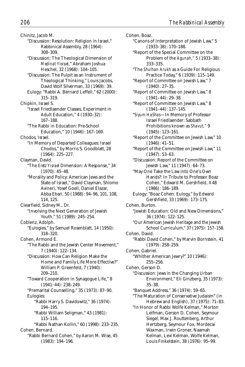Chinitz, Jacob M. "Discussion: Resolution: Religion in Israel," Rabbinical Assembly, 28 (1964): 308–309. "Discussion: The Theological Dimension of *Medinat Yisrael*," Abraham Joshua Heschel, 32 (1968): 104–105. "Discussion: The Pulpit as an Instrument of Theological Thinking," Louis Jacobs, David Wolf Silverman, 33 (1969): 39. Eulogy: "Rabbi A. Bernard Leffell," 62 (2000): 315–319. Chipkin, Israel S. "Israel Friedlaender Classes, Experiment in Adult Education," 4 (1930–32): 167–188. "The Rabbi in Education: Pre-School Education," 10 (1946): 167–169. Chodos, Israel. "In Memory of Departed Colleagues: Israel Chodos," by Morris S. Goodblatt, 28 (1964): 225–227. Clayman, David. "The *Eretz Yisrael* Dimension: A Response," 34 (1970): 45–48. "Morality and Policy: American Jews and the State of Israel," David Clayman, Shlomo Avineri, Yosef Goell, Daniel Elazar, Abba Eban, 50 (1988): 94–96, 101, 108, 114, 125. Clearfield, Sidney M., Dr. "Involving the Next Generation of Jewish Youth," 51 (1989): 245–254. Coblenz, Adolph. "Eulogies," by Samuel Rosenblatt, 14 (1950): 318–320. Cohen, Armond E. "The Rabbi and the Jewish Center Movement," 7 (1940): 122–134. "Discussion: How Can Religion Make the Home and Family Life More Effective?" William P. Greenfeld, 7 (1940): 209–210. "Toward Cooperation in Synagogue Life," 8 (1941–44): 238–249. "Premarital Counselling," 35 (1973): 87–90. Eulogies: "Rabbi Harry S. Davidowitz," 36 (1974): 194–195. "Rabbi William Seligman," 43 (1981): 115–116. "Rabbi Nathan Kollin," 60 (1998): 233–235. Cohen, Bernard.

"Rabbi Bernard Cohen," by Aaron M. Wise, 45 (1983): 194–196.

Cohen, Boaz. "Canons of Interpretation of Jewish Law," 5 (1933–38): 170–188. "Report of the Special Committee on the Problem of the *Agunah,"* 5 (1933–38): 333–335. "The *Shulhan Arukh* as a Guide For Religious Practice Today," 6 (1939): 115–149. "Report of Committee on Jewish Law," 7 (1940): 27–35. "Report of Committee on Jewish Law," 8 (1941–44): 29–38. "Report of Committee on Jewish Law," 8 (1941–44): 137–145. "*Siyum HaShas*—In Memory of Professor Israel Friedlaender: Sabbath Prohibitions known as *Shavut,"* 9 (1945): 123–161. "Report of the Committee on Jewish Law," 10 (1946): 41–51. "Report of the Committee on Jewish Law," 11 (1947): 53–63. "Discussion: Report of the Committee on Jewish Law," 11 (1947): 64–73. "May One Take the Law into One's Own Hands?: In Tribute to Professor Boaz Cohen," Edward M. Gershfield, X48 (1986): 186–189. Eulogy: "Boaz Cohen: Eulogy," by Edward Gershfield, 33 (1969): 173–175. Cohen, Burton. "Jewish Education: Old and New Dimensions," 36 (1974): 122–125. "Our American Jewish Heritage and the Jewish School Curriculum," 37 (1975): 157–158. Cohen, David. "Rabbi David Cohen," by Marvin Bornstein, 41 (1979): 258–259. Cohen, Gabriel. "Whither American Jewry?" 10 (1946): 255–256. Cohen, Gerson D. "Discussion: Jews in the Changing Urban Environment," Eli Ginzberg, 35 (1973): 35–38. "Banquet Address," 36 (1974): 59–65. "The Maturation of Conservative Judaism" (in Hebrew and English), 37 (1975): 71–83. "In Honor of Rabbi Wolfe Kelman," Morton Leifman, Gerson D. Cohen, Seymour Siegel, Max J. Routtenberg, Arthur Hertzberg, Seymour Fox, Mordecai Waxman, Irwin Groner, Naamah Kelman, Levi Kelman, Wolfe Kelman,

Louis Finkelstein, 38 (1976): 95–99.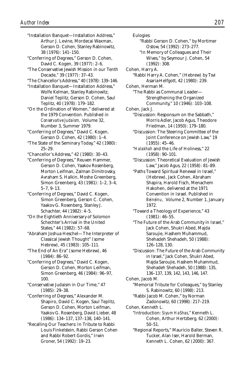- "Installation Banquet—Installation Address," Arthur J. Levine, Mordecai Waxman, Gerson D. Cohen, Stanley Rabinowitz, 38 (1976): 141–150.
- "Conferring of Degrees," Gerson D. Cohen, David C. Kogen, 39 (1977): 2–6.
- "The Conservative Jewish Mission in our Tenth Decade," 39 (1977): 37–43.
- "The Chancellor's Address," 40 (1978): 139–146.
- "Installation Banquet—Installation Address," Wolfe Kelman, Stanley Rabinowitz, Daniel Teplitz, Gerson D. Cohen, Saul Teplitz, 40 (1978): 179–182.
- "On the Ordination of Women," delivered at the 1979 Convention. Published in *Conservative Judaism,* Volume 32, Number 3, Summer 1979.
- "Conferring of Degrees," David C. Kogen, Gerson D. Cohen, 42 (1980): 1–4.
- "The State of the Seminary Today," 42 (1980): 25–29.
- "Chancellor's Address," 42 (1980): 30–43.
- "Conferring of Degrees," Reuven Hammer, Gerson D. Cohen, Yaakov Rosenberg, Morton Leifman, Zalman Dimitrovsky, Avraham S. Halkin, Moshe Greenberg, Simon Greenberg, 43 (1981): 1–2, 3–4, 5–7, 9–13.
- "Conferring of Degrees," David C. Kogen, Simon Greenberg, Gerson C. Cohen, Yaakov G. Rosenberg, Stanley J. Schachter, 44 (1982): 4–5.
- "On the Eightieth Anniversary of Solomon Schechter's Arrival in the United States," 44 (1982): 57–68.
- "Abraham Joshua Heschel—The Interpreter of Classical Jewish Thought" (some Hebrew), 45 (1983): 105–111.
- "The End of An Era" (some Hebrew), 46 (1984): 86–92.
- "Conferring of Degrees," David C. Kogen, Gerson D. Cohen, Morton Leifman, Simon Greenberg, 46 (1984): 96–97, 100.
- "Conservative Judaism in Our Time," 47 (1985): 29–38.
- "Conferring of Degrees," Alexander M. Shapiro, David C. Kogen, Saul Teplitz, Gerson D. Cohen, Morton Leifman, Yaakov G. Rosenberg, David Lieber, 48 (1986): 134–137, 137–138, 140–141.
- "Recalling Our Teachers: In Tribute to Rabbi Louis Finkelstein, Rabbi Gerson Cohen and Rabbi Robert Gordis," Irwin Groner, 54 (1992): 19–23.
- Eulogies:
	- "Rabbi Gerson D. Cohen," by Mortimer Ostow, 54 (1992): 273–277.
	- "In Memory of Colleagues and Their Wives," by Seymour J. Cohen, 54 (1992): 308.
- Cohen, Harry A.
	- "Rabbi Harry A. Cohen," (Hebrew) by Tsvi Asaria-Helfgott, 42 (1980): 239.
- Cohen, Herman M.
	- "The Rabbi as Communal Leader— Strengthening the Organized Community," 10 (1946): 103–108.
- Cohen, Jack J.
	- "Discussion: Responsum on the Sabbath," Morris Adler, Jacob Agus, Theodore Friedman, 14 (1950): 179–180.
	- "Discussion: The Steering Committee of the Joint Conference on Jewish Law," 19 (1955): 45–46.
	- "*Halakhah* and the Life of Holiness," 22 (1958): 90–101.
	- "Discussion: Theoretical Evaluation of Jewish Law," Jacob Agus, 22 (1958): 81–89.
	- "Paths Toward Spiritual Renewal in Israel," (Hebrew), Jack Cohen, Abraham Shapira, Harold Fisch, Menachem Hakohen, delivered at the 1971 Convention in Israel. Published in *Beineinu,* Volume 2, Number 1, January 1972.
	- "Toward a Theology of Experience," 43 (1981): 46–55.
	- "The Future of the Arab Community in Israel," Jack Cohen, Shukri Abed, Majda Saroujie, Hashem Muhammud, Shehadeh Shehadeh, 50 (1988): 126–128, 130.
	- "Discussion: The Future of the Arab Community in Israel," Jack Cohen, Shukri Abed, Majda Saroujie, Hashem Muhammud, Shehadeh Shehadeh, 50 (1988): 135, 136–137, 139, 142, 143, 146, 147.
- Cohen, Jacob M.
	- "Memorial Tribute for Colleagues," by Stanley S. Rabinowitz, 60 (1998): 213.
	- "Rabbi Jacob M. Cohen," by Norman Zadonowitz, 60 (1998): 217–219.
- Cohen, Kenneth L.
	- "Introduction: *Siyum HaShas*," Kenneth L. Cohen, Arthur Hertzberg, 62 (2000): 50–51.
	- "Regional Reports," Mauricio Balter, Steven R. Tucker, Alan Iser, Harold Berman, Kenneth L. Cohen, 62 (2000): 367.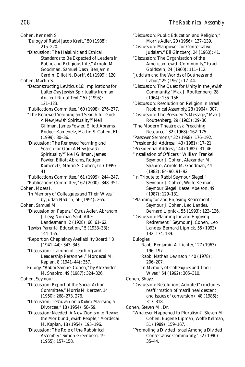Cohen, Kenneth S. "Eulogy of Rabbi Jacob Kraft," 50 (1988): 215–220. "Discussion: The Halakhic and Ethical Standards to Be Expected of Leaders in Public and Religious Life," Arnold M. Goodman, Samuel Dash, Benjamin Cardin, Elliot N. Dorff, 61 (1999): 120. Cohen, Martin S. "Deconstructing Leviticus 16: Implications for Latter-Day Jewish Spirituality from an Ancient Ritual Text," 57 (1995): 121–123. "Publications Committee," 60 (1998): 276–277. "The Renewed Yearning and Search for God: A New Jewish Spirituality?" Neil Gillman, James Fowler, Elliott Abrams, Rodger Kamenetz, Martin S. Cohen, 61 (1999): 30–36. "Discussion: The Renewed Yearning and Search for God: A New Jewish Spirituality?" Neil Gillman, James Fowler, Elliott Abrams, Rodger Kamenetz, Martin S. Cohen, 61 (1999): 41. "Publications Committee," 61 (1999): 244–247. "Publications Committee," 62 (2000): 348–351. Cohen, Moses I. "In Memory of Colleagues and Their Wives," by Judah Nadich, 56 (1994): 265. Cohen, Samuel M. "Discussion on Papers," Cyrus Adler, Abraham J. Levy, Norman Salit, Alter Landesmann, 2 (1928): 60, 61–62. "Jewish Parental Education," 5 (1933–38): 144–155. "Report on Chaplaincy Availability Board," 8 (1941–44): 343–345. "Discussion: Training of Teaching and Leadership Personnel," Mordecai M. Kaplan, 8 (1941–44): 357. Eulogy: "Rabbi Samuel Cohen," by Alexander M. Shapiro, 49 (1987): 324–326. Cohen, Seymour J. "Discussion: Report of the Social Action Committee," Morris N. Kertzer, 14 (1950): 268–273, 276. "Discussion: Teshuvah on a *Kohen* Marrying a Divorcée," 18 (1954): 58–59. "Discussion: Needed: A New Zionism to Revive the Moribund Jewish People," Mordecai M. Kaplan, 18 (1954): 195–196. "Discussion: The Role of the Rabbinical Assembly," Simon Greenberg, 19 (1955): 157–158.

"Discussion: Public Education and Religion," Morris Adler, 20 (1956): 137–139. "Discussion: Manpower for Conservative Judaism," Eli Ginzberg, 24 (1960): 41. "Discussion: The Organization of the American Jewish Community," Israel Goldstein, 24 (1960): 111–112. "Judaism and the Worlds of Business and Labor," 25 (1961): 17–44. "Discussion: The Quest for Unity in the Jewish Community," Max J. Routtenberg, 28 (1964): 155–156. "Discussion: Resolution on Religion in Israel," Rabbinical Assembly, 28 (1964): 307. "Discussion: The President's Message," Max J. Routtenberg, 29 (1965): 29–30. "The Modern Theatre as a Preaching Resource," 32 (1968): 162–175. "Passover Sermons," 32 (1968): 176–192. "Presidential Address," 43 (1981): 17–21. "Presidential Address," 44 (1982): 31–46. "Installation of Officers," William Frankel, Seymour J. Cohen, Alexander M. Shapiro, Arnold M. Goodman, 44 (1982): 84–90, 91–92. "In Tribute to Rabbi Seymour Siegel," Seymour J. Cohen, Wolfe Kelman, Seymour Siegel, Kassel Abelson, 49 (1987): 129–131. "Planning for and Enjoying Retirement," Seymour J. Cohen, Leo Landes, Bernard Lipnick, 55 (1993): 123–126. "Discussion: Planning for and Enjoying Retirement," Seymour J. Cohen, Leo Landes, Bernard Lipnick, 55 (1993): 132, 134, 139. Eulogies: "Rabbi Benjamin A. Lichter," 27 (1963): 196–197. "Rabbi Nathan Levinson," 40 (1978): 206–207. "In Memory of Colleagues and Their Wives," 54 (1992): 305–310. Cohen, Shaye. "Discussion: Resolutions Adopted" (includes reaffirmation of matrilineal descent and issues of conversion), 48 (1986): 317–318. Cohen, Steven M., Dr. "Whatever Happened to Pluralism?" Steven M. Cohen, Eugene Lipman, Wolfe Kelman, 51 (1989): 159–167. "Promoting a Divided Israel Among a Divided Conservative Community," 52 (1990): 35–44.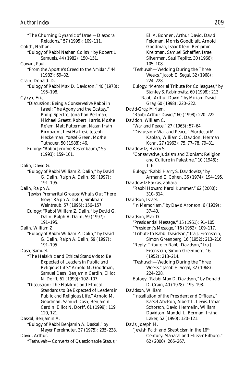"The Churning Dynamic of Israel—Diaspora Relations," 57 (1995): 109–111. Colish, Nathan. "Eulogy of Rabbi Nathan Colish," by Robert L. Samuels, 44 (1982): 150–151. Cowan, Paul. "From the Apostle's Creed to the *Amidah*," 44 (1982): 69–82. Crain, Donald. D. "Eulogy of Rabbi Max D. Davidson," 40 (1978): 195–198. Cytryn, Eric. "Discussion: Being a Conservative Rabbi in Israel: The Agony and the Ecstasy," Philip Spectre, Jonathan Perlman, Michael Graetz, Robert Harris, Moshe Re'em, Matt Futterman, Natan Irwin Birnbaum, Levi Ha-Levi, Joseph Heckelman, Yossef Green, Moshe Tutnauer, 50 (1988): 46. Eulogy: "Rabbi Jerome Kestenbaum," 55 (1993): 159–161. Dalin, David G. "Eulogy of Rabbi William Z. Dalin," by David G. Dalin, Ralph A. Dalin, 59 (1997): 191–195. Dalin, Ralph A. "Jewish Premarital Groups: What's Out There Now," Ralph A. Dalin, Simkha Y. Weintraub, 57 (1995): 156–157. Eulogy: "Rabbi William Z. Dalin," by David G. Dalin, Ralph A. Dalin, 59 (1997): 191–195. Dalin, William Z. "Eulogy of Rabbi William Z. Dalin," by David G. Dalin, Ralph A. Dalin, 59 (1997): 191–195. Dash, Samuel. "The Halakhic and Ethical Standards to Be Expected of Leaders in Public and Religious Life," Arnold M. Goodman, Samuel Dash, Benjamin Cardin, Elliot N. Dorff, 61 (1999): 102–107. "Discussion: The Halakhic and Ethical Standards to Be Expected of Leaders in Public and Religious Life," Arnold M. Goodman, Samuel Dash, Benjamin Cardin, Elliot N. Dorff, 61 (1999): 119, 120, 121. Daskal, Benjamin A. "Eulogy of Rabbi Benjamin A. Daskal," by Mayer Perelmuter, 37 (1975): 235–238. David, Arthur. "Teshuvah—Converts of Questionable Status,"

Eli A. Bohnen, Arthur David, David Feldman, Morris Goodblatt, Arnold Goodman, Isaac Klein, Benjamin Kreitman, Samuel Schaffler, Israel Silverman, Saul Teplitz, 30 (1966): 105–108. "Teshuvah—Wedding During the Three Weeks," Jacob E. Segal, 32 (1968): 224–228. Eulogy: "Memorial Tribute for Colleagues," by Stanley S. Rabinowitz, 60 (1998): 213. "Rabbi Arthur David," by Miriam David-Gray, 60 (1998): 220–222. David-Gray, Miriam. "Rabbi Arthur David," 60 (1998): 220–222. Davidon, William C. "War and Peace," 27 (1963): 57–64. "Discussion: War and Peace," Mordecai M. Kaplan, William C. Davidon, Herman Kahn, 27 (1963): 75, 77–78, 79–81. Davidowitz, Harry S. "Conservative Judaism and Zionism: Religion and Culture in Palestine," 10 (1946): 1–6. Eulogy: "Rabbi Harry S. Davidowitz," by Armand E. Cohen, 36 (1974): 194–195. Davidowitz-Farkas, Zahara. "Rabbi Howard Karol Kummer," 62 (2000): 310–314. Davidson, Israel. "In Memoriam," by David Aronson. 6 (1939): 37–40. Davidson, Max D. "Presidential Message," 15 (1951): 91–105 "President's Message," 16 (1952): 109–117. "Tribute to Rabbi Davidson," Ira J. Eisenstein, Simon Greenberg, 16 (1952): 213–216. "Reply: Tribute to Rabbi Davidson," Ira J. Eisenstein, Simon Greenberg, 16 (1952): 213–214. "Teshuvah—Wedding During the Three Weeks," Jacob E. Segal, 32 (1968): 224–228. Eulogy: "Rabbi Max D. Davidson," by Donald D. Crain, 40 (1978): 195–198. Davidson, William. "Installation of the President and Officers," Kassel Abelson, Albert L. Lewis, Ismar Schorsch, David Hermelin, William Davidson, Mandel L. Berman, Irving Laker, 52 (1990): 120–121. Davis, Joseph M. "Jewish Faith and Skepticism in the 16th Century: Maharal and Eliezer Eilburg," 62 (2000): 266–267.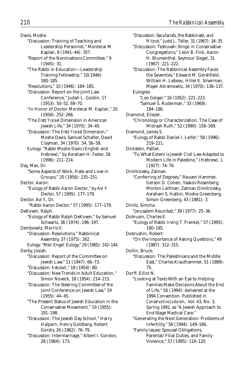Davis, Moshe.

- "Discussion: Training of Teaching and Leadership Personnel," Mordecai M. Kaplan, 8 (1941–44): 357.
- "Report of the Nominations Committee," 9 (1945): 31.
- "The Rabbi in Education—Leadership Training Fellowship," 10(1946): 180–185.
- "Resolutions," 10 (1946): 184–185.
- "Discussion: Report on the Joint Law Conference," Judah L. Goldin, 17 (1953): 50–52, 69–70.
- "In Honor of Doctor Mordecai M. Kaplan," 20 (1956): 252–266.
- "The *Eretz Yisrael* Dimension in American Jewish Life," 34 (1970): 34–40.
- "Discussion: The *Eretz Yisrael* Dimension," Moshe Davis, Samuel Schafler, David Clayman, 34 (1970): 54, 56–58.
- Eulogy: "Rabbi Moshe Davis (English and Hebrew)," by Avraham H. Feder, 58 (1996): 211–214.
- Day, Max, Dr. "Some Aspects of Work, Hate and Love in Groups," 20 (1956): 235–251.
- Dector, Aaron. "Eulogy of Rabbi Aaron Dector," by Avi Y. Dector, 57 (1995): 177–179.
- Dector, Avi Y., Dr.
- "Rabbi Aaron Dector," 57 (1995): 177–179.
- DeKoven, Ralph.
	- "Eulogy of Rabbi Ralph DeKoven," by Samuel Schwartz, 36 (1974): 196–197.
- Dembowitz, Morris V. "Discussion: Resolutions," Rabbinical
	- Assembly, 37 (1975): 262. Eulogy: "Meir Engel: Eulogy," 29 (1965): 142–144.
- Derby, Josiah. "Discussion: Report of the Committee on Jewish Law," 11 (1947): 66–73.
	- "Discussion: *Ketubah*," 18 (1954): 80.
	- "Discussion: New Trends in Adult Education," Simon Noveck, 18 (1954): 214–215.
	- "Discussion: The Steering Committee of the Joint Conference on Jewish Law," 19 (1955): 44–45.
	- "The Present Status of Jewish Education in the Conservative Movement," 19 (1955): 191–198.
	- "Discussion: The Jewish Day School," Harry Halpern, Henry Goldberg, Robert Gordis, 26 (1962): 76–79.
	- "Discussion: Intermarriage," Albert I. Gordon, 28 (1964): 173.

"Discussion: Secularists, the Rabbinate, and *Mitzvot*," Judd L. Teller, 31 (1967): 34–35. "Discussion: Teshuvah: Bingo in Conservative Congregations," Leon B. Fink, Aaron H. Blumenthal, Seymour Siegel, 31 (1967): 221–222. "Discussion: The Rabbinical Assembly Faces the Seventies," Edward M. Gershfield, William H. Lebeau, Hillel E. Silverman, Mayer Abramowitz, 34 (1970): 136–137. Eulogies: "Leo Geiger," 16 (1952): 221–223. "Samuel S. Ruderman," 33 (1969): 184–186. Diamond, Eliezer. "Chronology or Characterization: The Case of Midrash Ruth," 52 (1990): 159–169. Diamond, James S. "Eulogy of Rabbi Daniel I. Leifer," 58 (1996): 219–221. Dickstein, Paltiel. "To What Extent is Jewish Civil Law Adapted to Modern Life in Palestine," (Hebrew), 1 (1927): 74–76. Dimitrovsky, Zalman. "Conferring of Degrees," Reuven Hammer, Gerson D. Cohen, Yaakov Rosenberg, Morton Leifman, Zalman Dimitrovsky, Avraham S. Halkin, Moshe Greenberg, Simon Greenberg, 43 (1981): 3. Dinitz, Simcha. "Jerusalem Reunited," 39 (1977): 25–36. Dobrusin, Charles E. "Eulogy of Rabbi Irving T. Frankel," 57 (1995): 180–185. Dobrushin, Robert. "On the Importance of Asking Questions," 49 (1987): 312–315. Dollin, Bruce. "Discussion: The Palestinians and the Middle East," Charles Krauthammer, 51 (1989): 75. Dorff, Elliot N. "Looking at Texts With an Eye to Helping Families Make Decisions About the End of Life," 56 (1994): delivered at the 1994 Convention. Published in *Conservative Judaism,* Vol. 43, No. 3, Spring 1991, as "A Jewish Approach to End-Stage Medical Care." "Generating the Next Generation: Problems of Infertility," 56 (1994): 149–166. "Family Issues: Spousal Obligations, Parental/Filial Duties, and Family

Violence," 57 (1995): 118–120.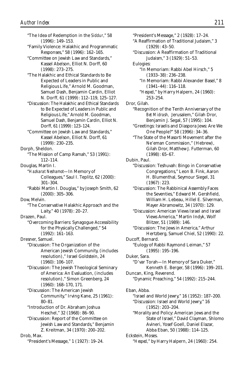"The Idea of Redemption in the *Siddur*," 58 (1996): 149–153. "Family Violence: Halakhic and Programmatic Responses," 58 (1996): 162–165. "Committee on Jewish Law and Standards," Kassel Abelson, Elliot N. Dorff, 60 (1998): 273–275. "The Halakhic and Ethical Standards to Be Expected of Leaders in Public and Religious Life," Arnold M. Goodman, Samuel Dash, Benjamin Cardin, Elliot N. Dorff, 61 (1999): 112–119, 125–127. "Discussion: The Halakhic and Ethical Standards to Be Expected of Leaders in Public and Religious Life," Arnold M. Goodman, Samuel Dash, Benjamin Cardin, Elliot N. Dorff, 61 (1999): 123–124. "Committee on Jewish Law and Standards," Kassel Abelson, Elliot N. Dorff, 61 (1999): 230–235. Dorph, Sheldon. "The Mission of Camp Ramah," 53 (1991): 112–114. Douglas, Martin I. "*Hazkarat Neshamot*—In Memory of Colleagues," Saul I. Teplitz, 62 (2000): 301–304. "Rabbi Martin I. Douglas," by Joseph Smith, 62 (2000): 305–306. Dow, Melvin. "The Conservative Halakhic Approach and the Laity," 40 (1978): 20–27. Drazen, Paul. "Overcoming Barriers: Synagogue Accessibility for the Physically Challenged," 54 (1992): 161–163. Dresner, Samuel. "Discussion: The Organization of the American Jewish Community, (includes resolution)," Israel Goldstein, 24 (1960): 106–107. "Discussion: The Jewish Theological Seminary of America: An Evaluation, (includes resolution)," Simon Greenberg, 24 (1960): 168–170, 171. "Discussion: The American Jewish Community," Irving Kane, 25 (1961): 80–81. "Introduction of Dr. Abraham Joshua Heschel," 32 (1968): 86–90. "Discussion: Report of the Committee on Jewish Law and Standards," Benjamin Z. Kreitman, 34 (1970): 200–202. Drob, Max. "President's Message," 1 (1927): 19–24.

"President's Message," 2 (1928): 17–24. "A Reaffirmation of Traditional Judaism," 3  $(1929): 43-50.$ "Discussion: A Reaffirmation of Traditional Judaism," 3 (1929): 51–53. Eulogies: "In Memoriam: Rabbi Abel Hirsch," 5 (1933–38): 236–238. "In Memoriam: Rabbi Alexander Basel," 8 (1941–44): 116–118. "*Hesped*," by Harry Halpern, 24 (1960): 253–254. Dror, Gilah. "Recognition of the Tenth Anniversary of the *Bet Midrash,* Jerusalem," Gilah Dror, Benjamin J. Segal, 57 (1995): 104. "Greetings: Israelis and Diaspora Jews: Are We One People?" 58 (1996): 34–36. "The State of the Masorti Movement after the Ne'eman Commission," (Hebrew), Gilah Dror, Matthew J. Futterman, 60 (1998): 65–67. Dubin, Paul. "Discussion: Teshuvah: Bingo in Conservative Congregations," Leon B. Fink, Aaron H. Blumenthal, Seymour Siegel, 31 (1967): 223. "Discussion: The Rabbinical Assembly Faces the Seventies," Edward M. Gershfield, William H. Lebeau, Hillel E. Silverman, Mayer Abramowitz, 34 (1970): 129. "Discussion: American Views Israel and Israel Views America," Martin Indyk, Wolf Blitzer, 51 (1989): 146. "Discussion: The Jews in America," Arthur Hertzberg, Samuel Chiel, 52 (1990): 22. Ducoff, Bernard. "Eulogy of Rabbi Raymond Leiman," 57 (1995): 195–196. Duker, Sara. "D'var Torah—In Memory of Sara Duker," Kenneth E. Berger, 58 (1996): 199–201. Duncan, King, Reverend. "Dynamic Preaching," 54 (1992): 215–244. Eban, Abba. "Israel and World Jewry," 16 (1952): 187–200. "Discussion: Israel and World Jewry," 16 (1952): 203–204. "Morality and Policy: American Jews and the State of Israel," David Clayman, Shlomo Avineri, Yosef Goell, Daniel Elazar, Abba Eban, 50 (1988): 114–125. Eckstein, Moses. "*Hesped*," by Harry Halpern, 24 (1960): 254.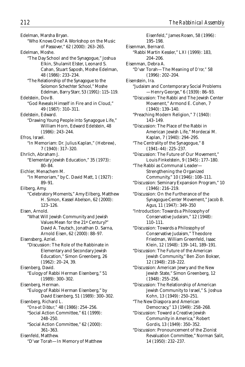Edelman, Marsha Bryan. "Who Knows One? A Workshop on the Music of Passover," 62 (2000): 263–265. Edelman, Moshe. "The Day School and the Synagogue," Joshua Elkin, Shulamit Elster, Leonard S. Cahan, Stuart Saposh, Moshe Edelman, 48 (1986): 233–234. "The Relationship of the Synagogue to the Solomon Schechter School," Moshe Edelman, Barry Starr, 53 (1991): 115–119. Edelstein, Dov B. "God Reveals Himself in Fire and in Cloud," 49 (1987): 310–311. Edelstein, Edward. "Drawing Young People into Synagogue Life," William Horn, Edward Edelstein, 48 (1986): 243–244. Efros, Israel. "In Memoriam: Dr. Julius Kaplan," (Hebrew), 7 (1940): 317–320. Ehrlich, Abraham J. "Elementary Jewish Education," 35 (1973): 80–84. Eichler, Menachem M. "In Memoriam," by C. David Matt, 1 (1927): 89–91. Eilberg, Amy. "Celebratory Moments," Amy Eilberg, Matthew H. Simon, Kassel Abelson, 62 (2000): 123–126. Eisen, Arnold. "What Will Jewish Community and Jewish Values Mean for the 21st Century?" David A. Teutsch, Jonathan D. Sarna, Arnold Eisen, 62 (2000): 88–97. Eisensberg, Azriel. "Discussion: The Role of the Rabbinate in Elementary and Secondary Jewish Education," Simon Greenberg, 26 (1962): 20–24, 39. Eisenberg, David. "Eulogy of Rabbi Herman Eisenberg," 51 (1989): 300–302. Eisenberg, Herman. "Eulogy of Rabbi Herman Eisenberg," by David Eisenberg, 51 (1989): 300–302. Eisenberg, Richard L. "*Ona-at Dibbur,"* 48 (1986): 254–256. "Social Action Committee," 61 (1999): 248–250. "Social Action Committee," 62 (2000): 361–363. Eisenfeld, Matthew. "D'var Torah—In Memory of Matthew

Eisenfeld," James Rosen, 58 (1996): 195–198. Eisenman, Bernard. "Rabbi Martin Kessler," LXI (1999): 183, 204–206. Eisenman, Debra A. "D'var Torah—The Meaning of *D'ror,"* 58 (1996): 202–204. Eisenstein, Ira. "Judaism and Contemporary Social Problems —Henry George," 6 (1939): 86–93. "Discussion: The Rabbi and The Jewish Center Movenent," Armond E. Cohen, 7 (1940): 139–140. "Preaching Modern Religion," 7 (1940): 143–149. "Discussion: The Place of the Rabbi in American Jewish Life," Mordecai M. Kaplan, 7 (1940): 294–295. "The Centrality of the Synagogue," 8 (1941–44): 225–237. "Discussion: The Future of Our Movement," Louis Finkelstein, 9 (1945): 177–180. "The Rabbi as Communal Leader— Strengthening the Organized Community," 10 (1946): 108–111. "Discussion: Seminary Expansion Program," 10 (1946): 216–219. "Discussion: On the Furtherance of the Synagogue-Center Movement," Jacob B. Agus, 11 (1947): 349–350 "Introduction: Towards a Philosophy of Conservative Judaism," 12 (1948): 110–111. "Discussion: Towards a Philosophy of Conservative Judaism," Theodore Friedman, William Greenfeld, Isaac Klein, 12 (1948): 139–141, 189–191. "Discussion: The Future of the American Jewish Community," Ben Zion Bokser, 12 (1948): 218–222. "Discussion: American Jewry and the New Jewish State," Simon Greenberg, 12 (1948): 255–256. "Discussion: The Relationship of American Jewish Community to Israel," S. Joshua Kohn, 13 (1949): 250–251. "The New Diaspora and American Democracy," 13 (1949): 258–268. "Discussion: Toward a Creative Jewish Community in America," Robert Gordis, 13 (1949): 350–352. "Discussion: Pronouncement of the Zionist Revaluation Committee," Norman Salit, 14 (1950): 232–237.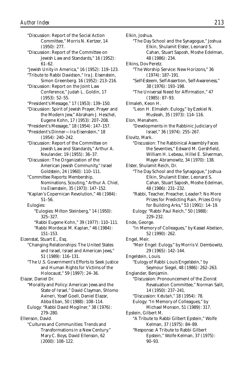"Discussion: Report of the Social Action Committee," Morris N. Kertzer, 14 (1950): 277. "Discussion: Report of the Committee on Jewish Law and Standards," 16 (1952): 61–62. "Jewish Unity in America," 16 (1952): 119–123. "Tribute to Rabbi Davidson," Ira J. Eisenstein, Simon Greenberg. 16 (1952): 213–216. "Discussion: Report on the Joint Law Conference," Judah L. Goldin, 17 (1953): 52–55. "President's Message," 17 (1953): 139–150. "Discussion: Spirit of Jewish Prayer, Prayer and the Modern Jew," Abraham J. Heschel, Eugene Kohn, 17 (1953): 207–208. "President's Message," 18 (1954): 147–157. "President's Dinner—Ira Eisenstein," 18 (1954): 240–242. "Discussion: Report of the Committee on Jewish Law and Standards," Arthur A. Neulander, 19 (1955): 36–37. "Discussion: The Organization of the American Jewish Community," Israel Goldstein, 24 (1960): 110–111. "Committee Reports: Membership, Nominations, Scouting," Arthur A. Chiel, Ira Eisenstein, 35 (1973): 147–152. "Kaplan's Copernican Revolution," 46 (1984): 51–56. Eulogies: "Eulogies: Milton Steinberg," 14 (1950): 325–327. "Rabbi Eugene Kohn," 39 (1977): 110–111. "Rabbi Mordecai M. Kaplan," 46 (1984): 151–153. Eizenstat, Stuart E., Esq. "Changing Relationships: The United States and Israel, Israel and American Jews," 51 (1989): 116–131. "The U.S. Government's Efforts to Seek Justice and Human Rights for Victims of the Holocaust," 59 (1997): 24–36. Elazar, Daniel Dr. "Morality and Policy: American Jews and the State of Israel," David Clayman, Shlomo Avineri, Yosef Goell, Daniel Elazar, Abba Eban, 50 (1988): 108–114. Eulogy: "Rabbi David Mogilner," 38 (1976): 279–280. Ellenson, David. "Cultures and Communities: Trends and Transformations in a New Century." Mary C. Boys, David Ellenson, 62 (2000): 108–122.

Elkin, Joshua. "The Day School and the Synagogue," Joshua Elkin, Shulamit Elster, Leonard S. Cahan, Stuart Saposh, Moshe Edelman, 48 (1986): 234. Elkins, Dov Peretz. "The Worship Service: New Horizons," 36 (1974): 187–191. "Self-Esteem, Self-Assertion, Self-Awareness," 38 (1976): 193–198. "The Universal Need for Affirmation," 47 (1985): 87–93. Elmaleh, Keon H. "Leon H. Elmaleh: Eulogy," by Ezekiel N. Musleah, 35 (1973): 114–116. Elon, Menahem. "Developments in the Rabbinic Judiciary of Israel," 36 (1974): 255–267. Elovitz, Mark. "Discussion: The Rabbinical Assembly Faces the Seventies," Edward M. Gershfield, William H. Lebeau, Hillel E. Silverman, Mayer Abramowitz, 34 (1970): 138. Elster, Shulamit Reich, Dr. "The Day School and the Synagogue," Joshua Elkin, Shulamit Elster, Leonard S. Cahan, Stuart Saposh, Moshe Edelman, 48 (1986): 231–232. "Rabbi, Teacher, Preacher, Leader?: No More Prizes for Predicting Rain, Prizes Only for Building Arks," 53 (1991): 14–19. Eulogy: "Rabbi Paul Reich," 50 (1988): 229–232. Ende, George. "In Memory of Colleagues," by Kassel Abelson, 52 (1990): 262. Engel, Meir. "Meir Engel: Eulogy," by Morris V. Dembowitz, 29 (1965): 142–144. Engelstein, Louis. "Eulogy of Rabbi Louis Engelstein," by Seymour Siegel, 48 (1986): 262–263. Englander, Benjamin. "Discussion: Pronouncement of the Zionist Revaluation Committee," Norman Salit, 14 (1950): 237–241. "Discussion: *Ketubah*," 18 (1954): 78. Eulogy: "In Memory of Colleagues," by Michael Monson, 51 (1989): 317. Epstein, Gilbert M. "A Tribute to Rabbi Gilbert Epstein," Wolfe Kelman, 37 (1975): 84–89. "Response: A Tribute to Rabbi Gilbert Epstein," Wolfe Kelman, 37 (1975): 90–93.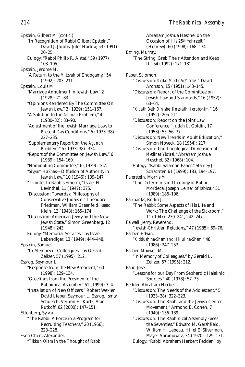Epstein, Gilbert M. *(cont'd.)* "In Recognition of Rabbi Gilbert Epstein," David J. Jacobs, Jules Harlow, 53 (1991): 20–25. Eulogy: "Rabbi Philip R. Alstat," 39 (1977): 103–105. Epstein, Jerome M. "A Return to the *Mitzvah* of Endogamy," 54 (1992): 203–211. Epstein, Louis M. "Marriage Annulment in Jewish Law," 2 (1928): 71–83. "Opinions Rendered By The Committee On Jewish Law," 3 (1929): 151–167. "A Solution to the *Agunah* Problem," 4 (1930–32): 83–90. "Adjustment of the Jewish Marriage Laws to Present-Day Conditions," 5 (1933–38): 227–235. "Supplementary Report on the *Agunah* Problem," 5 (1933–38): 334. "Report of the Committee on Jewish Law," 6 (1939): 154–160. "Nominating Committee," 6 (1939): 167. "*Siyyum HaShas*—Diffusion of Authority in Jewish Law," 10 (1946): 139–147. "Tributes to Rabbis Emeriti," Israel H. Levinthal, 11 (1947): 375. "Discussion: Towards a Philosophy of Conservative Judaism," Theodore Friedman, William Greenfeld, Isaac Klein, 12 (1948): 165–174. "Discussion: American Jewry and the New Jewish State," Simon Greenberg, 12 (1948): 243. Eulogy: "Memorial Services," by Israel Lebendiger, 13 (1949): 444–448. Epstein, Samuel. "In Memory of Colleagues," by Gerald L. Zelizer, 57 (1995): 212. Essrog, Seymour L. "Response from the New President," 60 (1998): 129–134. "Greetings from the President of the Rabbinical Assembly," 61 (1999): 3–4. "Installation of New Officers," Robert Wexler, David Lieber, Seymour L. Essrog, Ismar Schorsch, Vernon H. Kurtz, Alan Rutkoff, 62 (2000): 147–151. Ettenberg, Sylvia. "The Rabbi: A Force in a Program for Recruiting Teachers," 20 (1956): 223–228. Even-Chen, Alexander. "*Tikkun Olam* in the Thought of Rabbi

Abraham Joshua Heschel on the Occasion of His 25th Yahrzeit," (Hebrew), 60 (1998): 168–174. Ezring, Murray. "The String: Grab Their Attention and Keep It," 54 (1992): 171–181. Faber, Salomon. "Discussion: *Kedat Moshe VeYisrael,"* David Aronson, 15 (1951): 143–145. "Discussion: Report of the Committee on Jewish Law and Standards," 16 (1952): 63–64. "*K'dath Beth Din shel Knesiath Horabonim,"* 16 (1952): 205–211. "Discussion: Report on the Joint Law Conference," Judah L. Goldin, 17 (1953): 55–56, 77. "Discussion: New Trends in Adult Education," Simon Noveck, 18 (1954): 217. "Discussion: The Theological Dimension of *Medinat Yisrael*," Abraham Joshua Heschel, 32 (1968): 104. Eulogy: "Rabbi Salamon Faber," Stanley J. Schachter, 61 (1999): 183, 194–197. Faierstein, Morris M. "The Deterministic Theology of Rabbi Mordecai Joseph Leiner of Izbica," 51 (1989): 186–196. Fairbanks, Rollin J. "The Rabbi: Some Aspects of His Life and Work: The Challenge of the Sickroom," 11 (1947): 230–241, 242–247. Falwell, Jerry, Reverend. "Jewish-Christian Relations," 47 (1985): 69–76. Farber, Edwin. "*Kiddush ha-Shem and Hillul ha-Shem,"* 48 (1986): 247–253. Farber, Maxwell M. "In Memory of Colleagues," by Gerald L. Zelizer, 57 (1995): 212. Faur, Jose. "Lessons for our Day From Sephardic Halakhic Sources," 40 (1978): 57–73. Fedder, Abraham Herbert. "Discussion: The Needs of the Adolescent," 5 (1933–38): 322–323. "Discussion: The Rabbi and the Jewish Center Movement," Armond E. Cohen, 7 (1940): 136–139. "Discussion: The Rabbinical Assembly Faces the Seventies," Edward M. Gershfield, William H. Lebeau, Hillel E. Silverman, Mayer Abramowitz, 34 (1970): 129–131. Eulogy: "Rabbi Abraham Herbert Fedder," by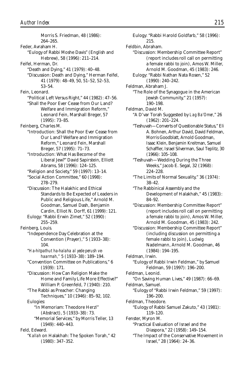Morris S. Friedman, 48 (1986): 264–265. Feder, Avraham H. "Eulogy of Rabbi Moshe Davis" (English and Hebrew), 58 (1996): 211–214. Feifel, Herman, Dr. "Death and Dying," 41 (1979): 40–48. "Discussion: Death and Dying," Herman Feifel, 41 (1979): 48–49, 50, 51–52, 52–53, 53–54. Fein, Leonard. "Political Left Versus Right," 44 (1982): 47–56. "Shall the Poor Ever Cease from Our Land? Welfare and Immigration Reform," Leonard Fein, Marshall Breger, 57 (1995): 73–85. Feinberg, Charles M. "Introduction: Shall the Poor Ever Cease from Our Land? Welfare and Immigration Reform," Leonard Fein, Marshall Breger, 57 (1995): 71–73. "Introduction: What Has Become of the Liberal Jew?" David Sapirstein, Elliott Abrams, 58 (1996): 124–125. "Religion and Society," 59 (1997): 13–14. "Social Action Committee," 60 (1998): 278–279. "Discussion: The Halakhic and Ethical Standards to Be Expected of Leaders in Public and Religious Life," Arnold M. Goodman, Samuel Dash, Benjamin Cardin, Elliot N. Dorff, 61 (1999): 121. Eulogy: "Rabbi Erwin Zimet," 52 (1990): 255–259. Feinberg, Louis. "Independence Day Celebration at the Convention (Prayer)," 5 (1933–38): 104. "*Ha-hitpathut ha-halaha al yede perush vehaarmah,"* 5 (1933–38): 189–194. "Convention Committee on Publications," 6 (1939): 171. "Discussion: How Can Religion Make the Home and Family Life More Effective?" William P. Greenfeld, 7 (1940): 210. "The Rabbi as Preacher: Changing Techniques," 10 (1946): 85–92, 102. Eulogies: "In Memoriam: Theodore Herzl" (Abstract), 5 (1933–38): 73. "Memorial Services," by Morris Teller, 13 (1949): 440–443. Feld, Edward. "*Kallah* on Halakhah: The Spoken Torah," 42 (1980): 347–352.

Eulogy: "Rabbi Harold Goldfarb," 58 (1996): 215. Feldbin, Abraham. "Discussion: Membership Committee Report" (report includes roll call on permitting a female rabbi to join), Amos W. Miller, Arnold M. Goodman, 45 (1983): 246. Eulogy: "Rabbi Nathan Nata Rosen," 52 (1990): 240–242. Feldman, Abraham J. "The Role of the Synagogue in the American Jewish Community," 21 (1957): 190–198. Feldman, David M. "A D'var Torah Suggested by *Lag Ba'Omer*," 26 (1962): 201–224. "Teshuvah—Converts of Questionable Status," Eli A. Bohnen, Arthur David, David Feldman, Morris Goodblatt, Arnold Goodman, Isaac Klein, Benjamin Kreitman, Samuel Schaffler, Israel Silverman, Saul Teplitz, 30 (1966): 105–108. "Teshuvah—Wedding During the Three Weeks," Jacob E. Segal, 32 (1968): 224–228. "The Limits of Normal Sexuality," 36 (1974): 38–42. "The Rabbinical Assembly and the Development of Halakhah," 45 (1983): 84–92. "Discussion: Membership Committee Report" (report includes roll call on permitting a female rabbi to join), Amos W. Miller, Arnold M. Goodman, 45 (1983): 242. "Discussion: Membership Committee Report" (including discussion on permitting a female rabbi to join), Ludwig Nadelmann, Arnold M. Goodman, 46 (1984): 194–195. Feldman, Irwin. "Eulogy of Rabbi Irwin Feldman," by Samuel Feldman, 59 (1997): 196–200. Feldman, Leonid. "On Saving Human Lives," 49 (1987): 66–69. Feldman, Samuel. "Eulogy of "Rabbi Irwin Feldman," 59 (1997): 196–200. Feldman, Theodore. "Eulogy of Rabbi Samuel Zakuto," 43 (1981): 119–120. Fenster, Myron M. "Practical Evaluation of Israel and the Diaspora," 22 (1958): 149–154. "The Impact of the Conservative Movement in Israel," 28 (1964): 24–36.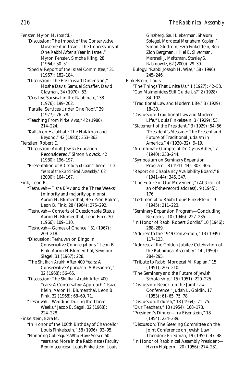Fenster, Myron M. *(cont'd.)*

- "Discussion: The Impact of the Conservative Movement in Israel, The Impressions of One Rabbi After a Year in Israel," Myron Fenster, Simcha Kling, 28 (1964): 50–51.
- "Special Report of the Israel Committee," 31 (1967): 182–184.
- "Discussion: The *Eretz Yisrael* Dimension," Moshe Davis, Samuel Schafler, David Clayman, 34 (1970): 53.
- "Creative Survival in the Rabbinate," 38 (1976): 199–202.
- "Parallel Services Under One Roof," 39 (1977): 76–78.
- "Teaching From *Pirkei Avot*," 42 (1980): 214–224.
- "*Kallah* on Halakhah: The Halakhah and Beyond," 42 (1980): 353–363.
- Fierstien, Robert E.
	- "Discussion: Adult Jewish Education Reconsidered," Simon Noveck, 42 (1980): 196–197.
	- "Presentation of *A Century of Commitment: 100 Years of the Rabbinical Assembly,"* 62 (2000): 164–167.
- Fink, Leon B.
	- "Teshuvah—*Tisha B'Av* and the Three Weeks" (minority and majority opinions), Aaron H. Blumenthal, Ben Zion Bokser, Leon B. Fink, 28 (1964): 275–292.
	- "Teshuvah—Converts of Questionable Status," Aaron H. Blumenthal, Leon Fink, 30 (1966): 109–110.
	- "Teshuvah—Games of Chance," 31 (1967): 209–218.
	- "Discussion: Teshuvah on Bingo in Conservative Congregations," Leon B. Fink, Aaron H.Blumenthal, Seymour Siegel, 31 (1967): 228.
	- "The *Shulhan Arukh* After 400 Years: A Conservative Approach: A Response," 32 (1968): 56–65.
	- "Discussion: The *Shulhan Arukh* After 400 Years: A Conservative Approach," Isaac Klein, Aaron H. Blumenthal, Leon B. Fink, 32 (1968): 68–69, 71.
	- "Teshuvah—Wedding During the Three Weeks," Jacob E. Segal, 32 (1968): 224–228.
- Finkelstein, Ezra M.
	- "In Honor of the 100th Birthday of Chancellor Louis Finkelstein," 58 (1996): 93–95.
	- "Honoring Colleagues Who Have Served 50 Years and More in the Rabbinate (Faculty Reminiscences): Louis Finkelstein, Louis

Ginzberg, Saul Lieberman, Shalom Spiegel, Mordecai Menahem Kaplan," Simon Glustrom, Ezra Finkelstein, Ben Zion Bergman, Hillel E. Silverman, Marshall J. Maltzman, Stanley S. Rabinowitz, 62 (2000): 29–30. Eulogy: "Rabbi Joseph H. Wise," 58 (1996): 245–246. Finkelstein, Louis. "The Things That Unite Us," 1 (1927): 42–53. "Can Maimonides Still Guide Us?" 2 (1928): 84–102. "Traditional Law and Modern Life," 3 (1929): 18–30. "Discussion: Traditional Law and Modern Life," Louis Finkelstein, 3 (1929): 53. "Statement of the President," 3 (1929): 54–56. "President's Message: The Present and Future of Traditional Judaism in America," 4 (1930–32): 9–19. "An Intimate Glimpse of Dr. Cyrus Adler," 7 (1940): 238–244. "Symposium on Seminary Expansion Program," 8 (1941–44): 303–306. "Report on Chaplaincy Availability Board," 8 (1941–44): 346, 347. "The Future of Our Movement," (Abstract of an off-the-record address), 9 (1945): 176. "Testimonial to Rabbi Louis Finkelstein," 9 (1945): 211–223. "Seminary Expansion Program—Concluding Remarks," 10 (1946): 227–235. "In Honor of Rabbi Robert Gordis," 10 (1946): 288–289. "Address to the 1949 Convention," 13 (1949): 117–123. "Address at the Golden Jubilee Celebration of the Rabbinical Assembly," 14 (1950): 284–295. "Tribute to Rabbi Mordecai M. Kaplan," 15 (1951): 205–210. "The Seminary and the Future of Jewish Scholarship," 15 (1951): 220–225. "Discussion: Report on the Joint Law Conference," Judah L. Goldin, 17 (1953): 61–65, 75, 78. "Discussion: *Ketubah*," 18 (1954): 71–75. "Our Teachers," 18 (1954): 168–178. "President's Dinner—Ira Eisenstein," 18 (1954): 234–239. "Discussion: The Steering Committee on the Joint Conference on Jewish Law," Theodore Friedman, 19 (1955): 47–48. "In Honor of Rabbinical Assembly President— Harry Halpern," 20 (1956): 274–281.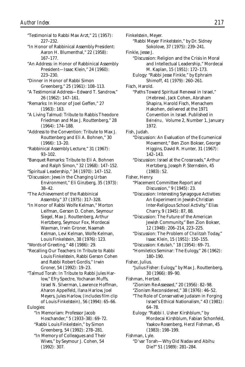"Testimonial to Rabbi Max Arzt," 21 (1957): 227–232. "In Honor of Rabbinical Assembly President: Aaron H. Blumenthal," 22 (1958): 167–177. "An Address: in Honor of Rabbinical Assembly President—Isaac Klein," 24 (1960): 223–230. "Dinner in Honor of Rabbi Simon Greenberg," 25 (1961): 108–113. "A Testimonial Address—Edward T. Sandrow," 26 (1962): 147–161. "Remarks: In Honor of Joel Geffen," 27 (1963): 163. "A Living Talmud: Tribute to Rabbis Theodore Friedman and Max J. Routtenberg," 28 (1964): 174–188. "Address to the Convention: Tribute to Max J. Routtenberg and Eli A. Bohnen," 30 (1966): 13–20. "Rabbinical Assembly Lecture," 31 (1967): 93–102. "Banquet Remarks: Tribute to Eli A. Bohnen and Ralph Simon," 32 (1968): 147–152. "Spiritual Leadership," 34 (1970): 147–152. "Discussion: Jews in the Changing Urban Environment," Eli Ginzberg, 35 (1973): 38–42. "The Achievement of the Rabbinical Assembly," 37 (1975): 317–328. "In Honor of Rabbi Wolfe Kelman," Morton Leifman, Gerson D. Cohen, Seymour Siegel, Max J. Routtenberg, Arthur Hertzberg, Seymour Fox, Mordecai Waxman, Irwin Groner, Naamah Kelman, Levi Kelman, Wolfe Kelman, Louis Finkelstein, 38 (1976): 123. "Words of Greeting," 48 (1986): 29. "Recalling Our Teachers: In Tribute to Rabbi Louis Finkelstein, Rabbi Gerson Cohen and Rabbi Robert Gordis," Irwin Groner, 54 (1992): 19–23. "Talmud Torah: In Tribute to Rabbi Jules Harlow," Efry Spectre, Yochanan Muffs, Israel N. Silverman, Lawrence Hoffman, Aharon Appelfeld, Ilana Harlow, Joel Meyers, Jules Harlow, (includes film clip of Louis Finkelstein), 56 (1994): 65–66. Eulogies: "In Memoriam: Professor Jacob Hoschander," 5 (1933–38): 69–72. "Rabbi Louis Finkelstein," by Simon Greenberg, 54 (1992): 278–281. "In Memory of Colleagues and Their Wives," by Seymour J. Cohen, 54 (1992): 307.

Finkelstein, Meyer. "Rabbi Meyer Finkelstein," by Dr. Sidney Sokolove, 37 (1975): 239–241. Finkle, Jesse J. "Discussion: Religion and the Crisis in Moral and Intellectual Leadership," Mordecai M. Kaplan, 15 (1951): 172–173. Eulogy: "Rabbi Jesse Finkle," by Ephraim Shimoff, 41 (1979): 260–261. Fisch, Harold. "Paths Toward Spiritual Renewal in Israel," (Hebrew), Jack Cohen, Abraham Shapira, Harold Fisch, Menachem Hakohen, delivered at the 1971 Convention in Israel. Published in *Beineinu,* Volume 2, Number 1, January 1972. Fish, Judah. "Discussion: An Evaluation of the Ecumenical Movement," Ben Zion Bokser, George Higgins, David R. Hunter, 31 (1967): 142–143. "Discussion: Israel at the Crossroads," Arthur Hertzberg, Joseph P. Sternstein, 45 (1983): 52. Fisher, Henry. "Placement Committee Report and Discussion," 9 (1945): 23. "Discussion: Interesting Synagogue Activities: An Experiment in Jewish-Christian Inter-Religious School Activity," Elias Charry, 9 (1945): 87, 88. "Discussion: The Future of the American Jewish Community," Ben Zion Bokser, 12 (1948): 206–214, 223–225. "Discussion: The Problem of *Chalitzah* Today," Isaac Klein, 15 (1951): 150–155. "Discussion: *Ketubah,"* 18 (1954): 69–71. "Homiletics Seminar: The Eulogy," 26 (1962): 180–190. Fisher, Julius. "Julius Fisher: Eulogy," by Max J. Routtenberg, 30 (1966): 89–90. Fishman, Hertzel. "Zionism Re-Assessed," 20 (1956): 82–98. *Author Index 217*

"Zionism Reconsidered," 38 (1976): 46–52.

"The Role of Conservative Judaism in Forging Israel's Ethical Nationalism," 43 (1981): 64–78.

Eulogy: "Rabbi I. Usher Kirshblum," by Mordecai Kirshblum, Fabian Schonfeld, Yaakov Rosenberg, Herzl Fishman, 45 (1983): 198–199.

Fishman, Lyle.

"D'var Torah—Why Did Nadav and Abihu Die?" 51 (1989): 281–284.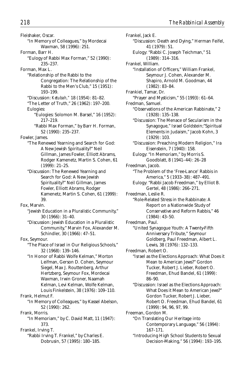Fleishaker, Oscar. "In Memory of Colleagues," by Mordecai Waxman, 58 (1996): 251. Forman, Barr H. "Eulogy of Rabbi Max Forman," 52 (1990): 235–237. Forman, Max L. "Relationship of the Rabbi to the Congregation: The Relationship of the Rabbi to the Men's Club," 15 (1951): 193–199. "Discussion: *Ketubah,"* 18 (1954): 81–82. "The Letter of Truth," 26 (1962): 197–200. Eulogies: "Eulogies: Solomon M. Barsel," 16 (1952): 217–219. "Rabbi Max Forman," by Barr H. Forman, 52 (1990): 235–237. Fowler, James. "The Renewed Yearning and Search for God: A New Jewish Spirituality?" Neil Gillman, James Fowler, Elliott Abrams, Rodger Kamenetz, Martin S. Cohen, 61 (1999): 21–25. "Discussion: The Renewed Yearning and Search for God: A New Jewish Spirituality?" Neil Gillman, James Fowler, Elliott Abrams, Rodger Kamenetz, Martin S. Cohen, 61 (1999): 39. Fox, Marvin. "Jewish Education in a Pluralistic Community," 30 (1966): 31–40. "Discussion: Jewish Education in a Pluralistic Community," Marvin Fox, Alexander M. Schindler, 30 (1966): 47–51. Fox, Seymour. "The Place of Israel in Our Religious Schools," 32 (1968): 139–146. "In Honor of Rabbi Wolfe Kelman," Morton Leifman, Gerson D. Cohen, Seymour Siegel, Max J. Routtenberg, Arthur Hertzberg, Seymour Fox, Mordecai Waxman, Irwin Groner, Naamah Kelman, Levi Kelman, Wolfe Kelman, Louis Finkelstein, 38 (1976): 109–110. Frank, Helmut F. "In Memory of Colleagues," by Kassel Abelson, 52 (1990): 262. Frank, Morris. "In Memoriam," by C. David Matt, 11 (1947): 373. Frankel, Irving T. "Rabbi Irving T. Frankel," by Charles E.

Dobrusin, 57 (1995): 180–185.

Frankel, Jack E. "Discussion: Death and Dying," Herman Feifel, 41 (1979): 51. Eulogy: "Rabbi C. Joseph Teichman," 51 (1989): 314–316. Frankel, William. "Installation of Officers," William Frankel, Seymour J. Cohen, Alexander M. Shapiro, Arnold M. Goodman, 44 (1982): 83–84. Frankiel, Tamar, Dr. "Prayer and Mysticism," 55 (1993): 61–64. Fredman, Samuel. "Observations of the American Rabbinate," 2 (1928): 135–138. "Discussion: The Menace of Secularism in the Synagogue," Israel Goldstein;"Spiritual Elements in Judaism," Jacob Kohn, 3  $(1929) \cdot 103$ "Discussion: Preaching Modern Religion," Ira Eisenstein, 7 (1940): 158. Eulogy: "In Memoriam," by Morris S. Goodblatt, 8 (1941–44): 26–28 Freedman, Jacob. "The Problem of the 'Free-Lance' Rabbis in America," 5 (1933–38): 487–491. Eulogy: "Rabbi Jacob Freedman," by Elliot B. Gertel, 48 (1986): 266–271. Freedman, Leslie R. "Role-Related Stress in the Rabbinate: A Report on a Nationwide Study of Conservative and Reform Rabbis," 46 (1984): 43–50. Freedman, Paul. "United Synagogue Youth: A Twenty-Fifth Anniversary Tribute," Seymour Goldberg, Paul Freedman, Albert L. Lewis, 38 (1976): 132–133. Freedman, Robert O. "Israel as the Elections Approach: What Does it Mean to American Jews?" Gordon Tucker, Robert J. Lieber, Robert O. Freedman, Ehud Bandel, 61 (1999): 86–90. "Discussion: Israel as the Elections Approach: What Does it Mean to American Jews?" Gordon Tucker, Robert J. Lieber, Robert O. Freedman, Ehud Bandel, 61 (1999): 94, 96, 97, 99. Freeman, Gordon M. "On Translating Our Heritage into Contemporary Language," 56 (1994): 167–171. "Introducing High School Students to Sexual Decision-Making," 56 (1994): 193–195.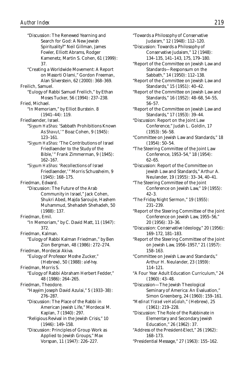"Discussion: The Renewed Yearning and Search for God: A New Jewish Spirituality?" Neil Gillman, James Fowler, Elliott Abrams, Rodger Kamenetz, Martin S. Cohen, 61 (1999): 37. "Creating a Worldwide Movement: A Report on Masorti Olami," Gordon Freeman, Alan Silverstein, 62 (2000): 368–369. Freilich, Samuel. "Eulogy of Rabbi Samuel Freilich," by Ethan Moses Tucker, 56 (1994): 237–238. Fried, Michael. "In Memoriam," by Elliot Burstein. 8 (1941–44): 119. Friedlaender, Israel. "*Siyyum HaShas*: 'Sabbath Prohibitions Known As *Shavut*,'" Boaz Cohen, 9 (1945): 123–161. "*Siyyum HaShas*: 'The Contributions of Israel Friedlaender to the Study of the Bible,'" Frank Zimmerman, 9 (1945): 162–167. "*Siyyum HaShas*: 'Recollections of Israel Friedlaender,'" Morris Schussheim, 9 (1945): 168–175. Friedman, Edward. "Discussion: The Future of the Arab Community in Israel," Jack Cohen, Shukri Abed, Majda Saroujie, Hashem Muhammud, Shehadeh Shehadeh, 50 (1988): 137. Friedman, Emil. "In Memoriam," by C. David Matt, 11 (1947): 372. Friedman, Kalman. "Eulogy of Rabbi Kalman Friedman," by Ben Zion Bergman, 48 (1986): 272–274. Friedman, Mordecai Akiva. "Eulogy of Professor Moshe Zucker," (Hebrew), 50 (1988): *alef-hey.* Friedman, Morris S. "Eulogy of Rabbi Abraham Herbert Fedder," 48 (1986): 264–265. Friedman, Theodore. "Hayyim Joseph David Azulai," 5 (1933–38): 276–287. "Discussion: The Place of the Rabbi in American Jewish Life," Mordecai M. Kaplan, 7 (1940): 297. "Religious Revival in the Jewish Crisis," 10 (1946): 149–158. "Discussion: Principles of Group Work as Applied to Jewish Groups," Max Vorspan, 11 (1947): 226–227.

"Towards a Philosophy of Conservative Judaism," 12 (1948): 112–120.

"Discussion: Towards a Philosophy of Conservative Judaism," 12 (1948): 134–135, 141–143, 175, 179–180.

- "Report of the Committee on Jewish Law and Standards—Responsum on the Sabbath," 14 (1950): 112–138.
- "Report of the Committee on Jewish Law and Standards," 15 (1951): 40–42.
- "Report of the Committee on Jewish Law and Standards," 16 (1952): 48–68, 54–55, 56–57.
- "Report of the Committee on Jewish Law and Standards," 17 (1953): 39–44.
- "Discussion: Report on the Joint Law Conference," Judah L. Goldin, 17 (1953): 56–58.
- "Committee on Jewish Law and Standards," 18 (1954): 50–54.

"The Steering Committee of the Joint Law Conference, 1953–54," 18 (1954): 62–65.

"Discussion: Report of the Committee on Jewish Law and Standards," Arthur A. Neulander, 19 (1955): 33–34, 40–41.

- "The Steering Committee of the Joint Conference on Jewish Law," 19 (1955): 42–3.
- "The Friday Night Sermon," 19 (1955): 231–239.
- "Report of the Steering Committee of the Joint Conference on Jewish Law, 1955–56," 20 (1956): 33–36.
- "Discussion: Conservative Ideology," 20 (1956): 169–172, 181–183.
- "Report of the Steering Committee of the Joint on Jewish Law, 1956–1957," 21 (1957): 158–163.

"Committee on Jewish Law and Standards," Arthur H. Neulander, 23 (1959): 114–121.

"A Four Year Adult Education Curriculum," 24 (1960): 43–48.

"Discussion—The Jewish Theological Seminary of America: An Evaluation," Simon Greenberg, 24 (1960): 159–161.

"*Medinat Yisrael ve-HaGolah*," (Hebrew), 25 (1961): 219–228.

"Discussion: The Role of the Rabbinate in Elementary and Secondary Jewish Education," 26 (1962): 37.

"Address of the President-Elect," 26 (1962): 168–173.

"Presidential Message," 27 (1963): 155–162.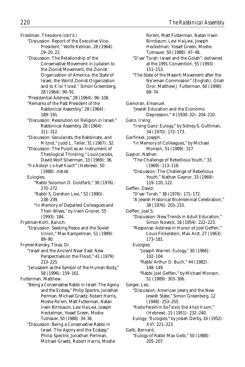Re'em, Matt Futterman, Natan Irwin

Friedman, Theodore *(cont'd.)* "Discussion: Report of the Executive Vice-President," Wolfe Kelman, 28 (1964): 19–20, 22. "Discussion: The Relationship of the Conservative Movement in Judaism to the Zionist Movement, the Zionist Organization of America, the State of Israel, the World Zionist Organization and to *K'lal Yisrael,"* Simon Greenberg, 28 (1964): 90–91. "Presidential Address," 28 (1964): 96–108. "Remarks of the Past President of the Rabbinical Assembly," 28 (1964): 189–191. "Discussion: Resolution on Religion in Israel," Rabbinical Assembly, 28 (1964): 311–312. "Discussion: Secularists, the Rabbinate, and *Mitzvot*," Judd L. Teller, 31 (1967): 32. "Discussion: The Pulpit as an Instrument of Theological Thinking," Louis Jacobs, David Wolf Silverman, 33 (1969): 36. "*Ha-Notayn La-Ayef Koach*" (Hebrew), 50 (1988): *chet-tet.* Eulogies: "Rabbi Solomon D. Goldfarb," 38 (1976): 270–272. "Rabbi S. Gershon Levi," 52 (1990): 238–239. "In Memory of Departed Colleagues and Their Wives," by Irwin Groner, 55 (1993): 184. Frydman-Kohl, Baruch. "Discussion: Seeking Peace and the Soviet Union," Max Kampelman, 51 (1989): 89–90. Frymer-Kensky, Tikva, Dr. "Israel and the Ancient Near East: New Perspectives on the Flood," 41 (1979): 213–225. "Jerusalem as the Symbol of the Human Body," 58 (1996): 159–161. Futterman, Matthew. "Being a Conservative Rabbi in Israel: The Agony and the Ecstasy," Philip Spectre, Jonathan Perlman, Michael Graetz, Robert Harris, Moshe Re'em, Matt Futterman, Natan Irwin Birnbaum, Levi Ha-Levi, Joseph Heckelman, Yossef Green, Moshe Tutnauer, 50 (1988): 34–36 "Discussion: Being a Conservative Rabbi in Israel: The Agony and the Ecstasy," Philip Spectre, Jonathan Perlman,

Michael Graetz, Robert Harris, Moshe

Birnbaum, Levi Ha-Levi, Joseph Heckelman, Yossef Green, Moshe Tutnauer, 50 (1988): 47–48. "D'var Torah: Israel and the Golah": delivered at the 1991 Convention, 55 (1993): 151–153. "The State of the Masorti Movement after the Ne'eman Commission" (English), Gilah Dror, Matthew J. Futterman, 60 (1998): 68–74. Gamoran, Emanuel. "Jewish Education and the Economic Depression," 4 (1930–32): 204–210. Ganz, Irving. "Irving Ganz: Eulogy," by Sidney S. Guthman, 34 (1970): 172–173. Garfinkel, Joseph. "In Memory of Colleagues," by Michael Monson, 51 (1989): 317. Gaynor, Nathan. "The Challenge of Rebellious Youth," 33 (1969): 113–118. "Discussion: The Challenge of Rebellious Youth," Nathan Gaynor, 33 (1969): 119–120, 122. Geffen, David. "D'var Torah," 38 (1976): 171–172. "A Jewish Historical Bicentennial Celebration," 38 (1976): 203–210. Geffen, Joel S. "Discussion: New Trends in Adult Education," Simon Noveck, 18 (1954): 222–223. "Response: Address in Honor of Joel Geffen," Louis Finkelstein, Max Arzt, 27 (1963): 173–181. Eulogies: "Joseph Warren: Eulogy," 30 (1966): 102–104. "Rabbi Arthur D. Buch," 44 (1982): 148–149. "Rabbi Joel Geffen," by Michael Monson, 51 (1989): 303–306. Geiger, Leo. "Discussion: American Jewry and the New Jewish State," Simon Greenberg, 12 (1948): 253–255. "*Roshe Perakhim Be-Torato Shel Ahad Haam*," (Hebrew), 15 (1951): 232–240. Eulogy: "Eulogies," by Josiah Derby, 16 (1952): XVI: 221–223. Gelb, Bernard. "Eulogy of Rabbi Max Gelb," 50 (1988): 205–207.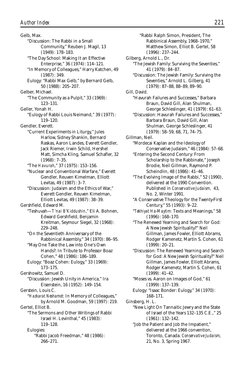Gelb, Max. "Discussion: The Rabbi in a Small Community," Reuben J. Magil, 13 (1949): 178–183. "The Day School: Making It an Effective Enterprise," 36 (1974): 114–121. "In Memory of Colleagues," Harry Katchen, 49 (1987): 349. Eulogy: "Rabbi Max Gelb," by Bernard Gelb, 50 (1988): 205–207. Gelber, Michael. "The Community as a Pulpit," 33 (1969): 123–131. Geller, Yonah H. "Eulogy of Rabbi Louis Neimand," 39 (1977): 119–120. Gendler, Everett. "Current Experiments in Liturgy," Jules Harlow, Sidney Shankin, Bernard Raskas, Aaron Landes, Everett Gendler, Jack Riemer, Irwin Schild, Hershel Matt, Simcha Kling, Samuel Schafler, 32 (1968): 7–35. "The *Havurah*," 37 (1975): 153–156. "Nuclear and Conventional Warfare," Everett Gendler, Reuven Kimelman, Elliott Levitas, 49 (1987): 3–7. "Discussion: Judaism and the Ethics of War," Everett Gendler, Reuven Kimelman, Elliott Levitas, 49 (1987): 38–39. Gershfield, Edward M. "Teshuvah—*T'nai B'Kiddushin*," Eli A. Bohnen, Edward Gershfield, Benjamin Kreitman, Seymour Siegel, 32 (1968): 229–248. "On the Seventieth Anniversary of the Rabbinical Assembly," 34 (1970): 86–95. "May One Take the Law into One's Own Hands?: In Tribute to Professor Boaz Cohen," 48 (1986): 186–189. Eulogy: "Boaz Cohen: Eulogy," 33 (1969): 173–175. Gershowitz, Samuel D. "Discussion: Jewish Unity in America," Ira Eisenstein, 16 (1952): 149–154. Gerstein, Louis C. "*Hazkarat Neshamot:* In Memory of Colleagues," by Arnold M. Goodman, 59 (1997): 219. Gertel, Elliot B. "The Sermons and Other Writings of Rabbi Israel H. Levinthal," 45 (1983): 119–128. Eulogies: "Rabbi Jacob Freedman," 48 (1986): 266–271.

Rabbinical Assembly, 1968–1970," Matthew Simon, Elliot B. Gertel, 58 (1996): 237–244. Gilberg, Arnold L., Dr. "The Jewish Family: Surviving the Seventies," 41 (1979): 84–87. "Discussion: The Jewish Family: Surviving the Seventies," Arnold L. Gilberg, 41 (1979): 87–88, 88–89, 89–90. Gill, David. "Havurah Failures and Successes," Barbara Braun, David Gill, Alan Shulman, George Schleslinger, 41 (1979): 61–63. "Discussion: Havurah Failures and Successes," Barbara Braun, David Gill, Alan Shulman, George Schleslinger, 41 (1979): 58–59, 68, 71, 74–75. Gillman, Neil. "Mordecai Kaplan and the Ideology of Conservative Judaism," 46 (1984): 57–68. "Entering the Second Century: From Scholarship to the Rabbinate," Joseph Brodie, Neil Gillman, Raymond P. Scheindlin, 48 (1986): 41–46. "The Evolving Image of the Rabbi," 52 (1990), delivered at the 1990 Convention. Published in *Conservative Judaism,* 43, No. 2, Winter 1991. "A Conservative Theology for the Twenty-First Century," 55 (1993): 9–22. "*Tekhiyat Ha-Maytim:* Texts and Meanings," 58 (1996): 168–170. "The Renewed Yearning and Search for God: A New Jewish Spirituality?" Neil Gillman, James Fowler, Elliott Abrams, Rodger Kamenetz, Martin S. Cohen, 61 (1999): 20–21. "Discussion: The Renewed Yearning and Search for God: A New Jewish Spirituality?" Neil Gillman, James Fowler, Elliott Abrams, Rodger Kamenetz, Martin S. Cohen, 61 (1999): 41–42. "Moses vs. Aaron on Images of God," 61 (1999): 137–139. Eulogy: "Isaac Bonder: Eulogy," 34 (1970): 168–171. Ginsberg, H. L. "New Light On Tannaitic Jewry and the State of Israel of the Years 132–135 C.E.," 25 (1961): 132–142. "Job the Patient and Job the Impatient," delivered at the 1966 convention, Toronto, Canada. *Conservative Judaism,*

"Rabbi Ralph Simon, President, The

21, No. 3, Spring 1967.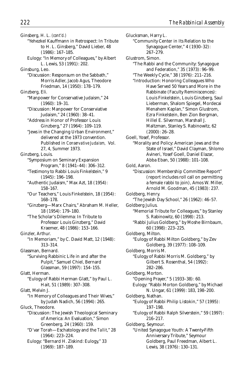Ginsberg, H. L. *(cont'd.)* "Yehezkel Kauffmann in Retrospect: In Tribute to H. L. Ginsberg," David Lieber, 48 (1986): 167–185. Eulogy: "In Memory of Colleagues," by Albert L. Lewis, 53 (1991): 202. Ginsburg, Leo. "Discussion: Responsum on the Sabbath," Morris Adler, Jacob Agus, Theodore Friedman, 14 (1950): 178–179. Ginzberg, Eli. "Manpower for Conservative Judaism," 24 (1960): 19–31. "Discussion: Manpower for Conserviative Judaism," 24 (1960): 38–41. "Address in Honor of Professor Louis Ginzberg," 27 (1964): 109–119. "Jews in the Changing Urban Environment," delivered at the 1973 convention. Published in *Conservative Judaism,* Vol. 27, 4, Summer 1973. Ginzberg, Louis. "Symposium on Seminary Expansion Program," 8 (1941–44): 306–312. "Testimony to Rabbi Louis Finkelstein," 9 (1945): 196–198. "Authentic Judaism," Max Azt, 18 (1954): 158–167. "Our Teachers," Louis Finkelstein, 18 (1954): 168–178. "Ginzberg—Marx Chairs," Abraham M. Heller, 18 (1954): 179–180. "The Scholar's Dilemma: In Tribute to Professor Louis Ginzberg," David Kraemer, 48 (1986): 153–166. Ginzler, Arthur. "In Memoriam," by C. David Matt, 12 (1948): 313–314. Glassman, Bernard. "Surviving Rabbinic Life in and after the Pulpit," Samuel Chiel, Bernard Glassman, 59 (1997): 154–155. Glatt, Herman. "Eulogy of Rabbi Herman Glatt," by Paul L. Hait, 51 (1989): 307–308. Glatt, Melvin J. "In Memory of Colleagues and Their Wives," by Judah Nadich, 56 (1994): 265. Gluck, Theodore. "Discussion: The Jewish Theological Seminary of America: An Evaluation," Simon Greenberg, 24 (1960): 159. "D'var Torah—Eschatology and the *Tallit*," 28 (1964): 223–224.

Eulogy: "Bernard H. Ziskind: Eulogy," 33 (1969): 187–189.

Glucksman, Harry L. "Community Center in Its Relation to the Synagogue Center," 4 (1930–32): 267–279. Glustrom, Simon. "The Rabbi and the Community: Synagogue and Federation," 35 (1973): 96–99. "The Weekly Cycle," 38 (1976): 211–216. "Introduction: Honoring Colleagues Who Have Served 50 Years and More in the Rabbinate (Faculty Reminiscences): Louis Finkelstein, Louis Ginzberg, Saul Lieberman, Shalom Spiegel, Mordecai Menahem Kaplan," Simon Glustrom, Ezra Finkelstein, Ben Zion Bergman, Hillel E. Silverman, Marshall J. Maltzman, Stanley S. Rabinowitz, 62 (2000): 26–28. Goell, Yosef, Professor. "Morality and Policy: American Jews and the State of Israel," David Clayman, Shlomo Avineri, Yosef Goell, Daniel Elazar, Abba Eban, 50 (1988): 101–108. Gold, Aaron. "Discussion: Membership Committee Report" (report includes roll call on permitting a female rabbi to join), Amos W. Miller, Arnold M. Goodman, 45 (1983): 237. Goldberg, Henry. "The Jewish Day School," 26 (1962): 46–57. Goldberg Julius. "Memorial Tribute for Colleagues," by Stanley S. Rabinowitz, 60 (1998): 213. "Rabbi Julius Goldberg," by Moshe Birnbaum, 60 (1998): 223–225. Goldberg, Milton. "Eulogy of Rabbi Milton Goldberg," by Zev Goldberg, 39 (1977): 108–109. Goldberg, Morris M. "Eulogy of Rabbi Morris M. Goldberg," by Gilbert S. Rosenthal, 54 (1992): 282–286. Goldberg, Morton. "Opening Prayer," 5 (1933–38): 60. Eulogy: "Rabbi Morton Goldberg," by Michael N. Ungar, 61 (1999): 183, 198–200. Goldberg, Nathan. "Eulogy of Rabbi Philip Listokin," 57 (1995): 197–198. "Eulogy of Rabbi Ralph Silverstein," 59 (1997): 216–217. Goldberg, Seymour. "United Synagogue Youth: A Twenty-Fifth Anniversary Tribute," Seymour Goldberg, Paul Freedman, Albert L. Lewis, 38 (1976): 130–131.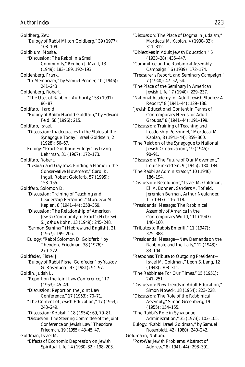Goldberg, Zev. "Eulogy of Rabbi Milton Goldberg," 39 (1977): 108–109. Goldblum, Moshe. "Discussion: The Rabbi in a Small Community," Reuben J. Magil, 13 (1949): 183–189, 192–193. Goldenberg, Frank. "In Memoriam," by Samuel Penner, 10 (1946): 241–243 Goldenberg, Robert. "The Uses of Rabbinic Authority," 53 (1991): 86–87. Goldfarb, Harold. "Eulogy of Rabbi Harold Goldfarb," by Edward Feld, 58 (1996): 215. Goldfarb, Israel. "Discussion: Inadequacies In the Status of the Synagogue Today," Israel Goldstein, 2 (1928): 66–67. Eulogy: "Israel Goldfarb: Eulogy," by Irving Lehrman, 31 (1967): 172–173. Goldfarb, Robert. "Lesbian and Gay Jews: Finding a Home in the Conservative Movement," Carol K. Ingall, Robert Goldfarb, 57 (1995): 153–155. Goldfarb, Solomon D. "Discussion: Training of Teaching and Leadership Personnel," Mordecai M. Kaplan, 8 (1941–44): 358–359. "Discussion: The Relationship of American Jewish Community to Israel" (Hebrew), S. Joshua Kohn, 13 (1949): 245–248. "Sermon Seminar" (Hebrew and English), 21 (1957): 199–206. Eulogy: "Rabbi Solomon D. Goldfarb," by Theodore Friedman, 38 (1976): 270–272. Goldfeder, Fishel J. "Eulogy of Rabbi Fishel Goldfeder," by Yaakov G. Rosenberg, 43 (1981): 94–97. Goldin, Judah L. "Report on the Joint Law Conference," 17 (1953): 45–49. "Discussion: Report on the Joint Law Conference," 17 (1953): 70–71. "The Content of Jewish Education," 17 (1953): 243–249. "Discussion: *Ketubah,"* 18 (1954): 69, 79–81. "Discussion: The Steering Committee of the Joint Conference on Jewish Law," Theodore Friedman, 19 (1955): 43–45, 47. Goldman, Israel M. "Effects of Economic Depression on Jewish Spiritual Life," 4 (1930–32): 198–203.

"Discussion: The Place of Dogma in Judaism," Mordecai M. Kaplan, 4 (1930–32): 311–312. "Objectives in Adult Jewish Education," 5 (1933–38): 435–447. "Committee on the Rabbinical Assembly Campaign," 6 (1939): 172–174. "Treasurer's Report, and Seminary Campaign," 7 (1940): 47–52, 54. "The Place of the Seminary in American Jewish Life," 7 (1940): 229–237. "National Academy for Adult Jewish Studies: A Report," 8 (1941–44): 129–136. "Jewish Educational Content in Terms of Contemporary Needs for Adult Groups," 8 (1941–44): 191–199. "Discussion: Training of Teaching and Leadership Personnel," Mordecai M. Kaplan, 8 (1941–44): 359–360. "The Relation of the Synagogue to National Jewish Organizations," 9 (1945): 90–91. "Discussion: The Future of Our Movement," Louis Finkelstein, 9 (1945): 180–184. "The Rabbi as Administrator," 10 (1946): 186–194. "Discussion: Resolutions," Israel M. Goldman, Eli A. Bohnen, Sanders A. Tofield, Jeremiah Berman, Arthur Neulander, 11 (1947): 116–118. "Presidential Message: The Rabbinical Assembly of America in the Contemporary World," 11 (1947): 140–160. "Tributes to Rabbis Emeriti," 11 (1947): 375–388. "Presidential Message—New Demands on the Rabbinate and the Laity," 12 (1948): 83–104. "Response: Tribute to Outgoing President— Israel M. Goldman," Leon S. Lang, 12 (1948): 308–311. "The Rabbinate For Our Times," 15 (1951): 241–251. "Discussion: New Trends in Adult Education," Simon Noveck, 18 (1954): 223–228. "Discussion: The Role of the Rabbinical Assembly," Simon Greenberg, 19 (1955): 154–155. "The Rabbi's Role in Synagogue Administration," 35 (1973): 103–105. Eulogy: "Rabbi Israel Goldman," by Samuel Rosenblatt, 42 (1980), 240–242. Goldmann, Nahum. "Post-War Jewish Problems, Abstract of Address," 8 (1941–44): 298–301.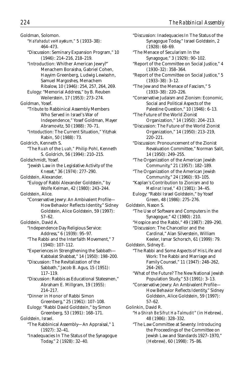Goldman, Solomon. "*HaYahadut ve-Hayekum,"* 5 (1933–38): 464–473. "Discussion: Seminary Expansion Program," 10 (1946): 214–216, 218–219. "Introduction: Whither American Jewry?" Menachem Boraisha, Gabriel Cohen, Hayyim Greenberg, Ludwig Lewisohn, Samuel Margoshes, Menachem Ribalow, 10 (1946): 254, 257, 264, 269. Eulogy: "Memorial Address," by B. Reuben Weilerstein, 17 (1953): 273–274. Goldman, Yosef. "Tribute to Rabbinical Assembly Members Who Served in Israel's War of Independence," Yosef Goldman, Mayer Abramovitz, 50 (1988): 70–71. "Intoduction: The Current Situation," Yitzhak Rabin, 50 (1988): 73. Goldrich, Kenneth S. "The *Ruah* of the *Luah,"* Philip Pohl, Kenneth S. Goldrich, 56 (1994): 210–215. Goldschmidt, Yosef. "Jewish Law in the Legislative Activity of the *Knesset*," 36 (1974): 277–290. Goldstein, Alexander. "Eulogy of Rabbi Alexander Goldstein," by Wolfe Kelman, 42 (1980): 243–244. Goldstein, Alice. "Conservative Jewry: An Ambivalent Profile— How Behavior Reflects Identity," Sidney Goldstein, Alice Goldstein, 59 (1997): 57–62. Goldstein, David A. "Independence Day Religious Service: Address," 6 (1939): 95–97. "The Rabbi and the Interfaith Movement," 7 (1940): 107–112. "Experiences in Strengthening the Sabbath— Kabbalat Shabbat," 14 (1950): 198–200. "Discussion: The Revitalization of the Sabbath," Jacob B. Agus, 15 (1951): 117–119. "Discussion: Rabbis as Educational Statesmen," Abraham E. Millgram, 19 (1955): 214–217. "Dinner in Honor of Rabbi Simon Greenberg," 25 (1961): 107–108. Eulogy: "Rabbi David Goldstein," by Simon Greenberg, 53 (1991): 168–171. Goldstein, Israel. "The Rabbinical Assembly—An Appraisal," 1 (1927): 32–41. "Inadequacies In The Status of the Synagogue Today," 2 (1928): 32–40.

"Discussion: Inadequacies In The Status of the Synagogue Today," Israel Goldstein, 2 (1928): 68–69. "The Menace of Secularism In the Synagogue," 3 (1929): 90–102. "Report of the Committee on Social Justice," 4 (1930–32): 358–364. "Report of the Committee on Social Justice," 5 (1933–38): 3–12. "The Jew and the Menace of Fascism," 5 (1933–38): 220–226. "Conservative Judaism and Zionism: Economic, Social and Political Aspects of the Palestine Question," 10 (1946): 6–13. "The Future of the World Zionist Organization," 14 (1950): 204–213. "Discussion: The Future of the World Zionist Organization," 14 (1950): 213–219, 220–221. "Discussion: Pronouncement of the Zionist Revaluation Committee," Norman Salit, 14 (1950): 249–255. "The Organization of the American Jewish Community," 21 (1957): 182–189. "The Organization of the American Jewish Community," 24 (1960): 93–105. "Kaplan's Contribution to Zionism and to *Medinat Israel,"* 43 (1981): 34–45. Eulogy: "Rabbi Israel Goldstein," by Yosef Green, 48 (1986): 275–276. Goldstein, Nason S. "The Use of Software and Computers in the Synagogue," 42 (1980): 210. "Hospice and the Rabbi," 49 (1987): 289–290. "Discussion: The Chancellor and the Cardinal," Alan Silverstein, William Keeler, Ismar Schorsch, 61 (1999): 79. Goldstein, Sidney E. "The Rabbi and Some Aspects of His Life and Work: The Rabbi and Marriage and Family Counsel," 11 (1947): 248–262, 264–265. "What of the Future? The New National Jewish Population Study," 53 (1991): 3–13. "Conservative Jewry: An Ambivalent Profile— How Behavior Reflects Identity," Sidney Goldstein, Alice Goldstein, 59 (1997): 57–62. Golinkin, David R. "*Ha-Shirah Be Sifrut Ha-Talmudit*" (in Hebrew), 48 (1986): 328–332. "The Law Committee at Seventy: Introducing the Proceedings of the Committee on Jewish Law and Standards 1927–1970," (Hebrew), 60 (1998): 75–86.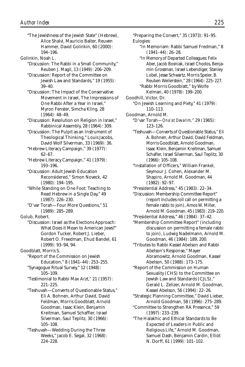"The Jewishness of the Jewish State" (Hebrew), Alice Shalvi, Mauricio Balter, Reuven Hammer, David Golinkin, 60 (2000): 194–196. Golinkin, Noah L. "Discussion: The Rabbi in a Small Community," Reuben J. Magil, 13 (1949): 206–209. "Discussion: Report of the Committee on Jewish Law and Standards," 19 (1955): 39–40. "Discussion: The Impact of the Conservative Movement in Israel, The Impressions of One Rabbi After a Year in Israel," Myron Fenster, Simcha Kling, 28 (1964): 48–49. "Discussion: Resolution on Religion in Israel," Rabbinical Assembly, 28 (1964): 309. "Discussion: The Pulpit as an Instrument of Theological Thinking," Louis Jacobs, David Wolf Silverman, 33 (1969): 36. "Hebrew Literacy Campaign," 39 (1977): 62–67. "Hebrew Literacy Campaign," 41 (1979): 193–196. "Discussion: Adult Jewish Education Reconsidered," Simon Noveck, 42 (1980): 194–195. "While Standing on One Foot: Teaching to Read Hebrew in a Single Day," 49 (1987): 226–230. "D'var Torah—Four More Questions," 51 (1989): 285–289. Golub, Robert. "Discussion: Israel as the Elections Approach: What Does it Mean to American Jews?" Gordon Tucker, Robert J. Lieber, Robert O. Freedman, Ehud Bandel, 61 (1999): 93–94, 94. Goodblatt, Morris S. "Report of the Commission on Jewish Education," 8 (1941–44): 253–255. "Synagogue Ritual Survey," 12 (1948): 105–109. "Testimonial to Rabbi Max Arzt," 21 (1957): 221–225. "Teshuvah—Converts of Questionable Status," Eli A. Bohnen, Arthur David, David Feldman, Morris Goodblatt, Arnold Goodman, Isaac Klein, Benjamin Kreitman, Samuel Schaffler, Israel Silverman, Saul Teplitz, 30 (1966): 105–108. "Teshuvah—Wedding During the Three Weeks," Jacob E. Segal, 32 (1968): 224–228.

"Preparing the Convert," 35 (1973): 91–95. Eulogies: "In Memoriam: Rabbi Samuel Fredman," 8 (1941–44): 26–28. "In Memory of Departed Colleagues: Felix Aber, Jacob Bosniak, Israel Chodos, Benjamin Grossman, Israel Lebendiger, Stanley Lobel, Jesse Schwartz, Morris Speier, B. Reuben Weilerstein," 28 (1964): 225–227. "Rabbi Morris Goodblatt," by Wolfe Kelman, 40 (1978): 199–200. Goodhill, Victor, Dr. "On Jewish Learning and Piety," 41 (1979): 110–113. Goodman, Arnold M. "D'var Torah—*Ona'at Devarim,"* 29 (1965): 123–126. "Teshuvah—Converts of Questionable Status," Eli A. Bohnen, Arthur David, David Feldman, Morris Goodblatt, Arnold Goodman, Isaac Klein, Benjamin Kreitman, Samuel Schafler, Israel Silverman, Saul Teplitz, 30 (1966): 105–108. "Installation of Officers," William Frankel, Seymour J. Cohen, Alexander M. Shapiro, Arnold M. Goodman, 44 (1982): 92–97. "Presidential Address," 45 (1983): 22–34. "Discussion: Membership Committee Report" (report includes roll call on permitting a female rabbi to join), Amos W. Miller, Arnold M. Goodman, 45 (1983): 219–220. "Presidential Address," 46 (1984): 37–42. "Membership Committee Report" (including discussion on permitting a female rabbi to join), Ludwig Nadelmann, Arnold M. Goodman, 46 (1984): 189, 200. "Tributes to Rabbi Kassel Abelson and Rabbi Abelson's Response," Mayer Abramowitz, Arnold Goodman, Kassel Abelson, 50 (1988): 173–175. "Report of the Commission on Human Sexuality (CHS) to the Committee on Jewish Law and Standards (CJLS)," Gerald L. Zelizer, Arnold M. Goodman, Kassel Abelson, 56 (1994): 22–26. "Strategic Planning Committee," David Lieber, Arnold Goodman, 58 (1996): 275–289. "Committee to Strengthen RA Presence," 59 (1997): 233–239. "The Halakhic and Ethical Standards to Be

Expected of Leaders in Public and Religious Life," Arnold M. Goodman, Samuel Dash, Benjamin Cardin, Elliot N. Dorff, 61 (1999): 101–102.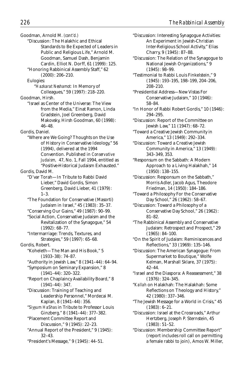Goodman, Arnold M. *(cont'd.)*

- "Discussion: The Halakhic and Ethical Standards to Be Expected of Leaders in Public and Religious Life," Arnold M. Goodman, Samuel Dash, Benjamin Cardin, Elliot N. Dorff, 61 (1999): 125.
- "Honoring Rabbinical Assembly Staff," 62 (2000): 206–210.

Eulogies:

"*Hazkarat Neshamot:* In Memory of Colleagues," 59 (1997): 218–220.

Goodman, Hirsh.

"Israel as Center of the Universe: The View from the Media," Einat Ramon, Linda Gradstein, Joel Greenberg, David Makovsky, Hirsh Goodman, 60 (1998): 46–48.

Gordis, Daniel.

"Where are We Going? Thoughts on the Use of History in Conservative Ideology," 56 (1994), delivered at the 1994 Convention. Published in *Conservative Judaism,* 47, No. 1, Fall 1994, entitled as "Positive-Historical Judaism Exhausted."

Gordis, David M.

"D'var Torah—In Tribute to Rabbi David Lieber," David Gordis, Simon Greenberg, David Lieber, 41 (1979): 1–3.

- "The Foundation for Conservative (Masorti) Judaism in Israel," 45 (1983): 35–37.
- "Conserving Our Gains," 49 (1987): 90–99.
- "Social Action, Conservative Judaism and the Revitalization of the Synagogue," 54 (1992): 68–77.
- "Intermarriage: Trends, Textures, and Strategies," 59 (1997): 65–68.
- Gordis, Robert.
	- "Koheleth—The Man and His Book," 5 (1933–38): 74–87.
	- "Authority in Jewish Law," 8 (1941–44): 64–94.

"Symposium on Seminary Expansion," 8 (1941–44): 320–322.

- "Report on Chaplaincy Availability Board," 8 (1941–44): 347.
- "Discussion: Training of Teaching and Leadership Personnel," Mordecai M. Kaplan, 8 (1941–44): 356.
- "*Siyyum HaShas* in Tribute to Professor Louis Ginzberg," 8 (1941–44): 377–382.

"Placement Committee Report and Discussion," 9 (1945): 22–23.

- "Annual Report of the President," 9 (1945): 32–43.
- "President's Message," 9 (1945): 44–51.
- "Discussion: Interesting Synagogue Activities: An Experiment in Jewish-Christian Inter-Religious School Activity," Elias Charry, 9 (1945): 87–88.
- "Discussion: The Relation of the Synagogue to National Jewish Organizations," 9 (1945): 98–99.
- "Testimonial to Rabbi Louis Finkelstein," 9 (1945): 193–195, 198–199, 204–206, 208–210.

"Presidential Address—New Vistas For Conservative Judaism," 10 (1946): 58–84.

- "In Honor of Rabbi Robert Gordis," 10 (1946): 294–295.
- "Discussion: Report of the Committee on Jewish Law," 11 (1947): 68–72.

"Toward a Creative Jewish Community in America," 13 (1949): 292–334.

- "Discussion: Toward a Creative Jewish Community in America," 13 (1949): 343–349, 353.
- "Responsum on the Sabbath: A Modern Approach to a Living Halakhah," 14 (1950): 138–155.
- "Discussion: Responsum on the Sabbath," Morris Adler, Jacob Agus, Theodore Friedman, 14 (1950): 184–186.
- "Toward a Philosophy For the Conservative Day School," 26 (1962): 58–67.
- "Discussion: Toward a Philosophy of a Conservative Day School," 26 (1962): 81–82.
- "The Rabbinical Assembly and Conservative Judaism: Retrospect and Prospect," 29 (1965): 84–100.
- "On the Spirit of Judaism: Reminiscences and Reflections," 33 (1969): 135–146.
- "Discussion: The American Synagogue: From Supermarket to Boutique," Wolfe Kelman, Marshall Sklare, 37 (1975): 42–44.
- "Israel and the Diaspora: A Reassessment," 38 (1976): 324–345.
- "*Kallah* on Halakhah: The Halakhah: Some Reflections on Theology and History," 42 (1980): 337–346.
- "The Jewish Message for a World in Crisis," 45 (1983): 6–21.
- "Discussion: Israel at the Crossroads," Arthur Hertzberg, Joseph P. Sternstein, 45 (1983): 51–52.

"Discussion: Membership Committee Report" (report includes roll call on permitting a female rabbi to join), Amos W. Miller,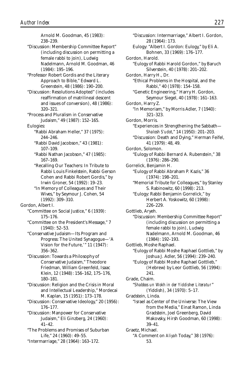Arnold M. Goodman, 45 (1983): 238–239. "Discussion: Membership Committee Report" (including discussion on permitting a female rabbi to join), Ludwig Nadelmann, Arnold M. Goodman, 46 (1984): 195–196. "Professor Robert Gordis and the Literary Approach to Bible," Edward L. Greenstein, 48 (1986): 190–200. "Discussion: Resolutions Adopted" (includes reaffirmation of matrilineal descent and issues of conversion), 48 (1986): 320–321. "Process and Pluralism in Conservative Judaism," 49 (1987): 152–165. Eulogies: "Rabbi Abraham Heller," 37 (1975): 244–246. "Rabbi David Jacobson," 43 (1981): 107–109. "Rabbi Nathan Jacobson," 47 (1985): 167–169. "Recalling Our Teachers: In Tribute to Rabbi Louis Finkelstein, Rabbi Gerson Cohen and Rabbi Robert Gordis," by Irwin Groner, 54 (1992): 19–23. "In Memory of Colleagues and Their Wives," by Seymour J. Cohen, 54 (1992): 309–310. Gordon, Albert I. "Committee on Social Justice," 6 (1939): 175–176. "Committee on the President's Message," 7 (1940): 52–53. "Conservative Judaism—Its Program and Progress: The United Synagogue—'A Vision for the Future,'" 11 (1947): 356–362. "Discussion: Towards a Philosophy of Conservative Judaism," Theodore Friedman, William Greenfeld, Isaac Klein, 12 (1948): 156–162, 175–176, 180–181. "Discussion: Religion and the Crisis in Moral and Intellectual Leadership," Mordecai M. Kaplan, 15 (1951): 173–178. "Discussion: Conservative Ideology," 20 (1956): 176–177. "Discussion: Manpower for Conservative Judaism," Eli Ginzberg, 24 (1960): 41–42. "The Problems and Promises of Suburban Life," 24 (1960): 49–55. "Intermarriage," 28 (1964): 163–172.

"Discussion: Intermarriage," Albert I. Gordon, 28 (1964): 173. Eulogy: "Albert I. Gordon: Eulogy," by Eli A. Bohnen, 33 (1969): 176–177. Gordon, Harold. "Eulogy of Rabbi Harold Gordon," by Baruch Silverstein, 40 (1978): 201–202. Gordon, Harry H., Dr. "Ethical Problems in the Hospital, and the Rabbi," 40 (1978): 154–158. "Genetic Engineering," Harry H. Gordon, Seymour Siegel, 40 (1978): 161–163. Gordon, Harry Z. "In Memoriam," by Morris Adler, 7 (1940): 321–323. Gordon, Morris. "Experiences in Strengthening the Sabbath— *Shalosh S'udot*," 14 (1950): 201–203. "Discussion: Death and Dying," Herman Feifel, 41 (1979): 48, 49. Gordon, Solomon. "Eulogy of Rabbi Bernard A. Rubenstein," 38 (1976): 286–290. Gorrelick, Benjamin H. "Eulogy of Rabbi Abraham P. Kazis," 36 (1974): 198–201. "Memorial Tribute for Colleagues," by Stanley S. Rabinowitz, 60 (1998): 213. "Eulogy: Rabbi Benjamin Gorrelick," by Herbert A. Yoskowitz, 60 (1998): 226–229. Gottlieb, Aryeh. "Discussion: Membership Committee Report" (including discussion on permitting a female rabbi to join), Ludwig Nadelmann, Arnold M. Goodman, 46 (1984): 192–193. Gottlieb, Moshe Raphael. "Eulogy of Rabbi Moshe Raphael Gottlieb," by Joshua J. Adler, 56 (1994): 239–240. "Eulogy of Rabbi Moshe Raphael Gottlieb," (Hebrew) by Leor Gottlieb, 56 (1994): 241. Grade, Chaim. "*Shabbos un Wokh in der Yiddisher Literatur*" (Yiddish), 34 (1970): 5–17. Gradstein, Linda. "Israel as Center of the Universe: The View from the Media," Einat Ramon, Linda Gradstein, Joel Greenberg, David Makovsky, Hirsh Goodman, 60 (1998): 39–41. Graetz, Michael. "A Comment on *Aliyah* Today," 38 (1976): 53.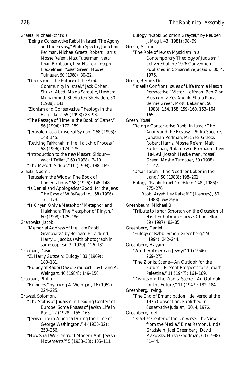Graetz, Michael *(cont'd.)*

- "Being a Conservative Rabbi in Israel: The Agony and the Ecstasy," Philip Spectre, Jonathan Perlman, Michael Graetz, Robert Harris, Moshe Re'em, Matt Futterman, Natan Irwin Birnbaum, Levi Ha-Levi, Joseph Heckelman, Yossef Green, Moshe Tutnauer, 50 (1988): 30–32.
- "Discussion: The Future of the Arab Community in Israel," Jack Cohen, Shukri Abed, Majda Saroujie, Hashem Muhammud, Shehadeh Shehadeh, 50  $(1988) \cdot 141$
- "Zionism and Conservative Theology in the *Haggadah*," 55 (1993): 83–93.
- "The Passage of Time in the Book of Esther," 56 (1994): 172–189.
- "Jerusalem as a Universal Symbol," 58 (1996): 143–145.
- "Reviving *Takkanah* in the Halakhic Process," 58 (1996): 174–175.
- "Introduction to the new Masorti Siddur— *Va-ani Tefilati,"* 60 (1998): 7–10.
- "The Masorti Siddur," 60 (1998): 188–189. Graetz, Naomi.
	- "Jerusalem the Widow: The Book of Lamentations," 58 (1996): 146–148.
	- "Is Denial and Apologetics 'Good' for the Jews: The Case of Wife-Beating," 58 (1996): 171–173.
	- "Is *Kinyan* Only a Metaphor? Metaphor and Halakhah: The Metaphor of *Kinyan,"* 60 (1998): 175–186.
- Granowitz, Jacob.
- "Memorial Address of the Late Rabbi Granowitz," by Bernard H. Ziskind, Harry L. Jacobs. (with photograph in some copies), 3 (1929): 126–131.
- Graubart, David. "Z. Harry Gutstein: Eulogy," 33 (1969):
	- 180–181.
	- "Eulogy of Rabbi David Graubart," by Irving A. Weingart, 46 (1984): 149–150.

Graubart, Philip.

"Eulogies," by Irving A. Weingart, 16 (1952): 224–225.

Grayzel, Solomon.

- "The Status of Judaism in Leading Centers of Europe: Some Phases of Jewish Life in Paris," 2 (1928): 155–163.
- "Jewish Life in America During the Time of George Washington," 4 (1930–32): 253–266.
- "How Shall We Confront Modern Anti-Jewish Movements?" 5 (1933–38): 105–111.
- Eulogy: "Rabbi Solomon Grayzel," by Reuben J. Magil, 43 (1981): 98–99. Green, Arthur. "The Role of Jewish Mysticism in a Contemporary Theology of Judaism," delivered at the 1976 Convention. Published in *Conservative Judaism,* 30, 4, 1976. Green, Bernie, Dr. "Israelis Confront Issues of Life from a Masorti Perspective," Victor Hoffman, Ben Zion Mushkin, Ze'ev Anolik, Shula Piora, Bernie Green, Motti Laksman, 50 (1988): 154, 158, 159–160, 163–164, 165. Green, Yosef. "Being a Conservative Rabbi in Israel: The Agony and the Ecstasy," Philip Spectre, Jonathan Perlman, Michael Graetz, Robert Harris, Moshe Re'em, Matt Futterman, Natan Irwin Birnbaum, Levi Ha-Levi, Joseph Heckelman, Yossef Green, Moshe Tutnauer, 50 (1988): 41–42. "D'var Torah—The Need for Labor in the Land," 50 (1988): 198–201. Eulogy: "Rabbi Israel Goldstein," 48 (1986): 275–276. "Rabbi Aryeh Lev Katzoff," (Hebrew), 50 (1988): *vov-zayin.* Greenbaum, Michael B. "Tribute to Ismar Schorsch on the Occasion of His Tenth Anniversary as Chancellor," 59 (1997): 82–85. Greenberg, Daniel. "Eulogy of Rabbi Simon Greenberg," 56 (1994): 242–244. Greenberg, Hayyim. "Whither American Jewry?" 10 (1946): 269–275. "The Zionist Scene—An Outlook for the Future—Present Prospects for a Jewish Palestine," 11 (1947): 161–169. "Discussion: The Zionist Scene—An Outlook for the Future," 11 (1947): 182–184. Greenberg, Irving. "The End of Emancipation," delivered at the 1976 Convention. Published in *Conservative Judaism,* 30, 4, 1976. Greenberg, Joel. "Israel as Center of the Universe: The View from the Media," Einat Ramon, Linda Gradstein, Joel Greenberg, David Makovsky, Hirsh Goodman, 60 (1998): 41–44.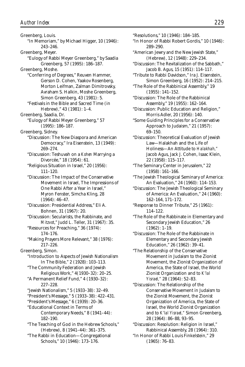Greenberg, Louis. "In Memoriam," by Michael Higger, 10 (1946): 243–246. Greenberg, Meyer. "Eulogy of Rabbi Meyer Greenberg," by Saadia Greenberg, 57 (1995): 186–187. Greenberg, Moshe. "Conferring of Degrees," Reuven Hammer, Gerson D. Cohen, Yaakov Rosenberg, Morton Leifman, Zalman Dimitrovsky, Avraham S. Halkin, Moshe Greenberg, Simon Greenberg, 43 (1981): 5. "Festivals in the Bible and Sacred Time (in Hebrew)," 43 (1981): 1–4. Greenberg, Saadia, Dr. "Eulogy of Rabbi Meyer Greenberg," 57 (1995): 186–187. Greenberg, Sidney. "Discussion: The New Diaspora and American Democracy," Ira Eisenstein, 13 (1949): 269–274. "Discussion: Teshuvah on a *Kohen* Marrying a Divorcée," 18 (1954): 61. "Religious Situation in Israel," 20 (1956): 111–120. "Discussion: The Impact of the Conservative Movement in Israel, The Impressions of One Rabbi After a Year in Israel," Myron Fenster, Simcha Kling, 28 (1964): 46–47. "Discussion: Presidential Address," Eli A. Bohnen, 31 (1967): 20. "Discussion: Secularists, the Rabbinate, and *Mitzvot*," Judd L. Teller, 31 (1967): 35. "Resources for Preaching," 36 (1974): 174–176. "Making Prayers More Relevant," 38 (1976): 217–226. Greenberg, Simon. "Introduction to Aspects of Jewish Nationalism In The Bible," 2 (1928): 103–113. "The Community Federation and Jewish Religious Work," 4(1930–32): 20–25. "A Permanent Relief Fund," 4 (1930–32): 227–228. "Jewish Nationalism," 5 (1933–38): 32–49. "President's Message," 5 (1933–38): 422–431. "President's Message," 6 (1939): 20–36. "Educational Context in Terms of Contemporary Needs," 8 (1941–44): 182–190. "The Teaching of God in the Hebrew Schools," (Hebrew), 8 (1941–44): 361–375. "The Rabbi in Education—Congregational Schools," 10 (1946): 173–176.

"Resolutions," 10 (1946): 184–185.

- "In Honor of Rabbi Robert Gordis," 10 (1946): 289–290.
- "American Jewry and the New Jewish State," (Hebrew), 12 (1948): 229–234.
- "Discussion: The Revitalization of the Sabbath," Jacob B. Agus, 15 (1951): 114–117.
- "Tribute to Rabbi Davidson," Ira J. Eisenstein, Simon Greenberg, 16 (1952): 214–215.
- "The Role of the Rabbinical Assembly," 19 (1955): 141–152.
- "Discussion: The Role of the Rabbinical Assembly," 19 (1955): 162–164.
- "Discussion: Public Education and Religion," Morris Adler, 20 (1956): 140.
- "Some Guiding Principles for a Conservative Approach to Judaism," 21 (1957): 69–150.
- "Discussion: Theoretical Evaluation of Jewish Law—Halakhah and the Life of Holiness—An Attitude to *Halakhah,"* Jacob Agus, Jack J. Cohen, Isaac Klein, 22 (1958): 115–117.
- "The Seminary Center in Jerusalem," 22 (1958): 161–166.
- "The Jewish Theological Seminary of America: An Evaluation," 24 (1960): 114–153.
- "Discussion: The Jewish Theological Seminary of America: An Evaluation," 24 (1960): 162–164, 171–172.
- "Response to Dinner Tribute," 25 (1961): 114–122.
- "The Role of the Rabbinate in Elementary and Secondary Jewish Education," 26 (1962): 1–19.
- "Discussion: The Role of the Rabbinate in Elementary and Secondary Jewish Education," 26 (1962): 39–41.
- "The Relationship of the Conservative Movement in Judaism to the Zionist Movement, the Zionist Organization of America, the State of Israel, the World Zionist Organization and to *K'lal Yisrael,"* 28 (1964): 52–83.
- "Discussion: The Relationship of the Conservative Movement in Judaism to the Zionist Movement, the Zionist Organization of America, the State of Israel, the World Zionist Organization and to *K'lal Yisrael,"* Simon Greenberg, 28 (1964): 86–88, 93–95.
- "Discussion: Resolution: Religion in Israel," Rabbinical Assembly, 28 (1964): 310.
- "In Honor of Rabbi Louis Finkelstein," 29 (1965): 76–83.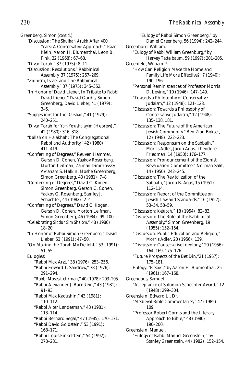Greenberg, Simon *(cont'd.)*

"Discussion: The *Shulhan Arukh* After 400 Years: A Conservative Approach," Isaac Klein, Aaron H. Blumenthal, Leon B. Fink, 32 (1968): 67–68.

"D'var Torah," 37 (1975): 8–11.

- "Discussion: Resolutions," Rabbinical Assembly, 37 (1975): 267–269.
- "Zionism, Israel and The Rabbinical Assembly," 37 (1975): 345–352.
- "In Honor of David Lieber, In Tribute to Rabbi David Lieber," David Gordis, Simon Greenberg, David Lieber, 41 (1979): 3–6.
- "Suggestions for the *Darshan*," 41 (1979): 240–251.
- "D'var Torah for *Yom Yerushalayim* (Hebrew)," 42 (1980): 316–318.
- "*Kallah* on Halakhah: The Congregational Rabbi and Authority," 42 (1980): 411–419.
- "Conferring of Degrees," Reuven Hammer, Gerson D. Cohen, Yaakov Rosenberg, Morton Leifman, Zalman Dimitrovsky, Avraham S. Halkin, Moshe Greenberg, Simon Greenberg, 43 (1981): 7–8.
- "Conferring of Degrees," David C. Kogen, Simon Greenberg, Gerson C. Cohen, Yaakov G. Rosenberg, Stanley J. Schachter, 44 (1982): 2–4.
- "Conferring of Degrees," David C. Kogen, Gerson D. Cohen, Morton Leifman, Simon Greenberg, 46 (1984): 99–100.
- "Celebrating *Siddur Sim Shalom,"* 48 (1986): 18–20.
- "In Honor of Rabbi Simon Greenberg," David Lieber, 53 (1991): 47–50.
- "On Making the Torah My Delight," 53 (1991): 51–55.

Eulogies: "Rabbi Max Arzt," 38 (1976): 253–256. "Rabbi Edward T. Sandrow," 38 (1976): 291–294. "Rabbi Moses Lehrman," 40 (1978): 203–205. "Rabbi Alexander J. Burnstein," 43 (1981): 91–93. "Rabbi Max Kadushin," 43 (1981): 110–112. "Rabbi Alter Landesman," 43 (1981): 113–114. "Rabbi Bernard Segal," 47 (1985): 170–171. "Rabbi David Goldstein," 53 (1991): 168–171. "Rabbi Louis Finkelstein," 54 (1992): 278–281.

"Eulogy of Rabbi Simon Greenberg," by Daniel Greenberg, 56 (1994): 242–244. Greenburg, William. "Eulogy of Rabbi William Greenburg," by Harvey Tattelbaum, 59 (1997): 201–205. Greenfeld, William P. "How Can Religion Make the Home and Family Life More Effective?" 7 (1940): 190–196. "Personal Reminiscences of Professor Morris D. Levine," 10 (1946): 147–149. "Towards a Philosophy of Conservative Judaism," 12 (1948): 121–128. "Discussion: Towards a Philosophy of Conservative Judaism," 12 (1948): 135–138, 181. "Discussion: The Future of the American Jewish Community," Ben Zion Bokser, 12 (1948): 222–223. "Discussion: Responsum on the Sabbath," Morris Adler, Jacob Agus, Theodore Friedman, 14 (1950): 176–177. "Discussion: Pronouncement of the Zionist Revaluation Committee," Norman Salit, 14 (1950): 242–245. "Discussion: The Revitalization of the Sabbath," Jacob B. Agus, 15 (1951): 112–114. "Discussion: Report of the Committee on Jewish Law and Standards," 16 (1952): 53–54, 58–59. "Discussion: *Ketubah,"* 18 (1954): 82–83. "Discussion: The Role of the Rabbinical Assembly," Simon Greenberg, 19 (1955): 152–154. "Discussion: Public Education and Religion," Morris Adler, 20 (1956): 139. "Discussion: Conservative Ideology," 20 (1956): 164–169, 175–176. "Future Prospects of the Bet Din,"21 (1957): 175–181. Eulogy: "*Hesped*," by Aaron H. Blumenthal, 25 (1961): 167–168. Greengous, Samuel. "Acceptance of Solomon Schechter Award," 12 (1948): 299–304. Greenstein, Edward L., Dr. "Medieval Bible Commentaries," 47 (1985): 109. "Professor Robert Gordis and the Literary Approach to Bible," 48 (1986): 190–200. Greenstein, Manuel. "Eulogy of Rabbi Manuel Greenstein," by Stanley Greenstein, 44 (1982): 152–154.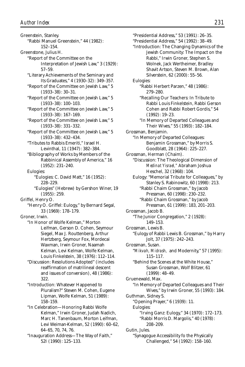Greenstein, Stanley. "Rabbi Manuel Greenstein," 44 (1982): 152–154. Greenstone, Julius H. "Report of the Committee on the Interpretation of Jewish Law," 3 (1929): 57–59. "Literary Achievements of the Seminary and Its Graduates," 4 (1930–32): 349–357. "Report of the Committee on Jewish Law," 5 (1933–38): 30–31. "Report of the Committee on Jewish Law," 5 (1933–38): 100–103. "Report of the Committee on Jewish Law," 5 (1933–38): 167–169. "Report of the Committee on Jewish Law," 5 (1933–38): 331–332. "Report of the Committee on Jewish Law," 5 (1933–38): 432–434. "Tributes to Rabbis Emeriti," Israel H. Levinthal, 11 (1947): 382–384. "Bibliography of Works by Members of the Rabbinical Assembly of America," 16 (1952): 231–240. Eulogies: "Eulogies: C. David Matt," 16 (1952): 228–229. "Eulogies" (Hebrew) by Gershon Winer, 19 (1955): 259. Griffel, Henry O. "Henry O. Griffel: Eulogy," by Bernard Segal, 33 (1969): 178–179. Groner, Irwin. "In Honor of Wolfe Kelman," Morton Leifman, Gerson D. Cohen, Seymour Siegel, Max J. Routtenberg, Arthur Hertzberg, Seymour Fox, Mordecai Waxman, Irwin Groner, Naamah Kelman, Levi Kelman, Wolfe Kelman, Louis Finkelstein, 38 (1976): 112–114. "Discussion: Resolutions Adopted" (includes reaffirmation of matrilineal descent and issues of conversion), 48 (1986): 322. "Introduction: Whatever Happened to Pluralism?" Steven M. Cohen, Eugene Lipman, Wolfe Kelman, 51 (1989): 158–159. "In Celebration—Honoring Rabbi Wolfe Kelman," Irwin Groner, Judah Nadich, Marc H. Tanenbaum, Morton Leifman, Levi Weiman-Kelman, 52 (1990): 60–62, 64–65, 70, 74, 76. "Inauguration Address—The Way of Faith," 52I (1990): 125–133.

"Presidential Address," 53 (1991): 26–35. "Presidential Address," 54 (1992): 38–49. "Introduction: The Changing Dynamics of the Jewish Community: The Impact on the Rabbi," Irwin Groner, Stephen S. Wolnek, Jack Wertheimer, Bradley Shavit Artson, Steven M. Brown, Alan Silverstein, 62 (2000): 55–56. Eulogies: "Rabbi Herbert Parzen," 48 (1986): 279–280. "Recalling Our Teachers: In Tribute to Rabbi Louis Finkelstein, Rabbi Gerson Cohen and Rabbi Robert Gordis," 54 (1992): 19–23. "In Memory of Departed Colleagues and Their Wives," 55 (1993): 182–184. Grossman, Benjamin. "In Memory of Departed Colleagues: Benjamin Grossman," by Morris S. Goodblatt, 28 (1964): 225–227. Grossman, Herman (Chaim). "Discussion: The Theological Dimension of *Medinat Yisrael,"* Abraham Joshua Heschel, 32 (1968): 104. Eulogy: "Memorial Tribute for Colleagues," by Stanley S. Rabinowitz, 60 (1998): 213. "Rabbi Chaim Grossman," by Jacob Pressman, 60 (1998): 230–232. "Rabbi Chaim Grossman," by Jacob Pressman, 61 (1999): 183, 201–203. Grossman, Jacob B. "The Junior Congregation," 2 (1928): 149–153. Grossman, Lewis B. "Eulogy of Rabbi Lewis B. Grossman," by Harry Jolt, 37 (1975): 242–243. Grossman, Susan. "*Mikvah, Midrash,* and Modernity," 57 (1995): 115–117. "Behind the Scenes at the White House," Susan Grossman, Wolf Blitzer, 61 (1999): 48–49. Gruenewald, Max. "In Memory of Departed Colleagues and Their Wives," by Irwin Groner, 55 (1993): 184. Guthman, Sidney S. "Opening Prayer," 6 (1939): 11. Eulogies: "Irving Ganz: Eulogy," 34 (1970): 172–173. "Rabbi Morris D. Margolis," 40 (1978): 208–209. Gutin, Jules. "Synagogue Accessibility fo the Physically Challenged," 54 (1992): 158–160.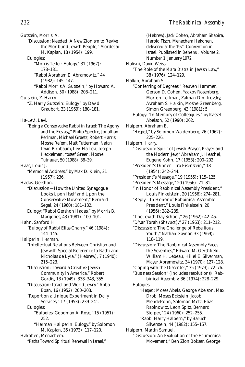(Hebrew), Jack Cohen, Abraham Shapira,

Gutstein, Morris. A. "Discussion: Needed: A New Zionism to Revive the Moribund Jewish People," Mordecai M. Kaplan, 18 (1954): 199. Eulogies: "Morris Teller: Eulogy," 31 (1967): 178–181. "Rabbi Abraham E. Abramowitz," 44 (1982): 145–147. "Rabbi Morris A. Gutstein," by Howard A. Addison, 50 (1988): 208–211. Gutstein, Z. Harry. "Z. Harry Gutstein: Eulogy," by David Graubart, 33 (1969): 180–181. Ha-Levi, Levi. "Being a Conservative Rabbi in Israel: The Agony and the Ecstasy," Philip Spectre, Jonathan Perlman, Michael Graetz, Robert Harris, Moshe Re'em, Matt Futterman, Natan Irwin Birnbaum, Levi Ha-Levi, Joseph Heckelman, Yossef Green, Moshe Tutnauer, 50 (1988): 38–39. Haas, Louis J. "Memorial Address," by Max D. Klein, 21 (1957): 236. Hadas, Gershon. "Discussion—How the United Synagogue Looks Upon Itself and Upon the Conservative Movement," Bernard Segal, 24 (1960): 181–182. Eulogy: "Rabbi Gershon Hadas," by Morris B. Margolies, 43 (1981): 100–101. Hahn, Sanford H. "Eulogy of Rabbi Elias Charry," 46 (1984): 144–145. Hailperin, Herman. "Intellectual Relations Between Christian and Jew with Special Reference to Rashi and Nicholas de Lyra," (Hebrew), 7 (1940): 215–223. "Discussion: Toward a Creative Jewish Community in America," Robert Gordis, 13 (1949): 338–343, 355. "Discussion: Israel and World Jewry," Abba Eban, 16 (1952): 200–203. "Report on a Unique Experiment in Daily Services," 17 (1953): 239–241. Eulogies: "Eulogies: Goodman A. Rose," 15 (1951): 252. "Herman Hailperin: Eulogy," by Solomon M. Kaplan, 35 (1973): 117–120. Hakohen, Menachem. "Paths Toward Spiritual Renewal in Israel,"

Harold Fisch, Menachem Hakohen, delivered at the 1971 Convention in Israel. Published in *Beineinu,* Volume 2, Number 1, January 1972. Halivni, David Weiss. "The Role of the *Mara D'atra* in Jewish Law," 38 (1976): 124–129. Halkin, Abraham S. "Conferring of Degrees," Reuven Hammer, Gerson D. Cohen, Yaakov Rosenberg, Morton Leifman, Zalman Dimitrovsky, Avraham S. Halkin, Moshe Greenberg, Simon Greenberg, 43 (1981): 5. Eulogy: "In Memory of Colleagues," by Kassel Abelson, 52 (1990): 262. Halpern, Abraham E. "*Hesped*," by Solomon Waldenberg, 26 (1962): 225–226. Halpern, Harry. "Discussion: Spirit of Jewish Prayer, Prayer and the Modern Jew," Abraham J. Heschel, Eugene Kohn, 17 (1953): 200–202. "President's Dinner—Ira Eisenstein," 18 (1954): 242–244. "President"s Message," 19 (1955): 115–125. "President's Message," 20 (1956): 71–81. "In Honor of Rabbinical Assembly President," Louis Finkelstein, 20 (1956): 274–281. "Reply—In Honor of Rabbinical Assemble President," Louis Finkelstein, 20 (1956): 282–285. "The Jewish Day School," 26 (1962): 42–45. "D'var Torah (*Shavuot*)," 27 (1963): 211–212. "Discussion: The Challenge of Rebellious Youth," Nathan Gaynor, 33 (1969): 118–119. "Discussion: The Rabbinical Assembly Faces the Seventies," Edward M. Gershfield, William H. Lebeau, Hillel E. Silverman, Mayer Abramowitz, 34 (1970): 127–128. "Coping with the Dissenter," 35 (1973): 72–76. "Business Session" (includes resolutions), Rabbinical Assembly, 36 (1974): 228–229. Eulogies: "*Hesped:* Moses Abels, George Abelson, Max Drob, Moses Eckstein, Jacob Mendelsohn, Solomon Metz, Elias Rabinowitz, Leon Spitz, Bernard Stolper," 24 (1960): 252–255. "Rabbi Harry Halpern," by Baruch Silverstein, 44 (1982): 155–157. Halpern, Martin Samuel. "Discussion: An Evaluation of the Ecumenical Movement," Ben Zion Bokser, George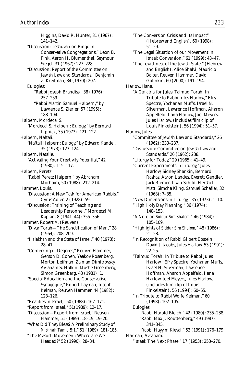Higgins, David R. Hunter, 31 (1967): 141–142. "Discussion: Teshuvah on Bingo in Conservative Congregations," Leon B. Fink, Aaron H. Blumenthal, Seymour Siegel, 31 (1967): 227–228. "Discussion: Report of the Committee on Jewish Law and Standards," Benjamin Z. Kreitman, 34 (1970): 207. Eulogies: "Rabbi Joseph Brandiss," 38 (1976): 257–259. "Rabbi Martin Samuel Halpern," by Lawrence S. Zierler, 57 (1995): 188–194. Halpern, Mordecai S. "Mordecai S. Halpern: Eulogy," by Bernard Lipnick, 35 (1973): 121–122. Halpern, Naftali. "Naftali Halpern: Eulogy," by Edward Kandel, 35 (1973): 123–124. Halpern, Natalie. "Activating Your Creativity Potential," 42 (1980): 115–117. Halpern, Peretz. "Rabbi Peretz Halpern," by Abraham Morhaim, 50 (1988): 212–214. Hammer, Louis. "Discussion: A New Task for American Rabbis," Cyrus Adler, 2 (1928): 59. "Discussion: Training of Teaching and Leadership Personnel," Mordecai M. Kaplan, 8 (1941–44): 355–356. Hammer, Robert A. (Reuven) "D'var Torah—The Sanctification of Man," 28 (1964): 208–209. "*Halakhah* and the State of Israel," 40 (1978): 28–41. "Conferring of Degrees," Reuven Hammer, Gerson D. Cohen, Yaakov Rosenberg, Morton Leifman, Zalman Dimitrovsky, Avraham S. Halkin, Moshe Greenberg, Simon Greenberg, 43 (1981): 1. "Special Education and the Conservative Synagogue," Robert Layman, Joseph Kelman, Reuven Hammer, 44 (1982): 123–126. "Realities in Israel," 50 (1988): 167–171. "Report from Israel," 51(1989): 12–17. "Discussion—Report from Israel," Reuven Hammer, 51 (1989): 18–19, 19–20. "What Did They Bless? A Preliminary Study of *Mishnah Tamid* 5:1," 51 (1989): 181–185. "The Masorti Movement: Where are We Headed?" 52 (1990): 28–34.

"The Conversion Crisis and Its Impact" (Hebrew and English), 60 (1998): 51–59. "The Legal Situation of our Movement in Israel: Conversion," 61 (1999): 43–47. "The Jewishness of the Jewish State," (Hebrew and English). Alice Shalvi, Mauricio Balter, Reuven Hammer, David Golinkin, 60 (2000): 191–194. Harlow, Ilana. "A *Gematria* for Jules: Talmud Torah: In Tribute to Rabbi Jules Harlow," Efry Spectre, Yochanan Muffs, Israel N. Silverman, Lawrence Hoffman, Aharon Appelfeld, Ilana Harlow, Joel Meyers, Jules Harlow, (includes film clip of Louis Finkelstein), 56 (1994): 51–57. Harlow, Jules. "Committee of Jewish Law and Standards," 26 (1962): 233–237. "Discussion: Committee on Jewish Law and Standards," 26 (1962): 238. "Liturgy for Today," 29 (1965): 41–49. "Current Experiments in Liturgy," Jules Harlow, Sidney Shankin, Bernard Raskas, Aaron Landes, Everett Gendler, Jack Riemer, Irwin Schild, Hershel Matt, Simcha Kling, Samuel Schafler, 32 (1968): 7–35. "New Dimensions in Liturgy," 35 (1973): 1–10. "High Holy Day Planning," 36 (1974): 148–153. "A Note on *Siddur Sim Shalom,"* 46 (1984): 105–109. "Highlights of *Siddur Sim Shalom,"* 48 (1986): 21–28. "In Recognition of Rabbi Gilbert Epstein," David J. Jacobs, Jules Harlow, 53 (1991):  $22-25$ "Talmud Torah: In Tribute to Rabbi Jules Harlow," Efry Spectre, Yochanan Muffs, Israel N. Silverman, Lawrence Hoffman, Aharon Appelfeld, Ilana Harlow, Joel Meyers, Jules Harlow, (includes film clip of Louis Finkelstein), 56 (1994): 60–65. "In Tribute to Rabbi Wolfe Kelman," 60 (1998): 102–105. Eulogies: "Rabbi Harold Bleich," 42 (1980): 235–238. "Rabbi Max J. Routtenberg," 49 (1987): 341–345. "Rabbi Hayyim Kieval," 53 (1991): 176–179. Harman, Avraham. "Israel: The Next Phase," 17 (1953): 253–270.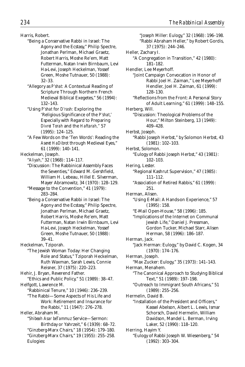Harris, Robert.

- "Being a Conservative Rabbi in Israel: The Agony and the Ecstasy," Philip Spectre, Jonathan Perlman, Michael Graetz, Robert Harris, Moshe Re'em, Matt Futterman, Natan Irwin Birnbaum, Levi Ha-Levi, Joseph Heckelman, Yossef Green, Moshe Tutnauer, 50 (1988): 32–33.
- "Allegory as *P'shat:* A Contextual Reading of Scripture Through Northern French Medieval Biblical Exegetes," 56 (1994): 132–143.
- "Using *P'shat* for *D'rash:* Exploring the 'Religious Significance of the *P'shat*,' Especially with Regard to Preparing *Divrei Torah* and the *Haftarah,"* 57 (1995): 124–125.
- "A Few Words on the 'Ten Words': Reading the *Aseret HaDibrot* through Medieval Eyes," 61 (1999): 140–141.

Heckelman, Joseph.

"*Aliyah*," 32 (1968): 114–117.

- "Discussion: The Rabbinical Assembly Faces the Seventies," Edward M. Gershfield, William H. Lebeau, Hillel E. Silverman, Mayer Abramowitz, 34 (1970): 128–129.
- "Message to the Convention," 41 (1979): 283–284.
- "Being a Conservative Rabbi in Israel: The Agony and the Ecstasy," Philip Spectre, Jonathan Perlman, Michael Graetz, Robert Harris, Moshe Re'em, Matt Futterman, Natan Irwin Birnbaum, Levi Ha-Levi, Joseph Heckelman, Yossef Green, Moshe Tutnauer, 50 (1988): 39–41.

Heckelman, Tziporah.

- "The Jewish Woman Today: Her Changing Role and Status," Tziporah Heckelman, Ruth Waxman, Sarah Lewis, Connie Reisner, 37 (1975): 220–223.
- Hehir, J. Bryan, Reverend Father.
- "Ethics and Public Policy," 51 (1989): 38–47. Helfgott, Lawrence M.
	- "Rabbinical Tenure," 10 (1946): 236–239.
	- "The Rabbi—Some Aspects of His Life and Work: Retirement and Insurance for the Rabbi," 11 (1947): 276–278.

Heller, Abraham M. "*Shibeah Asar beTammuz* Service—Sermon: Birthday or Yahrzeit," 6 (1939): 68–72. "Ginzberg-Marx Chairs," 18 (1954): 179–180. "Ginzberg-Marx Chairs," 19 (1955): 255–258. Eulogies:

"Joseph Miller: Eulogy," 32 (1968): 196–198. "Rabbi Abraham Heller," by Robert Gordis, 37 (1975): 244–246. Heller, Zachary I. "A Congregation in Transition," 42 (1980): 181–182. Hendler, Lee Meyerhoff. "Joint Campaign Convocation in Honor of Rabbi Joel H. Zaiman," Lee Meyerhoff Hendler, Joel H. Zaiman, 61 (1999): 128–130. "Reflections from the Front: A Personal Story of Adult Learning," 61 (1999): 148–155. Herberg, Will. "Discussion: Theological Problems of the Hour," Milton Steinberg, 13 (1949): 409–428. Herbst, Joseph. "Rabbi Joseph Herbst," by Solomon Herbst, 43 (1981): 102–103. Herbst, Solomon. "Eulogy of Rabbi Joseph Herbst," 43 (1981): 102–103. Hering, Lester. "Regional Kashrut Supervision," 47 (1985): 111–112. "Association of Retired Rabbis," 61 (1999): 251. Herman, Alisen. "Using E-Mail: A Hands-on Experience," 57 (1995): 158. "E-Mail Open-House," 58 (1996): 185. "Implications of the Internet on Communal Jewish Life," Daniel J. Pressman, Gordon Tucker, Michael Starr, Alisen Herman, 58 (1996): 186–187. Herman, Jack. "Jack Herman: Eulogy," by David C. Kogen, 34 (1970): 174–176. Herman, Joseph. "Max Zucker: Eulogy," 35 (1973): 141–143. Herman, Menahem. "The Canonical Approach to Studying Biblical Text," 51 (1989): 197–198. "Outreach to Immigrant South Africans," 51 (1989): 255–256. Hermelin, David B. "Installation of the President and Officers," Kassel Abelson, Albert L. Lewis, Ismar Schorsch, David Hermelin, William Davidson, Mandel L. Berman, Irving Laker, 52 (1990): 118–120. Herring, Hayim Y. "Eulogy of Rabbi Joseph W. Wiesenberg," 54 (1992): 303–304.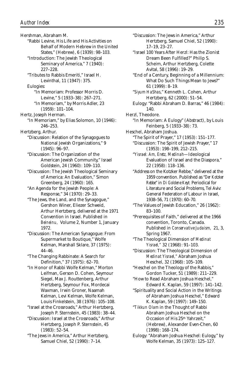Hershman, Abraham M. "Rabbi Levine, His Life and His Activities on Behalf of Modern Hebrew in the United States," (Hebrew), 6 (1939): 98–103. "Introduction: The Jewish Theological Seminary of America," 7 (1940): 227–228. "Tributes to Rabbis Emeriti," Israel H. Levinthal, 11 (1947): 375. Eulogies: "In Memoriam: Professor Morris D. Levine," 5 (1933–38): 267–271. "In Memoriam," by Morris Adler, 23 (1959): 101–104. Hertz, Joseph Herman. "In Memoriam," by Elias Solomon, 10 (1946): 246–253. Hertzberg, Arthur. "Discussion: Relation of the Synagogues to National Jewish Organizations," 9 (1945): 96–97. "Discussion: The Organization of the American Jewish Community," Israel Goldstein, 24 (1960): 109–110. "Discussion: The Jewish Theological Seminary of America: An Evaluation," Simon Greenberg, 24 (1960): 165. "An Agenda for the Jewish People: A Response," 34 (1970): 29–33. "The Jews, the Land, and the Synagogue," Gershon Winer, Eliezer Schweid, Arthur Hertzberg, delivered at the 1971 Convention in Israel. Published in *Beineinu,* Volume 2, Number 1, January 1972. "Discussion: The American Synagogue: From Supermarket to Boutique," Wolfe Kelman, Marshall Sklare, 37 (1975): 44–46. "The Changing Rabbinate: A Search for Definition," 37 (1975): 62–70. "In Honor of Rabbi Wolfe Kelman," Morton Leifman, Gerson D. Cohen, Seymour Siegel, Max J. Routtenberg, Arthur Hertzberg, Seymour Fox, Mordecai Waxman, Irwin Groner, Naamah Kelman, Levi Kelman, Wolfe Kelman, Louis Finkelstein, 38 (1976): 105–108. "Israel at the Crossroads," Arthur Hertzberg, Joseph P. Sternstein, 45 (1983): 38–44. "Discussion: Israel at the Crossroads," Arthur Hertzberg, Joseph P. Sternstein, 45 (1983): 52–54.

"The Jews in America," Arthur Hertzberg, Samuel Chiel, 52 (1990): 7–14.

"Discussion: The Jews in America," Arthur Hertzberg, Samuel Chiel, 52 (1990): 17–19, 23–27. "Israel 100 Years After Herzl: Has the Zionist Dream Been Fulfilled?" Philip S. Scheim, Arthur Hertzberg, Colette Avital, 58 (1996): 19–29. "End of a Century, Beginning of a Millennium: What Do Such Things Mean to Jews?" 61 (1999): 8–19. "*Siyum HaShas*," Kenneth L. Cohen, Arthur Hertzberg, 62 (2000): 51–54. Eulogy: "Rabbi Abraham D. Barras," 46 (1984): 140. Herzl, Theodore. "In Memoriam: A Eulogy" (Abstract), by Louis Feinberg, 5 (1933–38): 73. Heschel, Abraham Joshua. "The Spirit of Prayer," 17 (1953): 151–177. "Discussion: The Spirit of Jewish Prayer," 17 (1953): 198–199, 212–215. "*Yisrael: Am, Eretz, Medinah*—Ideological Evaluation of Israel and the Diaspora," 22 (1958): 118–136. "Address on the Kotzker Rebbe," delivered at the 1959 convention. Published as "*Der Kotzker Rebbe*" in *Di Goldene Keyt:* Periodical for Literature and Social Problems, Tel Aviv: General Federation of Labour in Israel, 1938–56, 71 (1970): 60–70. "The Values of Jewish Education," 26 (1962): 83–100. "Prerequisites of Faith," delivered at the 1966 convention, Toronto, Canada. Published in *Conservative Judaism,* 21, 3, Spring 1967. "The Theological Dimension of *Medinat Yisrael,"* 32 (1968): 91–103. "Discussion: The Theological Dimension of *Medinat Yisrael,"* Abraham Joshua Heschel, 32 (1968): 105–109. "Heschel on the Theology of the Rabbis," Gordon Tucker, 51 (1989): 211–229. "How to Read Abraham Joshua Heschel," Edward K. Kaplan, 59 (1997): 141–142. "Spirituality and Social Action in the Writings of Abraham Joshua Heschel," Edward K. Kaplan, 59 (1997): 149–150. "*Tikkun Olam* in the Thought of Rabbi Abraham Joshua Heschel on the Occasion of His 25th Yahrzeit," (Hebrew), Alexander Even-Chen, 60 (1998): 168–174. Eulogy: "Abraham Joshua Heschel: Eulogy," by Wolfe Kelman, 35 (1973): 125–127.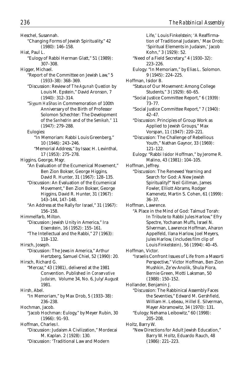Heschel, Susannah. "Changing Forms of Jewish Spirituality," 42 (1980): 146–158. Hiat, Paul L. "Eulogy of Rabbi Herman Glatt," 51 (1989): 307–308. Higger, Michael. "Report of the Committee on Jewish Law," 5 (1933–38): 368–369. "Discussion: Review of *The Agunah Question* by Louis M. Epstein," David Aronson, 7 (1940): 312–314. "*Siyyum HaShas* in Commemoration of 100th Anniversary of the Birth of Professor Solomon Schechter: The Development of the *Sanhedrin* and of the *Semikah,"* 11 (1947): 279–288. Eulogies: "In Memoriam: Rabbi Louis Greenberg," 10 (1946): 243–246. "Memorial Address," by Isaac H. Levinthal, 17 (1953): 275–278. Higgins, George, Msgr. "An Evaluation of the Ecumenical Movement," Ben Zion Bokser, George Higgins, David R. Hunter, 31 (1967): 128–135. "Discussion: An Evaluation of the Ecumenical Movement," Ben Zion Bokser, George Higgins, David R. Hunter, 31 (1967): 143–144, 147–148. "An Address at the Rally for Israel," 31 (1967): 156–158. Himmelfarb, Milton. "Discussion: Jewish Unity in America," Ira Eisenstein, 16 (1952): 155–161. "The Intellectual and the Rabbi," 27 (1963): 118–132. Hirsch, Joseph. "Discussion: The Jews in America," Arthur Hertzberg, Samuel Chiel, 52 (1990): 20. Hirsch, Richard G. "Mercaz," 43 (1981), delivered at the 1981 Convention. Published in *Conservative Judaism,* Volume 34, No. 6, July/August 1981. Hirsh, Abel. "In Memoriam," by Max Drob, 5 (1933–38): 236–238. Hochman, Jacob. "Jacob Hochman: Eulogy," by Meyer Rubin, 30 (1966): 91–93. Hoffman, Charles I. "Discussion: Judaism A Civilization," Mordecai M. Kaplan. 2 (1928): 130. "Discussion: 'Traditional Law and Modern

Life,' Louis Finkelstein; 'A Reaffirmation of Traditional Judaism,' Max Drob; 'Spiritual Elements in Judaism,' Jacob Kohn," 3 (1929): 52. "Need of a Field Secretary," 4 (1930–32): 223–226. Eulogy: "In Memoriam," by Elias L. Solomon. 9 (1945): 224–225. Hoffman, Isidor B. "Status of Our Movement: Among College Students," 3 (1929): 60–65. "Social Justice Committee Report," 6 (1939): 73–77. "Social Justice Committee Report," 7 (1940): 42–47. "Discussion: Principles of Group Work as Applied to Jewish Groups," Max Vorspan, 11 (1947): 220–221. "Discussion: The Challenge of Rebellious Youth," Nathan Gaynor, 33 (1969): 121–122. Eulogy: "Rabbi Isidor Hoffman," by Jerome R. Malino, 43 (1981): 104–105. Hoffman, Jeffrey. "Discussion: The Renewed Yearning and Search for God: A New Jewish Spirituality?" Neil Gillman, James Fowler, Elliott Abrams, Rodger Kamenetz, Martin S. Cohen, 61 (1999): 36–37. Hoffman, Lawrence. "A Place in the Mind of God: Talmud Torah: In Tribute to Rabbi Jules Harlow," Efry Spectre, Yochanan Muffs, Israel N. Silverman, Lawrence Hoffman, Aharon Appelfeld, Ilana Harlow, Joel Meyers, Jules Harlow, (includes film clip of Louis Finkelstein), 56 (1994): 40–45. Hoffman, Victor. "Israelis Confront Issues of Life from a Masorti Perspective," Victor Hoffman, Ben Zion Mushkin, Ze'ev Anolik, Shula Piora, Bernie Green, Motti Laksman, 50 (1988): 150–152. Hollander, Benjamin J. "Discussion: The Rabbinical Assembly Faces the Seventies," Edward M. Gershfield, William H. Lebeau, Hillel E. Silverman, Mayer Abramowitz, 34 (1970): 131. "Eulogy: Nehama Leibowitz," 60 (1998): 205–208. Holtz, Barry W. "New Directions for Adult Jewish Education," Barry W. Holtz, Eduardo Rauch, 48 (1986): 221–223.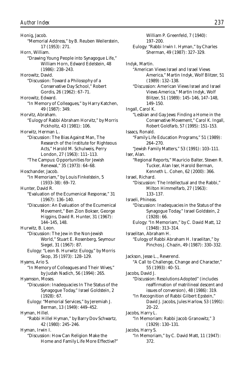Honig, Jacob. "Memorial Address," by B. Reuben Weilerstein, 17 (1953): 271. Horn, William. "Drawing Young People into Synagogue Life," William Horn, Edward Edelstein, 48 (1986): 238–243. Horowitz, David. "Discussion: Toward a Philosophy of a Conservative Day School," Robert Gordis, 26 (1962): 67–71. Horowitz, Edward. "In Memory of Colleagues," by Harry Katchen, 49 (1987): 349. Horvitz, Abraham. "Eulogy of Rabbi Abraham Horvitz," by Morris Pickholtz, 43 (1981): 106. Horwitz, Herman L. "Discussion: The Bias Against Man, The Research of the Institute for Righteous Acts," Harold M. Schulweis, Perry London, 27 (1963): 111–113. "The Campus: Opportunities for Jewish Renewal," 35 (1973): 64–68. Hoschander, Jacob. "In Memoriam," by Louis Finkelstein, 5 (1933–38): 69–72. Hunter, David R. "Evaluation of the Ecumenical Response," 31 (1967): 136–140. "Discussion: An Evaluation of the Ecumenical Movement," Ben Zion Bokser, George Higgins, David R. Hunter, 31 (1967): 144–145, 148. Hurwitz, B. Leon. "Discussion: The Jew in the Non-Jewish World," Stuart E. Rosenberg, Seymour Siegel, 31 (1967): 87. Eulogy: "Leon B. Hurwitz: Eulogy," by Morris Skop, 35 (1973): 128–129. Hyams, Ario S. "In Memory of Colleagues and Their Wives," by Judah Nadich, 56 (1994): 265. Hyamson, Moses. "Discussion: Inadequacies In The Status of the Synagogue Today," Israel Goldstein, 2 (1928): 67. Eulogy: "Memorial Services," by Jeremiah J. Berman, 13 (1949): 449–452. Hyman, Hillel. "Rabbi Hillel Hyman," by Barry Dov Schwartz, 42 (1980): 245–246. Hyman, Irwin I. "Discussion: How Can Religion Make the Home and Family Life More Effective?"

William P. Greenfeld, 7 (1940): 197–200. Eulogy: "Rabbi Irwin I. Hyman," by Charles Sherman, 49 (1987): 327–329. Indyk, Martin. "American Views Israel and Israel Views America," Martin Indyk, Wolf Blitzer, 51 (1989): 132–138. "Discussion: American Views Israel and Israel Views America," Martin Indyk, Wolf Blitzer, 51 (1989): 145–146, 147–148, 149–150. Ingall, Carol K. "Lesbian and Gay Jews: Finding a Home in the Conservative Movement," Carol K. Ingall, Robert Goldfarb, 57 (1995): 151–153. Isaacs, Ronald. "Family Life Education Programs," 51 (1989): 264–270. "Jewish Family Matters," 53 (1991): 103–111. Iser, Alan. "Regional Reports," Mauricio Balter, Steven R. Tucker, Alan Iser, Harold Berman, Kenneth L. Cohen, 62 (2000): 366. Israel, Richard. "Discussion: The Intellectual and the Rabbi," Milton Himmelfarb, 27 (1963): 133–137. Israeli, Phineas. "Discussion: Inadequacies in the Status of the Synagogue Today," Israel Goldstein, 2 (1928): 66. Eulogy: "In Memoriam," by C. David Matt, 12 (1948): 313–314. Israelitan, Abraham H. "Eulogy of Rabbi Abraham H. Israelitan," by Pinchos J. Chazin, 49 (1987): 330–332. Jackson, Jesse L., Reverend. "A Call to Challenge, Change and Character," 55 (1993): 40–51. Jacobs, David J. "Discussion: Resolutions Adopted" (includes reaffirmation of matrilineal descent and issues of conversion), 48 (1986): 319. "In Recognition of Rabbi Gilbert Epstein," David J. Jacobs, Jules Harlow, 53 (1991): 20–22. Jacobs, Harry L. "In Memoriam: Rabbi Jacob Granowitz," 3 (1929): 130–131. Jacobs, Harry S. "In Memoriam," by C. David Matt, 11 (1947): 372.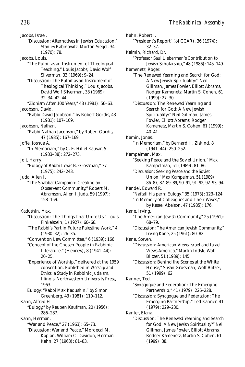Jacobs, Israel. "Discussion: Alternatives in Jewish Education," Stanley Rabinowitz, Morton Siegel, 34 (1970): 78. Jacobs, Louis. "The Pulpit as an Instrument of Theological Teaching," Louis Jacobs, David Wolf Silverman, 33 (1969): 9–24. "Discussion: The Pulpit as an Instrument of Theological Thinking," Louis Jacobs, David Wolf Silverman, 33 (1969): 32–34, 42–44. "Zionism After 100 Years," 43 (1981): 56–63. Jacobson, David. "Rabbi David Jacobson," by Robert Gordis, 43 (1981): 107–109. Jacobson, Nathan. "Rabbi Nathan Jacobson," by Robert Gordis, 47 (1985): 167–169. Joffe, Joshua A. "In Memoriam," by C. E. Hillel Kauvar, 5 (1933–38): 272–273. Jolt, Harry. "Eulogy of Rabbi Lewis B. Grossman," 37 (1975): 242–243. Juda, Allen I. "The Shabbat Campaign: Creating an Observant Community," Robert M. Abramson, Allen I. Juda, 59 (1997): 158–159. Kadushin, Max. "Discussion: The Things That Unite Us," Louis Finkelstein, 1 (1927): 60–66. "The Rabbi's Part in Future Palestine Work," 4 (1930–32): 26–35. "Convention Law Committee," 6 (1939): 166. "Concept of the Chosen People in Rabbinic Literature," (Hebrew), 8 (1941–44): 20–25. "Experience of Worship," delivered at the 1959 convention. Published in *Worship and Ethics:* a Study in Rabbinic Judaism, Illinois: Northwestern University Press, 1963. Eulogy: "Rabbi Max Kadushin," by Simon Greenberg, 43 (1981): 110–112. Kahn, Alfred H. "Eulogy," by Reuben Kaufman, 20 (1956): 286–287. Kahn, Herman. "War and Peace," 27 (1963): 65–73. "Discussion: War and Peace," Mordecai M. Kaplan, William C. Davidon, Herman

Kahn, 27 (1963): 81–83.

Kahn, Robert I. "President's Report" (of CCAR), 36 (1974): 32–37. Kalmin, Richard, Dr. "Professor Saul Lieberman's Contribution to Jewish Scholarship," 48 (1986): 145–149. Kamenetz, Roger. "The Renewed Yearning and Search for God: A New Jewish Spirituality?" Neil Gillman, James Fowler, Elliott Abrams, Rodger Kamenetz, Martin S. Cohen, 61 (1999): 27–30. "Discussion: The Renewed Yearning and Search for God: A New Jewish Spirituality?" Neil Gillman, James Fowler, Elliott Abrams, Rodger Kamenetz, Martin S. Cohen, 61 (1999): 40–41. Kamin, Jonas. "In Memoriam," by Bernard H. Ziskind, 8 (1941–44): 250–252. Kampelman, Max. "Seeking Peace and the Soviet Union," Max Kampelman, 51 (1989): 81–86. "Discussion: Seeking Peace and the Soviet Union," Max Kampelman, 51 (1989): 86–87, 87–89, 89, 90–91, 91–92, 92–93, 94. Kandel, Edward R. "Naftali Halpern: Eulogy," 35 (1973): 123–124. "In Memory of Colleagues and Their Wives," by Kassel Abelson, 47 (1985): 176. Kane, Irving. "The American Jewish Community," 25 (1961): 68–79. "Discussion: The American Jewish Community," Irving Kane, 25 (1961): 80–82. Kane, Steven. "Discussion: American Views Israel and Israel Views America," Martin Indyk, Wolf Blitzer, 51 (1989): 145. "Discussion: Behind the Scenes at the White House," Susan Grossman, Wolf Blitzer, 51 (1999): 62. Kanner, Ted. "Synagogue and Federation: The Emerging Partnership," 41 (1979): 226–228. "Discussion: Synagogue and Federation: The Emerging Partnership," Ted Kanner, 41 (1979): 229–230. Kanter, Elana. "Discussion: The Renewed Yearning and Search for God: A New Jewish Spirituality?" Neil Gillman, James Fowler, Elliott Abrams, Rodger Kamenetz, Martin S. Cohen, 61 (1999): 38.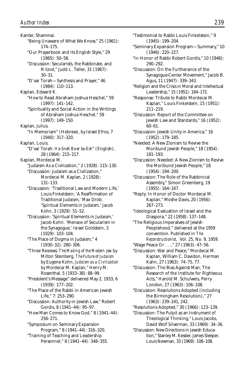Kanter, Shammai. "Being Unaware of What We Know," 25 (1961): 174–175. "Our Prayerbook and Its English Style," 29 (1965): 50–58. "Discussion: Secularists, the Rabbinate, and *Mitzvot*," Judd L. Teller, 31 (1967): 30–31. "D'var Torah—Synthesis and Prayer," 46 (1984): 110–113. Kaplan, Edward K. "How to Read Abraham Joshua Heschel," 59 (1997): 141–142. "Spirituality and Social Action in the Writings of Abraham Joshua Heschel," 59 (1997): 149–150. Kaplan, Julius. "In Memoriam" (Hebrew), by Israel Efros, 7 (1940): 317–320. Kaplan, Louis. "D'var Torah: *Ha-Sneh Bo-er ba-Esh*" (English), 28 (1964): 215–217. Kaplan, Mordecai M. "Judaism As a Civilization," 2 (1928): 115–130. "Discussion: Judaism as a Civilization," Mordecai M. Kaplan, 2 (1928): 131–133. "Discussion: 'Traditional Law and Modern Life,' Louis Finkelstein; 'A Reaffirmation of Traditional Judaism,' Max Drob; 'Spiritual Elements in Judaism,' Jacob Kohn, 3 (1929): 51–52. "Discussion: 'Spiritual Elements in Judaism,' Jacob Kohn. 'Menace of Secularism in the Synagogue,' Israel Goldstein, 3 (1929): 103–104. "The Place of Dogma in Judaism," 4 (1930–32): 280–306. "Three Reviews: *The Making of the Modern Jew* by Milton Steinberg, *The Future of Judaism* by Eugene Kohn, *Judaism as a Civilization* by Mordecai M. Kaplan," Henry M. Rosenthal, 5 (1933–38): 88–99. "President's Message" delivered May 2, 1933, 6 (1939): 177–202. "The Place of the Rabbi in American Jewish Life," 7: 253–290. "Discussion: Authority in Jewish Law," Robert Gordis, 8 (1941–44): 95–97. "How Man Comes to Know God," 8 (1941–44): 256–271. "Symposium on Seminary Expansion Program," 8 (1941–44): 316–320. "Training of Teaching and Leadership Personnel," 8 (1941–44): 348–355.

"Testimonial to Rabbi Louis Finkelstein," 9 (1945): 199–204.

- "Seminary Expansion Program—Summary," 10 (1946): 220–227.
- "In Honor of Rabbi Robert Gordis," 10 (1946): 290–292.

"Discussion: On the Furtherance of the Synagogue-Center Movement," Jacob B. Agus, 11 (1947): 339–343.

"Religion and the Crisis in Moral and Intellectual Leadership," 15 (1951): 164–172.

"Response: Tribute to Rabbi Mordecai M. Kaplan," Louis Finkelstein, 15 (1951): 211–219.

"Discussion: Report of the Committee on Jewish Law and Standards," 16 (1952): 60–61.

"Discussion: Jewish Unity in America," 16 (1952): 179–185.

"Needed: A New Zionism to Revive the Moribund Jewish People," 18 (1954): 181–193.

"Discussion: Needed: A New Zionism to Revive the Moribund Jewish People," 18 (1954): 194–200.

"Discussion: The Role of the Rabbinical Assembly," Simon Greenberg, 19 (1955): 164–167.

"Reply: In Honor of Doctor Mordecai M. Kaplan," Moshe Davis, 20 (1956): 267–273.

"Ideological Evaluation of Israel and the Diaspora," 22 (1958): 137–148.

"The Religious Imperatves of Jewish Peoplehood," delivered at the 1959 convention. Published in *The Reconstructionist,* Vol. 25, No. 9, 1959.

- "Wage Peace Or . . .," 27 (1963): 47–56.
- "Discussion: War and Peace," Mordecai M. Kaplan, William C. Davidon, Herman Kahn, 27 (1963): 74–75, 77.

"Discussion: The Bias Against Man, The Research of the Institute for Righteous Acts," Harold M. Schulweis, Perry London, 27 (1963): 106–108.

"Discussion: Resolutions Adopted (including the Birmingham Resolution)," 27 (1963): 239–241, 242.

- "Resolutions Adopted," 30 (1966): 123–139.
- "Discussion: The Pulpit as an Instrument of Theological Thinking," Louis Jacobs, David Wolf Silverman, 33 (1969): 34–36.

"Discussion: New Directions in Jewish Education," Stanley M. Kessler, James Sleeper, Louis Newman, 33 (1969): 106–108.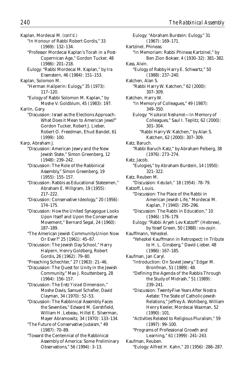Kaplan, Mordecai M. *(cont'd.)* "In Honour of Rabbi Robert Gordis," 33 (1969): 132–134. "Professor Mordecai Kaplan's Torah in a Post-Copernican Age," Gordon Tucker, 48 (1986): 201–218. Eulogy: "Rabbi Mordecai M. Kaplan," by Ira Eisenstern, 46 (1984): 151–153. Kaplan, Solomon M. "Herman Hailperin: Eulogy," 35 (1973): 117–120. "Eulogy of Rabbi Solomon M. Kaplan," by Moshe V. Goldblum, 45 (1983): 197. Karlin, Gary. "Discussion: Israel as the Elections Approach: What Does it Mean to American Jews?" Gordon Tucker, Robert J. Lieber, Robert O. Freedman, Ehud Bandel, 61 (1999): 100. Karp, Abraham J. "Discussion: American Jewry and the New Jewish State," Simon Greenberg, 12 (1948): 239–242. "Discussion: The Role of the Rabbinical Assembly," Simon Greenberg, 19 (1955): 155–157. "Discussion: Rabbis as Educational Statesmen," Abraham E. Millgram, 19 (1955): 217–222. "Discussion: Conservative Ideology," 20 (1956): 174–175. "Discussion: How the United Synagogue Looks Upon Itself and Upon the Conservative Movement," Bernard Segal, 24 (1960): 187–189. "The American Jewish Community-Union Now Or Ever?" 25 (1961): 45–67. "Discussion: The Jewish Day School," Harry Halpern, Henry Goldberg, Robert Gordis, 26 (1962): 79–80. "Preaching Schechter," 27 (1963): 21–46. "Discussion: The Quest for Unity in the Jewish Community," Max J. Routtenberg, 28 (1964): 156–157. "Discussion: The *Eretz Yisrael* Dimension," Moshe Davis, Samuel Schafler, David Clayman, 34 (1970): 52–53. "Discussion: The Rabbinical Assembly Faces the Seventies," Edward M. Gershfield, William H. Lebeau, Hillel E. Silverman, Mayer Abramowitz, 34 (1970): 133–134. "The Future of Conservative Judaism," 49 (1987): 70–89. "Toward the Centennial of the Rabbinical Assembly of America: Some Preliminary Observations," 56 (1994): 3–13.

Eulogy: "Abraham Burstein: Eulogy," 31 (1967): 169–171. Kartzinel, Phineas. "In Memoriam: Rabbi Phineas Kartzinel," by Ben Zion Bokser, 4 (1930–32): 381–382. Kass, Alvin. "Eulogy of Rabby Harry E. Schwartz," 50 (1988): 237–240. Katchen, Alan S. "Rabbi Harry W. Katchen," 62 (2000): 307–309. Katchen, Harry W. "In Memory of Colleagues," 49 (1987): 349–350. Eulogy: "*Hazkarat Neshamot*—In Memory of Colleagues," Saul I. Teplitz, 62 (2000): 301–304. "Rabbi Harry W. Katchen," by Alan S. Katchen, 62 (2000): 307–309. Katz, Baruch. "Rabbi Baruch Katz," by Abraham Pelberg, 38 (1976): 273–274. Katz, Jacob. "Eulogies," by Abraham Burstein, 14 (1950): 321–322. Katz, Reuben M. "Discussion: *Ketubah,"* 18 (1954): 78–79. Katzoff, Louis. "Discussion: The Place of the Rabbi in American Jewish Life," Mordecai M. Kaplan, 7 (1940): 295–296. "Discussion: The Rabbi in Education," 10 (1946): 176–179. Eulogy: "Rabbi Aryeh Lev Katzoff" (Hebrew), by Yosef Green, 50 (1988): *vov-zayin.* Kauffmann, Yehezkel. "Yehezkel Kauffmann in Retrospect: In Tribute to H. L. Ginsberg," David Lieber, 48 (1986): 167–185. Kaufman, Jan Caryl. "Introduction: On Soviet Jewry," Edgar M. Bronfman, 51 (1989): 48. "Defining the Agenda of the Rabbis Through the Study of Midrash," 51 (1989): 239–241. "Discussion: Twenty-Five Years After Nostra Aetate: The State of Catholic-Jewish Relations," Jeffrey A. Wohlberg, William Henry Keeler, Mordecai Waxman, 52 (1990): 101. "Activities Related to Religious Pluralism," 59 (1997): 99–100. "Programs of Professional Growth and Learning," 61 (1999): 241–243. Kaufman, Reuben. "Eulogy: Alfred H. Kahn," 20 (1956): 286–287.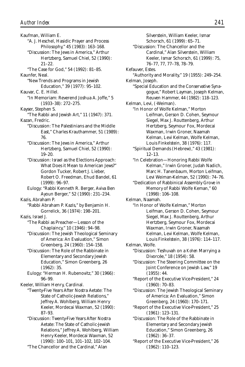Kaufman, William E. "A. J. Heschel, Hasidic Prayer and Process Philosophy," 45 (1983): 163–168. "Discussion: The Jews in America," Arthur Hertzberg, Samuel Chiel, 52 (1990): 21–22. "The Case for God," 54 (1992): 81–85. Kaunfer, Neal. "New Trends and Programs in Jewish Education," 39 (1977): 95–102. Kauvar, C. E. Hillel. "In Memoriam: Reverend Joshua A. Joffe," 5 (1933–38): 272–275. Kayser, Stephen S. "The Rabbi and Jewish Art," 11 (1947): 371. Kazan, Fredric. "Discussion: The Palestinians and the Middle East," Charles Krauthammer, 51 (1989): 76. "Discussion: The Jews in America," Arthur Hertzberg, Samuel Chiel, 52 (1990): 19–20. "Discussion: Israel as the Elections Approach: What Does it Mean to American Jews?" Gordon Tucker, Robert J. Lieber, Robert O. Freedman, Ehud Bandel, 61 (1999): 96–97. Eulogy: "Rabbi Kenneth R. Berger, Aviva Ben Ayoun Berger," 52 (1990): 231–234. Kazis, Abraham P. "Rabbi Abraham P. Kazis," by Benjamin H. Gorrelick, 36 (1974): 198–201. Kazis, Israel J. "The Rabbi as Preacher—Lesson of the Chaplaincy," 10 (1946): 94–98. "Discussion: The Jewish Theological Seminary of America: An Evaluation," Simon Greenberg, 24 (1960): 154–158. "Discussion: The Role of the Rabbinate in Elementary and Secondary Jewish Education," Simon Greenberg, 26 (1962): 35. Eulogy: "Herman H. Rubenovitz," 30 (1966): 96–99. Keeler, William Henry, Cardinal. "Twenty-Five Years After Nostra Aetate: The State of Catholic-Jewish Relations," Jeffrey A. Wohlberg, William Henry Keeler, Mordecai Waxman, 52 (1990): 87–93. "Discussion: Twenty-Five Years After Nostra Aetate: The State of Catholic-Jewish Relations," Jeffrey A. Wohlberg, William Henry Keeler, Mordecai Waxman, 52

(1990): 100–101, 101–102, 102–104. "The Chancellor and the Cardinal," Alan

Silverstein, William Keeler, Ismar Schorsch, 61 (1999): 65–71. "Discussion: The Chancellor and the Cardinal," Alan Silverstein, William Keeler, Ismar Schorsch, 61 (1999): 75, 76–77, 77, 77–78, 78–79. Kefauver, Estes. "Authority and Morality," 19 (1955): 249–254. Kelman, Joseph. "Special Education and the Conservative Synagogue," Robert Layman, Joseph Kelman, Reuven Hammer, 44 (1982): 118–123. Kelman, Levi, (-Weiman). "In Honor of Wolfe Kelman," Morton Leifman, Gerson D. Cohen, Seymour Siegel, Max J. Routtenberg, Arthur Hertzberg, Seymour Fox, Mordecai Waxman, Irwin Groner, Naamah Kelman, Levi Kelman, Wolfe Kelman, Louis Finkelstein, 38 (1976): 117. "Spiritual Demands (Hebrew)," 43 (1981): 12–13. "In Celebration—Honoring Rabbi Wolfe Kelman," Irwin Groner, Judah Nadich, Marc H. Tanenbaum, Morton Leifman, Levi Weiman-Kelman, 52 (1990): 74–76. "Dedication of Rabbinical Assembly Grove in Memory of Rabbi Wolfe Keman," 60 (1998): 106–108. Kelman, Naamah. "In Honor of Wolfe Kelman," Morton Leifman, Gerson D. Cohen, Seymour Siegel, Max J. Routtenberg, Arthur Hertzberg, Seymour Fox, Mordecai Waxman, Irwin Groner, Naamah Kelman, Levi Kelman, Wolfe Kelman, Louis Finkelstein, 38 (1976): 114–117. Kelman, Wolfe. "Discussion: Teshuvah on a *Kohen* Marrying a Divorcée," 18 (1954): 58. "Discussion: The Steering Committee on the Joint Conference on Jewish Law," 19 (1955): 44. "Report of the Executive Vice-President," 24 (1960): 70–83. "Discussion: The Jewish Theological Seminary of America: An Evaluation," Simon Greenberg, 24 (1960): 170–171. "Report of the Executive Vice-President," 25 (1961): 123–131. "Discussion: The Role of the Rabbinate in Elementary and Secondary Jewish Education," Simon Greenberg, 26

> "Report of the Executive Vice-President," 26 (1962): 110–123.

(1962): 36–37.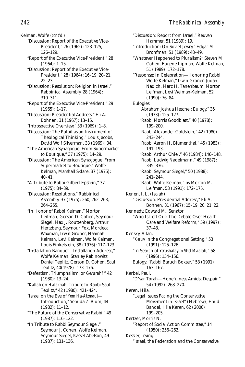Kelman, Wolfe *(cont'd.)*

- "Discussion: Report of the Executive Vice-President," 26 (1962): 123–125, 126–129.
- "Report of the Executive Vice-President," 28 (1964): 1–15.
- "Discussion: Report of the Executive Vice-President," 28 (1964): 16–19, 20–21, 22–23.
- "Discussion: Resolution: Religion in Israel," Rabbinical Assembly, 28 (1964): 310–311.
- "Report of the Executive Vice-President," 29 (1965): 1–17.
- "Discussion: Presidential Address," Eli A. Bohnen, 31 (1967): 13–15.
- "Introspective Overview," 33 (1969): 1–8.
- "Discussion: The Pulpit as an Instrument of Theological Thinking," Louis Jacobs, David Wolf Silverman, 33 (1969): 34.
- "The American Synagogue: From Supermarket to Boutique," 37 (1975): 14–29.
- "Discussion: The American Synagogue: From Supermarket to Boutique," Wolfe Kelman, Marshall Sklare, 37 (1975): 40–41.
- "A Tribute to Rabbi Gilbert Epstein," 37 (1975): 84–89.
- "Discussion: Resolutions," Rabbinical Assembly, 37 (1975): 260, 262–263, 264–265.
- "In Honor of Rabbi Kelman," Morton Leifman, Gerson D. Cohen, Seymour Siegel, Max J. Routtenberg, Arthur Hertzberg, Seymour Fox, Mordecai Waxman, Irwin Groner, Naamah Kelman, Levi Kelman, Wolfe Kelman, Louis Finkelstein, 38 (1976): 117–123.
- "Installation Banquet—Installation Address," Wolfe Kelman, Stanley Rabinowitz, Daniel Teplitz, Gerson D. Cohen, Saul Teplitz, 40(1978): 173–176.
- "Defeatism, Triumphalism, or *Gevurah?* " 42 (1980): 13–24.
- "*Kallah* on *Halakhah:* Tribute to Rabbi Saul Teplitz," 42 (1980): 421–424.
- "Israel on the Eve of *Yom Ha-Atzmaut* Introduction," Yehuda Z. Blum, 44 (1982): 11–12.
- "The Future of the Conservative Rabbi," 49 (1987): 116–122.
- "In Tribute to Rabbi Seymour Siegel," Seymour J. Cohen, Wolfe Kelman, Seymour Siegel, Kassel Abelson, 49 (1987): 131–136.

"Discussion: Report from Israel," Reuven Hammer, 51 (1989): 19. "Introduction: On Soviet Jewry," Edgar M. Bronfman, 51 (1989): 48–49. "Whatever Happened to Pluralism?" Steven M. Cohen, Eugene Lipman, Wolfe Kelman, 51 (1989): 172–178. "Response: In Celebration—Honoring Rabbi Wolfe Kelman," Irwin Groner, Judah Nadich, Marc H. Tanenbaum, Morton Leifman, Levi Weiman-Kelman, 52 (1990): 76–84 Eulogies: "Abraham Joshua Heschel: Eulogy," 35 (1973): 125–127. "Rabbi Morris Goodblatt," 40 (1978): 199–200. "Rabbi Alexander Goldstein," 42 (1980): 243–244. "Rabbi Aaron H. Blumenthal," 45 (1983): 191–193. "Rabbi Arthur Chiel," 46 (1984): 146–148. "Rabbi Ludwig Nadelmann," 49 (1987): 335–336. "Rabbi Seymour Siegel," 50 (1988): 241–244. "Rabbi Wolfe Kelman," by Morton M. Leifman, 53 (1991): 172–175. Kenen, I. L. (Isaiah) "Discussion: Presidential Address," Eli A. Bohnen, 31 (1967): 15–19, 20, 21, 22. Kennedy, Edward M., Senator. "Who Is Left Out: The Debate Over Health Care and Welfare Reform," 59 (1997): 37–43. Kensky, Allan. "*Keruv* in the Congregational Setting," 53 (1991): 125–126. "In Search of *Yerushalayim Shel Maalah,"* 58 (1996): 154–156. Eulogy: "Rabbi Baruch Bokser," 53 (1991): 163–167. Kerbel, Paul. "D'var Torah—Hopefulness Amidst Despair," 54 (1992): 268–270. Keren, Hila. "Legal Issues Facing the Conservative Movement in Israel" (Hebrew), Ehud Bandel, Hila Keren, 62 (2000): 199–205. Kertzer, Morris N. "Report of Social Action Committee," 14 (1950): 256–262. Kessler, Irving. "Israel, the Federation and the Conservative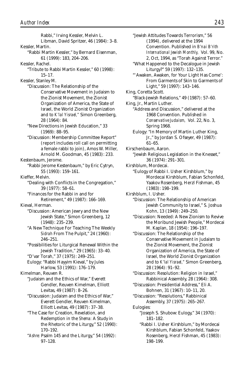Rabbi," Irving Kessler, Melvin L. Libman, David Spritzer, 46 (1984): 3–8. Kessler, Martin. "Rabbi Martin Kessler," by Bernard Eisenman, 61 (1999): 183, 204–206. Kessler, Rachel. "Tribute to Rabbi Martin Kessler," 60 (1998): 15–17. Kessler, Stanley M. "Discussion: The Relationship of the Conservative Movement in Judaism to the Zionist Movement, the Zionist Organization of America, the State of Israel, the World Zionist Organization and to *K'lal Yisrael,"* Simon Greenberg, 28 (1964): 84. "New Directions in Jewish Education," 33 (1969): 88–95. "Discussion: Membership Committee Report" (report includes roll call on permitting a female rabbi to join), Amos W. Miller, Arnold M. Goodman, 45 (1983): 233. Kestenbaum, Jerome. "Rabbi Jerome Kestenbaum," by Eric Cytryn, 55 (1993): 159–161. Kieffer, Melvin. "Dealing with Conflicts in the Congregation," 39 (1977): 58–61. "Finances for the Rabbi in and for Retirement," 49 (1987): 166–169. Kieval, Herman. "Discussion: American Jewry and the New Jewish State," Simon Greenberg, 12 (1948): 235–239. "A New Technique For Teaching The Weekly *Sidrah* From The Pulpit," 24 (1960): 246–251. "Possibilities for Liturgical Renewal Within the Jewish Tradition," 29 (1965): 33–40. "D'var Torah," 37 (1975): 249–251. Eulogy: "Rabbi Hayyim Kieval," by Jules Harlow, 53 (1991): 176–179. Kimelman, Reuven R. "Judaism and the Ethics of War," Everett Gendler, Reuven Kimelman, Elliott Levitas, 49 (1987): 8–26. "Discussion: Judaism and the Ethics of War," Everett Gendler, Reuven Kimelman, Elliott Levitas, 49 (1987): 37–38. "The Case for Creation, Revelation, and Redemption in the *Shema:* A Study in the Rhetoric of the Liturgy," 52 (1990): 170–192. "*Ashre:* Psalm 145 and the Liturgy," 54 (1992): 97–128.

"Jewish Attitudes Towards Terrorism," 56 (1994), delivered at the 1994 Convention. Published in *B'nai B'rith International Jewish Monthly,* Vol. 99, No. 2, Oct, 1994, as "Torah Against Terror." "What Happened to the Decalogue in Jewish Liturgy?" 59 (1997): 132–135.

"'Awaken, Awaken, for Your Light Has Come': From Garments of Skin to Garments of Light," 59 (1997): 143–146.

King, Coretta Scott.

"Black-Jewish Relations," 49 (1987): 57–60. King, Jr., Martin Luther.

"Address and Discussion," delivered at the 1968 Convention. Published in *Conservative Judaism,* Vol. 22, No. 3, Spring 1968.

Eulogy: "In Memory of Martin Luther King, Jr.," by Jordan S. Ofseyer, 49 (1987): 61–65.

Kirschenbaum, Aaron. "Jewish Religious Legislation in the Knesset," 36 (1974): 291–301.

Kirshblum, Mordecai.

"Eulogy of Rabbi I. Usher Kirshblum," by Mordecai Kirshblum, Fabian Schonfeld, Yaakov Rosenberg, Herzl Fishman, 45 (1983): 198–199.

Kirshblum, I. Usher.

"Discussion: The Relationship of American Jewish Community to Israel," S. Joshua Kohn, 13 (1949): 249–250.

"Discussion: Needed: A New Zionism to Revive the Moribund Jewish People," Mordecai M. Kaplan, 18 (1954): 196–197.

"Discussion: The Relationship of the Conservative Movement in Judaism to the Zionist Movement, the Zionist Organization of America, the State of Israel, the World Zionist Organization and to *K'lal Yisrael,"* Simon Greenberg, 28 (1964): 91–92.

"Discussion: Resolution: Religion in Israel," Rabbinical Assembly, 28 (1964): 308.

"Discussion: Presidential Address," Eli A. Bohnen, 31 (1967): 10–11, 20.

"Discussion: "Resolutions," Rabbinical Assembly, 37 (1975): 265–267.

Eulogies:

"Joseph S. Shubow: Eulogy," 34 (1970): 181–182.

"Rabbi I. Usher Kirshblum," by Mordecai Kirshblum, Fabian Schonfeld, Yaakov Rosenberg, Herzl Fishman, 45 (1983): 198–199.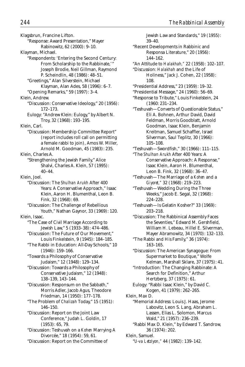Klagsbrun, Francine Lifton.

"Response: Award Presentation," Mayer Rabinowitz, 62 (2000): 9–10.

Klayman, Michael.

- "Respondents: 'Entering the Second Century: From Scholarship to the Rabbinate,' Joseph Brodie, Neil Gillman, Raymond P. Scheindlin, 48 (1986): 48–51.
	- "Greetings," Alan Silverstein, Michael Klayman, Alan Ades, 58 (1996): 6–7.
- "Opening Remarks," 59 (1997): 3–4.

Klein, Andrew.

- "Discussion: Conservative Ideology," 20 (1956): 172–173.
- Eulogy: "Andrew Klein: Eulogy," by Albert N. Troy, 32 (1968): 193–195.

Klein, Carl.

"Discussion: Membership Committee Report" (report includes roll call on permitting a female rabbi to join), Amos W. Miller, Arnold M. Goodman, 45 (1983): 235.

Klein, Charles A.

- "Strengthening the Jewish Family," Alice Shalvi, Charles A. Klein, 57 (1995): 40–44.
- Klein, Joel.
	- "Discussion: The *Shulhan Arukh* After 400 Years: A Conservative Approach," Isaac Klein, Aaron H. Blumenthal, Leon B. Fink, 32 (1968): 69.
	- "Discussion: The Challenge of Rebellious Youth," Nathan Gaynor, 33 (1969): 120.

Klein, Isaac.

- "The Case of Civil Marriage According to Jewish Law," 5 (1933–38): 474–486.
- "Discussion: The Future of Our Movement," Louis Finkelstein, 9 (1945): 184–185.
- "The Rabbi in Education: All-Day Schools," 10 (1946): 159–166.

"Towards a Philosophy of Conservative Judaism," 12 (1948): 129–134.

"Discussion: Towards a Philosophy of Conservative Judaism," 12 (1948): 138–139, 143–144.

- "Discussion: Responsum on the Sabbath," Morris Adler, Jacob Agus, Theodore Friedman, 14 (1950): 177–178.
- "The Problem of *Chalizah* Today," 15 (1951): 146–150.
- "Discussion: Report on the Joint Law Conference," Judah L. Goldin, 17 (1953): 65, 79.
- "Discussion: Teshuvah on a *Kohen* Marrying A Divorcée," 18 (1954): 59, 61.
- "Discussion: Report on the Committee of

Jewish Law and Standards," 19 (1955): 39–40. "Recent Developments in Rabbinic and Responsa Literature," 20 (1956): 144–162. "An Attitude to *Halakhah,"* 22 (1958): 102–107. "Discussion: *Halakhah* and the Life of Holiness," Jack J. Cohen, 22 (1958): 108. "Presidential Address," 23 (1959): 19–32. "Presidential Message," 24 (1960): 56–69. "Response to Tribute," Louis Finkelstein, 24 (1960: 231–234. "Teshuvah—Converts of Questionable Status," Eli A. Bohnen, Arthur David, David Feldman, Morris Goodblatt, Arnold Goodman, Isaac Klein, Benjamin Kreitman, Samuel Schaffler, Israel Silverman, Saul Teplitz, 30 (1966): 105–108. "Teshuvah—Swordfish," 30 (1966): 111–115. "The *Shulhan Arukh* After 400 Years: A Conservative Approach: A Response," Isaac Klein, Aaron H. Blumenthal, Leon B. Fink, 32 (1968): 36–47. "Teshuvah—The Marriage of a *Kohen* and a *Giyoret,"* 32 (1968): 219–223. "Teshuvah—Wedding During the Three Weeks," Jacob E. Segal, 32 (1968): 224–228. "Teshuvah—Is Gelatin Kosher?" 33 (1969): 203–218. "Discussion: The Rabbinical Assembly Faces the Seventies," Edward M. Gershfield, William H. Lebeau, Hillel E. Silverman, Mayer Abramowitz, 34 (1970): 132–133. "The Rabbi and His Family," 36 (1974): 163–165. "Discussion: The American Synagogue: From Supermarket to Boutique," Wolfe Kelman, Marshall Sklare, 37 (1975): 41. "Introduction: The Changing Rabbinate: A Search for Definition," Arthur

Hertzberg, 37 (1975): 61. Eulogy: "Rabbi Isaac Klein," by David C. Kogen, 41 (1979): 262–265.

Klein, Max D. "Memorial Address: Louis J. Haas, Jerome Labovitz, Leon S. Lang, Abraham L. Lassen, Elias L. Solomon, Marcus Wald," 21 (1957): 236–239.

"Rabbi Max D. Klein," by Edward T. Sandrow, 36 (1974): 202.

Klein, Samuel.

"*U-va Letziyon,"* 44 (1982): 139–142.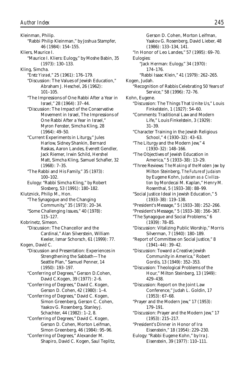Kleinman, Philip. "Rabbi Philip Kleinman," by Joshua Stampfer, 46 (1984): 154–155. Kliers, Maurice I. "Maurice I. Kliers: Eulogy," by Moshe Babin, 35 (1973): 130–133. Kling, Simcha. "*Eretz Yisrael*," 25 (1961): 176–179. "Discussion: The Values of Jewish Education," Abraham J. Heschel, 26 (1962): 101–105. "The Impressions of One Rabbi After a Year in Israel," 28 (1964): 37–44. "Discussion: The Impact of the Conservative Movement in Israel, The Impressions of One Rabbi After a Year in Israel," Myron Fenster, Simcha Kling, 28 (1964): 49–50. "Current Experiments in Liturgy," Jules Harlow, Sidney Shankin, Bernard Raskas, Aaron Landes, Everett Gendler, Jack Riemer, Irwin Schild, Hershel Matt, Simcha Kling, Samuel Schafler, 32 (1968): 7–35. "The Rabbi and His Family," 35 (1973): 100–102. Eulogy: "Rabbi Simcha Kling," by Robert Slosberg, 53 (1991): 180–182. Klutznick, Philip M., Hon. "The Synagogue and the Changing Community," 35 (1973): 20–34. "Some Challenging Issues," 40 (1978): 115–127. Kobrinetz, Simeon. "Discussion: The Chancellor and the Cardinal," Alan Silverstein, William Keeler, Ismar Schorsch, 61 (1999): 77. Kogen, David C. "Discussion and Presentation: Experiences in Strengthening the Sabbath—The Seattle Plan," Samuel Penner, 14 (1950): 193–197. "Conferring of Degrees," Gerson D.Cohen, David C.Kogen, 39 (1977): 2–6. "Conferring of Degrees," David C. Kogen, Gerson D. Cohen, 42 (1980): 1–4. "Conferring of Degrees," David C. Kogen, Simon Greenberg, Gerson C. Cohen, Yaakov G. Rosenberg, Stanley J. Schachter, 44 (1982): 1–2, 8. "Conferring of Degrees," David C. Kogen, Gerson D. Cohen, Morton Leifman, Simon Greenberg, 46 (1984): 95–96. "Conferring of Degrees," Alexander M. Shapiro, David C. Kogen, Saul Teplitz,

Gerson D. Cohen, Morton Leifman, Yaakov G. Rosenberg, David Lieber, 48 (1986): 133–134, 141. "In Honor of Leo Landes," 57 (1995): 69–70. Eulogies: "Jack Herman: Eulogy," 34 (1970): 174–176. "Rabbi Isaac Klein," 41 (1979): 262–265. Kogen, Judah. "Recognition of Rabbis Celebrating 50 Years of Service," 58 (1996): 72–76. Kohn, Eugene. "Discussion: The Things That Unite Us," Louis Finkelstein, 1 (1927): 54–60. "Comments: Traditional Law and Modern Life," Louis Finkelstein, 3 (1929): 31–39. "Character Training in the Jewish Religious School," 4 (1930–32): 43–63. "The Liturgy and the Modern Jew," 4 (1930–32): 148–166. "The Objectives of Jewish Education in America," 5 (1933–38): 13–29. "Three Reviews: *The Making of the Modern Jew* by Milton Steinberg, *The Future of Judaism* by Eugene Kohn, *Judaism as a Civilization* by Mordecai M. Kaplan," Henry M. Rosenthal, 5 (1933–38): 88–99. "Social Justice Ideal in Jewish Education," 5 (1933–38): 119–138. "President's Message," 5 (1933–38): 252–266. "President's Message," 5 (1933–38): 356–367. "The Synagogue and Social Problems," 6 (1939): 78–85. "Discussion: Vitalizing Public Worship," Morris Silverman, 7 (1940): 180–189. "Report of Committee on Social Justice," 8 (1941–44): 39–42. "Discussion: Toward a Creative Jewish Community in America," Robert Gordis, 13 (1949): 352–353. "Discussion: Theological Problems of the Hour," Milton Steinberg, 13 (1949): 429–438. "Discussion: Report on the Joint Law Conference," Judah L. Goldin, 17 (1953): 67–68. "Prayer and the Modern Jew," 17 (1953): 179–191. "Discussion: Prayer and the Modern Jew," 17 (1953): 215–217. "President's Dinner in Honor of Ira Eisenstein," 18 (1954): 229–230. Eulogy: "Rabbi Eugene Kohn," by Ira J. Eisenstein, 39 (1977): 110–111.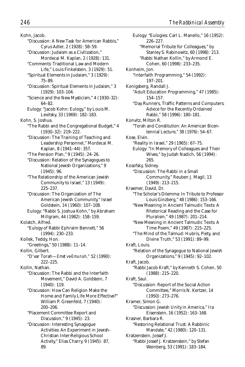Kohn, Jacob. "Discussion: A New Task for American Rabbis," Cyrus Adler, 2 (1928): 58–59. "Discussion: Judaism as a Civilization," Mordecai M. Kaplan, 2 (1928): 131. "Comments: Traditional Law and Modern Life," Louis Finkelstein, 3 (1929): 51. "Spiritual Elements in Judaism," 3 (1929): 75–89. "Discussion: Spiritual Elements in Judaism," 3 (1929): 103–104. "Science and the New Mysticism," 4 (1930–32): 64–82. Eulogy: "Jacob Kohn: Eulogy," by Louis M. Levitsky, 33 (1969): 182–183. Kohn, S. Joshua. "The Rabbi and the Congregational Budget," 4 (1930–32): 219–222. "Discussion: The Training of Teaching and Leadership Personnel," Mordecai M. Kaplan, 8 (1941–44): 357. "The Pension Plan," 9 (1945): 24–26. "Discussion: Relation of the Synagogues to National Jewish Organizations," 9 (1945): 96.

"The Relationship of the American Jewish Community to Israel," 13 (1949): 225–237.

"Discussion: The Organization of The American Jewish Community," Israel Goldstein, 14 (1960): 107–108.

Eulogy: "Rabbi S. Joshua Kohn," by Abraham Millgram, 44 (1982): 158–159.

Kolatch, Alfred. "Eulogy of Rabbi Ephraim Bennett," 56 (1994): 230–233.

Kollek, Teddy, Hon.

"Greetings," 50 (1988): 11–14.

Kollin, Gilbert. "D'var Torah—*Emet ve-Emunah,"* 52 (1990):

222–225.

Kollin, Nathan.

"Discussion: The Rabbi and the Interfaith Movement," David A. Goldstein, 7 (1940): 119.

"Discussion: How Can Religion Make the Home and Family Life More Effective?" William P. Greenfeld, 7 (1940): 200–206.

"Placement Committee Report and Discussion," 9 (1945): 23.

"Discussion: Interesting Synagogue Activities: An Experiment in Jewish-Christian Inter-Religious School Activity," Elias Charry, 9 (1945): 87, 89.

Eulogy: "Eulogies: Carl L. Manello," 16 (1952): 226–227. "Memorial Tribute for Colleagues," by Stanley S. Rabinowitz, 60 (1998): 213. "Rabbi Nathan Kollin," by Armond E. Cohen, 60 (1998): 233–235. Konheim, Jon. "Interfaith Programming," 54 (1992): 197–201. Konigsberg, Randall J. "Adult Education Programming," 47 (1985): 154–157. "Day Runners, Traffic Patterns and Computers: Advice for the Recently Ordained Rabbi," 58 (1996): 180–181. Konvitz, Milton R. "Torah and Constitution: An American Bicentennial Lecture," 38 (1976): 54–67. Kose, Elvin. "Reality in Israel," 29 (1965): 67–75. Eulogy: "In Memory of Colleagues and Their Wives," by Judah Nadich, 56 (1994): 265. Kosofsky, Sidney. "Discussion: The Rabbi in a Small Community," Reuben J. Magil, 13 (1949): 213–215. Kraemer, David, Dr. "The Scholar's Dilemma: In Tribute to Professor Louis Ginzberg," 48 (1986): 153–166. "New Meaning in Ancient Talmudic Texts: A Rhetorical Reading and the Case for Pluralism," 49 (1987): 201–214. "New Meaning in Ancient Talmudic Texts: A Time Poem," 49 (1987): 215–225. "The Mind of the Talmud: Hubris, Piety, and Divine Truth," 53 (1991): 89–99. Kraft, Louis. "Relation of the Synagogue to National Jewish Organizations," 9 (1945): 92–102. Kraft, Jacob. "Rabbi Jacob Kraft," by Kenneth S. Cohen, 50 (1988): 215–220. Kraft, Saul. "Discussion: Report of the Social Action Committee," Morris N. Kertzer, 14 (1950): 273–276. Kramer, Simon G. "Discussion: Jewish Unity in America," Ira Eisenstein, 16 (1952): 163–168. Krasner, Barbara R. "Restoring Relational Trust: A Rabbinic Mandate," 42 (1980): 120–131. Kratzenstein, Jossef J. "Rabbi Jossef J. Kratzenstein," by Stefan Weinberg, 53 (1991): 183–184.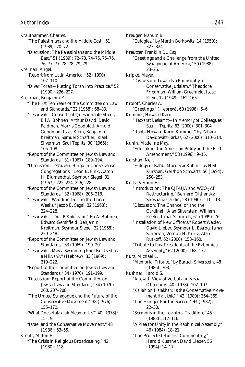Krauthammer, Charles. "The Palestinians and the Middle East," 51 (1989): 70–72. "Discussion: The Palestinians and the Middle East," 51 (1989): 72–73, 74–75, 75–76, 76–77, 77–78, 78–79, 79. Kreiman, Angel. "Report from Latin America," 52 (1990): 107–110. "D'var Torah—Putting Torah into Practice," 52 (1990): 226–227. Kreitman, Benjamin Z. "The First Ten Years of the Committee on Law and Standards," 22 (1958): 68–80. "Teshuvah—Converts of Questionable Status," Eli A. Bohnen, Arthur David, David Feldman, Morris Goodblatt, Arnold Goodman, Isaac Klein, Benjamin Kreitman, Samuel Schaffler, Israel Silverman, Saul Teplitz, 30 (1966): 105–108. "Report of the Committee on Jewish Law and Standards," 31 (1967): 189–194. "Discussion: Teshuvah: Bingo in Conservative Congregations," Leon B. Fink, Aaron H. Blumenthal, Seymour Siegel, 31 (1967): 222–224, 226, 228. "Report of the Committee on Jewish Law and Standards," 32 (1968): 206–218. "Teshuvah—Wedding During the Three Weeks," Jacob E. Segal, 32 (1968): 224–228. "Teshuvah—*T'nai B'Kiddushin,"* Eli A. Bohnen, Edward Gershfield, Benjamin Kreitman, Seymour Siegel, 32 (1968): 229–248. "Report of the Committee on Jewish Law and Standards," 33 (1969): 199–201. "Teshuvah—May a Swimming Pool Be Used as a *Mikvah?*," (Hebrew), 33 (1969): 219–222. "Report of the Committee on Jewish Law and Standards," 34 (1970): 191–199. "Discussion: Report of the Committee on Jewish Law and Standards," 34 (1970): 200, 207–208. "The United Synagogue and the Future of the Conservative Movement," 38 (1976): 155–170. "What Does *Halakhah* Mean to Us?" 40 (1978): 15–19. "Israel and the Conservative Movement," 48 (1986): 53–55. Krents, Milton E. "The Crisis in Religious Broadcasting," 42 (1980): 118.

Kreuger, Nahum B. "Eulogies," by Martin Berkowitz, 14 (1950): 323–324. Kreutzer, Franklin D., Esq. "Greetings and a Challenge from the United Synagogue of America," 50 (1988): 23–25. Kripke, Meyer. "Discussion: Towards a Philosophy of Conservative Judaism," Theodore Friedman, William Greenfeld, Isaac Klein, 12 (1949): 162–165. Kroloff, Charles A. "Greetings," (Hebrew), 60 (1998): 5–6. Kummer, Howard Karol. "*Hazkarat Neshamot*—In Memory of Colleagues," Saul I. Teplitz, 62 (2000): 301–304. "Rabbi Howard Karol Kummer," by Zahara Davidowitz-Farkas, 62 (2000): 310–314. Kunin, Madeline May. "Education, the American Polity and the First Amendment," 58 (1996): 9–15. Kurshan, Neil. "Eulogy of Rabbi Mordecai Rubin," by Neil Kurshan, Gershon Schwartz, 56 (1994): 250–253. Kurtz, Vernon H. "Introduction: The CJF-UJA and WZO-JAFI Restructuring," Bernard Olshansky, Shoshana Cardin, 58 (1996): 111–113. "Discussion: The Chancellor and the Cardinal," Alan Silverstein, William Keeler, Ismar Schorsch, 61 (1999): 76. "Installation of New Officers," Robert Wexler, David Lieber, Seymour L. Essrog, Ismar Schorsch, Vernon H. Kurtz, Alan Rutkoff, 62 (2000): 153–160. "Tribute to Past Presidents of the Rabbinical Assembly," 62 (2000): 168–172. Kurz, Michael L. "Memorial Tribute," by Baruch Silverstein, 48 (1986): 303. Kushner, Harold S. "A Jewish View of Verbal and Visual Obscenity," 40 (1978): 102–107. "*Kallah* on *Halakhah:* Is the Conservative Movement *Halakhic?* " 42 (1980): 364–369. "The Hunger For the Sacred," 44 (1982): 22–30. "Sermons in the Levinthal Tradition," 45 (1983): 112–116. "A Plea for Unity in the Rabbinical Assembly," 46 (1984): 18–21. "The Projected *Humash* Commentary," Harold Kushner, David Lieber, 56 (1994): 14–17.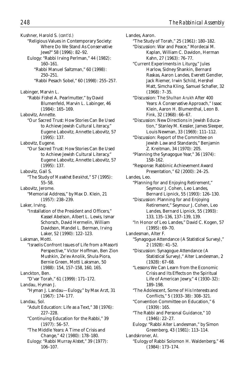Kushner, Harold S. *(cont'd.)* "Religious Values in Contemporary Society: Where Do We Stand As Conservative Jews?" 58 (1996): 82–92. Eulogy: "Rabbi Irving Perlman," 44 (1982): 160–161. "Rabbi Manuel Saltzman," 60 (1998): 250–251. "Rabbi Pesach Sobel," 60 (1998): 255–257. Labinger, Marvin L. "Rabbi Fishel A. Pearlmutter," by David Blumenfeld, Marvin L. Labinger, 46 (1984): 165–169. Labovitz, Annette. "Our Sacred Trust: How Stories Can Be Used to Achieve Jewish Cultural Literacy," Eugene Labovitz, Annette Labovitz, 57 (1995): 137. Labovitz, Eugene. "Our Sacred Trust: How Stories Can Be Used to Achieve Jewish Cultural Literacy," Eugene Labovitz, Annette Labovitz, 57 (1995): 137. Labovitz, Gail S. "The Study of *Masekhet Berakhot*," 57 (1995): 55–58. Labovitz, Jerome. "Memorial Address," by Max D. Klein, 21 (1957): 238–239. Laker, Irving. "Installation of the President and Officers," Kassel Abelson, Albert L. Lewis, Ismar Schorsch, David Hermelin, William Davidson, Mandel L. Berman, Irving Laker, 52 (1990): 122–123. Laksman, Motti. "Israelis Confront Issues of Life from a Masorti Perspective," Victor Hoffman, Ben Zion Mushkin, Ze'ev Anolik, Shula Piora, Bernie Green, Motti Laksman, 50 (1988): 154, 157–158, 160, 165. Lanckton, Ben. "D'var Torah," 61 (1999): 171–172. Landau, Hyman J. "Hyman J. Landau—Eulogy," by Max Arzt, 31 (1967): 174–177. Landau, Sol. "Adult Education: Life as a Text," 38 (1976): 227–228. "Continuing Education for the Rabbi," 39 (1977): 56–57. "The Middle Years: A Time of Crisis and Change," 42 (1980): 178–180. Eulogy: "Rabbi Murray Alstet," 39 (1977): 106–107.

Landes, Aaron.

"The Study of Torah," 25 (1961): 180–182.

- "Discussion: War and Peace," Mordecai M. Kaplan, William C. Davidon, Herman Kahn, 27 (1963): 76–77.
- "Current Experiments in Liturgy," Jules Harlow, Sidney Shankin, Bernard Raskas, Aaron Landes, Everett Gendler, Jack Riemer, Irwin Schild, Hershel Matt, Simcha Kling, Samuel Schafler, 32 (1968): 7–35.
- "Discussion: The *Shulhan Arukh* After 400 Years: A Conservative Approach," Isaac Klein, Aaron H. Blumenthal, Leon B. Fink, 32 (1968): 66–67.
- "Discussion: New Directions in Jewish Education," Stanley M. Kessler, James Sleeper, Louis Newman, 33 (1969): 111–112.
- "Discussion: Report of the Committee on Jewish Law and Standards," Benjamin Z. Kreitman, 34 (1970): 205.
- "Planning the Synagogue Year," 36 (1974): 158–162.
- "Response: Rabbinic Achievement Award Presentation," 62 (2000): 24–25.
- Landes, Leo.
	- "Planning for and Enjoying Retirement," Seymour J. Cohen, Leo Landes, Bernard Lipnick, 55 (1993): 126–130.
	- "Discussion: Planning for and Enjoying Retirement," Seymour J. Cohen, Leo Landes, Bernard Lipnick, 55 (1993): 133, 135–136, 137–139, 139.
	- "In Honor of Leo Landes," David C. Kogen, 57 (1995): 69–70.
- Landesman, Alter F. "Synagogue Attendance (A Statistical Survey)," 2 (1928): 41–52.
	- "Discussion: Synagogue Attendance (A Statistical Survey)," Alter Landesman, 2 (1928): 67–68.
	- "Lessons We Can Learn from the Economic Crisis and Its Effects on the Spiritual Life of American Jewry," 4 (1930–32): 189–198.
	- "The Adolescent, Some of His Interests and Conflicts," 5 (1933–38): 308–321.
	- "Convention Committee on Education," 6 (1939): 165.
	- "The Rabbi and Personal Guidance," 10 (1946): 22–27.
	- Eulogy: "Rabbi Alter Landesman," by Simon Greenberg, 43 (1981): 113–114.
- Landskroner, Al.
- "Eulogy of Rabbi Solomon H. Waldenberg," 46 (1984): 173–174.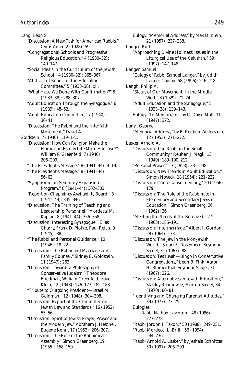Lang, Leon S. "Discussion: A New Task for American Rabbis," Cyrus Adler, 2 (1928): 59. "Congregational Schools and Progressive Religious Education," 4 (1930–32): 140–147. "Social Ideals in the Curriculum of the Jewish School," 4 (1930–32): 365–367. "Abstract of Report of the Education Committee," 5 (1933–38): xii. "What Have We Done With Confirmation?" 5 (1933–38): 288–307. "Adult Education Through the Synagogue," 6 (1939): 48–62. "Adult Education Committee," 7 (1940): 36–41. "Discussion: The Rabbi and the Interfaith Movement," David A. Goldstein, 7 (1940): 119–121. "Discussion: How Can Religion Make the Home and Family Life More Effective?" William P. Greenfeld, 7 (1940): 206–209. "The President's Message," 8 (1941–44): 4–19. "The President's Message," 8 (1941–44): 56–63. "Symposium on Seminary Expansion Program," 8 (1941–44): 302–303. "Report on Chaplaincy Availability Board," 8 (1941–44): 345–346. "Discussion: The Training of Teaching and Leadsership Personnel," Mordecai M. Kaplan, 8 (1941–44): 356–358. "Discussion: Interesting Synagogue," Elias Charry, Frank D. Plotke, Paul Reich, 9 (1945): 88. "The Rabbi and Personal Guidance," 10 (1946): 18–22. "Discussion: The Rabbi and Marriage and Family Counsel," Sidney E. Goldstein, 11 (1947): 263. "Discussion: Towards a Philosophy of Conservative Judaism," Theodore Friedman, William Greenfeld, Isaac Klein, 12 (1948): 176–177, 182–183. "Tribute to Outgoing President—Israel M. Goldman," 12 (1948): 304–308. "Discussion: Report of the Committee on Jewish Law and Standards," 16 (1952): 55–56. "Discussion: Spirit of Jewish Prayer, Prayer and the Modern Jew," Abraham J. Heschel, Eugene Kohn, 17 (1953): 206–207. "Discussion: The Role of the Rabbinical Assembly," Simon Greenberg, 19 (1955): 158–159.

Eulogy: "Memorial Address," by Max D. Klein, 21 (1957): 237–238. Langer, Ruth. "Approaching Divine Holiness: Issues in the Liturgical Use of the *Kedushah,"* 59 (1997): 147–148. Langer, Samuel. "Eulogy of Rabbi Samuel Langer," by Judith Langer Caplan, 58 (1996): 216–218. Langh, Philip A. "Status of Our Movement: In the Middle West," 3 (1929): 71–74. "Adult Education and the Synagogue," 5 (1933–38): 139–143. Eulogy: "In Memoriam," by C. David Matt, 11 (1947): 372. Lanyi, George. "Memorial Address," by B. Reuben Weilerstein, 17 (1953): 271–272. Lasker, Arnold A. "Discussion: The Rabbi in the Small Community," Reuben J. Magil, 13 (1949): 189–190, 212. "Personal Prayer," 17 (1953): 231–238. "Discussion: New Trends in Adult Education," Simon Noveck, 18 (1954): 221–222. "Discussion: Conservative Ideology," 20 (1956): 179. "Discussion: The Role of the Rabbinate in Elementary and Secondary Jewish Education," Simon Greenberg, 26 (1962): 36. "Meeting the Needs of the Bereaved," 27 (1963): 185–191. "Discussion: Intermarriage," Albert I. Gordon, 28 (1964): 173. "Discussion: The Jew in the Non-Jewish World," Stuart E. Rosenberg, Seymour Siegel, 31 (1967): 88. "Discussion: Teshuvah—Bingo in Conservative Congregations," Leon B. Fink, Aaron H. Blumenthal, Seymour Siegel, 31 (1967): 226. "Discussion: Alternatives in Jewish Education," Stanley Rabinowitz, Morton Siegel, 34 (1970): 80–81. "Identifying and Changing Parental Attitudes," 39 (1977): 73–75. Eulogies: "Rabbi Nathan Levinson," 48 (1986): 277–278. "Rabbi Jordon I. Taxon," 50 (1988): 249–251. "Rabbi Mordecai L. Brill," 56 (1994): 234–236. "Rabbi Arnold A. Lasker," by Jeshaia Schnitzer, 59 (1997): 206–209.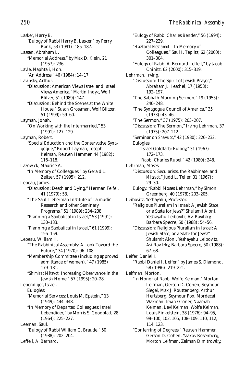Lasker, Harry B. "Eulogy of Rabbi Harry B. Lasker," by Perry Rank, 53 (1991): 185–187. Lassen, Abraham L. "Memorial Address," by Max D. Klein, 21 (1957): 236. Lavie, Naphtali, Hon. "An Address," 46 (1984): 14–17. Lavinsky, Arthur. "Discussion: American Views Israel and Israel Views America," Martin Indyk, Wolf Blitzer, 51 (1989): 147. "Discussion: Behind the Scenes at the White House," Susan Grossman, Wolf Blitzer, 51 (1999): 59–60. Layman, Jonah. "On Working with the Intermarried," 53 (1991): 127–129. Layman, Robert. "Special Education and the Conservative Synagogue," Robert Layman, Joseph Kelman, Reuven Hammer, 44 (1982): 116–118. Lazowick, Maurice A. "In Memory of Colleagues," by Gerald L. Zelizer, 57 (1995): 212. Lebeau, James. "Discussion: Death and Dying," Herman Feifel, 41 (1979): 53. "The Saul Lieberman Institute of Talmudic Research and other Seminary Programs," 51 (1989): 234–238. "Planning a Sabbatical in Israel," 53 (1991): 130–133. "Planning a Sabbatical in Israel," 61 (1999): 156–159. Lebeau, William H. "The Rabbinical Assembly: A Look Toward the Future," 34 (1970): 96–108. "Membership Committee (including approved admittance of women)," 47 (1985): 179–181. "*Sh'mirat Mitzvot:* Increasing Observance in the Jewish Home," 57 (1995): 20–28. Lebendiger, Israel. Eulogies: "Memorial Services: Louis M. Epstein," 13 (1949): 444–448. "In Memory of Departed Colleagues: Israel Lebendiger," by Morris S. Goodblatt, 28 (1964): 225–227. Leeman, Saul. "Eulogy of Rabbi William G. Braude," 50 (1988): 202–204. Leffell, A. Bernard.

"Eulogy of Rabbi Charles Bender," 56 (1994): 227–229. "*Hazkarat Neshamot*—In Memory of Colleagues," Saul I. Teplitz, 62 (2000): 301–304. "Eulogy of Rabbi A. Bernard Leffell," by Jacob Chinitz, 62 (2000): 315–319. Lehrman, Irving. "Discussion: The Spirit of Jewish Prayer," Abraham J. Heschel, 17 (1953): 192–197. "The Sabbath Morning Sermon," 19 (1955): 240–248. "The Synagogue Council of America," 35 (1973): 43–46. "The Sermon," 37 (1975): 203–207. "Discussion: The Sermon," Irving Lehrman, 37 (1975): 207–212. "Seminar on *Shavuot*," 42 (1980): 226–232. Eulogies: "Israel Goldfarb: Eulogy," 31 (1967): 172–173. "Rabbi Charles Rubel," 42 (1980): 248. Lehrman, Moses. "Discussion: Secularists, the Rabbinate, and *Mitzvot*," Judd L. Teller, 31 (1967): 29–30. Eulogy: "Rabbi Moses Lehrman," by Simon Greenberg, 40 (1978): 203–205. Leibovitz, Yeshayahu, Professor. "Religious Pluralism in Israel: A Jewish State, or a State for Jews?" Shulamit Aloni, Yeshayahu Leibovitz, Avi Ravitzky, Barbara Specre, 50 (1988): 54–56. "Discussion: Religious Pluralism in Israel: A Jewish State, or a State for Jews?" Shulamit Aloni, Yeshayahu Leibovitz, Avi Ravitzky, Barbara Specre, 50 (1988): 67–68. Leifer, Daniel I. "Rabbi Daniel I. Leifer," by James S. Diamond, 58 (1996): 219–221. Leifman, Morton. "In Honor of Rabbi Wolfe Kelman," Morton Leifman, Gerson D. Cohen, Seymour Siegel, Max J. Routtenberg, Arthur Hertzberg, Seymour Fox, Mordecai Waxman, Irwin Groner, Naamah Kelman, Levi Kelman, Wolfe Kelman, Louis Finkelstein, 38 (1976): 94–95, 99–100, 102, 105, 108–109, 110, 112, 114, 123. "Conferring of Degrees," Reuven Hammer, Gerson D. Cohen, Yaakov Rosenberg, Morton Leifman, Zalman Dimitrovsky,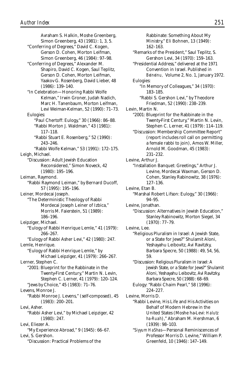Avraham S. Halkin, Moshe Greenberg, Simon Greenberg, 43 (1981): 1, 3, 5. "Conferring of Degrees," David C. Kogen, Gerson D. Cohen, Morton Leifman, Simon Greenberg, 46 (1984): 97–98. "Conferring of Degrees," Alexander M. Shapiro, David C. Kogen, Saul Teplitz, Gerson D. Cohen, Morton Leifman, Yaakov G. Rosenberg, David Lieber, 48 (1986): 139–140. "In Celebration—Honoring Rabbi Wolfe Kelman," Irwin Groner, Judah Nadich, Marc H. Tanenbaum, Morton Leifman, Levi Weiman-Kelman, 52 (1990): 71–73. Eulogies: "Paul Chertoff: Eulogy," 30 (1966): 86–88. "Rabbi Morton J. Waldman," 43 (1981): 117–118. "Rabbi Stuart E. Rosenberg," 52 (1990): 243–246. "Rabbi Wolfe Kelman," 53 (1991): 172–175. Leigh, Michael. "Discussion: Adult Jewish Education Reconsidered," Simon Noveck, 42 (1980): 195–196. Leiman, Raymond. "Rabbi Raymond Leiman," by Bernard Ducoff, 57 (1995): 195–196. Leiner, Mordecai Joseph. "The Deterministic Theology of Rabbi Mordecai Joseph Leiner of Izbica," Morris M. Faierstein, 51 (1989): 186–196. Leipziger, Michael. "Eulogy of Rabbi Henrique Lemle," 41 (1979): 266–267. "Eulogy of Rabbi Asher Levi," 42 (1980): 247. Lemle, Henrique. "Eulogy of Rabbi Henrique Lemle," by Michael Leipziger, 41 (1979): 266–267. Lerner, Stephen C. "2001: Blueprint for the Rabbinate in the Twenty-First Century," Martin N. Levin, Stephen C. Lerner, 41 (1979): 120–124. "Jews by Choice," 45 (1983): 71–76. Levens, Monroe J. "Rabbi Monroe J. Levens," (self-composed), 45 (1983): 200–201. Levi, Asher. "Rabbi Asher Levi," by Michael Leipziger, 42 (1980): 247. Levi, Eliezer A. "My Experience Abroad," 9 (1945): 66–67. Levi, S. Gershon. "Discussion: Practical Problems of the

Rabbinate: Something About My Ministry," Eli Bohnen, 13 (1949): 162–163. "Remarks of the President," Saul Teplitz, S. Gershon Levi, 34 (1970): 159–163. "Presidential Address," delivered at the 1971 Convention in Israel. Published in *Beineinu,* Volume 2, No. 1, January 1972. Eulogies: "In Memory of Colleagues," 34 (1970): 183–185. "Rabbi S. Gershon Levi," by Theodore Friedman, 52 (1990): 238–239. Levin, Martin N. "2001: Blueprint for the Rabbinate in the Twenty-First Century," Martin N. Levin, Stephen C. Lerner, 41 (1979): 114–119. "Discussion: Membership Committee Report" (report includes roll call on permitting a female rabbi to join), Amos W. Miller, Arnold M. Goodman, 45 (1983): 231–232. Levine, Arthur J. "Installation Banquet: Greetings," Arthur J. Levine, Mordecai Waxman, Gerson D. Cohen, Stanley Rabinowitz, 38 (1976): 127–136. Levine, Etan B. "Marshal Robert Lifson: Eulogy," 30 (1966): 94–95. Levine, Jonathan. "Discussion: Alternatives in Jewish Education," Stanley Rabinowitz, Morton Siegel, 34 (1970): 77–79. Levine, Lee. "Religious Pluralism in Israel: A Jewish State, or a State for Jews?" Shulamit Aloni, Yeshayahu Leibovitz, Avi Ravitzky, Barbara Specre, 50 (1988): 49, 54, 56, 59. "Discussion: Religious Pluralism in Israel: A Jewish State, or a State for Jews?" Shulamit Aloni, Yeshayahu Leibovitz, Avi Ravitzky, Barbara Specre, 50 (1988): 68–69. Eulogy: "Rabbi Chaim Pearl," 58 (1996): 224–227. Levine, Morris D. "Rabbi Levine, His Life and His Activities on Behalf of Modern Hebrew in the United States (Moshe ha-Levi: *Halutz ha-Ruah*)," Abraham M. Hershman, 6 (1939): 98–103. "*Siyyum HaShas*—Personal Reminiscences of Professor Morris D. Levine," William P. Greenfeld, 10 (1946): 147–149.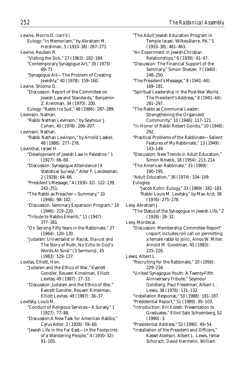Levine, Morris D. *(cont'd.)* Eulogy: "In Memoriam," by Abraham M. Hershman, 5 (1933–38): 267–271. Levine, Reuben R. "Visiting the Sick," 27 (1963): 182–184. "Contemporary Synagogue Art," 35 (1973): 69–71. "Synagogue Art—The Problem of Creating Jewishly," 40 (1978): 159–160. Levine, Shlomo D. "Discussion: Report of the Committee on Jewish Law and Standards," Benjamin Z. Kreitman, 34 (1970): 200. Eulogy: "Rabbi Ira Sud," 48 (1986): 287–289. Levinson, Nathan. "Rabbi Nathan Levinson," by Seymour J. Cohen, 40 (1978): 206–207. Levinson, Nathan. "Rabbi Nathan Levinson," by Arnold Lasker, 48 (1986): 277–278. Levinthal, Israel H. "Development of Jewish Law in Palestine," 1 (1927): 66–69. "Discussion: Synagogue Attendance (A Statistical Survey)," Alter F. Landesman, 2 (1928): 64–66. "President's Message," 4 (1930–32): 122–139, 243–251. "The Rabbi as Preacher—Summary," 10 (1946): 98–102. "Discussion: Seminary Expansion Program," 10 (1946): 219–220. "Tribute to Rabbis Emeriti," 11 (1947): 377–381. "On Serving Fifty Years in the Rabbinate," 27 (1964): 120–130. "Judaism: Universalist or Racist, *Shavuot* and The Story of Ruth, No Echo to God's Words At Sinai" (3 Sermons), 45 (1983): 129–137. Levitas, Elliott, Hon. "Judaism and the Ethics of War," Everett Gendler, Reuven Kimelman, Elliott Levitas, 49 (1987): 27–33. "Discussion: Judaism and the Ethics of War," Everett Gendler, Reuven Kimelman, Elliott Levitas, 49 (1987): 36–37. Levitsky, Louis M. "Conduct of Religious Services—A Survey," 1 (1927): 77–88. "Discussion:A New Task for American Rabbis," Cyrus Adler, 2 (1928): 59–60. "Jewish Life in the Far East—In the Footprints of a Wandering People," 4 (1930–32): 91–105.

"The Adult Jewish Education Program in Temple Israel, Wilkes-Barre, PA," 5 (1933–38): 461–463. "An Experiment in Jewish-Christian Relationships," 6 (1939): 41–47. "Discussion: The Financial Support of the Seminary," Simon Shetzer, 7 (1940): 248–250. "The President's Message," 8 (1941–44): 169–181. "Spiritual Leadership in the Post-War World, The President's Address," 8 (1941–44): 281–297. "The Rabbi as Communal Leader: Strengthening the Organized Community," 10 (1946): 117–121. "In Honor of Rabbi Robert Gordis," 10 (1946): 292. "Practical Problems of the Rabbinate—Salient Features of My Rabbinate," 13 (1949): 143–149. "Discussion: New Trends in Adult Education," Simon Noveck, 18 (1954): 213, 214. "The American Rabbinate," 33 (1969): 190–195. "Adult Education," 36 (1974): 104–109. Eulogies: "Jacob Kohn: Eulogy," 33 (1969): 182–183. "Rabbi Louis M. Levitsky," by Max Arzt, 38 (1976): 275–278. Levy, Abraham J. "The Status of the Synagogue in Jewish Life," 2 (1928): 28–32. Levy, Mordecai. "Discussion: Membership Committee Report" (report includes roll call on permitting a female rabbi to join), Amos W. Miller, Arnold M. Goodman, 45 (1983): 225–226. Lewis, Albert L. "Recruiting for the Rabbinate," 20 (1956): 229–234. "United Synagogue Youth: A Twenty-Fifth Anniversary Tribute," Seymour Goldberg, Paul Freedman, Albert L. Lewis, 38 (1976): 131–132. "Installation Response," 50 (1988): 181–187. "Presidential Report," 51 (1989): 95–103. "Introduction: *Brit Kodesh:* Presentation to Graduates," Elliot Salo Schoenberg, 52 (1990): 3. "Presidential Address," 52 (1990): 49–54. "Installation of the President and Officers," Kassel Abelson, Albert L. Lewis, Ismar Schorsch, David Hermelin, William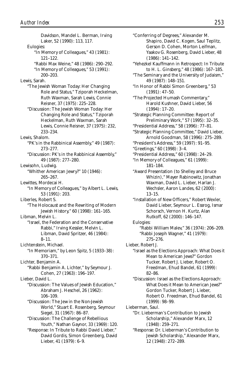Davidson, Mandel L. Berman, Irving Laker, 52 (1990): 113, 117. Eulogies: "In Memory of Colleagues," 43 (1981): 121–122. "Rabbi Max Weine," 48 (1986): 290–292. "In Memory of Colleagues," 53 (1991): 200–203. Lewis, Sarah. "The Jewish Woman Today: Her Changing Role and Status," Tziporah Heckelman, Ruth Waxman, Sarah Lewis, Connie Reisner, 37 (1975): 225–228. "Discussion: The Jewish Woman Today: Her Changing Role and Status," Tziporah Heckelman, Ruth Waxman, Sarah Lewis, Connie Reisner, 37 (1975): 232, 233–234. Lewis, Shalom. "PK's in the Rabbinical Assembly," 49 (1987): 273–277. "Discussion: PK's in the Rabbinical Assembly," 49 (1987): 277–280. Lewisohn, Ludwig. "Whither American Jewry?" 10 (1946): 265–267. Lewittes, Mordecai H. "In Memory of Colleagues," by Albert L. Lewis, 53 (1991): 203. Liberles, Robert S. "The Holocaust and the Rewriting of Modern Jewish History," 60 (1998): 161–165. Libman, Melvin L. "Israel, the Federation and the Conservative Rabbi," Irving Kessler, Melvin L. Libman, David Spritzer, 46 (1984): 8–11. Lichtenstein, Michael. "In Memoriam," by Leon Spitz, 5 (1933–38): 370–371. Lichter, Benjamin A. "Rabbi Benjamin A. Lichter," by Seymour J. Cohen, 27 (1963): 196–197. Lieber, David L. "Discussion: The Values of Jewish Education," Abraham J. Heschel, 26 (1962): 106–109. "Discussion: The Jew in the Non-Jewish World," Stuart E. Rosenberg, Seymour Siegel, 31 (1967): 86–87. "Discussion: The Challenge of Rebellious Youth," Nathan Gaynor, 33 (1969): 120. "Response: In Tribute to Rabbi David Lieber," David Gordis, Simon Greenberg, David Lieber, 41 (1979): 6–9.

"Conferring of Degrees," Alexander M. Shapiro, David C. Kogen, Saul Teplitz, Gerson D. Cohen, Morton Leifman, Yaakov G. Rosenberg, David Lieber, 48 (1986): 141–142. "Yehezkel Kauffmann in Retrospect: In Tribute to H. L. Ginsberg," 48 (1986): 167–185. "The Seminary and the University of Judaism," 49 (1987): 148–151. "In Honor of Rabbi Simon Greenberg," 53 (1991): 47–50. "The Projected Humash Commentary," Harold Kushner, David Lieber, 56 (1994): 17–20. "Strategic Planning Committee: Report of Preliminary Work," 57 (1995): 32–35. "Presidential Address," 58 (1996): 77–81. "Strategic Planning Committee," David Lieber, Arnold Goodman, 58 (1996): 275–289. "President's Address," 59 (1997): 91–95. "Greetings," 60 (1998): 3–4. "Presidential Address," 60 (1998): 24–29. "In Memory of Colleagues," 61 (1999): 181–184. "Award Presentation (to Shelley and Bruce Whizin)," Mayer Rabinowitz, Jonathan Waxman, David L. Lieber, Harlan J. Wechsler, Aaron Landes, 62 (2000): 13–15. "Installation of New Officers," Robert Wexler, David Lieber, Seymour L. Essrog, Ismar Schorsch, Vernon H. Kurtz, Alan Rutkoff, 62 (2000): 146–147. Eulogies: "Rabbi William Malev," 36 (1974): 206–209. "Rabbi Joseph Wagner," 41 (1979): 275–276. Lieber, Robert J. "Israel as the Elections Approach: What Does it Mean to American Jews?" Gordon Tucker, Robert J. Lieber, Robert O. Freedman, Ehud Bandel, 61 (1999): 82–86. "Discussion: Israel as the Elections Approach: What Does it Mean to American Jews?" Gordon Tucker, Robert J. Lieber, Robert O. Freedman, Ehud Bandel, 61 (1999): 98–99. Lieberman, Saul. "Dr. Lieberman's Contribution to Jewish Scholarship," Alexander Marx, 12 (1948): 259–271. "Response: Dr. Lieberman's Contribution to Jewish Scholarship," Alexander Marx, 12 (1948): 272–289.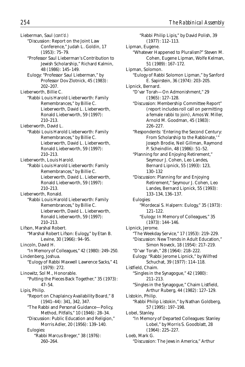Lieberman, Saul *(cont'd.)* "Discussion: Report on the Joint Law Conference," Judah L. Goldin, 17 (1953): 75–79. "Professor Saul Lieberman's Contribution to Jewish Scholarship," Richard Kalmin, 48 (1986): 145–149. Eulogy: "Professor Saul Lieberman," by Professor Dov Zlotnick, 45 (1983): 202–207. Lieberworth, Billie C. "Rabbi Louis Harold Lieberworth: Family Remembrances," by Billie C. Lieberworth, David L. Lieberworth, Ronald Lieberworth, 59 (1997): 210–213. Lieberworth, David L. "Rabbi Louis Harold Lieberworth: Family Remembrances," by Billie C. Lieberworth, David L. Lieberworth, Ronald Lieberworth, 59 (1997): 210–213. Lieberworth, Louis Harold. "Rabbi Louis Harold Lieberworth: Family Remembrances," by Billie C. Lieberworth, David L. Lieberworth, Ronald Lieberworth, 59 (1997): 210–213. Lieberworth, Ronald. "Rabbi Louis Harold Lieberworth: Family Remembrances," by Billie C. Lieberworth, David L. Lieberworth, Ronald Lieberworth, 59 (1997): 210–213. Lifson, Marshal Robert. "Marshal Robert Lifson: Eulogy," by Etan B. Levine, 30 (1966): 94–95. Lincoln, David H. "In Memory of Colleagues," 42 (1980): 249–250. Lindenberg, Joshua. "Eulogy of Rabbi Maxwell Lawrence Sacks," 41 (1979): 272. Linowitz, Sol M., Honorable. "Putting the Pieces Back Together," 35 (1973): 47–54. Lipis, Philip. "Report on Chaplaincy Availability Board," 8 (1941–44): 341, 342, 347. "The Rabbi and Personal Guidance—Policy, Method, Pitfalls," 10 (1946): 28–34. "Discussion: Public Education and Religion," Morris Adler, 20 (1956): 139–140. Eulogies: "Rabbi Marcus Breger," 38 (1976): 260–264.

"Rabbi Philip Lipis," by David Polish, 39 (1977): 112–113. Lipman, Eugene. "Whatever Happened to Pluralism?" Steven M. Cohen, Eugene Lipman, Wolfe Kelman, 51 (1989): 167–172. Lipman, Solomon. "Eulogy of Rabbi Solomon Lipman," by Sanford E. Sapirstein, 36 (1974): 203–205. Lipnick, Bernard. "D'var Torah—On Admonishment," 29 (1965): 127–128. "Discussion: Membership Committee Report" (report includes roll call on permitting a female rabbi to join), Amos W. Miller, Arnold M. Goodman, 45 (1983): 226–227. "Respondents: 'Entering the Second Century: From Scholarship to the Rabbinate,' Joseph Brodie, Neil Gillman, Raymond P. Scheindlin, 48 (1986): 51–52. "Planning for and Enjoying Retirement," Seymour J. Cohen, Leo Landes, Bernard Lipnick, 55 (1993): 123, 130–132 "Discussion: Planning for and Enjoying Retirement," Seymour J. Cohen, Leo Landes, Bernard Lipnick, 55 (1993): 133–134, 136–137. Eulogies: "Mordecai S. Halpern: Eulogy," 35 (1973): 121–122. "Eulogy: In Memory of Colleagues," 35 (1973): 144–146. Lipnick, Jerome. "The Weekday Service," 17 (1953): 219–229. "Discussion: New Trends in Adult Education," Simon Noveck, 18 (1954): 217–219. "D'var Torah," 28 (1964): 218–222. Eulogy: "Rabbi Jerome Lipnick," by Wilfred Schuchat, 39 (1977): 114–118. Listfield, Chaim. "Singles in the Synagogue," 42 (1980): 211–213. "Singles in the Synagogue," Chaim Listfield, Arthur Ruberg, 44 (1982): 127–129. Listokin, Philip. "Rabbi Philip Listokin," by Nathan Goldberg, 57 (1995): 197–198. Lobel, Stanley. "In Memory of Departed Colleagues: Stanley Lobel," by Morris S. Goodblatt, 28 (1964): 225–227. Loeb, Mark G. "Discussion: The Jews in America," Arthur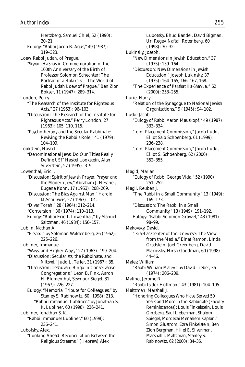Hertzberg, Samuel Chiel, 52 (1990): 20–21. Eulogy: "Rabbi Jacob B. Agus," 49 (1987): 319–323. Loew, Rabbi Judah, of Prague. "*Siyyum HaShas* in Commemoration of the 100th Anniversary of the Birth of Professor Solomon Schechter: The Portrait of a *Halakhist*—The World of Rabbi Judah Loew of Prague," Ben Zion Bokser, 11 (1947): 289–314. London, Perry. "The Research of the Institute for Righteous Acts," 27 (1963): 96–103. "Discussion: The Research of the Institute for Righteous Acts," Perry London, 27 (1963): 105, 110, 115. "Psychotherapy and the Secular Rabbinate: Reviving the Rabbi's Role," 41 (1979): 104–109. Lookstein, Haskel. "Denominational Jews: Do Our Titles Really Define *US*?" Haskel Lookstein, Alan Silverstein, 57 (1995): 3–9. Lowenthal, Eric I. "Discussion: Spirit of Jewish Prayer, Prayer and the Modern Jew," Abraham J. Heschel, Eugene Kohn, 17 (1953): 208–209. "Discussion: The Bias Against Man," Harold M.Schulweis, 27 (1963): 104. "D'var Torah," 28 (1964): 212–214. "Conversion," 36 (1974): 110–113. Eulogy: "Rabbi Eric T. Lowenthal," by Manuel Saltzman, 46 (1984): 156–157. Lublin, Nathan A. "*Hesped*," by Solomon Waldenberg, 26 (1962): 225–226. Lubliner, Immanuel. "Ways, and Higher Ways," 27 (1963): 199–204. "Discussion: Secularists, the Rabbinate, and *Mitzvot*," Judd L. Teller, 31 (1967): 35. "Discussion: Teshuvah: Bingo in Conservative Congregations," Leon B. Fink, Aaron H. Blumenthal, Seymour Siegel, 31 (1967): 226–227. Eulogy: "Memorial Tribute for Colleagues," by Stanley S. Rabinowitz, 60 (1998): 213. "Rabbi Immanuel Lubliner," by Jonathan S. K. Lubliner, 60 (1998): 236–241. Lubliner, Jonathan S. K. "Rabbi Immanuel Lubliner," 60 (1998): 236–241. Lubotsky, Alex. "Looking Ahead: Reconciliation Between the Religious Streams," (Hebrew) Alex

Lubotsky, Ehud Bandel, David Bigman, Uri Regev, Naftali Rotenberg, 60 (1998): 30–32. Lukinsky, Joseph. "New Dimensions in Jewish Education," 37 (1975): 159–164. "Discussion: New Dimensions in Jewish Education," Joseph Lukinsky, 37 (1975): 164–165, 166–167, 168. "The Experience of *Parshat Ha-Shavua,"* 62 (2000): 253–255. Lurie, Harry L. "Relation of the Synagogue to National Jewish Organizations," 9 (1945): 94–102. Luski, Jacob. "Eulogy of Rabbi Aaron Mauskopf," 49 (1987): 333–334. "Joint Placement Commission," Jacob Luski, Elliot Salo Schoenberg, 61 (1999): 236–238. "Joint Placement Commission," Jacob Luski, Elliot S. Schoenberg, 62 (2000): 352–355. Magid, Marian. "Eulogy of Rabbi George Vida," 52 (1990): 251–252. Magil, Reuben J. "The Rabbi in a Small Community," 13 (1949): 169–173. "Discussion: The Rabbi in a Small Community," 13 (1949): 191–192. Eulogy: "Rabbi Solomon Grayzel," 43 (1981): 98–99. Makovsky, David. "Israel as Center of the Universe: The View from the Media," Einat Ramon, Linda Gradstein, Joel Greenberg, David Makovsky, Hirsh Goodman, 60 (1998): 44–46. Malev, William. "Rabbi William Malev," by David Lieber, 36 (1974): 206–209. Malino, Jerome R. "Rabbi Isidor Hoffman," 43 (1981): 104–105. Maltzman, Marshall J. "Honoring Colleagues Who Have Served 50 Years and More in the Rabbinate (Faculty Reminiscences): Louis Finkelstein, Louis Ginzberg, Saul Lieberman, Shalom Spiegel, Mordecai Menahem Kaplan," Simon Glustrom, Ezra Finkelstein, Ben Zion Bergman, Hillel E. Silverman, Marshall J. Maltzman, Stanley S.

Rabinowitz, 62 (2000): 34–36.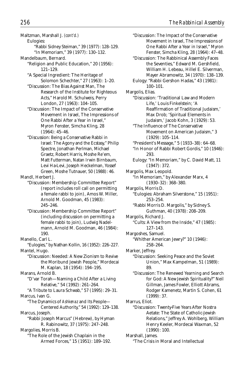- Maltzman, Marshall J. *(cont'd.)*
	- Eulogies: "Rabbi Sidney Steiman," 39 (1977): 128–129. "In Memoriam," 39 (1977): 130–132.
- Mandelbaum, Bernard.
	- "Religion and Public Education," 20 (1956): 121–129.
	- "A Special Ingredient: The Heritage of Solomon Schechter," 27 (1963): 1–20.
	- "Discussion: The Bias Against Man, The Research of the Institute for Righteous Acts," Harold M. Schulweis, Perry London, 27 (1963): 104–105.
	- "Discussion: The Impact of the Conservative Movement in Israel, The Impressions of One Rabbi After a Year in Israel," Myron Fenster, Simcha Kling, 28 (1964): 45–46.
	- "Discussion: Being a Conservative Rabbi in Israel: The Agony and the Ecstasy," Philip Spectre, Jonathan Perlman, Michael Graetz, Robert Harris, Moshe Re'em, Matt Futterman, Natan Irwin Birnbaum, Levi Ha-Levi, Joseph Heckelman, Yossef Green, Moshe Tutnauer, 50 (1988): 46.

Mandl, Herbert J.

- "Discussion: Membership Committee Report" (report includes roll call on permitting a female rabbi to join), Amos W. Miller, Arnold M. Goodman, 45 (1983): 245–246.
- "Discussion: Membership Committee Report" (including discussion on permitting a female rabbi to join), Ludwig Nadelmann, Arnold M. Goodman, 46 (1984): 190.
- "Eulogies," by Nathan Kollin, 16 (1952): 226–227. Mantel, Hugo.
	- "Discussion: Needed: A New Zionism to Revive the Moribund Jewish People," Mordecai M. Kaplan, 18 (1954): 194–195.
- Marans, Arnold B.
	- "D'var Torah—Naming a Child After a Living Relative," 54 (1992): 261–264.
- "A Tribute to Laura Schwab," 57 (1995): 29–31. Marcus, Ivan G.
- "The Dynamics of *Ashkenaz* and Its People— Centered Authority," 54 (1992): 129–138. Marcus, Joseph.
- "Rabbi Joseph Marcus" (Hebrew), by Hyman R. Rabinowitz, 37 (1975): 247–248.
- Margolies, Morris B.
	- "The Role of the Jewish Chaplain in the Armed Forces," 15 (1951): 189–192.
- "Discussion: The Impact of the Conservative Movement in Israel, The Impressions of One Rabbi After a Year in Israel," Myron Fenster, Simcha Kling, 28 (1964): 47–48. "Discussion: The Rabbinical Assembly Faces the Seventies," Edward M. Gershfield, William H. Lebeau, Hillel E. Silverman, Mayer Abramowitz, 34 (1970): 138–139. Eulogy: "Rabbi Gershon Hadas," 43 (1981): 100–101. Margolis, Elias. "Discussion: 'Traditional Law and Modern Life,' Louis Finkelstein; 'A Reaffirmation of Traditional Judaism,' Max Drob; 'Spiritual Elements in Judaism,' Jacob Kohn, 3 (1929): 53. "The Influence of The Conservative Movement on American Judaism," 3 (1929): 105–114. "President's Message," 5 (1933–38): 64–68. "In Honor of Rabbi Robert Gordis," 10 (1946): 293. Eulogy: "In Memoriam," by C. David Matt, 11 (1947): 372. Margolis, Max Leopold. "In Memoriam," by Alexander Marx, 4 (1930–32): 368–380. Margolis, Morris D. "Eulogies: Abraham Silverstone," 15 (1951): 253–254. "Rabbi Morris D. Margolis," by Sidney S. Guthman, 40 (1978): 208–209. Margolis, Richard J. "Cults: A View from the Inside," 47 (1985): 127–143. Margoshes, Samuel. "Whither American Jewry?" 10 (1946): 258–264. Marker, Jeffrey. "Discussion: Seeking Peace and the Soviet Union," Max Kampelman, 51 (1989): 89. "Discussion: The Renewed Yearning and Search for God: A New Jewish Spirituality?" Neil Gillman, James Fowler, Elliott Abrams, Rodger Kamenetz, Martin S. Cohen, 61 (1999): 37. Marrus, Eliot. "Discussion: Twenty-Five Years After Nostra Aetate: The State of Catholic-Jewish Relations," Jeffrey A. Wohlberg, William Henry Keeler, Mordecai Waxman, 52 (1990): 100. Marshall, James. "The Crisis in Moral and Intellectual

Manello, Carl L.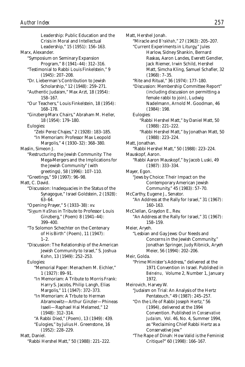Crisis in Moral and Intellectual Leadership," 15 (1951): 156–163. Marx, Alexander. "Symposium on Seminary Expansion Program," 8 (1941–44): 312–316. "Testimonial to Rabbi Louis Finkelstein," 9 (1945): 207–208. "Dr. Lieberman's Contribution to Jewish Scholarship," 12 (1948): 259–271. "Authentic Judaism," Max Arzt, 18 (1954): 158–167. "Our Teachers," Louis Finkelstein, 18 (1954): 168–178. "Ginzberg-Marx Chairs," Abraham M. Heller, 18 (1954): 179–180. Eulogies: "Zebi Perez Chajes," 2 (1928): 183–185. "In Memoriam: Professor Max Leopold Margolis," 4 (1930–32): 368–380. Maslin, Simeon J. "Restructuring the Jewish Community: The Mega-Mergers and the Implications for the Jewish Community" (with greetings), 58 (1996): 107–110. "Greetings," 59 (1997): 96–98. Matt, C. David. "Discussion: Inadequacies in the Status of the Synagogue," Israel Goldstein, 2 (1928): 63–64. "Opening Prayer," 5 (1933–38): xv. "*Siyyum HaShas* in Tribute to Professor Louis Ginzberg," (Poem) 8 (1941–44): 399–400. "To Solomon Schechter on the Centenary of His Birth" (Poem), 11 (1947):  $1-2.$ "Discussion: The Relationship of the American Jewish Community to Israel," S. Joshua Kohn, 13 (1949): 252–253. Eulogies: "Memorial Paper: Menachem M. Eichler," 1 (1927): 89–91. "In Memoriam: A Tribute to Morris Frank: Harry S. Jacobs, Philip Langh, Elias Margolis," 11 (1947): 372–373. "In Memoriam: A Trbute to Herman Abramowitz—Arthur Ginzler—Phineas Isaeli—Raphael Hai Melamed," 12 (1948): 312–314. "A Rabbi Died," (Poem), 13 (1949): 439. "Eulogies," by Julius H. Greenstone, 16 (1952): 228–229. Matt, Daniel. "Rabbi Hershel Matt," 50 (1988): 221–222.

Leadership: Public Education and the

Matt, Hershel Jonah. "Miracle and *B'rakhah*," 27 (1963): 205–207. "Current Experiments in Liturgy," Jules Harlow, Sidney Shankin, Bernard Raskas, Aaron Landes, Everett Gendler, Jack Riemer, Irwin Schild, Hershel Matt, Simcha Kling, Samuel Schafler, 32 (1968): 7–35. "Rite and Ritual," 36 (1974): 177–180. "Discussion: Membership Committee Report" (including discussion on permitting a female rabbi to join), Ludwig Nadelmann, Arnold M. Goodman, 46 (1984): 198. Eulogies: "Rabbi Hershel Matt," by Daniel Matt, 50 (1988): 221–222. "Rabbi Hershel Matt," by Jonathan Matt, 50 (1988): 223–224. Matt, Jonathan. "Rabbi Hershel Matt," 50 (1988): 223–224. Mauskopf, Aaron. "Rabbi Aaron Mauskopf," by Jacob Luski, 49 (1987): 333–334. Mayer, Egon. "Jews by Choice: Their Impact on the Contemporary American Jewish Community," 45 (1983): 57–70. McCarthy, Eugene J., Senator. "An Address at the Rally for Israel," 31 (1967): 160–163. McClellan, Graydon E., Rev. "An Address at the Rally for Israel," 31 (1967): 158–159. Meier, Aryeh. "Lesbian and Gay Jews: Our Needs and Concerns in the Jewish Community," Jonathan Springer, Judy Ribnick, Aryeh Meier, 56 (1994): 202–206. Meir, Golda. "Prime Minister's Address," delivered at the 1971 Convention in Israel. Published in *Beineinu,* Volume 2, Number 1, January 1972. Meirovich, Harvey W. "Judaism on Trial: An Analysis of the Hertz Pentateuch," 49 (1987): 245–257. "On the Life of Rabbi Joseph Hertz," 56 (1994), delivered at the 1994 Convention. Published in *Conservative Judaism,* Vol. 46, No. 4, Summer 1994, as "Reclaiming Chief Rabbi Hertz as a Conservative Jew." "The Rape of Dinah: How Valid is the Feminist Critique?" 60 (1998): 166–167.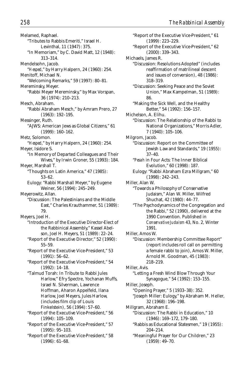Melamed, Raphael. "Tributes to Rabbis Emeriti," Israel H. Levinthal, 11 (1947): 375. "In Memoriam," by C. David Matt, 12 (1948): 313–314. Mendelsohn, Jacob. "*Hesped*," by Harry Halpern, 24 (1960): 254. Menitoff, Michael N. "Welcoming Remarks," 59 (1997): 80–81. Mereminsky, Meyer. "Rabbi Meyer Mereminsky," by Max Vorspan, 36 (1974): 210–213. Mesch, Abraham. "Rabbi Abraham Mesch," by Amram Prero, 27 (1963): 192–195. Messinger, Ruth. "AJWS: American Jews as Global Citizens," 61 (1999): 160–162. Metz, Solomon. "*Hesped*," by Harry Halpern, 24 (1960): 254. Meyer, Isidore S. "In Memory of Departed Colleagues and Their Wives," by Irwin Groner, 55 (1993): 184. Meyer, Marshall T. "Thoughts on Latin America," 47 (1985): 53–62. Eulogy: "Rabbi Marshall Meyer," by Eugene Weiner, 56 (1994): 245–249. Meyerowitz, Allan. "Discussion: The Palestinians and the Middle East," Charles Krauthammer, 51 (1989): 79. Meyers, Joel H. "Introduction of the Executive Director-Elect of the Rabbinical Assembly," Kassel Abelson, Joel H. Meyers, 51 (1989): 22–24. "Report of the Executive Director," 52 (1990): 55–59. "Report of the Executive Vice-President," 53 (1991): 56–62. "Report of the Executive Vice-President," 54 (1992): 14–18. "Talmud Torah: In Tribute to Rabbi Jules Harlow," Efry Spectre, Yochanan Muffs, Israel N. Silverman, Lawrence Hoffman, Aharon Appelfeld, Ilana Harlow, Joel Meyers, Jules Harlow, (includes film clip of Louis Finkelstein), 56 (1994): 57–60. "Report of the Executive Vice-President," 56 (1994): 105–109. "Report of the Executive Vice-President," 57 (1995): 95–103. "Report of the Executive Vice-President," 58

(1996): 61–68.

"Report of the Executive Vice-President," 61 (1999): 223–229. "Report of the Executive Vice-President," 62 (2000): 339–343. Michaels, James R. "Discussion: Resolutions Adopted" (includes reaffirmation of matrilineal descent and issues of conversion), 48 (1986): 318–319. "Discussion: Seeking Peace and the Soviet Union," Max Kampelman, 51 (1989): 86. "Making the Sick Well, and the Healthy Better," 54 (1992): 156–157. Michelson, A. Elihu. "Discussion: The Relationship of the Rabbi to National Organizations," Morris Adler, 7 (1940): 105–106. Milgrom, Jacob. "Discussion: Report on the Committee of Jewish Law and Standards," 19 (1955): 37–40. "*Pesah* in Four Acts: The Inner Biblical Evolution," 60 (1998): 187. Eulogy: "Rabbi Abraham Ezra Millgram," 60 (1998): 242–243. Miller, Alan W. "Towards a Philosophy of Conservative Judaism," Alan W. Miller, Wilfred Shuchat, 42 (1980): 44–77. "The Psychodynamics of the Congregation and the Rabbi," 52 (1990), delivered at the 1990 Convention. Published in *Conservative Judaism* 43, No. 2, Winter 1991. Miller, Amos W. "Discussion: Membership Committee Report" (report includes roll call on permitting a female rabbi to join), Amos W. Miller, Arnold M. Goodman, 45 (1983): 218–219. Miller, Avis. "Letting a Fresh Wind Blow Through Your Synagogue," 54 (1992): 153–155. Miller, Joseph. "Opening Prayer," 5 (1933–38): 352. "Joseph Miller: Eulogy," by Abraham M. Heller, 32 (1968): 196–198. Millgram, Abraham E. "Discussion: The Rabbi in Education," 10 (1946): 169–172, 179–180. "Rabbis as Educational Statesmen," 19 (1955): 204–214. "Meaningful Prayer for Our Children," 23 (1959): 49–70.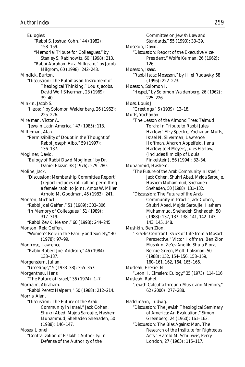Eulogies: "Rabbi S. Joshua Kohn," 44 (1982): 158–159. "Memorial Tribute for Colleagues," by Stanley S. Rabinowitz, 60 (1998): 213. "Rabbi Abraham Ezra Millgram," by Jacob Milgrom, 60 (1998): 242–243. Mindick, Burton. "Discussion: The Pulpit as an Instrument of Theological Thinking," Louis Jacobs, David Wolf Silverman, 23 (1969): 39–40. Minkin, Jacob S. "*Hesped*," by Solomon Waldenberg, 26 (1962): 225–226. Mirelman, Victor A. "Jews in Latin America," 47 (1985): 113. Mittleman, Alan. "Permissibility of Doubt in the Thought of Rabbi Joseph Albo," 59 (1997): 136–137. Mogilner, David. "Eulogy of Rabbi David Mogilner," by Dr. Daniel Elazar, 38 (1976): 279–280. Moline, Jack. "Discussion: Membership Committee Report" (report includes roll call on permitting a female rabbi to join), Amos W. Miller, Arnold M. Goodman, 45 (1983): 241. Monson, Michael. "Rabbi Joel Geffen," 51 (1989): 303–306. "In Memory of Colleagues," 51 (1989): 317–319. "Rabbi Zev K. Nelson," 60 (1998): 244–245. Monson, Rela Geffen. "Women's Role in the Family and Society," 40 (1978): 97–99. Montrose, Lawrence. "Rabbi Robert Joel Addison," 46 (1984): 133–137. Morgenstern, Julian. "Greetings," 5 (1933–38): 355–357. Morgenthau, Hans. "The Future of Israel," 36 (1974): 1–7. Morhaim, Abraham. "Rabbi Peretz Halpern," 50 (1988): 212–214. Morris, Alan. "Discussion: The Future of the Arab Community in Israel," Jack Cohen, Shukri Abed, Majda Saroujie, Hashem Muhammud, Shehadeh Shehadeh, 50 (1988): 146–147. Moses, Lionel. "Centralization of *Halakhic* Authority: In Defense of the Authority of the

Committee on Jewish Law and Standards," 55 (1993): 33–39. Moseson, David. "Discussion: Report of the Executive Vice-President," Wolfe Kelman, 26 (1962): 126. Moseson, Isaac. "Rabbi Isaac Moseson," by Hilel Rudavsky, 58 (1996): 222–223. Moseson, Solomon I. "*Hesped*," by Solomon Waldenberg, 26 (1962): 225–226. Moss, Louis J. "Greetings," 6 (1939): 13–18. Muffs, Yochanan. "The Lesson of the Almond Tree: Talmud Torah: In Tribute to Rabbi Jules Harlow," Efry Spectre, Yochanan Muffs, Israel N. Silverman, Lawrence Hoffman, Aharon Appelfeld, Ilana Harlow, Joel Meyers, Jules Harlow, (includes film clip of Louis Finkelstein), 56 (1994): 32–34. Muhammid, Hashem. "The Future of the Arab Community in Israel," Jack Cohen, Shukri Abed, Majda Saroujie, Hashem Muhammud, Shehadeh Shehadeh, 50 (1988): 131–132. "Discussion: The Future of the Arab Community in Israel," Jack Cohen, Shukri Abed, Majda Saroujie, Hashem Muhammud, Shehadeh Shehadeh, 50 (1988): 137, 137–138, 141, 142–143, 143, 145, 148. Mushkin, Ben Zion. "Israelis Confront Issues of Life from a Masorti Perspective," Victor Hoffman, Ben Zion Mushkin, Ze'ev Anolik, Shula Piora, Bernie Green, Motti Laksman, 50 (1988): 152, 154–156, 158–159, 160–161, 162, 164, 165–166. Musleah, Ezekiel N. "Leon H. Elmaleh: Eulogy," 35 (1973): 114–116. Musleah, Rahel. "Jewish Calcutta through Music and Memory," 62 (2000): 277–288. Nadelmann, Ludwig. "Discussion: The Jewish Theological Seminary of America: An Evaluation," Simon Greenberg, 24 (1960): 161–162. "Discussion: The Bias Against Man, The Research of the Institute for Righteous Acts," Harold M. Schulweis, Perry

London, 27 (1963): 115–117.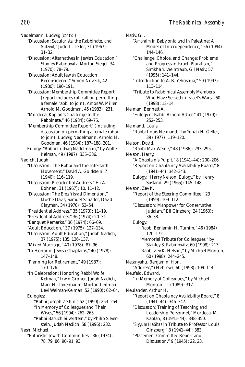Nadelmann, Ludwig *(cont'd.)*

- "Discussion: Secularists, the Rabbinate, and *Mitzvot*," Judd L. Teller, 31 (1967): 31–32.
- "Discussion: Alternatives in Jewish Education," Stanley Rabinowitz, Morton Siegel, 34 (1970): 78–79.
- "Discussion: Adult Jewish Education Reconsidered," Simon Noveck, 42 (1980): 190–191.
- "Discussion: Membership Committee Report" (report includes roll call on permitting a female rabbi to join), Amos W. Miller, Arnold M. Goodman, 45 (1983): 231.
- "Mordecai Kaplan's Challenge to the Rabbinate," 46 (1984): 69–75.
- "Membership Committee Report" (including discussion on permitting a female rabbi to join), Ludwig Nadelmann, Arnold M. Goodman, 46 (1984): 187–188, 201.
- Eulogy: "Rabbi Ludwig Nadelmann," by Wolfe Kelman, 49 (1987): 335–336.

Nadich, Judah.

- "Discussion: The Rabbi and the Interfaith Movement," David A. Goldstein, 7 (1940): 116–119.
- "Discussion: Presidential Address," Eli A. Bohnen, 31 (1967): 10, 11–12.
- "Discussion: The *Eretz Yisrael* Dimension," Moshe Davis, Samuel Schafler, David Clayman, 34 (1970): 53–54.
- "Presidential Address," 35 (1973): 11–19.
- "Presidential Address," 36 (1974): 20–31.
- "Banquet Remarks," 36 (1974): 66–69.
- "Adult Education," 37 (1975): 127–134.
- "Discussion: Adult Education," Judah Nadich, 37 (1975): 135, 136–137.
- "Mixed Marriage," 40 (1978): 87–96.
- "In Honor of Jewish Chaplains," 40 (1978): 147–148.
- "Planning for Retirement," 49 (1987): 170–176.
- "In Celebration: Honoring Rabbi Wolfe Kelman," Irwin Groner, Judah Nadich, Marc H. Tanenbaum, Morton Leifman, Levi Weiman-Kelman, 52 (1990): 62–64.
- Eulogies: "Rabbi Joseph Zeitlin," 52 (1990): 253–254.
	- "In Memory of Colleagues and Their Wives," 56 (1994): 262–265.
	- "Rabbi Baruch Silverstein," by Philip Silverstein, Judah Nadich, 58 (1996): 232.

Nash, Michael.

"Futuristic Jewish Communities," 36 (1974): 78, 79, 86, 90–91, 93.

Nativ, Gil. "*Amoraim* in Babylonia and in Palestine: A Model of Interdependence," 56 (1994): 144–146. "Challenge, Choice, and Change: Problems and Progress in Israeli Pluralism," Simkha Y. Weintraub, Gil Nativ, 57 (1995): 141–144. "Introduction to A. B. Yehoshua," 59 (1997): 113–114. "Tribute to Rabbinical Assembly Members Who Have Served in Israel's Wars," 60 (1998): 13–14. Neiman, Bennett A. "Eulogy of Rabbi Arnold Asher," 41 (1979): 252–253. Neimand, Louis. "Rabbi Louis Neimand," by Yonah H. Geller, 39 (1977): 119–120. Nelson, David. "Rabbi Max Weine," 48 (1986): 293–295. Nelson, Harry. "A Chaplain's Pulpit," 8 (1941–44): 200–206. "Report on Chaplaincy Availability Board," 8 (1941–44): 342–343. Eulogy: "Harry Nelson: Eulogy," by Henry Sosland, 29 (1965): 145–148. Nelson, Zev K. "Report of the Steering Committee," 23 (1959): 109–112. "Discussion: Manpower for Conservative Judaism," Eli Ginzberg, 24 (1960): 36–38. Eulogy: "Rabbi Benjamin H. Tumim," 46 (1984): 170–172. "Memorial Tribute for Colleagues," by Stanley S. Rabinowitz, 60 (1998): 213. "Rabbi Zev K. Nelson," by Michael Monson, 60 (1998): 244–245. Netanyahu, Benjamin, Hon. "Address," (Hebrew), 60 (1998): 109–114. Neufeld, Edward. "In Memory of Colleagues," by Michael Monson, LI (1989): 317. Neulander, Arthur H. "Report on Chaplaincy Availability Board," 8 (1941–44): 346–347. "Discussion: Training of Teaching and Leadership Personnel," Mordecai M. Kaplan, 8 (1941–44): 348–350. "*Siyyum HaShas* in Tribute to Professor Louis Ginzberg," 8 (1941–44): 383. "Placement Committee Report and Discussion," 9 (1945): 22, 23.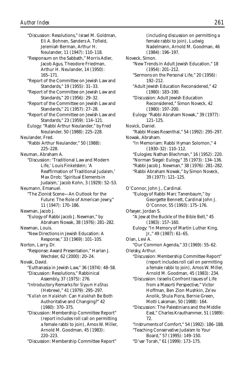"Discussion: Resolutions," Israel M. Goldman, Eli A. Bohnen, Sanders A. Tofield, Jeremiah Berman, Arthur H. Neulander, 11 (1947): 110–118.

"Responsum on the Sabbath," Morris Adler, Jacob Agus, Theodore Friedman, Arthur H. Neulander, 14 (1950): 165–171.

"Report of the Committee on Jewish Law and Standards," 19 (1955): 31–33.

"Report of the Committee on Jewish Law and Standards," 20 (1956): 29–32.

"Report of the Committee on Jewish Law and Standards," 21 (1957): 27–28.

"Report of the Committee on Jewish Law and Standards," 23 (1959): 114–121.

Eulogy: "Rabbi Arthur Neulander," by Fred Neulander, 50 (1988): 225–228.

Neulander, Fred.

"Rabbi Arthur Neulander," 50 (1988): 225–228.

Neuman, Abraham A.

"Discussion: 'Traditional Law and Modern Life,' Louis Finkelstein; 'A Reaffirmation of Traditional Judaism,' Max Drob; 'Spiritual Elements in Judaism,' Jacob Kohn, 3 (1929): 52–53.

Neumann, Emanuel.

"The Zionist Scene—An Outlook for the Future: The Role of American Jewry," 11 (1947): 170–186.

Newman, Jacob J.

"Eulogy of Rabbi Jacob J. Newman," by Abraham Nowak, 38 (1976): 281–282.

Newman, Louis. "New Directions in Jewish Education: A Response," 33 (1969): 101–105.

Norton, Larry, Dr.

"Response: Award Presentation," Harlan J. Wechsler, 62 (2000): 20–24.

Novak, David.

"Euthanasia in Jewish Law," 36 (1974): 48–58. "Discussion: Resolutions," Rabbinical Assembly, 37 (1975): 276.

"Introductory Remarks for *Siyyum HaShas* (Hebrew)," 41 (1979): 295–297.

"*Kallah* on *Halakhah:* Can *Halakhah* Be Both Authoritative and Changing?" 42 (1980): 370–375.

"Discussion: Membership Committee Report" (report includes roll call on permitting a female rabbi to join), Amos W. Miller, Arnold M. Goodman, 45 (1983): 220–223.

"Discussion: Membership Committee Report"

(including discussion on permitting a female rabbi to join), Ludwig Nadelmann, Arnold M. Goodman, 46 (1984): 196–197. Noveck, Simon. "New Trends in Adult Jewish Education," 18 (1954): 201–212. "Sermons on the Personal Life," 20 (1956): 192–212. "Adult Jewish Education Reconsidered," 42 (1980): 183–190. "Discussion: Adult Jewish Education Reconsidered," Simon Noveck, 42 (1980): 197–200. Eulogy: "Rabbi Abraham Nowak," 39 (1977): 121–125. Novick, Daniel. "Rabbi Moses Rosenthal," 54 (1992): 295–297. Nowak, Abraham. "In Memoriam: Rabbi Hyman Solomon," 4 (1930–32): 110–112. "Eulogies: Nathan Blechman," 16 (1952): 220. "Norman Siegel: Eulogy," 35 (1973): 134–136. "Rabbi Jacob J. Newman," 38 (1976): 281–282. "Rabbi Abraham Nowak," by Simon Noveck, 39 (1977): 121–125. O'Connor, John J., Cardinal. "Eulogy of Rabbi Marc Tanenbaum," by Georgette Bennett, Cardinal John J. O'Connor, 55 (1993): 175–176. Ofseyer, Jordan S. "A Jew at the Buckle of the Bible Belt," 45 (1983): 157–160. Eulogy: "In Memory of Martin Luther King, Jr.," 49 (1987): 61–65. Olan, Levi A. "Our Common Agenda," 33 (1969): 55–62. Oleisky, Arthur. "Discussion: Membership Committee Report" (report includes roll call on permitting a female rabbi to join), Amos W. Miller, Arnold M. Goodman, 45 (1983): 234. "Discussion: Israelis Confront Issues of Life from a Masorti Perspective," Victor Hoffman, Ben Zion Mushkin, Ze'ev Anolik, Shula Piora, Bernie Green, Motti Laksman, 50 (1988): 164. "Discussion: The Palestinians and the Middle East," Charles Krauthammer, 51 (1989): 72. "Instruments of Comfort," 54 (1992): 186–188. "Teaching Conservative Judaism to Your Board," 57 (1995): 149–150. "D'var Torah," 61 (1999): 173–175.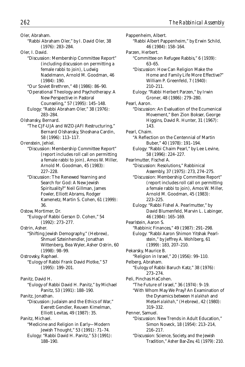Oler, Abraham. "Rabbi Abraham Oler," by I. David Oler, 38 (1976): 283–284. Oler, I. David. "Discussion: Membership Committee Report" (including discussion on permitting a female rabbi to join), Ludwig Nadelmann, Arnold M. Goodman, 46 (1984): 190. "Our Soviet Brethren," 48 (1986): 86–90. "Operational Theology and Psychotherapy: A New Perspective in Pastoral Counseling," 57 (1995): 145–148. Eulogy: "Rabbi Abraham Oler," 38 (1976): 283–284. Olshansky, Bernard. "The CJF-UJA and WZO-JAFI Restructuring," Bernard Olshansky, Shoshana Cardin, 58 (1996): 113–117. Orenstein, Jehiel. "Discussion: Membership Committee Report" (report includes roll call on permitting a female rabbi to join), Amos W. Miller, Arnold M. Goodman, 45 (1983): 227–228. "Discussion: The Renewed Yearning and Search for God: A New Jewish Spirituality?" Neil Gillman, James Fowler, Elliott Abrams, Rodger Kamenetz, Martin S. Cohen, 61 (1999): 36. Ostow, Mortimer, Dr. "Eulogy of Rabbi Gerson D. Cohen," 54 (1992): 273–277. Ostrin, Asher. "Shifting Jewish Demography," (Hebrew), Shmuel Szteinhendler, Jonathan Wittenberg, Bea Wyler, Asher Ostrin, 60 (1998): 98–99. Ostrovsky, Raphael. "Eulogy of Rabbi Frank David Plotke," 57 (1995): 199–201. Panitz, David H. "Eulogy of Rabbi David H. Panitz," by Michael Panitz, 53 (1991): 188–190. Panitz, Jonathan. "Discussion: Judaism and the Ethics of War," Everett Gendler, Reuven Kimelman, Elliott Levitas, 49 (1987): 35. Panitz, Michael. "Medicine and Religion in Early—Modern Jewish Thought," 53 (1991): 71–74. Eulogy: "Rabbi David H. Panitz," 53 (1991): 188–190.

Pappenheim, Albert. "Rabbi Albert Pappenheim," by Erwin Schild, 46 (1984): 158–164. Parzen, Herbert. "Committee on Refugee Rabbis," 6 (1939): 63–65. "Discussion: How Can Religion Make the Home and Family Life More Effective?" William P. Greenfeld, 7 (1940): 210–211. Eulogy: "Rabbi Herbert Parzen," by Irwin Groner, 48 (1986): 279–280. Pearl, Aaron. "Discussion: An Evaluation of the Ecumenical Movement," Ben Zion Bokser, George Higgins, David R. Hunter, 31 (1967): 143. Pearl, Chaim. "A Reflection on the Centennial of Martin Buber," 40 (1978): 191–194. Eulogy: "Rabbi Chaim Pearl," by Lee Levine, 58 (1996): 224–227. Pearlmutter, Fischel A. "Discussion: Resolutions," Rabbinical Assembly, 37 (1975): 273, 274–275. "Discussion: Membership Committee Report" (report includes roll call on permitting a female rabbi to join), Amos W. Miller, Arnold M. Goodman, 45 (1983): 223–225. Eulogy: "Rabbi Fishel A. Pearlmutter," by David Blumenfeld, Marvin L. Labinger, 46 (1984): 165–169. Pearlstein, Aaron S. "Rabbinic Finances," 49 (1987): 291–298. Eulogy: "Rabbi Aaron Shimon Yitshak Pearlstein," by Jeffrey A. Wohlberg, 61 (1999): 183, 207–210. Pekarsky, Maurice B. "Religion in Israel," 20 (1956): 99–110. Pelberg, Abraham. "Eulogy of Rabbi Baruch Katz," 38 (1976): 273–274. Peli, Pinchas HaCohen. "The Future of Israel," 36 (1974): 9–19. "With Whom May We Pray? An Examination of the Dynamics between *Halakhah* and Meta-*Halakhah*," (Hebrew), 42 (1980): 319–332. Penner, Samuel. "Discussion: New Trends in Adult Education," Simon Noveck, 18 (1954): 213–214, 216–217. "Discussion: Science, Society, and the Jewish Tradition," Asher Bar-Zev, 41 (1979): 210.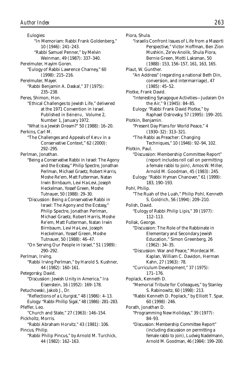Eulogies: "In Memoriam: Rabbi Frank Goldenberg," 10 (1946): 241–243. "Rabbi Samuel Penner," by Melvin Weinman, 49 (1987): 337–340. Perelmuter, Hayim Goren. "Eulogy of Rabbi Lawrence Charney," 60 (1998): 215–216. Perelmuter, Mayer. "Rabbi Benjamin A. Daskal," 37 (1975): 235–238. Peres, Shimon, Hon. "Ethical Challenges to Jewish Life," delivered at the 1971 Convention in Israel. Published in *Beineinu,* Volume 2, Number 1, January 1972. "What is a Jewish Dream?" 50 (1988): 16–20. Perkins, Carl M. "The Challenges and Appeals of *Keruv* in a Conservative Context," 62 (2000): 292–295. Perlman, Jonathan. "Being a Conservative Rabbi in Israel: The Agony and the Ecstasy," Philip Spectre, Jonathan Perlman, Michael Graetz, Robert Harris, Moshe Re'em, Matt Futterman, Natan Irwin Birnbaum, Levi Ha-Levi, Joseph Heckelman, Yossef Green, Moshe Tutnauer, 50 (1988): 29–30. "Discussion: Being a Conservative Rabbi in Israel: The Agony and the Ecstasy," Philip Spectre, Jonathan Perlman, Michael Graetz, Robert Harris, Moshe Re'em, Matt Futterman, Natan Irwin Birnbaum, Levi Ha-Levi, Joseph Heckelman, Yossef Green, Moshe Tutnauer, 50 (1988): 46–47. "On Serving Our People in Israel," 51 (1989): 290–292. Perlman, Irving. "Rabbi Irving Perlman," by Harold S. Kushner, 44 (1982): 160–161. Petegorsky, David. "Discussion: Jewish Unity in America," Ira Eisenstein, 16 (1952): 169–178. Petuchowski, Jakob J., Dr. "Reflections of a Liturgist," 48 (1986): 4–13. Eulogy: "Rabbi Phillip Sigal," 48 (1986): 281–283. Pfeffer, Leo. "Church and State," 27 (1963): 146–154. Pickholtz, Morris. "Rabbi Abraham Horvitz," 43 (1981): 106. Pincus, Philip. "Rabbi Philip Pincus," by Arnold M. Turchick, 44 (1982): 162–163.

Piora, Shula. "Israelis Confront Issues of Life from a Masorti Perspective," Victor Hoffman, Ben Zion Mushkin, Ze'ev Anolik, Shula Piora, Bernie Green, Motti Laksman, 50 (1988): 153, 156–157, 161, 163, 165. Plaut, W. Gunther. "An Address" (regarding a national Beth Din, conversion, and intermarriage), 47 (1985): 45–52. Plotke, Frank David. "Interesting Synagogue Activities—Judaism On the Air," 9 (1945): 84–85. Eulogy: "Rabbi Frank David Plotke," by Raphael Ostrovsky, 57 (1995): 199–201. Plotkin, Benjamin. "Present Day Plans for World Peace," 4 (1930–32): 313–321. "The Rabbi as Preacher: Changing Techniques," 10 (1946): 92–94, 102. Plotkin, Paul. "Discussion: Membership Committee Report" (report includes roll call on permitting a female rabbi to join), Amos W. Miller, Arnold M. Goodman, 45 (1983): 245. Eulogy: "Rabbi Hyman Chanover," 61 (1999): 183, 190–193. Pohl, Philip. "The Ruah of the Luah," Philip Pohl, Kenneth S. Goldrich, 56 (1994): 209–210. Polish, David. "Eulogy of Rabbi Philip Lipis," 39 (1977): 112–113. Pollak, George. "Discussion: The Role of the Rabbinate in Elementary and Secondary Jewish Education," Simon Greenberg, 26 (1962): 34–35. "Discussion: War and Peace," Mordecai M. Kaplan, William C. Davidon, Herman Kahn, 27 (1963): 78. "Curriculum Development," 37 (1975): 171–176. Poplack, Kenneth D. "Memorial Tribute for Colleagues," by Stanley S. Rabinowitz, 60 (1998): 213. "Rabbi Kenneth D. Poplack," by Elliott T. Spar, 60 (1998): 246. Porath, Jonathan D. "Programming New Holidays," 39 (1977): 84–93. "Discussion: Membership Committee Report" (including discussion on permitting a female rabbi to join), Ludwig Nadelmann, Arnold M. Goodman, 46 (1984): 199–200.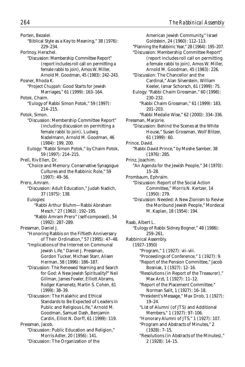Porten, Bezalel. "Biblical Style as a Key to Meaning," 38 (1976): 229–234. Portnoy, Herschel. "Discussion: Membership Committee Report" (report includes roll call on permitting a female rabbi to join), Amos W. Miller, Arnold M. Goodman, 45 (1983): 242–243. Posner, Rhoda K. "Project *Chuppah:* Good Starts for Jewish Marriages," 61 (1999): 163–164. Potok, Chaim. "Eulogy of Rabbi Simon Potok," 59 (1997): 214–215. Potok, Simon. "Discussion: Membership Committee Report" (including discussion on permitting a female rabbi to join), Ludwig Nadelmann, Arnold M. Goodman, 46 (1984): 199, 200. Eulogy: "Rabbi Simon Potok," by Chaim Potok, 59 (1997): 214–215. Prell, Riv Ellen, Dr. "Choice and Memory: Conservative Synagogue Cultures and the Rabbinic Role," 59 (1997): 49–56. Prero, Amram. "Discussion: Adult Education," Judah Nadich, 37 (1975): 138. Eulogies: "Rabbi Arthur Bluhm—Rabbi Abraham Mesch," 27 (1963): 192–195. "Rabbi Amram Prero" (self-composed), 54 (1992): 287–289. Pressman, Daniel J. "Honoring Rabbis on the Fiftieth Anniversary of Their Ordination," 57 (1995): 47–48. "Implications of the Internet on Communal Jewish Life," Daniel J. Pressman, Gordon Tucker, Michael Starr, Alisen Herman, 58 (1996): 186–187. "Discussion: The Renewed Yearning and Search for God: A New Jewish Spirituality?" Neil Gillman, James Fowler, Elliott Abrams, Rodger Kamenetz, Martin S. Cohen, 61  $(1999) \cdot 38 - 39$ "Discussion: The Halakhic and Ethical Standards to Be Expected of Leaders in Public and Religious Life," Arnold M. Goodman, Samuel Dash, Benjamin Cardin, Elliot N. Dorff, 61 (1999): 119. Pressman, Jacob. "Discussion: Public Education and Religion," Morris Adler, 20 (1956): 141. "Discussion: The Organization of the

American Jewish Community," Israel Goldstein, 24 (1960): 112–113. "Planning the Rabbinic Year," 28 (1964): 195–207. "Discussion: Membership Committee Report" (report includes roll call on permitting a female rabbi to join), Amos W. Miller, Arnold M. Goodman, 45 (1983): 226. "Discussion: The Chancellor and the Cardinal," Alan Silverstein, William Keeler, Ismar Schorsch, 61 (1999): 75. Eulogy: "Rabbi Chaim Grossman," 60 (1998): 230–232. "Rabbi Chaim Grossman," 61 (1999): 183, 201–203. "Rabbi Medalie Wise," 62 (2000): 334–336. Pressman, Marjorie. "Discussion: Behind the Scenes at the White House," Susan Grossman, Wolf Blitzer, 61 (1999): 60. Prince, David. "Rabbi David Prince," by Moshe Samber, 38 (1976): 285. Prinz, Joachim. "An Agenda for the Jewish People," 34 (1970): 15–28. Prombaum, Ephraim. "Discussion: Report of the Social Action Committee," Morris N. Kertzer, 14 (1950): 279. "Discussion: Needed: A New Zionism to Revive the Moribund Jewish People," Mordecai M. Kaplan, 18 (1954): 194. Raab, Albert L. "Eulogy of Rabbi Sidney Bogner," 48 (1986): 259–261. Rabbinical Assembly. (1927–1950) "Program," 1 (1927): vii–viii. "Proceedings of Conference," 1 (1927): 9. "Report of the Pension Committee," Jacob Bosniak, 1 (1927): 12–16. "Resolutions (in Report of the Treasurer)," Max Arzt, 1 (1927): 11–12. "Report of the Placement Committee," Norman Salit, 1 (1927): 16–18. "President's Message," Max Drob, 1 (1927): 19–24. "List of Alumni (of JTS) and Additional Members," 1 (1927): 97–106. "Honorary Alumni of JTS," 1 (1927): 107. "Program and Abstracts of Minutes," 2 (1928): 7–15. "Resolutions (in Abstracts of the Minutes)," 2 (1928): 14–15.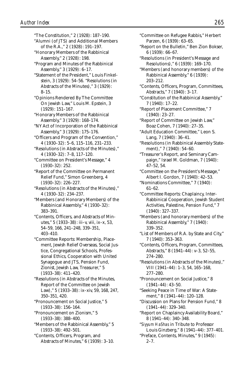8–15.

383–391.

"The Constitution," 2 (1928): 187–190. "Alumni (of JTS) and Additional Members of the R.A.," 2 (1928): 191–197. "Honorary Members of the Rabbinical Assembly," 2 (1928): 198. "Program and Minutes of the Rabbinical Assembly," 3 (1929): 6–17. "Statement of the President," Louis Finkelstein, 3 (1929): 54–56. "Resolutions (in Abstracts of the Minutes)," 3 (1929): "Opinions Rendered By The Committee On Jewish Law," Louis M. Epstein, 3 (1929): 151–167. "Honorary Members of the Rabbinical Assembly," 3 (1929): 168–174. "NY Act of Incorporation of the Rabbinical Assembly," 3 (1929): 175–176. "Officers and Program of the Convention," 4 (1930–32): 5–6, 115–116, 231–233. "Resolutions (in Abstracts of the Minutes)," 4 (1930–32): 7–8, 117–120. "Committee on President's Message," 4 (1930–32): 252. "Report of the Committee on Permanent Relief Fund," Simon Greenberg, 4 (1930–32): 226–227. "Resolutions (in Abstracts of the Minutes)," 4 (1930–32): 234–237. "Members (and Honorary Members) of the Rabbinical Assembly," 4 (1930–32): *Author Index 265*

"Contents, Officers, and Abstracts of Minutes," 5 (1933–38): iii–v, viii, ix–x, 53, 54–59, 166, 241–248, 339–351, 403–410.

"Committee Reports: Membership, Placement, Jewish Relief Overseas, Social Justice, Congregational Schools, Professional Ethics, Cooperation with United Synagogue and JTS, Pension Fund, Zionist, Jewish Law, Treasurer," 5 (1933–38): 411–420.

"Resolutions (in Abstracts of the Minutes, Report of the Committee on Jewish Law)," 5 (1933–38): ix–xiv, 59, 168, 247, 350–351, 420.

"Pronouncement on Social Justice," 5 (1933–38): 156–164.

"Pronouncement on Zionism," 5 (1933–38): 388–400.

"Members of the Rabbinical Assembly," 5 (1933–38): 492–501.

"Contents, Officers, Program, and Abstracts of Minutes," 6 (1939): 3–10.

- "Committee on Refugee Rabbis," Herbert Parzen, 6 (1939): 63–65.
- "Report on the Bulletin," Ben Zion Bokser, 6 (1939): 66–67.
- "Resolutions (in President's Message and Resolutions)," 6 (1939): 169–170.
- "Members (and honorary members) of the Rabbinical Assembly," 6 (1939): 203–212.
- "Contents, Officers, Program, Committees, Abstracts," 7 (1940): 3–17.
- "Constitution of the Rabbinical Assembly," 7 (1940): 17–22.
- "Report of Placement Committee," 7 (1940): 23–27.
- "Report of Committee on Jewish Law," Boaz Cohen, 7 (1940): 27–35.

"Adult Education Committee," Leon S. Lang, 7 (1940): 36–41.

- "Resolutions (in Rabbinical Assembly Statement)," 7 (1940): 54–60.
- "Treasurer's Report, and Seminary Campaign," Israel M. Goldman, 7 (1940): 47–52, 54.
- "Committee on the President's Message," Albert I. Gordon, 7 (1940): 42–53.
- "Nominations Committee," 7 (1940): 61–62.
- "Committee Reports: Chaplaincy, Inter-Rabbinical Cooperation, Jewish Student Activities, Palestine, Pension Fund," 7 (1940): 327–337.
- "Members (and honorary members) of the Rabbinical Assembly," 7 (1940): 339–352.
- "List of Members of R.A. by State and City," 7 (1940): 353–363.
- "Contents, Officers, Program, Committees, Abstracts," 8 (1941–44): v–3, 52–55, 274–280.

"Resolutions (in Abstracts of the Minutes)," VIII (1941–44): 1–3, 54, 165–168, 277–280.

"Pronouncement on Social Justice," 8 (1941–44): 43–50.

"Seeking Peace in Time of War: A Statement," 8 (1941–44): 120–128.

- "Discussion on Plans for Pension Fund," 8 (1941–44): 329–340.
- "Report on Chaplaincy Availability Board," 8 (1941–44): 340–348.

"*Siyyum HaShas* in Tribute to Professor Louis Ginzberg," 8 (1941–44): 377–401. "Preface, Contents, Minutes," 9 (1945):  $2 - 7$ .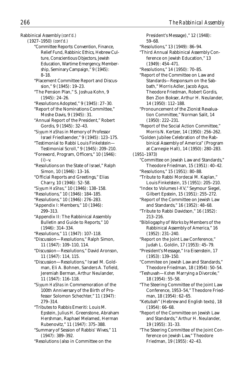Rabbinical Assembly *(cont'd.)* (1927–1950) *(cont'd.)* "Committee Reports: Convention, Finance, Relief Fund, Rabbinic Ethics, Hebrew Culture, Conscientious Objectors, Jewish Education, Wartime Emergency, Membership, Seminary Campaign," 9 (1945): 8–18. "Placement Committee Report and Discussion," 9 (1945): 19–23. "The Pension Plan," S. Joshua Kohn, 9 (1945): 24–26. "Resolutions Adopted," 9 (1945): 27–30. "Report of the Nominations Committee," Moshe Davis, 9 (1945): 31. "Annual Report of the President," Robert Gordis, 9 (1945): 32–43. "*Siyyum HaShas* in Memory of Professor Israel Friedlaender," 9 (1945): 123–175. "Testimonial to Rabbi Louis Finkelstein— Testimonial Scroll," 9 (1945): 209–210. "Foreword, Program, Officers," 10 (1946):  $(i)$ –v. "Resolutions on the State of Israel," Ralph Simon, 10 (1946): 13–16. "Official Reports and Greetings," Elias Charry, 10 (1946): 52–58. "*Siyyum HaShas*," 10 (1946): 138–158. "Resolutions," 10 (1946): 184–185. "Resolutions," 10 (1946): 276–283. "Appendix I: Members," 10 (1946): 299–313. "Appendix II: The Rabbinical Assembly Bulletin and Guide to Reports," 10 (1946): 314–334. "Resolutions," 11 (1947): 107–118. "Discussion—Resolutions," Ralph Simon, 11 (1947): 109–110, 114. "Discussion—Resolutions," David Aronson, 11 (1947): 114, 115. "Discussion—Resolutions," Israel M. Goldman, Eli A. Bohnen, Sanders A. Tofield, Jeremiah Berman, Arthur Neulander, 11 (1947): 116–118. "*Siyyum HaShas* in Commemoration of the 100th Anniversary of the Birth of Professor Solomon Schechter," 11 (1947): 279–314. "Tributes to Rabbis Emeriti: Louis M. Epstein, Julius H. Greenstone, Abraham Hershman, Raphael Melamed, Herman Rubenovitz," 11 (1947): 375–388. "Summary of Session of Rabbis' Wives," 11 *266 The Rabbinical Assembly*

President's Message)," 12 (1948): 59–68. "Resolutions," 13 (1949): 86–94. "Third Annual Rabbinical Assembly Conference on Jewish Education," 13 (1949): 454–471. "Resolutions," 14 (1950): 70–85. "Report of the Committee on Law and Standards—Responsum on the Sabbath," Morris Adler, Jacob Agus, Theodore Friedman, Robert Gordis, Ben Zion Bokser, Arthur H. Neulander, 14 (1950): 112–188. "Pronouncement of the Zionist Revaluation Committee," Norman Salit, 14 (1950): 222–231. "Report of the Social Action Committee," Morris N. Kertzer, 14 (1950): 256–262. "Golden Jubilee Celebration of the Rabbinical Assembly of America" (Program at Carnegie Hall), 14 (1950): 280–283. (1951–1973) "Committee on Jewish Law and Standards," Theodore Friedman, 15 (1951): 40–42. "Resolutions," 15 (1951): 80–88. "Tribute to Rabbi Mordecai M. Kaplan," Louis Finkelstein, 15 (1951): 205–210. "Index to Volumes I-XV," Seymour Siegel, Gilbert Epstein, 15 (1951): 255–272. "Report of the Committee on Jewish Law and Standards," 16 (1952): 48–68. "Tribute to Rabbi Davidson," 16 (1952): 213–216. "Bibliogaphy of Works by Members of the Rabbinical Assembly of America," 16 (1952): 231–240. "Report on the Joint Law Conference," Judah L. Goldin, 17 (1953): 45–79. "President's Message," Ira Eisenstein, 17 (1953): 139–150. "Commitee on Jewish Law and Standards," Theodore Friedman, 18 (1954): 50–54. "Teshuvah—*Kohen* Marrying a Divorcée," 18 (1954): 55–58. "The Steering Committee of the Joint Law Conference, 1953–54," Theodore Friedman, 18 (1954): 62–65. "Ketubah" (Hebrew and English texts), 18 (1954): 66–68. "Report of the Committee on Jewish Law and Standards," Arthur H. Neulander, 19 (1955): 31–33. "The Steering Committee of the Joint Conference on Jewish Law," Theodore Friedman, 19 (1955): 42–43.

<sup>(1947): 389–392.</sup>

<sup>&</sup>quot;Resolutions (also in Committee on the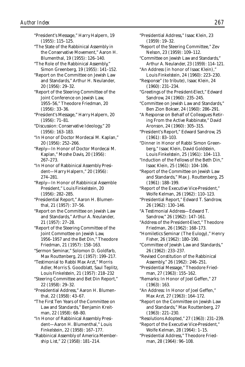"President's Message," Harry Halpern, 19 (1955): 115–125.

"The State of the Rabbinical Assembly in the Conservative Movement," Aaron H. Blumenthal, 19 (1955): 126–140.

"The Role of the Rabbinical Assembly," Simon Greenberg, 19 (1955): 141–152.

"Report on the Committee on Jewish Law and Standards," Arthur H. Neulander, 20 (1956): 29–32.

"Report of the Steering Committee of the Joint Conference on Jewish Law, 1955–56," Theodore Friedman, 20 (1956): 33–36.

"President's Message," Harry Halpern, 20 (1956): 71–81.

"Discussion: Conservative Ideology," 20 (1956): 163–183.

"In Honor of Doctor Mordecai M. Kaplan," 20 (1956): 252–266.

"Reply—In Honor of Doctor Mordecai M. Kaplan," Moshe Davis, 20 (1956): 267–273.

"In Honor of Rabbinical Assembly President—Harry Halpern," 20 (1956): 274–281.

"Reply—In Honor of Rabbinical Assemble President," Louis Finkelstein, 20 (1956): 282–285.

"Presidential Report," Aaron H. Blumenthal, 21 (1957): 37–56.

"Report on the Committee on Jewish Law and Standards," Arthur A. Neulander, 21 (1957): 27–28.

"Report of the Steering Committee of the Joint Commottee on Jewish Law, 1956–1957 and the Bet Din," Theodore Friedman, 21 (1957): 158–163.

"Sermon Seminar," Solomon D. Goldfarb, Max Routtenberg, 21 (1957): 199–217.

"Testimonial to Rabbi Max Arzt," Morris Adler, Morris S. Goodblatt, Saul Teplitz, Louis Finkelstein, 21 (1957): 218–232

"Steering Committee and Bet Din Report," 22 (1958): 29–32.

"Presidential Address," Aaron H. Blumenthal, 22 (1958): 43–67.

"The First Ten Years of the Committee on Law and Standards," Benjamin Kreitman, 22 (1958): 68–80.

"In Honor of Rabbinical Assembly President—Aaron H. Blumenthal," Louis Finkelstein, 22 (1958): 167–177.

"Rabbinical Assembly of America Membership List," 22 (1958): 181–214.

"Presidential Address," Isaac Klein, 23 (1959): 19–32.

"Report of the Steering Committee," Zev Nelson, 23 (1959): 109–112.

- "Committee on Jewish Law and Standards," Arthur A. Neulander, 23 (1959): 114–121.
- "An Address (in honor of Isaac Klein)," Louis Finkelstein, 24 (1960): 223–230.

"Response" (to tribute), Isaac Klein, 24 (1960): 231–234.

"Greetings of the President-Elect," Edward Sandrow, 24 (1960): 235–245.

"Committee on Jewish Law and Standards," Ben Zion Bokser, 24 (1960): 286–291.

"A Response on Behalf of Colleagues Retiring From the Active Rabbinate," David Aronson, 24 (1960): 305–315.

"President's Report," Edward Sandrow, 25 (1961): 83–103.

"Dinner in Honor of Rabbi Simon Greenberg," Isaac Klein, David Goldstein, Louis Finkelstein, 25 (1961): 104–113.

"Induction of the Fellows of the Beth Din," Isaac Klein, 25 (1961): 104–106.

"Report of the Committee on Jewish Law and Standards," Max J. Routtenberg, 25 (1961): 188–199.

"Report of the Executive Vice-President," Wolfe Kelman, 26 (1962): 110–123.

"Presidential Report," Edward T. Sandrow, 26 (1962): 130–146.

"A Testimonial Address—Edward T. Sandrow," 26 (1962): 147–161.

"Address of the President-Elect," Theodore Friedman, 26 (1962): 168–173.

"Homiletics Seminar (The Eulogy)," Henry Fisher, 26 (1962): 180–190.

"Committee of Jewish Law and Standards," 26 (1962): 233–237.

"Revised Constitution of the Rabbinical Assembly," 26 (1962): 246–251.

"Presidential Message," Theodore Friedman, 27 (1963): 155–162.

"Remarks: In Honor of Joel Geffen," 27 (1963): 163.

"An Address: In Honor of Joel Geffen," Max Arzt, 27 (1963): 164–172.

"Report on the Committee on Jewish Law and Standards," Max Routtenberg, 27 (1963): 221–230.

"Resolutions Adopted," 27 (1963): 231–239.

"Report of the Executive Vice-President," Wolfe Kelman, 28 (1964): 1–15.

"Presidential Address," Theodore Friedman, 28 (1964): 96–108.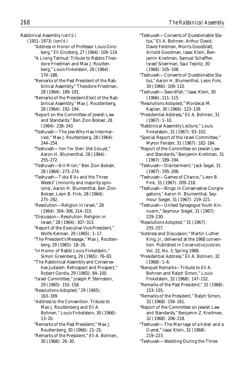Rabbinical Assembly *(cont'd.)*

(1951–1973) *(cont'd.)* "Address in Honor of Professor Louis Ginzberg," Eli Ginzberg, 27 (1964): 109–119.

- "A Living Talmud: Tribute to Rabbis Theodore Friedman and Max J. Routtenberg," Louis Finkelstein, 28 (1964): 174–188.
- "Remarks of the Past President of the Rabbinical Assembly," Theodore Friedman, 28 (1964): 189–191.
- "Remarks of the President-Elect of the Rabbinical Assembly," Max J. Routtenberg, 28 (1964): 192–194.
- "Report on the Committee of Jewish Law and Standards," Ben Zion Bokser, 28 (1964): 238–243.
- "Teshuvah—The Jew Who Has Intermarried," Max J. Routtenberg, 28 (1964): 244–254.
- "Teshuvah—*Yom Tov Sheni Shel Goluyot*," Aaron H. Blumenthal, 28 (1964): 255–272.
- "Teshuvah—*Brit Milah*," Ben Zion Bokser, 28 (1964): 273–274.
- "Teshuvah—*Tisha B'Av* and the Three Weeks" (minority and majority opinions), Aaron H. Blumenthal, Ben Zion Bokser, Leon B. Fink, 28 (1964): 275–292.
- "Resolution—Religion in Israel," 28 (1964): 304–306, 314–315.
- "Discussion—Resolution: Religion in Israel," 28 (1964): 307–313.
- "Report of the Executive Vice-President," Wolfe Kelman, 29 (1965): 1–17.
- "The President's Message," Max J. Routtenberg, 29 (1965): 18–26.
- "In Honor of Rabbi Louis Finkelstein," Simon Greenberg, 29 (1965): 76–83.
- "The Rabbinical Assembly and Conservative Judaism: Retrospect and Prospect," Robert Gordis, 29 (1965): 84–100.
- "Israel Committee," Joseph P. Sternstein, 29 (1965): 152–158.
- "Resolutions Adopted," 29 (1965): 163–169.
- "Address to the Convention: Tribute to Max J. Routtenberg and Eli A. Bohnen," Louis Finkelstein, 30 (1966): 13–20.
- "Remarks of the Past President," Max J. Routtenberg, 30 (1966): 21–25.
- "Remarks of the President," Eli A. Bohnen, 30 (1966): 26–30.
- "Teshuvah—Converts of Questionable Status," Eli A. Bohnen, Arthur David, David Feldman, Morris Goodblatt, Arnold Goodman, Isaac Klein, Benjamin Kreitman, Samuel Schaffler, Israel Silverman, Saul Teplitz, 30 (1966): 105–108.
- "Teshuvah—Converts of Questionable Status," Aaron H. Blumenthal, Leon Fink, 30 (1966): 109–110.
- "Teshuvah—Swordfish," Isaac Klein, 30 (1966): 111–115.
- "Resolutions Adopted," Mordecai M. Kaplan, 30 (1966): 123–139.
- "Presidential Address," Eli A. Bohnen, 31 (1967): 1–10.
- "Rabbinical Assembly Lecture," Louis Finkelstein, 31 (1967): 93–102.
- "Special Report of the Israel Committee," Myron Fenster, 31 (1967): 182–184.
- "Report of the Committee on Jewish Law and Standards," Benjamin Kreitman, 31 (1967): 189–194.
- "Teshuvah—Disinterment," Jack Segal, 31 (1967): 195–208.
- "Teshuvah—Games of Chance," Leon B. Fink, 31 (1967): 209–218.
- "Teshuvah—Bingo in Conservative Congregations," Aaron H. Blumenthal, Seymour Siegel, 31 (1967): 219–221.
- "Teshuvah—United Synagogue Youth Kinnusim," Seymour Siegel, 31 (1967): 229–230.
- "Resolutions Adopted," 31 (1967): 255–257.
- "Address and Discussion," Martin Luther King, Jr., delivered at the 1968 convention. Published in *Conservative Judaism,* Vol. 22, No. 3, Spring 1968.
- "Presidential Address," Eli A. Bohnen, 32  $(1968): 1-6.$
- "Banquet Remarks—Tribute to Eli A. Bohnen and Ralph Simon," Louis Finkelstein, 32 (1968): 147–152.
- "Remarks of the Past President," 32 (1968): 153–155.
- "Remarks of the President," Ralph Simon, 32 (1968): 156–161.
- "Report of the Committee on Jewish Law and Standards," Benjamin Z. Kreitman, 32 (1968): 206–218.
- "Teshuvah—The Marriage of a *Kohen* and a *Giyoret*," Isaac Klein, 32 (1968): 219–223.
- "Teshuvah—Wedding During the Three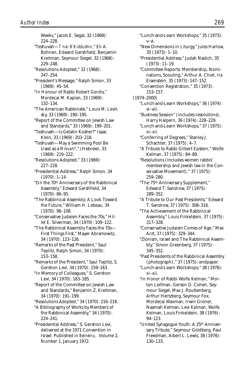Weeks," Jacob E. Segal, 32 (1968): 224–228. "Teshuvah—*T'nai B'Kiddushin*," Eli A. Bohnen, Edward Gershfield, Benjamin Kreitman, Seymour Siegel, 32 (1968): 229–248. "Resolutions Adopted," 32 (1968): 247–254. "President's Message," Ralph Simon, 33 (1969): 45–54. "In Honour of Rabbi Robert Gordis," Mordecai M. Kaplan, 33 (1969): 132–134. "The American Rabbinate," Louis M. Levitsky, 33 (1969): 190–195. "Report of the Committee on Jewish Law and Standards," 33 (1969): 199–201. "Teshuvah—Is Gelatin Kosher?" Isaac Klein, 33 (1969): 203–218. "Teshuvah—May a Swimming Pool Be Used as a *Mikvah?*," (Hebrew), 33 (1969): 219–222. "Resolutions Adopted," 33 (1969): 227–228. "Presidential Address," Ralph Simon, 34 (1970): 1–14. "On the 70th Anniversary of the Rabbinical Assembly," Edward Gershfield, 34 (1970): 86–95. "The Rabbinical Assembly: A Look Toward the Future," William H. Lebeau, 34 (1970): 96–108. "Conservative Judaism Faces the 70s," Hillel E. Silverman, 34 (1970): 109–122. "The Rabbinical Assembly Faces the 70s— First Things First," Mayer Abramowitz, 34 (1970): 123–126. "Remarks of the Past President," Saul Teplitz, Ralph Simon, 34 (1970): 153–158. "Remarks of the President," Saul Teplitz, S. Gershon Levi, 34 (1970): 159–163. "In Memory of Colleagues," S. Gershon Levi, 34 (1970): 183–185. "Report of the Committee on Jewish Law and Standards," Benjamin Z. Kreitman, 34 (1970): 191–199. "Resolutions Adopted," 34 (1970): 216–218. "A Bibliography of Works by Members of the Rabbinical Assembly," 34 (1970): 224–241. "Presidential Address," S. Gershon Levi, delivered at the 1971 Convention in Israel. Published in *Beineinu,* Volume 2, Number 1, January 1972.

"Lunch-and-Learn Workshops," 35 (1973): v–vi. "New Dimensions in Liturgy," Jules Harlow, 35 (1973): 1–10. "Presidential Address," Judah Nadich, 35 (1973): 11–19. "Committee Reports: Membership, Nominations, Scouting," Arthur A. Chiel, Ira Eisenstein, 35 (1973): 147–152. "Convention Registration," 35 (1973): 153–157. (1974–2000) "Lunch-and-Learn Workshops," 36 (1974): vi–viii. "Business Session" (includes resolutions), Harry Halpern, 36 (1974): 228–229. "Lunch-and-Learn Workshops," 37 (1975): xi–xii. "Conferring of Degrees," Stanley J. Schachter, 37 (1975): 4–7. "A Tribute to Rabbi Gilbert Epstein," Wolfe Kelman, 37 (1975): 84–89. "Resolutions (includes women rabbis' membership and Jewish law in the Conservative Movement)," 37 (1975): 259–280. "The 75th Anniversary Supplement," Edward T. Sandrow, 37 (1975): 289–352. "A Tribute to Our Past Presidents," Edward T. Sandrow, 37 (1975): 308–316. "The Achievement of the Rabbinical Assembly," Louis Finkelstein, 37 (1975): 317–328. "Conservative Judaism Comes of Age," Max Arzt, 37 (1975): 329–344. "Zionism, Israel and The Rabbinical Assembly," Simon Greenberg, 37 (1975): 345–352. "Past Presidents of the Rabbinical Assembly (photograph)," 37 (1975): endpaper. "Lunch-and-Learn Workshops," 38 (1976): xi–xii. "In Honor of Rabbi Wolfe Kelman," Morton Leifman, Gerson D. Cohen, Seymour Siegel, Max J. Routtenberg, Arthur Hertzberg, Seymour Fox, Mordecai Waxman, Irwin Groner, Naamah Kelman, Levi Kelman, Wolfe Kelman, Louis Finkelstein, 38 (1976): 94–123. "United Synagogue Youth: A 25th Anniversary Tribute," Seymour Goldberg, Paul Freedman, Albert L. Lewis, 38 (1976):

130–133.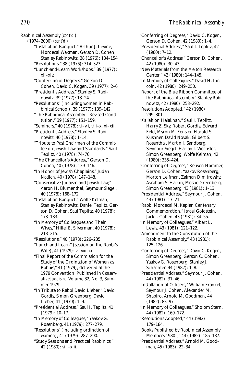Rabbinical Assembly *(cont'd.)*

(1974–2000) *(cont'd.)*

- "Installation Banquet," Arthur J. Levine, Mordecai Waxman, Gerson D. Cohen, Stanley Rabinowitz, 38 (1976): 134–154.
- "Resolutions," 38 (1976): 314–323. "Lunch-and-Learn Workshops," 39 (1977): xii–xiv.
- "Conferring of Degrees," Gerson D. Cohen, David C. Kogen, 39 (1977): 2–6.
- "President's Address," Stanley S. Rabinowitz, 39 (1977): 13–24.
- "Resolutions" (including women in Rabbinical School), 39 (1977): 139–142.
- "The Rabbinical Assembly—Revised Constitution," 39 (1977): 151–159.
- "Seminars," 40 (1978): vi–vii, viii–x, xi–xii.

"President's Address," Stanley S. Rabinowitz, 40 (1978): 1–14.

- "Tribute to Past Chairmen of the Committee on Jewish Law and Standards," Saul Teplitz, 40 (1978): 74–76.
- "The Chancellor's Address," Gerson D. Cohen, 40 (1978): 139–146.

"In Honor of Jewish Chaplains," Judah Nadich, 40 (1978): 147–148.

"Conservative Judaism and Jewish Law," Aaron H. Blumenthal, Seymour Siegel, 40 (1978): 168–172.

- "Installation Banquet," Wolfe Kelman, Stanley Rabinowitz, Daniel Teplitz, Gerson D. Cohen, Saul Teplitz, 40 (1978): 173–183.
- "In Memory of Colleagues and Their Wives," Hillel E. Silverman, 40 (1978): 213–215.

"Resolutions," 40 (1978): 226–235.

"Lunch-and-Learn" (session on the Rabbi's Wife), 41 (1979): vi–viii, ix.

"Final Report of the Commission for the Study of the Ordination of Women as Rabbis," 41 (1979), delivered at the 1979 Convention. Published in *Conservative Judaism,* Volume 32, No. 3, Summer 1979.

"In Tribute to Rabbi David Lieber," David Gordis, Simon Greenberg, David Lieber, 41 (1979): 1–9.

"Presidential Address," Saul I. Teplitz, 41 (1979): 10–17.

"In Memory of Colleagues," Yaakov G. Rosenberg, 41 (1979): 277–279.

"Resolutions" (including ordination of women), 41 (1979): 287–290.

"Study Sessions and Practical Rabbinics," 42 (1980): viii–xiii.

- "Conferring of Degrees," David C. Kogen, Gerson D. Cohen, 42 (1980): 1–4.
- "Presidential Address," Saul I. Teplitz, 42 (1980): 7–12.
- "Chancellor's Address," Gerson D. Cohen, 42 (1980): 30–43.
- "New Materials from the Melton Research Center," 42 (1980): 144–145.

"In Memory of Colleagues," David H. Lincoln, 42 (1980): 249–250.

"Report of the Blue Ribbon Committee of the Rabbinical Assembly," Stanley Rabinowitz, 42 (1980): 253–292.

"Resolutions Adopted," 42 (1980): 299–301.

- "*Kallah* on Halakhah," Saul I. Teplitz, Harry Z. Sky, Robert Gordis, Edward Feld, Myron M. Fenster, Harold S. Kushner, David Novak, Gilbert S. Rosenthal, Martin I. Sandberg, Seymour Siegel, Harlan J. Wechsler, Simon Greenberg, Wolfe Kelman, 42 (1980): 335–424.
- "Conferring of Degrees," Reuven Hammer, Gerson D. Cohen, Yaakov Rosenberg, Morton Leifman, Zalman Dimitrovsky, Avraham S. Halkin, Moshe Greenberg, Simon Greenberg, 43 (1981): 1–13.
- "Presidential Address," Seymour J. Cohen, 43 (1981): 17–21.
- "Rabbi Mordecai M. Kaplan Centenary Commemoration," Israel Goldstein, Jack J. Cohen, 43 (1981): 34–55.
- "In Memory of Colleagues," Albert L. Lewis, 43 (1981): 121–122.
- "Amendment to the Constitution of the Rabbinical Assembly," 43 (1981): 125–126.
- "Conferring of Degrees," David C. Kogen, Simon Greenberg, Gerson C. Cohen, Yaakov G. Rosenberg, Stanley J. Schachter, 44 (1982): 1–8.
- "Presidential Address," Seymour J. Cohen, 44 (1982): 31–46.

"Installation of Officers," William Frankel, Seymour J. Cohen, Alexander M. Shapiro, Arnold M. Goodman, 44 (1982): 83–97.

- "In Memory of Colleagues," Sholom Stern, 44 (1982): 169–172.
- "Resolutions Adopted," 44 (1982): 179–184.
- "Books Published by Rabbinical Assembly Members 1980–," 44 (1982): 185–187.

"Presidential Address," Arnold M. Goodman, 45 (1983): 22–34.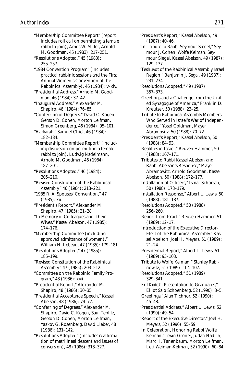"Membership Committee Report" (report includes roll call on permitting a female rabbi to join), Amos W. Miller, Arnold M. Goodman, 45 (1983): 217–251. "Resolutions Adopted," 45 (1983): 255–257. "1984 Convention Program" (includes practical rabbinic sessions and the First Annual Women's Convention of the Rabbinical Assembly), 46 (1984): v–xiv. "Presidential Address," Arnold M. Goodman, 46 (1984): 37–42. "Inaugural Address," Alexander M. Shapiro, 46 (1984): 76–85. "Conferring of Degrees," David C. Kogen, Gerson D. Cohen, Morton Leifman, Simon Greenberg, 46 (1984): 95–101. "*Hazkarah*," Samuel Chiel, 46 (1984): 182–184. "Membership Committee Report" (including discussion on permitting a female rabbi to join), Ludwig Nadelmann, Arnold M. Goodman, 46 (1984): 187–201. "Resolutions Adopted," 46 (1984): 205–210. "Revised Constitution of the Rabbinical Assembly," 46 (1984): 213–221. "1985 R. A. Spouses' Convention," 47 (1985): xii. "President's Report," Alexander M. Shapiro, 47 (1985): 21–28. "In Memory of Colleagues and Their Wives," Kassel Abelson, 47 (1985): 174–176. "Membership Committee (including approved admittance of women)," William H. Lebeau, 47 (1985): 179–181. "Resolutions Adopted," 47 (1985): 185–199. "Revised Constitution of the Rabbinical Assembly," 47 (1985): 203–212. "Committee on the Rabbinic Family Program," 48 (1986): xvii. "Presidential Report," Alexander M. Shapiro, 48 (1986): 30–35. "Presidential Acceptance Speech," Kassel Abelson, 48 (1986): 74–77. "Conferring of Degrees," Alexander M. Shapiro, David C. Kogen, Saul Teplitz, Gerson D. Cohen, Morton Leifman, Yaakov G. Rosenberg, David Lieber, 48 (1986): 131–142. "Resolutions Adopted" (includes reaffirmation of matrilineal descent and issues of conversion), 48 (1986): 313–327.

"President's Report," Kassel Abelson, 49 (1987): 40–46. "In Tribute to Rabbi Seymour Siegel," Seymour J. Cohen, Wolfe Kelman, Seymour Siegel, Kassel Abelson, 49 (1987): 129–137.

- "Teshuvot of the Rabbinical Assembly Israel Region," Benjamin J. Segal, 49 (1987): 231–234.
- "Resolutions Adopted," 49 (1987): 357–373.
- "Greetings and a Challenge from the United Synagogue of America," Franklin D. Kreutzer, 50 (1988): 23–25.

"Tribute to Rabbinical Assembly Members Who Served in Israel's War of Independence," Yosef Goldman, Mayer Abramovitz, 50 (1988): 70–72.

- "President's Report," Kassel Abelson, 50 (1988): 84–93.
- "Realities in Israel," Reuven Hammer, 50 (1988): 167–171.
- "Tributes to Rabbi Kassel Abelson and Rabbi Abelson's Response," Mayer Abramowitz, Arnold Goodman, Kassel Abelson, 50 (1988): 172–177.
- "Installation of Officers," Ismar Schorsch, 50 (1988): 178–179.
- "Installation Response," Albert L. Lewis, 50 (1988): 181–187.
- "Resolutions Adopted," 50 (1988): 256–260.
- "Report from Israel," Reuven Hammer, 51 (1989): 12–17.

"Introduction of the Executive Director-Elect of the Rabbinical Assembly," Kassel Abelson, Joel H. Meyers, 51 (1989): 21–24.

"Presidential Report," Albert L. Lewis, 51 (1989): 95–103.

"Tribute to Wolfe Kelman," Stanley Rabinowitz, 51 (1989): 104–107.

"Resolutions Adopted," 51 (1989): 329–341.

"*Brit Kodesh:* Presentation to Graduates," Elliot Salo Schoenberg, 52 (1990): 3–5.

- "Greetings," Alan Tichnor, 52 (1990): 45–48.
- "Presidential Address," Albert L. Lewis, 52 (1990): 49–54.

"Report of the Executive Director," Joel H. Meyers, 52 (1990): 55–59.

"In Celebration, Honoring Rabbi Wolfe Kelman," Irwin Groner, Judah Nadich, Marc H. Tanenbaum, Morton Leifman, Levi Weiman-Kelman, 52 (1990): 60–84.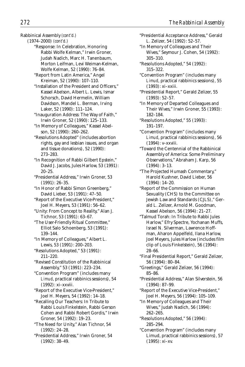Rabbinical Assembly *(cont'd.)*

(1974–2000) *(cont'd.)*

"Response: In Celebration, Honoring Rabbi Wolfe Kelman," Irwin Groner, Judah Nadich, Marc H. Tanenbaum, Morton Leifman, Levi Weiman-Kelman, Wolfe Kelman, 52 (1990): 76–84.

"Report from Latin America," Angel Kreiman, 52 (1990): 107–110.

"Installation of the President and Officers," Kassel Abelson, Albert L. Lewis, Ismar Schorsch, David Hermelin, William Davidson, Mandel L. Berman, Irving Laker, 52 (1990): 111–124.

"Inauguration Address: The Way of Faith," Irwin Groner, 52 (1990): 125–133.

"In Memory of Colleagues," Kassel Abelson, 52 (1990): 260–262.

"Resolutions Adopted" (includes abortion rights, gay and lesbian issues, and organ and tissue donations), 52 (1990): 273–283.

"In Recognition of Rabbi Gilbert Epstein," David J. Jacobs, Jules Harlow, 53 (1991): 20–25.

"Presidential Address," Irwin Groner, 53 (1991): 26–35.

"In Honor of Rabbi Simon Greenberg," David Lieber, 53 (1991): 47–50.

"Report of the Executive Vice-President," Joel H. Meyers, 53 (1991): 56–62.

"Unity: From Concept to Reality," Alan J. Tichnor, 53 (1991): 63–67.

"The User-Friendly Ritual Committee," Elliot Salo Schoenberg, 53 (1991): 139–144.

"In Memory of Colleagues," Albert L. Lewis, 53 (1991): 200–203.

"Resolutions Adopted," 53 (1991): 211–220.

"Revised Constitution of the Rabbinical Assembly," 53 (1991): 223–234.

"Convention Program" (includes many *Limud*, practical rabbinics sessions), 54 (1992): xi–xxviii.

"Report of the Executive Vice-President," Joel H. Meyers, 54 (1992): 14–18.

"Recalling Our Teachers: In Tribute to Rabbi Louis Finkelstein, Rabbi Gerson Cohen and Rabbi Robert Gordis," Irwin Groner, 54 (1992): 19–23.

"The Need for Unity," Alan Tichnor, 54 (1992): 24–28.

"Presidential Address," Irwin Groner, 54 (1992): 38–49.

"Presidential Acceptance Address," Gerald L. Zelizer, 54 (1992): 52–57.

"In Memory of Colleagues and Their Wives," Seymour J. Cohen, 54 (1992): 305–310.

"Resolutions Adopted," 54 (1992): 315–322.

"Convention Program" (includes many *Limud*, practical rabbinics sessions), 55 (1993): xi–xxiii.

"Presidential Report," Gerald Zelizer, 55 (1993): 52–57.

"In Memory of Departed Colleagues and Their Wives," Irwin Groner, 55 (1993): 182–184.

"Resolutions Adopted," 55 (1993): 191–197.

"Convention Program" (includes many *Limud*, practical rabbinics sessions), 56 (1994): v–xxviii.

"Toward the Centennial of the Rabbinical Assembly of America: Some Preliminary Observations," Abraham J. Karp, 56 (1994): 3–13.

"The Projected Humash Commentary," Harold Kushner, David Lieber, 56 (1994): 14–20.

"Report of the Commission on Human Sexuality (CHS) to the Committee on Jewish Law and Standards (CJLS)," Gerald L. Zelizer, Arnold M. Goodman, Kassel Abelson, 56 (1994): 21–27.

"Talmud Torah: In Tribute to Rabbi Jules Harlow," Efry Spectre, Yochanan Muffs, Israel N. Silverman, Lawrence Hoffman, Aharon Appelfeld, Ilana Harlow, Joel Meyers, Jules Harlow (includes film clip of Louis Finkelstein), 56 (1994): 28–66.

"Final Presidential Report," Gerald Zelizer, 56 (1994): 80–84.

"Greetings," Gerald Zelizer, 56 (1994): 85–86.

"Presidential Address," Alan Silverstein, 56 (1994): 87–99.

"Report of the Executive Vice-President," Joel H. Meyers, 56 (1994): 105–109.

"In Memory of Colleagues and Their Wives," Judah Nadich, 56 (1994): 262–265.

"Resolutions Adopted," 56 (1994): 285–294.

"Convention Program" (includes many Limud, practical rabbinics sessions), 57 (1995): xi–xv.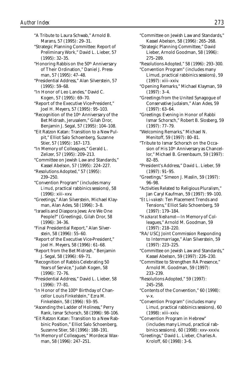- "A Tribute to Laura Schwab," Arnold B. Marans, 57 (1995): 29–31.
- "Strategic Planning Committee: Report of Preliminary Work," David L. Lieber, 57 (1995): 32–35.
- "Honoring Rabbis on the 50th Anniversary of Their Ordination," Daniel J. Pressman, 57 (1995): 47–48.
- "Presidential Address," Alan Silverstein, 57 (1995): 59–68.
- "In Honor of Leo Landes," David C. Kogen, 57 (1995): 69–70.
- "Report of the Executive Vice-President," Joel H. Meyers, 57 (1995): 95–103.
- "Recognition of the 10th Anniversary of the Bet Midrash, Jerusalem," Gilah Dror, Benjamin J. Segal, 57 (1995): 104–108.
- "Eit Ratzon Katan: Transition to a New Pulpit," Elliot Salo Schoenberg, Suzanne Stier, 57 (1995): 167–173.
- "In Memory of Colleagues," Gerald L. Zelizer, 57 (1995): 209–213.
- "Committee on Jewish Law and Standards," Kassel Abelson, 57 (1995): 224–227.
- "Resolutions Adopted," 57 (1995): 239–250.
- "Convention Program" (includes many *Limud*, practical rabbinics sessions), 58 (1996): xiii–xxv.
- "Greetings," Alan Silverstein, Michael Klayman, Alan Ades, 58 (1996): 3–8.
- "Israelis and Diaspora Jews: Are We One People?" (Greetings), Gilah Dror, 58 (1996): 34–36.
- "Final Presidential Report," Alan Silverstein, 58 (1996): 55–60.
- "Report of the Executive Vice-President," Joel H. Meyers, 58 (1996): 61–68.
- "Report from the Bet Midrash," Benjamin J. Segal, 58 (1996): 69–71.
- "Recognition of Rabbis Celebrating 50 Years of Service," Judah Kogen, 58 (1996): 72–76.
- "Presidential Address," David L. Lieber, 58 (1996): 77–81.
- "In Honor of the 100th Birthday of Chancellor Louis Finkelstein," Ezra M. Finkelstein, 58 (1996): 93–95.
- "Ascending the Ladder of Holiness," Perry Rank, Ismar Schorsch, 58 (1996): 98–106.
- "Eit Ratzon Katan: Transition to a New Rabbinic Position," Elliot Salo Schoenberg, Suzanne Stier, 58 (1996): 188–191.
- "In Memory of Colleagues," Mordecai Waxman, 58 (1996): 247–251.
- "Committee on Jewish Law and Standards," Kassel Abelson, 58 (1996): 265–268.
- "Strategic Planning Committee," David Lieber, Arnold Goodman, 58 (1996): 275–289.
- "Resolutions Adopted," 58 (1996): 293–300.
- "Convention Program" (includes many Limud, practical rabbinics sessions), 59 (1997): xiii–xxiv.
- "Opening Remarks," Michael Klayman, 59 (1997): 3–4.
- "Greetings from the United Synagogue of Conservative Judaism," Alan Ades, 59 (1997): 63–64.
- "Greetings: Evening in Honor of Rabbi Ismar Schorsch," Robert B. Slosberg, 59 (1997): 77–79.
- "Welcoming Remarks," Michael N. Menitoff, 59 (1997): 80–81.
- "Tribute to Ismar Schorsch on the Occasion of His 10<sup>th</sup> Anniversary as Chancellor," Michael B. Greenbaum, 59 (1997): 82–85.
- "President's Address," David L. Lieber, 59 (1997): 91–95.
- "Greetings," Simeon J. Maslin, 59 (1997): 96–98.
- "Activities Related to Religious Pluralism," Jan Caryl Kaufman, 59 (1997): 99–100.
- "*Et Li-vakesh:* Ten Placement Trends and Tensions," Elliot Salo Schoenberg, 59 (1997): 179–184.
- "*Hazkarat Neshamot*—In Memory of Colleagues," Arnold M. Goodman, 59 (1997): 218–220.
- "RA/USCJ Joint Commission Responding to Intermarriage," Alan Silverstein, 59 (1997): 223–225.
- "Committee on Jewish Law and Standards," Kassel Abelson, 59 (1997): 226–230.
- "Committee to Strengthen RA Presence," Arnold M. Goodman, 59 (1997): 233–239.
- "Resolutions Adopted," 59 (1997): 245–258.
- "Contents of the Convention," 60 (1998): v–x.
- "Convention Program" (includes many *Limud*, practical rabbinics sessions), 60 (1998): xiii–xxiv.
- "Convention Program in Hebrew" (includes many Limud, practical rabbinics sessions), 60 (1998): xxv–xxxiv.
- "Greetings," David L. Lieber, Charles A. Kroloff, 60 (1998): 3–6.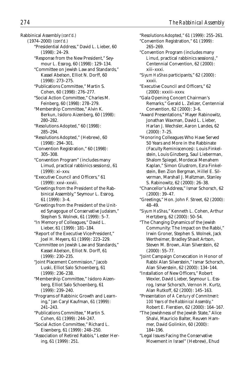Rabbinical Assembly *(cont'd.)*

- (1974–2000) *(cont'd.)*
	- "Presidential Address," David L. Lieber, 60 (1998): 24–29.
	- "Response from the New President," Seymour L. Essrog, 60 (1998): 129–134.
	- "Committee on Jewish Law and Standards," Kassel Abelson, Elliot N. Dorff, 60 (1998): 273–275.
	- "Publications Committee," Martin S. Cohen, 60 (1998): 276–277.
	- "Social Action Committee," Charles M. Feinberg, 60 (1998): 278–279.
	- "Membership Committee," Alvin K. Berkun, Isidoro Aizenberg, 60 (1998): 280–282.
	- "Resolutions Adopted," 60 (1998): 285–294.
	- "Resolutions Adopted," (Hebrew), 60 (1998): 294–301.
	- "Convention Registration," 60 (1998): 305–308.
	- "Convention Program" (includes many Limud, practical rabbinics sessions), 61 (1999): xi–xxv.
	- "Executive Council and Officers," 61 (1999): xxvi–xxviii.
	- "Greetings from the President of the Rabbinical Assembly," Seymour L. Essrog, 61 (1999): 3–4.
	- "Greetings from the President of the United Synagogue of Conservative Judaism," Stephen S. Wolnek, 61 (1999): 5–7.
	- "In Memory of Colleagues," David L. Lieber, 61 (1999): 181–184.
	- "Report of the Executive Vice-President," Joel H. Meyers, 61 (1999): 223–229.
	- "Committee on Jewish Law and Standards," Kassel Abelson, Elliot N. Dorff, 61 (1999): 230–235.
	- "Joint Placement Commission," Jacob Luski, Elliot Salo Schoenberg, 61 (1999): 236–238.
	- "Membership Committee," Isidoro Aizenberg, Elliot Salo Schoenberg, 61 (1999): 239–240.
	- "Programs of Rabbinic Growth and Learning," Jan Caryl Kaufman, 61 (1999): 241–243.
	- "Publications Committee," Martin S. Cohen, 61 (1999): 244–247.
	- "Social Action Committee," Richard L. Eisenberg, 61 (1999): 248–250.
	- "Association of Retired Rabbis," Lester Hering, 61 (1999): 251.
- "Resolutions Adopted," 61 (1999): 255–261.
- "Convention Registration," 61 (1999): 265–269.
- "Convention Program (includes many *Limud*, practical rabbinics sessions)," Centennial Convention, 62 (2000): xiii–xxxi.
- "*Siyum HaShas* participants," 62 (2000): xxxii.
- "Executive Council and Officers," 62 (2000): xxxiii–xxxv.
- "Gala Opening Concert Chairman's Remarks," Gerald L. Zelizer, Centennial Convention, 62 (2000): 3–6.
- "Award Presentations," Mayer Rabinowitz, Jonathan Waxman, David L. Lieber, Harlan J. Wechsler, Aaron Landes, 62 (2000): 7–25.
- "Honoring Colleagues Who Have Served 50 Years and More in the Rabbinate (Faculty Reminiscences): Louis Finkelstein, Louis Ginzberg, Saul Lieberman, Shalom Spiegel, Mordecai Menahem Kaplan," Simon Glustrom, Ezra Finkelstein, Ben Zion Bergman, Hillel E. Silverman, Marshall J. Maltzman, Stanley S. Rabinowitz, 62 (2000): 26–38.
- "Chancellor's Address," Ismar Schorsch, 62 (2000): 39–47.
- "Greetings," Hon. John F. Street, 62 (2000): 48–49.
- "*Siyum HaShas*," Kenneth L. Cohen, Arthur Hertzberg, 62 (2000): 50–54.
- "The Changing Dynamics of the Jewish Community: The Impact on the Rabbi," Irwin Groner, Stephen S. Wolnek, Jack Wertheimer, Bradley Shavit Artson, Steven M. Brown, Alan Silverstein, 62 (2000): 55–77.
- "Joint Campaign Convocation in Honor of Rabbi Alan Silverstein," Ismar Schorsch, Alan Silverstein, 62 (2000): 134–144.
- "Installation of New Officers," Robert Wexler, David Lieber, Seymour L. Essrog, Ismar Schorsch, Vernon H. Kurtz, Alan Rutkoff, 62 (2000): 145–163.
- "Presentation of *A Century of Commitment: 100 Years of the Rabbinical Assembly,"* Robert E. Fierstien, 62 (2000): 164–167.
- "The Jewishness of the Jewish State," Alice Shalvi, Mauricio Balter, Reuven Hammer, David Golinkin, 60 (2000): 184–196.
- "Legal Issues Facing the Conservative Movement in Israel" (Hebrew), Ehud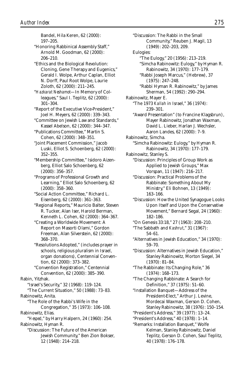Bandel, Hila Keren, 62 (2000): 197–205. "Honoring Rabbinical Assembly Staff," Arnold M. Goodman, 62 (2000): 206–210. "Ethics and the Biological Revolution: Cloning, Gene Therapy and Eugenics," Gerald I. Wolpe, Arthur Caplan, Elliot N. Dorff, Paul Root Wolpe, Laurie Zoloth, 62 (2000): 211–245. "*Hazkarat Neshamot*—In Memory of Colleagues," Saul I. Teplitz, 62 (2000): 301–304. "Report of the Executive Vice-President," Joel H. Meyers, 62 (2000): 339–343. "Committee on Jewish Law and Standards," Kassel Abelson, 62 (2000): 344–347. "Publications Committee," Martin S. Cohen, 62 (2000): 348–351. "Joint Placement Commission," Jacob Luski, Elliot S. Schoenberg, 62 (2000): 352–355. "Membership Committee," Isidoro Aizenberg, Elliot Salo Schoenberg, 62 (2000): 356–357. "Programs of Professional Growth and Learning," Elliot Salo Schoenberg, 62 (2000): 358–360. "Social Action Committee," Richard L. Eisenberg, 62 (2000): 361–363. "Regional Reports," Mauricio Balter, Steven R. Tucker, Alan Iser, Harold Berman, Kenneth L. Cohen, 62 (2000): 364–367. "Creating a Worldwide Movement: A Report on Masorti Olami," Gordon Freeman, Alan Silverstein, 62 (2000): 368–370. "Resolutions Adopted," (includes prayer in schools, religious pluralism in Israel, organ donations), Centennial Convention, 62 (2000): 373–382. "Convention Registration," Centennial Convention, 62 (2000): 385–390. Rabin, Yitzhak. "Israel's Security," 32 (1968): 119–124. "The Current Situation," 50 (1988): 73–83. Rabinowitz, Anita. "The Role of the Rabbi's Wife in the Congregation," 35 (1973): 106–108. Rabinowitz, Elias. "*Hesped*," by Harry Halpern, 24 (1960): 254. Rabinowitz, Hyman R. "Discussion: The Future of the American Jewish Community," Ben Zion Bokser, 12 (1948): 214–218.

"Discussion: The Rabbi in the Small Community," Reuben J. Magil, 13 (1949): 202–203, 209. Eulogies: "The Eulogy," 20 (1956): 213–219. "Simcha Rabinowitz: Eulogy," by Hyman R. Rabinowitz, 34 (1970): 177–179. "Rabbi Joseph Marcus," (Hebrew), 37 (1975): 247–248. "Rabbi Hyman R. Rabinowitz," by James Sherman, 54 (1992): 290–294. Rabinowitz, Mayer E. "The 1973 *Kallah* in Israel," 36 (1974): 239–301. "Award Presentation" (to Francine Klagsbrun), Mayer Rabinowitz, Jonathan Waxman, David L. Lieber, Harlan J. Wechsler, Aaron Landes, 62 (2000): 7–9. Rabinowitz, Simcha. "Simcha Rabinowitz: Eulogy," by Hyman R. Rabinowitz, 34 (1970): 177–179. Rabinowitz, Stanley S. "Discussion: Principles of Group Work as Applied to Jewish Groups," Max Vorspan, 11 (1947): 216–217. "Discussion: Practical Problems of the Rabbinate: Something About My Ministry," Eli Bohnen, 13 (1949): 163–166. "Discussion: How the United Synagogue Looks Upon Itself and Upon the Conservative Movement," Bernard Segal, 24 (1960): 182–186. "On Genesis 33:18," 27 (1963): 208–210. "The Sabbath and *Kashrut*," 31 (1967): 54–61. "Alternatives in Jewish Education," 34 (1970): 59–70. "Discussion: Alternatives in Jewish Education," Stanley Rabinowitz, Morton Siegel, 34 (1970): 81–84. "The Rabbinate: Its Changing Role," 36 (1974): 168–173. "The Changing Rabbinate: A Search for Definition," 37 (1975): 51–60. "Installation Banquet—Address of the President-Elect," Arthur J. Levine, Mordecai Waxman, Gerson D. Cohen, Stanley Rabinowitz, 38 (1976): 150–154. "President's Address," 39 (1977): 13–24. "President's Address," 40 (1978): 1–14. "Remarks: Installation Banquet," Wolfe Kelman, Stanley Rabinowitz, Daniel Teplitz, Gerson D. Cohen, Saul Teplitz, 40 (1978): 176–178.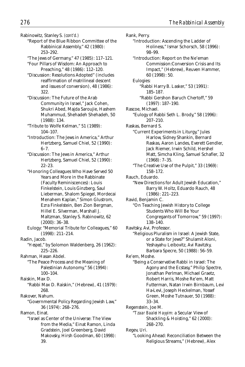Rabinowitz, Stanley S. *(cont'd.)*

- "Report of the Blue Ribbon Committee of the Rabbinical Assembly," 42 (1980): 253–292.
- "The Jews of Germany," 47 (1985): 117–121. "Four Pillars of Wisdom: An Approach to

Preaching," 48 (1986): 112–120.

"Discussion: Resolutions Adopted" (includes reaffirmation of matrilineal descent and issues of conversion), 48 (1986): 322.

- "Discussion: The Future of the Arab Community in Israel," Jack Cohen, Shukri Abed, Majda Saroujie, Hashem Muhammud, Shehadeh Shehadeh, 50 (1988): 134.
- "Tribute to Wolfe Kelman," 51 (1989): 104–107.
- "Introduction: The Jews in America," Arthur Hertzberg, Samuel Chiel, 52 (1990):  $6 - 7.$
- "Discussion: The Jews in America," Arthur Hertzberg, Samuel Chiel, 52 (1990): 22–23.
- "Honoring Colleagues Who Have Served 50 Years and More in the Rabbinate (Faculty Reminiscences): Louis Finkelstein, Louis Ginzberg, Saul Lieberman, Shalom Spiegel, Mordecai Menahem Kaplan," Simon Glustrom, Ezra Finkelstein, Ben Zion Bergman, Hillel E. Silverman, Marshall J. Maltzman, Stanley S. Rabinowitz, 62 (2000): 36–38.
- Eulogy: "Memorial Tribute for Colleagues," 60 (1998): 211–214.
- Radin, Jacob.
	- "*Hesped*," by Solomon Waldenberg, 26 (1962): 225–226.

Rahman, Hasan Abdel.

- "The Peace Process and the Meaning of Palestinian Autonomy," 56 (1994): 100–104.
- Raiskin, Max D.
	- "Rabbi Max D. Raiskin," (Hebrew), 41 (1979): 268.
- Rakover, Nahum.
	- "Governmental Policy Regarding Jewish Law," 36 (1974): 268–276.

Ramon, Einat.

"Israel as Center of the Universe: The View from the Media," Einat Ramon, Linda Gradstein, Joel Greenberg, David Makovsky, Hirsh Goodman, 60 (1998): 39.

Rank, Perry. "Introduction: Ascending the Ladder of Holiness," Ismar Schorsch, 58 (1996): 98–99. "Introduction: Report on the Ne'eman Commission:Conversion Crisis and Its Impact," (Hebrew), Reuven Hammer, 60 (1998): 50. Eulogies: "Rabbi Harry B. Lasker," 53 (1991): 185–187. "Rabbi Gershon Baruch Chertoff," 59 (1997): 187–190. Rascoe, Michael. "Eulogy of Rabbi Seth L. Brody," 58 (1996): 207–210. Raskas, Bernard S. "Current Experiments in Liturgy," Jules Harlow, Sidney Shankin, Bernard Raskas, Aaron Landes, Everett Gendler, Jack Riemer, Irwin Schild, Hershel Matt, Simcha Kling, Samuel Schafler, 32 (1968): 7–35. "The Creative Use of the Pulpit," 33 (1969): 158–172. Rauch, Eduardo. "New Directions for Adult Jewish Education," Barry W. Holtz, Eduardo Rauch, 48 (1986): 221–223. Ravid, Benjamin C. "On Teaching Jewish History to College Students Who Will Be Your Congregants of Tomorrow," 59 (1997): 138–140. Ravitsky, Avi, Professor. "Religious Pluralism in Israel: A Jewish State, or a State for Jews?" Shulamit Aloni, Yeshayahu Leibovitz, Avi Ravitzky, Barbara Specre, 50 (1988): 56–59. Re'em, Moshe. "Being a Conservative Rabbi in Israel: The Agony and the Ecstasy," Philip Spectre, Jonathan Perlman, Michael Graetz, Robert Harris, Moshe Re'em, Matt Futterman, Natan Irwin Birnbaum, Levi Ha-Levi, Joseph Heckelman, Yossef Green, Moshe Tutnauer, 50 (1988): 33–34. Regenstein, Joe M. "*Tzaar Baalei Hayyim:* a Secular View of Shackling & Hoisting," 62 (2000): 268–270. Regev, Uri. "Looking Ahead: Reconciliation Between the Religious Streams," (Hebrew), Alex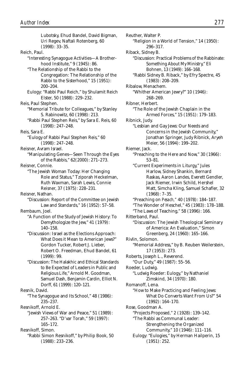Lubotsky, Ehud Bandel, David Bigman, Uri Regev, Naftali Rotenberg, 60 (1998): 33–35. Reich, Paul. "Interesting Synagogue Activities—A Brotherhood Institute," 9 (1945): 86. "The Relationship of the Rabbi to the Congregation: The Relationship of the Rabbi to the Sisterhood," 15 (1951): 200–204. Eulogy: "Rabbi Paul Reich," by Shulamit Reich Elster, 50 (1988): 229–232. Reis, Paul Stephen. "Memorial Tribute for Colleagues," by Stanley S. Rabinowitz, 60 (1998): 213. "Rabbi Paul Stephen Reis," by Sara E. Reis, 60 (1998): 247–248. Reis, Sara E. "Eulogy of Rabbi Paul Stephen Reis," 60 (1998): 247–248. Reisner, Avram Israel. "Manipulating Genes—Seen Through the Eyes of the Rabbis," 62(2000): 271–273. Reisner, Connie. "The Jewish Woman Today: Her Changing Role and Status," Tziporah Heckelman, Ruth Waxman, Sarah Lewis, Connie Reisner, 37 (1975): 228–231. Reisner, Nathan. "Discussion: Report of the Committee on Jewish Law and Standards," 16 (1952): 57–58. Rembaum, Joel. "A Function of the Study of Jewish History: To Demythologize the Jew," 41 (1979): 140–158. "Discussion: Israel as the Elections Approach: What Does it Mean to American Jews?" Gordon Tucker, Robert J. Lieber, Robert O. Freedman, Ehud Bandel, 61 (1999): 99. "Discussion: The Halakhic and Ethical Standards to Be Expected of Leaders in Public and Religious Life," Arnold M. Goodman, Samuel Dash, Benjamin Cardin, Elliot N. Dorff, 61 (1999): 120–121. Resnik, David. "The Synagogue and Its School," 48 (1986): 235–237. Resnikoff, Arnold E. "Jewish Views of War and Peace," 51 (1989): 257–263. "D'var Torah," 59 (1997): 165–172. Resnikoff, Simon. "Rabbi Simon Resnikoff," by Philip Book, 50 (1988): 233–236.

Reuther, Walter P. "Religion in a World of Tension," 14 (1950): 296–317. Riback, Sidney B. "Discussion: Practical Problems of the Rabbinate: Something About My Ministry," Eli Bohnen, 13 (1949): 166–168. "Rabbi Sidney B. Riback," by Efry Spectre, 45 (1983): 208–209. Ribalow, Menachem. "Whither American Jewry?" 10 (1946): 268–269. Ribner, Herbert. "The Role of the Jewish Chaplain in the Armed Forces," 15 (1951): 179–183. Ribnick, Judy. "Lesbian and Gay Jews: Our Needs and Concerns in the Jewish Community," Jonathan Springer, Judy Ribnick, Aryeh Meier, 56 (1994): 199–202. Riemer, Jack. "Preaching to the Here and Now," 30 (1966): 53–81. "Current Experiments in Liturgy," Jules Harlow, Sidney Shankin, Bernard Raskas, Aaron Landes, Everett Gendler, Jack Riemer, Irwin Schild, Hershel Matt, Simcha Kling, Samuel Schafler, 32 (1968): 7–35. "Preaching on *Pesach,"* 40 (1978): 184–187. "The Wonder of Heschel," 45 (1983): 178–188. "The Laws of Teaching," 58 (1996): 166. Ritterband, Paul. "Discussion: The Jewish Theological Seminary of America: An Evaluation," Simon Greenberg, 24 (1960): 165–166. Rivlin, Solomon. "Memorial Address," by B. Reuben Weilerstein, 17 (1953): 273. Roberts, Joseph L., Reverend. "Our Duty," 49 (1987): 55–56. Roeder, Ludwig. "Ludwig Roeder: Eulogy," by Nathaniel Zimskind, 34 (1970): 180. Romanoff, Lena. "How to Make Practicing and Feeling Jews: What Do Converts Want From Us?" 54 (1992): 164–170. Rose, Goodman A. "Projects Proposed," 2 (1928): 139–142. "The Rabbi as Communal Leader: Strengthening the Organized Community," 10 (1946): 111–116. Eulogy: "Eulogies," by Herman Hailperin, 15 (1951): 252.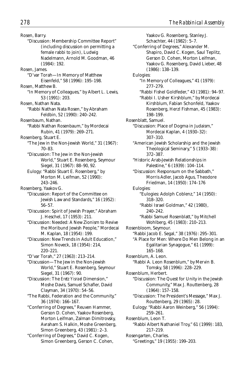Rosen, Barry. "Discussion: Membership Committee Report" (including discussion on permitting a female rabbi to join), Ludwig Nadelmann, Arnold M. Goodman, 46 (1984): 192. Rosen, James. "D'var Torah—In Memory of Matthew Eisenfeld," 58 (1996): 195–198. Rosen, Matthew B. "In Memory of Colleagues," by Albert L. Lewis, 53 (1991): 203. Rosen, Nathan Nata. "Rabbi Nathan Nata Rosen," by Abraham Feldbin, 52 (1990): 240–242. Rosenbaum, Nathan. "Rabbi Nathan Rosenbaum," by Mordecai Rubin, 41 (1979): 269–271. Rosenberg, Stuart E. "The Jew in the Non-Jewish World," 31 (1967): 70–83. "Discussion: The Jew in the Non-Jewish World," Stuart E. Rosenberg, Seymour Siegel, 31 (1967): 88–90, 92. Eulogy: "Rabbi Stuart E. Rosenberg," by Morton M. Leifman, 52 (1990): 243–246. Rosenberg, Yaakov G. "Discussion: Report of the Committee on Jewish Law and Standards," 16 (1952): 56–57. "Discussion: Spirit of Jewish Prayer," Abraham J. Heschel, 17 (1953): 211. "Discussion: Needed: A New Zionism to Revive the Moribund Jewish People," Mordecai M. Kaplan, 18 (1954): 199. "Discussion: New Trends in Adult Education," Simon Noveck, 18 (1954): 214, 220–221. "D'var Torah," 27 (1963): 213–214. "Discussion—The Jew in the Non-Jewish World," Stuart E. Rosenberg, Seymour Siegel, 31 (1967): 90. "Discussion: The *Eretz Yisrael* Dimension," Moshe Davis, Samuel Schafler, David Clayman, 34 (1970): 54–56. "The Rabbi, Federation and the Community," 36 (1974): 166–167. "Conferring of Degrees," Reuven Hammer, Gerson D. Cohen, Yaakov Rosenberg, Morton Leifman, Zalman Dimitrovsky, Avraham S. Halkin, Moshe Greenberg, Simon Greenberg, 43 (1981): 2–3. "Conferring of Degrees," David C. Kogen, Simon Greenberg, Gerson C. Cohen,

Yaakov G. Rosenberg, Stanley J. Schachter, 44 (1982): 5–7. "Conferring of Degrees," Alexander M. Shapiro, David C. Kogen, Saul Teplitz, Gerson D. Cohen, Morton Leifman, Yaakov G. Rosenberg, David Lieber, 48 (1986): 138–139. Eulogies: "In Memory of Colleagues," 41 (1979): 277–279. "Rabbi Fishel Goldfeder," 43 (1981): 94–97. "Rabbi I. Usher Kirshblum," by Mordecai Kirshblum, Fabian Schonfeld, Yaakov Rosenberg, Herzl Fishman, 45 (1983): 198–199. Rosenblatt, Samuel. "Discussion: Place of Dogma in Judaism," Mordecai Kaplan, 4 (1930–32): 307–310. "American Jewish Scholarship and the Jewish Theological Seminary," 5 (1933–38): 372–387. "Historic Arab-Jewish Relationships in Palestine," 6 (1939): 104–114. "Discussion: Responsum on the Sabbath," Morris Adler, Jacob Agus, Theodore Friedman, 14 (1950): 174–176 Eulogies: "Eulogies: Adolph Coblenz," 14 (1950): 318–320. "Rabbi Israel Goldman," 42 (1980), 240–242. "Rabbi Samuel Rosenblatt," by Mitchell Wohlberg, 45 (1983): 210–213. Rosenbloom, Seymour. "Rabbi Jacob E. Segal," 38 (1976): 295–301. "A Place for Men: Where Do Men Belong in an Egalitarian Synagogue," 61 (1999): 165–168. Rosenblum, A. Leon. "Rabbi A. Leon Rosenblum," by Mervin B. Tomsky, 58 (1996): 228–229. Rosenblum, Herbert. "Discussion: The Quest for Unity in the Jewish Community," Max J. Routtenberg, 28 (1964): 157–158. "Discussion: The President's Message," Max J. Routtenberg, 29 (1965): 28. Eulogy: "Rabbi Aaron Weinberg," 56 (1994): 259–261. Rosenblum, Leon T. "Rabbi Albert Nathaniel Troy," 61 (1999): 183, 217–219. Rosengarten, Charles. "Greetings," 19 (1955): 199–203.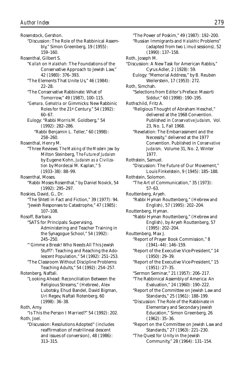Rosenstock, Gershon. "Discussion: The Role of the Rabbinical Assembly," Simon Greenberg, 19 (1955): 159–160. Rosenthal, Gilbert S. "*Kallah* on *Halakhah:* The Foundations of the Conservative Approach to Jewish Law," 42 (1980): 376–393. "The Elements That Unite Us," 46 (1984): 22–28. "The Conservative Rabbinate: What of Tomorrow," 49 (1987), 100–115. "*Gemara, Gematria* or Gimmicks: New Rabbinic Roles for the 21st Century," 54 (1992): 60–67. Eulogy: "Rabbi Morris M. Goldberg," 54 (1992): 282–286. "Rabbi Benjamin L. Teller," 60 (1998): 258–260. Rosenthal, Henry M. "Three Reviews: *The Making of the Modern Jew* by Milton Steinberg, *The Future of Judaism* by Eugene Kohn, *Judaism as a Civilization* by Mordecai M. Kaplan," 5 (1933–38): 88–99. Rosenthal, Moses. "Rabbi Moses Rosenthal," by Daniel Novick, 54 (1992): 295–297. Roskies, David, G., Dr. "The Shtetl in Fact and Fiction," 39 (1977): 94. "Jewish Responses to Catastrophe," 47 (1985): 107–108. Rosoff, Barbara. "SATS for Principals: Supervising, Administering and Teacher Training in the Synagogue School," 54 (1992): 245–250. "'Gimme a Break! Who Needs All This Jewish Stuff?': Teaching and Reaching the Adolescent Population," 54 (1992): 251–253. "The Classroom Without Discipline Problems: Teaching Adults," 54 (1992): 254–257. Rotenberg, Naftali. "Looking Ahead: Reconciliation Between the Religious Streams," (Hebrew), Alex Lubotsky, Ehud Bandel, David Bigman, Uri Regev, Naftali Rotenberg, 60 (1998): 36–38. Roth, Amy. "Is This the Person I Married?" 54 (1992): 202. Roth, Joel. "Discussion: Resolutions Adopted" (includes reaffirmation of matrilineal descent and issues of conversion), 48 (1986):

313–315.

"The Power of Poskim," 49 (1987): 192–200. "Russian Immigrants and *Halakhic* Problems" (adapted from two *Limud* sessions), 52 (1990): 137–158. Roth, Joseph M. "Discussion: A New Task for American Rabbis," Cyrus Adler, 2 (1928): 59. Eulogy: "Memorial Address," by B. Reuben Weilerstein, 17 (1953): 272. Roth, Simchah. "Selections from Editor's Preface: Masorti Siddur," 60 (1998): 190–195. Rothschild, Fritz A. "Religious Thought of Abraham Heschel," delivered at the 1968 Convention. Published in *Conservative Judaism,* Vol. 23, No. 1, Fall 1968. "Revelation: The Embarrassment and the Necessity," delivered at the 1977 Convention. Published in *Conservative Judaism,* Volume 31, No. 2, Winter 1977. Rothstein, Samuel. "Discussion: The Future of Our Movement," Louis Finkelstein, 9 (1945): 185–188. Rothstein, Solomon. "The Art of Communication," 35 (1973): 57–63. Routtenberg, Aryeh. "Rabbi Hyman Routtenberg," (Hebrew and English), 57 (1995): 202–204. Routtenberg, Hyman. "Rabbi Hyman Routtenberg," (Hebrew and English), by Aryeh Routtenberg, 57 (1995): 202–204. Routtenberg, Max J. "Report of Prayer Book Commission," 8 (1941–44): 146–159. "Report of the Executive Vice-President," 14 (1950): 29–39. "Report of the Executive Vice-President," 15 (1951): 27–35. "Sermon Seminar," 21 (1957): 206–217. "The Rabbinical Assembly of America: An Evaluation," 24 (1960): 190–222. "Report of the Committee on Jewish Law and Standards," 25 (1961): 188–199. "Discussion: The Role of the Rabbinate in Elementary and Secondary Jewish Education," Simon Greenberg, 26 (1962): 35–36. "Report on the Committee on Jewish Law and Standards," 27 (1963): 221–230. "The Quest for Unity in the Jewish Community," 28 (1964): 131–154.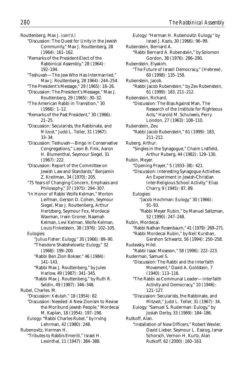Routtenberg, Max J. *(cont'd.)*

- "Discussion: The Quest for Unity in the Jewish Community," Max J. Routtenberg, 28 (1964): 161–162.
- "Remarks of the President-Elect of the Rabbinical Assembly," 28 (1964): 192–194.
- "Teshuvah—The Jew Who Has Intermarried," Max J. Routtenberg, 28 1964): 244–254.
- "The President's Message," 29 (1965): 18–26.
- "Discussion: The President's Message," Max J. Routtenberg, 29 (1965): 30–32.
- "The American Rabbi in Transition," 30 (1966): 1–12.
- "Remarks of the Past President," 30 (1966): 21–25.
- "Discussion: Secularists, the Rabbinate, and *Mitzvot*," Judd L. Teller, 31 (1967): 33–34.
- "Discussion: Teshuvah—Bingo in Conservative Congregations," Leon B. Fink, Aaron H. Blumenthal, Seymour Siegel, 31 (1967): 222.
- "Discussion: Report of the Committee on Jewish Law and Standards," Benjamin Z. Kreitman, 34 (1970): 205.
- "75 Years of Changing Concern, Emphasis and Philosophy," 37 (1975): 294–307.
- "In Honor of Rabbi Wolfe Kelman," Morton Leifman, Gerson D. Cohen, Seymour Siegel, Max J. Routtenberg, Arthur Hertzberg, Seymour Fox, Mordecai Waxman, Irwin Groner, Naamah Kelman, Levi Kelman, Wolfe Kelman, Louis Finkelstein, 38 (1976): 102–105.
- Eulogies:
	- "Julius Fisher: Eulogy," 30 (1966): 89–90. "Theodore Shabshelowitz: Eulogy," 32 (1968): 199–200.
	- "Rabbi Ben Zion Bokser," 46 (1984): 141–143.
	- "Rabbi Max J. Routtenberg," by Jules Harlow, 49 (1987): 341–345.
	- "Rabbi Max J. Routtenberg," by Ruth R. Seldin, 49 (1987): 346–348.
- Rubel, Charles. M.
	- "Discussion: *Ketubah*," 18 (1954): 82.
	- "Discussion: Needed: A New Zionism to Revive the Moribund Jewish People," Mordecai M. Kaplan, 18 (1954): 197–198.
	- Eulogy: "Rabbi Charles Rubel," by Irving Lehrman, 42 (1980): 248.

Rubenovitz, Herman H.

"Tributes to Rabbis Emeriti," Israel H. Levinthal, 11 (1947): 384–388.

Eulogy: "Herman H. Rubenovitz: Eulogy," by Israel J. Kazis, 30 (1966): 96–99. Rubenstein, Bernard A. "Rabbi Bernard A. Rubenstein," by Solomon Gordon, 38 (1976): 286–290. Rubenstein, Elyakim. "The Future of Israeli Democracy," (Hebrew), 60 (1998): 135–158. Rubenstein, Jacob. "Rabbi Jacob Rubenstein," by Zev Rubenstein, 61 (1999): 183, 211–212. Rubenstein, Richard. "Discussion: The Bias Against Man, The Research of the Institute for Righteous Acts," Harold M. Schulweis, Perry London, 27 (1963): 108–110. Rubenstein, Zev. "Rabbi Jacob Rubenstein," 61 (1999): 183, 211–212. Ruberg, Arthur. "Singles in the Synagogue," Chaim Listfield, Arthur Ruberg, 44 (1982): 129–130. Rubin, Meyer. "Opening Prayer," 5 (1933–38): 421. "Discussion: Interesting Synagogue Activities: An Experiment in Jewish-Christian Inter-Religious School Activity," Elias Charry, 9 (1945): 87, 89. Eulogies: "Jacob Hochman: Eulogy," 30 (1966): 91–93. "Rabbi Meyer Rubin," by Manuel Saltzman, 52 (1990): 247–248. Rubin, Mordecai. "Rabbi Nathan Rosenbaum," 41 (1979): 269–271. "Rabbi Mordecai Rubin," by Neil Kurshan, Gershon Schwartz, 56 (1994): 250–258. Rudavsky, Hilel. "Rabbi Isaac Moseson," 58 (1996): 222–223. Ruderman, Samuel S. "Discussion: The Rabbi and the Interfaith Movement," David A. Goldstein, 7 (1940): 113–116. "The Rabbi as Communal Leader—Interfaith Activity and Democracy," 10 (1946): 121–127. "Discussion: Secularists, the Rabbinate, and Mitzvot," Judd L. Teller, 31 (1967): 34. Eulogy: "Samuel S. Ruderman: Eulogy," by Josiah Derby, 33 (1969): 184–186. Rutkoff, Alan. "Installation of New Officers," Robert Wexler, David Lieber, Seymour L. Essrog, Ismar Schorsch, Vernon H. Kurtz, Alan Rutkoff, 62 (2000): 160–163.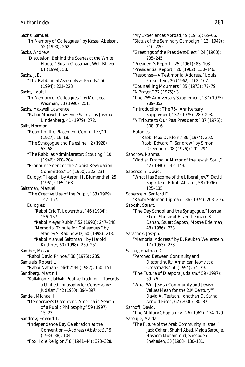Sachs, Samuel. "In Memory of Colleagues," by Kassel Abelson, 52 (1990): 262. Sacks, Andrew. "Discussion: Behind the Scenes at the White House," Susan Grossman, Wolf Blitzer, 61 (1999): 58. Sacks, J. B. "The Rabbinical Assembly as Family," 56 (1994): 221–223. Sacks, Louis L. "In Memory of Colleagues," by Mordecai Waxman, 58 (1996): 251. Sacks, Maxwell Lawrence. "Rabbi Maxwell Lawrence Sacks," by Joshua Lindenberg, 41 (1979): 272. Salit, Norman. "Report of the Placement Committee," 1 (1927): 16–18. "The Synagogue and Palestine," 2 (1928): 53–58. "The Rabbi as Administrator: Scouting," 10 (1946): 200–204. "Pronouncement of the Zionist Revaluation Committee," 14 (1950): 222–231. Eulogy: "*Hesped*," by Aaron H. Blumenthal, 25 (1961): 165–168. Saltzman, Manuel. "The Creative Use of the Pulpit," 33 (1969): 147–157. Eulogies: "Rabbi Eric T. Lowenthal," 46 (1984): 156–157. "Rabbi Meyer Rubin," 52 (1990): 247–248. "Memorial Tribute for Colleagues," by Stanley S. Rabinowitz, 60 (1998): 213. "Rabbi Manuel Saltzman," by Harold Kushner, 60 (1998): 250–251. Samber, Moshe. "Rabbi David Prince," 38 (1976): 285. Samuels. Robert L. "Rabbi Nathan Colish," 44 (1982): 150–151. Sandberg, Martin I. "*Kallah* on *Halakhah:* Positive Tradition—Towards a Unified Philosophy for Conservative Judaism," 42 (1980): 394–397. Sandel, Michael J. "Democracy's Discontent: America in Search of a Public Philosophy," 59 (1997): 15–23. Sandrow, Edward T. "Independence Day Celebration at the Convention—Address (Abstract)," 5 (1933–38): 104. "Fox Hole Religion," 8 (1941–44): 323–328.

"My Experiences Abroad," 9 (1945): 65–66. "Status of the Seminary Campaign," 13 (1949): 216–220. "Greetings of the President-Elect," 24 (1960): 235–245. "President's Report," 25 (1961): 83–103. "Presidential Report," 26 (1962): 130–146. "Response—A Testimonial Address," Louis Finkelstein, 26 (1962): 162–167. "Counselling Mourners," 35 (1973): 77–79. "A Prayer," 37 (1975): 3. "The 75th Anniversary Supplement," 37 (1975): 289–352. "Introduction: The 75th Anniversary Supplement," 37 (1975): 289–293. "A Tribute to Our Past Presidents," 37 (1975): 308–316. Eulogies: "Rabbi Max D. Klein," 36 (1974): 202. "Rabbi Edward T. Sandrow," by Simon Greenberg, 38 (1976): 291–294. Sandrow, Nahma. "Yiddish Drama: A Mirror of the Jewish Soul," 42 (1980): 142–143. Saperstein, David. "What Has Become of the Liberal Jew?" David Sapirstein, Elliott Abrams, 58 (1996): 125–135. Saperstein, Sanford E. "Rabbi Solomon Lipman," 36 (1974): 203–205. Saposh, Stuart. "The Day School and the Synagogue," Joshua Elkin, Shulamit Elster, Leonard S. Cahan, Stuart Saposh, Moshe Edelman, 48 (1986): 233. Sarachek, Joseph. "Memorial Address," by B. Reuben Weilerstein, 17 (1953): 273. Sarna, Jonathan D. "Perched Between Continuity and Discontinuity: American Jewry at a Crossroads," 56 (1994): 74–79. "The Future of Diaspora Judaism," 59 (1997): 69–76. "What Will Jewish Community and Jewish Values Mean for the 21st Century?" David A. Teutsch, Jonathan D. Sarna, Arnold Eisen, 62 (2000): 80–87. Sarnoff, David. "The Military Chaplaincy," 26 (1962): 174–179. Saroujie, Majda. "The Future of the Arab Community in Israel," Jack Cohen, Shukri Abed, Majda Saroujie, Hashem Muhammud, Shehadeh Shehadeh, 50 (1988): 130–131.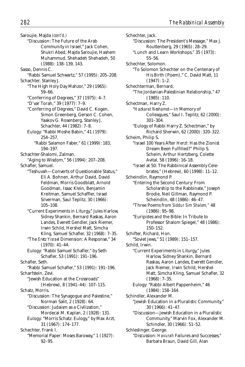Saroujie, Majda *(cont'd.)* "Discussion: The Future of the Arab Community in Israel," Jack Cohen, Shukri Abed, Majda Saroujie, Hashem Muhammud, Shehadeh Shehadeh, 50 (1988): 138–139, 143. Sasso, Dennis C. "Rabbi Samuel Schwartz," 57 (1995): 205–208. Schachter, Stanley J. "The High Holy Day Mahzor," 29 (1965): 59–66. "Conferring of Degrees," 37 (1975): 4–7. "D'var Torah," 39 (1977): 7–9. "Conferring of Degrees," David C. Kogen, Simon Greenberg, Gerson C. Cohen, Yaakov G. Rosenberg, Stanley J. Schachter, 44 (1982): 7–8. Eulogy: "Rabbi Moshe Babin," 41 (1979): 254–257. "Rabbi Salamon Faber," 61 (1999): 183, 194–197. Schachter-Shalomi, Zalman. "Aging to Wisdom," 56 (1994): 207–208. Schafler, Samuel. "Teshuvah—Converts of Questionable Status," Eli A. Bohnen, Arthur David, David Feldman, Morris Goodblatt, Arnold Goodman, Isaac Klein, Benjamin Kreitman, Samuel Schaffler, Israel Silverman, Saul Teplitz, 30 (1966): 105–108. "Current Experiments in Liturgy," Jules Harlow, Sidney Shankin, Bernard Raskas, Aaron Landes, Everett Gendler, Jack Riemer, Irwin Schild, Hershel Matt, Simcha Kling, Samuel Schafler, 32 (1968): 7–35. "The *Eretz Yisrael* Dimension: A Response," 34 (1970): 41–44. Eulogy: "Rabbi Samuel Schafler," by Seth Schafler, 53 (1991): 191–196. Schafler, Seth. "Rabbi Samuel Schafler," 53 (1991): 191–196. Scharfstein, Zevi. "Jewish Education at the Crossroads" (Hebrew), 8 (1941–44): 107–115. Schatz, Morris. "Discussion: The Synagogue and Palestine," Norman Salit, 2 (1928): 64. "Discussion: Judaism as a Civilization," Mordecai M. Kaplan, 2 (1928): 131. Eulogy: "Morris Schatz: Eulogy," by Max Arzt, 31 (1967): 174–177. Schechter, Frank I. "Memorial Paper: Moses Baroway," 1 (1927): 92–95.

Schechter, Jack. "Discussion: The President's Message," Max J. Routtenberg, 29 (1965): 28–29. "Lunch and Learn Workshops," 35 (1973): 55–56. Schechter, Solomon. "To Solomon Schechter on the Centenary of His Birth (Poem)," C. David Matt, 11 (1947): 1–2. Schechterman, Bernard. "The Jordanian-Palestinian Relationship," 47 (1985): 110. Schectman, Harry Z. "*Hazkarat Neshamot*—In Memory of Colleagues," Saul I. Teplitz, 62 (2000): 301–304. "Eulogy of Rabbi Harry Z. Schectman," by Richard Sherwin, 62 (2000): 320–322. Scheim, Philip S. "Israel 100 Years After Herzl: Has the Zionist Dream Been Fulfilled?" Philip S. Scheim, Arthur Hertzberg, Colette Avital, 58 (1996): 16–18. "Israel at 50: The Rabbinical Assembly Celebrates," (Hebrew), 60 (1998): 11–12. Scheindlin, Raymond P. "Entering the Second Century: From Scholarship to the Rabbinate," Joseph Brodie, Neil Gillman, Raymond P. Scheindlin, 48 (1986): 46–47. "Three Poems from *Siddur Sim Shalom,"* 48 (1986): 95–98. "Euripides and the Bible: In Tribute to Professor Shalom Spiegel," 48 (1986): 150–152. Schifter, Richard, Hon. "Soviet Jews," 51 (1989): 151–157. Schild, Irwin. "Current Experiments in Liturgy," Jules Harlow, Sidney Shankin, Bernard Raskas, Aaron Landes, Everett Gendler, Jack Riemer, Irwin Schild, Hershel Matt, Simcha Kling, Samuel Schafler, 32 (1968): 7–35. Eulogy: "Rabbi Albert Pappenheim," 46 (1984): 158–164. Schindler, Alexander M. "Jewish Education in a Pluralistic Community," 30 (1966): 41–47. "Discussion—Jewish Education in a Pluralistic Community," Marvin Fox, Alexander M. Schindler, 30 (1966): 51–52. Schleslinger, George. "Discussion: *Havurah* Failures and Successes," Barbara Braun, David Gill, Alan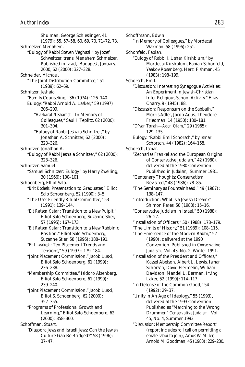Shulman, George Schleslinger, 41 (1979): 55, 57–58, 60, 69, 70, 71–72, 73. Schmelzer, Menahem. "Eulogy of Rabbi Steven Veghazi," by Jozef Schweitzer, trans. Menahem Schmelzer, Published in *Izrael,* Budapest, January, 2000, 62 (2000): 327–328. Schneider, Michael. "The Joint Distribution Committee," 51 (1989): 62–69. Schnitzer, Jeshaia. "Family Counseling," 36 (1974): 126–140. Eulogy: "Rabbi Arnold A. Lasker," 59 (1997): 206–209. "*Hazkarat Neshamot*—In Memory of Colleagues," Saul I. Teplitz, 62 (2000): 301–304. "Eulogy of Rabbi Jeshaia Schnitzer," by Jonathan A. Schnitzer, 62 (2000): 323–326. Schnitzer, Jonathan A. "Eulogy of Rabbi Jeshaia Schnitzer," 62 (2000): 323–326. Schnitzer, Samuel. "Samuel Schnitzer: Eulogy," by Harry Zwelling, 30 (1966): 100–101. Schoenberg, Elliot Salo. "*Brit Kodesh:* Presentation to Graduates," Elliot Salo Schoenberg, 52 (1990): 3–5. "The User-Friendly Ritual Committee," 53 (1991): 139–144. "*Eit Ratzon Katan:* Transition to a New Pulpit," Elliot Salo Schoenberg, Suzanne Stier, 57 (1995): 167–173. "*Eit Ratzon Katan:* Transition to a New Rabbinic Position," Elliot Salo Schoenberg, Suzanne Stier, 58 (1996): 188–191. "*Et Li-vakesh:* Ten Placement Trends and Tensions," 59 (1997): 179–184. "Joint Placement Commission," Jacob Luski, Elliot Salo Schoenberg, 61 (1999): 236–238. "Membership Committee," Isidoro Aizenberg, Elliot Salo Schoenberg, 61 (1999): 239–240. "Joint Placement Commission," Jacob Luski, Elliot S. Schoenberg, 62 (2000): 352–355. "Programs of Professional Growth and Learning," Elliot Salo Schoenberg, 62 (2000): 358–360. Schoffman, Stuart. "Diaspora Jews and Israeli Jews: Can the Jewish Culture Gap Be Bridged?" 58 (1996): 37–47.

Schoffmann, Edwin. "In Memory of Colleagues," by Mordecai Waxman, 58 (1996): 251. Schonfeld, Fabian. "Eulogy of Rabbi I. Usher Kirshblum," by Mordecai Kirshblum, Fabian Schonfeld, Yaakov Rosenberg, Herzl Fishman, 45 (1983): 198–199. Schorsch, Emil. "Discussion: Interesting Synagogue Activities: An Experiment in Jewish-Christian Inter-Religious School Activity," Elias Charry, 9 (1945): 88. "Discussion: Responsum on the Sabbath," Morris Adler, Jacob Agus, Theodore Friedman, 14 (1950): 180–181. "D'var Torah—*Adon Olam,"* 29 (1965): 129–135. Eulogy: "Rabbi Emil Schorsch," by Ismar Schorsch, 44 (1982): 164–168. Schorsch, Ismar. "Zecharias Frankel and the European Origins of Conservative Judaism," 42 (1980), delivered at the 1980 Convention. Published in *Judaism,* Summer 1981. "Centenary Thoughts: Conservatism Revisited," 48 (1986): 78–85. "The Seminary as Fountainhead," 49 (1987): 138–147. "Introduction: What is a Jewish Dream?" Shimon Peres, 50 (1988): 15–16. "Conservative Judaism in Israel," 50 (1988): 26–27. "Installation of Officers," 50 (1988): 178–179. "The Limits of History," 51 (1989): 108–115. "The Emergence of the Modern Rabbi," 52 (1990), delivered at the 1990 Convention. Published in *Conservative Judaism,* Vol. 43, No. 2, Winter 1991. "Installation of the President and Officers," Kassel Abelson, Albert L. Lewis, Ismar Schorsch, David Hermelin, William Davidson, Mandel L. Berman, Irving Laker, 52 (1990): 114–117. "In Defense of the Common Good," 54 (1992): 29–37. "Unity in An Age of Ideology," 55 (1993), delivered at the 1993 Convention. Published as "Marching to the Wrong Drummer," *Conservative Judaism,* Vol. 45, No. 4, Summer 1993.

"Discussion: Membership Committee Report" (report includes roll call on permitting a emale rabbi to join), Amos W. Miller, Arnold M. Goodman, 45 (1983): 229–230.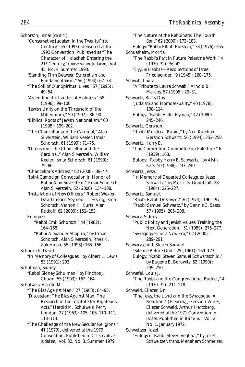Schorsch, Ismar *(cont'd.)*

- "Conservative Judaism in the Twenty-First Century," 55 (1993), delivered at the 1993 Convention. Published as "The Character of Halakhah Entering the 21st Century," *Conservative Judaism,* Vol. 45, No. 4, Summer 1993.
- "Standing Firm Between Syncretism and Fundamentalism," 56 (1994): 67–73.
- "The Soil of Our Spiritual Lives," 57 (1995): 49–54.
- "Ascending the Ladder of Holiness," 58 (1996): 99–106.
- "Jewish Unity on the Threshold of the Millennium," 59 (1997): 86–90.
- "Biblical Roots of Jewish Nationalism," 60 (1998): 199–202.
- "The Chancellor and the Cardinal," Alan Silverstein, William Keeler, Ismar Schorsch, 61 (1999): 71–75.
- "Discussion: The Chancellor and the Cardinal," Alan Silverstein, William Keeler, Ismar Schorsch, 61 (1999): 79–80.
- "Chancellor's Address," 62 (2000): 39–47.
- "Joint Campaign Convocation in Honor of Rabbi Alan Silverstein," Ismar Schorsch, Alan Silverstein, 62 (2000): 134–138.
- "Installation of New Officers," Robert Wexler, David Lieber, Seymour L. Essrog, Ismar Schorsch, Vernon H. Kurtz, Alan Rutkoff, 62 (2000): 151–153.

Eulogies:

- "Rabbi Emil Schorsch," 44 (1982): 164–168.
- "Rabbi Alexander Shapiro," by Ismar Schorsch, Alan Silverstein, Rhea K. Zukerman, 55 (1993): 165–166.
- Schudrich, David.
	- "In Memory of Colleagues," by Albert L. Lewis, 53 (1991): 203.
- Schulman, Sidney.
	- "Rabbi Sidney Schulman," by Pinchos J. Chazin, 55 (1993): 162–164.
- Schulweis, Harold M.
	- "The Bias Against Man," 27 (1963): 84–95.
	- "Discussion: The Bias Against Man, The Research of the Institute for Righteous Acts," Harold M. Schulweis, Perry London, 27 (1963): 105–106, 110–111, 113–114.
	- "The Challenge of the New Secular Religions," 41 (1979), delivered at the 1979 Convention. Published in *Conservative Judaism,* Vol. 32, No. 3, Summer 1979.

"The Nature of the Rabbinate: The Fourth Son," 62 (2000): 173–183. Eulogy: "Rabbi Elliott Burstein," 38 (1976): 265. Schussheim, Morris. "The Rabbi's Part in Future Palestine Work," 4 (1930–32): 36–42. "*Siyyum HaShas*—Recollections of Israel Friedlaender," 9 (1945): 168–175. Schwab, Laura. "A Tribute to Laura Schwab," Arnold B. Marans, 57 (1995): 29–31. Schwartz, Barry Dov. "Judaism and Homosexuality," 40 (1978): 108–114. Eulogy: "Rabbi Hillel Hyman," 42 (1980): 245–246. Schwartz, Gershon. "Rabbi Mordecai Rubin," by Neil Kurshan, Gershon Schwartz, 56 (1994): 253–258. Schwartz, Harry E. "The Convention Committee on Palestine," 6 (1939): 168. Eulogy: "Rabby Harry E. Schwartz," by Alvin Kass, 50 (1988): 237–240. Schwartz, Jesse. "In Memory of Departed Colleagues: Jesse Schwartz," by Morris S. Goodblatt, 28 (1964): 225–227. Schwartz, Samuel. "Rabbi Ralph DeKoven," 36 (1974): 196–197. "Rabbi Samuel Schwartz," by Dennis C. Sasso, 57 (1995): 205–208. Schwarz, Sidney. "Public Policy and Jewish Values: Training the Next Generation," 51 (1989): 275–277. "Synagogues for a New Era," 62 (2000): 289–291. Schwarzschild, Steven Samuel. "Silence Before God," 25 (1961): 169–173. Eulogy: "Rabbi Steven Samuel Schwarzschild," by Eugene B. Borowitz, 52 (1990): 249–250. Schwefel, Louis J. "The Rabbi and the Congregational Budget," 4 (1930–32): 211–218. Schweid, Eliezer, Dr. "The Jews, the Land and the Synagogue: A Reaction," (Hebrew), Gershon Winer, Eliezer Schweid, Arthur Hertzberg, delivered at the 1971 Convention in Israel. Published in *Beineinu,* Vol. 2, No. 1, January 1972. Schweitzer, Jozef. "Eulogy of Rabbi Steven Veghazi," by Jozef Schweitzer, trans. Menahem Schmelzer,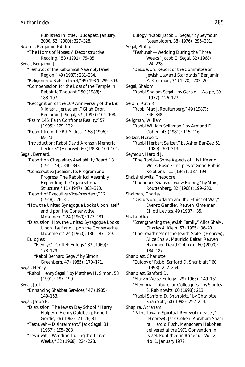Published in *Izrael,* Budapest, January, 2000, 62 (2000): 327–328. Scolnic, Benjamin Edidin. "The Horns of Moses: A Deconstructive Reading," 53 (1991): 75–85. Segal, Benjamin J. "Teshuvot of the Rabbinical Assembly Israel Region," 49 (1987): 231–234. "Religion and State in Israel," 49 (1987): 299–303. "Compensation for the Loss of the Temple in Rabbinic Thought," 50 (1988): 188–197. "Recognition of the 10th Anniversary of the *Bet Midrash,* Jerusalem," Gilah Dror, Benjamin J. Segal, 57 (1995): 104–108. "Psalm 145: Faith Confronts Reality," 57 (1995): 129–132. "Report from the *Bet Midrash,"* 58 (1996): 69–71. "Introduction: Rabbi David Aronson Memorial Lecture," (Hebrew), 60 (1998): 100–101. Segal, Bernard. "Report on Chaplaincy Availability Board," 8 (1941–44): 340–343. "Conservative Judaism, Its Program and Progress: The Rabbinical Assembly, Expanding Its Organizational Structure," 11 (1947): 363–370. "Report of Executive Vice-President," 12 (1948): 26–31. "How the United Synagogue Looks Upon Itself and Upon the Conservative Movement," 24 (1960): 173–181. "Discussion: How the United Synagogue Looks Upon Itself and Upon the Conservative Movement," 24 (1960): 186–187, 189. Eulogies: "Henry O. Griffel: Eulogy," 33 (1969): 178–179. "Rabbi Bernard Segal," by Simon Greenberg, 47 (1985): 170–171. Segal, Henry. "Rabbi Henry Segal," by Matthew H. Simon, 53 (1991): 197–199. Segal, Jack. "Enhancing Shabbat Services," 47 (1985): 149–153. Segal, Jacob E. "Discussion: The Jewish Day School," Harry Halpern, Henry Goldberg, Robert Gordis, 26 (1962): 71–76, 81. "Teshuvah—Disinterment," Jack Segal, 31 (1967): 195–208. "Teshuvah—Wedding During the Three Weeks," 32 (1968): 224–228.

Eulogy: "Rabbi Jacob E. Segal," by Seymour Rosenbloom, 38 (1976): 295–301. Segal, Phillip. "Teshuvah—Wedding During the Three Weeks," Jacob E. Segal, 32 (1968): 224–228. "Discussion: Report of the Committee on Jewish Law and Standards," Benjamin Z. Kreitman, 34 (1970): 203–205. Segal, Shalom. "Rabbi Shalom Segal," by Gerald I. Wolpe, 39 (1977): 126–127. Seldin, Ruth R. "Rabbi Max J. Routtenberg," 49 (1987): 346–348. Seligman, William. "Rabbi William Seligman," by Armand E. Cohen, 43 (1981): 115–116. Seltzer, Herbert. "Rabbi Herbert Seltzer," by Asher Bar-Zev, 51 (1989): 309–313. Seymour, Harold J. "The Rabbi—Some Aspects of His Life and Work: Basic Principles of Good Public Relations," 11 (1947): 187–194. Shabshelowitz, Theodore. "Theodore Shabshelowitz: Eulogy," by Max J. Routtenberg, 32 (1968): 199–200. Shalman, Charles. "Discussion: Judaism and the Ethics of War," Everett Gendler, Reuven Kimelman, Elliott Levitas, 49 (1987): 35. Shalvi, Alice. "Strengthening the Jewish Family," Alice Shalvi, Charles A. Klein, 57 (1995): 36–40. "The Jewishness of the Jewish State" (Hebrew), Alice Shalvi, Mauricio Balter, Reuven Hammer, David Golinkin, 60 (2000): 184–187. Shanblatt, Charlotte. "Eulogy of Rabbi Sanford D. Shanblatt," 60 (1998): 252–254. Shanblatt, Sanford D. "Marvin Weiss: Eulogy," 29 (1965): 149–151. "Memorial Tribute for Colleagues," by Stanley S. Rabinowitz, 60 (1998): 213. "Rabbi Sanford D. Shanblatt," by Charlotte Shanblatt, 60 (1998): 252–254. Shapira, Abraham. "Paths Toward Spiritual Renewal in Israel," (Hebrew), Jack Cohen, Abraham Shapira, Harold Fisch, Menachem Hakohen, delivered at the 1971 Convention in Israel. Published in *Beineinu,* Vol. 2,

No. 1, January 1972.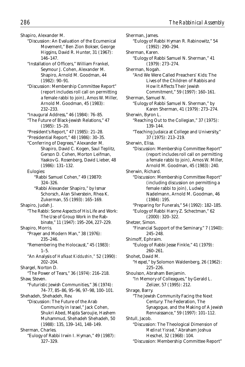Shapiro, Alexander M. "Discussion: An Evaluation of the Ecumenical Movement," Ben Zion Bokser, George Higgins, David R. Hunter, 31 (1967): 146–147. "Installation of Officers," William Frankel, Seymour J. Cohen, Alexander M. Shapiro, Arnold M. Goodman, 44 (1982): 90–91. "Discussion: Membership Committee Report" (report includes roll call on permitting a female rabbi to join), Amos W. Miller, Arnold M. Goodman, 45 (1983): 232–233. "Inaugural Address," 46 (1984): 76–85. "The Future of Black-Jewish Relations," 47 (1985): 15–20. "President's Report," 47 (1985): 21–28. "Presidential Report," 48 (1986): 30–35. "Conferring of Degrees," Alexander M. Shapiro, David C. Kogen, Saul Teplitz, Gerson D. Cohen, Morton Leifman, Yaakov G. Rosenberg, David Lieber, 48 (1986): 131–132. Eulogies: "Rabbi Samuel Cohen," 49 (19870: 324–326. "Rabbi Alexander Shapiro," by Ismar Schorsch, Alan Silverstein, Rhea K. Zukerman, 55 (1993): 165–169. Shapiro, Judah J. "The Rabbi: Some Aspects of His Life and Work: The Use of Group Work in the Rabbinate," 11 (1947): 195–204, 227–229. Shapiro, Morris. "Prayer and Modern Man," 38 (1976): 235–246. "Remembering the Holocaust," 45 (1983):  $1 - 5$ "An Analysis of *Hafkaat Kiddushin,"* 52 (1990): 202–204. Shargel, Norton D. "The Power of Tears," 36 (1974): 216–218. Shaw, Steven. "Futuristic Jewish Communities," 36 (1974): 74–77, 85–86, 95–96, 97–98, 100–101. Shehadeh, Shehadeh, Rev. "Discussion: The Future of the Arab Community in Israel," Jack Cohen, Shukri Abed, Majda Saroujie, Hashem Muhammud, Shehadeh Shehadeh, 50 (1988): 135, 139–141, 148–149. Sherman, Charles. "Eulogy of Rabbi Irwin I. Hyman," 49 (1987):

327–329.

Sherman, James. "Eulogy of Rabbi Hyman R. Rabinowitz," 54 (1992): 290–294. Sherman, Karen. "Eulogy of Rabbi Samuel N. Sherman," 41 (1979): 273–274. Sherman, Nogah. "And We Were Called Preachers' Kids: The Lives of the Children of Rabbis and How It Affects Their Jewish Commitment," 59 (1997): 160–161. Sherman, Samuel N. "Eulogy of Rabbi Samuel N. Sherman," by Karen Sherman, 41 (1979): 273–274. Sherwin, Byron L. "Reaching Out to the Collegian," 37 (1975): 139–144. "Teaching Judaica at College and University," 37 (1975): 213–219. Sherwin, Elisa. "Discussion: Membership Committee Report" (report includes roll call on permitting a female rabbi to join), Amos W. Miller, Arnold M. Goodman, 45 (1983): 240. Sherwin, Richard. "Discussion: Membership Committee Report" (including discussion on permitting a female rabbi to join), Ludwig Nadelmann, Arnold M. Goodman, 46 (1984): 195. "Preparing for Funerals," 54 (1992): 182–185. "Eulogy of Rabbi Harry Z. Schectman," 62 (2000): 320–322. Shetzer, Simon. "Financial Support of the Seminary," 7 (1940): 245–248. Shimoff, Ephraim. "Eulogy of Rabbi Jesse Finkle," 41 (1979): 260–261. Shohet, David M. "*Hesped*," by Solomon Waldenberg, 26 (1962): 225–226. Shoulson, Abraham Benjamin. "In Memory of Colleagues," by Gerald L. Zelizer, 57 (1995): 212. Shrage, Barry. "The Jewish Community Facing the Next Century: The Federation, The Synagogue, and the Making of A Jewish Rennaissance," 59 (1997): 101–112. Shtull, Jacob. "Discussion: The Theological Dimension of *Medinat Yisrael,"* Abraham Joshua Heschel, 32 (1968): 104. "Discussion: Membership Committee Report"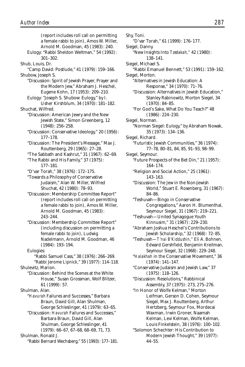(report includes roll call on permitting a female rabbi to join), Amos W. Miller, Arnold M. Goodman, 45 (1983): 240. Eulogy: "Rabbi Sheldon Weltman," 54 (1992): 301–302. Shub, Louis, Dr. "Camp David: Postlude," 41 (1979): 159–166. Shubow, Joseph S. "Discussion: Spirit of Jewish Prayer, Prayer and the Modern Jew," Abraham J. Heschel, Eugene Kohn, 17 (1953): 209–210. Eulogy: "Joseph S. Shubow: Eulogy," by I. Usher Kirshblum, 34 (1970): 181–182. Shuchat, Wilfred. "Discussion: American Jewry and the New Jewish State," Simon Greenberg, 12 (1948): 256–258. "Discussion: Conservative Ideology," 20 (1956): 177–178. "Discussion: The President's Message," Max J. Routtenberg, 29 (1965): 27–28. "The Sabbath and Kashrut," 31 (1967): 62–69. "The Rabbi and His Family," 37 (1975): 177–181. "D'var Torah," 38 (1976): 172–175. "Towards a Philosophy of Conservative Judaism," Alan W. Miller, Wilfred Shuchat, 42 (1980): 78–93. "Discussion: Membership Committee Report" (report includes roll call on permitting a female rabbi to join), Amos W. Miller, Arnold M. Goodman, 45 (1983): 243–244. "Discussion: Membership Committee Report" (including discussion on permitting a female rabbi to join), Ludwig Nadelmann, Arnold M. Goodman, 46 (1984): 193–194. Eulogies: "Rabbi Samuel Cass," 38 (1976): 266–269. "Rabbi Jerome Lipnick," 39 (1977): 114–118. Shulevitz, Marion. "Discussion: Behind the Scenes at the White House," Susan Grossman, Wolf Blitzer, 61 (1999): 57. Shulman, Alan. "*Havurah* Failures and Successes," Barbara Braun, David Gill, Alan Shulman, George Schleslinger, 41 (1979): 63–65. "Discussion: *Havurah* Failures and Successes," Barbara Braun, David Gill, Alan Shulman, George Schleslinger, 41 (1979): 66–67, 67–68, 68–69, 71, 73. Shulman, Ronald J. "Rabbi Bernard Wechsberg," 55 (1993): 177–181.

Shy, Toni. "D'var Torah," 61 (1999): 176–177. Siegel, Danny. "New Insights Into *Tzedakah,"* 42 (1980): 138–141. Siegel, Michael S. "Rabbi Emanuel Bennett," 53 (1991): 159–162. Siegel, Morton. "Alternatives in Jewish Education: A Response," 34 (1970): 71–76. "Discussion: Alternatives in Jewish Education," Stanley Rabinowitz, Morton Siegel, 34 (1970): 84–85. "For God's Sake, What Do You Teach?" 48 (1986): 224–230. Siegel, Norman. "Norman Siegel: Eulogy," by Abraham Nowak, 35 (1973): 134–136. Siegel, Richard. "Futuristic Jewish Communities," 36 (1974): 77–78, 80–81, 84, 85, 91–93, 98–99. Siegel, Seymour. "Future Prospects of the Bet Din," 21 (1957): 164–174. "Religion and Social Action," 25 (1961): 143–163. "Discussion: The Jew in the Non-Jewish World," Stuart E. Rosenberg, 31 (1967): 84–86. "Teshuvah—Bingo in Conservative Congregations," Aaron H. Blumenthal, Seymour Siegel, 31 (1967): 219–221. "Teshuvah—United Synagogue Youth Kinnusim," 31 (1967): 229–230. "Abraham Joshua Heschel's Contributions to Jewish Scholarship," 32 (1968): 72–85. "Teshuvah—*T'nai B'Kiddushin,"* Eli A. Bohnen, Edward Gershfield, Benjamin Kreitman, Seymour Siegel, 32 (1968): 229–248. "*Halakhah* in the Conservative Movement," 36 (1974): 141–147. "Conservative Judaism and Jewish Law," 37 (1975): 118–126. "Discussion: Resolutions," Rabbinical Assembly, 37 (1975): 273, 275–276. "In Honor of Wolfe Kelman," Morton Leifman, Gerson D. Cohen, Seymour Siegel, Max J. Routtenberg, Arthur Hertzberg, Seymour Fox, Mordecai Waxman, Irwin Groner, Naamah Kelman, Levi Kelman, Wolfe Kelman, Louis Finkelstein, 38 (1976): 100–102. "Solomon Schechter: His Contribution to Modern Jewish Thought," 39 (1977): 44–55.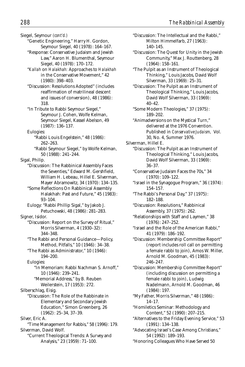Siegel, Seymour *(cont'd.)*

- "Genetic Engineering," Harry H. Gordon, Seymour Siegel, 40 (1978): 164–167.
- "Response: Conservative Judaism and Jewish Law," Aaron H. Blumenthal, Seymour Siegel, 40 (1978): 170–172.
- "*Kallah* on *Halakhah:* Approaches to *Halakhah* in the Conservative Movement," 42 (1980): 398–403.
- "Discussion: Resolutions Adopted" (includes reaffirmation of matrilineal descent and issues of conversion), 48 (1986): 318.
- "In Tribute to Rabbi Seymour Siegel," Seymour J. Cohen, Wolfe Kelman, Seymour Siegel, Kassel Abelson, 49 (1987): 136–137.
- Eulogies: "Rabbi Louis Engelstein," 48 (1986): 262–263.
	- "Rabbi Seymour Siegel," by Wolfe Kelman, 50 (1988): 241–244.

Sigal, Philip.

- "Discussion: The Rabbinical Assembly Faces the Seventies," Edward M. Gershfield, William H. Lebeau, Hillel E. Silverman, Mayer Abramowitz, 34 (1970): 134–135.
- "Some Reflections On Rabbinical Assembly Halakhah: Past and Future," 45 (1983): 93–104.
- Eulogy: "Rabbi Phillip Sigal," by Jakob J. Petuchowski, 48 (1986): 281–283.
- Signer, Isidor.
	- "Discussion: Report on the Survey of Ritual," Morris Silverman, 4 (1930–32): 344–348.
	- "The Rabbi and Personal Guidance—Policy, Method, Pitfalls," 10 (1946): 34–38.
	- "The Rabbi as Administrator," 10 (1946): 194–200.

Eulogies:

"In Memoriam: Rabbi Nachman S. Arnoff," 10 (1946): 239–241.

"Memorial Address," by B. Reuben Weilerstein, 17 (1953): 272.

Silberschlag, Eisig.

"Discussion: The Role of the Rabbinate in Elementary and Secondary Jewish Education," Simon Greenberg, 26 (1962): 25–34, 37–39.

Silver, Eric A.

"Time Management for Rabbis," 58 (1996): 179. Silverman, David Wolf. "Current Theological Trends: A Survey and

Analysis," 23 (1959): 71–100.

- "Discussion: The Intellectual and the Rabbi," Milton Himmelfarb, 27 (1963): 140–145.
- "Discussion: The Quest for Unity in the Jewish Community," Max J. Routtenberg, 28 (1964): 158–161.
- "The Pulpit as an Instrument of Theological Thinking," Louis Jacobs, David Wolf Silverman, 33 (1969): 25–31.
- "Discussion: The Pulpit as an Instrument of Theological Thinking," Louis Jacobs, David Wolf Silverman, 33 (1969): 40–42.
- "Some Modern Theologies," 37 (1975): 189–202.
- "Animadversions on the Mystical Turn," delivered at the 1976 Convention. Published in *Conservative Judaism,* Vol. 30, No. 4, Summer 1976.
- Silverman, Hillel E.
	- "Discussion: The Pulpit as an Instrument of Theological Thinking," Louis Jacobs, David Wolf Silverman, 33 (1969): 36–37.
	- "Conservative Judaism Faces the 70s," 34 (1970): 109–122.
	- "Israel in the Synagogue Program," 36 (1974): 154–157.
	- "The Rabbi's Personal Day," 37 (1975): 182–188.
	- "Discussion: Resolutions," Rabbinical Assembly, 37 (1975): 262.
	- "Relationships with Staff and Laymen," 38 (1976): 247–252.
	- "Israel and the Role of the American Rabbi," 41 (1979): 186–192.
	- "Discussion: Membership Committee Report" (report includes roll call on permitting a female rabbi to join), Amos W. Miller, Arnold M. Goodman, 45 (1983): 246–247.
	- "Discussion: Membership Committee Report" (including discussion on permitting a female rabbi to join), Ludwig Nadelmann, Arnold M. Goodman, 46 (1984): 197.
	- "My Father, Morris Silverman," 48 (1986): 14–17.
	- "Homiletics Seminar: Methodology and Content," 52 (1990): 207–215.
	- "Alternatives to the Friday Evening Service," 53 (1991): 134–138.
	- "Advocating Israel's Case Among Christians," 54 (1992): 189–193.
	- "Honoring Colleagues Who Have Served 50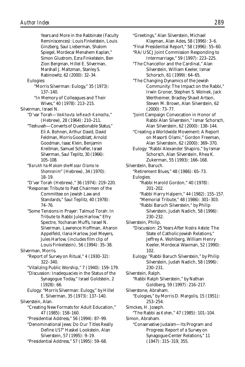Years and More in the Rabbinate (Faculty Reminiscences): Louis Finkelstein, Louis Ginzberg, Saul Lieberman, Shalom Spiegel, Mordecai Menahem Kaplan," Simon Glustrom, Ezra Finkelstein, Ben Zion Bergman, Hillel E. Silverman, Marshall J. Maltzman, Stanley S. Rabinowitz, 62 (2000): 32–34. Eulogies: "Morris Silverman: Eulogy," 35 (1973): 137–140. "In Memory of Colleagues and Their Wives," 40 (1978): 213–215. Silverman, Israel N. "D'var Torah—*Ve-Ahavta le-Re-ach Kamocha*," (Hebrew), 28 (1964): 210–211. "Teshuvah—Converts of Questionable Status," Eli A. Bohnen, Arthur David, David Feldman, Morris Goodblatt, Arnold Goodman, Isaac Klein, Benjamin Kreitman, Samuel Schafler, Israel Silverman, Saul Teplitz, 30 (1966): 105–108. "*Barukh ha-Makom she-Masar Olamo le-Shomronim*" (Hebrew), 34 (1970): 18–19. "D'var Torah (Hebrew)," 36 (1974): 219–220. "Response: Tribute to Past Chairmen of the Committee on Jewish Law and Standards," Saul Teplitz, 40 (1978): 74–76. "Some Tensions in Prayer: Talmud Torah: In Tribute to Rabbi Jules Harlow," Efry Spectre, Yochanan Muffs, Israel N. Silverman, Lawrence Hoffman, Aharon Appelfeld, Ilana Harlow, Joel Meyers, Jules Harlow, (includes film clip of Louis Finkelstein), 56 (1994): 35–38. Silverman, Morris. "Report of Survey on Ritual," 4 (1930–32): 322–340. "Vitalizing Public Worship," 7 (1940): 159–179. "Discussion: Inadequacies in the Status of the Synagogue Today," Israel Goldstein, 2 (1928): 66. Eulogy: "Morris Silverman: Eulogy," by Hillel E. Silverman, 35 (1973): 137–140. Silverstein, Alan. "Creating New Formats for Adult Education," 47 (1985): 158–160. "Presidential Address," 56 (1994): 87–99. "Denominational Jews: Do Our Titles Really Define *US*?" Haskel Lookstein, Alan Silverstein, 57 (1995): 9–19. "Presidential Address," 57 (1995): 59–68.

"Greetings," Alan Silverstein, Michael

- Klayman, Alan Ades, 58 (1996): 3–6.
- "Final Presidential Report," 58 (1996): 55–60. "RA/USCJ Joint Commission Responding to
- Intermarriage," 59 (1997): 223–225. "The Chancellor and the Cardinal," Alan
- Silverstein, William Keeler, Ismar Schorsch, 61 (1999): 64–65.
- "The Changing Dynamics of the Jewish Community: The Impact on the Rabbi," Irwin Groner, Stephen S. Wolnek, Jack Wertheimer, Bradley Shavit Artson, Steven M. Brown, Alan Silverstein, 62 (2000): 73–77.
- "Joint Campaign Convocation in Honor of Rabbi Alan Silverstein," Ismar Schorsch, Alan Silverstein, 62 (2000): 138–144.
- "Creating a Worldwide Movement: A Report on Masorti Olami," Gordon Freeman, Alan Silverstein, 62 (2000): 369–370.
- Eulogy: "Rabbi Alexander Shapiro," by Ismar Schorsch, Alan Silverstein, Rhea K. Zukerman, 55 (1993): 166–168.

Silverstein, Baruch.

"Retirement Blues," 48 (1986): 65–73. Eulogies:

- "Rabbi Harold Gordon," 40 (1978): 201–202.
- "Rabbi Harry Halpern," 44 (1982): 155–157.
- "Memorial Tribute," 48 (1986): 301–303.

"Rabbi Baruch Silverstein," by Philip Silverstein, Judah Nadich, 58 (1996): 230–232.

- Silverstein, Philip.
	- "Discussion: 25 Years After *Nostra Aetate:* The State of Catholic-Jewish Relations," Jeffrey A. Wohlberg, William Henry Keeler, Mordecai Waxman, 52 (1990): 102.
	- Eulogy: "Rabbi Baruch Silverstein," by Philip Silverstein, Judah Nadich, 58 (1996): 230–231.

Silverstein, Ralph. "Rabbi Ralph Silverstein," by Nathan Goldberg, 59 (1997): 216–217. Silverstone, Abraham.

- "Eulogies," by Morris D. Margolis, 15 (1951): 253–254.
- Simckes, H. Joseph.
- "The Rabbi as *Kohen*," 47 (1985): 101–104. Simon, Abraham.
	- "Conservative Judaism—Its Program and Progress: Report of a Survey on Synagogue-Center Relations," 11 (1947): 315–319, 355.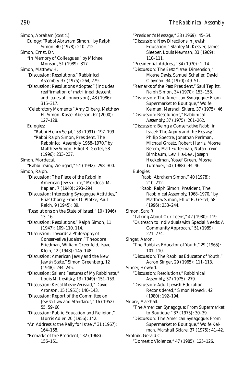Simon, Abraham *(cont'd.)* Eulogy: "Rabbi Abraham Simon," by Ralph Simon, 40 (1978): 210–212. Simon, Ernst, Dr. "In Memory of Colleagues," by Michael Monson, 51 (1989): 317. Simon, Matthew H. "Discussion: Resolutions," Rabbinical Assembly, 37 (1975): 264, 279. "Discussion: Resolutions Adopted" (includes reaffirmation of matrilineal descent and issues of conversion), 48 (1986): 315–317. "Celebratory Moments," Amy Eilberg, Matthew H. Simon, Kassel Abelson, 62 (2000): 127–128. Eulogies: "Rabbi Henry Segal," 53 (1991): 197–199. "Rabbi Ralph Simon, President, The Rabbinical Assembly, 1968–1970," by Matthew Simon, Elliot B. Gertel, 58 (1996): 233–237. Simon, Mordecai. "Rabbi Irving Weingart," 54 (1992): 298–300. Simon, Ralph. "Discussion: The Place of the Rabbi in American Jewish Life," Mordecai M. Kaplan, 7 (1940): 293–294. "Discussion: Interesting Synagogue Activities," Elias Charry, Frank D. Plotke, Paul Reich, 9 (1945): 89. "Resolutions on the State of Israel," 10 (1946): 13–16. "Discussion: Resolutions," Ralph Simon, 11 (1947): 109–110, 114. "Discussion: Towards a Philosophy of Conservative Judaism," Theodore Friedman, William Greenfeld, Isaac Klein, 12 (1948): 145–148. "Discussion: American Jewry and the New Jewish State," Simon Greenberg, 12 (1948): 244–245. "Discussion: Salient Features of My Rabbinate," Louis M. Levitsky, 13 (1949): 151–153. "Discussion: *Ke-dat Moshe VeYisrael,"* David Aronson, 15 (1951): 140–143. "Discussion: Report of the Committee on Jewish Law and Standards," 16 (1952): 55, 59–60. "Discussion: Public Education and Religion," Morris Adler, 20 (1956): 142. "An Address at the Rally for Israel," 31 (1967): 164–168. "Remarks of the President," 32 (1968): 156–161.

"President's Message," 33 (1969): 45–54. "Discussion: New Directions in Jewish Education," Stanley M. Kessler, James Sleeper, Louis Newman, 33 (1969): 110–111. "Presidential Address," 34 (1970): 1–14. "Discussion: The *Eretz Yisrael* Dimension," Moshe Davis, Samuel Schafler, David Clayman, 34 (1970): 49–51. "Remarks of the Past President," Saul Teplitz, Ralph Simon, 34 (1970): 153–158. "Discussion: The American Synagogue: From Supermarket to Boutique," Wolfe Kelman, Marshall Sklare, 37 (1975): 46. "Discussion: Resolutions," Rabbinical Assembly, 37 (1975): 261–262. "Discussion: Being a Conservative Rabbi in Israel: The Agony and the Ecstasy," Philip Spectre, Jonathan Perlman, Michael Graetz, Robert Harris, Moshe Re'em, Matt Futterman, Natan Irwin Birnbaum, Levi Ha-Levi, Joseph Heckelman, Yossef Green, Moshe Tutnauer, 50 (1988): 44–46. Eulogies: "Rabbi Abraham Simon," 40 (1978): 210–212. "Rabbi Ralph Simon, President, The Rabbinical Assembly, 1968–1970," by Matthew Simon, Elliot B. Gertel, 58 (1996): 233–244. Simon, Sara R. "Talking About Our Teens," 42 (1980): 119 "Outreach to Individuals with Special Needs: A Community Approach," 51 (1989): 271–274. Singer, Aaron. "The Rabbi as Educator of Youth," 29 (1965): 101–110. "Discussion: The Rabbi as Educator of Youth," Aaron Singer, 29 (1965): 111–113. Singer, Howard. "Discussion: Resolutions," Rabbinical Assembly, 37 (1975): 279. "Discussion: Adult Jewish Education Reconsidered," Simon Noveck, 42 (1980): 192–194. Sklare, Marshall. "The American Synagogue: From Supermarket to Boutique," 37 (1975): 30–39. "Discussion: The American Synagogue: From Supermarket to Boutique," Wolfe Kelman, Marshall Sklare, 37 (1975): 41–42. Skolnik, Gerald C. "Domestic Violence," 47 (1985): 125–126.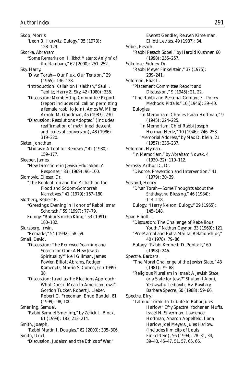Skop, Morris. "Leon B. Hurwitz: Eulogy," 35 (1973): 128–129. Skorka, Abraham. "Some Remarks on *'Hilkhot Matanot Aniyim'* of the Rambam," 62 (2000): 251–252. Sky, Harry. "D'var Torah—Our Flux, Our Tension," 29 (1965): 136–138. "Introduction: *Kallah* on *Halakhah*," Saul I. Teplitz, Harry Z. Sky, 42 (1980): 336. "Discussion: Membership Committee Report" (report includes roll call on permitting a female rabbi to join), Amos W. Miller, Arnold M. Goodman, 45 (1983): 230. "Discussion: Resolutions Adopted" (includes reaffirmation of matrilineal descent and issues of conversion), 48 (1986): 319–320. Slater, Jonathan. "*Midrash:* A Tool for Renewal," 42 (1980): 159–177. Sleeper, James. "New Directions in Jewish Education: A Response," 33 (1969): 96–100. Slomovic, Elieser, Dr. "The Book of Job and the *Midrash* on the Flood and Sodom-Gomorrah Narratives," 41 (1979): 167–180. Slosberg, Robert B. "Greetings: Evening in Honor of Rabbi Ismar Schorsch," 59 (1997): 77–79. Eulogy: "Rabbi Simcha Kling," 53 (1991): 180–182. Slurzberg, Irwin. "Remarks," 54 (1992): 58–59. Small, David. "Discussion: The Renewed Yearning and Search for God: A New Jewish Spirituality?" Neil Gillman, James Fowler, Elliott Abrams, Rodger Kamenetz, Martin S. Cohen, 61 (1999): 38. "Discussion: Israel as the Elections Approach: What Does it Mean to American Jews?" Gordon Tucker, Robert J. Lieber, Robert O. Freedman, Ehud Bandel, 61 (1999): 98, 100. Smerling, Samuel. "Rabbi Samuel Smerling," by Zelick L. Block, 61 (1999): 183, 213–214. Smith, Joseph. "Rabbi Martin I. Douglas," 62 (2000): 305–306. Smith, Uriel.

"Discussion, Judaism and the Ethics of War,"

Everett Gendler, Reuven Kimelman, Elliott Levitas, 49 (1987): 34. Sobel, Pesach. "Rabbi Pesach Sobel," by Harold Kushner, 60 (1998): 255–257. Sokolove, Sidney, Dr. "Rabbi Meyer Finkelstein," 37 (1975): 239–241. Solomon, Elias L. "Placement Committee Report and Discussion," 9 (1945): 21, 22. "The Rabbi and Personal Guidance—Policy, Methods, Pitfalls," 10 (1946): 39–40. Eulogies: "In Memoriam: Charles Isaiah Hoffman," 9 (1945): 224–225. "In Memoriam: Chief Rabbi Joseph Herman Hertz," 10 (1946): 246–253. "Memorial Address," by Max D. Klein, 21 (1957): 236–237. Solomon, Hyman. "In Memoriam," by Abraham Nowak, 4 (1930–32): 110–112. Sorosky, Arthur D., Dr. "Divorce: Prevention and Intervention," 41 (1979): 30–39. Sosland, Henry. "D'var Torah—Some Thoughts about the *Sheheheyanu* Blessing," 46 (1984): 114–118. Eulogy: "Harry Nelson: Eulogy," 29 (1965): 145–148. Spar, Elliott T. "Discussion: The Challenge of Rebellious Youth," Nathan Gaynor, 33 (1969): 121. "Pre-Marital and Extra-Marital Relationships," 40 (1978): 79–86. Eulogy: "Rabbi Kenneth D. Poplack," 60 (1998): 246. Spectre, Barbara. "The Moral Challenge of the Jewish State," 43 (1981): 79–88. "Religious Pluralism in Israel: A Jewish State, or a State for Jews?" Shulamit Aloni, Yeshayahu Leibovitz, Avi Ravitzky, Barbara Specre, 50 (1988): 59–66. Spectre, Efry. "Talmud Torah: In Tribute to Rabbi Jules Harlow," Efry Spectre, Yochanan Muffs, Israel N. Silverman, Lawrence Hoffman, Aharon Appelfeld, Ilana Harlow, Joel Meyers, Jules Harlow, (includes film clip of Louis Finkelstein), 56 (1994): 28–31, 34, 39–40, 45–47, 51, 57, 65, 66.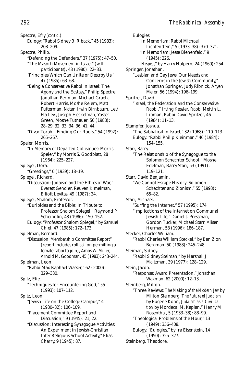Spectre, Efry *(cont'd.)* Eulogy: "Rabbi Sidney B. Riback," 45 (1983): 208–209. Spectre, Philip. "Defending the Defenders," 37 (1975): 47–50. "The Masorti Movement in Israel" (with participants), 43 (1980): 22–33. "Principles Which Can Unite or Destroy Us," 47 (1985): 63–68. "Being a Conservative Rabbi in Israel: The Agony and the Ecstasy," Philip Spectre, Jonathan Perlman, Michael Graetz, Robert Harris, Moshe Re'em, Matt Futterman, Natan Irwin Birnbaum, Levi Ha-Levi, Joseph Heckelman, Yossef Green, Moshe Tutnauer, 50 (1988): 28–29, 32, 33, 34, 36, 41, 44. "D'var Torah—Finding Our Roots," 54 (1992): 265–267. Speier, Morris. "In Memory of Departed Colleagues: Morris Speier," by Morris S. Goodblatt, 28 (1964): 225–227. Spiegel, Dora. "Greetings," 6 (1939): 18–19. Spiegel, Richard. "Discussion: Judaism and the Ethics of War," Everett Gendler, Reuven Kimelman, Elliott Levitas, 49 (1987): 34. Spiegel, Shalom, Professor. "Euripides and the Bible: In Tribute to Professor Shalom Spiegel," Raymond P. Scheindlin, 48 (1986): 150–152. Eulogy: "Professor Shalom Spiegel," by Samuel Chiel, 47 (1985): 172–173. Spielman, Bernard. "Discussion: Membership Committee Report" (report includes roll call on permitting a female rabbi to join), Amos W. Miller, Arnold M. Goodman, 45 (1983): 243–244. Spielman, Leon. "Rabbi Max Raphael Wasser," 62 (2000): 329–330. Spitz, Elie. "Techniques for Encountering God," 55 (1993): 107–112. Spitz, Leon. "Jewish Life on the College Campus," 4 (1930–32): 106–109. "Placement Committee Report and Discussion," 9 (1945): 21, 22. "Discussion: Interesting Synagogue Activities: An Experiment in Jewish-Christian Inter-Religious School Activity," Elias

Charry, 9 (1945): 87.

Eulogies: "In Memoriam: Rabbi Michael Lichtenstein," 5 (1933–38): 370–371. "In Memoriam: Jesse Bienenfeld," 9 (1945): 226. "*Hesped*," by Harry Halpern, 24 (1960): 254. Springer, Jonathan. "Lesbian and Gay Jews: Our Needs and Concerns in the Jewish Community," Jonathan Springer, Judy Ribnick, Aryeh Meier, 56 (1994): 196–199. Spritzer, David. "Israel, the Federation and the Conservative Rabbi," Irving Kessler, Rabbi Melvin L. Libman, Rabbi David Spritzer, 46 (1984): 11–13. Stampfer, Joshua. "The Sabbatical in Israel," 32 (1968): 110–113. Eulogy: "Rabbi Philip Kleinman," 46 (1984): 154–155. Starr, Barry. "The Relationship of the Synagogue to the Solomon Schechter School," Moshe Edelman, Barry Starr, 53 (1991): 119–121. Starr, David Benjamin. "We Cannot Escape History: Solomon Schechter and Zionism," 55 (1993): 65–82. Starr, Michael. "Surfing the Internet," 57 (1995): 174. "Implications of the Internet on Communal Jewish Life," Daniel J. Pressman, Gordon Tucker, Michael Starr, Alisen Herman, 58 (1996): 186–187. Steckel, Charles William. "Rabbi Charles William Steckel," by Ben Zion Bergman, 50 (1988): 245–248. Steiman, Sidney. "Rabbi Sidney Steiman," by Marshall J. Maltzman, 39 (1977): 128–129. Stein, Jacob. "Response: Award Presentation," Jonathan Waxman, 62 (2000): 12–13. Steinberg, Milton. "Three Reviews: *The Making of the Modern Jew* by Milton Steinberg, *The Future of Judaism* by Eugene Kohn, *Judaism as a Civilization* by Mordecai M. Kaplan," Henry M. Rosenthal, 5 (1933–38): 88–99. "Theological Problems of the Hour," 13 (1949): 356–408. Eulogy: "Eulogies," by Ira Eisenstein, 14 (1950): 325–327. Steinberg, Theodore.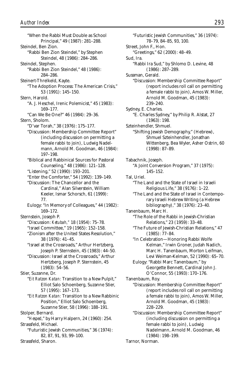"When the Rabbi Must Double as School Principal," 49 (1987): 281–288. Steindel, Ben Zion. "Rabbi Ben Zion Steindel," by Stephen Steindel, 48 (1986): 284–286. Steindel, Stephen. "Rabbi Ben Zion Steindel," 48 (1986): 284–286. Steinert-Threlkeld, Kayte. "The Adoption Process: The American Crisis," 53 (1991): 145–150. Stern, Harold. "A. J. Heschel, Irenic Polemicist," 45 (1983): 169–177. "Can We Be One?" 46 (1984): 29–36. Stern, Sholom. "D'var Torah," 38 (1976): 175–177. "Discussion: Membership Committee Report" (including discussion on permitting a female rabbi to join), Ludwig Nadelmann, Arnold M. Goodman, 46 (1984): 197–198. "Biblical and Rabbinical Sources for Pastoral Counseling," 48 (1986): 121–128. "Listening," 52 (1990): 193–201. "Enter the Comforter," 54 (1992): 139–149. "Discussion: The Chancellor and the Cardinal," Alan Silverstein, William Keeler, Ismar Schorsch, 61 (1999): 77. Eulogy: "In Memory of Colleagues," 44 (1982): 169–172. Sternstein, Joseph P. "Discussion: *Ketubah,"* 18 (1954): 75–78. "Israel Committee," 19 (1965): 152–158. "Zionism after the United States Resolution," 38 (1976): 41–45. "Israel at the Crossroads," Arthur Hertzberg, Joseph P. Sternstein, 45 (1983): 44–50. "Discussion: Israel at the Crossroads," Arthur Hertzberg, Joseph P. Sternstein, 45 (1983): 54–56. Stier, Suzanne, Dr. "*Eit Ratzon Katan:* Transition to a New Pulpit," Elliot Salo Schoenberg, Suzanne Stier, 57 (1995): 167–173. "*Eit Ratzon Katan:* Transition to a New Rabbinic Position," Elliot Salo Schoenberg, Suzanne Stier, 58 (1996): 188–191. Stolper, Bernard. "*Hesped*," by Harry Halpern, 24 (1960): 254. Strassfeld, Michael. "Futuristic Jewish Communities," 36 (1974): 82, 87, 91, 93, 99–100. Strassfeld, Sharon.

"Futuristic Jewish Communities," 36 (1974): 78–79, 84–85, 93, 100. Street, John F., Hon. "Greetings," 62 (2000): 48–49. Sud, Ira. "Rabbi Ira Sud," by Shlomo D. Levine, 48 (1986): 287–289. Sussman, Gerald. "Discussion: Membership Committee Report" (report includes roll call on permitting a female rabbi to join), Amos W. Miller, Arnold M. Goodman, 45 (1983): 239–240. Sydney, E. Charles. "E. Charles Sydney," by Philip R. Alstat, 27 (1963): 198. Szteinhendler, Shmuel. "Shifting Jewish Demography," (Hebrew), Shmuel Szteinhendler, Jonathan Wittenberg, Bea Wyler, Asher Ostrin, 60 (1998): 87–89. Tabachnik, Joseph. "A Joint Conversion Program," 37 (1975): 145–152. Tal, Uriel. "The Land and the State of Israel in Israeli Religious Life," 38 (9176): 1–22. "The Land and the State of Israel in Contemporary Israeli Hebrew Writing (a Hebrew bibliography)," 38 (1976): 23–40. Tanenbaum, Marc H. "The Role of the Rabbi in Jewish-Christian Relations," 23 (1959): 33–48. "The Future of Jewish-Christian Relations," 47 (1985): 77–84. "In Celebration—Honoring Rabbi Wolfe Kelman," Irwin Groner, Judah Nadich, Marc H. Tanenbaum, Morton Leifman, Levi Weiman-Kelman, 52 (1990): 65–70. Eulogy: "Rabbi Marc Tanenbaum," by Georgette Bennett, Cardinal John J. O'Connor, 55 (1993): 170–176. Tanenbaum, Roy. "Discussion: Membership Committee Report" (report includes roll call on permitting a female rabbi to join), Amos W. Miller, Arnold M. Goodman, 45 (1983): 228–229. "Discussion: Membership Committee Report" (including discussion on permitting a female rabbi to join), Ludwig Nadelmann, Arnold M. Goodman, 46 (1984): 198–199.

Tarnor, Norman.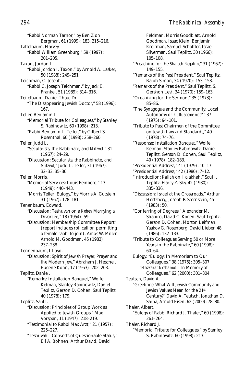"Rabbi Norman Tarnor," by Ben Zion Bergman, 61 (1999): 183, 215–216. Tattelbaum, Harvey. "Rabbi William Greenburg," 59 (1997): 201–205. Taxon, Jordon I. "Rabbi Jordon I. Taxon," by Arnold A. Lasker, 50 (1988): 249–251. Teichman, C. Joseph. "Rabbi C. Joseph Teichman," by Jack E. Frankel, 51 (1989): 314–316. Teitelbaum, Daniel Thau, Dr. "The Disappearing Jewish Doctor," 58 (1996): 167. Teller, Benjamin L. "Memorial Tribute for Colleagues," by Stanley S. Rabinowitz, 60 (1998): 213. "Rabbi Benjamin L. Teller," by Gilbert S. Rosenthal, 60 (1998): 258–260. Teller, Judd L. "Secularists, the Rabbinate, and *Mitzvot*," 31 (1967): 24–29. "Discussion: Secularists, the Rabbinate, and *Mitzvot*," Judd L. Teller, 31 (1967): 32–33, 35–36. Teller, Morris. "Memorial Services: Louis Feinberg," 13 (1949): 440–443. "Morris Teller: Eulogy," by Morris A. Gutstein, 31 (1967): 178–181. Tenenbaum, Edward. "Discussion: Teshuvah on a *Kohen* Marrying a Divorcée," 18 (1954): 59. "Discussion: Membership Committee Report" (report includes roll call on permitting a female rabbi to join), Amos W. Miller, Arnold M. Goodman, 45 (1983): 237–238. Tennenbaum, LLoyd. "Discussion: Spirit of Jewish Prayer, Prayer and the Modern Jew," Abraham J. Heschel, Eugene Kohn, 17 (1953): 202–203. Teplitz, Daniel. "Remarks: Installation Banquet," Wolfe Kelman, Stanley Rabinowitz, Daniel Teplitz, Gerson D. Cohen, Saul Teplitz, 40 (1978): 179. Teplitz, Saul I. "Discussion: Principles of Group Work as Applied to Jewish Groups," Max Vorspan, 11 (1947): 218–219. "Testimonial to Rabbi Max Arzt," 21 (1957): 225–227. "Teshuvah—Converts of Questionable Status," Eli A. Bohnen, Arthur David, David

Feldman, Morris Goodblatt, Arnold Goodman, Isaac Klein, Benjamin Kreitman, Samuel Schaffler, Israel Silverman, Saul Teplitz, 30 (1966): 105–108. "Preaching for the *Shalosh Regalim*," 31 (1967): 149–155. "Remarks of the Past President," Saul Teplitz, Ralph Simon, 34 (1970): 153–158. "Remarks of the President," Saul Teplitz, S. Gershon Levi, 34 (1970): 159–163. "Organizing for the Sermon," 35 (1973): 85–86. "The Synagogue and the Community: Local Autonomy or *Kultusgemeinde?*" 37 (1975): 94–101. "Tribute to Past Chairmen of the Committee on Jewish Law and Standards," 40 (1978): 74–76. "Response: Installation Banquet," Wolfe Kelman, Stanley Rabinowitz, Daniel Teplitz, Gerson D. Cohen, Saul Teplitz, 40 (1978): 182–183. "Presidential Address," 41 (1979): 10–17. "Presidential Address," 42 (1980): 7–12. "Introduction: *Kallah* on Halakhah," Saul I. Teplitz, Harry Z. Sky, 42 (1980): 335–336. "Discussion: Israel at the Crossroads," Arthur Hertzberg, Joseph P. Sternstein, 45 (1983): 50. "Conferring of Degrees," Alexander M. Shapiro, David C. Kogen, Saul Teplitz, Gerson D. Cohen, Morton Leifman, Yaakov G. Rosenberg, David Lieber, 48 (1986): 132–133. "Tribute to Colleagues Serving 50 or More Years in the Rabbinate," 60 (1998): 60–64. Eulogy: "Eulogy: In Memoriam to Our Colleagues," 38 (1976): 305–307. "*Hazkarat Neshamot—*In Memory of Colleagues," 62 (2000): 301–304. Teutsch, David A. "Greetings: What Will Jewish Community and Jewish Values Mean for the 21st Century?" David A. Teutsch, Jonathan D. Sarna, Arnold Eisen, 62 (2000): 78–80. Thaler, Albert. "Eulogy of Rabbi Richard J. Thaler," 60 (1998): 261–264. Thaler, Richard J. "Memorial Tribute for Colleagues," by Stanley S. Rabinowitz, 60 (1998): 213.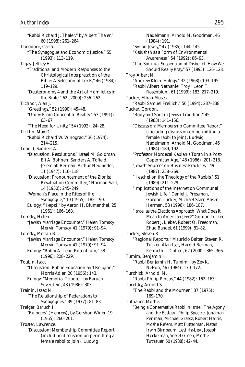"Rabbi Richard J. Thaler," by Albert Thaler," 60 (1998): 261–264. Theodore, Carla. "The Synagogue and Economic Justice," 55 (1993): 113–119. Tigay, Jeffrey H. "Traditional and Modern Responses to the Christological Interpretation of the Bible: A Selection of Texts," 46 (1984): 119–129. "Deuteronomy 4 and the Art of Homiletics in the Bible," 62 (2000): 256–262. Tichnor, Alan J. "Greetings," 52 (1990): 45–48. "Unity: From Concept to Reality," 53 (1991): 63–67. "The Need for Unity," 54 (1992): 24–28. Ticktin, Max D. "Rabbi Richard W. Winograd," 36 (1974): 214–215. Tofield, Sanders A. "Discussion, Resolutions," Israel M. Goldman, Eli A. Bohnen, Sanders A. Tofield, Jeremiah Berman, Arthur Neulander, 11 (1947): 116–118. "Discussion: Pronouncement of the Zionist Revaluation Committee," Norman Salit, 14 (1950): 245–249. "Woman's Place in the Rites of the Synagogue," 19 (1955): 182–190. Eulogy: "*Hesped*," by Aaron H. Blumenthal, 25 (1961): 166–168. Tomsky, Helen. "Jewish Marriage Encounter," Helen Tomsky, Mervin Tomsky, 41 (1979): 91–94. Tomsky, Mervin B. "Jewish Marriage Encounter," Helen Tomsky, Mervin Tomsky, 41 (1979): 91–94. Eulogy: "Rabbi A. Leon Rosenblum," 58 (1996): 228–229. Toubin, Isaac. "Discussion: Public Education and Religion," Morris Adler, 20 (1956): 143. Eulogy: "Memorial Tribute," by Baruch Silverstein, 48 (1986): 303. Trainin, Isaac N. "The Relationship of Federations to Synagogues," 39 (1977): 81–83. Treiger, Baruch I. "Eulogies" (Hebrew), by Gershon Winer, 19 (1955): 260–261. Troster, Lawrence. "Discussion: Membership Committee Report" (including discussion on permitting a female rabbi to join), Ludwig

Nadelmann, Arnold M. Goodman, 46 (1984): 191. "Syrian Jewry," 47 (1985): 144–145. "*Kedushah* as a Form of Environmental Awareness," 54 (1992): 86–93. "The Spiritual Suspension of Disbelief: How We Should Really Pray," 57 (1995): 126–128. Troy, Albert N. "Andrew Klein: Eulogy," 32 (1968): 193–195. "Rabbi Albert Nathaniel Troy," Leon T. Rosenblum, 61 (1999): 183, 217–219. Tucker, Ethan Moses. "Rabbi Samuel Freilich," 56 (1994): 237–238. Tucker, Gordon. "Body and Soul in Jewish Tradition," 45 (1983): 141–156. "Discussion: Membership Committee Report" (including discussion on permitting a female rabbi to join), Ludwig Nadelmann, Arnold M. Goodman, 46 (1984): 189, 192. "Professor Mordecai Kaplan's Torah in a Post-Copernican Age," 48 (1986): 201–218. "Jewish Sources on Business Practices," 49 (1987): 258–269. "Heschel on the Theology of the Rabbis," 51 (1989): 211–229. "Implications of the Internet on Communal Jewish Life," Daniel J. Pressman, Gordon Tucker, Michael Starr, Alisen Herman, 58 (1996): 186–187. "Israel as the Elections Approach: What Does it Mean to American Jews?" Gordon Tucker, Robert J. Lieber, Robert O. Freedman, Ehud Bandel, 61 (1999): 81–82. Tucker, Steven R. "Regional Reports," Mauricio Balter, Steven R. Tucker, Alan Iser, Harold Berman, Kenneth L. Cohen, 62 (2000): 365–366. Tumim, Benjamin H. "Rabbi Benjamin H. Tumim," by Zev K. Nelson, 46 (1984): 170–172. Turchick, Arnold. M. "Rabbi Philip Pincus," 44 (1982): 162–163. Turetsky, Arnold S. "The Rabbi and the Mourner," 37 (1975): 169–170. Tutnauer, Moshe. "Being a Conservative Rabbi in Israel: The Agony and the Ecstasy," Philip Spectre, Jonathan Perlman, Michael Graetz, Robert Harris, Moshe Re'em, Matt Futterman, Natan Irwin Birnbaum, Levi Ha-Levi, Joseph Heckelman, Yossef Green, Moshe Tutnauer, 50 (1988): 42–44.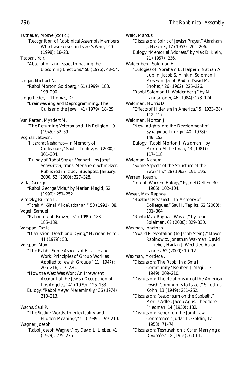"Discussion: Spirit of Jewish Prayer," Abraham J. Heschel, 17 (1953): 205–206. Eulogy: "Memorial Address," by Max D. Klein,

21 (1957): 236.

Wald, Marcus.

Tutnauer, Moshe *(cont'd.)* "Recognition of Rabbinical Assembly Members Who have served in Israel's Wars," 60 (1998): 18–23. Tzaban, Yair. "Absorption and Issues Impacting the Upcoming Elections," 58 (1996): 48–54. Ungar, Michael N. "Rabbi Morton Goldberg," 61 (1999): 183, 198–200. Ungerlieder, J. Thomas, Dr. "Brainwashing and Deprogramming: The Cults and the Jews," 41 (1979): 18–29. Van Patten, Myndert M. "The Returning Veteran and His Religion," 9 (1945): 52–59. Veghazi, Steven. "*Hazkarat Neshamot*—In Memory of Colleagues," Saul I. Teplitz, 62 (2000): 301–304. "Eulogy of Rabbi Steven Veghazi," by Jozef Schweitzer, trans. Menahem Schmelzer, Published in *Izrael,* Budapest, January, 2000, 62 (2000): 327–328. Vida, George. "Rabbi George Vida," by Marian Magid, 52 (1990): 251–252. Visotzky, Burton L. "*Torah Mi-Sinai Mi-deRabbanan,"* 53 (1991): 88. Vogel, Samuel. "Rabbi Joseph Braver," 61 (1999): 183, 185–189. Vorspan, David. "Discussion: Death and Dying," Herman Feifel, 41 (1979): 53. Vorspan, Max. "The Rabbi: Some Aspects of His Life and Work: Principles of Group Work as Applied to Jewish Groups," 11 (1947): 205–216, 217–226. "How the West Was Won: An Irreverent Account of the Jewish Occupation of Los Angeles," 41 (1979): 125–133. Eulogy: "Rabbi Meyer Mereminsky," 36 (1974): 210–213. Wachs, Saul P. "The *Siddur:* Words, Intertextuality, and Hidden Meanings," 51 (1989): 199–210. Wagner, Joseph. "Rabbi Joseph Wagner," by David L. Lieber, 41

(1979): 275–276.

Waldenberg, Solomon H. "Eulogies of: Abraham E. Halpern, Nathan A. Lublin, Jacob S. Minkin, Solomon I. Moseson, Jacob Radin, David M. Shohet," 26 (1962): 225–226. "Rabbi Solomon H. Waldenberg," by Al Landskroner, 46 (1984): 173–174. Waldman, Morris D. "Effects of Hitlerism in America," 5 (1933–38): 112–117. Waldman, Morton J. "New Insights into the Development of Synagogue Liturgy," 40 (1978): 149–153. Eulogy: "Rabbi Morton J. Waldman," by Morton M. Leifman, 43 (1981): 117–118. Waldman, Nahum. "Some Aspects of the Structure of the *Berakhah,"* 26 (1962): 191–195. Warren, Joseph. "Joseph Warren: Eulogy," by Joel Geffen, 30 (1966): 102–104. Wasser, Max Raphael. "*Hazkarat Neshamot*—In Memory of Colleagues," Saul I. Teplitz, 62 (2000): 301–304. "Rabbi Max Raphael Wasser," by Leon Spielman, 62 (2000): 329–330. Waxman, Jonathan. "Award Presentation (to Jacob Stein)," Mayer Rabinowitz, Jonathan Waxman, David L. Lieber, Harlan J. Wechsler, Aaron Landes, 62 (2000): 10–12. Waxman, Mordecai. "Discussion: The Rabbi in a Small Community," Reuben J. Magil, 13 (1949): 209–210. "Discussion: The Relationship of the American Jewish Community to Israel," S. Joshua Kohn, 13 (1949): 251–252. "Discussion: Responsum on the Sabbath," Morris Adler, Jacob Agus, Theodore Friedman, 14 (1950): 182. "Discussion: Report on the Joint Law Conference," Judah L. Goldin, 17 (1953): 71–74. "Discussion: Teshuvah on a *Kohen* Marrying a Divorcée," 18 (1954): 60–61.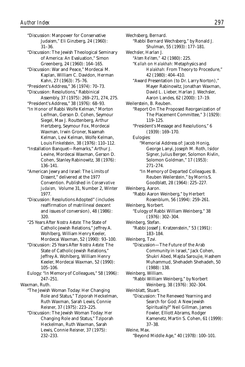"Discussion: Manpower for Conservative Judaism," Eli Ginzberg, 24 (1960): 31–36.

"Discussion: The Jewish Theological Seminary of America: An Evaluation," Simon Greenberg, 24 (1960): 164–165.

"Discussion: War and Peace," Mordecai M. Kaplan, William C. Davidon, Herman Kahn, 27 (1963): 75–76.

"President's Address," 36 (1974): 70–73.

- "Discussion: Resolutions," Rabbinical Assembly, 37 (1975): 269–271, 274, 275.
- "President's Address," 38 (1976): 68–93.

"In Honor of Rabbi Wolfe Kelman," Morton Leifman, Gerson D. Cohen, Seymour Siegel, Max J. Routtenberg, Arthur Hertzberg, Seymour Fox, Mordecai Waxman, Irwin Groner, Naamah Kelman, Levi Kelman, Wolfe Kelman, Louis Finkelstein, 38 (1976): 110–112.

"Installation Banquet—Remarks," Arthur J. Levine, Mordecai Waxman, Gerson D. Cohen, Stanley Rabinowitz, 38 (1976): 136–141.

"American Jewry and Israel: The Limits of Dissent," delivered at the 1977 Convention. Published in *Conservative Judaism,* Volume 31, Number 2, Winter 1977.

"Discussion: Resolutions Adopted" (includes reaffirmation of matrilineal descent and issues of conversion), 48 (1986): 320.

"25 Years After *Nostra Aetate:* The State of Catholic-Jewish Relations," Jeffrey A. Wohlberg, William Henry Keeler, Mordecai Waxman, 52 (1990): 93–100.

"Discussion: 25 Years After *Nostra Aetate:* The State of Catholic-Jewish Relations," Jeffrey A. Wohlberg, William Henry Keeler, Mordecai Waxman, 52 (1990): 105–106.

Eulogy: "In Memory of Colleagues," 58 (1996): 247–251.

Waxman, Ruth.

"The Jewish Woman Today: Her Changing Role and Status," Tziporah Heckelman, Ruth Waxman, Sarah Lewis, Connie Reisner, 37 (1975): 223–225.

"Discussion: The Jewish Woman Today: Her Changing Role and Status," Tziporah Heckelman, Ruth Waxman, Sarah Lewis, Connie Reisner, 37 (1975): 232–233.

Wechsberg, Bernard. "Rabbi Bernard Wechsberg," by Ronald J. Shulman, 55 (1993): 177–181. Wechsler, Harlan J. "*Atem Re'item,"* 42 (1980): 225. "*Kallah* on *Halakhah:* Metaphysics and *Halakhah:* From Theory to Procedure," 42 (1980): 404–410. "Award Presentation (to Dr. Larry Norton)," Mayer Rabinowitz, Jonathan Waxman, David L. Lieber, Harlan J. Wechsler, Aaron Landes, 62 (2000): 17–19. Weilerstein, B. Reuben. "Report On The Proposed Reorganization of The Placement Committee," 3 (1929): 119–125. "President's Message and Resolutions," 6 (1939): 169–170. Eulogies: "Memorial Address of: Jacob Honig, George Lanyi, Joseph M. Roth, Isidor Signer, Julius Berger, Solomon Rivlin, Solomon Goldman," 17 (1953): 271–274. "In Memory of Departed Colleagues: B. Reuben Weilerstein," by Morris S. Goodblatt, 28 (1964): 225–227. Weinberg, Aaron. "Rabbi Aaron Weinberg," by Herbert Rosenblum, 56 (1994): 259–261. Weinberg, Norbert. "Eulogy of Rabbi William Weinberg," 38 (1976): 302–304. Weinberg, Stefan. "Rabbi Jossef J. Kratzenstein," 53 (1991): 183–184. Weinberg, Tzvi. "Discussion—The Future of the Arab Community in Israel," Jack Cohen, Shukri Abed, Majda Saroujie, Hashem Muhammud, Shehadeh Shehadeh, 50 (1988): 138. Weinberg, William. "Rabbi William Weinberg," by Norbert Weinberg, 38 (1976): 302–304. Weinblatt, Stuart. "Discussion: The Renewed Yearning and Search for God: A New Jewish Spirituality?" Neil Gillman, James Fowler, Elliott Abrams, Rodger Kamenetz, Martin S. Cohen, 61 (1999): 37–38. Weine, Max.

"Beyond Middle Age," 40 (1978): 100–101.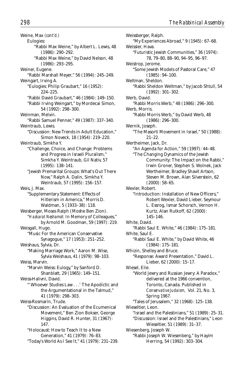Weine, Max *(cont'd.)* Eulogies: "Rabbi Max Weine," by Albert L. Lewis, 48 (1986): 290–292. "Rabbi Max Weine," by David Nelson, 48 (1986): 293–295. Weiner, Eugene. "Rabbi Marshall Meyer," 56 (1994): 245–249. Weingart, Irving A. "Eulogies: Philip Graubart," 16 (1952): 224–225. "Rabbi David Graubart," 46 (1984): 149–150. "Rabbi Irving Weingart," by Mordecai Simon, 54 (1992): 298–300. Weinman, Melvin. "Rabbi Samuel Penner," 49 (1987): 337–340. Weintraub, Lewis. "Discussion: New Trends in Adult Education," Simon Noveck, 18 (1954): 219–220. Weintraub, Simkha Y. "Challenge, Choice, and Change: Problems and Progress in Israeli Pluralism," Simkha Y. Weintraub, Gil Nativ, 57 (1995): 138–141. "Jewish Premarital Groups: What's Out There Now," Ralph A. Dalin, Simkha Y. Weintraub, 57 (1995): 156–157. Weis, J. Max. "Supplementary Statement: Effects of Hitlerism in America," Morris D. Waldman, 5 (1933–38): 118. Weisberger, Moses Ralph (Moshe Ben Zion). "*Hazkarat Neshamot:* In Memory of Colleagues," by Arnold M. Goodman, 59 (1997): 219. Weisgall, Hugo. "Music For the American Conservative Synagogue," 17 (1953): 251–252. Weishaus, Sylvia, Dr. "Making Marriage Work," Aaron M. Wise, Sylvia Weishaus, 41 (1979): 98–103. Weiss, Marvin. "Marvin Weiss: Eulogy," by Sanford D. Shanblatt, 29 (1965): 149–151. Weiss-Halivni, David. "'Whoever Studies Law . . .' The Apodictic and the Argumentational in the Talmud," 41 (1979): 298–303. Weiss-Rosmarin, Trude. "Discussion: An Evaluation of the Ecumenical Movement," Ben Zion Bokser, George Higgins, David R. Hunter, 31 (1967): 147. "Holocaust: How to Teach It to a New Generation," 41 (1979): 76–83.

"Today's World As I See It," 41 (1979): 231–239.

Weissberger, Ralph. "My Experiences Abroad," 9 (1945): 67–68. Weissler, Hava. "Futuristic Jewish Communities," 36 (1974): 78, 79–80, 88–90, 94–95, 96–97. Weistrop, Jerome. "Some Jewish Models of Pastoral Care," 47 (1985): 94–100. Weltman, Sheldon. "Rabbi Sheldon Weltman," by Jacob Shtull, 54 (1992): 301–302. Werb, David. "Rabbi Morris Werb," 48 (1986): 296–300. Werb, Morris. "Rabbi Morris Werb," by David Werb, 48 (1986): 296–300. Wernik, Joseph. "The Masorti Movement in Israel," 50 (1988): 21–22. Wertheimer, Jack, Dr. "An Agenda for Action," 59 (1997): 44–48. "The Changing Dynamics of the Jewish Community: The Impact on the Rabbi," Irwin Groner, Stephen S. Wolnek, Jack Wertheimer, Bradley Shavit Artson, Steven M. Brown, Alan Silverstein, 62 (2000): 58–65. Wexler, Robert. "Introduction: Installation of New Officers," Robert Wexler, David Lieber, Seymour L. Essrog, Ismar Schorsch, Vernon H. Kurtz, Alan Rutkoff, 62 (2000): 145–146. White, David. "Rabbi Saul E. White," 46 (1984): 175–181. White, Saul E. "Rabbi Saul E. White," by David White, 46 (1984): 175–181. Whizin, Shelley and Bruce. "Response: Award Presentation," David L. Lieber, 62 (2000): 15–17. Wiesel, Elie. "World Jewry and Russian Jewry: A Paradox," delivered at the 1966 convention, Toronto, Canada. Published in *Conservative Judaism,* Vol. 21, No. 3, Spring 1967. "Tales of Jerusalem," 32 (1968): 125–138. Wieseltier, Leon. "Israel and the Palestinians," 51 (1989): 25–31. "Discussion: Israel and the Palestinians," Leon Wieseltier, 51 (1989): 31–37. Wiesenberg, Joseph W. "Rabbi Joseph W. Wiesenberg," by Hayim Herring, 54 (1992): 303–304.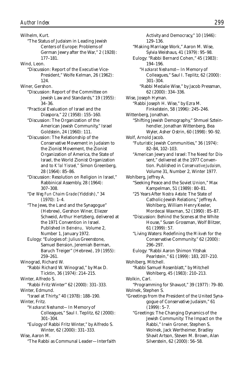Wilhelm, Kurt. "The Status of Judaism in Leading Jewish Centers of Europe: Problems of German Jewry after the War," 2 (1928): 177–181.

Wind, Leon.

"Discussion: Report of the Executive Vice-President," Wolfe Kelman, 26 (1962): 124.

Winer, Gershon.

- "Discussion: Report of the Committee on Jewish Law and Standards," 19 (1955): 34–36.
- "Practical Evaluation of Israel and the Diaspora," 22 (1958): 155–160.
- "Discussion: The Organization of the American Jewish Community," Israel Goldstein, 24 (1960): 111.
- "Discussion: The Relationship of the Conservative Movement in Judaism to the Zionist Movement, the Zionist Organization of America, the State of Israel, the World Zionist Organization and to *K'lal Yisrael,"* Simon Greenberg, 28 (1964): 85–86.
- "Discussion: Resolution on Religion in Israel," Rabbinical Assembly, 28 (1964): 307–308.
- "*Der Weg Fun Chaim Grade* (Yiddish)," 34 (1970): 1–4.
- "The Jews, the Land and the Synagogue" (Hebrew), Gershon Winer, Eliezer Schweid, Arthur Hertzberg, delivered at the 1971 Convention in Israel. Published in *Beineinu,* Volume 2, Number 1, January 1972.
- Eulogy: "Eulogies of: Julius Greenstone, Samuel Bension, Jeremiah Berman, Baruch Treiger" (Hebrew), 19 (1955): 259–261.

```
Winograd, Richard W.
```
"Rabbi Richard W. Winograd," by Max D. Ticktin, 36 (1974): 214–215.

Winter, Alfredo S.

"Rabbi Fritz Winter" 62 (2000): 331–333. Winter, Edmund.

"Israel at Thirty," 40 (1978): 188–190.

Winter, Fritz.

- "*Hazkarat Neshamot—*In Memory of Colleagues," Saul I. Teplitz, 62 (2000): 301–304.
- "Eulogy of Rabbi Fritz Winter," by Alfredo S. Winter, 62 (2000): 331–333.

Wise, Aaron M.

"The Rabbi as Communal Leader—Interfaith

Activity and Democracy," 10 (1946): 129–136. "Making Marriage Work," Aaron M. Wise, Sylvia Weishaus, 41 (1979): 95–98. Eulogy: "Rabbi Bernard Cohen," 45 (1983): 194–196. "*Hazkarat Neshamot—*In Memory of Colleagues," Saul I. Teplitz, 62 (2000): 301–304. "Rabbi Medalie Wise," by Jacob Pressman, 62 (2000): 334–336. Wise, Joseph Hyman. "Rabbi Joseph H. Wise," by Ezra M. Finkelstein, 58 (1996): 245–246. Wittenberg, Jonathan. "Shifting Jewish Demography," Shmuel Szteinhendler, Jonathan Wittenberg, Bea Wyler, Asher Ostrin, 60 (1998): 90–92. Wolf, Arnold Jacob. "Futuristic Jewish Communities," 36 (1974): 82–84, 102–103. "American Jewry and Israel: The Need for Dissent," delivered at the 1977 Convention. Published in *Conservative Judaism,* Volume 31, Number 2, Winter 1977. Wohlberg, Jeffrey A. "Seeking Peace and the Soviet Union," Max Kampelman, 51 (1989): 80–81. "25 Years After *Nostra Aetate:* The State of Catholic-Jewish Relations," Jeffrey A. Wohlberg, William Henry Keeler, Mordecai Waxman, 52 (1990): 85–87. "Discussion: Behind the Scenes at the White House," Susan Grossman, Wolf Blitzer, 61 (1999): 57. "Living Waters: Redefining the *Mikveh* for the Conservative Community," 62 (2000): 296–297. Eulogy: "Rabbi Aaron Shimon Yitshak Pearlstein," 61 (1999): 183, 207–210. Wohlberg, Mitchell. "Rabbi Samuel Rosenblatt," by Mitchell Wohlberg, 45 (1983): 210–213. Wolkin, Carl. "Programming for Shavuot," 39 (1977): 79–80. Wolnek, Stephen S. "Greetings from the President of the United Synagogue of Conservative Judaism," 61 (1999): 5–7. "Greetings: The Changing Dynamics of the Jewish Community: The Impact on the Rabbi," Irwin Groner, Stephen S. Wolnek, Jack Wertheimer, Bradley Shavit Artson, Steven M. Brown, Alan Silverstein, 62 (2000): 56–58.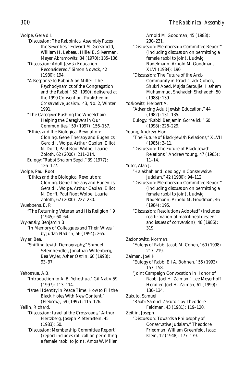Wolpe, Gerald I.

- "Discussion: The Rabbinical Assembly Faces the Seventies," Edward M. Gershfield, William H. Lebeau, Hillel E. Silverman, Mayer Abramowitz, 34 (1970): 135–136.
- "Discussion: Adult Jewish Education Reconsidered," Simon Noveck, 42 (1980): 194.
- "A Response to Rabbi Alan Miller: The Psychodynamics of the Congregation and the Rabbi," 52 (1990), delivered at the 1990 Convention. Published in *Conservative Judaism,* 43, No. 2, Winter 1991.
- "The Caregiver Pushing the Wheelchair: Helping the Caregivers in Our Communities," 59 (1997): 156–157.
- "Ethics and the Biological Revolution: Cloning, Gene Therapy and Eugenics," Gerald I. Wolpe, Arthur Caplan, Elliot N. Dorff, Paul Root Wolpe, Laurie Zoloth, 62 (2000): 211–214.
- Eulogy: "Rabbi Shalom Segal," 39 (1977): 126–127.

Wolpe, Paul Root.

- "Ethics and the Biological Revolution: Cloning, Gene Therapy and Eugenics," Gerald I. Wolpe, Arthur Caplan, Elliot N. Dorff, Paul Root Wolpe, Laurie Zoloth, 62 (2000): 227–230.
- Wuebbens, E. P.
- "The Returning Veteran and His Religion," 9 (1945): 60–64.
- Wykansky, Benjamin B.
- "In Memory of Colleagues and Their Wives," by Judah Nadich, 56 (1994): 265.

Wyler, Bea.

"Shifting Jewish Demography," Shmuel Szteinhendler, Jonathan Wittenberg, Bea Wyler, Asher Ostrin, 60 (1998): 93–97.

Yehoshua, A.B.

- "Introduction to A. B. Yehoshua," Gil Nativ, 59 (1997): 113–114.
- "Israeli Identity in Peace Time: How to Fill the Black Holes With New Content," (Hebrew), 59 (1997): 115–126.

Yellin, Richard.

- "Discussion: Israel at the Crossroads," Arthur Hertzberg, Joseph P. Sternstein, 45 (1983): 50.
- "Discussion: Membership Committee Report" (report includes roll call on permitting a female rabbi to join), Amos W. Miller,

Arnold M. Goodman, 45 (1983): 230–231.

"Discussion: Membership Committee Report" (including discussion on permitting a female rabbi to join), Ludwig Nadelmann, Arnold M. Goodman, XLVI (1984): 190.

"Discussion: The Future of the Arab Community in Israel," Jack Cohen, Shukri Abed, Majda Saroujie, Hashem Muhammud, Shehadeh Shehadeh, 50 (1988): 139.

- Yoskowitz, Herbert A.
	- "Advancing Adult Jewish Education," 44 (1982): 131–135.
	- Eulogy: "Rabbi Benjamin Gorrelick," 60 (1998): 226–229.
- Young, Andrew, Hon.
	- "The Future of Black-Jewish Relations," XLVII (1985): 3–11.
		- "Discussion: The Future of Black-Jewish Relations," Andrew Young, 47 (1985): 11–14.
- Yuter, Alan J.
	- "Halakhah and Ideology in Conservative Judaism," 42 (1980): 94–112.
	- "Discussion: Membership Committee Report" (including discussion on permitting a female rabbi to join), Ludwig Nadelmann, Arnold M. Goodman, 46 (1984): 195.
	- "Discussion: Resolutions Adopted" (includes reaffirmation of matrilineal descent and issues of conversion), 48 (1986): 319.
- Zadonowitz, Norman.
	- "Eulogy of Rabbi Jacob M. Cohen," 60 (1998): 217–219.
- Zaiman, Joel H.
	- "Eulogy of Rabbi Eli A. Bohnen," 55 (1993): 157–158.

"Joint Campaign Convocation in Honor of Rabbi Joel H. Zaiman," Lee Meyerhoff Hendler, Joel H. Zaiman, 61 (1999): 130–134.

- Zakuto, Samuel. "Rabbi Samuel Zakuto," by Theodore
	- Feldman, 43 (1981): 119–120.
- Zeitlin, Joseph.

"Discussion: Towards a Philosophy of Conservative Judaism," Theodore Friedman, William Greenfeld, Isaac Klein, 12 (1948): 177–179.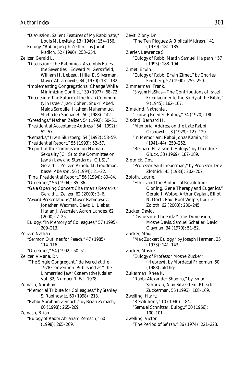"Discussion: Salient Features of My Rabbinate," Louis M. Levitsky, 13 (1949): 154–156. Eulogy: "Rabbi Joseph Zeitlin," by Judah Nadich, 52 (1990): 253–254. Zelizer, Gerald L. "Discussion: The Rabbinical Assembly Faces the Seventies," Edward M. Gershfield, William H. Lebeau, Hillel E. Silverman, Mayer Abramowitz, 34 (1970): 131–132. "Implementing Congregational Change While Minimizing Conflict," 39 (1977): 68–72. "Discussion: The Future of the Arab Community in Israel," Jack Cohen, Shukri Abed, Majda Saroujie, Hashem Muhammud, Shehadeh Shehadeh, 50 (1988): 142. "Greetings," Nathan Zelizer, 54 (1992): 50–51. "Presidential Acceptance Address," 54 (1992): 52–57. "Remarks," Irwin Slurzberg, 54 (1992): 58–59. "Presidential Report," 55 (1993): 52–57. "Report of the Commission on Human Sexuality (CHS) to the Committee on Jewish Law and Standards (CJLS)," Gerald L. Zelizer, Arnold M. Goodman, Kassel Abelson, 56 (1994): 21–22. "Final Presidential Report," 56 (1994): 80–84. "Greetings," 56 (1994): 85–86. "Gala Opening Concert Chairman's Remarks," Gerald L. Zelizer, 62 (2000): 3–6. "Award Presentations," Mayer Rabinowitz, Jonathan Waxman, David L. Lieber, Harlan J. Wechsler, Aaron Landes, 62 (2000): 7–25. Eulogy: "In Memory of Colleagues," 57 (1995): 209–213. Zelizer, Nathan. "Sermon Outlines for *Pesach*," 47 (1985): 114–116. "Greetings," 54 (1992): 50–51. Zelizer, Viviana, Dr. "The Single Congregant," delivered at the 1978 Convention. Published as "The Unmarried Jew," *Conservative Judaism,* Vol. 32, Number 1, Fall 1978. Zemach, Abraham. "Memorial Tribute for Colleagues," by Stanley S. Rabinowitz, 60 (1998): 213. "Rabbi Abraham Zemach," by Brian Zemach, 60 (1998): 265–269. Zemach, Brian. "Eulogy of Rabbi Abraham Zemach," 60 (1998): 265–269.

Zevit, Ziony, Dr. "The Ten Plagues: A Biblical Midrash," 41 (1979): 181–185. Zierler, Lawrence S. "Eulogy of Rabbi Martin Samuel Halpern," 57 (1995): 188–194. Zimet, Erwin. "Eulogy of Rabbi Erwin Zimet," by Charles Feinberg, 52 (1990): 255–259. Zimmerman, Frank. "*Siyyum HaShas*—The Contributions of Israel Friedlaender to the Study of the Bible," 9 (1945): 162–167. Zimskind, Nathaniel. "Ludwig Roeder: Eulogy," 34 (1970): 180. Ziskind, Bernard H. "Memorial Address on the Late Rabbi Granowitz," 3 (1929): 127–129. "In Memoriam: Rabbi Jonas Kamin," 8 (1941–44): 250–252. "Bernard H. Ziskind: Eulogy," by Theodore Gluck, 33 (1969): 187–189. Zlotnick, Dov. "Professor Saul Lieberman," by Professor Dov Zlotnick, 45 (1983): 202–207. Zoloth, Laurie. "Ethics and the Biological Revolution: Cloning, Gene Therapy and Eugenics," Gerald I. Wolpe, Arthur Caplan, Elliot N. Dorff, Paul Root Wolpe, Laurie Zoloth, 62 (2000): 230–245. Zucker, David. "Discussion: The *Eretz Yisrael* Dimension," Moshe Davis, Samuel Schafler, David Clayman, 34 (1970): 51–52. Zucker, Max. "Max Zucker: Eulogy," by Joseph Herman, 35 (1973): 141–143. Zucker, Moshe. "Eulogy of Professor Moshe Zucker" (Hebrew), by Mordecai Friedman, 50 (1988): *alef-hey.* Zukerman, Rhea K. "Rabbi Alexander Shapiro," by Ismar Schorsch, Alan Silverstein, Rhea K. Zuckerman, 55 (1993): 168–169. Zwelling, Harry. "Resolutions," 10 (1946): 184. "Samuel Schnitzer: Eulogy," 30 (1966): 100–101. Zwelling, Victor. "The Period of *Sefirah,"* 36 (1974): 221–223.